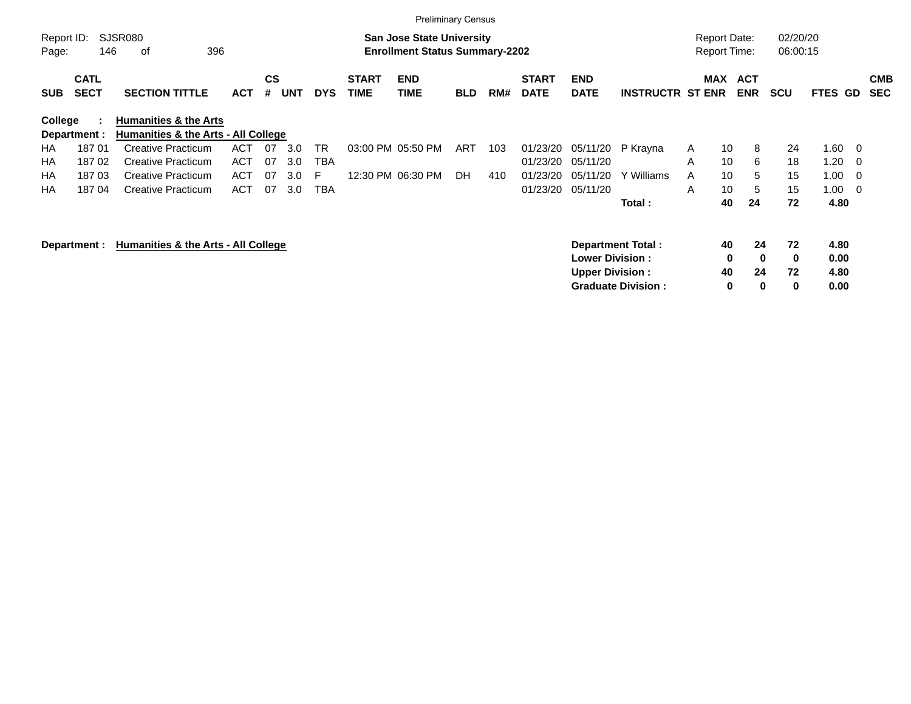|                     |                            |                                                                                                                                                                                                         |            |                |            |            |                             |                                                                           | <b>Preliminary Census</b> |     |                             |                           |                           |                                            |         |                          |                      |              |                          |                          |
|---------------------|----------------------------|---------------------------------------------------------------------------------------------------------------------------------------------------------------------------------------------------------|------------|----------------|------------|------------|-----------------------------|---------------------------------------------------------------------------|---------------------------|-----|-----------------------------|---------------------------|---------------------------|--------------------------------------------|---------|--------------------------|----------------------|--------------|--------------------------|--------------------------|
| Report ID:<br>Page: | 146                        | SJSR080<br>396<br>οf                                                                                                                                                                                    |            |                |            |            |                             | <b>San Jose State University</b><br><b>Enrollment Status Summary-2202</b> |                           |     |                             |                           |                           | <b>Report Date:</b><br><b>Report Time:</b> |         |                          | 02/20/20<br>06:00:15 |              |                          |                          |
| <b>SUB</b>          | <b>CATL</b><br><b>SECT</b> | <b>SECTION TITTLE</b>                                                                                                                                                                                   | <b>ACT</b> | <b>CS</b><br># | <b>UNT</b> | <b>DYS</b> | <b>START</b><br><b>TIME</b> | <b>END</b><br><b>TIME</b>                                                 | <b>BLD</b>                | RM# | <b>START</b><br><b>DATE</b> | <b>END</b><br><b>DATE</b> | <b>INSTRUCTR ST ENR</b>   | MAX                                        |         | <b>ACT</b><br><b>ENR</b> | <b>SCU</b>           | <b>FTES</b>  | GD                       | <b>CMB</b><br><b>SEC</b> |
| College             |                            |                                                                                                                                                                                                         |            |                |            |            |                             |                                                                           |                           |     |                             |                           |                           |                                            |         |                          |                      |              |                          |                          |
|                     | Department :               | <b>Humanities &amp; the Arts</b><br>Humanities & the Arts - All College<br><b>Creative Practicum</b><br>3.0<br><b>TR</b><br>03:00 PM 05:50 PM<br>01/23/20<br>05/11/20<br><b>ACT</b><br>07<br>ART<br>103 |            |                |            |            |                             |                                                                           |                           |     |                             |                           |                           |                                            |         |                          |                      |              |                          |                          |
| HA.                 | 18701                      |                                                                                                                                                                                                         |            |                |            |            |                             |                                                                           |                           |     |                             |                           | P Krayna                  | A                                          | 10      | 8                        | 24                   | 1.60         | $\overline{\phantom{0}}$ |                          |
| НA                  | 18702                      | <b>Creative Practicum</b>                                                                                                                                                                               | <b>ACT</b> | 07             | 3.0        | <b>TBA</b> |                             |                                                                           |                           |     | 01/23/20                    | 05/11/20                  |                           | A                                          | 10      | 6                        | 18                   | 1.20         | - 0                      |                          |
| НA                  | 18703                      | <b>Creative Practicum</b>                                                                                                                                                                               | <b>ACT</b> | 07             | 3.0        | F          |                             | 12:30 PM 06:30 PM                                                         | DH                        | 410 | 01/23/20                    | 05/11/20                  | Y Williams                | A                                          | 10      | 5                        | 15                   | 1.00         | - 0                      |                          |
| НA                  | 18704                      | <b>Creative Practicum</b>                                                                                                                                                                               | <b>ACT</b> | 07             | 3.0        | <b>TBA</b> |                             |                                                                           |                           |     | 01/23/20                    | 05/11/20                  |                           | A                                          | 10      | 5                        | 15                   | 1.00         | $\overline{\phantom{0}}$ |                          |
|                     |                            |                                                                                                                                                                                                         |            |                |            |            |                             |                                                                           |                           |     |                             |                           | Total:                    |                                            | 40      | 24                       | 72                   | 4.80         |                          |                          |
|                     | Department :               | Humanities & the Arts - All College                                                                                                                                                                     |            |                |            |            |                             |                                                                           |                           |     |                             | <b>Lower Division :</b>   | Department Total:         |                                            | 40<br>0 | 24<br>$\mathbf{0}$       | 72<br>0              | 4.80<br>0.00 |                          |                          |
|                     |                            |                                                                                                                                                                                                         |            |                |            |            |                             |                                                                           |                           |     |                             | <b>Upper Division:</b>    | <b>Graduate Division:</b> |                                            | 40<br>0 | 24<br>$\bf{0}$           | 72<br>0              | 4.80<br>0.00 |                          |                          |
|                     |                            |                                                                                                                                                                                                         |            |                |            |            |                             |                                                                           |                           |     |                             |                           |                           |                                            |         |                          |                      |              |                          |                          |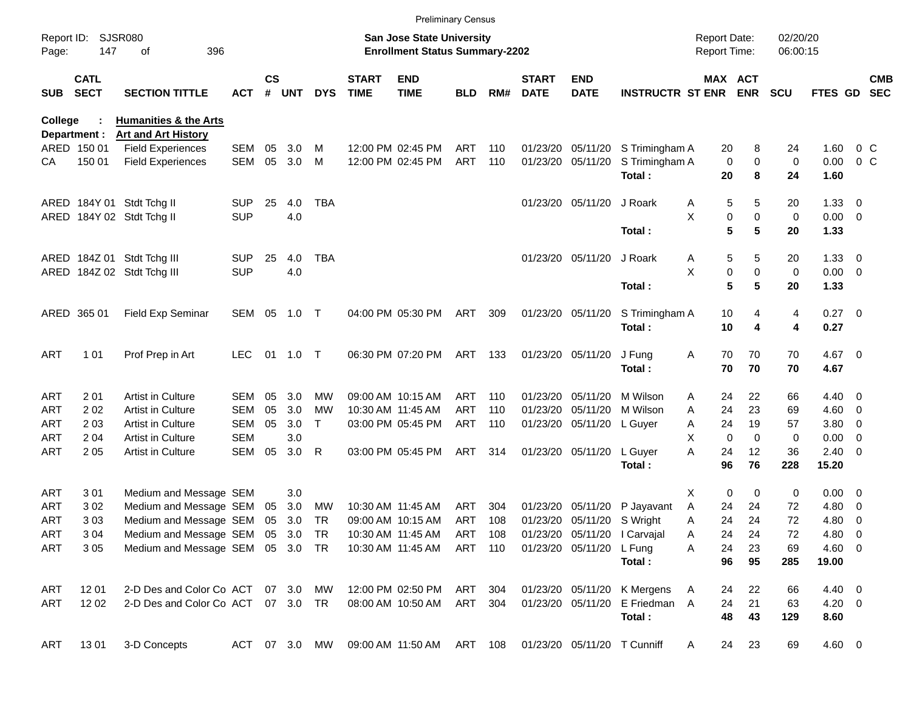|                     |                             |                                                        |            |               |        |               |                             | <b>Preliminary Census</b>                                                 |            |     |                             |                            |                              |                                     |                            |                      |                |                          |                          |
|---------------------|-----------------------------|--------------------------------------------------------|------------|---------------|--------|---------------|-----------------------------|---------------------------------------------------------------------------|------------|-----|-----------------------------|----------------------------|------------------------------|-------------------------------------|----------------------------|----------------------|----------------|--------------------------|--------------------------|
| Report ID:<br>Page: | 147                         | <b>SJSR080</b><br>396<br>оf                            |            |               |        |               |                             | <b>San Jose State University</b><br><b>Enrollment Status Summary-2202</b> |            |     |                             |                            |                              | <b>Report Date:</b><br>Report Time: |                            | 02/20/20<br>06:00:15 |                |                          |                          |
| <b>SUB</b>          | <b>CATL</b><br><b>SECT</b>  | <b>SECTION TITTLE</b>                                  | <b>ACT</b> | $\mathsf{cs}$ | # UNT  | <b>DYS</b>    | <b>START</b><br><b>TIME</b> | <b>END</b><br><b>TIME</b>                                                 | <b>BLD</b> | RM# | <b>START</b><br><b>DATE</b> | <b>END</b><br><b>DATE</b>  | <b>INSTRUCTR ST ENR ENR</b>  |                                     | MAX ACT                    | <b>SCU</b>           | <b>FTES GD</b> |                          | <b>CMB</b><br><b>SEC</b> |
| College             |                             | <b>Humanities &amp; the Arts</b>                       |            |               |        |               |                             |                                                                           |            |     |                             |                            |                              |                                     |                            |                      |                |                          |                          |
|                     | Department :<br>ARED 150 01 | <b>Art and Art History</b><br><b>Field Experiences</b> | SEM        | 05            | 3.0    | м             |                             | 12:00 PM 02:45 PM                                                         | ART        | 110 |                             | 01/23/20 05/11/20          | S Trimingham A               | 20                                  | 8                          | 24                   | 1.60           | 0 <sup>o</sup>           |                          |
| CА                  | 150 01                      | <b>Field Experiences</b>                               | SEM        | 05            | 3.0    | м             |                             | 12:00 PM 02:45 PM                                                         | ART        | 110 |                             | 01/23/20 05/11/20          | S Trimingham A               |                                     | $\mathbf 0$<br>0           | 0                    | 0.00           | 0 <sup>o</sup>           |                          |
|                     |                             |                                                        |            |               |        |               |                             |                                                                           |            |     |                             |                            | Total:                       | 20                                  | 8                          | 24                   | 1.60           |                          |                          |
|                     |                             | ARED 184Y 01 Stdt Tchg II                              | <b>SUP</b> | 25            | 4.0    | <b>TBA</b>    |                             |                                                                           |            |     |                             | 01/23/20 05/11/20          | J Roark                      | A                                   | 5<br>5                     | 20                   | $1.33 \ 0$     |                          |                          |
|                     |                             | ARED 184Y 02 Stdt Tchg II                              | <b>SUP</b> |               | 4.0    |               |                             |                                                                           |            |     |                             |                            |                              | X                                   | 0<br>0                     | 0                    | $0.00 \t 0$    |                          |                          |
|                     |                             |                                                        |            |               |        |               |                             |                                                                           |            |     |                             |                            | Total:                       |                                     | 5<br>5                     | 20                   | 1.33           |                          |                          |
|                     |                             | ARED 184Z 01 Stdt Tchg III                             | <b>SUP</b> | 25            | 4.0    | <b>TBA</b>    |                             |                                                                           |            |     |                             | 01/23/20 05/11/20          | J Roark                      | A                                   | 5<br>5                     | 20                   | $1.33 \ 0$     |                          |                          |
|                     |                             | ARED 184Z 02 Stdt Tchg III                             | <b>SUP</b> |               | 4.0    |               |                             |                                                                           |            |     |                             |                            |                              | X                                   | $\pmb{0}$<br>0             | 0                    | $0.00 \t 0$    |                          |                          |
|                     |                             |                                                        |            |               |        |               |                             |                                                                           |            |     |                             |                            | Total:                       |                                     | 5<br>5                     | 20                   | 1.33           |                          |                          |
|                     | ARED 365 01                 | Field Exp Seminar                                      | SEM 05     |               | 1.0    | $\top$        |                             | 04:00 PM 05:30 PM                                                         | ART        | 309 |                             | 01/23/20 05/11/20          | S Trimingham A               | 10                                  | 4                          | 4                    | $0.27$ 0       |                          |                          |
|                     |                             |                                                        |            |               |        |               |                             |                                                                           |            |     |                             |                            | Total:                       | 10                                  | 4                          | 4                    | 0.27           |                          |                          |
| <b>ART</b>          | 1 0 1                       | Prof Prep in Art                                       | <b>LEC</b> | 01            | 1.0    | $\top$        |                             | 06:30 PM 07:20 PM                                                         | ART        | 133 |                             | 01/23/20 05/11/20          | J Fung                       | Α                                   | 70<br>70                   | 70                   | 4.67 0         |                          |                          |
|                     |                             |                                                        |            |               |        |               |                             |                                                                           |            |     |                             |                            | Total:                       | 70                                  | 70                         | 70                   | 4.67           |                          |                          |
| <b>ART</b>          | 201                         | Artist in Culture                                      | SEM        | 05            | 3.0    | <b>MW</b>     |                             | 09:00 AM 10:15 AM                                                         | <b>ART</b> | 110 | 01/23/20                    | 05/11/20                   | M Wilson                     | 24<br>A                             | 22                         | 66                   | $4.40 \ 0$     |                          |                          |
| <b>ART</b>          | 202                         | Artist in Culture                                      | SEM        | 05            | 3.0    | MW            |                             | 10:30 AM 11:45 AM                                                         | <b>ART</b> | 110 | 01/23/20                    | 05/11/20                   | M Wilson                     | 24<br>A                             | 23                         | 69                   | $4.60$ 0       |                          |                          |
| <b>ART</b>          | 203                         | <b>Artist in Culture</b>                               | SEM        | 05            | 3.0    | T.            |                             | 03:00 PM 05:45 PM                                                         | ART        | 110 |                             | 01/23/20 05/11/20          | L Guyer                      | 24<br>Α                             | 19                         | 57                   | 3.80           | $\overline{\phantom{0}}$ |                          |
| <b>ART</b>          | 204                         | Artist in Culture                                      | <b>SEM</b> |               | 3.0    |               |                             |                                                                           |            |     |                             |                            |                              | X                                   | $\mathbf 0$<br>$\mathbf 0$ | 0                    | 0.00           | $\overline{\phantom{0}}$ |                          |
| <b>ART</b>          | 2 0 5                       | Artist in Culture                                      | SEM        | 05            | 3.0    | R             |                             | 03:00 PM 05:45 PM                                                         | ART        | 314 |                             | 01/23/20 05/11/20          | L Guyer                      | 24<br>Α                             | 12                         | 36                   | $2.40 \ 0$     |                          |                          |
|                     |                             |                                                        |            |               |        |               |                             |                                                                           |            |     |                             |                            | Total:                       | 96                                  | 76                         | 228                  | 15.20          |                          |                          |
| <b>ART</b>          | 301                         | Medium and Message SEM                                 |            |               | 3.0    |               |                             |                                                                           |            |     |                             |                            |                              | X                                   | 0<br>$\mathbf 0$           | 0                    | $0.00 \t 0$    |                          |                          |
| <b>ART</b>          | 302                         | Medium and Message SEM                                 |            | 05            | 3.0    | MW            |                             | 10:30 AM 11:45 AM                                                         | ART        | 304 | 01/23/20                    | 05/11/20                   | P Jayavant                   | 24<br>A                             | 24                         | 72                   | 4.80           | $\overline{\phantom{0}}$ |                          |
| <b>ART</b>          | 303                         | Medium and Message SEM 05                              |            |               | 3.0    | TR            |                             | 09:00 AM 10:15 AM                                                         | ART        | 108 |                             | 01/23/20 05/11/20 S Wright |                              | A                                   | 24<br>24                   | 72                   | 4.80           | $\overline{\phantom{0}}$ |                          |
| <b>ART</b>          | 304                         | Medium and Message SEM 05 3.0 TR                       |            |               |        |               |                             | 10:30 AM 11:45 AM                                                         | ART 108    |     |                             |                            | 01/23/20 05/11/20 l Carvajal | 24<br>Α                             | 24                         | 72                   | 4.80 0         |                          |                          |
| ART                 | 305                         | Medium and Message SEM 05 3.0 TR                       |            |               |        |               |                             | 10:30 AM 11:45 AM                                                         | ART 110    |     |                             | 01/23/20 05/11/20 L Fung   |                              | 24<br>Α                             | 23                         | 69                   | $4.60$ 0       |                          |                          |
|                     |                             |                                                        |            |               |        |               |                             |                                                                           |            |     |                             |                            | Total:                       |                                     | 96<br>95                   | 285                  | 19.00          |                          |                          |
| ART                 | 12 01                       | 2-D Des and Color Co ACT                               |            |               | 07 3.0 | MW            |                             | 12:00 PM 02:50 PM                                                         | ART 304    |     |                             |                            | 01/23/20 05/11/20 K Mergens  | A<br>24                             | 22                         | 66                   | 4.40 0         |                          |                          |
| ART                 | 12 02                       | 2-D Des and Color Co ACT 07 3.0 TR                     |            |               |        |               |                             | 08:00 AM 10:50 AM                                                         | ART 304    |     |                             | 01/23/20 05/11/20          | E Friedman A                 | 24                                  | 21                         | 63                   | $4.20 \ 0$     |                          |                          |
|                     |                             |                                                        |            |               |        |               |                             |                                                                           |            |     |                             |                            | Total:                       |                                     | 48<br>43                   | 129                  | 8.60           |                          |                          |
| ART                 | 1301                        | 3-D Concepts                                           |            |               |        | ACT 07 3.0 MW |                             | 09:00 AM 11:50 AM ART 108                                                 |            |     |                             |                            | 01/23/20 05/11/20 T Cunniff  | A                                   | 23<br>24                   | 69                   | 4.60 0         |                          |                          |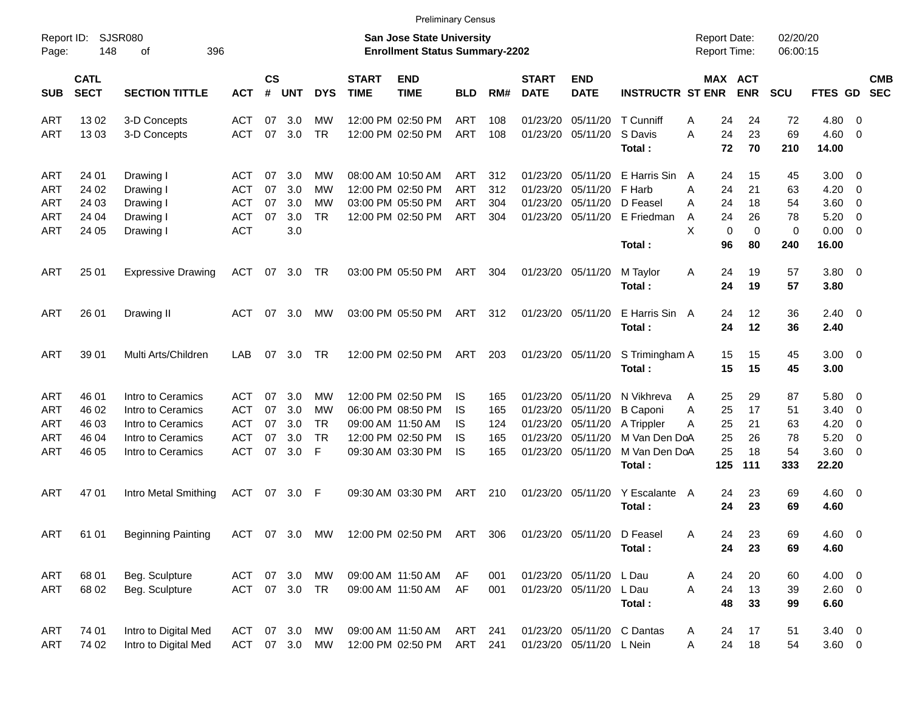ART 13 02 3-D Concepts ACT 07 3.0 MW 12:00 PM 02:50 PM ART 108 01/23/20 05/11/20 T Cunniff A 24 24 72 4.80 0 ART 13 03 3-D Concepts ACT 07 3.0 TR 12:00 PM 02:50 PM ART 108 01/23/20 05/11/20 S Davis A 24 23 69 4.60 0 **Total : 72 70 210 14.00** ART 24 01 Drawing I ACT 07 3.0 MW 08:00 AM 10:50 AM ART 312 01/23/20 05/11/20 E Harris Sin A 24 15 45 3.00 0 ART 24 02 Drawing I ACT 07 3.0 MW 12:00 PM 02:50 PM ART 312 01/23/20 05/11/20 F Harb A 24 21 63 4.20 0 ART 24 03 Drawing I ACT 07 3.0 MW 03:00 PM 05:50 PM ART 304 01/23/20 05/11/20 D Feasel A 24 18 54 3.60 0 ART 24 04 Drawing I ACT 07 3.0 TR 12:00 PM 02:50 PM ART 304 01/23/20 05/11/20 E Friedman A 24 26 78 5.20 0 ART 24 05 Drawing I ACT 3.0 X 0 0 0 0.00 0 **Total : 96 80 240 16.00** ART 25 01 Expressive Drawing ACT 07 3.0 TR 03:00 PM 05:50 PM ART 304 01/23/20 05/11/20 M Taylor A 24 19 57 3.80 0 **Total : 24 19 57 3.80** ART 26 01 Drawing II ACT 07 3.0 MW 03:00 PM 05:50 PM ART 312 01/23/20 05/11/20 E Harris Sin A 24 12 36 2.40 0 **Total : 24 12 36 2.40** ART 39 01 Multi Arts/Children LAB 07 3.0 TR 12:00 PM 02:50 PM ART 203 01/23/20 05/11/20 S Trimingham A 15 15 45 3.00 0 **Total : 15 15 45 3.00** ART 46 01 Intro to Ceramics ACT 07 3.0 MW 12:00 PM 02:50 PM IS 165 01/23/20 05/11/20 N Vikhreva A 25 29 87 5.80 0 ART 46 02 Intro to Ceramics ACT 07 3.0 MW 06:00 PM 08:50 PM IS 165 01/23/20 05/11/20 B Caponi A 25 17 51 3.40 0 ART 46 03 Intro to Ceramics ACT 07 3.0 TR 09:00 AM 11:50 AM IS 124 01/23/20 05/11/20 A Trippler A 25 21 63 4.20 0 ART 46 04 Intro to Ceramics ACT 07 3.0 TR 12:00 PM 02:50 PM IS 165 01/23/20 05/11/20 M Van Den DoA 25 26 78 5.20 0 ART 46 05 Intro to Ceramics ACT 07 3.0 F 09:30 AM 03:30 PM IS 165 01/23/20 05/11/20 M Van Den DoA 25 18 54 3.60 0 **Total : 125 111 333 22.20** ART 47 01 Intro Metal Smithing ACT 07 3.0 F 09:30 AM 03:30 PM ART 210 01/23/20 05/11/20 Y Escalante A 24 23 69 4.60 0 **Total : 24 23 69 4.60** ART 61 01 Beginning Painting ACT 07 3.0 MW 12:00 PM 02:50 PM ART 306 01/23/20 05/11/20 D Feasel A 24 23 69 4.60 0 **Total : 24 23 69 4.60** ART 68 01 Beg. Sculpture ACT 07 3.0 MW 09:00 AM 11:50 AM AF 001 01/23/20 05/11/20 L Dau A 24 20 60 4.00 0 ART 68 02 Beg. Sculpture ACT 07 3.0 TR 09:00 AM 11:50 AM AF 001 01/23/20 05/11/20 L Dau A 24 13 39 2.60 0 **Total : 48 33 99 6.60** ART 74 01 Intro to Digital Med ACT 07 3.0 MW 09:00 AM 11:50 AM ART 241 01/23/20 05/11/20 C Dantas A 24 17 51 3.40 0 ART 74 02 Intro to Digital Med ACT 07 3.0 MW 12:00 PM 02:50 PM ART 241 01/23/20 05/11/20 L Nein A 24 18 54 3.60 0 Report ID: SJSR080 **San Jose State University San Jose State University** Report Date: 02/20/20 Page: 148 of 396 **Enrollment Status Summary-2202** Report Time: 06:00:15 **CATL CS START END START END MAX ACT CMB** SUB SECT SECTION TITTLE ACT # UNT DYS TIME TIME BLD RM# DATE DATE INSTRUCTR ST ENR ENR SCU FTES GD SEC

Preliminary Census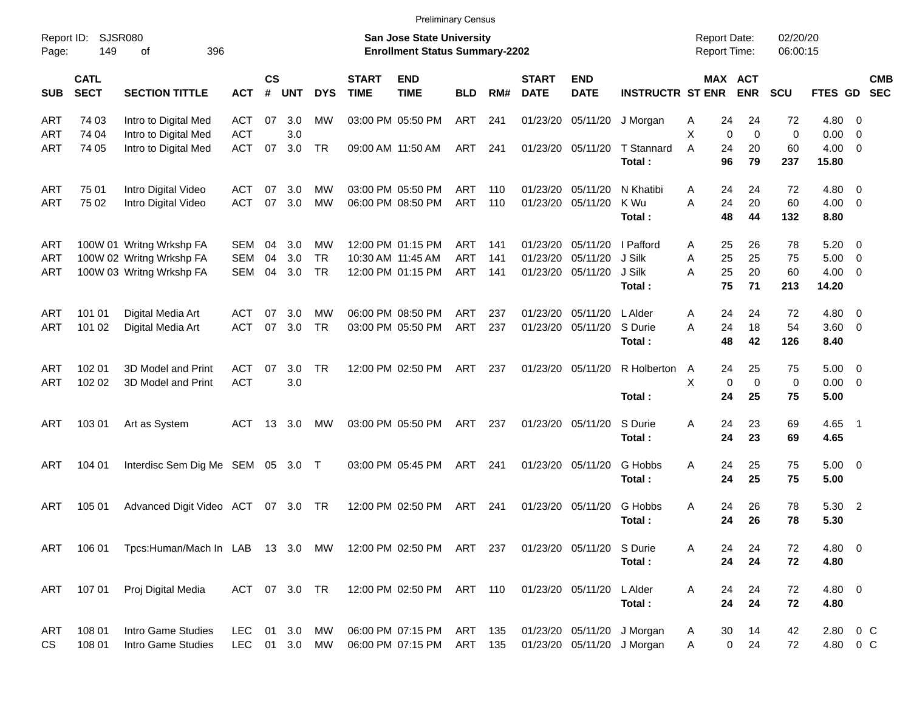| <b>Preliminary Census</b> |  |  |
|---------------------------|--|--|
|                           |  |  |
|                           |  |  |
|                           |  |  |

| Report ID:<br>Page: | <b>SJSR080</b><br>149<br>396<br>оf<br><b>CATL</b> |                                                                                  |                          |                    |                   |                              |                             | San Jose State University<br><b>Enrollment Status Summary-2202</b> |                    |                   |                             |                                        |                                                          | <b>Report Date:</b><br><b>Report Time:</b> |                                                    | 02/20/20<br>06:00:15   |                                                   |                          |            |
|---------------------|---------------------------------------------------|----------------------------------------------------------------------------------|--------------------------|--------------------|-------------------|------------------------------|-----------------------------|--------------------------------------------------------------------|--------------------|-------------------|-----------------------------|----------------------------------------|----------------------------------------------------------|--------------------------------------------|----------------------------------------------------|------------------------|---------------------------------------------------|--------------------------|------------|
| <b>SUB</b>          | <b>SECT</b>                                       | <b>SECTION TITTLE</b>                                                            | <b>ACT</b>               | $\mathsf{cs}$<br># | <b>UNT</b>        | <b>DYS</b>                   | <b>START</b><br><b>TIME</b> | <b>END</b><br><b>TIME</b>                                          | <b>BLD</b>         | RM#               | <b>START</b><br><b>DATE</b> | <b>END</b><br><b>DATE</b>              | <b>INSTRUCTR ST ENR</b>                                  |                                            | MAX ACT<br><b>ENR</b>                              | <b>SCU</b>             | FTES GD SEC                                       |                          | <b>CMB</b> |
| ART                 | 74 03                                             | Intro to Digital Med                                                             | ACT                      | 07                 | 3.0               | MW                           |                             | 03:00 PM 05:50 PM                                                  | ART                | 241               |                             | 01/23/20 05/11/20                      | J Morgan                                                 | A                                          | 24<br>24                                           | 72                     | 4.80 0                                            |                          |            |
| ART<br>ART          | 74 04<br>74 05                                    | Intro to Digital Med<br>Intro to Digital Med                                     | <b>ACT</b><br><b>ACT</b> | 07                 | 3.0<br>3.0        | <b>TR</b>                    |                             | 09:00 AM 11:50 AM                                                  | ART                | 241               |                             | 01/23/20 05/11/20                      | T Stannard<br>Total:                                     | X<br>A                                     | $\mathbf 0$<br>$\mathbf 0$<br>24<br>20<br>96<br>79 | $\pmb{0}$<br>60<br>237 | $0.00 \t 0$<br>$4.00 \ 0$<br>15.80                |                          |            |
| ART<br>ART          | 75 01<br>75 02                                    | Intro Digital Video<br>Intro Digital Video                                       | ACT<br><b>ACT</b>        | 07<br>07           | 3.0<br>3.0        | <b>MW</b><br>MW              |                             | 03:00 PM 05:50 PM<br>06:00 PM 08:50 PM                             | ART<br>ART         | 110<br>110        | 01/23/20 05/11/20           | 01/23/20 05/11/20                      | N Khatibi<br>K Wu<br>Total:                              | A<br>A                                     | 24<br>24<br>24<br>20<br>48<br>44                   | 72<br>60<br>132        | 4.80 0<br>$4.00 \ 0$<br>8.80                      |                          |            |
| ART<br>ART<br>ART   |                                                   | 100W 01 Writng Wrkshp FA<br>100W 02 Writng Wrkshp FA<br>100W 03 Writng Wrkshp FA | SEM<br>SEM<br><b>SEM</b> | 04<br>04<br>04     | 3.0<br>3.0<br>3.0 | <b>MW</b><br><b>TR</b><br>TR |                             | 12:00 PM 01:15 PM<br>10:30 AM 11:45 AM<br>12:00 PM 01:15 PM        | ART<br>ART<br>ART  | 141<br>141<br>141 | 01/23/20 05/11/20           | 01/23/20 05/11/20<br>01/23/20 05/11/20 | I Pafford<br>J Silk<br>J Silk<br>Total:                  | A<br>Α<br>A                                | 25<br>26<br>25<br>25<br>25<br>20<br>75<br>71       | 78<br>75<br>60<br>213  | $5.20 \t 0$<br>$5.00 \t 0$<br>$4.00 \ 0$<br>14.20 |                          |            |
| ART<br>ART          | 101 01<br>101 02                                  | Digital Media Art<br>Digital Media Art                                           | ACT<br><b>ACT</b>        | 07<br>07           | 3.0<br>3.0        | MW<br>TR                     |                             | 06:00 PM 08:50 PM<br>03:00 PM 05:50 PM                             | ART<br>ART         | 237<br>237        |                             | 01/23/20 05/11/20<br>01/23/20 05/11/20 | L Alder<br>S Durie<br>Total:                             | A<br>A                                     | 24<br>24<br>24<br>18<br>48<br>42                   | 72<br>54<br>126        | 4.80 0<br>$3.60$ 0<br>8.40                        |                          |            |
| ART<br>ART          | 102 01<br>102 02                                  | 3D Model and Print<br>3D Model and Print                                         | <b>ACT</b><br><b>ACT</b> | 07                 | 3.0<br>3.0        | <b>TR</b>                    |                             | 12:00 PM 02:50 PM                                                  | ART                | 237               | 01/23/20 05/11/20           |                                        | R Holberton<br>Total:                                    | A<br>X                                     | 24<br>25<br>$\mathbf 0$<br>$\mathbf 0$<br>24<br>25 | 75<br>0<br>75          | $5.00 \t 0$<br>$0.00 \t 0$<br>5.00                |                          |            |
| ART                 | 103 01                                            | Art as System                                                                    | <b>ACT</b>               | 13                 | 3.0               | МW                           |                             | 03:00 PM 05:50 PM                                                  | ART                | 237               | 01/23/20 05/11/20           |                                        | S Durie<br>Total:                                        | Α                                          | 24<br>23<br>24<br>23                               | 69<br>69               | 4.65<br>4.65                                      | $\overline{\phantom{1}}$ |            |
| ART                 | 104 01                                            | Interdisc Sem Dig Me SEM 05 3.0 T                                                |                          |                    |                   |                              |                             | 03:00 PM 05:45 PM                                                  | ART                | 241               | 01/23/20 05/11/20           |                                        | G Hobbs<br>Total:                                        | A                                          | 24<br>25<br>25<br>24                               | 75<br>75               | $5.00 \t 0$<br>5.00                               |                          |            |
| ART                 | 105 01                                            | Advanced Digit Video ACT                                                         |                          |                    | 07 3.0            | TR                           |                             | 12:00 PM 02:50 PM                                                  | ART                | 241               | 01/23/20 05/11/20           |                                        | G Hobbs<br>Total:                                        | Α                                          | 26<br>24<br>26<br>24                               | 78<br>78               | 5.30 2<br>5.30                                    |                          |            |
| ART                 | 106 01                                            | Tpcs:Human/Mach In LAB 13 3.0 MW                                                 |                          |                    |                   |                              |                             | 12:00 PM 02:50 PM ART 237                                          |                    |                   |                             | 01/23/20 05/11/20                      | S Durie<br>Total:                                        | Α                                          | 24<br>24<br>24<br>24                               | 72<br>72               | 4.80 0<br>4.80                                    |                          |            |
| ART                 | 107 01                                            | Proj Digital Media                                                               | ACT 07 3.0 TR            |                    |                   |                              |                             | 12:00 PM 02:50 PM ART 110                                          |                    |                   | 01/23/20 05/11/20           |                                        | L Alder<br>Total:                                        | Α                                          | 24<br>24<br>24<br>24                               | 72<br>72               | 4.80 0<br>4.80                                    |                          |            |
| ART<br>CS           | 108 01<br>108 01                                  | Intro Game Studies<br>Intro Game Studies                                         | LEC<br>LEC 01 3.0 MW     |                    | 01 3.0            | MW                           |                             | 06:00 PM 07:15 PM<br>06:00 PM 07:15 PM                             | ART 135<br>ART 135 |                   |                             |                                        | 01/23/20 05/11/20 J Morgan<br>01/23/20 05/11/20 J Morgan | A<br>A                                     | 14<br>30<br>$\mathbf 0$<br>24                      | 42<br>72               | 2.80 0 C<br>4.80 0 C                              |                          |            |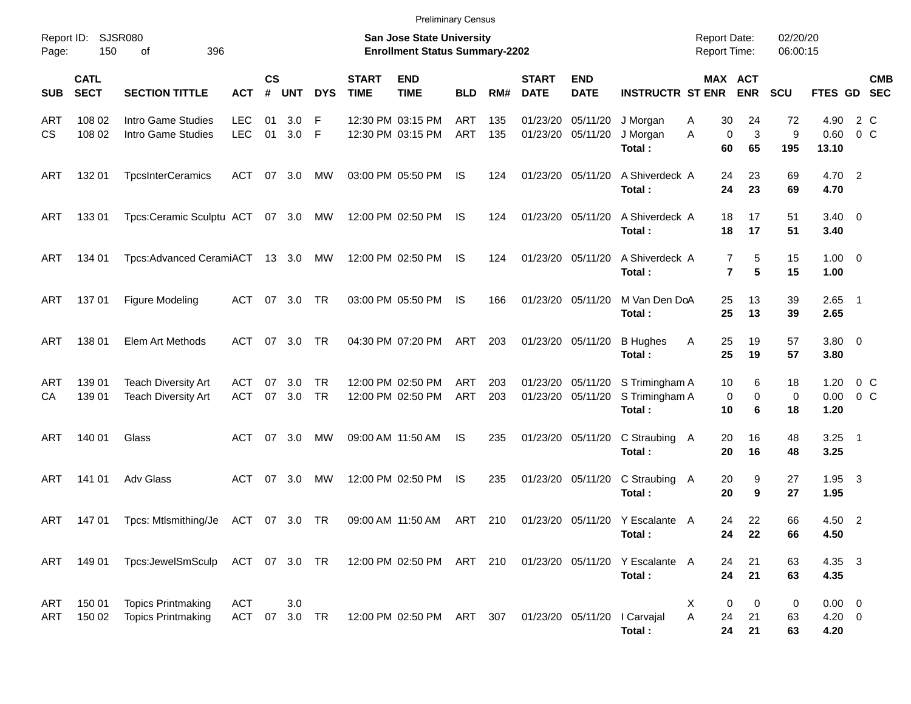|                     |                            |                                                                                           |                             |                    |               |                  |                             | <b>Preliminary Census</b>                                                 |                          |            |                             |                           |                                            |                                            |                               |                      |                                   |                          |            |
|---------------------|----------------------------|-------------------------------------------------------------------------------------------|-----------------------------|--------------------|---------------|------------------|-----------------------------|---------------------------------------------------------------------------|--------------------------|------------|-----------------------------|---------------------------|--------------------------------------------|--------------------------------------------|-------------------------------|----------------------|-----------------------------------|--------------------------|------------|
| Report ID:<br>Page: | 150                        | SJSR080<br>396<br>0f                                                                      |                             |                    |               |                  |                             | <b>San Jose State University</b><br><b>Enrollment Status Summary-2202</b> |                          |            |                             |                           |                                            | <b>Report Date:</b><br><b>Report Time:</b> |                               | 02/20/20<br>06:00:15 |                                   |                          |            |
| <b>SUB</b>          | <b>CATL</b><br><b>SECT</b> | <b>SECTION TITTLE</b>                                                                     | <b>ACT</b>                  | $\mathsf{cs}$<br># | UNT           | <b>DYS</b>       | <b>START</b><br><b>TIME</b> | <b>END</b><br><b>TIME</b>                                                 | <b>BLD</b>               | RM#        | <b>START</b><br><b>DATE</b> | <b>END</b><br><b>DATE</b> | <b>INSTRUCTR ST ENR</b>                    |                                            | <b>MAX ACT</b><br><b>ENR</b>  | <b>SCU</b>           | FTES GD SEC                       |                          | <b>CMB</b> |
| <b>ART</b><br>CS.   | 108 02<br>108 02           | Intro Game Studies<br>Intro Game Studies                                                  | <b>LEC</b><br><b>LEC</b>    | 01<br>01           | 3.0<br>3.0 F  | -F               |                             | 12:30 PM 03:15 PM<br>12:30 PM 03:15 PM                                    | <b>ART</b><br><b>ART</b> | 135<br>135 | 01/23/20<br>01/23/20        | 05/11/20<br>05/11/20      | J Morgan<br>J Morgan<br>Total:             | 30<br>Α<br>Α<br>60                         | 24<br>$\mathbf 0$<br>3<br>65  | 72<br>9<br>195       | 4.90<br>0.60<br>13.10             | 2 C<br>$0\,$ C           |            |
| ART                 | 132 01                     | <b>TpcsInterCeramics</b>                                                                  | ACT                         | 07                 | 3.0           | MW               |                             | 03:00 PM 05:50 PM                                                         | IS.                      | 124        | 01/23/20 05/11/20           |                           | A Shiverdeck A<br>Total:                   | 24<br>24                                   | 23<br>23                      | 69<br>69             | 4.70 2<br>4.70                    |                          |            |
| ART                 | 13301                      | Tpcs:Ceramic Sculptu ACT 07 3.0                                                           |                             |                    |               | МW               |                             | 12:00 PM 02:50 PM                                                         | IS                       | 124        | 01/23/20 05/11/20           |                           | A Shiverdeck A<br>Total:                   | 18<br>18                                   | 17<br>17                      | 51<br>51             | $3.40 \ 0$<br>3.40                |                          |            |
| ART                 | 134 01                     | Tpcs:Advanced CeramiACT 13 3.0                                                            |                             |                    |               | MW               |                             | 12:00 PM 02:50 PM                                                         | IS                       | 124        | 01/23/20 05/11/20           |                           | A Shiverdeck A<br>Total:                   |                                            | 7<br>5<br>$\overline{7}$<br>5 | 15<br>15             | $1.00 \t 0$<br>1.00               |                          |            |
| ART                 | 13701                      | Figure Modeling                                                                           | <b>ACT</b>                  |                    | 07 3.0        | TR               |                             | 03:00 PM 05:50 PM                                                         | IS.                      | 166        |                             | 01/23/20 05/11/20         | M Van Den DoA<br>Total:                    | 25<br>25                                   | 13<br>13                      | 39<br>39             | $2.65$ 1<br>2.65                  |                          |            |
| ART                 | 138 01                     | Elem Art Methods                                                                          | ACT                         |                    | 07 3.0        | TR               |                             | 04:30 PM 07:20 PM                                                         | ART                      | 203        | 01/23/20 05/11/20           |                           | <b>B</b> Hughes<br>Total:                  | 25<br>Α<br>25                              | 19<br>19                      | 57<br>57             | 3.80 0<br>3.80                    |                          |            |
| ART<br>СA           | 139 01<br>139 01           | <b>Teach Diversity Art</b><br><b>Teach Diversity Art</b>                                  | <b>ACT</b><br><b>ACT</b>    | 07                 | 3.0<br>07 3.0 | TR.<br><b>TR</b> |                             | 12:00 PM 02:50 PM<br>12:00 PM 02:50 PM                                    | ART<br><b>ART</b>        | 203<br>203 | 01/23/20<br>01/23/20        | 05/11/20<br>05/11/20      | S Trimingham A<br>S Trimingham A<br>Total: | 10<br>10                                   | 6<br>0<br>0<br>6              | 18<br>0<br>18        | 1.20<br>0.00<br>1.20              | $0\,C$<br>0 <sup>o</sup> |            |
| ART                 | 140 01                     | Glass                                                                                     | ACT                         |                    | 07 3.0        | МW               |                             | 09:00 AM 11:50 AM                                                         | <b>IS</b>                | 235        |                             | 01/23/20 05/11/20         | C Straubing A<br>Total:                    | 20<br>20                                   | 16<br>16                      | 48<br>48             | $3.25$ 1<br>3.25                  |                          |            |
| ART                 | 141 01                     | Adv Glass                                                                                 | ACT                         | 07                 | 3.0           | МW               |                             | 12:00 PM 02:50 PM                                                         | IS.                      | 235        |                             | 01/23/20 05/11/20         | C Straubing<br>Total:                      | 20<br>A<br>20                              | 9<br>9                        | 27<br>27             | 1.95<br>1.95                      | $\overline{\mathbf{3}}$  |            |
| ART                 | 14701                      | Tpcs: Mtlsmithing/Je                                                                      | ACT 07 3.0 TR               |                    |               |                  |                             | 09:00 AM 11:50 AM                                                         | ART                      | 210        |                             |                           | 01/23/20 05/11/20 Y Escalante A<br>Total:  | 24<br>24                                   | 22<br>22                      | 66<br>66             | 4.50 2<br>4.50                    |                          |            |
| ART                 | 149 01                     | Tpcs:JewelSmSculp ACT 07 3.0 TR 12:00 PM 02:50 PM ART 210 01/23/20 05/11/20 Y Escalante A |                             |                    |               |                  |                             |                                                                           |                          |            |                             |                           | Total:                                     | 24<br>24                                   | 21<br>21                      | 63<br>63             | 4.35 3<br>4.35                    |                          |            |
| ART<br>ART          | 150 01<br>150 02           | <b>Topics Printmaking</b><br><b>Topics Printmaking</b>                                    | <b>ACT</b><br>ACT 07 3.0 TR |                    | 3.0           |                  |                             | 12:00 PM 02:50 PM ART 307                                                 |                          |            |                             | 01/23/20 05/11/20         | l Carvajal<br>Total:                       | X<br>A<br>24<br>24                         | 0<br>0<br>21<br>21            | 0<br>63<br>63        | $0.00 \t 0$<br>$4.20 \ 0$<br>4.20 |                          |            |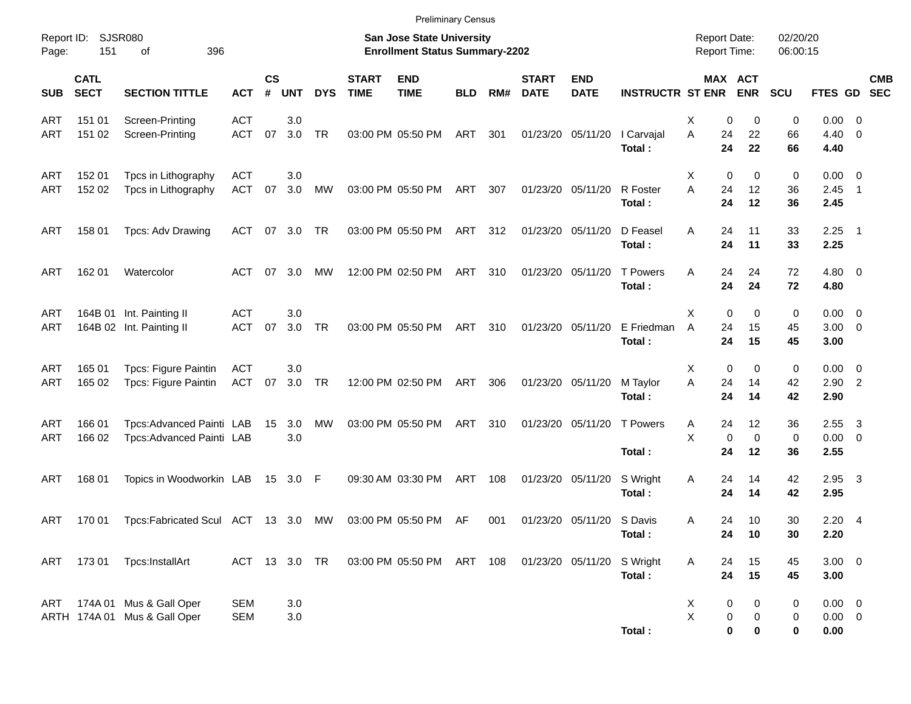|                   |                            |                                                             |                          |                   |               |            |                             | <b>Preliminary Census</b>                                          |            |     |                             |                           |                           |                                     |                         |                         |                      |                                       |                          |            |
|-------------------|----------------------------|-------------------------------------------------------------|--------------------------|-------------------|---------------|------------|-----------------------------|--------------------------------------------------------------------|------------|-----|-----------------------------|---------------------------|---------------------------|-------------------------------------|-------------------------|-------------------------|----------------------|---------------------------------------|--------------------------|------------|
| Page:             | Report ID: SJSR080<br>151  | 396<br>οf                                                   |                          |                   |               |            |                             | San Jose State University<br><b>Enrollment Status Summary-2202</b> |            |     |                             |                           |                           | <b>Report Date:</b><br>Report Time: |                         |                         | 02/20/20<br>06:00:15 |                                       |                          |            |
| <b>SUB</b>        | <b>CATL</b><br><b>SECT</b> | <b>SECTION TITTLE</b>                                       | <b>ACT</b>               | <b>CS</b><br>$\#$ | <b>UNT</b>    | <b>DYS</b> | <b>START</b><br><b>TIME</b> | <b>END</b><br><b>TIME</b>                                          | <b>BLD</b> | RM# | <b>START</b><br><b>DATE</b> | <b>END</b><br><b>DATE</b> | <b>INSTRUCTR ST ENR</b>   |                                     |                         | MAX ACT<br><b>ENR</b>   | <b>SCU</b>           | FTES GD SEC                           |                          | <b>CMB</b> |
| <b>ART</b><br>ART | 151 01<br>151 02           | Screen-Printing<br>Screen-Printing                          | <b>ACT</b><br><b>ACT</b> | 07                | 3.0<br>3.0    | TR         |                             | 03:00 PM 05:50 PM                                                  | ART        | 301 |                             | 01/23/20 05/11/20         | I Carvajal<br>Total:      | х<br>A                              | 0<br>24<br>24           | 0<br>22<br>22           | 0<br>66<br>66        | $0.00 \t 0$<br>$4.40 \quad 0$<br>4.40 |                          |            |
| <b>ART</b><br>ART | 152 01<br>152 02           | Tpcs in Lithography<br>Tpcs in Lithography                  | <b>ACT</b><br><b>ACT</b> | 07                | 3.0<br>3.0    | <b>MW</b>  |                             | 03:00 PM 05:50 PM                                                  | ART        | 307 |                             | 01/23/20 05/11/20         | R Foster<br>Total:        | Х<br>A                              | $\mathbf 0$<br>24<br>24 | 0<br>12<br>12           | 0<br>36<br>36        | $0.00 \t 0$<br>2.45<br>2.45           | $\overline{\phantom{1}}$ |            |
| ART               | 158 01                     | Tpcs: Adv Drawing                                           | ACT                      |                   | 07 3.0 TR     |            |                             | 03:00 PM 05:50 PM                                                  | ART 312    |     | 01/23/20 05/11/20           |                           | D Feasel<br>Total:        | A                                   | 24<br>24                | 11<br>11                | 33<br>33             | $2.25$ 1<br>2.25                      |                          |            |
| ART               | 162 01                     | Watercolor                                                  | ACT                      |                   | 07 3.0        | <b>MW</b>  |                             | 12:00 PM 02:50 PM                                                  | ART        | 310 | 01/23/20 05/11/20           |                           | <b>T</b> Powers<br>Total: | Α                                   | 24<br>24                | 24<br>24                | 72<br>72             | $4.80\ 0$<br>4.80                     |                          |            |
| <b>ART</b><br>ART |                            | 164B 01 Int. Painting II<br>164B 02 Int. Painting II        | <b>ACT</b><br><b>ACT</b> | 07                | 3.0<br>3.0    | TR         |                             | 03:00 PM 05:50 PM                                                  | ART        | 310 | 01/23/20 05/11/20           |                           | E Friedman<br>Total:      | X<br>A                              | 0<br>24<br>24           | 0<br>15<br>15           | 0<br>45<br>45        | $0.00 \t 0$<br>$3.00 \ 0$<br>3.00     |                          |            |
| <b>ART</b><br>ART | 165 01<br>165 02           | Tpcs: Figure Paintin<br><b>Tpcs: Figure Paintin</b>         | <b>ACT</b><br>ACT        | 07                | 3.0<br>3.0 TR |            |                             | 12:00 PM 02:50 PM                                                  | ART        | 306 | 01/23/20 05/11/20           |                           | M Taylor<br>Total:        | X<br>A                              | 0<br>24<br>24           | 0<br>14<br>14           | 0<br>42<br>42        | $0.00 \t 0$<br>$2.90$ 2<br>2.90       |                          |            |
| <b>ART</b><br>ART | 166 01<br>166 02           | Tpcs: Advanced Painti LAB<br>Tpcs:Advanced Painti LAB       |                          | 15                | 3.0<br>3.0    | MW         |                             | 03:00 PM 05:50 PM                                                  | ART        | 310 |                             | 01/23/20 05/11/20         | <b>T</b> Powers<br>Total: | Α<br>Χ                              | 24<br>$\mathbf 0$<br>24 | 12<br>$\mathbf 0$<br>12 | 36<br>0<br>36        | 2.55<br>$0.00 \t 0$<br>2.55           | $\overline{\mathbf{3}}$  |            |
| ART               | 168 01                     | Topics in Woodworkin LAB                                    |                          |                   | 15 3.0 F      |            |                             | 09:30 AM 03:30 PM                                                  | ART        | 108 | 01/23/20 05/11/20           |                           | S Wright<br>Total:        | Α                                   | 24<br>24                | 14<br>14                | 42<br>42             | $2.95$ 3<br>2.95                      |                          |            |
| ART               | 170 01                     | Tpcs:Fabricated Scul ACT 13 3.0                             |                          |                   |               | MW         |                             | 03:00 PM 05:50 PM                                                  | AF         | 001 |                             | 01/23/20 05/11/20 S Davis | Total:                    | A                                   | 24<br>24                | 10<br>10                | 30<br>30             | $2.20 \quad 4$<br>2.20                |                          |            |
| ART               | 17301                      | Tpcs:InstallArt                                             | ACT 13 3.0 TR            |                   |               |            |                             | 03:00 PM 05:50 PM ART 108                                          |            |     | 01/23/20 05/11/20           |                           | S Wright<br>Total:        | A                                   | 24<br>24                | 15<br>15                | 45<br>45             | $3.00 \ 0$<br>3.00                    |                          |            |
|                   |                            | ART 174A 01 Mus & Gall Oper<br>ARTH 174A 01 Mus & Gall Oper | <b>SEM</b><br><b>SEM</b> |                   | 3.0<br>3.0    |            |                             |                                                                    |            |     |                             |                           | Total:                    | X<br>$\mathsf X$                    | 0<br>0<br>$\bf{0}$      | 0<br>0<br>0             | 0<br>0<br>0          | $0.00 \t 0$<br>$0.00 \t 0$<br>0.00    |                          |            |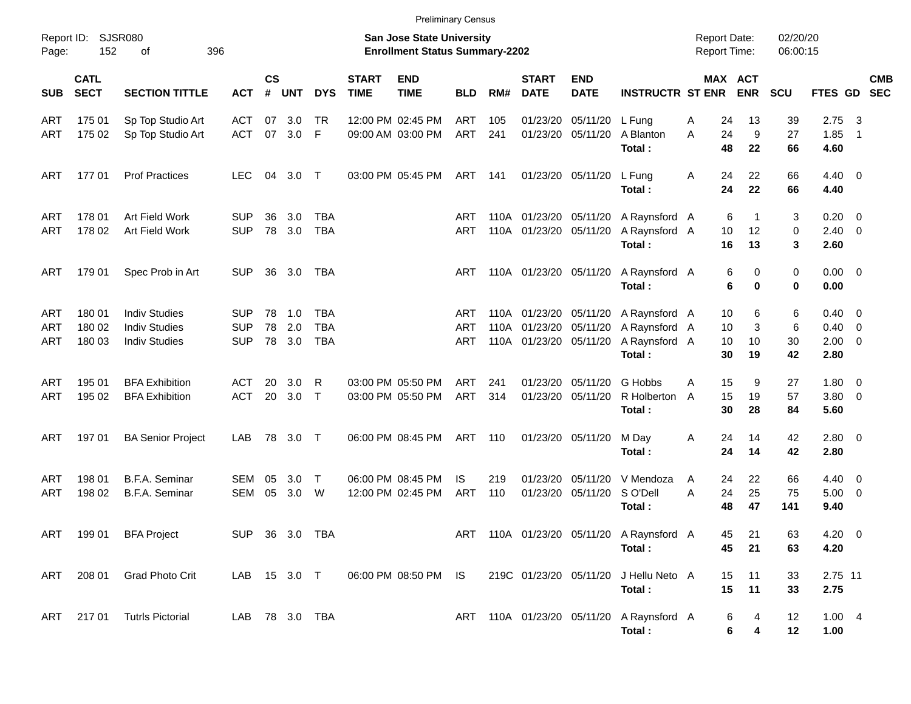| Report ID:<br>Page: | 152                        | SJSR080<br>396<br>оf                                                 |                                 |                    |                   |                                 |                             | <b>San Jose State University</b><br><b>Enrollment Status Summary-2202</b> |                          |            |                                                     |                           |                                                           | <b>Report Date:</b><br><b>Report Time:</b> |                                            | 02/20/20<br>06:00:15 |                                               |                                |                          |
|---------------------|----------------------------|----------------------------------------------------------------------|---------------------------------|--------------------|-------------------|---------------------------------|-----------------------------|---------------------------------------------------------------------------|--------------------------|------------|-----------------------------------------------------|---------------------------|-----------------------------------------------------------|--------------------------------------------|--------------------------------------------|----------------------|-----------------------------------------------|--------------------------------|--------------------------|
| <b>SUB</b>          | <b>CATL</b><br><b>SECT</b> | <b>SECTION TITTLE</b>                                                | <b>ACT</b>                      | $\mathsf{cs}$<br># | <b>UNT</b>        | <b>DYS</b>                      | <b>START</b><br><b>TIME</b> | <b>END</b><br><b>TIME</b>                                                 | <b>BLD</b>               | RM#        | <b>START</b><br><b>DATE</b>                         | <b>END</b><br><b>DATE</b> | <b>INSTRUCTR ST ENR</b>                                   |                                            | MAX ACT<br><b>ENR</b>                      | <b>SCU</b>           | FTES GD                                       |                                | <b>CMB</b><br><b>SEC</b> |
| ART<br>ART          | 175 01<br>175 02           | Sp Top Studio Art<br>Sp Top Studio Art                               | <b>ACT</b><br><b>ACT</b>        | 07<br>07           | 3.0<br>3.0        | TR<br>-F                        |                             | 12:00 PM 02:45 PM<br>09:00 AM 03:00 PM                                    | <b>ART</b><br><b>ART</b> | 105<br>241 | 01/23/20<br>01/23/20                                | 05/11/20<br>05/11/20      | L Fung<br>A Blanton<br>Total:                             | Α<br>A                                     | 24<br>13<br>9<br>24<br>48<br>22            | 39<br>27<br>66       | 2.75<br>1.85<br>4.60                          | $\overline{\mathbf{3}}$<br>- 1 |                          |
| ART                 | 177 01                     | <b>Prof Practices</b>                                                | LEC                             | 04                 | 3.0               | $\top$                          |                             | 03:00 PM 05:45 PM                                                         | ART                      | 141        |                                                     | 01/23/20 05/11/20         | L Fung<br>Total:                                          | A                                          | 24<br>22<br>24<br>22                       | 66<br>66             | $4.40 \quad 0$<br>4.40                        |                                |                          |
| ART<br>ART          | 178 01<br>178 02           | Art Field Work<br>Art Field Work                                     | <b>SUP</b><br><b>SUP</b>        | 36<br>78           | 3.0<br>3.0        | TBA<br><b>TBA</b>               |                             |                                                                           | ART<br>ART               |            | 110A 01/23/20 05/11/20<br>110A 01/23/20             | 05/11/20                  | A Raynsford A<br>A Raynsford A<br>Total:                  |                                            | 6<br>1<br>12<br>10<br>16<br>13             | 3<br>0<br>3          | $0.20 \ 0$<br>$2.40 \ 0$<br>2.60              |                                |                          |
| ART                 | 179 01                     | Spec Prob in Art                                                     | <b>SUP</b>                      | 36                 | 3.0               | TBA                             |                             |                                                                           | ART                      |            | 110A 01/23/20 05/11/20                              |                           | A Raynsford A<br>Total:                                   |                                            | 0<br>6<br>6<br>0                           | 0<br>0               | $0.00 \quad 0$<br>0.00                        |                                |                          |
| ART<br>ART<br>ART   | 180 01<br>180 02<br>180 03 | <b>Indiv Studies</b><br><b>Indiv Studies</b><br><b>Indiv Studies</b> | SUP<br><b>SUP</b><br><b>SUP</b> | 78<br>78<br>78     | 1.0<br>2.0<br>3.0 | TBA<br><b>TBA</b><br><b>TBA</b> |                             |                                                                           | ART<br><b>ART</b><br>ART | 110A       | 110A 01/23/20 05/11/20<br>01/23/20<br>110A 01/23/20 | 05/11/20<br>05/11/20      | A Raynsford A<br>A Raynsford A<br>A Raynsford A<br>Total: |                                            | 6<br>10<br>3<br>10<br>10<br>10<br>30<br>19 | 6<br>6<br>30<br>42   | $0.40 \quad 0$<br>0.40<br>$2.00 \t 0$<br>2.80 | $\overline{\mathbf{0}}$        |                          |
| ART<br>ART          | 195 01<br>195 02           | <b>BFA Exhibition</b><br><b>BFA Exhibition</b>                       | <b>ACT</b><br><b>ACT</b>        | 20<br>20           | 3.0<br>3.0        | - R<br>$\top$                   |                             | 03:00 PM 05:50 PM<br>03:00 PM 05:50 PM                                    | <b>ART</b><br><b>ART</b> | 241<br>314 | 01/23/20<br>01/23/20                                | 05/11/20<br>05/11/20      | G Hobbs<br>R Holberton<br>Total:                          | A<br>A                                     | 15<br>9<br>15<br>19<br>30<br>28            | 27<br>57<br>84       | $1.80 \t 0$<br>3.80 0<br>5.60                 |                                |                          |
| ART                 | 197 01                     | <b>BA Senior Project</b>                                             | LAB                             | 78                 | 3.0               | $\top$                          |                             | 06:00 PM 08:45 PM                                                         | ART                      | 110        |                                                     | 01/23/20 05/11/20         | M Day<br>Total:                                           | A                                          | 24<br>14<br>24<br>14                       | 42<br>42             | 2.80 0<br>2.80                                |                                |                          |
| ART<br>ART          | 198 01<br>198 02           | B.F.A. Seminar<br>B.F.A. Seminar                                     | SEM<br><b>SEM</b>               | 05<br>05           | 3.0<br>3.0        | $\top$<br>W                     |                             | 06:00 PM 08:45 PM<br>12:00 PM 02:45 PM                                    | IS.<br><b>ART</b>        | 219<br>110 | 01/23/20<br>01/23/20                                | 05/11/20<br>05/11/20      | V Mendoza<br>S O'Dell<br>Total:                           | A<br>A                                     | 24<br>22<br>24<br>25<br>48<br>47           | 66<br>75<br>141      | $4.40 \quad 0$<br>5.00<br>9.40                | $\overline{\phantom{0}}$       |                          |
| ART                 | 199 01                     | <b>BFA Project</b>                                                   | <b>SUP</b>                      | 36                 | 3.0               | TBA                             |                             |                                                                           | ART                      |            |                                                     |                           | 110A 01/23/20 05/11/20 A Raynsford A<br>Total:            |                                            | 45<br>21<br>45<br>21                       | 63<br>63             | $4.20 \ 0$<br>4.20                            |                                |                          |
| ART                 | 208 01                     | Grad Photo Crit                                                      | LAB 15 3.0 T                    |                    |                   |                                 |                             | 06:00 PM 08:50 PM IS                                                      |                          |            | 219C 01/23/20 05/11/20                              |                           | J Hellu Neto A<br>Total:                                  |                                            | 15<br>11<br>15<br>11                       | 33<br>33             | 2.75 11<br>2.75                               |                                |                          |
| ART                 | 21701                      | <b>Tutrls Pictorial</b>                                              |                                 |                    |                   | LAB 78 3.0 TBA                  |                             |                                                                           |                          |            |                                                     |                           | ART 110A 01/23/20 05/11/20 A Raynsford A<br>Total:        |                                            | 6<br>4<br>6<br>4                           | 12<br>12             | 1.004<br>1.00                                 |                                |                          |

Preliminary Census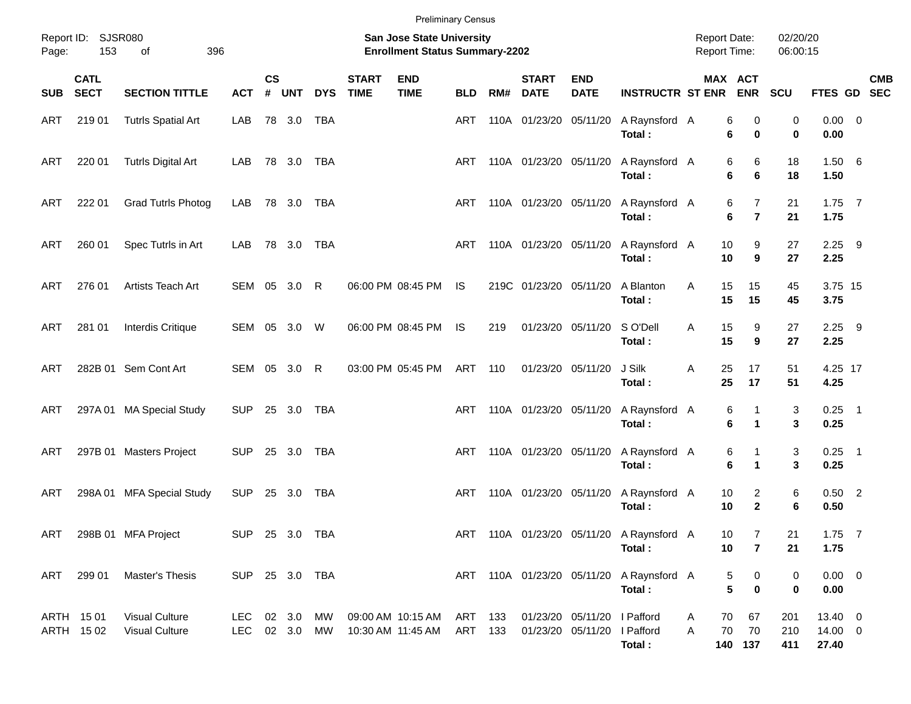| Page:      | Report ID: SJSR080<br>153  | 396<br>of                                      |                                |                    |            |            |                             | <b>Preliminary Census</b><br>San Jose State University<br><b>Enrollment Status Summary-2202</b> |                    |     |                             |                                                            |                                                    | <b>Report Date:</b><br><b>Report Time:</b> |                                              | 02/20/20<br>06:00:15 |                                  |            |
|------------|----------------------------|------------------------------------------------|--------------------------------|--------------------|------------|------------|-----------------------------|-------------------------------------------------------------------------------------------------|--------------------|-----|-----------------------------|------------------------------------------------------------|----------------------------------------------------|--------------------------------------------|----------------------------------------------|----------------------|----------------------------------|------------|
| <b>SUB</b> | <b>CATL</b><br><b>SECT</b> | <b>SECTION TITTLE</b>                          | <b>ACT</b>                     | $\mathsf{cs}$<br># | <b>UNT</b> | <b>DYS</b> | <b>START</b><br><b>TIME</b> | <b>END</b><br><b>TIME</b>                                                                       | <b>BLD</b>         | RM# | <b>START</b><br><b>DATE</b> | <b>END</b><br><b>DATE</b>                                  | <b>INSTRUCTR ST ENR ENR</b>                        |                                            | MAX ACT                                      | SCU                  | FTES GD SEC                      | <b>CMB</b> |
| ART        | 219 01                     | <b>Tutrls Spatial Art</b>                      | LAB                            |                    | 78 3.0     | TBA        |                             |                                                                                                 | ART                |     | 110A 01/23/20 05/11/20      |                                                            | A Raynsford A<br>Total:                            |                                            | 6<br>0<br>6<br>$\bf{0}$                      | 0<br>0               | $0.00 \t 0$<br>0.00              |            |
| ART        | 220 01                     | <b>Tutrls Digital Art</b>                      | LAB                            |                    | 78 3.0 TBA |            |                             |                                                                                                 | ART                |     | 110A 01/23/20 05/11/20      |                                                            | A Raynsford A<br>Total:                            |                                            | 6<br>6<br>6<br>6                             | 18<br>18             | 1.506<br>1.50                    |            |
| ART        | 222 01                     | <b>Grad Tutrls Photog</b>                      | LAB                            |                    | 78 3.0 TBA |            |                             |                                                                                                 | ART                |     | 110A 01/23/20 05/11/20      |                                                            | A Raynsford A<br>Total:                            |                                            | $\overline{7}$<br>6<br>6<br>$\overline{7}$   | 21<br>21             | $1.75$ 7<br>1.75                 |            |
| ART        | 260 01                     | Spec Tutrls in Art                             | LAB                            |                    | 78 3.0 TBA |            |                             |                                                                                                 | ART                |     | 110A 01/23/20 05/11/20      |                                                            | A Raynsford A<br>Total:                            |                                            | 9<br>10<br>10<br>9                           | 27<br>27             | $2.25$ 9<br>2.25                 |            |
| ART        | 276 01                     | Artists Teach Art                              | SEM 05 3.0 R                   |                    |            |            |                             | 06:00 PM 08:45 PM                                                                               | <b>IS</b>          |     | 219C 01/23/20 05/11/20      |                                                            | A Blanton<br>Total:                                | A                                          | 15<br>15<br>15<br>15                         | 45<br>45             | 3.75 15<br>3.75                  |            |
| ART        | 281 01                     | Interdis Critique                              | SEM 05 3.0 W                   |                    |            |            |                             | 06:00 PM 08:45 PM                                                                               | IS.                | 219 |                             | 01/23/20 05/11/20                                          | S O'Dell<br>Total:                                 | Α                                          | 15<br>9<br>15<br>9                           | 27<br>27             | $2.25$ 9<br>2.25                 |            |
| ART        |                            | 282B 01 Sem Cont Art                           | SEM 05 3.0 R                   |                    |            |            |                             | 03:00 PM 05:45 PM                                                                               | ART                | 110 | 01/23/20 05/11/20           |                                                            | J Silk<br>Total:                                   | Α                                          | 25<br>17<br>25<br>17                         | 51<br>51             | 4.25 17<br>4.25                  |            |
| ART        |                            | 297A 01 MA Special Study                       | SUP 25 3.0                     |                    |            | TBA        |                             |                                                                                                 | ART                |     | 110A 01/23/20 05/11/20      |                                                            | A Raynsford A<br>Total:                            |                                            | 6<br>1<br>6<br>$\blacktriangleleft$          | 3<br>3               | $0.25$ 1<br>0.25                 |            |
| ART        |                            | 297B 01 Masters Project                        | SUP 25 3.0                     |                    |            | TBA        |                             |                                                                                                 | ART                |     | 110A 01/23/20 05/11/20      |                                                            | A Raynsford A<br>Total:                            |                                            | 6<br>1<br>6<br>$\mathbf 1$                   | 3<br>3               | $0.25$ 1<br>0.25                 |            |
| ART        |                            | 298A 01 MFA Special Study                      | <b>SUP</b>                     |                    | 25 3.0     | TBA        |                             |                                                                                                 | ART                |     | 110A 01/23/20 05/11/20      |                                                            | A Raynsford A<br>Total:                            |                                            | $\overline{2}$<br>10<br>$\overline{2}$<br>10 | 6<br>6               | $0.50$ 2<br>0.50                 |            |
| ART        |                            | 298B 01 MFA Project                            | SUP 25 3.0 TBA                 |                    |            |            |                             |                                                                                                 |                    |     |                             |                                                            | ART 110A 01/23/20 05/11/20 A Raynsford A<br>Total: |                                            | 10<br>7<br>10<br>$\overline{7}$              | 21<br>21             | $1.75$ 7<br>1.75                 |            |
| ART        | 299 01                     | <b>Master's Thesis</b>                         | SUP 25 3.0 TBA                 |                    |            |            |                             |                                                                                                 |                    |     |                             |                                                            | ART 110A 01/23/20 05/11/20 A Raynsford A<br>Total: |                                            | 0<br>5<br>5<br>$\bf{0}$                      | 0<br>0               | $0.00 \t 0$<br>0.00              |            |
|            | ARTH 1501<br>ARTH 1502     | <b>Visual Culture</b><br><b>Visual Culture</b> | LEC 02 3.0 MW<br>LEC 02 3.0 MW |                    |            |            |                             | 09:00 AM 10:15 AM<br>10:30 AM 11:45 AM                                                          | ART 133<br>ART 133 |     |                             | 01/23/20 05/11/20 I Pafford<br>01/23/20 05/11/20 I Pafford | Total:                                             | Α<br>A                                     | 67<br>70<br>70<br>70<br>140 137              | 201<br>210<br>411    | 13.40 0<br>$14.00 \t 0$<br>27.40 |            |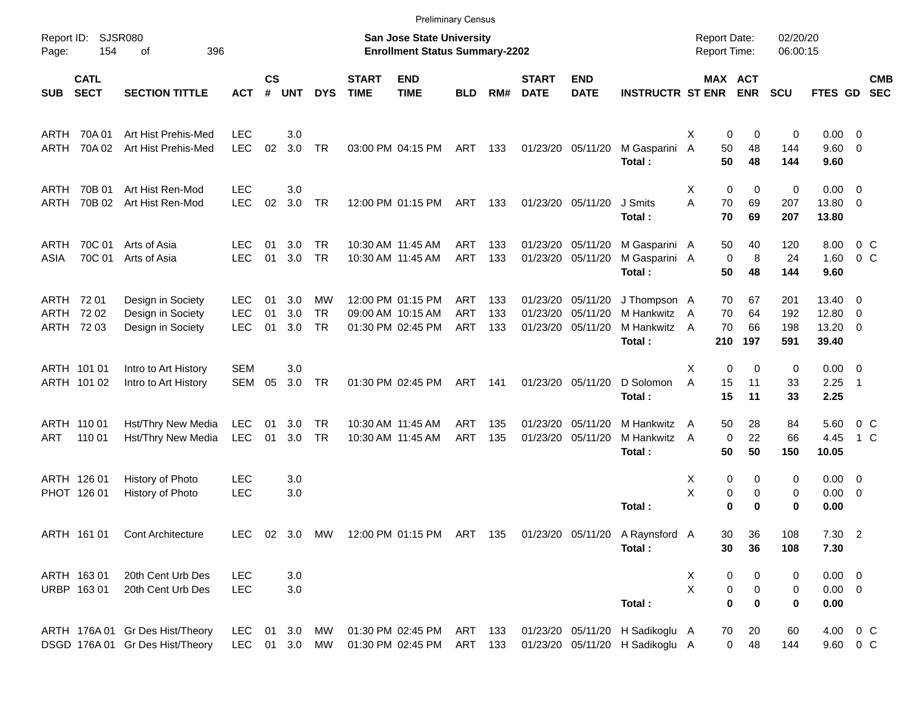|                    |                                                  |                                                                    |                                        |                    |                   |                              |                             |                                                                           | <b>Preliminary Census</b>       |                   |                             |                                                             |                                                                                   |                                     |                         |                       |                          |                                                |                           |                          |
|--------------------|--------------------------------------------------|--------------------------------------------------------------------|----------------------------------------|--------------------|-------------------|------------------------------|-----------------------------|---------------------------------------------------------------------------|---------------------------------|-------------------|-----------------------------|-------------------------------------------------------------|-----------------------------------------------------------------------------------|-------------------------------------|-------------------------|-----------------------|--------------------------|------------------------------------------------|---------------------------|--------------------------|
| Page:              | <b>SJSR080</b><br>Report ID:<br>396<br>154<br>оf |                                                                    |                                        |                    |                   |                              |                             | <b>San Jose State University</b><br><b>Enrollment Status Summary-2202</b> |                                 |                   |                             |                                                             |                                                                                   | <b>Report Date:</b><br>Report Time: |                         |                       | 02/20/20<br>06:00:15     |                                                |                           |                          |
| <b>SUB</b>         | <b>CATL</b><br><b>SECT</b>                       | <b>SECTION TITTLE</b>                                              | <b>ACT</b>                             | $\mathsf{cs}$<br># | <b>UNT</b>        | <b>DYS</b>                   | <b>START</b><br><b>TIME</b> | <b>END</b><br><b>TIME</b>                                                 | <b>BLD</b>                      | RM#               | <b>START</b><br><b>DATE</b> | <b>END</b><br><b>DATE</b>                                   | <b>INSTRUCTR ST ENR</b>                                                           |                                     |                         | MAX ACT<br><b>ENR</b> | <b>SCU</b>               | <b>FTES GD</b>                                 |                           | <b>CMB</b><br><b>SEC</b> |
| ARTH<br>ARTH       | 70A 01<br>70A 02                                 | Art Hist Prehis-Med<br>Art Hist Prehis-Med                         | <b>LEC</b><br><b>LEC</b>               | 02                 | 3.0<br>3.0        | <b>TR</b>                    |                             | 03:00 PM 04:15 PM                                                         | ART                             | 133               |                             | 01/23/20 05/11/20                                           | M Gasparini<br>Total:                                                             | X<br>$\overline{A}$                 | 0<br>50<br>50           | 0<br>48<br>48         | 0<br>144<br>144          | $0.00 \t 0$<br>9.60 0<br>9.60                  |                           |                          |
| ARTH<br>ARTH       | 70B 01<br>70B 02                                 | Art Hist Ren-Mod<br>Art Hist Ren-Mod                               | <b>LEC</b><br><b>LEC</b>               | 02                 | 3.0<br>3.0        | <b>TR</b>                    |                             | 12:00 PM 01:15 PM                                                         | ART                             | - 133             |                             | 01/23/20 05/11/20                                           | J Smits<br>Total:                                                                 | X<br>A                              | $\mathbf 0$<br>70<br>70 | 0<br>69<br>69         | 0<br>207<br>207          | $0.00 \t 0$<br>13.80 0<br>13.80                |                           |                          |
| ARTH<br>ASIA       | 70C 01<br>70C 01                                 | Arts of Asia<br>Arts of Asia                                       | LEC.<br><b>LEC</b>                     | 01<br>01           | 3.0<br>3.0        | <b>TR</b><br><b>TR</b>       |                             | 10:30 AM 11:45 AM<br>10:30 AM 11:45 AM                                    | ART<br>ART                      | 133<br>133        |                             | 01/23/20 05/11/20<br>01/23/20 05/11/20                      | M Gasparini A<br>M Gasparini A<br>Total:                                          |                                     | 50<br>0<br>50           | 40<br>8<br>48         | 120<br>24<br>144         | 8.00<br>1.60<br>9.60                           | $0\,$ C<br>0 <sup>o</sup> |                          |
| ARTH 72 01<br>ARTH | 7202<br>ARTH 72 03                               | Design in Society<br>Design in Society<br>Design in Society        | <b>LEC</b><br><b>LEC</b><br><b>LEC</b> | 01<br>01<br>01     | 3.0<br>3.0<br>3.0 | MW<br><b>TR</b><br><b>TR</b> |                             | 12:00 PM 01:15 PM<br>09:00 AM 10:15 AM<br>01:30 PM 02:45 PM               | ART<br><b>ART</b><br><b>ART</b> | 133<br>133<br>133 |                             | 01/23/20 05/11/20<br>01/23/20 05/11/20<br>01/23/20 05/11/20 | J Thompson A<br>M Hankwitz<br>M Hankwitz<br>Total:                                | A<br>A                              | 70<br>70<br>70<br>210   | 67<br>64<br>66<br>197 | 201<br>192<br>198<br>591 | $13.40 \quad 0$<br>12.80 0<br>13.20 0<br>39.40 |                           |                          |
|                    | ARTH 101 01<br>ARTH 101 02                       | Intro to Art History<br>Intro to Art History                       | <b>SEM</b><br>SEM                      | 05                 | 3.0<br>3.0        | <b>TR</b>                    |                             | 01:30 PM 02:45 PM                                                         | ART                             | 141               |                             | 01/23/20 05/11/20                                           | D Solomon<br>Total:                                                               | X<br>A                              | $\mathbf 0$<br>15<br>15 | $\Omega$<br>11<br>11  | 0<br>33<br>33            | $0.00 \t 0$<br>2.25<br>2.25                    | $\overline{\phantom{1}}$  |                          |
| ART                | ARTH 110 01<br>110 01                            | Hst/Thry New Media<br>Hst/Thry New Media                           | <b>LEC</b><br><b>LEC</b>               | 01<br>01           | 3.0<br>3.0        | TR<br><b>TR</b>              |                             | 10:30 AM 11:45 AM<br>10:30 AM 11:45 AM                                    | ART<br><b>ART</b>               | 135<br>135        |                             | 01/23/20 05/11/20<br>01/23/20 05/11/20                      | M Hankwitz<br>M Hankwitz<br>Total:                                                | A<br>A                              | 50<br>0<br>50           | 28<br>22<br>50        | 84<br>66<br>150          | 5.60<br>4.45<br>10.05                          | $0\,$ C<br>1 C            |                          |
|                    | ARTH 126 01<br>PHOT 126 01                       | History of Photo<br>History of Photo                               | <b>LEC</b><br>LEC                      |                    | 3.0<br>3.0        |                              |                             |                                                                           |                                 |                   |                             |                                                             | Total:                                                                            | X<br>Χ                              | 0<br>0<br>0             | 0<br>0<br>$\bf{0}$    | 0<br>0<br>0              | $0.00 \ 0$<br>$0.00 \ 0$<br>0.00               |                           |                          |
|                    | ARTH 161 01                                      | <b>Cont Architecture</b>                                           |                                        |                    |                   |                              |                             |                                                                           |                                 |                   |                             |                                                             | LEC 02 3.0 MW 12:00 PM 01:15 PM ART 135 01/23/20 05/11/20 A Raynsford A<br>Total: |                                     | 30<br>30                | 36<br>36              | 108<br>108               | 7.30 2<br>7.30                                 |                           |                          |
|                    | ARTH 163 01<br>URBP 163 01                       | 20th Cent Urb Des<br>20th Cent Urb Des                             | <b>LEC</b><br><b>LEC</b>               |                    | 3.0<br>3.0        |                              |                             |                                                                           |                                 |                   |                             |                                                             | Total:                                                                            | X<br>X                              | 0<br>0<br>$\bf{0}$      | 0<br>0<br>0           | 0<br>0<br>0              | $0.00 \t 0$<br>$0.00 \t 0$<br>0.00             |                           |                          |
|                    |                                                  | ARTH 176A 01 Gr Des Hist/Theory<br>DSGD 176A 01 Gr Des Hist/Theory | LEC<br>LEC 01 3.0                      | 01                 | 3.0               | МW<br>MW                     |                             | 01:30 PM 02:45 PM<br>01:30 PM 02:45 PM                                    | ART 133<br>ART 133              |                   |                             |                                                             | 01/23/20 05/11/20 H Sadikoglu A<br>01/23/20 05/11/20 H Sadikoglu A                |                                     | 70<br>$\overline{0}$    | 20<br>48              | 60<br>144                | 4.00 0 C<br>9.60 0 C                           |                           |                          |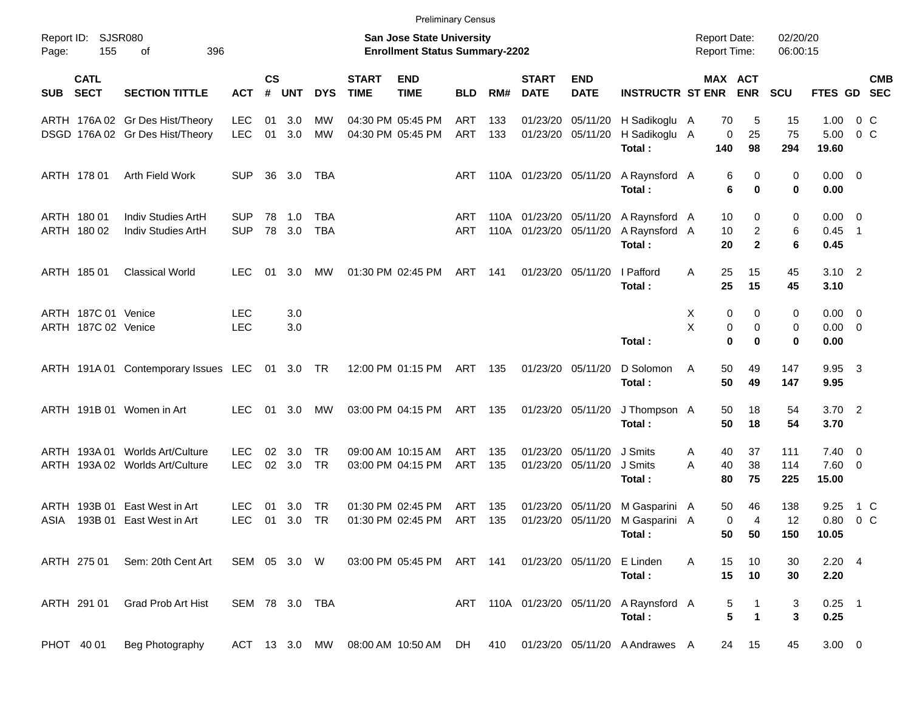|                                          |                                                |            |                |            |                |                             | <b>Preliminary Census</b>                                                 |            |     |                             |                            |                                                                       |                                            |                                |                      |                     |                          |            |
|------------------------------------------|------------------------------------------------|------------|----------------|------------|----------------|-----------------------------|---------------------------------------------------------------------------|------------|-----|-----------------------------|----------------------------|-----------------------------------------------------------------------|--------------------------------------------|--------------------------------|----------------------|---------------------|--------------------------|------------|
| Report ID: SJSR080<br>155<br>Page:       | 396<br>οf                                      |            |                |            |                |                             | <b>San Jose State University</b><br><b>Enrollment Status Summary-2202</b> |            |     |                             |                            |                                                                       | <b>Report Date:</b><br><b>Report Time:</b> |                                | 02/20/20<br>06:00:15 |                     |                          |            |
| <b>CATL</b><br><b>SECT</b><br><b>SUB</b> | <b>SECTION TITTLE</b>                          | <b>ACT</b> | <b>CS</b><br># | <b>UNT</b> | <b>DYS</b>     | <b>START</b><br><b>TIME</b> | <b>END</b><br><b>TIME</b>                                                 | <b>BLD</b> | RM# | <b>START</b><br><b>DATE</b> | <b>END</b><br><b>DATE</b>  | <b>INSTRUCTR ST ENR</b>                                               |                                            | MAX ACT<br><b>ENR</b>          | <b>SCU</b>           | FTES GD SEC         |                          | <b>CMB</b> |
|                                          | ARTH 176A 02 Gr Des Hist/Theory                | <b>LEC</b> | 01             | 3.0        | МW             |                             | 04:30 PM 05:45 PM                                                         | ART        | 133 |                             | 01/23/20 05/11/20          | H Sadikoglu A                                                         | 70                                         | 5                              | 15                   | 1.00                | 0 C                      |            |
|                                          | DSGD 176A 02 Gr Des Hist/Theory                | <b>LEC</b> | 01             | 3.0        | MW             |                             | 04:30 PM 05:45 PM                                                         | ART        | 133 |                             | 01/23/20 05/11/20          | H Sadikoglu A<br>Total:                                               | 0<br>140                                   | 25<br>98                       | 75<br>294            | 5.00<br>19.60       | $0\,$ C                  |            |
| ARTH 178 01                              | Arth Field Work                                | <b>SUP</b> |                | 36 3.0     | TBA            |                             |                                                                           | ART        |     | 110A 01/23/20 05/11/20      |                            | A Raynsford A<br>Total:                                               |                                            | 6<br>0<br>6<br>$\bf{0}$        | 0<br>0               | $0.00 \t 0$<br>0.00 |                          |            |
| ARTH 180 01                              | Indiv Studies ArtH                             | <b>SUP</b> | 78             | $-1.0$     | <b>TBA</b>     |                             |                                                                           | ART        |     | 110A 01/23/20 05/11/20      |                            | A Raynsford A                                                         | 10                                         | 0                              | 0                    | $0.00 \quad 0$      |                          |            |
| ARTH 180 02                              | Indiv Studies ArtH                             | <b>SUP</b> |                | 78 3.0     | <b>TBA</b>     |                             |                                                                           | ART        |     | 110A 01/23/20 05/11/20      |                            | A Raynsford A<br>Total:                                               | 10<br>20                                   | $\overline{c}$<br>$\mathbf{2}$ | 6<br>6               | 0.45<br>0.45        | $\overline{\phantom{0}}$ |            |
| ARTH 185 01                              | <b>Classical World</b>                         | <b>LEC</b> | 01             | 3.0        | МW             |                             | 01:30 PM 02:45 PM                                                         | ART        | 141 |                             | 01/23/20 05/11/20          | I Pafford<br>Total:                                                   | 25<br>A<br>25                              | 15<br>15                       | 45<br>45             | $3.10$ 2<br>3.10    |                          |            |
| ARTH 187C 01 Venice                      |                                                | <b>LEC</b> |                | 3.0        |                |                             |                                                                           |            |     |                             |                            |                                                                       | Х                                          | 0<br>0                         | 0                    | $0.00 \t 0$         |                          |            |
| ARTH 187C 02 Venice                      |                                                | <b>LEC</b> |                | 3.0        |                |                             |                                                                           |            |     |                             |                            |                                                                       | X                                          | 0<br>0<br>$\bf{0}$<br>$\bf{0}$ | 0<br>0               | $0.00 \t 0$         |                          |            |
|                                          |                                                |            |                |            |                |                             |                                                                           |            |     |                             |                            | Total:                                                                |                                            |                                |                      | 0.00                |                          |            |
|                                          | ARTH 191A 01 Contemporary Issues LEC 01 3.0 TR |            |                |            |                |                             | 12:00 PM 01:15 PM                                                         | ART 135    |     |                             | 01/23/20 05/11/20          | D Solomon<br>Total:                                                   | 50<br>A<br>50                              | 49<br>49                       | 147<br>147           | 9.95 3<br>9.95      |                          |            |
| ARTH 191B 01 Women in Art                |                                                | LEC        |                | 01 3.0     | МW             |                             | 03:00 PM 04:15 PM                                                         | ART 135    |     |                             | 01/23/20 05/11/20          | J Thompson A<br>Total:                                                | 50<br>50                                   | 18<br>18                       | 54<br>54             | $3.70$ 2<br>3.70    |                          |            |
|                                          |                                                |            |                |            |                |                             |                                                                           |            |     |                             |                            |                                                                       |                                            |                                |                      |                     |                          |            |
|                                          | ARTH 193A 01 Worlds Art/Culture                | <b>LEC</b> | 02             | 3.0        | <b>TR</b>      |                             | 09:00 AM 10:15 AM                                                         | <b>ART</b> | 135 | 01/23/20                    | 05/11/20                   | J Smits                                                               | 40<br>A                                    | 37                             | 111                  | $7.40 \quad 0$      |                          |            |
|                                          | ARTH 193A 02 Worlds Art/Culture                | <b>LEC</b> |                | 02 3.0     | <b>TR</b>      |                             | 03:00 PM 04:15 PM                                                         | ART        | 135 |                             | 01/23/20 05/11/20          | J Smits<br>Total:                                                     | 40<br>Α<br>80                              | 38<br>75                       | 114<br>225           | 7.60 0<br>15.00     |                          |            |
| ARTH 193B 01                             | East West in Art                               | <b>LEC</b> | 01             | 3.0        | TR             |                             | 01:30 PM 02:45 PM                                                         | ART        | 135 | 01/23/20                    | 05/11/20                   | M Gasparini A                                                         | 50                                         | 46                             | 138                  | 9.25                | 1 C                      |            |
| ASIA                                     | 193B 01 East West in Art                       | <b>LEC</b> |                | 01 3.0     | TR             |                             | 01:30 PM 02:45 PM                                                         | <b>ART</b> | 135 |                             | 01/23/20 05/11/20          | M Gasparini A                                                         |                                            | 0<br>4                         | 12                   | 0.80                | $0\,$ C                  |            |
|                                          |                                                |            |                |            |                |                             |                                                                           |            |     |                             |                            | Total:                                                                |                                            | 50 50                          | 150                  | 10.05               |                          |            |
|                                          | ARTH 275 01 Sem: 20th Cent Art                 |            |                |            |                |                             | SEM 05 3.0 W 03:00 PM 05:45 PM ART 141                                    |            |     |                             | 01/23/20 05/11/20 E Linden | Total:                                                                | Α<br>15<br>15                              | 10<br>10                       | 30<br>30             | $2.20$ 4<br>2.20    |                          |            |
| ARTH 291 01                              | Grad Prob Art Hist                             |            |                |            | SEM 78 3.0 TBA |                             |                                                                           |            |     |                             |                            | ART 110A 01/23/20 05/11/20 A Raynsford A<br>Total:                    |                                            | 5<br>5<br>$\mathbf{1}$         | 3<br>3               | $0.25$ 1<br>0.25    |                          |            |
| PHOT 40 01                               | Beg Photography                                |            |                |            |                |                             |                                                                           |            |     |                             |                            | ACT 13 3.0 MW 08:00 AM 10:50 AM DH 410 01/23/20 05/11/20 A Andrawes A |                                            | 24 15                          | 45                   | $3.00 \ 0$          |                          |            |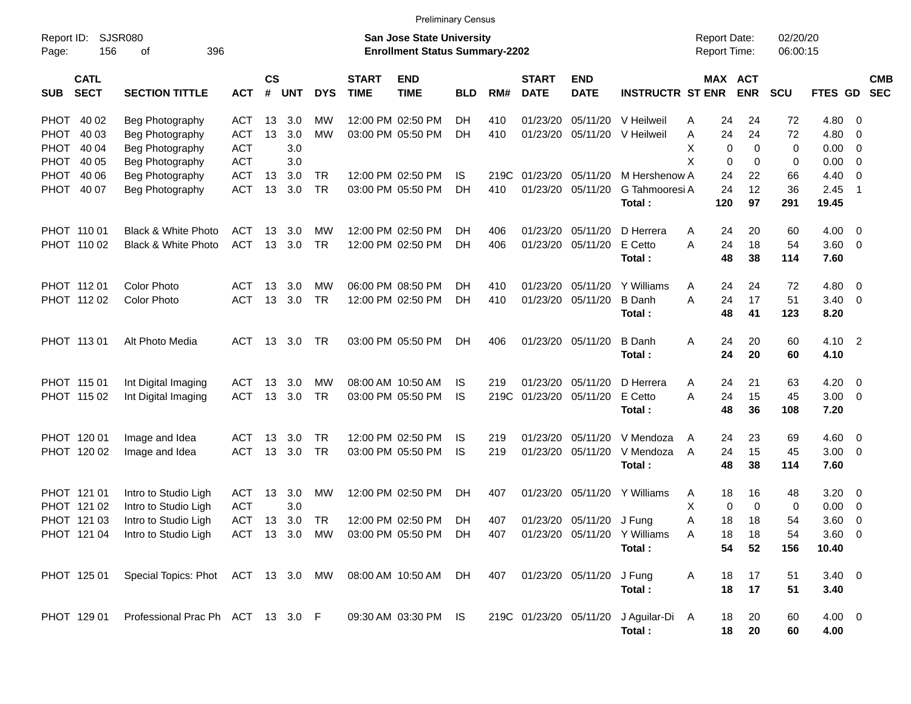| <b>Preliminary Census</b> |  |
|---------------------------|--|
|---------------------------|--|

| Report ID:<br>Page: | SJSR080<br>156<br>396<br>оf<br><b>CATL</b> |                                    |            |                    |            |            |                             | <b>San Jose State University</b><br><b>Enrollment Status Summary-2202</b> |            |      |                             |                           |                          | <b>Report Date:</b><br>Report Time: |            | 02/20/20<br>06:00:15 |                    |                          |                          |
|---------------------|--------------------------------------------|------------------------------------|------------|--------------------|------------|------------|-----------------------------|---------------------------------------------------------------------------|------------|------|-----------------------------|---------------------------|--------------------------|-------------------------------------|------------|----------------------|--------------------|--------------------------|--------------------------|
| <b>SUB</b>          | <b>SECT</b>                                | <b>SECTION TITTLE</b>              | <b>ACT</b> | $\mathsf{cs}$<br># | <b>UNT</b> | <b>DYS</b> | <b>START</b><br><b>TIME</b> | <b>END</b><br><b>TIME</b>                                                 | <b>BLD</b> | RM#  | <b>START</b><br><b>DATE</b> | <b>END</b><br><b>DATE</b> | <b>INSTRUCTR ST ENR</b>  | MAX ACT                             | <b>ENR</b> | <b>SCU</b>           | FTES GD            |                          | <b>CMB</b><br><b>SEC</b> |
| PHOT 40 02          |                                            | Beg Photography                    | <b>ACT</b> | 13                 | 3.0        | MW         |                             | 12:00 PM 02:50 PM                                                         | DH         | 410  | 01/23/20                    | 05/11/20                  | V Heilweil               | 24<br>Α                             | 24         | 72                   | 4.80               | - 0                      |                          |
| PHOT 40 03          |                                            | Beg Photography                    | <b>ACT</b> | 13                 | 3.0        | <b>MW</b>  |                             | 03:00 PM 05:50 PM                                                         | DH         | 410  | 01/23/20                    | 05/11/20                  | V Heilweil               | 24<br>Α                             | 24         | 72                   | 4.80               | - 0                      |                          |
| PHOT                | 40 04                                      | Beg Photography                    | <b>ACT</b> |                    | 3.0        |            |                             |                                                                           |            |      |                             |                           |                          | X<br>0                              | 0          | 0                    | 0.00               | $\overline{\mathbf{0}}$  |                          |
| PHOT 40 05          |                                            | Beg Photography                    | <b>ACT</b> |                    | 3.0        |            |                             |                                                                           |            |      |                             |                           |                          | X<br>0                              | 0          | 0                    | 0.00               | $\overline{\mathbf{0}}$  |                          |
| PHOT 40 06          |                                            | Beg Photography                    | <b>ACT</b> | 13                 | 3.0        | <b>TR</b>  |                             | 12:00 PM 02:50 PM                                                         | IS         | 219C | 01/23/20                    | 05/11/20                  | M Hershenow A            | 24                                  | 22         | 66                   | 4.40               | $\overline{0}$           |                          |
| PHOT 40 07          |                                            | Beg Photography                    | <b>ACT</b> | 13                 | 3.0        | <b>TR</b>  |                             | 03:00 PM 05:50 PM                                                         | DH         | 410  | 01/23/20                    | 05/11/20                  | G Tahmooresi A           | 24                                  | 12         | 36                   | 2.45               | $\overline{1}$           |                          |
|                     |                                            |                                    |            |                    |            |            |                             |                                                                           |            |      |                             |                           | Total:                   | 120                                 | 97         | 291                  | 19.45              |                          |                          |
| PHOT 110 01         |                                            | Black & White Photo                | <b>ACT</b> | 13                 | 3.0        | MW         |                             | 12:00 PM 02:50 PM                                                         | DН         | 406  | 01/23/20                    | 05/11/20                  | D Herrera                | 24<br>A                             | 20         | 60                   | $4.00 \ 0$         |                          |                          |
|                     | PHOT 110 02                                | Black & White Photo                | <b>ACT</b> | 13                 | 3.0        | <b>TR</b>  |                             | 12:00 PM 02:50 PM                                                         | DH         | 406  | 01/23/20                    | 05/11/20                  | E Cetto                  | A<br>24                             | 18         | 54                   | 3.60 0             |                          |                          |
|                     |                                            |                                    |            |                    |            |            |                             |                                                                           |            |      |                             |                           | Total:                   | 48                                  | 38         | 114                  | 7.60               |                          |                          |
| PHOT 11201          |                                            | <b>Color Photo</b>                 | ACT        | 13                 | 3.0        | MW         |                             | 06:00 PM 08:50 PM                                                         | DН         | 410  | 01/23/20                    | 05/11/20                  | Y Williams               | 24<br>A                             | 24         | 72                   | 4.80               | $\overline{\phantom{0}}$ |                          |
|                     | PHOT 112 02                                | <b>Color Photo</b>                 | <b>ACT</b> | 13                 | 3.0        | <b>TR</b>  |                             | 12:00 PM 02:50 PM                                                         | DH         | 410  | 01/23/20                    | 05/11/20                  | <b>B</b> Danh            | 24<br>A                             | 17         | 51                   | $3.40 \quad 0$     |                          |                          |
|                     |                                            |                                    |            |                    |            |            |                             |                                                                           |            |      |                             |                           | Total:                   | 48                                  | 41         | 123                  | 8.20               |                          |                          |
| PHOT 113 01         |                                            | Alt Photo Media                    | <b>ACT</b> | 13                 | 3.0        | TR         |                             | 03:00 PM 05:50 PM                                                         | DH         | 406  | 01/23/20 05/11/20           |                           | <b>B</b> Danh            | 24<br>Α                             | 20         | 60                   | $4.10 \quad 2$     |                          |                          |
|                     |                                            |                                    |            |                    |            |            |                             |                                                                           |            |      |                             |                           | Total:                   | 24                                  | 20         | 60                   | 4.10               |                          |                          |
| PHOT 115 01         |                                            | Int Digital Imaging                | <b>ACT</b> | 13                 | 3.0        | MW         |                             | 08:00 AM 10:50 AM                                                         | IS         | 219  | 01/23/20                    | 05/11/20                  | D Herrera                | 24<br>A                             | 21         | 63                   | 4.20               | $\overline{\mathbf{0}}$  |                          |
|                     | PHOT 115 02                                | Int Digital Imaging                | <b>ACT</b> | 13                 | 3.0        | <b>TR</b>  |                             | 03:00 PM 05:50 PM                                                         | <b>IS</b>  | 219C | 01/23/20                    | 05/11/20                  | E Cetto                  | A<br>24                             | 15         | 45                   | $3.00 \ 0$         |                          |                          |
|                     |                                            |                                    |            |                    |            |            |                             |                                                                           |            |      |                             |                           | Total:                   | 48                                  | 36         | 108                  | 7.20               |                          |                          |
| PHOT 120 01         |                                            | Image and Idea                     | <b>ACT</b> | 13                 | 3.0        | <b>TR</b>  |                             | 12:00 PM 02:50 PM                                                         | IS         | 219  | 01/23/20                    | 05/11/20                  | V Mendoza                | 24<br>A                             | 23         | 69                   | 4.60 0             |                          |                          |
|                     | PHOT 120 02                                | Image and Idea                     | <b>ACT</b> | 13                 | 3.0        | TR         |                             | 03:00 PM 05:50 PM                                                         | <b>IS</b>  | 219  | 01/23/20                    | 05/11/20                  | V Mendoza                | 24<br>A                             | 15         | 45                   | $3.00 \ 0$         |                          |                          |
|                     |                                            |                                    |            |                    |            |            |                             |                                                                           |            |      |                             |                           | Total:                   | 48                                  | 38         | 114                  | 7.60               |                          |                          |
| PHOT 121 01         |                                            | Intro to Studio Ligh               | <b>ACT</b> | 13                 | 3.0        | MW         |                             | 12:00 PM 02:50 PM                                                         | DH         | 407  | 01/23/20                    | 05/11/20                  | Y Williams               | 18<br>A                             | 16         | 48                   | 3.20               | $\overline{\phantom{0}}$ |                          |
|                     | PHOT 121 02                                | Intro to Studio Ligh               | <b>ACT</b> |                    | 3.0        |            |                             |                                                                           |            |      |                             |                           |                          | X<br>0                              | 0          | 0                    | 0.00               | $\overline{\mathbf{0}}$  |                          |
|                     | PHOT 121 03                                | Intro to Studio Ligh               | <b>ACT</b> | 13                 | 3.0        | <b>TR</b>  |                             | 12:00 PM 02:50 PM                                                         | DH         | 407  | 01/23/20                    | 05/11/20                  | J Fung                   | Α<br>18                             | 18         | 54                   | 3.60               | 0                        |                          |
|                     | PHOT 121 04                                | Intro to Studio Ligh               | <b>ACT</b> | 13                 | 3.0        | MW         |                             | 03:00 PM 05:50 PM                                                         | DH         | 407  |                             | 01/23/20 05/11/20         | Y Williams               | 18<br>Α                             | 18         | 54                   | 3.60               | 0                        |                          |
|                     |                                            |                                    |            |                    |            |            |                             |                                                                           |            |      |                             |                           | Total:                   | 54                                  | 52         | 156                  | 10.40              |                          |                          |
|                     | PHOT 125 01                                | Special Topics: Phot ACT 13 3.0 MW |            |                    |            |            |                             | 08:00 AM 10:50 AM DH                                                      |            | 407  |                             | 01/23/20 05/11/20         | J Fung                   | 18<br>A                             | 17         | 51                   | $3.40 \ 0$         |                          |                          |
|                     |                                            |                                    |            |                    |            |            |                             |                                                                           |            |      |                             |                           | Total:                   | 18                                  | 17         | 51                   | 3.40               |                          |                          |
|                     |                                            |                                    |            |                    |            |            |                             |                                                                           |            |      |                             |                           |                          |                                     |            |                      |                    |                          |                          |
|                     | PHOT 129 01                                | Professional Prac Ph ACT 13 3.0 F  |            |                    |            |            |                             | 09:30 AM 03:30 PM IS                                                      |            |      | 219C 01/23/20 05/11/20      |                           | J Aguilar-Di A<br>Total: | 18<br>18                            | 20<br>20   | 60<br>60             | $4.00 \ 0$<br>4.00 |                          |                          |
|                     |                                            |                                    |            |                    |            |            |                             |                                                                           |            |      |                             |                           |                          |                                     |            |                      |                    |                          |                          |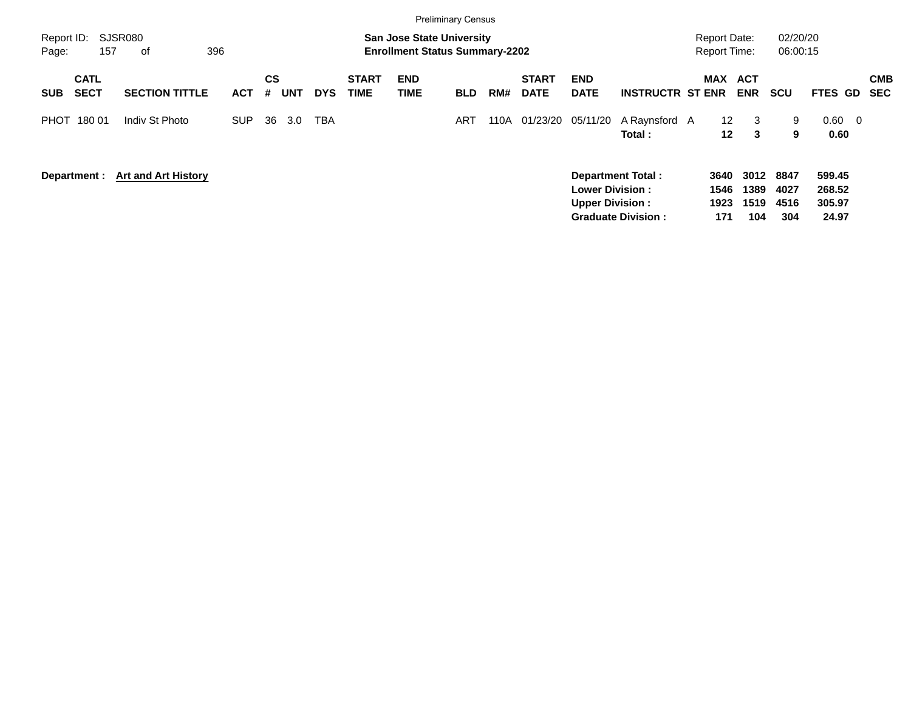|                                          |                            |            |         |            |            |                             | <b>Preliminary Census</b>                                                 |            |      |                             |                                                  |                                                       |                                            |                             |                             |                                     |                          |
|------------------------------------------|----------------------------|------------|---------|------------|------------|-----------------------------|---------------------------------------------------------------------------|------------|------|-----------------------------|--------------------------------------------------|-------------------------------------------------------|--------------------------------------------|-----------------------------|-----------------------------|-------------------------------------|--------------------------|
| Report ID:<br>157<br>Page:               | SJSR080<br>396<br>оf       |            |         |            |            |                             | <b>San Jose State University</b><br><b>Enrollment Status Summary-2202</b> |            |      |                             |                                                  |                                                       | <b>Report Date:</b><br><b>Report Time:</b> |                             | 02/20/20<br>06:00:15        |                                     |                          |
| <b>CATL</b><br><b>SECT</b><br><b>SUB</b> | <b>SECTION TITTLE</b>      | <b>ACT</b> | CS<br># | <b>UNT</b> | <b>DYS</b> | <b>START</b><br><b>TIME</b> | <b>END</b><br><b>TIME</b>                                                 | <b>BLD</b> | RM#  | <b>START</b><br><b>DATE</b> | <b>END</b><br><b>DATE</b>                        | <b>INSTRUCTR ST ENR</b>                               | MAX ACT                                    | <b>ENR</b>                  | <b>SCU</b>                  | FTES GD                             | <b>CMB</b><br><b>SEC</b> |
| PHOT<br>180 01                           | Indiv St Photo             | <b>SUP</b> | 36      | 3.0        | <b>TBA</b> |                             |                                                                           | ART        | 110A | 01/23/20                    | 05/11/20                                         | A Raynsford A<br>Total:                               | $12 \overline{ }$<br>12                    | 3<br>3                      | 9<br>9                      | $0.60 \quad 0$<br>0.60              |                          |
| Department :                             | <b>Art and Art History</b> |            |         |            |            |                             |                                                                           |            |      |                             | <b>Lower Division:</b><br><b>Upper Division:</b> | <b>Department Total:</b><br><b>Graduate Division:</b> | 3640<br>1546<br>1923<br>171                | 3012<br>1389<br>1519<br>104 | 8847<br>4027<br>4516<br>304 | 599.45<br>268.52<br>305.97<br>24.97 |                          |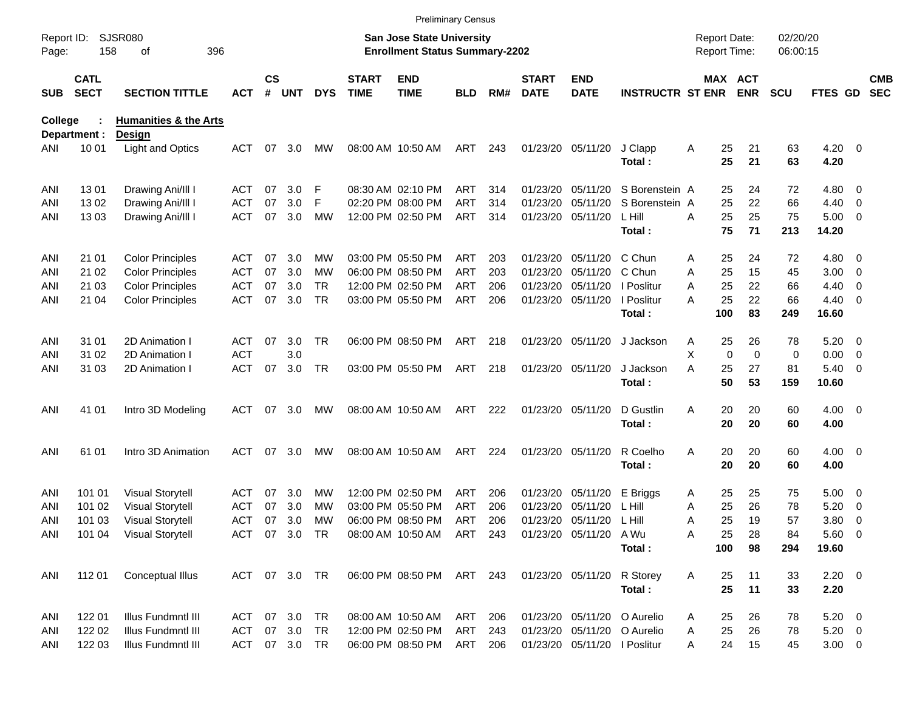|                     |                            |                                  |            |                    |               |            |                             |                                                                           | <b>Preliminary Census</b> |     |                             |                              |                             |                                     |             |                       |                      |             |                          |                          |
|---------------------|----------------------------|----------------------------------|------------|--------------------|---------------|------------|-----------------------------|---------------------------------------------------------------------------|---------------------------|-----|-----------------------------|------------------------------|-----------------------------|-------------------------------------|-------------|-----------------------|----------------------|-------------|--------------------------|--------------------------|
| Report ID:<br>Page: | 158                        | <b>SJSR080</b><br>396<br>оf      |            |                    |               |            |                             | <b>San Jose State University</b><br><b>Enrollment Status Summary-2202</b> |                           |     |                             |                              |                             | <b>Report Date:</b><br>Report Time: |             |                       | 02/20/20<br>06:00:15 |             |                          |                          |
| <b>SUB</b>          | <b>CATL</b><br><b>SECT</b> | <b>SECTION TITTLE</b>            | <b>ACT</b> | $\mathsf{cs}$<br># | <b>UNT</b>    | <b>DYS</b> | <b>START</b><br><b>TIME</b> | <b>END</b><br><b>TIME</b>                                                 | <b>BLD</b>                | RM# | <b>START</b><br><b>DATE</b> | <b>END</b><br><b>DATE</b>    | <b>INSTRUCTR ST ENR</b>     |                                     |             | MAX ACT<br><b>ENR</b> | <b>SCU</b>           | FTES GD     |                          | <b>CMB</b><br><b>SEC</b> |
| <b>College</b>      |                            | <b>Humanities &amp; the Arts</b> |            |                    |               |            |                             |                                                                           |                           |     |                             |                              |                             |                                     |             |                       |                      |             |                          |                          |
| ANI                 | Department :<br>10 01      | Design<br>Light and Optics       | ACT        | 07                 | 3.0           | <b>MW</b>  |                             | 08:00 AM 10:50 AM                                                         | ART                       | 243 |                             | 01/23/20 05/11/20            | J Clapp                     |                                     | 25          | 21                    | 63                   | $4.20 \ 0$  |                          |                          |
|                     |                            |                                  |            |                    |               |            |                             |                                                                           |                           |     |                             |                              | Total:                      | A                                   | 25          | 21                    | 63                   | 4.20        |                          |                          |
| ANI                 | 1301                       | Drawing Ani/III I                | ACT        | 07                 | 3.0           | F          |                             | 08:30 AM 02:10 PM                                                         | ART                       | 314 | 01/23/20                    | 05/11/20                     | S Borenstein A              |                                     | 25          | 24                    | 72                   | 4.80        | $\overline{\mathbf{0}}$  |                          |
| ANI                 | 1302                       | Drawing Ani/III I                | ACT        | 07                 | 3.0           | F          |                             | 02:20 PM 08:00 PM                                                         | <b>ART</b>                | 314 | 01/23/20                    | 05/11/20                     | S Borenstein A              |                                     | 25          | 22                    | 66                   | 4.40        | $\overline{\mathbf{0}}$  |                          |
| ANI                 | 1303                       | Drawing Ani/III I                | <b>ACT</b> | 07                 | 3.0           | <b>MW</b>  |                             | 12:00 PM 02:50 PM                                                         | <b>ART</b>                | 314 |                             | 01/23/20 05/11/20            | L Hill                      | Α                                   | 25          | 25                    | 75                   | 5.00        | $\overline{\phantom{0}}$ |                          |
|                     |                            |                                  |            |                    |               |            |                             |                                                                           |                           |     |                             |                              | Total:                      |                                     | 75          | 71                    | 213                  | 14.20       |                          |                          |
| ANI                 | 21 01                      | <b>Color Principles</b>          | ACT        | 07                 | 3.0           | MW         |                             | 03:00 PM 05:50 PM                                                         | ART                       | 203 |                             | 01/23/20 05/11/20            | C Chun                      | Α                                   | 25          | 24                    | 72                   | 4.80        | - 0                      |                          |
| ANI                 | 21 02                      | <b>Color Principles</b>          | <b>ACT</b> | 07                 | 3.0           | МW         |                             | 06:00 PM 08:50 PM                                                         | <b>ART</b>                | 203 | 01/23/20                    | 05/11/20                     | C Chun                      | Α                                   | 25          | 15                    | 45                   | 3.00        | $\overline{\mathbf{0}}$  |                          |
| ANI                 | 21 03                      | <b>Color Principles</b>          | <b>ACT</b> | 07                 | 3.0           | TR         |                             | 12:00 PM 02:50 PM                                                         | <b>ART</b>                | 206 |                             | 01/23/20 05/11/20            | I Poslitur                  | Α                                   | 25          | 22                    | 66                   | 4.40        | 0                        |                          |
| ANI                 | 21 04                      | <b>Color Principles</b>          | <b>ACT</b> | 07                 | 3.0           | <b>TR</b>  |                             | 03:00 PM 05:50 PM                                                         | <b>ART</b>                | 206 |                             | 01/23/20 05/11/20            | I Poslitur                  | А                                   | 25          | 22                    | 66                   | 4.40        | $\overline{\phantom{0}}$ |                          |
|                     |                            |                                  |            |                    |               |            |                             |                                                                           |                           |     |                             |                              | Total:                      |                                     | 100         | 83                    | 249                  | 16.60       |                          |                          |
| ANI                 | 31 01                      | 2D Animation I                   | ACT        | 07                 | 3.0           | TR         |                             | 06:00 PM 08:50 PM                                                         | ART                       | 218 |                             | 01/23/20 05/11/20            | J Jackson                   | A                                   | 25          | 26                    | 78                   | 5.20        | $\overline{\phantom{0}}$ |                          |
| ANI                 | 31 02                      | 2D Animation I                   | <b>ACT</b> |                    | 3.0           |            |                             |                                                                           |                           |     |                             |                              |                             | х                                   | $\mathbf 0$ | $\mathbf 0$           | 0                    | 0.00        | $\overline{\mathbf{0}}$  |                          |
| ANI                 | 31 03                      | 2D Animation I                   | <b>ACT</b> | 07                 | 3.0           | TR         |                             | 03:00 PM 05:50 PM                                                         | ART                       | 218 |                             | 01/23/20 05/11/20            | J Jackson                   | Α                                   | 25          | 27                    | 81                   | 5.40        | $\overline{\phantom{0}}$ |                          |
|                     |                            |                                  |            |                    |               |            |                             |                                                                           |                           |     |                             |                              | Total:                      |                                     | 50          | 53                    | 159                  | 10.60       |                          |                          |
| ANI                 | 41 01                      | Intro 3D Modeling                | <b>ACT</b> | 07                 | 3.0           | MW         |                             | 08:00 AM 10:50 AM                                                         | ART                       | 222 |                             | 01/23/20 05/11/20            | D Gustlin                   | Α                                   | 20          | 20                    | 60                   | $4.00 \ 0$  |                          |                          |
|                     |                            |                                  |            |                    |               |            |                             |                                                                           |                           |     |                             |                              | Total:                      |                                     | 20          | 20                    | 60                   | 4.00        |                          |                          |
| ANI                 | 61 01                      | Intro 3D Animation               | ACT        | 07                 | 3.0           | MW         |                             | 08:00 AM 10:50 AM                                                         | ART                       | 224 |                             | 01/23/20 05/11/20            | R Coelho                    | Α                                   | 20          | 20                    | 60                   | $4.00 \ 0$  |                          |                          |
|                     |                            |                                  |            |                    |               |            |                             |                                                                           |                           |     |                             |                              | Total:                      |                                     | 20          | 20                    | 60                   | 4.00        |                          |                          |
| ANI                 | 101 01                     | <b>Visual Storytell</b>          | <b>ACT</b> | 07                 | 3.0           | MW         |                             | 12:00 PM 02:50 PM                                                         | ART                       | 206 |                             | 01/23/20 05/11/20            | E Briggs                    | Α                                   | 25          | 25                    | 75                   | 5.00        | $\overline{\phantom{0}}$ |                          |
| ANI                 | 101 02                     | <b>Visual Storytell</b>          | <b>ACT</b> | 07                 | 3.0           | МW         |                             | 03:00 PM 05:50 PM                                                         | <b>ART</b>                | 206 | 01/23/20                    | 05/11/20                     | L Hill                      | A                                   | 25          | 26                    | 78                   | 5.20        | $\overline{\mathbf{0}}$  |                          |
| ANI                 | 101 03                     | <b>Visual Storytell</b>          | <b>ACT</b> | 07                 | 3.0           | MW         |                             | 06:00 PM 08:50 PM                                                         | ART                       | 206 |                             | 01/23/20 05/11/20            | - L Hill                    | Α                                   | 25          | 19                    | 57                   | 3.80        | - 0                      |                          |
| ANI                 | 101 04                     | <b>Visual Storytell</b>          |            |                    | ACT 07 3.0 TR |            |                             | 08:00 AM 10:50 AM ART 243                                                 |                           |     |                             | 01/23/20 05/11/20            | A Wu                        | Α                                   | 25          | 28                    | 84                   | $5.60$ 0    |                          |                          |
|                     |                            |                                  |            |                    |               |            |                             |                                                                           |                           |     |                             |                              | Total:                      |                                     | 100         | 98                    | 294                  | 19.60       |                          |                          |
| ANI                 | 112 01                     | Conceptual Illus                 |            |                    | ACT 07 3.0 TR |            |                             | 06:00 PM 08:50 PM ART 243                                                 |                           |     |                             | 01/23/20 05/11/20            | R Storey                    | Α                                   | 25          | 11                    | 33                   | $2.20 \t 0$ |                          |                          |
|                     |                            |                                  |            |                    |               |            |                             |                                                                           |                           |     |                             |                              | Total:                      |                                     | 25          | 11                    | 33                   | 2.20        |                          |                          |
| ANI                 | 122 01                     | Illus Fundmntl III               | ACT        |                    | 07 3.0        | TR         |                             | 08:00 AM 10:50 AM                                                         | ART                       | 206 |                             |                              | 01/23/20 05/11/20 O Aurelio | Α                                   | 25          | 26                    | 78                   | $5.20 \ 0$  |                          |                          |
| ANI                 | 122 02                     | Illus Fundmntl III               | ACT        |                    | 07 3.0        | TR         |                             | 12:00 PM 02:50 PM                                                         | ART                       | 243 |                             |                              | 01/23/20 05/11/20 O Aurelio | Α                                   | 25          | 26                    | 78                   | $5.20 \ 0$  |                          |                          |
| ANI                 | 122 03                     | Illus Fundmntl III               | ACT        |                    | 07 3.0 TR     |            |                             | 06:00 PM 08:50 PM                                                         | ART                       | 206 |                             | 01/23/20 05/11/20   Poslitur |                             | Α                                   | 24          | 15                    | 45                   | $3.00 \t 0$ |                          |                          |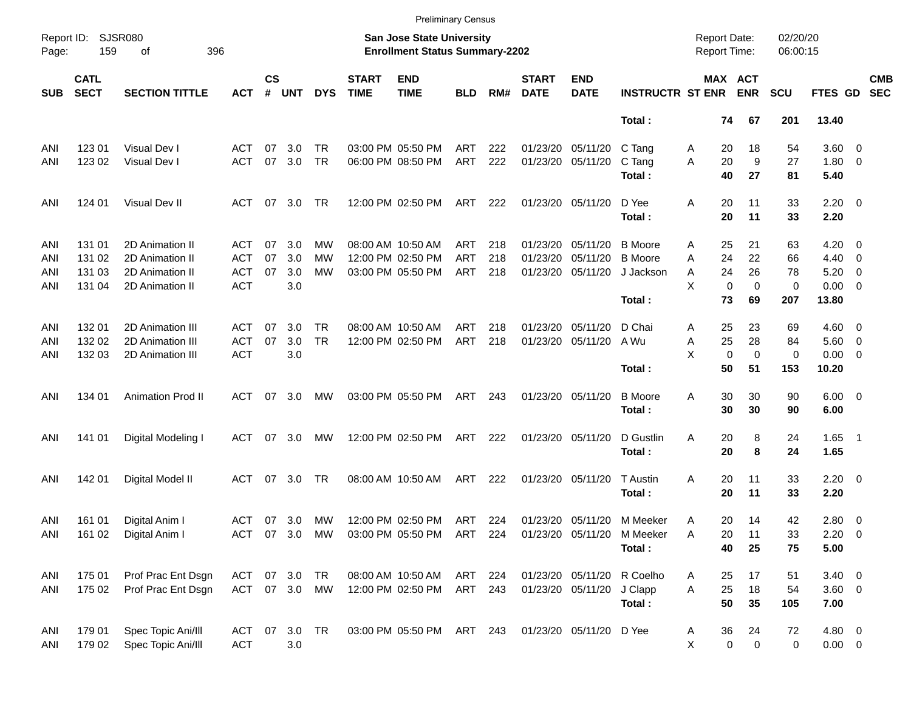|                     |                            |                             |               |                    |               |            |                             |                                                                    | <b>Preliminary Census</b> |     |                             |                           |                         |                                     |                       |                      |                |                          |                          |
|---------------------|----------------------------|-----------------------------|---------------|--------------------|---------------|------------|-----------------------------|--------------------------------------------------------------------|---------------------------|-----|-----------------------------|---------------------------|-------------------------|-------------------------------------|-----------------------|----------------------|----------------|--------------------------|--------------------------|
| Report ID:<br>Page: | 159                        | <b>SJSR080</b><br>396<br>оf |               |                    |               |            |                             | San Jose State University<br><b>Enrollment Status Summary-2202</b> |                           |     |                             |                           |                         | <b>Report Date:</b><br>Report Time: |                       | 02/20/20<br>06:00:15 |                |                          |                          |
| <b>SUB</b>          | <b>CATL</b><br><b>SECT</b> | <b>SECTION TITTLE</b>       | <b>ACT</b>    | $\mathsf{cs}$<br># | <b>UNT</b>    | <b>DYS</b> | <b>START</b><br><b>TIME</b> | <b>END</b><br><b>TIME</b>                                          | <b>BLD</b>                | RM# | <b>START</b><br><b>DATE</b> | <b>END</b><br><b>DATE</b> | <b>INSTRUCTR ST ENR</b> |                                     | MAX ACT<br><b>ENR</b> | <b>SCU</b>           | FTES GD        |                          | <b>CMB</b><br><b>SEC</b> |
|                     |                            |                             |               |                    |               |            |                             |                                                                    |                           |     |                             |                           | Total:                  | 74                                  | 67                    | 201                  | 13.40          |                          |                          |
| ANI                 | 123 01                     | Visual Dev I                | ACT           | 07                 | 3.0           | TR         |                             | 03:00 PM 05:50 PM                                                  | ART                       | 222 |                             | 01/23/20 05/11/20         | C Tang                  | 20<br>A                             | 18                    | 54                   | $3.60 \ 0$     |                          |                          |
| ANI                 | 123 02                     | Visual Dev I                | <b>ACT</b>    | 07                 | 3.0           | <b>TR</b>  |                             | 06:00 PM 08:50 PM                                                  | ART                       | 222 |                             | 01/23/20 05/11/20         | C Tang                  | 20<br>A                             | 9                     | 27                   | $1.80 \ 0$     |                          |                          |
|                     |                            |                             |               |                    |               |            |                             |                                                                    |                           |     |                             |                           | Total:                  | 40                                  | 27                    | 81                   | 5.40           |                          |                          |
| ANI                 | 124 01                     | Visual Dev II               | ACT           | 07                 | 3.0           | TR         |                             | 12:00 PM 02:50 PM                                                  | ART                       | 222 |                             | 01/23/20 05/11/20         | D Yee                   | 20<br>Α                             | 11                    | 33                   | $2.20 \t 0$    |                          |                          |
|                     |                            |                             |               |                    |               |            |                             |                                                                    |                           |     |                             |                           | Total:                  | 20                                  | 11                    | 33                   | 2.20           |                          |                          |
| ANI                 | 131 01                     | 2D Animation II             | ACT           | 07                 | 3.0           | МW         |                             | 08:00 AM 10:50 AM                                                  | ART                       | 218 | 01/23/20                    | 05/11/20                  | <b>B</b> Moore          | 25<br>Α                             | 21                    | 63                   | 4.20           | $\overline{\phantom{0}}$ |                          |
| ANI                 | 131 02                     | 2D Animation II             | <b>ACT</b>    | 07                 | 3.0           | МW         |                             | 12:00 PM 02:50 PM                                                  | <b>ART</b>                | 218 | 01/23/20                    | 05/11/20                  | <b>B</b> Moore          | 24<br>Α                             | 22                    | 66                   | 4.40           | $\overline{\phantom{0}}$ |                          |
| ANI                 | 131 03                     | 2D Animation II             | ACT           | 07                 | 3.0           | МW         |                             | 03:00 PM 05:50 PM                                                  | ART                       | 218 |                             | 01/23/20 05/11/20         | J Jackson               | 24<br>Α                             | 26                    | 78                   | 5.20           | $\overline{\phantom{0}}$ |                          |
| ANI                 | 131 04                     | 2D Animation II             | <b>ACT</b>    |                    | $3.0\,$       |            |                             |                                                                    |                           |     |                             |                           |                         | X<br>$\mathbf 0$                    | $\mathbf 0$           | 0                    | $0.00 \t 0$    |                          |                          |
|                     |                            |                             |               |                    |               |            |                             |                                                                    |                           |     |                             |                           | Total:                  | 73                                  | 69                    | 207                  | 13.80          |                          |                          |
| ANI                 | 132 01                     | 2D Animation III            | ACT           | 07                 | 3.0           | TR         |                             | 08:00 AM 10:50 AM                                                  | ART                       | 218 | 01/23/20                    | 05/11/20                  | D Chai                  | 25<br>A                             | 23                    | 69                   | $4.60 \quad 0$ |                          |                          |
| ANI                 | 132 02                     | 2D Animation III            | <b>ACT</b>    | 07                 | 3.0           | <b>TR</b>  |                             | 12:00 PM 02:50 PM                                                  | ART                       | 218 |                             | 01/23/20 05/11/20         | A Wu                    | 25<br>Α                             | 28                    | 84                   | $5.60$ 0       |                          |                          |
| ANI                 | 132 03                     | 2D Animation III            | <b>ACT</b>    |                    | 3.0           |            |                             |                                                                    |                           |     |                             |                           |                         | X<br>$\mathbf 0$                    | $\mathbf 0$           | 0                    | $0.00 \t 0$    |                          |                          |
|                     |                            |                             |               |                    |               |            |                             |                                                                    |                           |     |                             |                           | Total:                  | 50                                  | 51                    | 153                  | 10.20          |                          |                          |
| ANI                 | 134 01                     | <b>Animation Prod II</b>    | ACT           | 07                 | 3.0           | MW         |                             | 03:00 PM 05:50 PM                                                  | ART                       | 243 | 01/23/20 05/11/20           |                           | <b>B</b> Moore          | 30<br>Α                             | 30                    | 90                   | $6.00 \quad 0$ |                          |                          |
|                     |                            |                             |               |                    |               |            |                             |                                                                    |                           |     |                             |                           | Total:                  | 30                                  | 30                    | 90                   | 6.00           |                          |                          |
| ANI                 | 141 01                     | Digital Modeling I          | ACT           | 07                 | 3.0           | MW         |                             | 12:00 PM 02:50 PM                                                  | ART                       | 222 | 01/23/20 05/11/20           |                           | D Gustlin               | Α<br>20                             | 8                     | 24                   | $1.65$ 1       |                          |                          |
|                     |                            |                             |               |                    |               |            |                             |                                                                    |                           |     |                             |                           | Total:                  | 20                                  | 8                     | 24                   | 1.65           |                          |                          |
| ANI                 | 142 01                     | Digital Model II            | ACT           | 07                 | 3.0           | TR         |                             | 08:00 AM 10:50 AM                                                  | ART                       | 222 |                             | 01/23/20 05/11/20         | T Austin                | Α<br>20                             | 11                    | 33                   | $2.20 \t 0$    |                          |                          |
|                     |                            |                             |               |                    |               |            |                             |                                                                    |                           |     |                             |                           | Total:                  | 20                                  | 11                    | 33                   | 2.20           |                          |                          |
| ANI                 | 161 01                     | Digital Anim I              | ACT 07 3.0    |                    |               | <b>MW</b>  |                             | 12:00 PM 02:50 PM                                                  | ART 224                   |     |                             | 01/23/20 05/11/20         | M Meeker                | 20<br>Α                             | 14                    | 42                   | 2.80 0         |                          |                          |
| ANI                 |                            | 161 02 Digital Anim I       |               |                    |               |            |                             | ACT 07 3.0 MW 03:00 PM 05:50 PM ART 224                            |                           |     | 01/23/20 05/11/20           |                           | M Meeker                | Α<br>20                             | 11                    | 33                   | $2.20 \t 0$    |                          |                          |
|                     |                            |                             |               |                    |               |            |                             |                                                                    |                           |     |                             |                           | Total:                  | 40                                  | 25                    | 75                   | 5.00           |                          |                          |
| ANI                 | 175 01                     | Prof Prac Ent Dsgn          | ACT 07 3.0 TR |                    |               |            |                             | 08:00 AM 10:50 AM                                                  | ART 224                   |     |                             | 01/23/20 05/11/20         | R Coelho                | 25<br>A                             | 17                    | 51                   | $3.40 \ 0$     |                          |                          |
| ANI                 | 175 02                     | Prof Prac Ent Dsgn          |               |                    | ACT 07 3.0 MW |            |                             | 12:00 PM 02:50 PM                                                  | ART 243                   |     |                             | 01/23/20 05/11/20         | J Clapp                 | 25<br>A                             | 18                    | 54                   | $3.60$ 0       |                          |                          |
|                     |                            |                             |               |                    |               |            |                             |                                                                    |                           |     |                             |                           | Total:                  | 50                                  | 35                    | 105                  | 7.00           |                          |                          |
| ANI                 | 179 01                     | Spec Topic Ani/III          | ACT 07 3.0 TR |                    |               |            |                             | 03:00 PM 05:50 PM ART 243                                          |                           |     |                             | 01/23/20 05/11/20 D Yee   |                         | 36<br>A                             | 24                    | 72                   | 4.80 0         |                          |                          |
| ANI                 | 179 02                     | Spec Topic Ani/III          | <b>ACT</b>    |                    | $3.0\,$       |            |                             |                                                                    |                           |     |                             |                           |                         | X                                   | 0<br>0                | 0                    | $0.00 \t 0$    |                          |                          |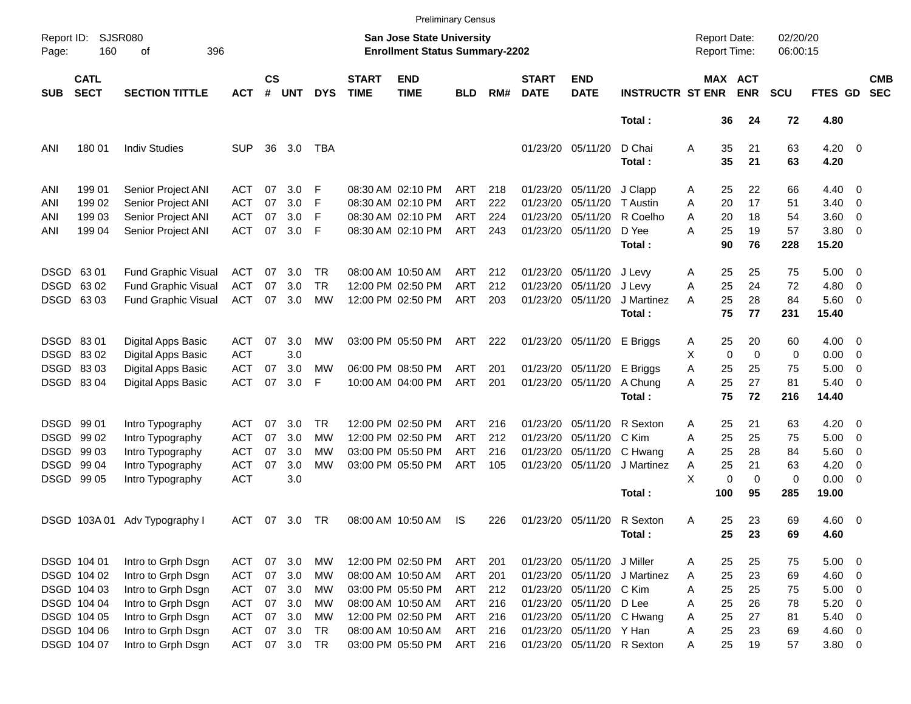|                     |                                |                                                                                        |                                 |                |                   |                       |                             |                                                                           | <b>Preliminary Census</b> |                   |                                  |                                  |                                |                                            |                              |                      |                               |                                                      |                          |
|---------------------|--------------------------------|----------------------------------------------------------------------------------------|---------------------------------|----------------|-------------------|-----------------------|-----------------------------|---------------------------------------------------------------------------|---------------------------|-------------------|----------------------------------|----------------------------------|--------------------------------|--------------------------------------------|------------------------------|----------------------|-------------------------------|------------------------------------------------------|--------------------------|
| Report ID:<br>Page: | 160                            | <b>SJSR080</b><br>396<br>οf                                                            |                                 |                |                   |                       |                             | <b>San Jose State University</b><br><b>Enrollment Status Summary-2202</b> |                           |                   |                                  |                                  |                                | <b>Report Date:</b><br><b>Report Time:</b> |                              | 02/20/20<br>06:00:15 |                               |                                                      |                          |
| <b>SUB</b>          | <b>CATL</b><br><b>SECT</b>     | <b>SECTION TITTLE</b>                                                                  | <b>ACT</b>                      | <b>CS</b><br># | <b>UNT</b>        | <b>DYS</b>            | <b>START</b><br><b>TIME</b> | <b>END</b><br><b>TIME</b>                                                 | <b>BLD</b>                | RM#               | <b>START</b><br><b>DATE</b>      | <b>END</b><br><b>DATE</b>        | <b>INSTRUCTR ST ENR</b>        |                                            | <b>MAX ACT</b><br><b>ENR</b> | <b>SCU</b>           | FTES GD                       |                                                      | <b>CMB</b><br><b>SEC</b> |
|                     |                                |                                                                                        |                                 |                |                   |                       |                             |                                                                           |                           |                   |                                  |                                  | Total:                         | 36                                         | 24                           | 72                   | 4.80                          |                                                      |                          |
| ANI                 | 180 01                         | <b>Indiv Studies</b>                                                                   | SUP                             | 36             | 3.0               | TBA                   |                             |                                                                           |                           |                   |                                  | 01/23/20 05/11/20                | D Chai<br>Total:               | 35<br>Α<br>35                              | 21<br>21                     | 63<br>63             | $4.20 \ 0$<br>4.20            |                                                      |                          |
| ANI<br>ANI          | 199 01<br>199 02               | Senior Project ANI<br>Senior Project ANI                                               | ACT<br>ACT                      | 07<br>07       | 3.0<br>3.0        | F<br>F                |                             | 08:30 AM 02:10 PM<br>08:30 AM 02:10 PM                                    | ART<br><b>ART</b>         | 218<br>222        | 01/23/20<br>01/23/20             | 05/11/20<br>05/11/20             | J Clapp<br>T Austin            | 25<br>Α<br>20<br>A                         | 22<br>17                     | 66<br>51             | $4.40 \ 0$<br>3.40            | $\overline{\mathbf{0}}$                              |                          |
| ANI<br>ANI          | 199 03<br>199 04               | Senior Project ANI<br>Senior Project ANI                                               | ACT<br><b>ACT</b>               | 07<br>07       | 3.0<br>3.0        | F<br>F                |                             | 08:30 AM 02:10 PM<br>08:30 AM 02:10 PM                                    | <b>ART</b><br>ART         | 224<br>243        | 01/23/20                         | 05/11/20<br>01/23/20 05/11/20    | R Coelho<br>D Yee              | 20<br>Α<br>25<br>Α                         | 18<br>19                     | 54<br>57             | 3.60<br>3.80 0                | $\overline{\mathbf{0}}$                              |                          |
|                     |                                |                                                                                        |                                 |                |                   |                       |                             |                                                                           |                           |                   |                                  |                                  | Total:                         | 90                                         | 76                           | 228                  | 15.20                         |                                                      |                          |
| <b>DSGD</b>         | DSGD 6301<br>6302<br>DSGD 6303 | <b>Fund Graphic Visual</b><br><b>Fund Graphic Visual</b><br><b>Fund Graphic Visual</b> | ACT<br><b>ACT</b><br><b>ACT</b> | 07<br>07<br>07 | 3.0<br>3.0<br>3.0 | TR<br><b>TR</b><br>МW |                             | 08:00 AM 10:50 AM<br>12:00 PM 02:50 PM<br>12:00 PM 02:50 PM               | ART<br><b>ART</b><br>ART  | 212<br>212<br>203 | 01/23/20<br>01/23/20<br>01/23/20 | 05/11/20<br>05/11/20<br>05/11/20 | J Levy<br>J Levy<br>J Martinez | 25<br>Α<br>25<br>Α<br>25<br>A              | 25<br>24<br>28               | 75<br>72<br>84       | $5.00 \t 0$<br>4.80<br>5.60 0 | $\overline{\phantom{0}}$                             |                          |
|                     |                                |                                                                                        |                                 |                |                   |                       |                             |                                                                           |                           |                   |                                  |                                  | Total:                         | 75                                         | 77                           | 231                  | 15.40                         |                                                      |                          |
|                     | DSGD 8301<br>DSGD 8302         | <b>Digital Apps Basic</b><br><b>Digital Apps Basic</b>                                 | ACT<br><b>ACT</b>               | 07             | 3.0<br>3.0        | MW                    |                             | 03:00 PM 05:50 PM                                                         | ART                       | 222               |                                  | 01/23/20 05/11/20                | E Briggs                       | 25<br>Α<br>X<br>0                          | 20<br>0                      | 60<br>0              | $4.00 \ 0$<br>0.00            | $\overline{\mathbf{0}}$                              |                          |
|                     | DSGD 8303<br>DSGD 8304         | Digital Apps Basic<br><b>Digital Apps Basic</b>                                        | <b>ACT</b><br><b>ACT</b>        | 07<br>07       | 3.0<br>3.0        | МW<br>F               |                             | 06:00 PM 08:50 PM<br>10:00 AM 04:00 PM                                    | ART<br>ART                | 201<br>201        | 01/23/20                         | 05/11/20<br>01/23/20 05/11/20    | E Briggs<br>A Chung            | Α<br>25<br>25<br>Α                         | 25<br>27                     | 75<br>81             | 5.00<br>5.40                  | $\overline{\mathbf{0}}$<br>$\overline{\phantom{0}}$  |                          |
|                     |                                |                                                                                        |                                 |                |                   |                       |                             |                                                                           |                           |                   |                                  |                                  | Total:                         | 75                                         | 72                           | 216                  | 14.40                         |                                                      |                          |
|                     | DSGD 9901<br>DSGD 99 02        | Intro Typography<br>Intro Typography                                                   | ACT<br>ACT                      | 07<br>07       | 3.0<br>3.0        | TR.<br>МW             |                             | 12:00 PM 02:50 PM<br>12:00 PM 02:50 PM                                    | ART<br><b>ART</b>         | 216<br>212        | 01/23/20<br>01/23/20             | 05/11/20<br>05/11/20             | R Sexton<br>C Kim              | 25<br>Α<br>25<br>Α                         | 21<br>25                     | 63<br>75             | 4.20<br>5.00                  | $\overline{\phantom{0}}$<br>$\overline{\phantom{0}}$ |                          |
| DSGD                | 99 03<br>DSGD 99 04            | Intro Typography<br>Intro Typography                                                   | ACT<br><b>ACT</b>               | 07<br>07       | 3.0<br>3.0        | МW<br>MW              |                             | 03:00 PM 05:50 PM<br>03:00 PM 05:50 PM                                    | <b>ART</b><br><b>ART</b>  | 216<br>105        | 01/23/20                         | 05/11/20<br>01/23/20 05/11/20    | C Hwang<br>J Martinez          | 25<br>Α<br>25<br>Α                         | 28<br>21                     | 84<br>63             | 5.60<br>4.20                  | $\overline{\phantom{0}}$<br>$\overline{\mathbf{0}}$  |                          |
|                     | DSGD 99 05                     | Intro Typography                                                                       | <b>ACT</b>                      |                | 3.0               |                       |                             |                                                                           |                           |                   |                                  |                                  | Total:                         | X<br>0<br>100                              | 0<br>95                      | 0<br>285             | $0.00 \t 0$<br>19.00          |                                                      |                          |
|                     |                                | DSGD 103A 01 Adv Typography I                                                          | ACT                             | 07             | 3.0               | TR                    |                             | 08:00 AM 10:50 AM                                                         | IS                        | 226               |                                  | 01/23/20 05/11/20                | R Sexton<br>Total:             | 25<br>Α<br>25                              | 23<br>23                     | 69<br>69             | $4.60$ 0<br>4.60              |                                                      |                          |
|                     | DSGD 104 01                    | Intro to Grph Dsgn                                                                     | ACT                             |                | 07 3.0            | МW                    |                             | 12:00 PM 02:50 PM                                                         | ART                       | 201               |                                  | 01/23/20 05/11/20 J Miller       |                                | 25<br>A                                    | 25                           | 75                   | $5.00 \t 0$                   |                                                      |                          |
|                     | DSGD 104 02                    | Intro to Grph Dsgn                                                                     | ACT                             |                | 07 3.0            | МW                    |                             | 08:00 AM 10:50 AM                                                         | ART                       | 201               |                                  | 01/23/20 05/11/20                | J Martinez                     | 25<br>A                                    | 23                           | 69                   | $4.60$ 0                      |                                                      |                          |
|                     | DSGD 104 03                    | Intro to Grph Dsgn                                                                     | <b>ACT</b>                      |                | 07 3.0            | МW                    |                             | 03:00 PM 05:50 PM                                                         | ART                       | 212               |                                  | 01/23/20 05/11/20 C Kim          |                                | 25<br>Α                                    | 25                           | 75                   | $5.00 \t 0$                   |                                                      |                          |
|                     | DSGD 104 04                    | Intro to Grph Dsgn                                                                     | <b>ACT</b>                      |                | 07 3.0            | МW                    |                             | 08:00 AM 10:50 AM                                                         | ART                       | 216               |                                  | 01/23/20 05/11/20 D Lee          |                                | 25<br>Α                                    | 26                           | 78                   | 5.20                          | $\overline{\phantom{0}}$                             |                          |
|                     | DSGD 104 05                    | Intro to Grph Dsgn                                                                     | <b>ACT</b>                      |                | 07 3.0            | МW                    |                             | 12:00 PM 02:50 PM                                                         | ART                       | 216               |                                  |                                  | 01/23/20 05/11/20 C Hwang      | 25<br>Α                                    | 27                           | 81                   | $5.40 \ 0$                    |                                                      |                          |
|                     | DSGD 104 06                    | Intro to Grph Dsgn                                                                     | ACT                             |                | 07 3.0            | <b>TR</b>             |                             | 08:00 AM 10:50 AM                                                         | ART                       | 216               |                                  | 01/23/20 05/11/20 Y Han          |                                | 25<br>Α                                    | 23                           | 69                   | 4.60 0                        |                                                      |                          |
|                     | DSGD 104 07                    | Intro to Grph Dsgn                                                                     | ACT 07 3.0 TR                   |                |                   |                       |                             | 03:00 PM 05:50 PM                                                         | ART                       | 216               |                                  |                                  | 01/23/20 05/11/20 R Sexton     | Α<br>25                                    | 19                           | 57                   | $3.80\ 0$                     |                                                      |                          |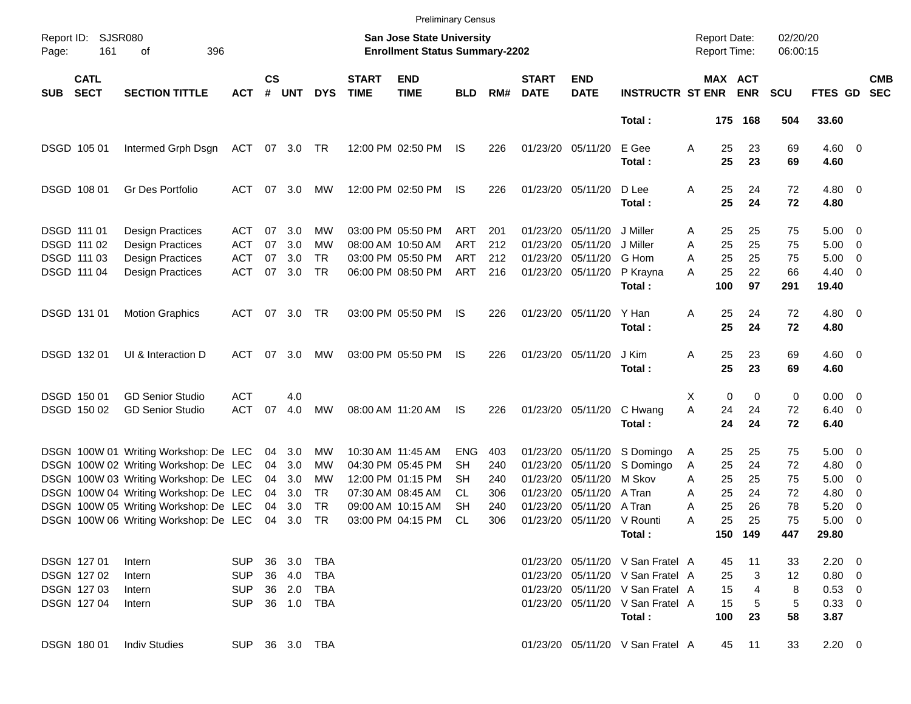|                     |                                           |                                                                                |                                 |                    |                   |                       |                             | <b>Preliminary Census</b>                                                 |                                 |                   |                             |                                                             |                                            |             |                |                                     |                      |                        |                                                                                  |                          |
|---------------------|-------------------------------------------|--------------------------------------------------------------------------------|---------------------------------|--------------------|-------------------|-----------------------|-----------------------------|---------------------------------------------------------------------------|---------------------------------|-------------------|-----------------------------|-------------------------------------------------------------|--------------------------------------------|-------------|----------------|-------------------------------------|----------------------|------------------------|----------------------------------------------------------------------------------|--------------------------|
| Report ID:<br>Page: | <b>SJSR080</b><br>161                     | 396<br>оf                                                                      |                                 |                    |                   |                       |                             | <b>San Jose State University</b><br><b>Enrollment Status Summary-2202</b> |                                 |                   |                             |                                                             |                                            |             |                | <b>Report Date:</b><br>Report Time: | 02/20/20<br>06:00:15 |                        |                                                                                  |                          |
| <b>SUB</b>          | <b>CATL</b><br><b>SECT</b>                | <b>SECTION TITTLE</b>                                                          | <b>ACT</b>                      | $\mathsf{cs}$<br># | <b>UNT</b>        | <b>DYS</b>            | <b>START</b><br><b>TIME</b> | <b>END</b><br><b>TIME</b>                                                 | <b>BLD</b>                      | RM#               | <b>START</b><br><b>DATE</b> | <b>END</b><br><b>DATE</b>                                   | <b>INSTRUCTR ST ENR</b>                    |             |                | MAX ACT<br><b>ENR</b>               | <b>SCU</b>           | FTES GD                |                                                                                  | <b>CMB</b><br><b>SEC</b> |
|                     |                                           |                                                                                |                                 |                    |                   |                       |                             |                                                                           |                                 |                   |                             |                                                             | Total:                                     |             |                | 175 168                             | 504                  | 33.60                  |                                                                                  |                          |
|                     | DSGD 105 01                               | Intermed Grph Dsgn                                                             | ACT                             | 07                 | 3.0               | TR                    |                             | 12:00 PM 02:50 PM                                                         | IS                              | 226               |                             | 01/23/20 05/11/20                                           | E Gee<br>Total:                            | Α           | 25<br>25       | 23<br>23                            | 69<br>69             | $4.60$ 0<br>4.60       |                                                                                  |                          |
|                     | DSGD 108 01                               | Gr Des Portfolio                                                               | ACT                             | 07                 | 3.0               | MW                    |                             | 12:00 PM 02:50 PM                                                         | IS                              | 226               |                             | 01/23/20 05/11/20                                           | D Lee<br>Total:                            | Α           | 25<br>25       | 24<br>24                            | 72<br>72             | $4.80\ 0$<br>4.80      |                                                                                  |                          |
|                     | DSGD 111 01                               | <b>Design Practices</b>                                                        | ACT                             | 07                 | 3.0               | MW                    |                             | 03:00 PM 05:50 PM                                                         | ART                             | 201               |                             | 01/23/20 05/11/20                                           | J Miller                                   | Α           | 25             | 25                                  | 75                   | $5.00 \t 0$            |                                                                                  |                          |
|                     | DSGD 111 02<br>DSGD 111 03<br>DSGD 111 04 | Design Practices<br>Design Practices<br><b>Design Practices</b>                | ACT<br><b>ACT</b><br><b>ACT</b> | 07<br>07<br>07     | 3.0<br>3.0<br>3.0 | МW<br><b>TR</b><br>TR |                             | 08:00 AM 10:50 AM<br>03:00 PM 05:50 PM<br>06:00 PM 08:50 PM               | <b>ART</b><br><b>ART</b><br>ART | 212<br>212<br>216 |                             | 01/23/20 05/11/20<br>01/23/20 05/11/20<br>01/23/20 05/11/20 | J Miller<br>G Hom<br>P Krayna              | Α<br>Α<br>А | 25<br>25<br>25 | 25<br>25<br>22                      | 75<br>75<br>66       | 5.00<br>5.00<br>4.40   | $\overline{\phantom{0}}$<br>$\overline{\phantom{0}}$<br>$\overline{\phantom{0}}$ |                          |
|                     |                                           |                                                                                |                                 |                    |                   |                       |                             |                                                                           |                                 |                   |                             |                                                             | Total:                                     |             | 100            | 97                                  | 291                  | 19.40                  |                                                                                  |                          |
|                     | DSGD 131 01                               | <b>Motion Graphics</b>                                                         | ACT                             | 07                 | 3.0               | TR                    |                             | 03:00 PM 05:50 PM                                                         | IS                              | 226               |                             | 01/23/20 05/11/20                                           | Y Han<br>Total:                            | Α           | 25<br>25       | 24<br>24                            | 72<br>72             | $4.80\ 0$<br>4.80      |                                                                                  |                          |
|                     | DSGD 132 01                               | UI & Interaction D                                                             | ACT                             | 07                 | 3.0               | MW                    |                             | 03:00 PM 05:50 PM                                                         | IS                              | 226               | 01/23/20 05/11/20           |                                                             | J Kim<br>Total:                            | Α           | 25<br>25       | 23<br>23                            | 69<br>69             | $4.60$ 0<br>4.60       |                                                                                  |                          |
|                     | DSGD 150 01                               | <b>GD Senior Studio</b>                                                        | <b>ACT</b>                      |                    | 4.0               |                       |                             |                                                                           |                                 |                   |                             |                                                             |                                            | X           | 0              | 0                                   | 0                    | $0.00 \t 0$            |                                                                                  |                          |
|                     | DSGD 150 02                               | <b>GD Senior Studio</b>                                                        | <b>ACT</b>                      | 07                 | 4.0               | МW                    |                             | 08:00 AM 11:20 AM                                                         | IS                              | 226               |                             | 01/23/20 05/11/20                                           | C Hwang<br>Total:                          | Α           | 24<br>24       | 24<br>24                            | 72<br>72             | $6.40 \quad 0$<br>6.40 |                                                                                  |                          |
|                     |                                           | DSGN 100W 01 Writing Workshop: De LEC<br>DSGN 100W 02 Writing Workshop: De LEC |                                 | 04<br>04           | 3.0<br>3.0        | MW<br>MW              |                             | 10:30 AM 11:45 AM<br>04:30 PM 05:45 PM                                    | <b>ENG</b><br><b>SH</b>         | 403<br>240        | 01/23/20                    | 01/23/20 05/11/20<br>05/11/20                               | S Domingo                                  | A           | 25<br>25       | 25<br>24                            | 75<br>72             | $5.00 \t 0$            |                                                                                  |                          |
|                     |                                           | DSGN 100W 03 Writing Workshop: De LEC                                          |                                 | 04                 | 3.0               | MW                    |                             | 12:00 PM 01:15 PM                                                         | SН                              | 240               |                             | 01/23/20 05/11/20                                           | S Domingo<br>M Skov                        | A<br>A      | 25             | 25                                  | 75                   | 4.80<br>5.00           | $\overline{\phantom{0}}$<br>$\overline{\mathbf{0}}$                              |                          |
|                     |                                           | DSGN 100W 04 Writing Workshop: De LEC                                          |                                 | 04                 | 3.0               | TR                    |                             | 07:30 AM 08:45 AM                                                         | CL.                             | 306               |                             | 01/23/20 05/11/20                                           | A Tran                                     | Α           | 25             | 24                                  | 72                   | 4.80                   | $\overline{\mathbf{0}}$                                                          |                          |
|                     |                                           | DSGN 100W 05 Writing Workshop: De LEC                                          |                                 | 04                 | 3.0               | <b>TR</b>             |                             | 09:00 AM 10:15 AM                                                         | <b>SH</b>                       | 240               | 01/23/20                    | 05/11/20                                                    | A Tran                                     | Α           | 25             | 26                                  | 78                   | 5.20                   | $\overline{\mathbf{0}}$                                                          |                          |
|                     |                                           | DSGN 100W 06 Writing Workshop: De LEC                                          |                                 | 04                 | 3.0               | TR                    |                             | 03:00 PM 04:15 PM                                                         | <b>CL</b>                       | 306               |                             | 01/23/20 05/11/20 V Rounti                                  | Total :                                    | Α           | 25             | 25<br>150 149                       | 75<br>447            | 5.00<br>29.80          | $\overline{\phantom{0}}$                                                         |                          |
|                     | DSGN 127 01                               | Intern                                                                         | SUP.                            |                    | 36 3.0            | TBA                   |                             |                                                                           |                                 |                   |                             |                                                             | 01/23/20 05/11/20 V San Fratel A           |             | 45             | 11                                  | 33                   | $2.20 \t 0$            |                                                                                  |                          |
|                     | DSGN 127 02                               | Intern                                                                         | <b>SUP</b>                      |                    | 36 4.0            | TBA                   |                             |                                                                           |                                 |                   |                             |                                                             | 01/23/20 05/11/20 V San Fratel A           |             | 25             | 3                                   | 12                   | 0.80 0                 |                                                                                  |                          |
|                     | DSGN 127 03                               | Intern                                                                         | <b>SUP</b>                      |                    | 36 2.0            | TBA                   |                             |                                                                           |                                 |                   |                             |                                                             | 01/23/20 05/11/20 V San Fratel A           |             | 15             | 4                                   | 8                    | $0.53$ 0               |                                                                                  |                          |
|                     | DSGN 12704                                | Intern                                                                         | <b>SUP</b>                      |                    | 36 1.0            | TBA                   |                             |                                                                           |                                 |                   |                             |                                                             | 01/23/20 05/11/20 V San Fratel A<br>Total: |             | 15<br>100      | 5<br>23                             | 5<br>58              | 0.33 0<br>3.87         |                                                                                  |                          |
|                     | <b>DSGN 18001</b>                         | <b>Indiv Studies</b>                                                           | SUP 36 3.0 TBA                  |                    |                   |                       |                             |                                                                           |                                 |                   |                             |                                                             | 01/23/20 05/11/20 V San Fratel A           |             | 45             | 11                                  | 33                   | $2.20 \t 0$            |                                                                                  |                          |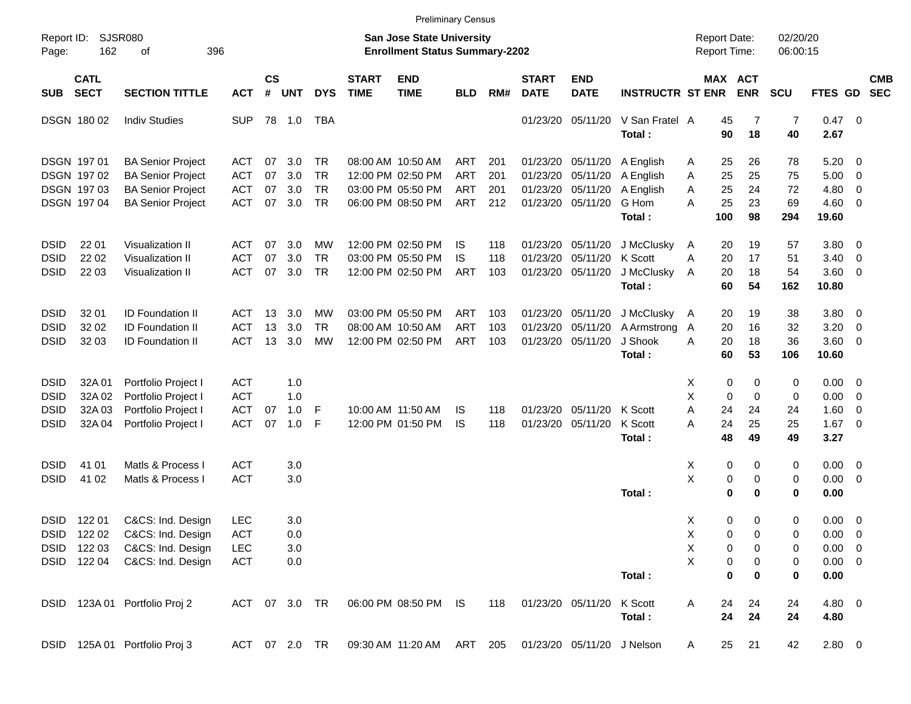|                     |                            |                               |               |                    |            |            |                             |                                                                    | <b>Preliminary Census</b> |     |                             |                            |                         |                                            |                       |                      |                |                         |                          |
|---------------------|----------------------------|-------------------------------|---------------|--------------------|------------|------------|-----------------------------|--------------------------------------------------------------------|---------------------------|-----|-----------------------------|----------------------------|-------------------------|--------------------------------------------|-----------------------|----------------------|----------------|-------------------------|--------------------------|
| Report ID:<br>Page: | 162                        | <b>SJSR080</b><br>оf          | 396           |                    |            |            |                             | San Jose State University<br><b>Enrollment Status Summary-2202</b> |                           |     |                             |                            |                         | <b>Report Date:</b><br><b>Report Time:</b> |                       | 02/20/20<br>06:00:15 |                |                         |                          |
| <b>SUB</b>          | <b>CATL</b><br><b>SECT</b> | <b>SECTION TITTLE</b>         | <b>ACT</b>    | $\mathsf{cs}$<br># | <b>UNT</b> | <b>DYS</b> | <b>START</b><br><b>TIME</b> | <b>END</b><br><b>TIME</b>                                          | <b>BLD</b>                | RM# | <b>START</b><br><b>DATE</b> | <b>END</b><br><b>DATE</b>  | <b>INSTRUCTR ST ENR</b> |                                            | MAX ACT<br><b>ENR</b> | <b>SCU</b>           | <b>FTES GD</b> |                         | <b>CMB</b><br><b>SEC</b> |
|                     | <b>DSGN 18002</b>          | <b>Indiv Studies</b>          | <b>SUP</b>    |                    | 78 1.0     | TBA        |                             |                                                                    |                           |     |                             | 01/23/20 05/11/20          | V San Fratel A          |                                            | 45<br>7               | $\overline{7}$       | 0.47 0         |                         |                          |
|                     |                            |                               |               |                    |            |            |                             |                                                                    |                           |     |                             |                            | Total:                  |                                            | 90<br>18              | 40                   | 2.67           |                         |                          |
|                     | DSGN 197 01                | <b>BA Senior Project</b>      | ACT           | 07                 | 3.0        | TR         |                             | 08:00 AM 10:50 AM                                                  | ART                       | 201 |                             | 01/23/20 05/11/20          | A English               | A                                          | 25<br>26              | 78                   | 5.20           | 0                       |                          |
|                     | <b>DSGN 19702</b>          | <b>BA Senior Project</b>      | ACT           | 07                 | 3.0        | <b>TR</b>  |                             | 12:00 PM 02:50 PM                                                  | ART                       | 201 |                             | 01/23/20 05/11/20          | A English               | A                                          | 25<br>25              | 75                   | 5.00           | 0                       |                          |
|                     | <b>DSGN 19703</b>          | <b>BA Senior Project</b>      | <b>ACT</b>    | 07                 | 3.0        | <b>TR</b>  |                             | 03:00 PM 05:50 PM                                                  | ART                       | 201 |                             | 01/23/20 05/11/20          | A English               | A                                          | 25<br>24              | 72                   | 4.80           | 0                       |                          |
|                     | DSGN 19704                 | <b>BA Senior Project</b>      | <b>ACT</b>    | 07                 | 3.0        | <b>TR</b>  |                             | 06:00 PM 08:50 PM                                                  | ART                       | 212 |                             | 01/23/20 05/11/20          | G Hom                   | А                                          | 25<br>23              | 69                   | 4.60           | 0                       |                          |
|                     |                            |                               |               |                    |            |            |                             |                                                                    |                           |     |                             |                            | Total:                  | 100                                        | 98                    | 294                  | 19.60          |                         |                          |
| DSID                | 22 01                      | <b>Visualization II</b>       | ACT           | 07                 | 3.0        | МW         |                             | 12:00 PM 02:50 PM                                                  | IS.                       | 118 |                             | 01/23/20 05/11/20          | J McClusky              | A                                          | 19<br>20              | 57                   | 3.80           | 0                       |                          |
| DSID                | 22 02                      | Visualization II              | <b>ACT</b>    | 07                 | 3.0        | <b>TR</b>  |                             | 03:00 PM 05:50 PM                                                  | IS                        | 118 | 01/23/20                    | 05/11/20                   | K Scott                 | Α                                          | 20<br>17              | 51                   | 3.40           | 0                       |                          |
| <b>DSID</b>         | 22 03                      | Visualization II              | ACT           | 07                 | 3.0        | <b>TR</b>  |                             | 12:00 PM 02:50 PM                                                  | ART                       | 103 |                             | 01/23/20 05/11/20          | J McClusky              | A                                          | 20<br>18              | 54                   | 3.60           | 0                       |                          |
|                     |                            |                               |               |                    |            |            |                             |                                                                    |                           |     |                             |                            | Total:                  |                                            | 60<br>54              | 162                  | 10.80          |                         |                          |
| DSID                | 32 01                      | <b>ID Foundation II</b>       | ACT           | 13                 | 3.0        | МW         |                             | 03:00 PM 05:50 PM                                                  | ART                       | 103 |                             | 01/23/20 05/11/20          | J McClusky              | $\overline{A}$                             | 20<br>19              | 38                   | 3.80           | 0                       |                          |
| <b>DSID</b>         | 32 02                      | <b>ID Foundation II</b>       | <b>ACT</b>    | 13                 | 3.0        | TR         |                             | 08:00 AM 10:50 AM                                                  | <b>ART</b>                | 103 | 01/23/20                    | 05/11/20                   | A Armstrong             | A                                          | 20<br>16              | 32                   | 3.20           | 0                       |                          |
| <b>DSID</b>         | 32 03                      | <b>ID Foundation II</b>       | <b>ACT</b>    |                    | 13 3.0     | МW         |                             | 12:00 PM 02:50 PM                                                  | ART                       | 103 |                             | 01/23/20 05/11/20          | J Shook                 | A                                          | 18<br>20              | 36                   | 3.60           | 0                       |                          |
|                     |                            |                               |               |                    |            |            |                             |                                                                    |                           |     |                             |                            | Total:                  |                                            | 60<br>53              | 106                  | 10.60          |                         |                          |
| <b>DSID</b>         | 32A 01                     | Portfolio Project I           | ACT           |                    | 1.0        |            |                             |                                                                    |                           |     |                             |                            |                         | X                                          | 0<br>0                | 0                    | 0.00           | 0                       |                          |
| <b>DSID</b>         | 32A 02                     | Portfolio Project I           | ACT           |                    | 1.0        |            |                             |                                                                    |                           |     |                             |                            |                         | X                                          | 0<br>0                | 0                    | 0.00           | 0                       |                          |
| <b>DSID</b>         | 32A 03                     | Portfolio Project I           | <b>ACT</b>    | 07                 | 1.0        | F          |                             | 10:00 AM 11:50 AM                                                  | IS                        | 118 |                             | 01/23/20 05/11/20          | K Scott                 | Α                                          | 24<br>24              | 24                   | 1.60           | 0                       |                          |
| <b>DSID</b>         | 32A 04                     | Portfolio Project I           | <b>ACT</b>    | 07                 | 1.0        | F          |                             | 12:00 PM 01:50 PM                                                  | IS                        | 118 |                             | 01/23/20 05/11/20          | K Scott                 | А                                          | 24<br>25              | 25                   | 1.67           | $\overline{0}$          |                          |
|                     |                            |                               |               |                    |            |            |                             |                                                                    |                           |     |                             |                            | Total:                  |                                            | 48<br>49              | 49                   | 3.27           |                         |                          |
| <b>DSID</b>         | 41 01                      | Matls & Process I             | <b>ACT</b>    |                    | 3.0        |            |                             |                                                                    |                           |     |                             |                            |                         | X                                          | 0<br>0                | 0                    | 0.00           | $\overline{\mathbf{0}}$ |                          |
| <b>DSID</b>         | 41 02                      | Matls & Process I             | <b>ACT</b>    |                    | 3.0        |            |                             |                                                                    |                           |     |                             |                            |                         | X                                          | 0<br>0                | 0                    | 0.00           | 0                       |                          |
|                     |                            |                               |               |                    |            |            |                             |                                                                    |                           |     |                             |                            | Total:                  |                                            | $\bf{0}$<br>$\bf{0}$  | $\mathbf 0$          | 0.00           |                         |                          |
| <b>DSID</b>         | 122 01                     | C&CS: Ind. Design             | <b>LEC</b>    |                    | 3.0        |            |                             |                                                                    |                           |     |                             |                            |                         | X                                          | 0<br>0                | 0                    | $0.00 \t 0$    |                         |                          |
|                     | DSID 122 02                | C&CS: Ind. Design             | <b>ACT</b>    |                    | 0.0        |            |                             |                                                                    |                           |     |                             |                            |                         | Χ                                          | 0<br>0                | 0                    | $0.00 \t 0$    |                         |                          |
|                     | DSID 122 03                | C&CS: Ind. Design             | LEC           |                    | 3.0        |            |                             |                                                                    |                           |     |                             |                            |                         | X                                          | 0<br>0                | 0                    | $0.00 \t 0$    |                         |                          |
|                     | DSID 122 04                | C&CS: Ind. Design             | <b>ACT</b>    |                    | 0.0        |            |                             |                                                                    |                           |     |                             |                            |                         | X                                          | 0<br>0                | 0                    | $0.00 \t 0$    |                         |                          |
|                     |                            |                               |               |                    |            |            |                             |                                                                    |                           |     |                             |                            | Total:                  |                                            | 0<br>0                | $\bf{0}$             | 0.00           |                         |                          |
|                     |                            | DSID 123A 01 Portfolio Proj 2 | ACT 07 3.0 TR |                    |            |            |                             | 06:00 PM 08:50 PM IS                                               |                           | 118 |                             | 01/23/20 05/11/20          | K Scott                 | A                                          | 24<br>24              | 24                   | 4.80 0         |                         |                          |
|                     |                            |                               |               |                    |            |            |                             |                                                                    |                           |     |                             |                            | Total:                  |                                            | 24<br>24              | 24                   | 4.80           |                         |                          |
|                     |                            | DSID 125A 01 Portfolio Proj 3 | ACT 07 2.0 TR |                    |            |            |                             | 09:30 AM 11:20 AM ART 205                                          |                           |     |                             | 01/23/20 05/11/20 J Nelson |                         | A                                          | 25<br>21              | 42                   | 2.80 0         |                         |                          |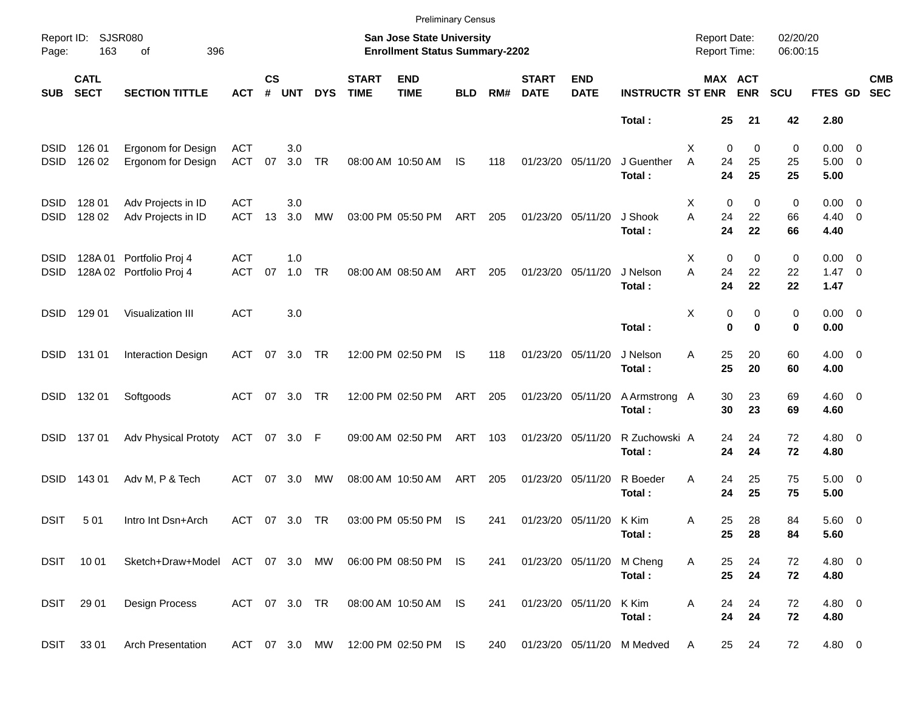|                            |                            |                                              |                          |                    |            |               |                             | <b>Preliminary Census</b>                                          |            |     |                             |                           |                            |                                     |                                |                      |                                       |                          |
|----------------------------|----------------------------|----------------------------------------------|--------------------------|--------------------|------------|---------------|-----------------------------|--------------------------------------------------------------------|------------|-----|-----------------------------|---------------------------|----------------------------|-------------------------------------|--------------------------------|----------------------|---------------------------------------|--------------------------|
| Report ID:<br>Page:        | 163                        | <b>SJSR080</b><br>396<br>οf                  |                          |                    |            |               |                             | San Jose State University<br><b>Enrollment Status Summary-2202</b> |            |     |                             |                           |                            | <b>Report Date:</b><br>Report Time: |                                | 02/20/20<br>06:00:15 |                                       |                          |
| <b>SUB</b>                 | <b>CATL</b><br><b>SECT</b> | <b>SECTION TITTLE</b>                        | <b>ACT</b>               | $\mathsf{cs}$<br># | <b>UNT</b> | <b>DYS</b>    | <b>START</b><br><b>TIME</b> | <b>END</b><br><b>TIME</b>                                          | <b>BLD</b> | RM# | <b>START</b><br><b>DATE</b> | <b>END</b><br><b>DATE</b> | <b>INSTRUCTR ST ENR</b>    |                                     | MAX ACT<br><b>ENR</b>          | <b>SCU</b>           | FTES GD                               | <b>CMB</b><br><b>SEC</b> |
|                            |                            |                                              |                          |                    |            |               |                             |                                                                    |            |     |                             |                           | Total:                     | 25                                  | 21                             | 42                   | 2.80                                  |                          |
| <b>DSID</b><br><b>DSID</b> | 126 01<br>126 02           | Ergonom for Design<br>Ergonom for Design     | <b>ACT</b><br><b>ACT</b> | 07                 | 3.0<br>3.0 | <b>TR</b>     |                             | 08:00 AM 10:50 AM                                                  | <b>IS</b>  | 118 |                             | 01/23/20 05/11/20         | J Guenther<br>Total:       | X<br>A<br>24<br>24                  | 0<br>0<br>25<br>25             | 0<br>25<br>25        | $0.00 \t 0$<br>$5.00 \t 0$<br>5.00    |                          |
| <b>DSID</b><br><b>DSID</b> | 128 01<br>128 02           | Adv Projects in ID<br>Adv Projects in ID     | <b>ACT</b><br><b>ACT</b> | 13                 | 3.0<br>3.0 | МW            |                             | 03:00 PM 05:50 PM                                                  | ART        | 205 |                             | 01/23/20 05/11/20         | J Shook<br>Total:          | X<br>A<br>24<br>24                  | $\mathbf 0$<br>0<br>22<br>22   | 0<br>66<br>66        | $0.00 \t 0$<br>$4.40 \quad 0$<br>4.40 |                          |
| <b>DSID</b><br><b>DSID</b> | 128A 01                    | Portfolio Proj 4<br>128A 02 Portfolio Proj 4 | <b>ACT</b><br><b>ACT</b> | 07                 | 1.0<br>1.0 | <b>TR</b>     |                             | 08:00 AM 08:50 AM                                                  | ART        | 205 |                             | 01/23/20 05/11/20         | J Nelson<br>Total:         | X<br>A<br>24<br>24                  | $\mathbf 0$<br>0<br>22<br>22   | 0<br>22<br>22        | $0.00 \t 0$<br>$1.47 \quad 0$<br>1.47 |                          |
| <b>DSID</b>                | 129 01                     | Visualization III                            | <b>ACT</b>               |                    | 3.0        |               |                             |                                                                    |            |     |                             |                           | Total:                     | Χ                                   | 0<br>0<br>$\bf{0}$<br>$\bf{0}$ | 0<br>0               | $0.00 \t 0$<br>0.00                   |                          |
| <b>DSID</b>                | 131 01                     | <b>Interaction Design</b>                    | <b>ACT</b>               | 07                 | 3.0        | TR            |                             | 12:00 PM 02:50 PM                                                  | IS         | 118 |                             | 01/23/20 05/11/20         | J Nelson<br>Total:         | Α<br>25<br>25                       | 20<br>20                       | 60<br>60             | $4.00 \ 0$<br>4.00                    |                          |
| <b>DSID</b>                | 132 01                     | Softgoods                                    | <b>ACT</b>               | 07                 | 3.0        | TR            |                             | 12:00 PM 02:50 PM                                                  | ART        | 205 |                             | 01/23/20 05/11/20         | A Armstrong A<br>Total:    | 30<br>30                            | 23<br>23                       | 69<br>69             | $4.60$ 0<br>4.60                      |                          |
| <b>DSID</b>                | 13701                      | <b>Adv Physical Prototy</b>                  | ACT                      |                    | 07 3.0     | F             |                             | 09:00 AM 02:50 PM                                                  | ART        | 103 |                             | 01/23/20 05/11/20         | R Zuchowski A<br>Total:    | 24<br>24                            | 24<br>24                       | 72<br>72             | $4.80$ 0<br>4.80                      |                          |
| <b>DSID</b>                | 143 01                     | Adv M, P & Tech                              | ACT                      | 07                 | 3.0        | MW            |                             | 08:00 AM 10:50 AM                                                  | ART        | 205 |                             | 01/23/20 05/11/20         | R Boeder<br>Total:         | Α<br>24<br>24                       | 25<br>25                       | 75<br>75             | $5.00 \t 0$<br>5.00                   |                          |
| <b>DSIT</b>                | 501                        | Intro Int Dsn+Arch                           | ACT                      | 07                 | 3.0        | TR            |                             | 03:00 PM 05:50 PM                                                  | IS         | 241 |                             | 01/23/20 05/11/20 K Kim   | Total:                     | 25<br>Α<br>25                       | 28<br>28                       | 84<br>84             | 5.60 0<br>5.60                        |                          |
|                            | DSIT 1001                  | Sketch+Draw+Model ACT 07 3.0 MW              |                          |                    |            |               |                             | 06:00 PM 08:50 PM IS                                               |            | 241 |                             | 01/23/20 05/11/20         | M Cheng<br>Total:          | Α<br>25<br>25                       | 24<br>24                       | 72<br>72             | 4.80 0<br>4.80                        |                          |
|                            | DSIT 29 01                 | Design Process                               | ACT 07 3.0 TR            |                    |            |               |                             | 08:00 AM 10:50 AM IS                                               |            | 241 |                             | 01/23/20 05/11/20         | K Kim<br>Total:            | Α<br>24<br>24                       | 24<br>24                       | 72<br>72             | $4.80$ 0<br>4.80                      |                          |
|                            | DSIT 33 01                 | <b>Arch Presentation</b>                     |                          |                    |            | ACT 07 3.0 MW |                             | 12:00 PM 02:50 PM IS                                               |            | 240 |                             |                           | 01/23/20 05/11/20 M Medved | 25<br>A                             | 24                             | 72                   | 4.80 0                                |                          |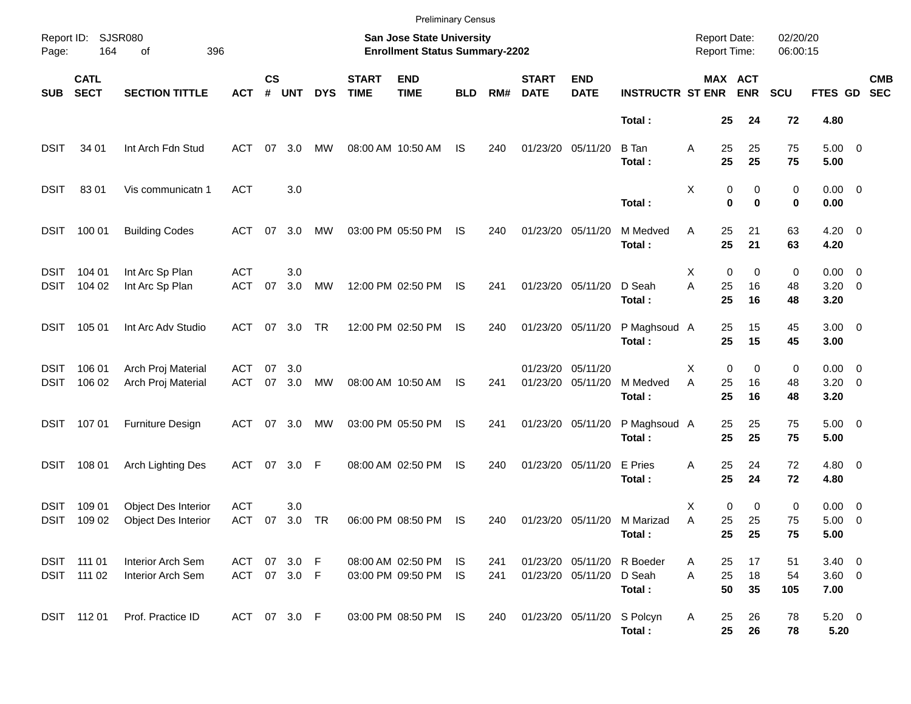|                     |                            |                                            |                          |                    |            |            |                             | <b>Preliminary Census</b>                                          |                 |            |                             |                                        |                                                |                                     |                         |                         |                      |                                    |                          |
|---------------------|----------------------------|--------------------------------------------|--------------------------|--------------------|------------|------------|-----------------------------|--------------------------------------------------------------------|-----------------|------------|-----------------------------|----------------------------------------|------------------------------------------------|-------------------------------------|-------------------------|-------------------------|----------------------|------------------------------------|--------------------------|
| Report ID:<br>Page: | 164                        | <b>SJSR080</b><br>396<br>of                |                          |                    |            |            |                             | San Jose State University<br><b>Enrollment Status Summary-2202</b> |                 |            |                             |                                        |                                                | <b>Report Date:</b><br>Report Time: |                         |                         | 02/20/20<br>06:00:15 |                                    |                          |
| <b>SUB</b>          | <b>CATL</b><br><b>SECT</b> | <b>SECTION TITTLE</b>                      | <b>ACT</b>               | $\mathsf{cs}$<br># | <b>UNT</b> | <b>DYS</b> | <b>START</b><br><b>TIME</b> | <b>END</b><br><b>TIME</b>                                          | <b>BLD</b>      | RM#        | <b>START</b><br><b>DATE</b> | <b>END</b><br><b>DATE</b>              | <b>INSTRUCTR ST ENR</b>                        |                                     |                         | MAX ACT<br><b>ENR</b>   | <b>SCU</b>           | FTES GD                            | <b>CMB</b><br><b>SEC</b> |
|                     |                            |                                            |                          |                    |            |            |                             |                                                                    |                 |            |                             |                                        | Total:                                         |                                     | 25                      | 24                      | 72                   | 4.80                               |                          |
| <b>DSIT</b>         | 34 01                      | Int Arch Fdn Stud                          | ACT                      | 07                 | 3.0        | MW         |                             | 08:00 AM 10:50 AM                                                  | IS              | 240        |                             | 01/23/20 05/11/20                      | <b>B</b> Tan<br>Total:                         | Α                                   | 25<br>25                | 25<br>25                | 75<br>75             | $5.00 \t 0$<br>5.00                |                          |
| <b>DSIT</b>         | 8301                       | Vis communicatn 1                          | <b>ACT</b>               |                    | 3.0        |            |                             |                                                                    |                 |            |                             |                                        | Total:                                         | Χ                                   | 0<br>$\bf{0}$           | 0<br>$\bf{0}$           | 0<br>0               | $0.00 \t 0$<br>0.00                |                          |
| <b>DSIT</b>         | 100 01                     | <b>Building Codes</b>                      | ACT                      | 07                 | 3.0        | MW         |                             | 03:00 PM 05:50 PM                                                  | IS              | 240        |                             | 01/23/20 05/11/20                      | M Medved<br>Total:                             | Α                                   | 25<br>25                | 21<br>21                | 63<br>63             | $4.20 \ 0$<br>4.20                 |                          |
| DSIT<br>DSIT        | 104 01<br>104 02           | Int Arc Sp Plan<br>Int Arc Sp Plan         | <b>ACT</b><br><b>ACT</b> | 07                 | 3.0<br>3.0 | MW         |                             | 12:00 PM 02:50 PM                                                  | IS              | 241        |                             | 01/23/20 05/11/20                      | D Seah<br>Total:                               | X<br>A                              | $\mathbf 0$<br>25<br>25 | 0<br>16<br>16           | 0<br>48<br>48        | $0.00 \t 0$<br>$3.20 \ 0$<br>3.20  |                          |
| DSIT                | 105 01                     | Int Arc Adv Studio                         | ACT                      | 07                 | 3.0        | TR         |                             | 12:00 PM 02:50 PM                                                  | IS              | 240        |                             | 01/23/20 05/11/20                      | P Maghsoud A<br>Total:                         |                                     | 25<br>25                | 15<br>15                | 45<br>45             | $3.00 \ 0$<br>3.00                 |                          |
| DSIT<br>DSIT        | 106 01<br>106 02           | Arch Proj Material<br>Arch Proj Material   | ACT<br><b>ACT</b>        | 07<br>07           | 3.0<br>3.0 | МW         |                             | 08:00 AM 10:50 AM                                                  | IS              | 241        |                             | 01/23/20 05/11/20<br>01/23/20 05/11/20 | M Medved<br>Total:                             | X<br>A                              | $\mathbf 0$<br>25<br>25 | 0<br>16<br>16           | 0<br>48<br>48        | $0.00 \t 0$<br>$3.20 \ 0$<br>3.20  |                          |
| DSIT                | 107 01                     | Furniture Design                           | ACT                      | 07                 | 3.0        | МW         |                             | 03:00 PM 05:50 PM                                                  | IS              | 241        |                             | 01/23/20 05/11/20                      | P Maghsoud A<br>Total:                         |                                     | 25<br>25                | 25<br>25                | 75<br>75             | $5.00 \t 0$<br>5.00                |                          |
| <b>DSIT</b>         | 108 01                     | Arch Lighting Des                          | <b>ACT</b>               | 07                 | 3.0        | F          |                             | 08:00 AM 02:50 PM                                                  | IS              | 240        |                             | 01/23/20 05/11/20                      | E Pries<br>Total:                              | Α                                   | 25<br>25                | 24<br>24                | 72<br>72             | $4.80$ 0<br>4.80                   |                          |
| DSIT<br>DSIT        | 109 01<br>109 02           | Object Des Interior<br>Object Des Interior | <b>ACT</b><br><b>ACT</b> | 07                 | 3.0<br>3.0 | TR         |                             | 06:00 PM 08:50 PM                                                  | IS              | 240        |                             |                                        | 01/23/20 05/11/20 M Marizad<br>Total:          | X<br>Α                              | $\mathbf 0$<br>25<br>25 | $\mathbf 0$<br>25<br>25 | 0<br>75<br>75        | $0.00 \t 0$<br>$5.00 \t 0$<br>5.00 |                          |
|                     | DSIT 111 01<br>DSIT 111 02 | Interior Arch Sem<br>Interior Arch Sem     | ACT<br>ACT 07 3.0 F      |                    | 07 3.0 F   |            |                             | 08:00 AM 02:50 PM<br>03:00 PM 09:50 PM                             | IS<br><b>IS</b> | 241<br>241 |                             | 01/23/20 05/11/20                      | 01/23/20 05/11/20 R Boeder<br>D Seah<br>Total: | A<br>Α                              | 25<br>25<br>50          | 17<br>18<br>35          | 51<br>54<br>105      | $3.40 \ 0$<br>$3.60 \ 0$<br>7.00   |                          |
|                     | DSIT 112 01                | Prof. Practice ID                          | ACT 07 3.0 F             |                    |            |            |                             | 03:00 PM 08:50 PM IS                                               |                 | 240        |                             | 01/23/20 05/11/20 S Polcyn             | Total:                                         | Α                                   | 25<br>25                | 26<br>26                | 78<br>78             | $5.20 \ 0$<br>5.20                 |                          |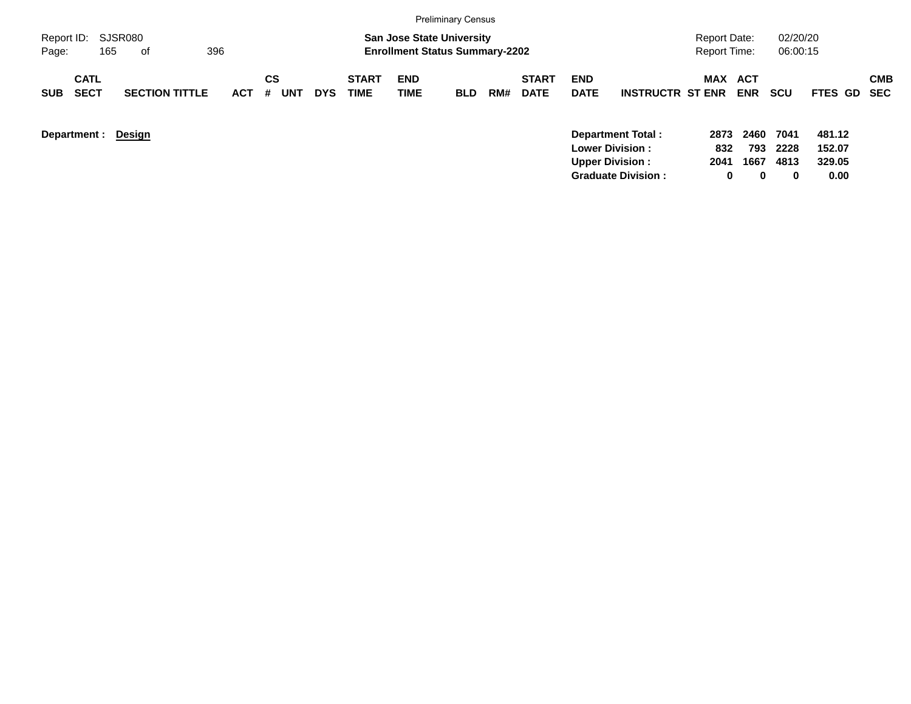|                     |                            |                       |            |                       |            |                             |                                                                           | <b>Preliminary Census</b> |     |                             |                           |                                              |                                            |                       |                      |                  |            |
|---------------------|----------------------------|-----------------------|------------|-----------------------|------------|-----------------------------|---------------------------------------------------------------------------|---------------------------|-----|-----------------------------|---------------------------|----------------------------------------------|--------------------------------------------|-----------------------|----------------------|------------------|------------|
| Report ID:<br>Page: | 165                        | SJSR080<br>396<br>of  |            |                       |            |                             | <b>San Jose State University</b><br><b>Enrollment Status Summary-2202</b> |                           |     |                             |                           |                                              | <b>Report Date:</b><br><b>Report Time:</b> |                       | 02/20/20<br>06:00:15 |                  |            |
| <b>SUB</b>          | <b>CATL</b><br><b>SECT</b> | <b>SECTION TITTLE</b> | <b>ACT</b> | <b>CS</b><br>UNT<br># | <b>DYS</b> | <b>START</b><br><b>TIME</b> | <b>END</b><br>TIME                                                        | <b>BLD</b>                | RM# | <b>START</b><br><b>DATE</b> | <b>END</b><br><b>DATE</b> | <b>INSTRUCTR ST ENR</b>                      |                                            | MAX ACT<br><b>ENR</b> | <b>SCU</b>           | FTES GD SEC      | <b>CMB</b> |
|                     | Department :               | <b>Design</b>         |            |                       |            |                             |                                                                           |                           |     |                             |                           | Department Total:<br><b>Lower Division :</b> | 2873<br>832                                | 2460<br>793           | 7041<br>2228         | 481.12<br>152.07 |            |

**Upper Division : 2041 1667 4813 329.05 Graduate Division : 0 0 0 0.00**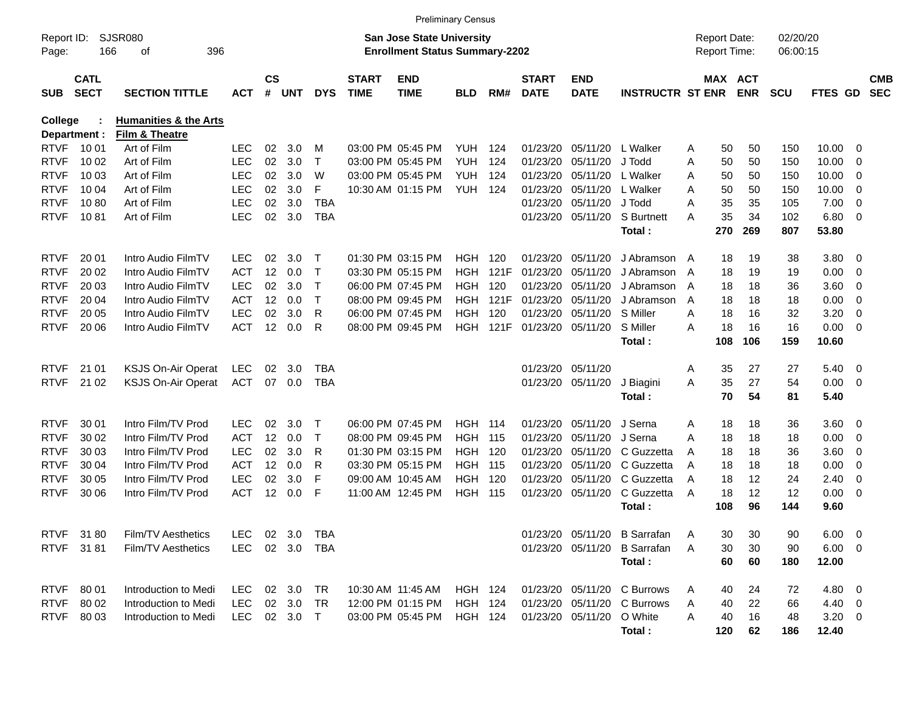|                |              |                                  |            |                   |              |            |              |                                       | <b>Preliminary Census</b> |       |              |                           |                              |   |                     |            |            |                |                          |            |
|----------------|--------------|----------------------------------|------------|-------------------|--------------|------------|--------------|---------------------------------------|---------------------------|-------|--------------|---------------------------|------------------------------|---|---------------------|------------|------------|----------------|--------------------------|------------|
| Report ID:     |              | SJSR080                          |            |                   |              |            |              | <b>San Jose State University</b>      |                           |       |              |                           |                              |   | <b>Report Date:</b> |            | 02/20/20   |                |                          |            |
| Page:          | 166          | 396<br>οf                        |            |                   |              |            |              | <b>Enrollment Status Summary-2202</b> |                           |       |              |                           |                              |   | Report Time:        |            | 06:00:15   |                |                          |            |
|                | <b>CATL</b>  |                                  |            | $\mathsf{cs}$     |              |            | <b>START</b> | <b>END</b>                            |                           |       | <b>START</b> | <b>END</b>                |                              |   | MAX ACT             |            |            |                |                          | <b>CMB</b> |
| <b>SUB</b>     | <b>SECT</b>  | <b>SECTION TITTLE</b>            | <b>ACT</b> | #                 | UNT          | <b>DYS</b> | <b>TIME</b>  | <b>TIME</b>                           | <b>BLD</b>                | RM#   | <b>DATE</b>  | <b>DATE</b>               | <b>INSTRUCTR ST ENR</b>      |   |                     | <b>ENR</b> | <b>SCU</b> | FTES GD        |                          | <b>SEC</b> |
| <b>College</b> |              | <b>Humanities &amp; the Arts</b> |            |                   |              |            |              |                                       |                           |       |              |                           |                              |   |                     |            |            |                |                          |            |
|                | Department : | Film & Theatre                   |            |                   |              |            |              |                                       |                           |       |              |                           |                              |   |                     |            |            |                |                          |            |
| <b>RTVF</b>    | 10 01        | Art of Film                      | LEC.       | 02                | 3.0          | м          |              | 03:00 PM 05:45 PM                     | YUH.                      | 124   | 01/23/20     | 05/11/20                  | L Walker                     | Α | 50                  | 50         | 150        | 10.00          | 0                        |            |
| <b>RTVF</b>    | 10 02        | Art of Film                      | <b>LEC</b> | 02                | 3.0          | т          |              | 03:00 PM 05:45 PM                     | <b>YUH</b>                | 124   | 01/23/20     | 05/11/20                  | J Todd                       | A | 50                  | 50         | 150        | 10.00          | 0                        |            |
| <b>RTVF</b>    | 10 03        | Art of Film                      | <b>LEC</b> | 02                | 3.0          | W          |              | 03:00 PM 05:45 PM                     | <b>YUH</b>                | 124   | 01/23/20     | 05/11/20                  | L Walker                     | A | 50                  | 50         | 150        | 10.00          | 0                        |            |
| <b>RTVF</b>    | 10 04        | Art of Film                      | <b>LEC</b> | 02                | 3.0          | F          |              | 10:30 AM 01:15 PM                     | YUH                       | 124   | 01/23/20     | 05/11/20                  | L Walker                     | A | 50                  | 50         | 150        | 10.00          | $\overline{0}$           |            |
| <b>RTVF</b>    | 1080         | Art of Film                      | <b>LEC</b> | 02                | 3.0          | <b>TBA</b> |              |                                       |                           |       | 01/23/20     | 05/11/20                  | J Todd                       | A | 35                  | 35         | 105        | 7.00           | $\overline{0}$           |            |
| <b>RTVF</b>    | 1081         | Art of Film                      | <b>LEC</b> | 02                | 3.0          | <b>TBA</b> |              |                                       |                           |       | 01/23/20     | 05/11/20                  | S Burtnett                   | A | 35                  | 34         | 102        | 6.80           | - 0                      |            |
|                |              |                                  |            |                   |              |            |              |                                       |                           |       |              |                           | Total:                       |   | 270                 | 269        | 807        | 53.80          |                          |            |
| <b>RTVF</b>    | 20 01        | Intro Audio FilmTV               | LEC        | 02                | 3.0          | Т          |              | 01:30 PM 03:15 PM                     | HGH.                      | 120   | 01/23/20     | 05/11/20                  | J Abramson A                 |   | 18                  | 19         | 38         | 3.80           | - 0                      |            |
| <b>RTVF</b>    | 20 02        | Intro Audio FilmTV               | <b>ACT</b> | 12                | 0.0          | Т          |              | 03:30 PM 05:15 PM                     | HGH.                      | 121F  | 01/23/20     | 05/11/20                  | J Abramson                   | A | 18                  | 19         | 19         | 0.00           | 0                        |            |
| <b>RTVF</b>    | 20 03        | Intro Audio FilmTV               | LEC        | 02                | 3.0          | Т          |              | 06:00 PM 07:45 PM                     | <b>HGH</b>                | 120   | 01/23/20     | 05/11/20                  | J Abramson                   | A | 18                  | 18         | 36         | 3.60           | 0                        |            |
| <b>RTVF</b>    | 20 04        | Intro Audio FilmTV               | <b>ACT</b> |                   | 12 0.0       | т          |              | 08:00 PM 09:45 PM                     | HGH.                      | 121F  | 01/23/20     | 05/11/20                  | J Abramson                   | A | 18                  | 18         | 18         | 0.00           | $\overline{0}$           |            |
| <b>RTVF</b>    | 20 05        | Intro Audio FilmTV               | <b>LEC</b> | 02                | 3.0          | R          |              | 06:00 PM 07:45 PM                     | <b>HGH</b>                | 120   | 01/23/20     | 05/11/20                  | S Miller                     | A | 18                  | 16         | 32         | 3.20           | $\overline{0}$           |            |
| <b>RTVF</b>    | 20 06        | Intro Audio FilmTV               | <b>ACT</b> |                   | 12 0.0       | R          |              | 08:00 PM 09:45 PM                     | HGH                       | 121F  | 01/23/20     | 05/11/20                  | S Miller                     | A | 18                  | 16         | 16         | 0.00           | - 0                      |            |
|                |              |                                  |            |                   |              |            |              |                                       |                           |       |              |                           | Total:                       |   | 108                 | 106        | 159        | 10.60          |                          |            |
| <b>RTVF</b>    | 21 01        | KSJS On-Air Operat               | <b>LEC</b> | 02                | 3.0          | TBA        |              |                                       |                           |       | 01/23/20     | 05/11/20                  |                              | Α | 35                  | 27         | 27         | 5.40           | $\overline{\mathbf{0}}$  |            |
| <b>RTVF</b>    | 21 02        | KSJS On-Air Operat               | <b>ACT</b> |                   | 07 0.0       | <b>TBA</b> |              |                                       |                           |       |              | 01/23/20 05/11/20         | J Biagini                    | A | 35                  | 27         | 54         | 0.00           | $\overline{\phantom{0}}$ |            |
|                |              |                                  |            |                   |              |            |              |                                       |                           |       |              |                           | Total:                       |   | 70                  | 54         | 81         | 5.40           |                          |            |
| <b>RTVF</b>    | 30 01        | Intro Film/TV Prod               | LEC.       | 02                | 3.0          | Т          |              | 06:00 PM 07:45 PM                     | <b>HGH 114</b>            |       | 01/23/20     | 05/11/20                  | J Serna                      | A | 18                  | 18         | 36         | 3.60           | $\overline{\mathbf{0}}$  |            |
| <b>RTVF</b>    | 30 02        | Intro Film/TV Prod               | <b>ACT</b> | 12                | 0.0          | т          |              | 08:00 PM 09:45 PM                     | <b>HGH</b>                | - 115 | 01/23/20     | 05/11/20                  | J Serna                      | A | 18                  | 18         | 18         | 0.00           | 0                        |            |
| <b>RTVF</b>    | 30 03        | Intro Film/TV Prod               | LEC        | 02                | 3.0          | R          |              | 01:30 PM 03:15 PM                     | HGH                       | 120   | 01/23/20     | 05/11/20                  | C Guzzetta                   | A | 18                  | 18         | 36         | 3.60           | 0                        |            |
| <b>RTVF</b>    | 30 04        | Intro Film/TV Prod               | <b>ACT</b> | $12 \overline{ }$ | 0.0          | R          |              | 03:30 PM 05:15 PM                     | HGH                       | - 115 | 01/23/20     | 05/11/20                  | C Guzzetta                   | A | 18                  | 18         | 18         | 0.00           | 0                        |            |
| <b>RTVF</b>    | 30 05        | Intro Film/TV Prod               | <b>LEC</b> | 02                | 3.0          | F          |              | 09:00 AM 10:45 AM                     | HGH                       | 120   | 01/23/20     | 05/11/20                  | C Guzzetta                   | A | 18                  | 12         | 24         | 2.40           | 0                        |            |
| <b>RTVF</b>    | 30 06        | Intro Film/TV Prod               | <b>ACT</b> |                   | 12 0.0       | F          |              | 11:00 AM 12:45 PM                     | HGH                       | - 115 | 01/23/20     | 05/11/20                  | C Guzzetta                   | A | 18                  | 12         | 12         | 0.00           | $\overline{\mathbf{0}}$  |            |
|                |              |                                  |            |                   |              |            |              |                                       |                           |       |              |                           | Total:                       |   | 108                 | 96         | 144        | 9.60           |                          |            |
|                | RTVF 3180    | Film/TV Aesthetics               | LEC        |                   | 02 3.0 TBA   |            |              |                                       |                           |       |              |                           | 01/23/20 05/11/20 B Sarrafan | A | 30                  | 30         | 90         | $6.00 \quad 0$ |                          |            |
|                | RTVF 3181    | Film/TV Aesthetics               | LEC        |                   | 02 3.0 TBA   |            |              |                                       |                           |       |              |                           | 01/23/20 05/11/20 B Sarrafan | A | 30                  | 30         | 90         | $6.00 \t 0$    |                          |            |
|                |              |                                  |            |                   |              |            |              |                                       |                           |       |              |                           | Total:                       |   | 60                  | 60         | 180        | 12.00          |                          |            |
| <b>RTVF</b>    | 80 01        | Introduction to Medi             | LEC.       |                   | 02 3.0       | TR         |              | 10:30 AM 11:45 AM                     | HGH 124                   |       |              |                           | 01/23/20 05/11/20 C Burrows  | A | 40                  | 24         | 72         | 4.80 0         |                          |            |
| <b>RTVF</b>    | 80 02        | Introduction to Medi             | LEC.       |                   | 02 3.0       | TR         |              | 12:00 PM 01:15 PM                     | <b>HGH 124</b>            |       |              |                           | 01/23/20 05/11/20 C Burrows  | A | 40                  | 22         | 66         | $4.40 \quad 0$ |                          |            |
| <b>RTVF</b>    | 80 03        | Introduction to Medi             |            |                   | LEC 02 3.0 T |            |              | 03:00 PM 05:45 PM                     | HGH 124                   |       |              | 01/23/20 05/11/20 O White |                              | Α | 40                  | 16         | 48         | $3.20 \ 0$     |                          |            |
|                |              |                                  |            |                   |              |            |              |                                       |                           |       |              |                           | Total:                       |   | 120                 | 62         | 186        | 12.40          |                          |            |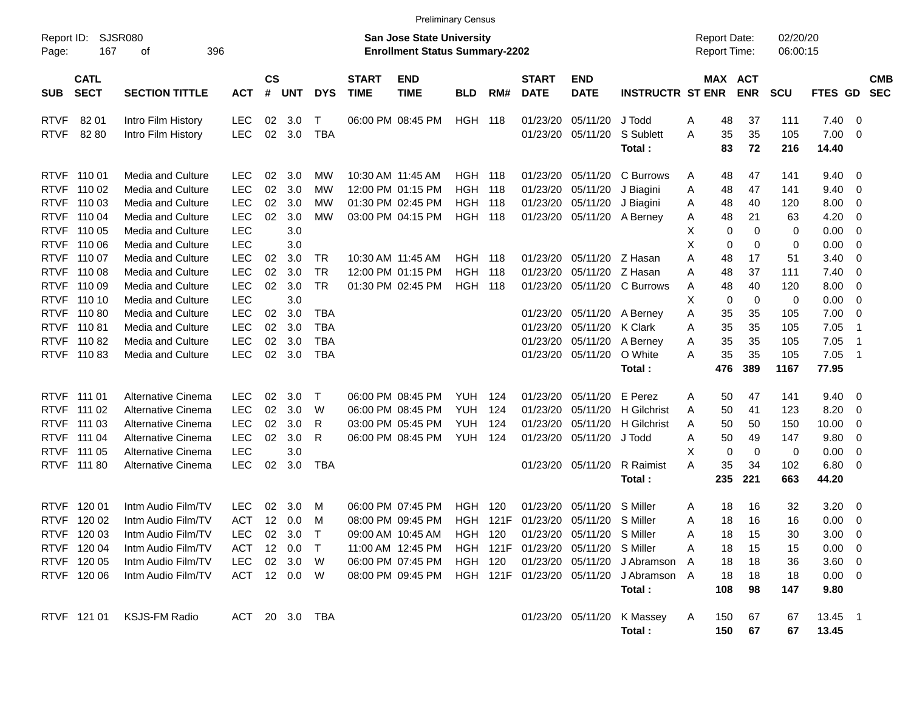|                     |                            |                             |                |                    |              |             |                             |                                                                    | <b>Preliminary Census</b> |      |                             |                                     |                              |                                     |                       |                      |                |                         |                          |
|---------------------|----------------------------|-----------------------------|----------------|--------------------|--------------|-------------|-----------------------------|--------------------------------------------------------------------|---------------------------|------|-----------------------------|-------------------------------------|------------------------------|-------------------------------------|-----------------------|----------------------|----------------|-------------------------|--------------------------|
| Report ID:<br>Page: | 167                        | <b>SJSR080</b><br>396<br>οf |                |                    |              |             |                             | San Jose State University<br><b>Enrollment Status Summary-2202</b> |                           |      |                             |                                     |                              | <b>Report Date:</b><br>Report Time: |                       | 02/20/20<br>06:00:15 |                |                         |                          |
| <b>SUB</b>          | <b>CATL</b><br><b>SECT</b> | <b>SECTION TITTLE</b>       | <b>ACT</b>     | $\mathsf{cs}$<br># | <b>UNT</b>   | <b>DYS</b>  | <b>START</b><br><b>TIME</b> | <b>END</b><br><b>TIME</b>                                          | <b>BLD</b>                | RM#  | <b>START</b><br><b>DATE</b> | <b>END</b><br><b>DATE</b>           | <b>INSTRUCTR ST ENR</b>      |                                     | MAX ACT<br><b>ENR</b> | <b>SCU</b>           | <b>FTES GD</b> |                         | <b>CMB</b><br><b>SEC</b> |
| <b>RTVF</b>         | 82 01                      | Intro Film History          | <b>LEC</b>     | 02                 | 3.0          | $\top$      |                             | 06:00 PM 08:45 PM                                                  | HGH                       | 118  | 01/23/20                    | 05/11/20                            | J Todd                       | Α                                   | 48<br>37              | 111                  | 7.40           | $\overline{0}$          |                          |
| <b>RTVF</b>         | 82 80                      | Intro Film History          | <b>LEC</b>     | 02                 | 3.0          | <b>TBA</b>  |                             |                                                                    |                           |      |                             | 01/23/20 05/11/20                   | S Sublett<br>Total:          | Α                                   | 35<br>35<br>83<br>72  | 105<br>216           | 7.00<br>14.40  | - 0                     |                          |
| <b>RTVF</b>         | 110 01                     | Media and Culture           | <b>LEC</b>     | 02                 | 3.0          | МW          |                             | 10:30 AM 11:45 AM                                                  | HGH.                      | 118  | 01/23/20                    | 05/11/20                            | C Burrows                    | Α                                   | 48<br>47              | 141                  | 9.40           | 0                       |                          |
| <b>RTVF</b>         | 110 02                     | <b>Media and Culture</b>    | <b>LEC</b>     | 02                 | 3.0          | МW          |                             | 12:00 PM 01:15 PM                                                  | <b>HGH</b>                | 118  | 01/23/20                    | 05/11/20                            | J Biagini                    | Α                                   | 48<br>47              | 141                  | 9.40           | 0                       |                          |
| <b>RTVF</b>         | 110 03                     | <b>Media and Culture</b>    | <b>LEC</b>     | 02                 | 3.0          | МW          |                             | 01:30 PM 02:45 PM                                                  | HGH                       | 118  |                             | 01/23/20 05/11/20                   | J Biagini                    | Α                                   | 48<br>40              | 120                  | 8.00           | 0                       |                          |
| <b>RTVF</b>         | 110 04                     | Media and Culture           | <b>LEC</b>     | 02                 | 3.0          | МW          |                             | 03:00 PM 04:15 PM                                                  | HGH                       | 118  |                             | 01/23/20 05/11/20 A Berney          |                              | Α                                   | 48<br>21              | 63                   | 4.20           | 0                       |                          |
| <b>RTVF</b>         | 110 05                     | Media and Culture           | <b>LEC</b>     |                    | 3.0          |             |                             |                                                                    |                           |      |                             |                                     |                              | X                                   | 0                     | 0<br>0               | 0.00           | 0                       |                          |
| <b>RTVF</b>         | 110 06                     | Media and Culture           | <b>LEC</b>     |                    | 3.0          |             |                             |                                                                    |                           |      |                             |                                     |                              | X                                   | 0                     | 0<br>0               | 0.00           | 0                       |                          |
| <b>RTVF</b>         | 110 07                     | Media and Culture           | <b>LEC</b>     | 02                 | 3.0          | TR          |                             | 10:30 AM 11:45 AM                                                  | HGH.                      | 118  |                             | 01/23/20 05/11/20 Z Hasan           |                              | Α                                   | 48<br>17              | 51                   | 3.40           | 0                       |                          |
| <b>RTVF</b>         | 110 08                     | <b>Media and Culture</b>    | <b>LEC</b>     | 02                 | 3.0          | <b>TR</b>   |                             | 12:00 PM 01:15 PM                                                  | <b>HGH</b>                | 118  |                             | 01/23/20 05/11/20 Z Hasan           |                              | Α                                   | 48<br>37              | 111                  | 7.40           | 0                       |                          |
| <b>RTVF</b>         | 110 09                     | Media and Culture           | <b>LEC</b>     | 02                 | 3.0          | <b>TR</b>   |                             | 01:30 PM 02:45 PM                                                  | HGH                       | 118  |                             | 01/23/20 05/11/20                   | C Burrows                    | Α                                   | 48<br>40              | 120                  | 8.00           | 0                       |                          |
| <b>RTVF</b>         | 110 10                     | Media and Culture           | <b>LEC</b>     |                    | 3.0          |             |                             |                                                                    |                           |      |                             |                                     |                              | X                                   | 0<br>0                | 0                    | 0.00           | 0                       |                          |
| <b>RTVF</b>         | 11080                      | Media and Culture           | <b>LEC</b>     | 02                 | 3.0          | <b>TBA</b>  |                             |                                                                    |                           |      |                             | 01/23/20 05/11/20 A Berney          |                              | Α                                   | 35<br>35              | 105                  | 7.00           | 0                       |                          |
| <b>RTVF</b>         | 11081                      | Media and Culture           | <b>LEC</b>     | 02                 | 3.0          | <b>TBA</b>  |                             |                                                                    |                           |      |                             | 01/23/20 05/11/20                   | K Clark                      | Α                                   | 35<br>35              | 105                  | 7.05           | -1                      |                          |
| <b>RTVF</b>         | 11082                      | <b>Media and Culture</b>    | <b>LEC</b>     | 02                 | 3.0          | <b>TBA</b>  |                             |                                                                    |                           |      |                             | 01/23/20 05/11/20                   | A Berney                     | Α                                   | 35<br>35              | 105                  | 7.05           | -1                      |                          |
| <b>RTVF</b>         | 11083                      | <b>Media and Culture</b>    | <b>LEC</b>     | 02                 | 3.0          | <b>TBA</b>  |                             |                                                                    |                           |      |                             | 01/23/20 05/11/20                   | O White                      | Α                                   | 35<br>35              | 105                  | 7.05           | -1                      |                          |
|                     |                            |                             |                |                    |              |             |                             |                                                                    |                           |      |                             |                                     | Total:                       | 476                                 | 389                   | 1167                 | 77.95          |                         |                          |
| <b>RTVF</b>         | 111 01                     | Alternative Cinema          | <b>LEC</b>     | 02                 | 3.0          | $\mathsf T$ |                             | 06:00 PM 08:45 PM                                                  | YUH                       | 124  | 01/23/20                    | 05/11/20                            | E Perez                      | Α                                   | 50<br>47              | 141                  | 9.40           | $\overline{\mathbf{0}}$ |                          |
| <b>RTVF</b>         | 111 02                     | Alternative Cinema          | <b>LEC</b>     | 02                 | 3.0          | W           |                             | 06:00 PM 08:45 PM                                                  | <b>YUH</b>                | 124  | 01/23/20                    | 05/11/20                            | H Gilchrist                  | Α                                   | 50<br>41              | 123                  | 8.20           | 0                       |                          |
| <b>RTVF</b>         | 111 03                     | Alternative Cinema          | <b>LEC</b>     | 02                 | 3.0          | R           |                             | 03:00 PM 05:45 PM                                                  | YUH.                      | 124  | 01/23/20                    | 05/11/20                            | <b>H</b> Gilchrist           | Α                                   | 50<br>50              | 150                  | 10.00          | 0                       |                          |
| <b>RTVF</b>         | 111 04                     | Alternative Cinema          | <b>LEC</b>     | 02                 | 3.0          | R           |                             | 06:00 PM 08:45 PM                                                  | <b>YUH</b>                | 124  |                             | 01/23/20 05/11/20                   | J Todd                       | Α                                   | 50<br>49              | 147                  | 9.80           | 0                       |                          |
| <b>RTVF</b>         | 111 05                     | Alternative Cinema          | <b>LEC</b>     |                    | 3.0          |             |                             |                                                                    |                           |      |                             |                                     |                              | X                                   | 0<br>0                | 0                    | 0.00           | 0                       |                          |
| <b>RTVF</b>         | 111 80                     | Alternative Cinema          | <b>LEC</b>     | 02                 | 3.0          | <b>TBA</b>  |                             |                                                                    |                           |      |                             | 01/23/20 05/11/20                   | <b>R</b> Raimist             | Α                                   | 35<br>34              | 102                  | 6.80           | 0                       |                          |
|                     |                            |                             |                |                    |              |             |                             |                                                                    |                           |      |                             |                                     | Total:                       | 235                                 | 221                   | 663                  | 44.20          |                         |                          |
| <b>RTVF</b>         | 120 01                     | Intm Audio Film/TV          | LEC            | 02                 | 3.0          | м           |                             | 06:00 PM 07:45 PM                                                  | HGH                       | 120  | 01/23/20                    | 05/11/20                            | S Miller                     | Α                                   | 18<br>16              | 32                   | 3.20           | $\overline{\mathbf{0}}$ |                          |
| <b>RTVF</b>         | 120 02                     | Intm Audio Film/TV          | <b>ACT</b>     | 12 <sup>°</sup>    | 0.0          | M           |                             | 08:00 PM 09:45 PM                                                  | HGH                       | 121F |                             | 01/23/20 05/11/20 S Miller          |                              | Α                                   | 18<br>16              | 16                   | 0.00           | $\overline{\mathbf{0}}$ |                          |
|                     | RTVF 120 03                | Intm Audio Film/TV          | <b>LEC</b>     |                    | 02 3.0       | $\top$      |                             | 09:00 AM 10:45 AM                                                  | HGH 120                   |      |                             | 01/23/20 05/11/20 S Miller          |                              | A                                   | 18<br>15              | 30                   | $3.00 \ 0$     |                         |                          |
|                     | RTVF 120 04                | Intm Audio Film/TV          | ACT            |                    | 12 0.0       | $\top$      |                             | 11:00 AM 12:45 PM                                                  |                           |      |                             | HGH 121F 01/23/20 05/11/20 S Miller |                              | Α                                   | 18<br>15              | 15                   | $0.00 \t 0$    |                         |                          |
|                     | RTVF 120 05                | Intm Audio Film/TV          | <b>LEC</b>     |                    | 02 3.0 W     |             |                             | 06:00 PM 07:45 PM                                                  | HGH 120                   |      |                             |                                     | 01/23/20 05/11/20 J Abramson | A                                   | 18<br>18              | 36                   | $3.60 \quad 0$ |                         |                          |
|                     | RTVF 120 06                | Intm Audio Film/TV          |                |                    | ACT 12 0.0 W |             |                             | 08:00 PM 09:45 PM                                                  |                           |      | HGH 121F 01/23/20 05/11/20  |                                     | J Abramson A                 |                                     | 18<br>18              | 18                   | $0.00 \t 0$    |                         |                          |
|                     |                            |                             |                |                    |              |             |                             |                                                                    |                           |      |                             |                                     | Total:                       | 108                                 | 98                    | 147                  | 9.80           |                         |                          |
|                     | RTVF 121 01                | <b>KSJS-FM Radio</b>        | ACT 20 3.0 TBA |                    |              |             |                             |                                                                    |                           |      |                             |                                     | 01/23/20 05/11/20 K Massey   | 150<br>A                            | 67                    | 67                   | 13.45 1        |                         |                          |
|                     |                            |                             |                |                    |              |             |                             |                                                                    |                           |      |                             |                                     | Total:                       | 150                                 | 67                    | 67                   | 13.45          |                         |                          |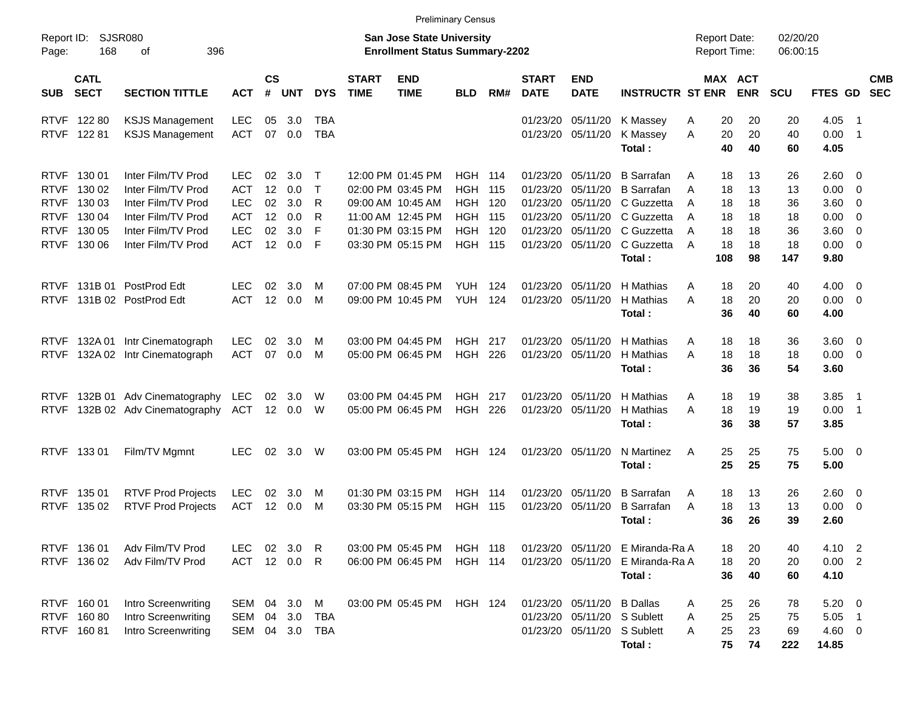|                     |                            |                                |              |                 |            |                |                             |                                                                           | <b>Preliminary Census</b> |       |                             |                            |                                  |                                            |                       |                      |             |     |                          |
|---------------------|----------------------------|--------------------------------|--------------|-----------------|------------|----------------|-----------------------------|---------------------------------------------------------------------------|---------------------------|-------|-----------------------------|----------------------------|----------------------------------|--------------------------------------------|-----------------------|----------------------|-------------|-----|--------------------------|
| Report ID:<br>Page: | 168                        | SJSR080<br>396<br>οf           |              |                 |            |                |                             | <b>San Jose State University</b><br><b>Enrollment Status Summary-2202</b> |                           |       |                             |                            |                                  | <b>Report Date:</b><br><b>Report Time:</b> |                       | 02/20/20<br>06:00:15 |             |     |                          |
| <b>SUB</b>          | <b>CATL</b><br><b>SECT</b> | <b>SECTION TITTLE</b>          | <b>ACT</b>   | <b>CS</b><br>#  | <b>UNT</b> | <b>DYS</b>     | <b>START</b><br><b>TIME</b> | <b>END</b><br><b>TIME</b>                                                 | <b>BLD</b>                | RM#   | <b>START</b><br><b>DATE</b> | <b>END</b><br><b>DATE</b>  | <b>INSTRUCTR ST ENR</b>          |                                            | MAX ACT<br><b>ENR</b> | <b>SCU</b>           | FTES GD     |     | <b>CMB</b><br><b>SEC</b> |
|                     | RTVF 122 80                | <b>KSJS Management</b>         | <b>LEC</b>   | 05              | 3.0        | <b>TBA</b>     |                             |                                                                           |                           |       | 01/23/20                    | 05/11/20                   | K Massey                         | 20<br>Α                                    | 20                    | 20                   | 4.05        | - 1 |                          |
|                     | RTVF 122 81                | <b>KSJS Management</b>         | <b>ACT</b>   | 07              | 0.0        | <b>TBA</b>     |                             |                                                                           |                           |       |                             | 01/23/20 05/11/20          | K Massey                         | 20<br>A                                    | 20                    | 40                   | $0.00$ 1    |     |                          |
|                     |                            |                                |              |                 |            |                |                             |                                                                           |                           |       |                             |                            | Total:                           | 40                                         | 40                    | 60                   | 4.05        |     |                          |
|                     | RTVF 130 01                | Inter Film/TV Prod             | <b>LEC</b>   | 02              | 3.0        | $\top$         |                             | 12:00 PM 01:45 PM                                                         | HGH                       | 114   | 01/23/20                    | 05/11/20                   | <b>B</b> Sarrafan                | 18<br>A                                    | 13                    | 26                   | 2.60 0      |     |                          |
| <b>RTVF</b>         | 130 02                     | Inter Film/TV Prod             | <b>ACT</b>   | 12              | 0.0        | $\top$         |                             | 02:00 PM 03:45 PM                                                         | <b>HGH</b>                | 115   | 01/23/20                    | 05/11/20                   | <b>B</b> Sarrafan                | 18<br>A                                    | 13                    | 13                   | $0.00 \t 0$ |     |                          |
|                     | RTVF 130 03                | Inter Film/TV Prod             | <b>LEC</b>   | 02              | 3.0        | R              |                             | 09:00 AM 10:45 AM                                                         | HGH.                      | 120   | 01/23/20                    | 05/11/20                   | C Guzzetta                       | 18<br>A                                    | 18                    | 36                   | $3.60 \ 0$  |     |                          |
|                     | RTVF 130 04                | Inter Film/TV Prod             | ACT          | 12              | 0.0        | R              |                             | 11:00 AM 12:45 PM                                                         | HGH.                      | 115   | 01/23/20                    | 05/11/20                   | C Guzzetta                       | 18<br>A                                    | 18                    | 18                   | $0.00 \t 0$ |     |                          |
|                     | RTVF 130 05                | Inter Film/TV Prod             | <b>LEC</b>   | 02              | 3.0        | F              |                             | 01:30 PM 03:15 PM                                                         | <b>HGH</b>                | 120   | 01/23/20                    | 05/11/20                   | C Guzzetta                       | 18<br>A                                    | 18                    | 36                   | $3.60 \ 0$  |     |                          |
|                     | RTVF 130 06                | Inter Film/TV Prod             | <b>ACT</b>   |                 | 12 0.0     | F              |                             | 03:30 PM 05:15 PM                                                         | <b>HGH 115</b>            |       |                             | 01/23/20 05/11/20          | C Guzzetta                       | 18<br>A                                    | 18                    | 18                   | $0.00 \t 0$ |     |                          |
|                     |                            |                                |              |                 |            |                |                             |                                                                           |                           |       |                             |                            | Total:                           | 108                                        | 98                    | 147                  | 9.80        |     |                          |
|                     |                            | RTVF 131B 01 PostProd Edt      | <b>LEC</b>   | 02              | 3.0        | M              |                             | 07:00 PM 08:45 PM                                                         | YUH                       | 124   | 01/23/20                    | 05/11/20                   | H Mathias                        | 18<br>Α                                    | 20                    | 40                   | $4.00 \ 0$  |     |                          |
|                     |                            | RTVF 131B 02 PostProd Edt      | <b>ACT</b>   | 12 <sup>2</sup> | 0.0        | M              |                             | 09:00 PM 10:45 PM                                                         | <b>YUH</b>                | 124   |                             | 01/23/20 05/11/20          | H Mathias                        | 18<br>A                                    | 20                    | 20                   | $0.00 \t 0$ |     |                          |
|                     |                            |                                |              |                 |            |                |                             |                                                                           |                           |       |                             |                            | Total:                           | 36                                         | 40                    | 60                   | 4.00        |     |                          |
| <b>RTVF</b>         | 132A 01                    | Intr Cinematograph             | <b>LEC</b>   | 02              | 3.0        | M              |                             | 03:00 PM 04:45 PM                                                         | HGH                       | 217   | 01/23/20                    | 05/11/20                   | H Mathias                        | 18<br>A                                    | 18                    | 36                   | $3.60 \ 0$  |     |                          |
| <b>RTVF</b>         |                            | 132A 02 Intr Cinematograph     | <b>ACT</b>   | 07              | 0.0        | M              |                             | 05:00 PM 06:45 PM                                                         | <b>HGH</b>                | 226   |                             | 01/23/20 05/11/20          | H Mathias                        | 18<br>A                                    | 18                    | 18                   | $0.00 \t 0$ |     |                          |
|                     |                            |                                |              |                 |            |                |                             |                                                                           |                           |       |                             |                            | Total:                           | 36                                         | 36                    | 54                   | 3.60        |     |                          |
| <b>RTVF</b>         |                            | 132B 01 Adv Cinematography     | LEC          | 02              | 3.0        | W              |                             | 03:00 PM 04:45 PM                                                         | HGH                       | 217   | 01/23/20                    | 05/11/20                   | H Mathias                        | 18<br>A                                    | 19                    | 38                   | 3.85        | - 1 |                          |
| <b>RTVF</b>         |                            | 132B 02 Adv Cinematography ACT |              |                 | 12 0.0     | W              |                             | 05:00 PM 06:45 PM                                                         | HGH                       | 226   |                             | 01/23/20 05/11/20          | H Mathias                        | A<br>18                                    | 19                    | 19                   | $0.00$ 1    |     |                          |
|                     |                            |                                |              |                 |            |                |                             |                                                                           |                           |       |                             |                            | Total:                           | 36                                         | 38                    | 57                   | 3.85        |     |                          |
|                     | RTVF 133 01                | Film/TV Mgmnt                  | <b>LEC</b>   | 02              | 3.0        | W              |                             | 03:00 PM 05:45 PM                                                         | <b>HGH 124</b>            |       |                             | 01/23/20 05/11/20          | N Martinez                       | 25<br>A                                    | 25                    | 75                   | $5.00 \t 0$ |     |                          |
|                     |                            |                                |              |                 |            |                |                             |                                                                           |                           |       |                             |                            | Total:                           | 25                                         | 25                    | 75                   | 5.00        |     |                          |
|                     | RTVF 135 01                | <b>RTVF Prod Projects</b>      | LEC          | 02              | 3.0        | M              |                             | 01:30 PM 03:15 PM                                                         | HGH                       | 114   | 01/23/20                    | 05/11/20                   | <b>B</b> Sarrafan                | 18<br>A                                    | 13                    | 26                   | $2.60 \t 0$ |     |                          |
| <b>RTVF</b>         | 135 02                     | <b>RTVF Prod Projects</b>      | <b>ACT</b>   | 12 <sup>2</sup> | 0.0        | M              |                             | 03:30 PM 05:15 PM                                                         | HGH                       | - 115 | 01/23/20                    | 05/11/20                   | <b>B</b> Sarrafan                | A<br>18                                    | 13                    | 13                   | $0.00 \t 0$ |     |                          |
|                     |                            |                                |              |                 |            |                |                             |                                                                           |                           |       |                             |                            | Total :                          | 36                                         | 26                    | 39                   | 2.60        |     |                          |
|                     | RTVF 136 01                | Adv Film/TV Prod               | <b>LEC</b>   |                 | 02 3.0     | $R_{\rm}$      |                             | 03:00 PM 05:45 PM                                                         | <b>HGH 118</b>            |       |                             |                            | 01/23/20 05/11/20 E Miranda-Ra A | 18                                         | 20                    | 40                   | 4.10 2      |     |                          |
|                     | RTVF 136 02                | Adv Film/TV Prod               | ACT 12 0.0 R |                 |            |                |                             | 06:00 PM 06:45 PM                                                         | <b>HGH 114</b>            |       |                             |                            | 01/23/20 05/11/20 E Miranda-Ra A | 18                                         | 20                    | 20                   | $0.00$ 2    |     |                          |
|                     |                            |                                |              |                 |            |                |                             |                                                                           |                           |       |                             |                            | Total:                           | 36                                         | 40                    | 60                   | 4.10        |     |                          |
|                     | RTVF 160 01                | Intro Screenwriting            | SEM 04 3.0   |                 |            | M              |                             | 03:00 PM 05:45 PM                                                         | HGH 124                   |       |                             | 01/23/20 05/11/20 B Dallas |                                  | 25<br>Α                                    | 26                    | 78                   | $5.20 \t 0$ |     |                          |
|                     | RTVF 160 80                | Intro Screenwriting            | SEM          |                 | 04 3.0     | TBA            |                             |                                                                           |                           |       |                             |                            | 01/23/20 05/11/20 S Sublett      | 25<br>Α                                    | 25                    | 75                   | $5.05$ 1    |     |                          |
|                     | RTVF 160 81                | Intro Screenwriting            |              |                 |            | SEM 04 3.0 TBA |                             |                                                                           |                           |       |                             |                            | 01/23/20 05/11/20 S Sublett      | 25<br>A                                    | 23                    | 69                   | $4.60$ 0    |     |                          |
|                     |                            |                                |              |                 |            |                |                             |                                                                           |                           |       |                             |                            | Total:                           | 75                                         | 74                    | 222                  | 14.85       |     |                          |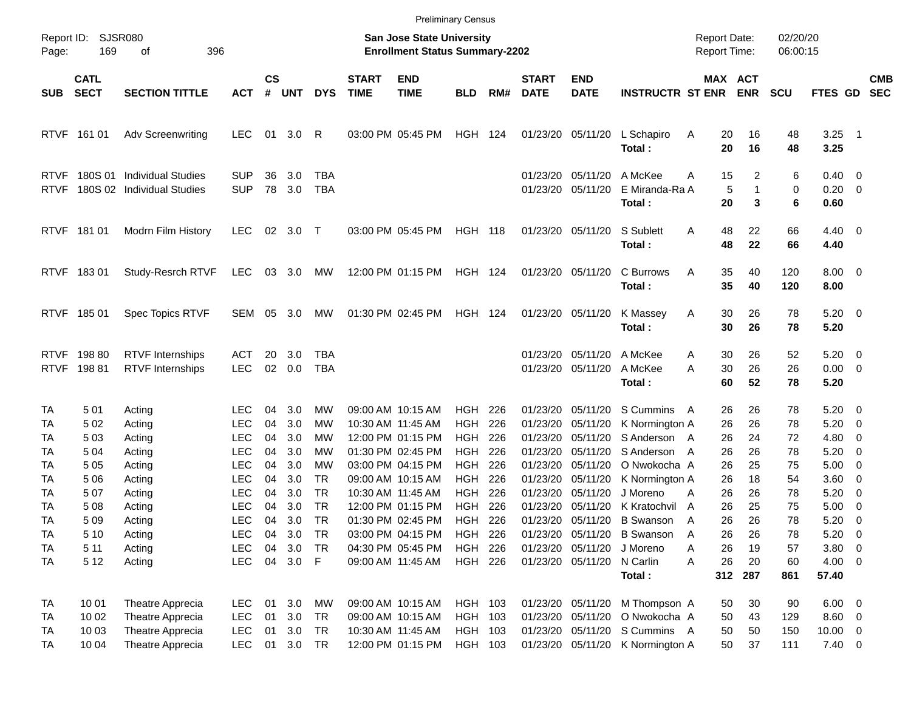|                            |                            |                                                          |                                        |                    |                        |                                     |                             |                                                                    | <b>Preliminary Census</b>     |                   |                                  |                                                             |                                               |                                     |                        |                      |                                      |                                                                                |                          |
|----------------------------|----------------------------|----------------------------------------------------------|----------------------------------------|--------------------|------------------------|-------------------------------------|-----------------------------|--------------------------------------------------------------------|-------------------------------|-------------------|----------------------------------|-------------------------------------------------------------|-----------------------------------------------|-------------------------------------|------------------------|----------------------|--------------------------------------|--------------------------------------------------------------------------------|--------------------------|
| Page:                      | Report ID: SJSR080<br>169  | 396<br>οf                                                |                                        |                    |                        |                                     |                             | San Jose State University<br><b>Enrollment Status Summary-2202</b> |                               |                   |                                  |                                                             |                                               | <b>Report Date:</b><br>Report Time: |                        | 02/20/20<br>06:00:15 |                                      |                                                                                |                          |
| <b>SUB</b>                 | <b>CATL</b><br><b>SECT</b> | <b>SECTION TITTLE</b>                                    | <b>ACT</b>                             | $\mathsf{cs}$<br># | <b>UNT</b>             | <b>DYS</b>                          | <b>START</b><br><b>TIME</b> | <b>END</b><br><b>TIME</b>                                          | <b>BLD</b>                    | RM#               | <b>START</b><br><b>DATE</b>      | <b>END</b><br><b>DATE</b>                                   | <b>INSTRUCTR ST ENR</b>                       |                                     | MAX ACT<br><b>ENR</b>  | <b>SCU</b>           | FTES GD                              |                                                                                | <b>CMB</b><br><b>SEC</b> |
| <b>RTVF</b>                | 161 01                     | <b>Adv Screenwriting</b>                                 | <b>LEC</b>                             | 01                 | 3.0                    | R                                   |                             | 03:00 PM 05:45 PM                                                  | <b>HGH 124</b>                |                   |                                  | 01/23/20 05/11/20                                           | L Schapiro<br>Total:                          | 20<br>Α<br>20                       | 16<br>16               | 48<br>48             | $3.25$ 1<br>3.25                     |                                                                                |                          |
| <b>RTVF</b><br><b>RTVF</b> | 180S 01                    | <b>Individual Studies</b><br>180S 02 Individual Studies  | <b>SUP</b><br><b>SUP</b>               | 36<br>78           | 3.0<br>3.0             | TBA<br>TBA                          |                             |                                                                    |                               |                   | 01/23/20                         | 05/11/20<br>01/23/20 05/11/20                               | A McKee<br>E Miranda-Ra A<br>Total:           | 15<br>Α<br>5<br>20                  | 2<br>$\mathbf{1}$<br>3 | 6<br>0<br>6          | $0.40 \quad 0$<br>$0.20 \ 0$<br>0.60 |                                                                                |                          |
|                            | RTVF 181 01                | Modrn Film History                                       | <b>LEC</b>                             | 02                 | 3.0                    | $\top$                              |                             | 03:00 PM 05:45 PM                                                  | <b>HGH 118</b>                |                   |                                  | 01/23/20 05/11/20                                           | S Sublett<br>Total:                           | Α<br>48<br>48                       | 22<br>22               | 66<br>66             | $4.40 \quad 0$<br>4.40               |                                                                                |                          |
|                            | RTVF 18301                 | Study-Resrch RTVF                                        | LEC                                    |                    | 03 3.0                 | МW                                  |                             | 12:00 PM 01:15 PM                                                  | HGH 124                       |                   |                                  | 01/23/20 05/11/20                                           | C Burrows<br>Total:                           | 35<br>Α<br>35                       | 40<br>40               | 120<br>120           | $8.00 \t 0$<br>8.00                  |                                                                                |                          |
|                            | RTVF 18501                 | Spec Topics RTVF                                         | <b>SEM</b>                             | 05                 | 3.0                    | MW                                  |                             | 01:30 PM 02:45 PM                                                  | <b>HGH 124</b>                |                   |                                  | 01/23/20 05/11/20                                           | K Massey<br>Total:                            | 30<br>Α<br>30                       | 26<br>26               | 78<br>78             | $5.20 \ 0$<br>5.20                   |                                                                                |                          |
| <b>RTVF</b><br><b>RTVF</b> | 198 80<br>19881            | <b>RTVF Internships</b><br><b>RTVF Internships</b>       | <b>ACT</b><br><b>LEC</b>               | 20<br>02           | 3.0<br>0.0             | TBA<br>TBA                          |                             |                                                                    |                               |                   | 01/23/20                         | 05/11/20<br>01/23/20 05/11/20                               | A McKee<br>A McKee<br>Total:                  | 30<br>Α<br>A<br>30<br>60            | 26<br>26<br>52         | 52<br>26<br>78       | 5.20<br>$0.00 \t 0$<br>5.20          | $\overline{\phantom{0}}$                                                       |                          |
| TA<br>TA<br>TA             | 501<br>5 0 2<br>503        | Acting<br>Acting<br>Acting                               | LEC<br><b>LEC</b><br><b>LEC</b>        | 04<br>04<br>04     | 3.0<br>3.0<br>3.0      | MW<br>MW<br>MW                      |                             | 09:00 AM 10:15 AM<br>10:30 AM 11:45 AM<br>12:00 PM 01:15 PM        | HGH.<br><b>HGH</b><br>HGH.    | 226<br>226<br>226 | 01/23/20<br>01/23/20<br>01/23/20 | 05/11/20<br>05/11/20<br>05/11/20                            | S Cummins<br>K Normington A<br>S Anderson A   | 26<br>A<br>26<br>26                 | 26<br>26<br>24         | 78<br>78<br>72       | $5.20 \ 0$<br>5.20<br>4.80           | $\overline{\phantom{0}}$<br>$\overline{\mathbf{0}}$                            |                          |
| TA<br>TA<br>TA             | 5 04<br>505<br>5 0 6       | Acting<br>Acting<br>Acting                               | <b>LEC</b><br><b>LEC</b><br><b>LEC</b> | 04<br>04<br>04     | 3.0<br>3.0<br>3.0      | MW<br>MW<br>TR.                     |                             | 01:30 PM 02:45 PM<br>03:00 PM 04:15 PM<br>09:00 AM 10:15 AM        | HGH.<br><b>HGH</b><br>HGH     | 226<br>226<br>226 | 01/23/20<br>01/23/20<br>01/23/20 | 05/11/20<br>05/11/20<br>05/11/20                            | S Anderson<br>O Nwokocha A<br>K Normington A  | 26<br>A<br>26<br>26                 | 26<br>25<br>18         | 78<br>75<br>54       | 5.20<br>5.00<br>3.60                 | $\overline{\mathbf{0}}$<br>$\overline{\phantom{0}}$<br>$\overline{\mathbf{0}}$ |                          |
| TA<br>TA<br>TA             | 507<br>508<br>509          | Acting<br>Acting<br>Acting                               | <b>LEC</b><br><b>LEC</b><br><b>LEC</b> | 04<br>04<br>04     | 3.0<br>3.0<br>3.0      | <b>TR</b><br><b>TR</b><br><b>TR</b> |                             | 10:30 AM 11:45 AM<br>12:00 PM 01:15 PM<br>01:30 PM 02:45 PM        | HGH<br>HGH<br>HGH             | 226<br>226<br>226 | 01/23/20<br>01/23/20             | 05/11/20<br>05/11/20<br>01/23/20 05/11/20                   | J Moreno<br>K Kratochvil<br><b>B</b> Swanson  | 26<br>Α<br>26<br>A<br>26<br>A       | 26<br>25<br>26         | 78<br>75<br>78       | 5.20<br>5.00<br>5.20                 | $\overline{\mathbf{0}}$<br>$\overline{\mathbf{0}}$<br>- 0                      |                          |
| TA<br>TA<br>TA             | 5 1 0<br>5 1 1<br>5 1 2    | Acting<br>Acting<br>Acting                               | <b>LEC</b><br><b>LEC</b><br><b>LEC</b> | 04<br>04           | 3.0<br>3.0<br>04 3.0 F | TR<br>TR                            |                             | 03:00 PM 04:15 PM<br>04:30 PM 05:45 PM<br>09:00 AM 11:45 AM        | HGH<br><b>HGH</b><br>HGH 226  | 226<br>226        |                                  | 01/23/20 05/11/20<br>01/23/20 05/11/20<br>01/23/20 05/11/20 | <b>B</b> Swanson<br>J Moreno<br>N Carlin      | 26<br>A<br>26<br>Α<br>26<br>A       | 26<br>19<br>20         | 78<br>57<br>60       | 5.20<br>$3.80\ 0$<br>4.00 0          | $\overline{\mathbf{0}}$                                                        |                          |
| <b>TA</b>                  | 10 01                      | Theatre Apprecia                                         | <b>LEC</b>                             | 01                 | 3.0                    | MW                                  |                             | 09:00 AM 10:15 AM                                                  | HGH 103                       |                   |                                  | 01/23/20 05/11/20                                           | Total:<br>M Thompson A                        | 50                                  | 312 287<br>30          | 861<br>90            | 57.40<br>$6.00 \t 0$                 |                                                                                |                          |
| TA<br>TA<br>TA             | 10 02<br>10 03<br>10 04    | Theatre Apprecia<br>Theatre Apprecia<br>Theatre Apprecia | <b>LEC</b><br><b>LEC</b><br><b>LEC</b> | 01<br>01<br>01     | 3.0<br>3.0<br>3.0 TR   | TR<br>TR                            |                             | 09:00 AM 10:15 AM<br>10:30 AM 11:45 AM<br>12:00 PM 01:15 PM        | HGH 103<br>HGH 103<br>HGH 103 |                   |                                  | 01/23/20 05/11/20<br>01/23/20 05/11/20<br>01/23/20 05/11/20 | O Nwokocha A<br>S Cummins A<br>K Normington A | 50<br>50<br>50                      | 43<br>50<br>37         | 129<br>150<br>111    | 8.60 0<br>$10.00 \t 0$<br>$7.40 \ 0$ |                                                                                |                          |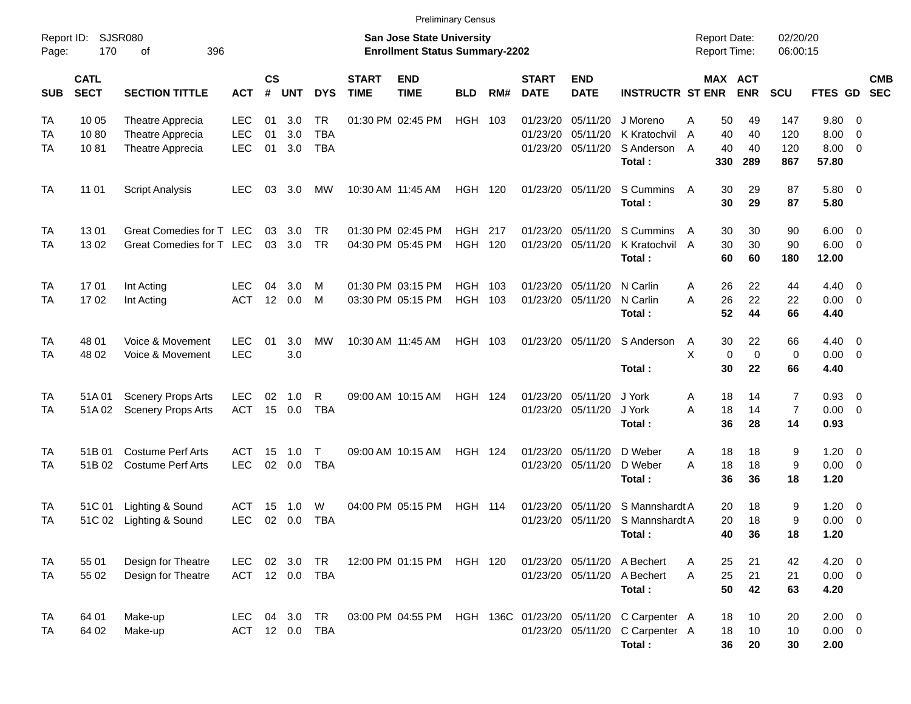| Report ID:<br>Page:    | 170                        | SJSR080<br>396<br>οf                                     |                                        |                             |                   |                                       |                             | <b>San Jose State University</b><br><b>Enrollment Status Summary-2202</b> |                          |            |                                  |                                        |                                                  |             | <b>Report Date:</b><br><b>Report Time:</b> |                         | 02/20/20<br>06:00:15      |                                    |                                                     |                          |
|------------------------|----------------------------|----------------------------------------------------------|----------------------------------------|-----------------------------|-------------------|---------------------------------------|-----------------------------|---------------------------------------------------------------------------|--------------------------|------------|----------------------------------|----------------------------------------|--------------------------------------------------|-------------|--------------------------------------------|-------------------------|---------------------------|------------------------------------|-----------------------------------------------------|--------------------------|
| <b>SUB</b>             | <b>CATL</b><br><b>SECT</b> | <b>SECTION TITTLE</b>                                    | <b>ACT</b>                             | $\mathsf{cs}$<br>$\pmb{\#}$ | <b>UNT</b>        | <b>DYS</b>                            | <b>START</b><br><b>TIME</b> | <b>END</b><br><b>TIME</b>                                                 | <b>BLD</b>               | RM#        | <b>START</b><br><b>DATE</b>      | <b>END</b><br><b>DATE</b>              | <b>INSTRUCTR ST ENR</b>                          |             | MAX ACT                                    | <b>ENR</b>              | SCU                       | FTES GD                            |                                                     | <b>CMB</b><br><b>SEC</b> |
| TA<br>TA<br>TA         | 10 05<br>1080<br>1081      | Theatre Apprecia<br>Theatre Apprecia<br>Theatre Apprecia | <b>LEC</b><br><b>LEC</b><br><b>LEC</b> | 01<br>01<br>01              | 3.0<br>3.0<br>3.0 | <b>TR</b><br><b>TBA</b><br><b>TBA</b> |                             | 01:30 PM 02:45 PM                                                         | <b>HGH</b>               | 103        | 01/23/20<br>01/23/20<br>01/23/20 | 05/11/20<br>05/11/20<br>05/11/20       | J Moreno<br>K Kratochvil<br>S Anderson<br>Total: | Α<br>A<br>A | 50<br>40<br>40<br>330                      | 49<br>40<br>40<br>289   | 147<br>120<br>120<br>867  | 9.80<br>8.00<br>8.00<br>57.80      | - 0<br>$\overline{0}$<br>$\overline{\mathbf{0}}$    |                          |
| <b>TA</b>              | 11 01                      | <b>Script Analysis</b>                                   | <b>LEC</b>                             | 03                          | 3.0               | MW                                    |                             | 10:30 AM 11:45 AM                                                         | <b>HGH 120</b>           |            |                                  | 01/23/20 05/11/20                      | S Cummins<br>Total:                              | A           | 30<br>30                                   | 29<br>29                | 87<br>87                  | 5.80 0<br>5.80                     |                                                     |                          |
| TA<br>TA               | 1301<br>1302               | Great Comedies for T LEC<br>Great Comedies for T LEC     |                                        | 03<br>03                    | 3.0<br>3.0        | <b>TR</b><br><b>TR</b>                |                             | 01:30 PM 02:45 PM<br>04:30 PM 05:45 PM                                    | <b>HGH</b><br><b>HGH</b> | 217<br>120 | 01/23/20<br>01/23/20             | 05/11/20<br>05/11/20                   | S Cummins<br>K Kratochvil A<br>Total:            | A           | 30<br>30<br>60                             | 30<br>30<br>60          | 90<br>90<br>180           | 6.00<br>6.00<br>12.00              | $\overline{\mathbf{0}}$<br>$\overline{0}$           |                          |
| TA<br>TA               | 1701<br>1702               | Int Acting<br>Int Acting                                 | <b>LEC</b><br><b>ACT</b>               | 04<br>12                    | 3.0<br>0.0        | M<br>M                                |                             | 01:30 PM 03:15 PM<br>03:30 PM 05:15 PM                                    | <b>HGH</b><br><b>HGH</b> | 103<br>103 | 01/23/20<br>01/23/20             | 05/11/20<br>05/11/20                   | N Carlin<br>N Carlin<br>Total:                   | Α<br>A      | 26<br>26<br>52                             | 22<br>22<br>44          | 44<br>22<br>66            | $4.40 \quad 0$<br>0.00<br>4.40     | $\overline{0}$                                      |                          |
| TA<br>TA               | 48 01<br>48 02             | Voice & Movement<br>Voice & Movement                     | <b>LEC</b><br><b>LEC</b>               | 01                          | 3.0<br>3.0        | <b>MW</b>                             |                             | 10:30 AM 11:45 AM                                                         | HGH                      | 103        |                                  | 01/23/20 05/11/20                      | S Anderson<br>Total:                             | A<br>X      | 30<br>$\mathbf 0$<br>30                    | 22<br>$\mathbf 0$<br>22 | 66<br>0<br>66             | $4.40 \quad 0$<br>0.00<br>4.40     | $\overline{\phantom{0}}$                            |                          |
| TA<br>TA               | 51A 01<br>51A02            | <b>Scenery Props Arts</b><br><b>Scenery Props Arts</b>   | <b>LEC</b><br><b>ACT</b>               | 02<br>15                    | 1.0<br>0.0        | R<br><b>TBA</b>                       |                             | 09:00 AM 10:15 AM                                                         | <b>HGH 124</b>           |            | 01/23/20                         | 05/11/20<br>01/23/20 05/11/20          | J York<br>J York<br>Total:                       | Α<br>A      | 18<br>18<br>36                             | 14<br>14<br>28          | 7<br>$\overline{7}$<br>14 | 0.93<br>0.00<br>0.93               | $\overline{\mathbf{0}}$<br>$\overline{0}$           |                          |
| TA<br>TA               | 51B 01<br>51B02            | <b>Costume Perf Arts</b><br><b>Costume Perf Arts</b>     | ACT<br><b>LEC</b>                      | 15<br>02                    | 1.0<br>0.0        | T<br><b>TBA</b>                       |                             | 09:00 AM 10:15 AM                                                         | <b>HGH 124</b>           |            | 01/23/20<br>01/23/20             | 05/11/20<br>05/11/20                   | D Weber<br>D Weber<br>Total:                     | Α<br>A      | 18<br>18<br>36                             | 18<br>18<br>36          | 9<br>$9\,$<br>18          | 1.20<br>0.00<br>1.20               | $\overline{\mathbf{0}}$<br>$\overline{\phantom{0}}$ |                          |
| TA<br>TA               | 51C 01<br>51C 02           | Lighting & Sound<br>Lighting & Sound                     | ACT<br><b>LEC</b>                      | 15<br>02                    | 1.0<br>0.0        | W<br><b>TBA</b>                       |                             | 04:00 PM 05:15 PM                                                         | <b>HGH 114</b>           |            | 01/23/20<br>01/23/20             | 05/11/20<br>05/11/20                   | S Mannshardt A<br>S Mannshardt A<br>Total:       |             | 20<br>20<br>40                             | 18<br>18<br>36          | 9<br>9<br>18              | 1.20<br>0.00<br>1.20               | $\overline{\mathbf{0}}$<br>$\overline{0}$           |                          |
| <b>TA</b><br><b>TA</b> | 55 01<br>55 02             | Design for Theatre<br>Design for Theatre                 | <b>LEC</b><br>ACT 12 0.0               | 02                          | 3.0               | TR<br>TBA                             |                             | 12:00 PM 01:15 PM                                                         | HGH 120                  |            |                                  | 01/23/20 05/11/20<br>01/23/20 05/11/20 | A Bechert<br>A Bechert<br>Total:                 | A<br>A      | 25<br>25<br>50                             | 21<br>21<br>42          | 42<br>21<br>63            | $4.20 \ 0$<br>$0.00 \t 0$<br>4.20  |                                                     |                          |
| TA<br>TA               | 64 01<br>64 02             | Make-up<br>Make-up                                       | <b>LEC</b><br>ACT 12 0.0 TBA           |                             | 04 3.0            | TR                                    |                             | 03:00 PM 04:55 PM                                                         |                          |            | HGH 136C 01/23/20 05/11/20       | 01/23/20 05/11/20                      | C Carpenter A<br>C Carpenter A<br>Total:         |             | 18<br>18<br>36                             | 10<br>10<br>20          | 20<br>10<br>30            | $2.00 \t 0$<br>$0.00 \t 0$<br>2.00 |                                                     |                          |

Preliminary Census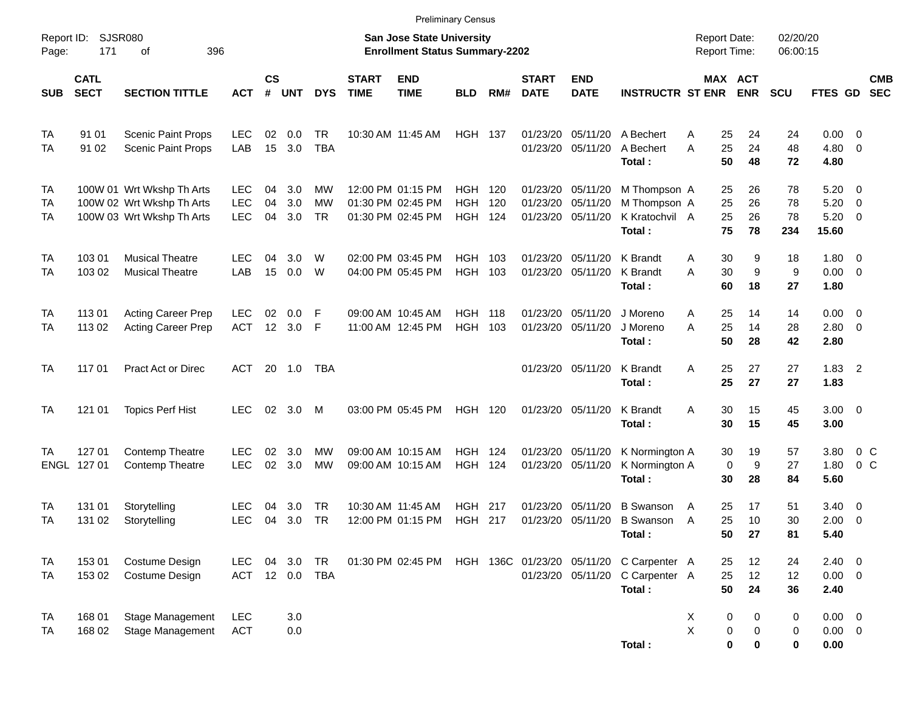|                       |                            |                                                                                     |                                        |                    |                   |                              |                             |                                                                           | <b>Preliminary Census</b>           |            |                             |                                                             |                                                                     |                                                   |                      |                       |                                    |                                                            |                          |
|-----------------------|----------------------------|-------------------------------------------------------------------------------------|----------------------------------------|--------------------|-------------------|------------------------------|-----------------------------|---------------------------------------------------------------------------|-------------------------------------|------------|-----------------------------|-------------------------------------------------------------|---------------------------------------------------------------------|---------------------------------------------------|----------------------|-----------------------|------------------------------------|------------------------------------------------------------|--------------------------|
| Report ID:<br>Page:   | <b>SJSR080</b><br>171      | 396<br>οf                                                                           |                                        |                    |                   |                              |                             | <b>San Jose State University</b><br><b>Enrollment Status Summary-2202</b> |                                     |            |                             |                                                             |                                                                     | <b>Report Date:</b><br><b>Report Time:</b>        |                      | 02/20/20<br>06:00:15  |                                    |                                                            |                          |
| <b>SUB</b>            | <b>CATL</b><br><b>SECT</b> | <b>SECTION TITTLE</b>                                                               | <b>ACT</b>                             | $\mathsf{cs}$<br># | <b>UNT</b>        | <b>DYS</b>                   | <b>START</b><br><b>TIME</b> | <b>END</b><br><b>TIME</b>                                                 | <b>BLD</b>                          | RM#        | <b>START</b><br><b>DATE</b> | <b>END</b><br><b>DATE</b>                                   | <b>INSTRUCTR ST ENR</b>                                             | MAX ACT                                           | <b>ENR</b>           | <b>SCU</b>            | FTES GD                            |                                                            | <b>CMB</b><br><b>SEC</b> |
| TA<br>TA              | 91 01<br>91 02             | <b>Scenic Paint Props</b><br><b>Scenic Paint Props</b>                              | <b>LEC</b><br>LAB                      | 02<br>15           | 0.0<br>3.0        | TR<br><b>TBA</b>             |                             | 10:30 AM 11:45 AM                                                         | <b>HGH 137</b>                      |            |                             | 01/23/20 05/11/20<br>01/23/20 05/11/20                      | A Bechert<br>A Bechert<br>Total:                                    | 25<br>A<br>25<br>A<br>50                          | 24<br>24<br>48       | 24<br>48<br>72        | 0.00<br>4.80<br>4.80               | $\overline{\phantom{0}}$<br>$\overline{\mathbf{0}}$        |                          |
| <b>TA</b><br>TA<br>TA |                            | 100W 01 Wrt Wkshp Th Arts<br>100W 02 Wrt Wkshp Th Arts<br>100W 03 Wrt Wkshp Th Arts | <b>LEC</b><br><b>LEC</b><br><b>LEC</b> | 04<br>04<br>04     | 3.0<br>3.0<br>3.0 | МW<br><b>MW</b><br><b>TR</b> |                             | 12:00 PM 01:15 PM<br>01:30 PM 02:45 PM<br>01:30 PM 02:45 PM               | HGH<br><b>HGH</b><br><b>HGH 124</b> | 120<br>120 |                             | 01/23/20 05/11/20<br>01/23/20 05/11/20<br>01/23/20 05/11/20 | M Thompson A<br>M Thompson A<br>K Kratochvil A<br>Total:            | 25<br>25<br>25<br>75                              | 26<br>26<br>26<br>78 | 78<br>78<br>78<br>234 | 5.20<br>5.20<br>5.20<br>15.60      | $\overline{\phantom{0}}$<br>- 0<br>$\overline{\mathbf{0}}$ |                          |
| TA<br>TA              | 103 01<br>103 02           | <b>Musical Theatre</b><br><b>Musical Theatre</b>                                    | LEC.<br>LAB                            | 04<br>15           | 3.0<br>0.0        | W<br>W                       |                             | 02:00 PM 03:45 PM<br>04:00 PM 05:45 PM                                    | HGH.<br><b>HGH</b>                  | 103<br>103 |                             | 01/23/20 05/11/20<br>01/23/20 05/11/20                      | K Brandt<br>K Brandt<br>Total:                                      | 30<br>A<br>30<br>A<br>60                          | 9<br>9<br>18         | 18<br>9<br>27         | $1.80 \ 0$<br>$0.00 \t 0$<br>1.80  |                                                            |                          |
| TA<br>TA              | 113 01<br>113 02           | <b>Acting Career Prep</b><br><b>Acting Career Prep</b>                              | <b>LEC</b><br><b>ACT</b>               | 02<br>12           | 0.0<br>3.0        | F<br>F                       |                             | 09:00 AM 10:45 AM<br>11:00 AM 12:45 PM                                    | HGH.<br><b>HGH</b>                  | 118<br>103 |                             | 01/23/20 05/11/20<br>01/23/20 05/11/20                      | J Moreno<br>J Moreno<br>Total:                                      | 25<br>A<br>25<br>A<br>50                          | 14<br>14<br>28       | 14<br>28<br>42        | $0.00 \t 0$<br>$2.80 \ 0$<br>2.80  |                                                            |                          |
| <b>TA</b>             | 117 01                     | Pract Act or Direc                                                                  | <b>ACT</b>                             |                    | 20 1.0            | TBA                          |                             |                                                                           |                                     |            |                             | 01/23/20 05/11/20                                           | K Brandt<br>Total:                                                  | 25<br>A<br>25                                     | 27<br>27             | 27<br>27              | $1.83$ 2<br>1.83                   |                                                            |                          |
| TA                    | 121 01                     | <b>Topics Perf Hist</b>                                                             | <b>LEC</b>                             | 02                 | 3.0               | M                            |                             | 03:00 PM 05:45 PM                                                         | <b>HGH 120</b>                      |            |                             | 01/23/20 05/11/20                                           | K Brandt<br>Total:                                                  | A<br>30<br>30                                     | 15<br>15             | 45<br>45              | $3.00 \ 0$<br>3.00                 |                                                            |                          |
| TA                    | 127 01<br>ENGL 127 01      | Contemp Theatre<br><b>Contemp Theatre</b>                                           | LEC.<br><b>LEC</b>                     | 02<br>02           | 3.0<br>3.0        | MW<br><b>MW</b>              |                             | 09:00 AM 10:15 AM<br>09:00 AM 10:15 AM                                    | HGH.<br><b>HGH 124</b>              | 124        |                             | 01/23/20 05/11/20<br>01/23/20 05/11/20                      | K Normington A<br>K Normington A<br>Total:                          | 30<br>$\mathbf 0$<br>30                           | 19<br>9<br>28        | 57<br>27<br>84        | 3.80<br>1.80<br>5.60               | $0\,C$<br>$0\,C$                                           |                          |
| TA<br>TA              | 131 01<br>131 02           | Storytelling<br>Storytelling                                                        | LEC<br><b>LEC</b>                      | 04<br>04           | 3.0<br>3.0        | TR<br>TR                     |                             | 10:30 AM 11:45 AM<br>12:00 PM 01:15 PM                                    | HGH.<br><b>HGH 217</b>              | 217        | 01/23/20                    | 05/11/20<br>01/23/20 05/11/20                               | <b>B</b> Swanson<br><b>B</b> Swanson<br>Total:                      | 25<br>A<br>25<br>A<br>50                          | 17<br>10<br>27       | 51<br>30<br>81        | 3.40<br>2.00<br>5.40               | $\overline{\mathbf{0}}$<br>$\overline{\mathbf{0}}$         |                          |
| TA<br><b>TA</b>       | 153 01<br>153 02           | Costume Design<br>Costume Design                                                    | <b>LEC</b><br>ACT 12 0.0 TBA           | 04                 | 3.0               | TR                           |                             | 01:30 PM 02:45 PM                                                         |                                     |            |                             | 01/23/20 05/11/20                                           | HGH 136C 01/23/20 05/11/20 C Carpenter A<br>C Carpenter A<br>Total: | 25<br>25<br>50                                    | 12<br>12<br>24       | 24<br>12<br>36        | $2.40 \ 0$<br>$0.00 \t 0$<br>2.40  |                                                            |                          |
| TA<br>TA              | 168 01<br>168 02           | Stage Management<br>Stage Management                                                | <b>LEC</b><br><b>ACT</b>               |                    | 3.0<br>0.0        |                              |                             |                                                                           |                                     |            |                             |                                                             | Total:                                                              | 0<br>X<br>$\pmb{\times}$<br>$\boldsymbol{0}$<br>0 | 0<br>0<br>0          | 0<br>0<br>0           | $0.00 \t 0$<br>$0.00 \t 0$<br>0.00 |                                                            |                          |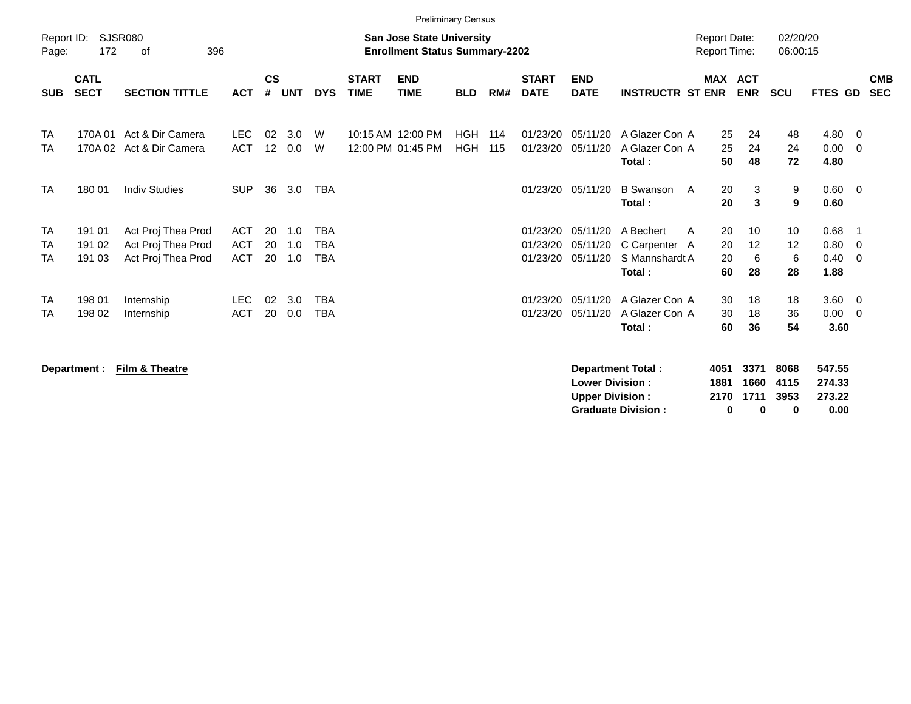|                              | <b>Preliminary Census</b>  |                                                                |                                        |                    |                   |                                        |                             |                                                                           |                          |            |                                  |                                  |                                                             |                                            |                          |                       |                              |                          |
|------------------------------|----------------------------|----------------------------------------------------------------|----------------------------------------|--------------------|-------------------|----------------------------------------|-----------------------------|---------------------------------------------------------------------------|--------------------------|------------|----------------------------------|----------------------------------|-------------------------------------------------------------|--------------------------------------------|--------------------------|-----------------------|------------------------------|--------------------------|
| Report ID:<br>Page:          | 172                        | SJSR080<br>396<br>0f                                           |                                        |                    |                   |                                        |                             | <b>San Jose State University</b><br><b>Enrollment Status Summary-2202</b> |                          |            |                                  |                                  |                                                             | <b>Report Date:</b><br><b>Report Time:</b> |                          | 02/20/20<br>06:00:15  |                              |                          |
| <b>SUB</b>                   | <b>CATL</b><br><b>SECT</b> | <b>SECTION TITTLE</b>                                          | <b>ACT</b>                             | $\mathsf{cs}$<br># | <b>UNT</b>        | <b>DYS</b>                             | <b>START</b><br><b>TIME</b> | <b>END</b><br><b>TIME</b>                                                 | <b>BLD</b>               | RM#        | <b>START</b><br><b>DATE</b>      | <b>END</b><br><b>DATE</b>        | <b>INSTRUCTR ST ENR</b>                                     | MAX                                        | <b>ACT</b><br><b>ENR</b> | <b>SCU</b>            | FTES GD                      | <b>CMB</b><br><b>SEC</b> |
| <b>TA</b><br><b>TA</b>       |                            | 170A 01 Act & Dir Camera<br>170A 02 Act & Dir Camera           | <b>LEC</b><br><b>ACT</b>               | 02<br>12           | 3.0<br>0.0        | W<br>W                                 |                             | 10:15 AM 12:00 PM<br>12:00 PM 01:45 PM                                    | <b>HGH</b><br><b>HGH</b> | 114<br>115 | 01/23/20<br>01/23/20             | 05/11/20<br>05/11/20             | A Glazer Con A<br>A Glazer Con A<br>Total:                  | 25<br>25<br>50                             | 24<br>24<br>48           | 48<br>24<br>72        | 4.80<br>0.00<br>4.80         | - 0<br>- 0               |
| <b>TA</b>                    | 180 01                     | <b>Indiv Studies</b>                                           | <b>SUP</b>                             | 36                 | 3.0               | TBA                                    |                             |                                                                           |                          |            | 01/23/20                         | 05/11/20                         | <b>B</b> Swanson<br>A<br>Total:                             | 20<br>20                                   | 3<br>3                   | 9<br>$\boldsymbol{9}$ | $0.60 \quad 0$<br>0.60       |                          |
| TA<br><b>TA</b><br><b>TA</b> | 191 01<br>191 02<br>191 03 | Act Proj Thea Prod<br>Act Proj Thea Prod<br>Act Proj Thea Prod | <b>ACT</b><br><b>ACT</b><br><b>ACT</b> | 20<br>20<br>20     | 1.0<br>1.0<br>1.0 | <b>TBA</b><br><b>TBA</b><br><b>TBA</b> |                             |                                                                           |                          |            | 01/23/20<br>01/23/20<br>01/23/20 | 05/11/20<br>05/11/20<br>05/11/20 | A Bechert<br>A<br>C Carpenter A<br>S Mannshardt A<br>Total: | 20<br>20<br>20<br>60                       | 10<br>12<br>6<br>28      | 10<br>12<br>6<br>28   | 0.68<br>0.80<br>0.40<br>1.88 | - 1<br>- 0<br>- 0        |
| <b>TA</b><br>TA              | 198 01<br>198 02           | Internship<br>Internship                                       | <b>LEC</b><br><b>ACT</b>               | 02<br>20           | 3.0<br>0.0        | <b>TBA</b><br><b>TBA</b>               |                             |                                                                           |                          |            | 01/23/20<br>01/23/20             | 05/11/20<br>05/11/20             | A Glazer Con A<br>A Glazer Con A<br>Total:                  | 30<br>30<br>60                             | 18<br>18<br>36           | 18<br>36<br>54        | $3.60 \ 0$<br>0.00<br>3.60   | $\overline{\phantom{0}}$ |
|                              | Department :               | Film & Theatre                                                 |                                        |                    |                   |                                        |                             |                                                                           |                          |            |                                  | <b>Lower Division:</b>           | Department Total:                                           | 4051<br>1881                               | 3371<br>1660             | 8068<br>4115          | 547.55<br>274.33             |                          |

**Upper Division : 2170 1711 3953 273.22 Graduate Division : 0 0 0 0.00**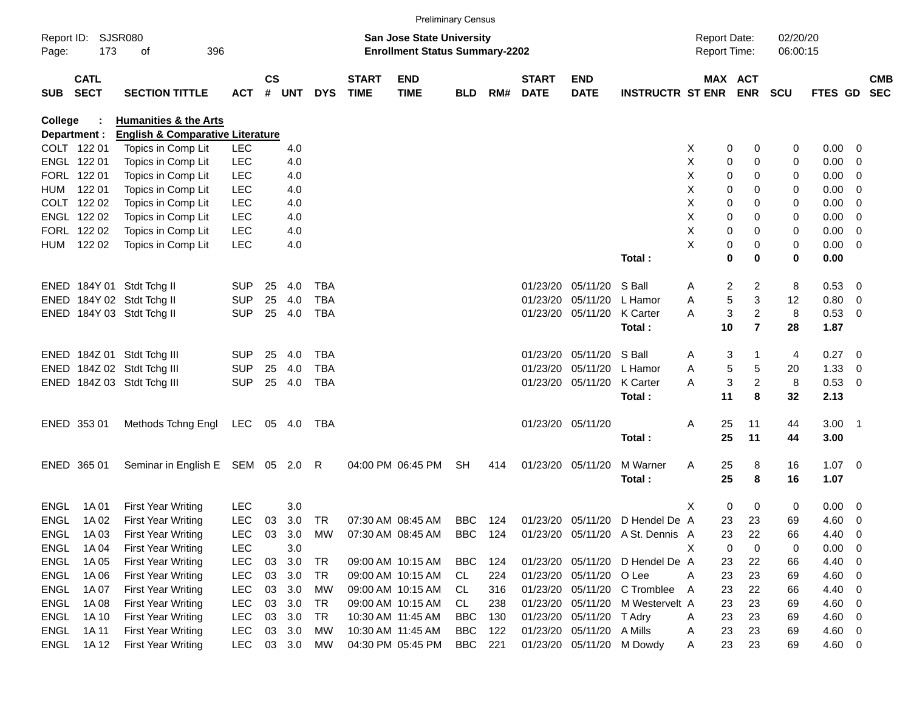|             |                            |                                             |            |               |        |            |                             | <b>Preliminary Census</b>                                                 |            |     |                             |                           |                                  |                                            |                         |                      |                     |                          |                          |
|-------------|----------------------------|---------------------------------------------|------------|---------------|--------|------------|-----------------------------|---------------------------------------------------------------------------|------------|-----|-----------------------------|---------------------------|----------------------------------|--------------------------------------------|-------------------------|----------------------|---------------------|--------------------------|--------------------------|
| Page:       | Report ID: SJSR080<br>173  | 396<br>of                                   |            |               |        |            |                             | <b>San Jose State University</b><br><b>Enrollment Status Summary-2202</b> |            |     |                             |                           |                                  | <b>Report Date:</b><br><b>Report Time:</b> |                         | 02/20/20<br>06:00:15 |                     |                          |                          |
| <b>SUB</b>  | <b>CATL</b><br><b>SECT</b> | <b>SECTION TITTLE</b>                       | <b>ACT</b> | $\mathsf{cs}$ | # UNT  | <b>DYS</b> | <b>START</b><br><b>TIME</b> | <b>END</b><br><b>TIME</b>                                                 | <b>BLD</b> | RM# | <b>START</b><br><b>DATE</b> | <b>END</b><br><b>DATE</b> | <b>INSTRUCTR ST ENR ENR</b>      |                                            | MAX ACT                 | <b>SCU</b>           | FTES GD             |                          | <b>CMB</b><br><b>SEC</b> |
| College     |                            | <b>Humanities &amp; the Arts</b>            |            |               |        |            |                             |                                                                           |            |     |                             |                           |                                  |                                            |                         |                      |                     |                          |                          |
|             | Department :               | <b>English &amp; Comparative Literature</b> |            |               |        |            |                             |                                                                           |            |     |                             |                           |                                  |                                            |                         |                      |                     |                          |                          |
|             | COLT 122 01                | Topics in Comp Lit                          | LEC        |               | 4.0    |            |                             |                                                                           |            |     |                             |                           |                                  | X                                          | 0<br>0                  | 0                    | $0.00 \t 0$         |                          |                          |
|             | ENGL 122 01                | Topics in Comp Lit                          | <b>LEC</b> |               | 4.0    |            |                             |                                                                           |            |     |                             |                           |                                  | Χ                                          | 0<br>0                  | 0                    | $0.00 \t 0$         |                          |                          |
|             | FORL 122 01                | Topics in Comp Lit                          | <b>LEC</b> |               | 4.0    |            |                             |                                                                           |            |     |                             |                           |                                  | Χ                                          | 0<br>0                  | 0                    | $0.00 \t 0$         |                          |                          |
| HUM         | 122 01                     | Topics in Comp Lit                          | <b>LEC</b> |               | 4.0    |            |                             |                                                                           |            |     |                             |                           |                                  | Χ                                          | 0<br>0                  | 0                    | 0.00                | $\overline{\phantom{0}}$ |                          |
|             | COLT 122 02                | Topics in Comp Lit                          | <b>LEC</b> |               | 4.0    |            |                             |                                                                           |            |     |                             |                           |                                  | X                                          | 0<br>0                  | 0                    | 0.00                | $\overline{\phantom{0}}$ |                          |
|             | ENGL 122 02                | Topics in Comp Lit                          | <b>LEC</b> |               | 4.0    |            |                             |                                                                           |            |     |                             |                           |                                  | Χ                                          | 0<br>0                  | 0                    | $0.00 \t 0$         |                          |                          |
|             | FORL 122 02                | Topics in Comp Lit                          | <b>LEC</b> |               | 4.0    |            |                             |                                                                           |            |     |                             |                           |                                  | X                                          | 0<br>0                  | 0                    | $0.00 \t 0$         |                          |                          |
|             | HUM 122 02                 | Topics in Comp Lit                          | <b>LEC</b> |               | 4.0    |            |                             |                                                                           |            |     |                             |                           | Total:                           | X                                          | 0<br>0<br>$\bf{0}$<br>0 | 0<br>0               | $0.00 \t 0$<br>0.00 |                          |                          |
|             |                            |                                             |            |               |        |            |                             |                                                                           |            |     |                             |                           |                                  |                                            |                         |                      |                     |                          |                          |
|             |                            | ENED 184Y 01 Stdt Tchg II                   | <b>SUP</b> | 25            | 4.0    | <b>TBA</b> |                             |                                                                           |            |     |                             | 01/23/20 05/11/20         | S Ball                           | Α                                          | 2<br>2                  | 8                    | 0.53 0              |                          |                          |
|             |                            | ENED 184Y 02 Stdt Tchg II                   | <b>SUP</b> | 25            | 4.0    | <b>TBA</b> |                             |                                                                           |            |     |                             | 01/23/20 05/11/20         | L Hamor                          | Α                                          | 5<br>3                  | 12                   | 0.80 0              |                          |                          |
|             |                            | ENED 184Y 03 Stdt Tchg II                   | <b>SUP</b> | 25            | 4.0    | <b>TBA</b> |                             |                                                                           |            |     |                             | 01/23/20 05/11/20         | <b>K</b> Carter                  | A                                          | 3<br>$\overline{c}$     | 8                    | 0.53 0              |                          |                          |
|             |                            |                                             |            |               |        |            |                             |                                                                           |            |     |                             |                           | Total:                           | 10                                         | $\overline{7}$          | 28                   | 1.87                |                          |                          |
|             |                            | ENED 184Z 01 Stdt Tchg III                  | <b>SUP</b> | 25            | 4.0    | <b>TBA</b> |                             |                                                                           |            |     |                             | 01/23/20 05/11/20         | S Ball                           | Α                                          | 3                       | 4                    | $0.27$ 0            |                          |                          |
|             |                            | ENED 184Z 02 Stdt Tchg III                  | <b>SUP</b> | 25            | 4.0    | <b>TBA</b> |                             |                                                                           |            |     |                             | 01/23/20 05/11/20         | L Hamor                          | Α                                          | 5<br>5                  | 20                   | $1.33 \ 0$          |                          |                          |
|             |                            | ENED 184Z 03 Stdt Tchg III                  | <b>SUP</b> | 25            | 4.0    | <b>TBA</b> |                             |                                                                           |            |     |                             | 01/23/20 05/11/20         | <b>K</b> Carter                  | A                                          | $\overline{c}$<br>3     | 8                    | 0.53 0              |                          |                          |
|             |                            |                                             |            |               |        |            |                             |                                                                           |            |     |                             |                           | Total:                           | 11                                         | 8                       | 32                   | 2.13                |                          |                          |
|             | ENED 353 01                | Methods Tchng Engl                          | LEC        |               | 05 4.0 | TBA        |                             |                                                                           |            |     |                             | 01/23/20 05/11/20         |                                  | 25<br>Α                                    | 11                      | 44                   | $3.00$ 1            |                          |                          |
|             |                            |                                             |            |               |        |            |                             |                                                                           |            |     |                             |                           | Total:                           | 25                                         | 11                      | 44                   | 3.00                |                          |                          |
|             | ENED 365 01                | Seminar in English E SEM 05 2.0 R           |            |               |        |            |                             | 04:00 PM 06:45 PM                                                         | SH         | 414 |                             | 01/23/20 05/11/20         | M Warner                         | Α<br>25                                    | 8                       | 16                   | $1.07 \t 0$         |                          |                          |
|             |                            |                                             |            |               |        |            |                             |                                                                           |            |     |                             |                           | Total:                           | 25                                         | 8                       | 16                   | 1.07                |                          |                          |
| <b>ENGL</b> | 1A 01                      | <b>First Year Writing</b>                   | <b>LEC</b> |               | 3.0    |            |                             |                                                                           |            |     |                             |                           |                                  | X                                          | 0<br>0                  | 0                    | $0.00 \t 0$         |                          |                          |
| ENGL        | 1A 02                      | <b>First Year Writing</b>                   | <b>LEC</b> | 03            | 3.0    | TR         |                             | 07:30 AM 08:45 AM                                                         | BBC        | 124 |                             |                           | 01/23/20 05/11/20 D Hendel De A  | 23                                         | 23                      | 69                   | 4.60 0              |                          |                          |
| ENGL        | 1A 03                      | <b>First Year Writing</b>                   | LEC        | 03            | 3.0    | MW         |                             | 07:30 AM 08:45 AM                                                         | BBC 124    |     |                             |                           | 01/23/20 05/11/20 A St. Dennis A | 23                                         | 22                      | 66                   | 4.40                | $\overline{\mathbf{0}}$  |                          |
| <b>ENGL</b> | 1A 04                      | <b>First Year Writing</b>                   | LEC        |               | 3.0    |            |                             |                                                                           |            |     |                             |                           |                                  | X                                          | 0<br>0                  | 0                    | 0.00                | $\overline{\phantom{0}}$ |                          |
| <b>ENGL</b> | 1A 05                      | <b>First Year Writing</b>                   | <b>LEC</b> | 03            | 3.0    | TR         |                             | 09:00 AM 10:15 AM                                                         | <b>BBC</b> | 124 |                             |                           | 01/23/20 05/11/20 D Hendel De A  | 23                                         | 22                      | 66                   | $4.40 \ 0$          |                          |                          |
| ENGL        | 1A 06                      | <b>First Year Writing</b>                   | <b>LEC</b> | 03            | 3.0    | TR         |                             | 09:00 AM 10:15 AM                                                         | CL         | 224 |                             | 01/23/20 05/11/20 O Lee   |                                  | 23<br>Α                                    | 23                      | 69                   | $4.60$ 0            |                          |                          |
| <b>ENGL</b> | 1A 07                      | <b>First Year Writing</b>                   | <b>LEC</b> | 03            | 3.0    | MW         |                             | 09:00 AM 10:15 AM                                                         | CL         | 316 |                             |                           | 01/23/20 05/11/20 C Tromblee     | 23<br>A                                    | 22                      | 66                   | 4.40 0              |                          |                          |
| <b>ENGL</b> | 1A 08                      | <b>First Year Writing</b>                   | <b>LEC</b> | 03            | 3.0    | TR         |                             | 09:00 AM 10:15 AM                                                         | CL         | 238 |                             |                           | 01/23/20 05/11/20 M Westervelt A | 23                                         | 23                      | 69                   | $4.60$ 0            |                          |                          |
| <b>ENGL</b> | 1A 10                      | <b>First Year Writing</b>                   | <b>LEC</b> | 03            | 3.0    | TR         |                             | 10:30 AM 11:45 AM                                                         | <b>BBC</b> | 130 |                             | 01/23/20 05/11/20 T Adry  |                                  | 23<br>A                                    | 23                      | 69                   | $4.60$ 0            |                          |                          |
| <b>ENGL</b> | 1A 11                      | <b>First Year Writing</b>                   | <b>LEC</b> | 03            | 3.0    | МW         |                             | 10:30 AM 11:45 AM                                                         | BBC        | 122 |                             | 01/23/20 05/11/20 A Mills |                                  | 23<br>A                                    | 23                      | 69                   | $4.60$ 0            |                          |                          |
| <b>ENGL</b> | 1A 12                      | <b>First Year Writing</b>                   | <b>LEC</b> |               | 03 3.0 | MW         |                             | 04:30 PM 05:45 PM                                                         | BBC        | 221 |                             | 01/23/20 05/11/20 M Dowdy |                                  | 23<br>A                                    | 23                      | 69                   | 4.60 0              |                          |                          |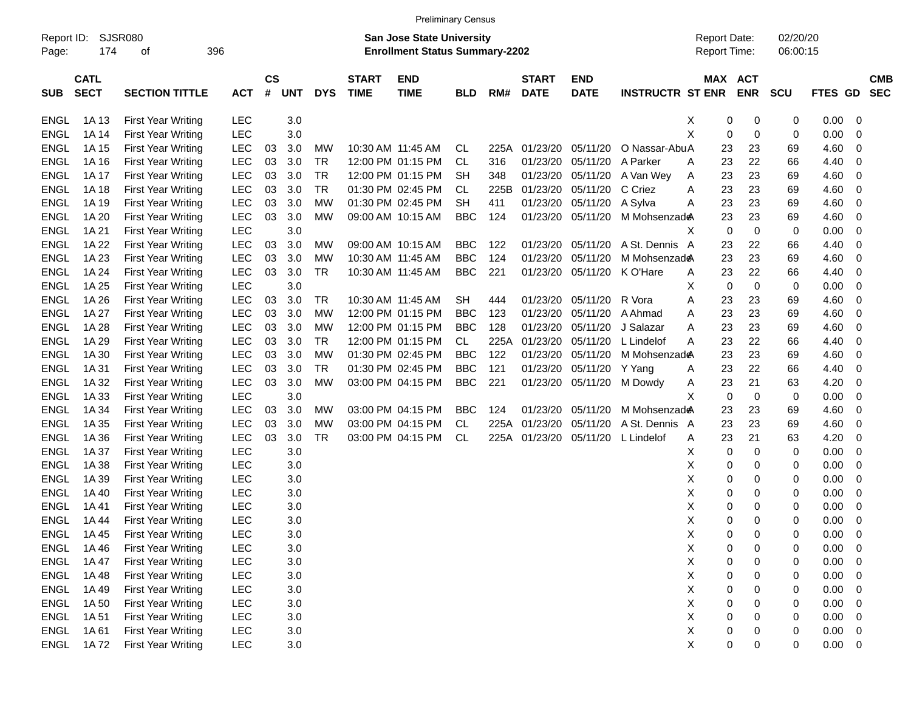|                     |             |                           |            |                |            |            |                             |                                                                    | <b>Preliminary Census</b> |      |              |                           |                         |                                     |                       |                      |             |                          |
|---------------------|-------------|---------------------------|------------|----------------|------------|------------|-----------------------------|--------------------------------------------------------------------|---------------------------|------|--------------|---------------------------|-------------------------|-------------------------------------|-----------------------|----------------------|-------------|--------------------------|
| Report ID:<br>Page: | 174         | SJSR080<br>396<br>οf      |            |                |            |            |                             | San Jose State University<br><b>Enrollment Status Summary-2202</b> |                           |      |              |                           |                         | <b>Report Date:</b><br>Report Time: |                       | 02/20/20<br>06:00:15 |             |                          |
|                     | <b>CATL</b> |                           |            |                |            |            |                             |                                                                    |                           |      | <b>START</b> |                           |                         |                                     |                       |                      |             |                          |
| <b>SUB</b>          | <b>SECT</b> | <b>SECTION TITTLE</b>     | <b>ACT</b> | <b>CS</b><br># | <b>UNT</b> | <b>DYS</b> | <b>START</b><br><b>TIME</b> | <b>END</b><br><b>TIME</b>                                          | <b>BLD</b>                | RM#  | <b>DATE</b>  | <b>END</b><br><b>DATE</b> | <b>INSTRUCTR ST ENR</b> |                                     | MAX ACT<br><b>ENR</b> | <b>SCU</b>           | FTES GD     | <b>CMB</b><br><b>SEC</b> |
| <b>ENGL</b>         | 1A 13       | <b>First Year Writing</b> | <b>LEC</b> |                | 3.0        |            |                             |                                                                    |                           |      |              |                           |                         | 0<br>X                              | 0                     | 0                    | 0.00        | - 0                      |
| <b>ENGL</b>         | 1A 14       | <b>First Year Writing</b> | <b>LEC</b> |                | 3.0        |            |                             |                                                                    |                           |      |              |                           |                         | X<br>0                              | 0                     | 0                    | 0.00        | - 0                      |
| <b>ENGL</b>         | 1A 15       | <b>First Year Writing</b> | <b>LEC</b> | 03             | 3.0        | MW         |                             | 10:30 AM 11:45 AM                                                  | CL.                       | 225A | 01/23/20     | 05/11/20                  | O Nassar-AbuA           | 23                                  | 23                    | 69                   | 4.60        | 0                        |
| <b>ENGL</b>         | 1A 16       | <b>First Year Writing</b> | <b>LEC</b> | 03             | 3.0        | <b>TR</b>  |                             | 12:00 PM 01:15 PM                                                  | <b>CL</b>                 | 316  | 01/23/20     | 05/11/20                  | A Parker                | 23<br>Α                             | 22                    | 66                   | 4.40        | - 0                      |
| <b>ENGL</b>         | 1A 17       | <b>First Year Writing</b> | <b>LEC</b> | 03             | 3.0        | <b>TR</b>  |                             | 12:00 PM 01:15 PM                                                  | <b>SH</b>                 | 348  | 01/23/20     | 05/11/20                  | A Van Wey               | 23<br>Α                             | 23                    | 69                   | 4.60        | - 0                      |
| <b>ENGL</b>         | 1A 18       | <b>First Year Writing</b> | <b>LEC</b> | 03             | 3.0        | <b>TR</b>  |                             | 01:30 PM 02:45 PM                                                  | CL                        | 225B | 01/23/20     | 05/11/20                  | C Criez                 | 23<br>Α                             | 23                    | 69                   | 4.60        | - 0                      |
| <b>ENGL</b>         | 1A 19       | <b>First Year Writing</b> | <b>LEC</b> | 03             | 3.0        | МW         |                             | 01:30 PM 02:45 PM                                                  | <b>SH</b>                 | 411  | 01/23/20     | 05/11/20                  | A Sylva                 | 23<br>Α                             | 23                    | 69                   | 4.60        | - 0                      |
| <b>ENGL</b>         | 1A 20       | <b>First Year Writing</b> | <b>LEC</b> | 03             | 3.0        | MW         |                             | 09:00 AM 10:15 AM                                                  | <b>BBC</b>                | 124  |              | 01/23/20 05/11/20         | M Mohsenzad             | 23                                  | 23                    | 69                   | 4.60        | - 0                      |
| <b>ENGL</b>         | 1A 21       | <b>First Year Writing</b> | <b>LEC</b> |                | 3.0        |            |                             |                                                                    |                           |      |              |                           |                         | 0<br>X                              | 0                     | 0                    | 0.00        | 0                        |
| <b>ENGL</b>         | 1A 22       | <b>First Year Writing</b> | <b>LEC</b> | 03             | 3.0        | МW         |                             | 09:00 AM 10:15 AM                                                  | <b>BBC</b>                | 122  | 01/23/20     | 05/11/20                  | A St. Dennis            | 23<br>A                             | 22                    | 66                   | 4.40        | 0                        |
| <b>ENGL</b>         | 1A 23       | <b>First Year Writing</b> | <b>LEC</b> | 03             | 3.0        | MW         |                             | 10:30 AM 11:45 AM                                                  | <b>BBC</b>                | 124  | 01/23/20     | 05/11/20                  | M Mohsenzade            | 23                                  | 23                    | 69                   | 4.60        | 0                        |
| <b>ENGL</b>         | 1A 24       | <b>First Year Writing</b> | <b>LEC</b> | 03             | 3.0        | <b>TR</b>  |                             | 10:30 AM 11:45 AM                                                  | <b>BBC</b>                | 221  |              | 01/23/20 05/11/20         | K O'Hare                | 23<br>Α                             | 22                    | 66                   | 4.40        | - 0                      |
| <b>ENGL</b>         | 1A 25       | <b>First Year Writing</b> | <b>LEC</b> |                | 3.0        |            |                             |                                                                    |                           |      |              |                           |                         | X<br>0                              | 0                     | 0                    | 0.00        | - 0                      |
| <b>ENGL</b>         | 1A 26       | <b>First Year Writing</b> | <b>LEC</b> | 03             | 3.0        | <b>TR</b>  |                             | 10:30 AM 11:45 AM                                                  | <b>SH</b>                 | 444  | 01/23/20     | 05/11/20                  | R Vora                  | Α<br>23                             | 23                    | 69                   | 4.60        | - 0                      |
| <b>ENGL</b>         | 1A 27       | <b>First Year Writing</b> | <b>LEC</b> | 03             | 3.0        | МW         |                             | 12:00 PM 01:15 PM                                                  | <b>BBC</b>                | 123  | 01/23/20     | 05/11/20                  | A Ahmad                 | 23<br>Α                             | 23                    | 69                   | 4.60        | 0                        |
| <b>ENGL</b>         | 1A 28       | <b>First Year Writing</b> | <b>LEC</b> | 03             | 3.0        | MW         |                             | 12:00 PM 01:15 PM                                                  | <b>BBC</b>                | 128  | 01/23/20     | 05/11/20                  | J Salazar               | 23<br>Α                             | 23                    | 69                   | 4.60        | - 0                      |
| <b>ENGL</b>         | 1A 29       | <b>First Year Writing</b> | <b>LEC</b> | 03             | 3.0        | <b>TR</b>  |                             | 12:00 PM 01:15 PM                                                  | <b>CL</b>                 | 225A | 01/23/20     | 05/11/20                  | L Lindelof              | Α<br>23                             | 22                    | 66                   | 4.40        | - 0                      |
| <b>ENGL</b>         | 1A 30       | <b>First Year Writing</b> | <b>LEC</b> | 03             | 3.0        | MW         |                             | 01:30 PM 02:45 PM                                                  | <b>BBC</b>                | 122  | 01/23/20     | 05/11/20                  | M Mohsenzade            | 23                                  | 23                    | 69                   | 4.60        | 0                        |
| <b>ENGL</b>         | 1A 31       | <b>First Year Writing</b> | <b>LEC</b> | 03             | 3.0        | TR         |                             | 01:30 PM 02:45 PM                                                  | <b>BBC</b>                | 121  | 01/23/20     | 05/11/20                  | Y Yang                  | 23<br>Α                             | 22                    | 66                   | 4.40        | 0                        |
| <b>ENGL</b>         | 1A 32       | <b>First Year Writing</b> | <b>LEC</b> | 03             | 3.0        | MW         |                             | 03:00 PM 04:15 PM                                                  | <b>BBC</b>                | 221  |              | 01/23/20 05/11/20         | M Dowdy                 | 23<br>A                             | 21                    | 63                   | 4.20        | - 0                      |
| <b>ENGL</b>         | 1A 33       | <b>First Year Writing</b> | <b>LEC</b> |                | 3.0        |            |                             |                                                                    |                           |      |              |                           |                         | X<br>0                              | 0                     | 0                    | 0.00        | 0                        |
| <b>ENGL</b>         | 1A 34       | <b>First Year Writing</b> | <b>LEC</b> | 03             | 3.0        | МW         |                             | 03:00 PM 04:15 PM                                                  | <b>BBC</b>                | 124  | 01/23/20     | 05/11/20                  | M Mohsenzade            | 23                                  | 23                    | 69                   | 4.60        | - 0                      |
| <b>ENGL</b>         | 1A 35       | <b>First Year Writing</b> | <b>LEC</b> | 03             | 3.0        | МW         |                             | 03:00 PM 04:15 PM                                                  | <b>CL</b>                 | 225A | 01/23/20     | 05/11/20                  | A St. Dennis            | 23<br>A                             | 23                    | 69                   | 4.60        | - 0                      |
| <b>ENGL</b>         | 1A 36       | <b>First Year Writing</b> | <b>LEC</b> | 03             | 3.0        | <b>TR</b>  |                             | 03:00 PM 04:15 PM                                                  | <b>CL</b>                 | 225A | 01/23/20     | 05/11/20                  | L Lindelof              | 23<br>Α                             | 21                    | 63                   | 4.20        | 0                        |
| <b>ENGL</b>         | 1A 37       | <b>First Year Writing</b> | <b>LEC</b> |                | 3.0        |            |                             |                                                                    |                           |      |              |                           |                         | Χ<br>0                              | 0                     | 0                    | 0.00        | - 0                      |
| <b>ENGL</b>         | 1A 38       | <b>First Year Writing</b> | <b>LEC</b> |                | 3.0        |            |                             |                                                                    |                           |      |              |                           |                         | Χ<br>0                              | 0                     | 0                    | 0.00        | - 0                      |
| <b>ENGL</b>         | 1A 39       | <b>First Year Writing</b> | <b>LEC</b> |                | 3.0        |            |                             |                                                                    |                           |      |              |                           |                         | Χ<br>0                              | 0                     | 0                    | 0.00        | 0                        |
| ENGL                | 1A 40       | <b>First Year Writing</b> | LEC        |                | 3.0        |            |                             |                                                                    |                           |      |              |                           |                         | Χ<br>0                              | 0                     | 0                    | 0.00        | - 0                      |
| <b>ENGL</b>         | 1A 41       | <b>First Year Writing</b> | <b>LEC</b> |                | 3.0        |            |                             |                                                                    |                           |      |              |                           |                         | Χ<br>0                              | 0                     | 0                    | 0.00        | - 0                      |
| <b>ENGL</b>         | 1A 44       | <b>First Year Writing</b> | <b>LEC</b> |                | 3.0        |            |                             |                                                                    |                           |      |              |                           |                         | X<br>0                              | 0                     | 0                    | 0.00        | $\overline{0}$           |
| <b>ENGL</b>         | 1A 45       | <b>First Year Writing</b> | <b>LEC</b> |                | 3.0        |            |                             |                                                                    |                           |      |              |                           |                         | X<br>0                              | 0                     | 0                    | 0.00        | $\overline{\mathbf{0}}$  |
| <b>ENGL</b>         | 1A46        | <b>First Year Writing</b> | <b>LEC</b> |                | 3.0        |            |                             |                                                                    |                           |      |              |                           |                         | Χ<br>0                              | 0                     | 0                    | 0.00        | $\overline{\phantom{0}}$ |
| ENGL                | 1A 47       | First Year Writing        | <b>LEC</b> |                | 3.0        |            |                             |                                                                    |                           |      |              |                           |                         | X<br>0                              | 0                     | 0                    | 0.00        | $\overline{\phantom{0}}$ |
| <b>ENGL</b>         | 1A48        | First Year Writing        | <b>LEC</b> |                | 3.0        |            |                             |                                                                    |                           |      |              |                           |                         | X<br>0                              | 0                     | 0                    | $0.00 \t 0$ |                          |
| <b>ENGL</b>         | 1A49        | First Year Writing        | <b>LEC</b> |                | 3.0        |            |                             |                                                                    |                           |      |              |                           |                         | Х<br>0                              | 0                     | 0                    | 0.00        | $\overline{\phantom{0}}$ |
| <b>ENGL</b>         | 1A 50       | First Year Writing        | <b>LEC</b> |                | 3.0        |            |                             |                                                                    |                           |      |              |                           |                         | Х<br>0                              | 0                     | 0                    | 0.00        | $\overline{\phantom{0}}$ |
| <b>ENGL</b>         | 1A 51       | First Year Writing        | <b>LEC</b> |                | 3.0        |            |                             |                                                                    |                           |      |              |                           |                         | X<br>0                              | 0                     | 0                    | 0.00        | $\overline{\phantom{0}}$ |
| <b>ENGL</b>         | 1A 61       | First Year Writing        | <b>LEC</b> |                | 3.0        |            |                             |                                                                    |                           |      |              |                           |                         | X<br>0                              | 0                     | 0                    | $0.00 \t 0$ |                          |
| ENGL                | 1A 72       | First Year Writing        | <b>LEC</b> |                | $3.0\,$    |            |                             |                                                                    |                           |      |              |                           |                         | X<br>0                              | 0                     | 0                    | $0.00 \t 0$ |                          |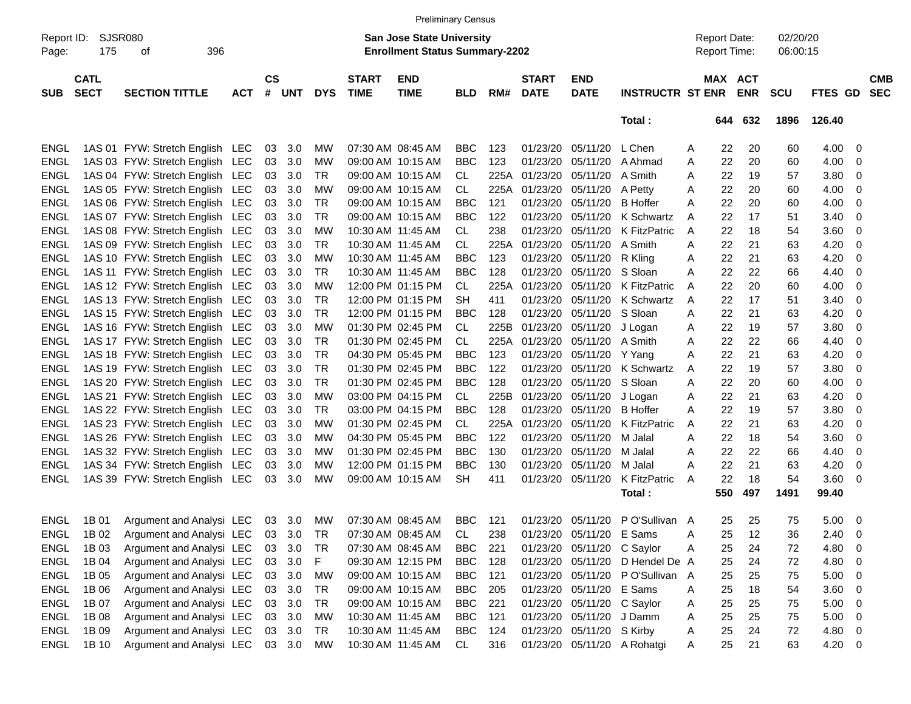|                     |                            |                                          |            |               |        |            |                                                                           | <b>Preliminary Census</b> |            |      |                             |                              |                                            |   |     |                       |            |             |                         |            |
|---------------------|----------------------------|------------------------------------------|------------|---------------|--------|------------|---------------------------------------------------------------------------|---------------------------|------------|------|-----------------------------|------------------------------|--------------------------------------------|---|-----|-----------------------|------------|-------------|-------------------------|------------|
| Report ID:<br>Page: | <b>SJSR080</b><br>175      |                                          |            |               |        |            | <b>San Jose State University</b><br><b>Enrollment Status Summary-2202</b> |                           |            |      |                             |                              | <b>Report Date:</b><br><b>Report Time:</b> |   |     | 02/20/20<br>06:00:15  |            |             |                         |            |
| <b>SUB</b>          | <b>CATL</b><br><b>SECT</b> | <b>SECTION TITTLE</b>                    | <b>ACT</b> | $\mathsf{cs}$ | # UNT  | <b>DYS</b> | <b>START</b><br><b>TIME</b>                                               | <b>END</b><br><b>TIME</b> | <b>BLD</b> | RM#  | <b>START</b><br><b>DATE</b> | <b>END</b><br><b>DATE</b>    | <b>INSTRUCTR ST ENR</b>                    |   |     | MAX ACT<br><b>ENR</b> | <b>SCU</b> | FTES GD SEC |                         | <b>CMB</b> |
|                     |                            |                                          |            |               |        |            |                                                                           |                           |            |      |                             |                              | Total:                                     |   | 644 | 632                   | 1896       | 126.40      |                         |            |
| ENGL                |                            | 1AS 01 FYW: Stretch English LEC          |            | 03            | 3.0    | МW         | 07:30 AM 08:45 AM                                                         |                           | BBC        | 123  | 01/23/20                    | 05/11/20                     | L Chen                                     | A | 22  | 20                    | 60         | 4.00        | 0                       |            |
| <b>ENGL</b>         |                            | 1AS 03 FYW: Stretch English LEC          |            | 03            | 3.0    | MW         | 09:00 AM 10:15 AM                                                         |                           | <b>BBC</b> | 123  | 01/23/20                    | 05/11/20                     | A Ahmad                                    | A | 22  | 20                    | 60         | 4.00        | $\overline{0}$          |            |
| <b>ENGL</b>         |                            | 1AS 04 FYW: Stretch English LEC          |            | 03            | 3.0    | TR         |                                                                           | 09:00 AM 10:15 AM         | CL.        | 225A | 01/23/20                    | 05/11/20                     | A Smith                                    | A | 22  | 19                    | 57         | 3.80        | 0                       |            |
| <b>ENGL</b>         |                            | 1AS 05 FYW: Stretch English LEC          |            | 03            | 3.0    | МW         |                                                                           | 09:00 AM 10:15 AM         | CL.        | 225A | 01/23/20 05/11/20           |                              | A Petty                                    | A | 22  | 20                    | 60         | 4.00        | 0                       |            |
| <b>ENGL</b>         |                            | 1AS 06 FYW: Stretch English LEC          |            | 03            | 3.0    | TR         | 09:00 AM 10:15 AM                                                         |                           | BBC        | 121  | 01/23/20                    | 05/11/20                     | <b>B</b> Hoffer                            | A | 22  | 20                    | 60         | 4.00        | 0                       |            |
| <b>ENGL</b>         |                            | 1AS 07 FYW: Stretch English LEC          |            | 03            | 3.0    | TR         | 09:00 AM 10:15 AM                                                         |                           | <b>BBC</b> | 122  | 01/23/20                    | 05/11/20                     | K Schwartz                                 | A | 22  | 17                    | 51         | 3.40        | 0                       |            |
| <b>ENGL</b>         |                            | 1AS 08 FYW: Stretch English LEC          |            | 03            | 3.0    | MW         | 10:30 AM 11:45 AM                                                         |                           | CL.        | 238  | 01/23/20                    | 05/11/20                     | K FitzPatric                               | A | 22  | 18                    | 54         | 3.60        | 0                       |            |
| <b>ENGL</b>         |                            | 1AS 09 FYW: Stretch English LEC          |            | 03            | 3.0    | TR         | 10:30 AM 11:45 AM                                                         |                           | CL.        | 225A | 01/23/20                    | 05/11/20                     | A Smith                                    | A | 22  | 21                    | 63         | 4.20        | 0                       |            |
| <b>ENGL</b>         |                            | 1AS 10 FYW: Stretch English LEC          |            | 03            | 3.0    | MW         | 10:30 AM 11:45 AM                                                         |                           | <b>BBC</b> | 123  | 01/23/20                    | 05/11/20                     | R Kling                                    | A | 22  | 21                    | 63         | 4.20        | 0                       |            |
| <b>ENGL</b>         |                            | 1AS 11 FYW: Stretch English LEC          |            | 03            | 3.0    | TR         | 10:30 AM 11:45 AM                                                         |                           | BBC        | 128  | 01/23/20                    | 05/11/20                     | S Sloan                                    | A | 22  | 22                    | 66         | 4.40        | 0                       |            |
| <b>ENGL</b>         |                            | 1AS 12 FYW: Stretch English LEC          |            | 03            | 3.0    | MW         |                                                                           | 12:00 PM 01:15 PM         | CL.        | 225A | 01/23/20                    | 05/11/20                     | K FitzPatric                               | A | 22  | 20                    | 60         | 4.00        | 0                       |            |
| <b>ENGL</b>         |                            | 1AS 13 FYW: Stretch English LEC          |            | 03            | 3.0    | TR         |                                                                           | 12:00 PM 01:15 PM         | <b>SH</b>  | 411  | 01/23/20                    | 05/11/20                     | K Schwartz                                 | A | 22  | 17                    | 51         | 3.40        | 0                       |            |
| <b>ENGL</b>         |                            | 1AS 15 FYW: Stretch English LEC          |            | 03            | 3.0    | TR         |                                                                           | 12:00 PM 01:15 PM         | BBC        | 128  | 01/23/20                    | 05/11/20                     | S Sloan                                    | A | 22  | 21                    | 63         | 4.20        | 0                       |            |
| <b>ENGL</b>         |                            | 1AS 16 FYW: Stretch English LEC          |            | 03            | 3.0    | MW         |                                                                           | 01:30 PM 02:45 PM         | CL.        | 225B | 01/23/20                    | 05/11/20                     | J Logan                                    | A | 22  | 19                    | 57         | 3.80        | 0                       |            |
| <b>ENGL</b>         |                            | 1AS 17 FYW: Stretch English LEC          |            | 03            | 3.0    | TR         |                                                                           | 01:30 PM 02:45 PM         | CL         |      | 225A 01/23/20               | 05/11/20                     | A Smith                                    | A | 22  | 22                    | 66         | 4.40        | 0                       |            |
| <b>ENGL</b>         |                            | 1AS 18 FYW: Stretch English LEC          |            | 03            | 3.0    | TR         |                                                                           | 04:30 PM 05:45 PM         | BBC        | 123  | 01/23/20                    | 05/11/20                     | Y Yang                                     | A | 22  | 21                    | 63         | 4.20        | 0                       |            |
| <b>ENGL</b>         |                            | 1AS 19 FYW: Stretch English LEC          |            | 03            | 3.0    | TR         |                                                                           | 01:30 PM 02:45 PM         | <b>BBC</b> | 122  | 01/23/20                    | 05/11/20                     | K Schwartz                                 | A | 22  | 19                    | 57         | 3.80        | 0                       |            |
| <b>ENGL</b>         |                            | 1AS 20 FYW: Stretch English LEC          |            | 03            | 3.0    | TR         |                                                                           | 01:30 PM 02:45 PM         | <b>BBC</b> | 128  | 01/23/20                    | 05/11/20                     | S Sloan                                    | A | 22  | 20                    | 60         | 4.00        | 0                       |            |
| <b>ENGL</b>         |                            | 1AS 21 FYW: Stretch English LEC          |            | 03            | 3.0    | MW         |                                                                           | 03:00 PM 04:15 PM         | CL.        | 225B | 01/23/20                    | 05/11/20                     | J Logan                                    | A | 22  | 21                    | 63         | 4.20        | 0                       |            |
| <b>ENGL</b>         |                            | 1AS 22 FYW: Stretch English LEC          |            | 03            | 3.0    | TR         |                                                                           | 03:00 PM 04:15 PM         | BBC        | 128  | 01/23/20                    | 05/11/20                     | <b>B</b> Hoffer                            | A | 22  | 19                    | 57         | 3.80        | 0                       |            |
| <b>ENGL</b>         |                            | 1AS 23 FYW: Stretch English LEC          |            | 03            | 3.0    | MW         |                                                                           | 01:30 PM 02:45 PM         | CL.        | 225A | 01/23/20                    | 05/11/20                     | <b>K FitzPatric</b>                        | A | 22  | 21                    | 63         | 4.20        | 0                       |            |
| <b>ENGL</b>         |                            | 1AS 26 FYW: Stretch English LEC          |            | 03            | 3.0    | МW         |                                                                           | 04:30 PM 05:45 PM         | <b>BBC</b> | 122  | 01/23/20                    | 05/11/20                     | M Jalal                                    | A | 22  | 18                    | 54         | 3.60        | 0                       |            |
| <b>ENGL</b>         |                            | 1AS 32 FYW: Stretch English LEC          |            | 03            | 3.0    | <b>MW</b>  |                                                                           | 01:30 PM 02:45 PM         | <b>BBC</b> | 130  | 01/23/20                    | 05/11/20                     | M Jalal                                    | A | 22  | 22                    | 66         | 4.40        | 0                       |            |
| <b>ENGL</b>         |                            | 1AS 34 FYW: Stretch English LEC          |            | 03            | 3.0    | мw         |                                                                           | 12:00 PM 01:15 PM         | <b>BBC</b> | 130  | 01/23/20                    | 05/11/20                     | M Jalal                                    | A | 22  | 21                    | 63         | 4.20        | 0                       |            |
| <b>ENGL</b>         |                            | 1AS 39 FYW: Stretch English LEC          |            | 03            | 3.0    | MW         |                                                                           | 09:00 AM 10:15 AM         | <b>SH</b>  | 411  | 01/23/20 05/11/20           |                              | K FitzPatric                               | A | 22  | 18                    | 54         | 3.60        | 0                       |            |
|                     |                            |                                          |            |               |        |            |                                                                           |                           |            |      |                             |                              | Total:                                     |   | 550 | 497                   | 1491       | 99.40       |                         |            |
| ENGL                | 1B 01                      | Argument and Analysi LEC                 |            |               | 03 3.0 | MW.        |                                                                           | 07:30 AM 08:45 AM         | BBC.       | 121  |                             |                              | 01/23/20 05/11/20 PO'Sullivan A            |   | 25  | 25                    | 75         | 5.00        | - 0                     |            |
| ENGL                |                            | 1B 02 Argument and Analysi LEC 03 3.0 TR |            |               |        |            |                                                                           | 07:30 AM 08:45 AM CL      |            |      |                             | 238 01/23/20 05/11/20 E Sams |                                            | A |     | 25 12                 | 36         | $2.40 \ 0$  |                         |            |
| ENGL                | 1B 03                      | Argument and Analysi LEC                 |            | 03            | 3.0    | TR         |                                                                           | 07:30 AM 08:45 AM         | <b>BBC</b> | 221  |                             | 01/23/20 05/11/20 C Saylor   |                                            | Α | 25  | 24                    | 72         | 4.80        | 0                       |            |
| <b>ENGL</b>         | 1B 04                      | Argument and Analysi LEC                 |            | 03            | 3.0    | F          |                                                                           | 09:30 AM 12:15 PM         | BBC        | 128  |                             | 01/23/20 05/11/20            | D Hendel De A                              |   | 25  | 24                    | 72         | 4.80        | $\overline{\mathbf{0}}$ |            |
| ENGL                | 1B 05                      | Argument and Analysi LEC                 |            |               | 03 3.0 | MW         |                                                                           | 09:00 AM 10:15 AM         | BBC        | 121  |                             |                              | 01/23/20 05/11/20 PO'Sullivan A            |   | 25  | 25                    | 75         | 5.00        | $\overline{\mathbf{0}}$ |            |
| ENGL                | 1B 06                      | Argument and Analysi LEC                 |            | 03            | 3.0    | <b>TR</b>  |                                                                           | 09:00 AM 10:15 AM         | <b>BBC</b> | 205  |                             | 01/23/20 05/11/20 E Sams     |                                            | Α | 25  | 18                    | 54         | 3.60        | $\overline{\mathbf{0}}$ |            |
| ENGL                | 1B 07                      | Argument and Analysi LEC                 |            | 03            | 3.0    | <b>TR</b>  |                                                                           | 09:00 AM 10:15 AM         | BBC        | 221  |                             | 01/23/20 05/11/20 C Saylor   |                                            | Α | 25  | 25                    | 75         | 5.00        | $\overline{\mathbf{0}}$ |            |
| ENGL                | 1B 08                      | Argument and Analysi LEC                 |            |               | 03 3.0 | MW         | 10:30 AM 11:45 AM                                                         |                           | BBC        | 121  |                             | 01/23/20 05/11/20            | J Damm                                     | Α | 25  | 25                    | 75         | 5.00        | $\overline{\mathbf{0}}$ |            |
| ENGL                | 1B 09                      | Argument and Analysi LEC                 |            | 03            | 3.0    | TR         | 10:30 AM 11:45 AM                                                         |                           | <b>BBC</b> | 124  |                             | 01/23/20 05/11/20 S Kirby    |                                            | Α | 25  | 24                    | 72         | 4.80        | $\overline{\mathbf{0}}$ |            |
| <b>ENGL</b>         | 1B 10                      | Argument and Analysi LEC                 |            |               | 03 3.0 | МW         | 10:30 AM 11:45 AM                                                         |                           | CL         | 316  |                             |                              | 01/23/20 05/11/20 A Rohatgi                | A | 25  | 21                    | 63         | $4.20 \ 0$  |                         |            |
|                     |                            |                                          |            |               |        |            |                                                                           |                           |            |      |                             |                              |                                            |   |     |                       |            |             |                         |            |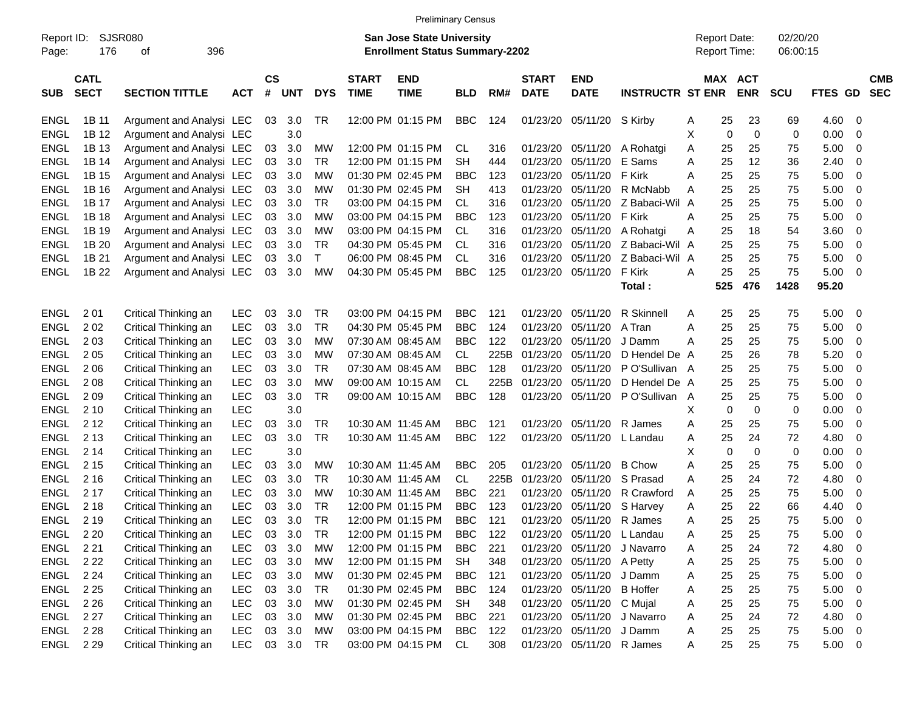|                     |                            |                          |            |                |            |              |                                                                           | <b>Preliminary Census</b> |            |      |                             |                            |                                            |         |                       |            |             |                          |                          |
|---------------------|----------------------------|--------------------------|------------|----------------|------------|--------------|---------------------------------------------------------------------------|---------------------------|------------|------|-----------------------------|----------------------------|--------------------------------------------|---------|-----------------------|------------|-------------|--------------------------|--------------------------|
| Report ID:<br>Page: | <b>SJSR080</b><br>176      |                          |            |                |            |              | <b>San Jose State University</b><br><b>Enrollment Status Summary-2202</b> |                           |            |      |                             |                            | <b>Report Date:</b><br><b>Report Time:</b> |         | 02/20/20<br>06:00:15  |            |             |                          |                          |
| <b>SUB</b>          | <b>CATL</b><br><b>SECT</b> | <b>SECTION TITTLE</b>    | <b>ACT</b> | <b>CS</b><br># | <b>UNT</b> | <b>DYS</b>   | <b>START</b><br><b>TIME</b>                                               | <b>END</b><br><b>TIME</b> | <b>BLD</b> | RM#  | <b>START</b><br><b>DATE</b> | <b>END</b><br><b>DATE</b>  | <b>INSTRUCTR ST ENR</b>                    |         | MAX ACT<br><b>ENR</b> | <b>SCU</b> | FTES GD     |                          | <b>CMB</b><br><b>SEC</b> |
| <b>ENGL</b>         | 1B 11                      | Argument and Analysi LEC |            | 03             | 3.0        | TR           |                                                                           | 12:00 PM 01:15 PM         | <b>BBC</b> | 124  | 01/23/20                    | 05/11/20 S Kirby           |                                            | 25<br>Α | 23                    | 69         | 4.60 0      |                          |                          |
| <b>ENGL</b>         | 1B 12                      | Argument and Analysi LEC |            |                | 3.0        |              |                                                                           |                           |            |      |                             |                            |                                            | Χ       | 0<br>0                | 0          | 0.00        | - 0                      |                          |
| <b>ENGL</b>         | 1B 13                      | Argument and Analysi LEC |            | 03             | 3.0        | МW           |                                                                           | 12:00 PM 01:15 PM         | CL.        | 316  | 01/23/20                    | 05/11/20                   | A Rohatgi                                  | Α<br>25 | 25                    | 75         | 5.00        | $\overline{\mathbf{0}}$  |                          |
| <b>ENGL</b>         | 1B 14                      | Argument and Analysi LEC |            | 03             | 3.0        | <b>TR</b>    |                                                                           | 12:00 PM 01:15 PM         | <b>SH</b>  | 444  | 01/23/20                    | 05/11/20                   | E Sams                                     | A<br>25 | 12                    | 36         | 2.40        | 0                        |                          |
| <b>ENGL</b>         | 1B 15                      | Argument and Analysi LEC |            | 03             | 3.0        | MW           |                                                                           | 01:30 PM 02:45 PM         | <b>BBC</b> | 123  | 01/23/20                    | 05/11/20                   | F Kirk                                     | 25<br>A | 25                    | 75         | 5.00        | $\overline{\mathbf{0}}$  |                          |
| <b>ENGL</b>         | 1B 16                      | Argument and Analysi LEC |            | 03             | 3.0        | MW           |                                                                           | 01:30 PM 02:45 PM         | <b>SH</b>  | 413  | 01/23/20                    | 05/11/20                   | R McNabb                                   | 25<br>A | 25                    | 75         | 5.00        | $\overline{\mathbf{0}}$  |                          |
| <b>ENGL</b>         | 1B 17                      | Argument and Analysi LEC |            | 03             | 3.0        | <b>TR</b>    |                                                                           | 03:00 PM 04:15 PM         | <b>CL</b>  | 316  | 01/23/20                    | 05/11/20                   | Z Babaci-Wil                               | 25<br>A | 25                    | 75         | 5.00        | $\overline{\mathbf{0}}$  |                          |
| <b>ENGL</b>         | 1B 18                      | Argument and Analysi LEC |            | 03             | 3.0        | MW           |                                                                           | 03:00 PM 04:15 PM         | <b>BBC</b> | 123  | 01/23/20                    | 05/11/20                   | F Kirk                                     | 25<br>Α | 25                    | 75         | 5.00        | 0                        |                          |
| <b>ENGL</b>         | 1B 19                      | Argument and Analysi LEC |            | 03             | 3.0        | MW           |                                                                           | 03:00 PM 04:15 PM         | <b>CL</b>  | 316  | 01/23/20                    | 05/11/20                   | A Rohatgi                                  | 25<br>Α | 18                    | 54         | 3.60        | 0                        |                          |
| <b>ENGL</b>         | 1B 20                      | Argument and Analysi LEC |            | 03             | 3.0        | TR           |                                                                           | 04:30 PM 05:45 PM         | <b>CL</b>  | 316  | 01/23/20                    | 05/11/20                   | Z Babaci-Wil A                             | 25      | 25                    | 75         | 5.00        | $\overline{\mathbf{0}}$  |                          |
| <b>ENGL</b>         | 1B 21                      | Argument and Analysi LEC |            | 03             | 3.0        | $\mathsf{T}$ |                                                                           | 06:00 PM 08:45 PM         | <b>CL</b>  | 316  | 01/23/20                    | 05/11/20                   | Z Babaci-Wil                               | 25<br>A | 25                    | 75         | 5.00        | $\overline{\mathbf{0}}$  |                          |
| <b>ENGL</b>         | 1B 22                      | Argument and Analysi LEC |            | 03             | 3.0        | MW           |                                                                           | 04:30 PM 05:45 PM         | <b>BBC</b> | 125  | 01/23/20                    | 05/11/20                   | F Kirk                                     | 25<br>Α | 25                    | 75         | 5.00        | $\overline{\phantom{0}}$ |                          |
|                     |                            |                          |            |                |            |              |                                                                           |                           |            |      |                             |                            | Total:                                     | 525     | 476                   | 1428       | 95.20       |                          |                          |
|                     |                            |                          |            |                |            |              |                                                                           |                           |            |      |                             |                            |                                            |         |                       |            |             |                          |                          |
| <b>ENGL</b>         | 201                        | Critical Thinking an     | <b>LEC</b> | 03             | 3.0        | TR           |                                                                           | 03:00 PM 04:15 PM         | <b>BBC</b> | 121  | 01/23/20                    | 05/11/20                   | R Skinnell                                 | 25<br>A | 25                    | 75         | 5.00        | - 0                      |                          |
| <b>ENGL</b>         | 202                        | Critical Thinking an     | <b>LEC</b> | 03             | 3.0        | <b>TR</b>    |                                                                           | 04:30 PM 05:45 PM         | <b>BBC</b> | 124  | 01/23/20                    | 05/11/20                   | A Tran                                     | Α<br>25 | 25                    | 75         | 5.00        | $\overline{\mathbf{0}}$  |                          |
| <b>ENGL</b>         | 203                        | Critical Thinking an     | <b>LEC</b> | 03             | 3.0        | МW           |                                                                           | 07:30 AM 08:45 AM         | <b>BBC</b> | 122  | 01/23/20                    | 05/11/20                   | J Damm                                     | 25<br>Α | 25                    | 75         | 5.00        | $\overline{\mathbf{0}}$  |                          |
| <b>ENGL</b>         | 205                        | Critical Thinking an     | <b>LEC</b> | 03             | 3.0        | MW           |                                                                           | 07:30 AM 08:45 AM         | <b>CL</b>  | 225B | 01/23/20                    | 05/11/20                   | D Hendel De A                              | 25      | 26                    | 78         | 5.20        | - 0                      |                          |
| <b>ENGL</b>         | 206                        | Critical Thinking an     | <b>LEC</b> | 03             | 3.0        | <b>TR</b>    |                                                                           | 07:30 AM 08:45 AM         | <b>BBC</b> | 128  | 01/23/20                    | 05/11/20                   | PO'Sullivan A                              | 25      | 25                    | 75         | 5.00        | $\overline{\mathbf{0}}$  |                          |
| <b>ENGL</b>         | 2 0 8                      | Critical Thinking an     | <b>LEC</b> | 03             | 3.0        | МW           |                                                                           | 09:00 AM 10:15 AM         | <b>CL</b>  | 225B | 01/23/20                    | 05/11/20                   | D Hendel De A                              | 25      | 25                    | 75         | 5.00        | - 0                      |                          |
| <b>ENGL</b>         | 209                        | Critical Thinking an     | <b>LEC</b> | 03             | 3.0        | <b>TR</b>    |                                                                           | 09:00 AM 10:15 AM         | <b>BBC</b> | 128  | 01/23/20                    | 05/11/20                   | P O'Sullivan                               | 25<br>A | 25                    | 75         | 5.00        | $\overline{\mathbf{0}}$  |                          |
| <b>ENGL</b>         | 2 1 0                      | Critical Thinking an     | <b>LEC</b> |                | 3.0        |              |                                                                           |                           |            |      |                             |                            |                                            | Х       | 0<br>0                | 0          | 0.00        | 0                        |                          |
| <b>ENGL</b>         | 2 1 2                      | Critical Thinking an     | <b>LEC</b> | 03             | 3.0        | <b>TR</b>    |                                                                           | 10:30 AM 11:45 AM         | <b>BBC</b> | 121  | 01/23/20                    | 05/11/20                   | R James                                    | 25<br>Α | 25                    | 75         | 5.00        | 0                        |                          |
| <b>ENGL</b>         | 2 1 3                      | Critical Thinking an     | <b>LEC</b> | 03             | 3.0        | <b>TR</b>    |                                                                           | 10:30 AM 11:45 AM         | <b>BBC</b> | 122  | 01/23/20                    | 05/11/20                   | L Landau                                   | 25<br>Α | 24                    | 72         | 4.80        | 0                        |                          |
| <b>ENGL</b>         | 2 14                       | Critical Thinking an     | <b>LEC</b> |                | 3.0        |              |                                                                           |                           |            |      |                             |                            |                                            | Χ       | $\mathbf 0$<br>0      | 0          | 0.00        | 0                        |                          |
| <b>ENGL</b>         | 2 1 5                      | Critical Thinking an     | <b>LEC</b> | 03             | 3.0        | МW           |                                                                           | 10:30 AM 11:45 AM         | <b>BBC</b> | 205  | 01/23/20                    | 05/11/20                   | <b>B</b> Chow                              | A<br>25 | 25                    | 75         | 5.00        | 0                        |                          |
| <b>ENGL</b>         | 2 1 6                      | Critical Thinking an     | <b>LEC</b> | 03             | 3.0        | <b>TR</b>    |                                                                           | 10:30 AM 11:45 AM         | <b>CL</b>  | 225B | 01/23/20                    | 05/11/20                   | S Prasad                                   | 25<br>A | 24                    | 72         | 4.80        | 0                        |                          |
| <b>ENGL</b>         | 2 1 7                      | Critical Thinking an     | <b>LEC</b> | 03             | 3.0        | MW           |                                                                           | 10:30 AM 11:45 AM         | <b>BBC</b> | 221  | 01/23/20                    | 05/11/20                   | R Crawford                                 | 25<br>A | 25                    | 75         | 5.00        | 0                        |                          |
| <b>ENGL</b>         | 2 1 8                      | Critical Thinking an     | <b>LEC</b> | 03             | 3.0        | <b>TR</b>    |                                                                           | 12:00 PM 01:15 PM         | <b>BBC</b> | 123  | 01/23/20                    | 05/11/20                   | S Harvey                                   | 25<br>Α | 22                    | 66         | 4.40        | 0                        |                          |
| <b>ENGL</b>         | 2 1 9                      | Critical Thinking an     | <b>LEC</b> | 03             | 3.0        | TR           |                                                                           | 12:00 PM 01:15 PM         | <b>BBC</b> | 121  | 01/23/20                    | 05/11/20                   | R James                                    | 25<br>A | 25                    | 75         | 5.00        | $\overline{\phantom{0}}$ |                          |
| ENGL 220            |                            | Critical Thinking an     | <b>LEC</b> | 03             | 3.0        | <b>TR</b>    |                                                                           | 12:00 PM 01:15 PM         | <b>BBC</b> | 122  |                             |                            | 01/23/20 05/11/20 L Landau                 | 25<br>Α | 25                    | 75         | 5.00        | $\overline{\phantom{0}}$ |                          |
| ENGL 221            |                            | Critical Thinking an     | <b>LEC</b> | 03             | 3.0        | MW           |                                                                           | 12:00 PM 01:15 PM         | <b>BBC</b> | 221  |                             |                            | 01/23/20 05/11/20 J Navarro                | 25<br>Α | 24                    | 72         | 4.80 0      |                          |                          |
| ENGL 222            |                            | Critical Thinking an     | <b>LEC</b> |                | 03 3.0     | <b>MW</b>    |                                                                           | 12:00 PM 01:15 PM         | SH         | 348  |                             | 01/23/20 05/11/20 A Petty  |                                            | 25<br>Α | 25                    | 75         | $5.00 \t 0$ |                          |                          |
| <b>ENGL</b>         | 2 2 4                      | Critical Thinking an     | <b>LEC</b> |                | 03 3.0     | МW           |                                                                           | 01:30 PM 02:45 PM         | <b>BBC</b> | 121  |                             | 01/23/20 05/11/20 J Damm   |                                            | 25<br>Α | 25                    | 75         | $5.00 \t 0$ |                          |                          |
| ENGL                | 2 2 5                      | Critical Thinking an     | <b>LEC</b> |                | 03 3.0     | <b>TR</b>    |                                                                           | 01:30 PM 02:45 PM         | <b>BBC</b> | 124  |                             | 01/23/20 05/11/20 B Hoffer |                                            | 25<br>Α | 25                    | 75         | $5.00 \t 0$ |                          |                          |
| <b>ENGL</b>         | 2 2 6                      | Critical Thinking an     | <b>LEC</b> |                | 03 3.0     | <b>MW</b>    |                                                                           | 01:30 PM 02:45 PM         | <b>SH</b>  | 348  |                             | 01/23/20 05/11/20 C Mujal  |                                            | 25<br>Α | 25                    | 75         | $5.00 \t 0$ |                          |                          |
| <b>ENGL</b>         | 2 2 7                      | Critical Thinking an     | <b>LEC</b> |                | 03 3.0     | МW           |                                                                           | 01:30 PM 02:45 PM         | <b>BBC</b> | 221  |                             |                            | 01/23/20 05/11/20 J Navarro                | 25<br>Α | 24                    | 72         | 4.80 0      |                          |                          |
| ENGL 228            |                            | Critical Thinking an     | <b>LEC</b> |                | 03 3.0     | MW           |                                                                           | 03:00 PM 04:15 PM         | <b>BBC</b> | 122  |                             | 01/23/20 05/11/20 J Damm   |                                            | 25<br>Α | 25                    | 75         | $5.00 \t 0$ |                          |                          |
| ENGL 229            |                            | Critical Thinking an     | <b>LEC</b> |                | 03 3.0 TR  |              |                                                                           | 03:00 PM 04:15 PM         | <b>CL</b>  | 308  |                             | 01/23/20 05/11/20 R James  |                                            | 25<br>Α | 25                    | 75         | $5.00 \t 0$ |                          |                          |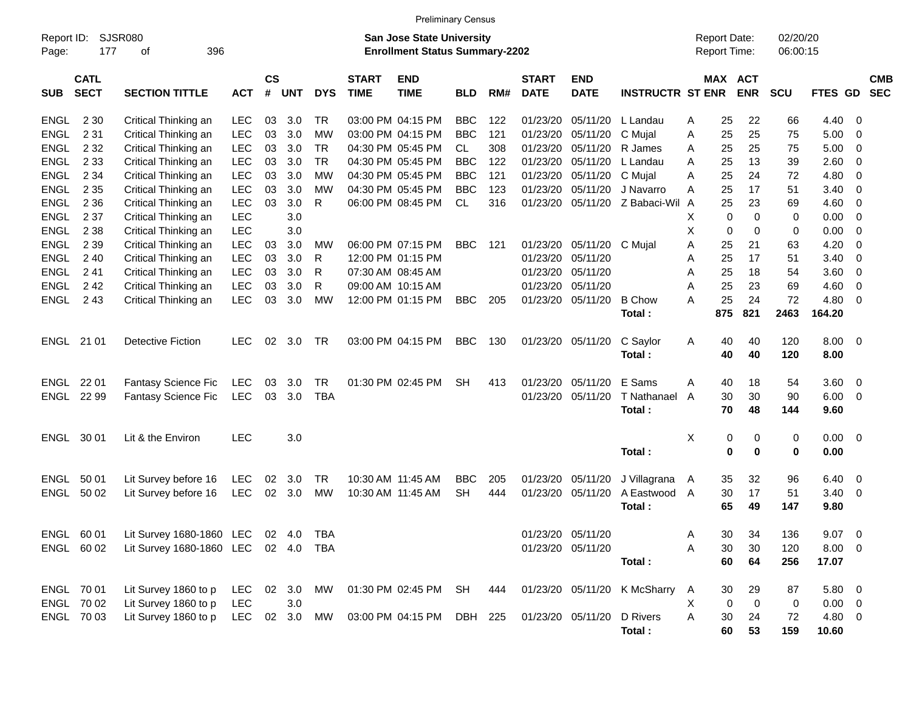|                     |                            |                                            |            |                    |            |            |                                                                           | <b>Preliminary Census</b> |            |     |                             |                           |                              |                                     |                 |                      |            |              |                         |            |
|---------------------|----------------------------|--------------------------------------------|------------|--------------------|------------|------------|---------------------------------------------------------------------------|---------------------------|------------|-----|-----------------------------|---------------------------|------------------------------|-------------------------------------|-----------------|----------------------|------------|--------------|-------------------------|------------|
| Report ID:<br>Page: | SJSR080<br>177             |                                            |            |                    |            |            | <b>San Jose State University</b><br><b>Enrollment Status Summary-2202</b> |                           |            |     |                             |                           |                              | <b>Report Date:</b><br>Report Time: |                 | 02/20/20<br>06:00:15 |            |              |                         |            |
| <b>SUB</b>          | <b>CATL</b><br><b>SECT</b> | <b>SECTION TITTLE</b>                      | <b>ACT</b> | $\mathsf{cs}$<br># | <b>UNT</b> | <b>DYS</b> | <b>START</b><br><b>TIME</b>                                               | <b>END</b><br><b>TIME</b> | <b>BLD</b> | RM# | <b>START</b><br><b>DATE</b> | <b>END</b><br><b>DATE</b> | <b>INSTRUCTR ST ENR</b>      |                                     | MAX ACT         | <b>ENR</b>           | <b>SCU</b> | FTES GD SEC  |                         | <b>CMB</b> |
| ENGL                | 2 3 0                      | Critical Thinking an                       | LEC        | 03                 | 3.0        | TR         |                                                                           | 03:00 PM 04:15 PM         | BBC        | 122 | 01/23/20                    | 05/11/20                  | L Landau                     | A                                   | 25              | 22                   | 66         | 4.40         | - 0                     |            |
| <b>ENGL</b>         | 2 3 1                      | Critical Thinking an                       | <b>LEC</b> | 03                 | 3.0        | MW         |                                                                           | 03:00 PM 04:15 PM         | <b>BBC</b> | 121 | 01/23/20                    | 05/11/20                  | C Mujal                      | A                                   | 25              | 25                   | 75         | 5.00         | 0                       |            |
| <b>ENGL</b>         | 2 3 2                      | Critical Thinking an                       | LEC        | 03                 | 3.0        | <b>TR</b>  |                                                                           | 04:30 PM 05:45 PM         | CL         | 308 | 01/23/20                    | 05/11/20                  | R James                      | A                                   | 25              | 25                   | 75         | 5.00         | 0                       |            |
| <b>ENGL</b>         | 2 3 3                      | Critical Thinking an                       | <b>LEC</b> | 03                 | 3.0        | <b>TR</b>  |                                                                           | 04:30 PM 05:45 PM         | <b>BBC</b> | 122 | 01/23/20                    | 05/11/20                  | L Landau                     | Α                                   | 25              | 13                   | 39         | 2.60         | 0                       |            |
| ENGL                | 2 3 4                      | Critical Thinking an                       | <b>LEC</b> | 03                 | 3.0        | <b>MW</b>  |                                                                           | 04:30 PM 05:45 PM         | <b>BBC</b> | 121 | 01/23/20                    | 05/11/20                  | C Mujal                      | Α                                   | 25              | 24                   | 72         | 4.80         | 0                       |            |
| ENGL                | 2 3 5                      | Critical Thinking an                       | LEC        | 03                 | 3.0        | <b>MW</b>  |                                                                           | 04:30 PM 05:45 PM         | <b>BBC</b> | 123 | 01/23/20                    | 05/11/20                  | J Navarro                    | Α                                   | 25              | 17                   | 51         | 3.40         | 0                       |            |
| ENGL                | 2 3 6                      | Critical Thinking an                       | LEC        | 03                 | 3.0        | R          |                                                                           | 06:00 PM 08:45 PM         | CL.        | 316 | 01/23/20                    | 05/11/20                  | Z Babaci-Wil A               |                                     | 25              | 23                   | 69         | 4.60         | 0                       |            |
| ENGL                | 2 3 7                      | Critical Thinking an                       | LEC        |                    | 3.0        |            |                                                                           |                           |            |     |                             |                           |                              | X                                   | 0               | 0                    | 0          | 0.00         | 0                       |            |
| ENGL                | 2 3 8                      | Critical Thinking an                       | LEC        |                    | 3.0        |            |                                                                           |                           |            |     |                             |                           |                              | X                                   | 0               | 0                    | 0          | 0.00         | 0                       |            |
| ENGL                | 2 3 9                      | Critical Thinking an                       | <b>LEC</b> | 03                 | 3.0        | МW         |                                                                           | 06:00 PM 07:15 PM         | <b>BBC</b> | 121 | 01/23/20                    | 05/11/20                  | C Mujal                      | A                                   | 25              | 21                   | 63         | 4.20         | 0                       |            |
| ENGL                | 240                        | Critical Thinking an                       | <b>LEC</b> | 03                 | 3.0        | R          |                                                                           | 12:00 PM 01:15 PM         |            |     | 01/23/20                    | 05/11/20                  |                              | A                                   | 25              | 17                   | 51         | 3.40         | 0                       |            |
| <b>ENGL</b>         | 241                        | Critical Thinking an                       | <b>LEC</b> | 03                 | 3.0        | R          |                                                                           | 07:30 AM 08:45 AM         |            |     | 01/23/20                    | 05/11/20                  |                              | A                                   | 25              | 18                   | 54         | 3.60         | 0                       |            |
| <b>ENGL</b>         | 242                        | Critical Thinking an                       | LEC        | 03                 | 3.0        | R          |                                                                           | 09:00 AM 10:15 AM         |            |     | 01/23/20                    | 05/11/20                  |                              | A                                   | 25              | 23                   | 69         | 4.60         | 0                       |            |
| <b>ENGL</b>         | 2 4 3                      | Critical Thinking an                       | <b>LEC</b> | 03                 | 3.0        | <b>MW</b>  |                                                                           | 12:00 PM 01:15 PM         | <b>BBC</b> | 205 | 01/23/20                    | 05/11/20                  | <b>B</b> Chow                | A                                   | 25              | 24                   | 72         | 4.80         | 0                       |            |
|                     |                            |                                            |            |                    |            |            |                                                                           |                           |            |     |                             |                           | Total:                       |                                     | 875             | 821                  | 2463       | 164.20       |                         |            |
| ENGL 21 01          |                            | <b>Detective Fiction</b>                   | <b>LEC</b> | 02                 | 3.0        | TR         |                                                                           | 03:00 PM 04:15 PM         | <b>BBC</b> | 130 | 01/23/20                    | 05/11/20                  | C Saylor                     | A                                   | 40              | 40                   | 120        | 8.00         | $\overline{0}$          |            |
|                     |                            |                                            |            |                    |            |            |                                                                           |                           |            |     |                             |                           | Total:                       |                                     | 40              | 40                   | 120        | 8.00         |                         |            |
| ENGL                | 22 01                      | Fantasy Science Fic                        | LEC        | 03                 | 3.0        | TR         |                                                                           | 01:30 PM 02:45 PM         | <b>SH</b>  | 413 | 01/23/20                    | 05/11/20                  | E Sams                       | A                                   | 40              | 18                   | 54         | 3.60         | $\overline{0}$          |            |
| ENGL 22 99          |                            | Fantasy Science Fic                        | <b>LEC</b> | 03                 | 3.0        | <b>TBA</b> |                                                                           |                           |            |     |                             | 01/23/20 05/11/20         | T Nathanael                  | A                                   | 30              | 30                   | 90         | 6.00         | $\overline{0}$          |            |
|                     |                            |                                            |            |                    |            |            |                                                                           |                           |            |     |                             |                           | Total:                       |                                     | 70              | 48                   | 144        | 9.60         |                         |            |
|                     |                            |                                            |            |                    |            |            |                                                                           |                           |            |     |                             |                           |                              |                                     |                 |                      |            |              |                         |            |
| ENGL                | 30 01                      | Lit & the Environ                          | <b>LEC</b> |                    | 3.0        |            |                                                                           |                           |            |     |                             |                           | Total:                       | X                                   | 0<br>0          | 0<br>0               | 0<br>0     | 0.00<br>0.00 | $\overline{\mathbf{0}}$ |            |
|                     |                            |                                            |            |                    |            |            |                                                                           |                           |            |     |                             |                           |                              |                                     |                 |                      |            |              |                         |            |
| ENGL                | 50 01                      | Lit Survey before 16                       | LEC        | 02                 | 3.0        | TR         |                                                                           | 10:30 AM 11:45 AM         | <b>BBC</b> | 205 | 01/23/20                    | 05/11/20                  | J Villagrana                 | A                                   | 35              | 32                   | 96         | 6.40         | $\overline{0}$          |            |
| ENGL                | 50 02                      | Lit Survey before 16                       | <b>LEC</b> |                    | 02 3.0     | <b>MW</b>  |                                                                           | 10:30 AM 11:45 AM         | <b>SH</b>  | 444 |                             | 01/23/20 05/11/20         | A Eastwood                   | A                                   | 30              | 17                   | 51         | 3.40         | $\overline{0}$          |            |
|                     |                            |                                            |            |                    |            |            |                                                                           |                           |            |     |                             |                           | Total:                       |                                     | 65              | 49                   | 147        | 9.80         |                         |            |
|                     |                            | ENGL 60 01 Lit Survey 1680-1860 LEC 02 4.0 |            |                    |            | <b>TBA</b> |                                                                           |                           |            |     |                             | 01/23/20 05/11/20         |                              | Α                                   | 30 <sub>o</sub> | 34                   | 136        | $9.07$ 0     |                         |            |
|                     | ENGL 60 02                 | Lit Survey 1680-1860 LEC 02 4.0            |            |                    |            | TBA        |                                                                           |                           |            |     |                             | 01/23/20 05/11/20         |                              | A                                   | 30              | 30                   | 120        | $8.00 \t 0$  |                         |            |
|                     |                            |                                            |            |                    |            |            |                                                                           |                           |            |     |                             |                           | Total:                       |                                     | 60              | 64                   | 256        | 17.07        |                         |            |
| ENGL 70 01          |                            | Lit Survey 1860 to p                       | LEC 02 3.0 |                    |            | MW         |                                                                           | 01:30 PM 02:45 PM         | SH         | 444 |                             |                           | 01/23/20 05/11/20 K McSharry | $\mathsf{A}$                        | 30              | 29                   | 87         | 5.80 0       |                         |            |
|                     | ENGL 70 02                 | Lit Survey 1860 to p                       | LEC        |                    | 3.0        |            |                                                                           |                           |            |     |                             |                           |                              | X                                   | 0               | $\mathbf 0$          | 0          | $0.00 \t 0$  |                         |            |
|                     | ENGL 70 03                 | Lit Survey 1860 to p                       | LEC        |                    | 02 3.0     | MW         |                                                                           | 03:00 PM 04:15 PM         | DBH 225    |     |                             | 01/23/20 05/11/20         | D Rivers                     | A                                   | 30              | 24                   | 72         | 4.80 0       |                         |            |
|                     |                            |                                            |            |                    |            |            |                                                                           |                           |            |     |                             |                           | Total:                       |                                     | 60              | 53                   | 159        | 10.60        |                         |            |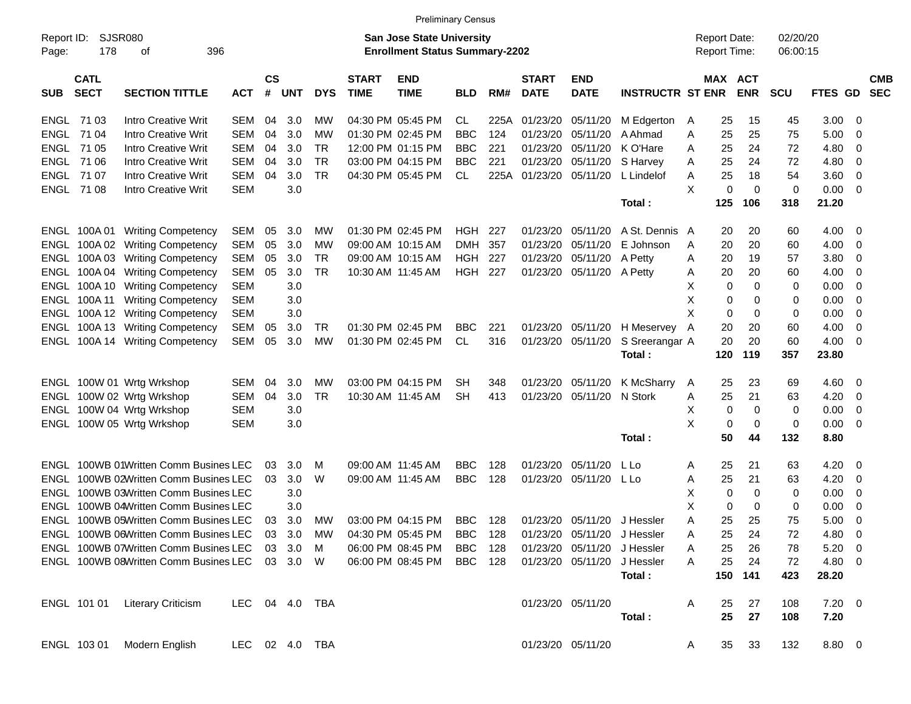|                     |                            |                                                |                |                             |           |            |                             | <b>Preliminary Census</b>                                          |                |      |                             |                             |                         |   |                                     |            |                      |            |     |                          |
|---------------------|----------------------------|------------------------------------------------|----------------|-----------------------------|-----------|------------|-----------------------------|--------------------------------------------------------------------|----------------|------|-----------------------------|-----------------------------|-------------------------|---|-------------------------------------|------------|----------------------|------------|-----|--------------------------|
| Report ID:<br>Page: | SJSR080<br>178             | 396<br>οf                                      |                |                             |           |            |                             | San Jose State University<br><b>Enrollment Status Summary-2202</b> |                |      |                             |                             |                         |   | <b>Report Date:</b><br>Report Time: |            | 02/20/20<br>06:00:15 |            |     |                          |
| <b>SUB</b>          | <b>CATL</b><br><b>SECT</b> | <b>SECTION TITTLE</b>                          | <b>ACT</b>     | $\mathbf{c}\mathbf{s}$<br># | UNT       | <b>DYS</b> | <b>START</b><br><b>TIME</b> | <b>END</b><br><b>TIME</b>                                          | <b>BLD</b>     | RM#  | <b>START</b><br><b>DATE</b> | <b>END</b><br><b>DATE</b>   | <b>INSTRUCTR ST ENR</b> |   | MAX ACT                             | <b>ENR</b> | <b>SCU</b>           | FTES GD    |     | <b>CMB</b><br><b>SEC</b> |
| ENGL 71 03          |                            | <b>Intro Creative Writ</b>                     | <b>SEM</b>     | 04                          | 3.0       | МW         |                             | 04:30 PM 05:45 PM                                                  | CL             | 225A | 01/23/20                    | 05/11/20                    | M Edgerton              | A | 25                                  | 15         | 45                   | 3.00       | 0   |                          |
| ENGL 71 04          |                            | <b>Intro Creative Writ</b>                     | <b>SEM</b>     | 04                          | 3.0       | МW         |                             | 01:30 PM 02:45 PM                                                  | <b>BBC</b>     | 124  | 01/23/20                    | 05/11/20                    | A Ahmad                 | Α | 25                                  | 25         | 75                   | 5.00       | 0   |                          |
| ENGL 71 05          |                            | <b>Intro Creative Writ</b>                     | <b>SEM</b>     | 04                          | 3.0       | TR         |                             | 12:00 PM 01:15 PM                                                  | <b>BBC</b>     | 221  | 01/23/20                    | 05/11/20                    | K O'Hare                | A | 25                                  | 24         | 72                   | 4.80       | 0   |                          |
|                     | ENGL 71 06                 | <b>Intro Creative Writ</b>                     | <b>SEM</b>     | 04                          | 3.0       | <b>TR</b>  |                             | 03:00 PM 04:15 PM                                                  | <b>BBC</b>     | 221  | 01/23/20                    | 05/11/20                    | S Harvey                | A | 25                                  | 24         | 72                   | 4.80       | 0   |                          |
| ENGL 7107           |                            | <b>Intro Creative Writ</b>                     | <b>SEM</b>     | 04                          | 3.0       | <b>TR</b>  |                             | 04:30 PM 05:45 PM                                                  | CL.            | 225A | 01/23/20                    | 05/11/20                    | L Lindelof              | A | 25                                  | 18         | 54                   | 3.60       | 0   |                          |
|                     | ENGL 71 08                 | <b>Intro Creative Writ</b>                     | <b>SEM</b>     |                             | 3.0       |            |                             |                                                                    |                |      |                             |                             |                         | X | 0                                   | 0          | 0                    | 0.00       | 0   |                          |
|                     |                            |                                                |                |                             |           |            |                             |                                                                    |                |      |                             |                             | Total:                  |   | 125                                 | 106        | 318                  | 21.20      |     |                          |
|                     | ENGL 100A 01               | <b>Writing Competency</b>                      | <b>SEM</b>     | 05                          | 3.0       | МW         |                             | 01:30 PM 02:45 PM                                                  | HGH            | 227  | 01/23/20                    | 05/11/20                    | A St. Dennis A          |   | 20                                  | 20         | 60                   | 4.00       | 0   |                          |
|                     |                            | ENGL 100A 02 Writing Competency                | <b>SEM</b>     | 05                          | 3.0       | МW         |                             | 09:00 AM 10:15 AM                                                  | <b>DMH</b>     | 357  | 01/23/20                    | 05/11/20                    | E Johnson               | A | 20                                  | 20         | 60                   | 4.00       | 0   |                          |
|                     |                            | ENGL 100A 03 Writing Competency                | <b>SEM</b>     | 05                          | 3.0       | TR         |                             | 09:00 AM 10:15 AM                                                  | HGH            | 227  | 01/23/20                    | 05/11/20                    | A Petty                 | A | 20                                  | 19         | 57                   | 3.80       | 0   |                          |
|                     |                            | ENGL 100A 04 Writing Competency                | <b>SEM</b>     | 05                          | 3.0       | <b>TR</b>  |                             | 10:30 AM 11:45 AM                                                  | HGH            | 227  | 01/23/20                    | 05/11/20                    | A Petty                 | A | 20                                  | 20         | 60                   | 4.00       | 0   |                          |
|                     |                            | ENGL 100A 10 Writing Competency                | <b>SEM</b>     |                             | 3.0       |            |                             |                                                                    |                |      |                             |                             |                         | X | 0                                   | 0          | 0                    | 0.00       | 0   |                          |
|                     | ENGL 100A 11               | <b>Writing Competency</b>                      | <b>SEM</b>     |                             | 3.0       |            |                             |                                                                    |                |      |                             |                             |                         | X | 0                                   | 0          | 0                    | 0.00       | 0   |                          |
|                     |                            | ENGL 100A 12 Writing Competency                | <b>SEM</b>     |                             | 3.0       |            |                             |                                                                    |                |      |                             |                             |                         | X | 0                                   | 0          | 0                    | 0.00       | 0   |                          |
|                     |                            | ENGL 100A 13 Writing Competency                | <b>SEM</b>     | 05                          | 3.0       | TR         |                             | 01:30 PM 02:45 PM                                                  | <b>BBC</b>     | 221  | 01/23/20                    | 05/11/20                    | H Meservey              | A | 20                                  | 20         | 60                   | 4.00       | 0   |                          |
|                     |                            | ENGL 100A 14 Writing Competency                | <b>SEM</b>     | 05                          | 3.0       | МW         |                             | 01:30 PM 02:45 PM                                                  | CL             | 316  | 01/23/20                    | 05/11/20                    | S Sreerangar A          |   | 20                                  | 20         | 60                   | 4.00       | 0   |                          |
|                     |                            |                                                |                |                             |           |            |                             |                                                                    |                |      |                             |                             | Total:                  |   | 120                                 | 119        | 357                  | 23.80      |     |                          |
|                     |                            | ENGL 100W 01 Wrtg Wrkshop                      | <b>SEM</b>     | 04                          | 3.0       | МW         |                             | 03:00 PM 04:15 PM                                                  | SН             | 348  | 01/23/20                    | 05/11/20                    | K McSharry              | A | 25                                  | 23         | 69                   | 4.60       | - 0 |                          |
|                     |                            | ENGL 100W 02 Wrtg Wrkshop                      | <b>SEM</b>     | 04                          | 3.0       | <b>TR</b>  |                             | 10:30 AM 11:45 AM                                                  | <b>SH</b>      | 413  | 01/23/20                    | 05/11/20                    | N Stork                 | A | 25                                  | 21         | 63                   | 4.20       | 0   |                          |
|                     |                            | ENGL 100W 04 Wrtg Wrkshop                      | <b>SEM</b>     |                             | 3.0       |            |                             |                                                                    |                |      |                             |                             |                         | Х | 0                                   | 0          | 0                    | 0.00       | 0   |                          |
|                     |                            | ENGL 100W 05 Wrtg Wrkshop                      | <b>SEM</b>     |                             | 3.0       |            |                             |                                                                    |                |      |                             |                             |                         | X | 0                                   | 0          | 0                    | 0.00       | 0   |                          |
|                     |                            |                                                |                |                             |           |            |                             |                                                                    |                |      |                             |                             | Total:                  |   | 50                                  | 44         | 132                  | 8.80       |     |                          |
| ENGL                |                            | 100WB 01Written Comm Busines LEC               |                | 03                          | 3.0       | м          |                             | 09:00 AM 11:45 AM                                                  | <b>BBC</b>     | 128  | 01/23/20                    | 05/11/20                    | L Lo                    | A | 25                                  | 21         | 63                   | 4.20       | 0   |                          |
| <b>ENGL</b>         |                            | 100WB 02Written Comm Busines LEC               |                | 03                          | 3.0       | W          |                             | 09:00 AM 11:45 AM                                                  | <b>BBC</b>     | 128  | 01/23/20                    | 05/11/20                    | L Lo                    | A | 25                                  | 21         | 63                   | 4.20       | 0   |                          |
| ENGL                |                            | 100WB 03Written Comm Busines LEC               |                |                             | 3.0       |            |                             |                                                                    |                |      |                             |                             |                         | Х | 0                                   | 0          | 0                    | 0.00       | 0   |                          |
| ENGL                |                            | 100WB 04Written Comm Busines LEC               |                |                             | 3.0       |            |                             |                                                                    |                |      |                             |                             |                         | X | 0                                   | 0          | 0                    | 0.00       | 0   |                          |
|                     |                            | ENGL 100WB 05Written Comm Busines LEC          |                | 03                          | 3.0       | MW         |                             | 03:00 PM 04:15 PM                                                  | <b>BBC</b>     | 128  |                             | 01/23/20 05/11/20           | J Hessler               | Α | 25                                  | 25         | 75                   | 5.00       | 0   |                          |
|                     |                            | ENGL 100WB 06Written Comm Busines LEC          |                |                             | 03 3.0 MW |            |                             | 04:30 PM 05:45 PM                                                  | BBC 128        |      |                             | 01/23/20 05/11/20 J Hessler |                         | A | 25                                  | 24         | 72                   | 4.80 0     |     |                          |
|                     |                            | ENGL 100WB 07Written Comm Busines LEC          |                |                             | 03 3.0    | M          |                             | 06:00 PM 08:45 PM                                                  | BBC            | 128  |                             | 01/23/20 05/11/20           | J Hessler               | A | 25                                  | 26         | 78                   | $5.20 \ 0$ |     |                          |
|                     |                            | ENGL 100WB 08Written Comm Busines LEC 03 3.0 W |                |                             |           |            |                             | 06:00 PM 08:45 PM                                                  | <b>BBC</b> 128 |      |                             | 01/23/20 05/11/20           | J Hessler               | A | 25                                  | 24         | 72                   | 4.80 0     |     |                          |
|                     |                            |                                                |                |                             |           |            |                             |                                                                    |                |      |                             |                             | Total:                  |   | 150                                 | 141        | 423                  | 28.20      |     |                          |
|                     |                            | ENGL 101 01 Literary Criticism                 | LEC 04 4.0 TBA |                             |           |            |                             |                                                                    |                |      |                             | 01/23/20 05/11/20           |                         | A | 25                                  | 27         | 108                  | $7.20 \ 0$ |     |                          |
|                     |                            |                                                |                |                             |           |            |                             |                                                                    |                |      |                             |                             | Total:                  |   | 25                                  | 27         | 108                  | 7.20       |     |                          |
|                     | ENGL 103 01                | Modern English                                 | LEC 02 4.0 TBA |                             |           |            |                             |                                                                    |                |      |                             | 01/23/20 05/11/20           |                         | A | 35                                  | 33         | 132                  | 8.80 0     |     |                          |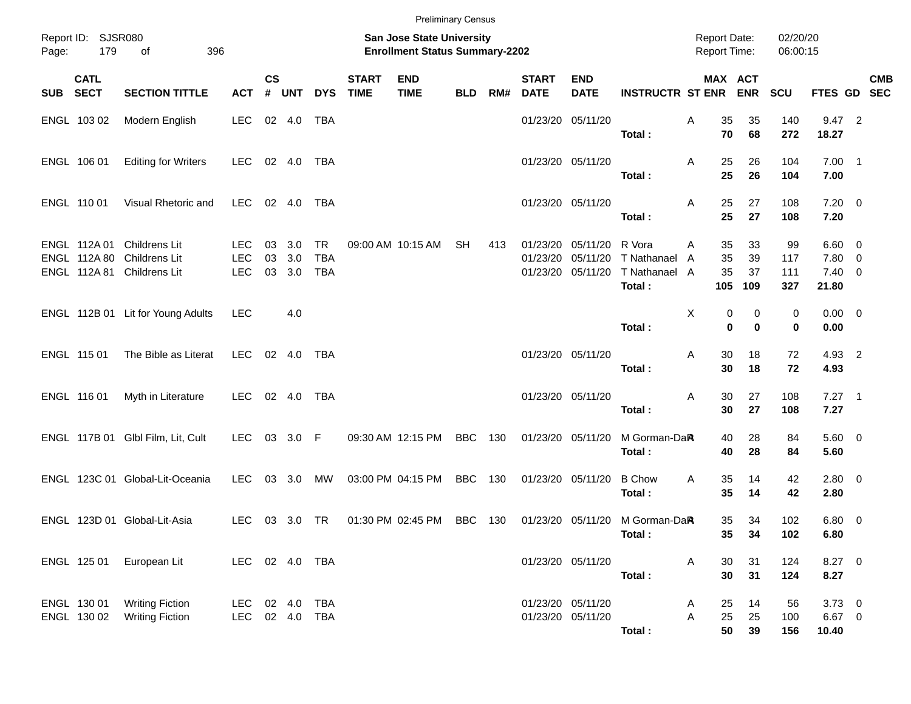|       |                                              |                                                                      |                                        |                    |                      |                                |                             | <b>Preliminary Census</b>                                          |            |     |                             |                                                             |                                                  |        |                                     |                       |                         |                                           |            |
|-------|----------------------------------------------|----------------------------------------------------------------------|----------------------------------------|--------------------|----------------------|--------------------------------|-----------------------------|--------------------------------------------------------------------|------------|-----|-----------------------------|-------------------------------------------------------------|--------------------------------------------------|--------|-------------------------------------|-----------------------|-------------------------|-------------------------------------------|------------|
| Page: | Report ID: SJSR080<br>179                    | 396<br>of                                                            |                                        |                    |                      |                                |                             | San Jose State University<br><b>Enrollment Status Summary-2202</b> |            |     |                             |                                                             |                                                  |        | <b>Report Date:</b><br>Report Time: |                       | 02/20/20<br>06:00:15    |                                           |            |
| SUB   | <b>CATL</b><br><b>SECT</b>                   | <b>SECTION TITTLE</b>                                                | <b>ACT</b>                             | $\mathsf{cs}$<br># | <b>UNT</b>           | <b>DYS</b>                     | <b>START</b><br><b>TIME</b> | <b>END</b><br><b>TIME</b>                                          | <b>BLD</b> | RM# | <b>START</b><br><b>DATE</b> | <b>END</b><br><b>DATE</b>                                   | <b>INSTRUCTR ST ENR ENR</b>                      |        | MAX ACT                             |                       | <b>SCU</b>              | FTES GD SEC                               | <b>CMB</b> |
|       | ENGL 103 02                                  | Modern English                                                       | <b>LEC</b>                             |                    | 02 4.0               | TBA                            |                             |                                                                    |            |     |                             | 01/23/20 05/11/20                                           | Total:                                           | Α      | 35<br>70                            | 35<br>68              | 140<br>272              | 9.47 2<br>18.27                           |            |
|       | ENGL 106 01                                  | <b>Editing for Writers</b>                                           | LEC                                    |                    | 02 4.0               | TBA                            |                             |                                                                    |            |     |                             | 01/23/20 05/11/20                                           | Total:                                           | Α      | 25<br>25                            | 26<br>26              | 104<br>104              | $7.00$ 1<br>7.00                          |            |
|       | ENGL 110 01                                  | Visual Rhetoric and                                                  | LEC                                    |                    | 02 4.0               | TBA                            |                             |                                                                    |            |     |                             | 01/23/20 05/11/20                                           | Total:                                           | Α      | 25<br>25                            | 27<br>27              | 108<br>108              | $7.20 \t 0$<br>7.20                       |            |
|       | ENGL 112A 01<br>ENGL 112A 80<br>ENGL 112A 81 | <b>Childrens Lit</b><br><b>Childrens Lit</b><br><b>Childrens Lit</b> | <b>LEC</b><br><b>LEC</b><br><b>LEC</b> | 03<br>03           | 3.0<br>3.0<br>03 3.0 | TR<br><b>TBA</b><br><b>TBA</b> |                             | 09:00 AM 10:15 AM                                                  | SH         | 413 |                             | 01/23/20 05/11/20<br>01/23/20 05/11/20<br>01/23/20 05/11/20 | R Vora<br>T Nathanael<br>T Nathanael A<br>Total: | Α<br>A | 35<br>35<br>35<br>105               | 33<br>39<br>37<br>109 | 99<br>117<br>111<br>327 | $6.60$ 0<br>7.80 0<br>$7.40 \ 0$<br>21.80 |            |
|       |                                              | ENGL 112B 01 Lit for Young Adults                                    | <b>LEC</b>                             |                    | 4.0                  |                                |                             |                                                                    |            |     |                             |                                                             | Total:                                           | Χ      | 0<br>$\bf{0}$                       | 0<br>$\bf{0}$         | 0<br>0                  | $0.00 \t 0$<br>0.00                       |            |
|       | ENGL 115 01                                  | The Bible as Literat                                                 | LEC                                    |                    | 02 4.0               | TBA                            |                             |                                                                    |            |     |                             | 01/23/20 05/11/20                                           | Total:                                           | Α      | 30<br>30                            | 18<br>18              | 72<br>72                | 4.93 2<br>4.93                            |            |
|       | ENGL 116 01                                  | Myth in Literature                                                   | <b>LEC</b>                             |                    | 02 4.0               | TBA                            |                             |                                                                    |            |     |                             | 01/23/20 05/11/20                                           | Total:                                           | Α      | 30<br>30                            | 27<br>27              | 108<br>108              | $7.27$ 1<br>7.27                          |            |
|       |                                              | ENGL 117B 01 Glbl Film, Lit, Cult                                    | LEC                                    |                    | 03 3.0 F             |                                |                             | 09:30 AM 12:15 PM                                                  | <b>BBC</b> | 130 |                             | 01/23/20 05/11/20                                           | M Gorman-DaR<br>Total:                           |        | 40<br>40                            | 28<br>28              | 84<br>84                | 5.60 0<br>5.60                            |            |
|       |                                              | ENGL 123C 01 Global-Lit-Oceania                                      | <b>LEC</b>                             |                    | 03 3.0               | МW                             |                             | 03:00 PM 04:15 PM                                                  | <b>BBC</b> | 130 |                             | 01/23/20 05/11/20                                           | <b>B</b> Chow<br>Total:                          | Α      | 35<br>35                            | 14<br>14              | 42<br>42                | $2.80 \t 0$<br>2.80                       |            |
|       |                                              | ENGL 123D 01 Global-Lit-Asia                                         | LEC.                                   |                    | 03 3.0               | TR                             |                             | 01:30 PM 02:45 PM                                                  | BBC        | 130 |                             |                                                             | 01/23/20 05/11/20 M Gorman-DaR<br>Total:         |        | 35<br>35                            | 34<br>34              | 102<br>102              | $6.80$ 0<br>6.80                          |            |
|       | ENGL 125 01                                  | European Lit                                                         | LEC 02 4.0 TBA                         |                    |                      |                                |                             |                                                                    |            |     |                             | 01/23/20 05/11/20                                           | Total:                                           | A      | $30\,$<br>30                        | 31<br>31              | 124<br>124              | 8.27 0<br>8.27                            |            |
|       | ENGL 130 01<br>ENGL 130 02                   | <b>Writing Fiction</b><br><b>Writing Fiction</b>                     | LEC 02 4.0<br>LEC 02 4.0 TBA           |                    |                      | <b>TBA</b>                     |                             |                                                                    |            |     |                             | 01/23/20 05/11/20<br>01/23/20 05/11/20                      | Total:                                           | A<br>Α | 25<br>25<br>50                      | 14<br>25<br>39        | 56<br>100<br>156        | $3.73$ 0<br>$6.67$ 0<br>10.40             |            |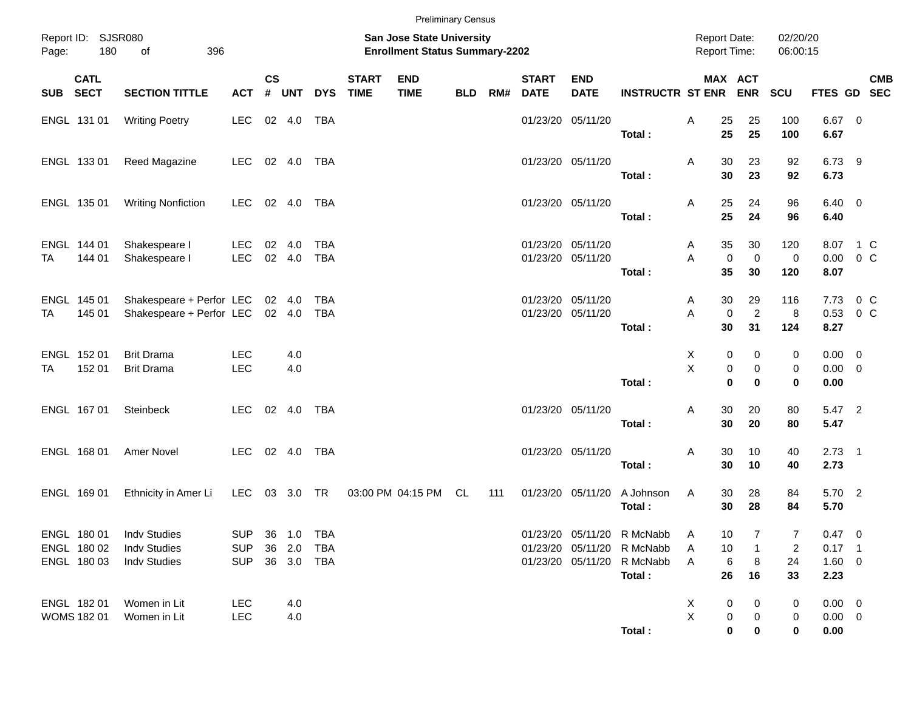|       |                                           |                                                                   |                                        |                    |                                |                          |                             | <b>Preliminary Census</b>                                          |            |     |                                        |                           |                                                                                                  |               |                                            |                            |                           |                                               |                       |            |
|-------|-------------------------------------------|-------------------------------------------------------------------|----------------------------------------|--------------------|--------------------------------|--------------------------|-----------------------------|--------------------------------------------------------------------|------------|-----|----------------------------------------|---------------------------|--------------------------------------------------------------------------------------------------|---------------|--------------------------------------------|----------------------------|---------------------------|-----------------------------------------------|-----------------------|------------|
| Page: | Report ID: SJSR080<br>180                 | of<br>396                                                         |                                        |                    |                                |                          |                             | San Jose State University<br><b>Enrollment Status Summary-2202</b> |            |     |                                        |                           |                                                                                                  |               | <b>Report Date:</b><br><b>Report Time:</b> |                            | 02/20/20<br>06:00:15      |                                               |                       |            |
| SUB   | <b>CATL</b><br><b>SECT</b>                | <b>SECTION TITTLE</b>                                             | <b>ACT</b>                             | $\mathsf{cs}$<br># | <b>UNT</b>                     | <b>DYS</b>               | <b>START</b><br><b>TIME</b> | <b>END</b><br><b>TIME</b>                                          | <b>BLD</b> | RM# | <b>START</b><br><b>DATE</b>            | <b>END</b><br><b>DATE</b> | <b>INSTRUCTR ST ENR</b>                                                                          |               | MAX ACT                                    | <b>ENR</b>                 | SCU                       | FTES GD SEC                                   |                       | <b>CMB</b> |
|       | ENGL 131 01                               | <b>Writing Poetry</b>                                             | <b>LEC</b>                             |                    | 02 4.0                         | TBA                      |                             |                                                                    |            |     |                                        | 01/23/20 05/11/20         | Total:                                                                                           | Α             | 25<br>25                                   | 25<br>25                   | 100<br>100                | 6.67 0<br>6.67                                |                       |            |
|       | ENGL 133 01                               | Reed Magazine                                                     | <b>LEC</b>                             |                    | 02 4.0                         | TBA                      |                             |                                                                    |            |     | 01/23/20 05/11/20                      |                           | Total:                                                                                           | Α             | 30<br>30                                   | 23<br>23                   | 92<br>92                  | 6.73 9<br>6.73                                |                       |            |
|       | ENGL 135 01                               | <b>Writing Nonfiction</b>                                         | <b>LEC</b>                             |                    | 02 4.0                         | TBA                      |                             |                                                                    |            |     | 01/23/20 05/11/20                      |                           | Total:                                                                                           | Α             | 25<br>25                                   | 24<br>24                   | 96<br>96                  | $6.40 \quad 0$<br>6.40                        |                       |            |
| TA    | ENGL 144 01<br>144 01                     | Shakespeare I<br>Shakespeare I                                    | LEC<br>LEC                             |                    | 02 4.0<br>02 4.0               | TBA<br><b>TBA</b>        |                             |                                                                    |            |     | 01/23/20 05/11/20                      | 01/23/20 05/11/20         | Total:                                                                                           | A<br>A        | 35<br>$\mathbf 0$<br>35                    | 30<br>$\mathbf 0$<br>30    | 120<br>$\mathbf 0$<br>120 | 8.07 1 C<br>0.00<br>8.07                      | 0 C                   |            |
| TA    | ENGL 145 01<br>145 01                     | Shakespeare + Perfor LEC<br>Shakespeare + Perfor LEC              |                                        |                    | 02 4.0<br>02 4.0               | <b>TBA</b><br><b>TBA</b> |                             |                                                                    |            |     | 01/23/20 05/11/20<br>01/23/20 05/11/20 |                           | Total:                                                                                           | A<br>A        | 30<br>$\mathbf 0$<br>30                    | 29<br>$\overline{2}$<br>31 | 116<br>8<br>124           | 7.73<br>0.53<br>8.27                          | 0 <sup>C</sup><br>0 C |            |
| TA    | ENGL 152 01<br>152 01                     | <b>Brit Drama</b><br><b>Brit Drama</b>                            | <b>LEC</b><br><b>LEC</b>               |                    | 4.0<br>4.0                     |                          |                             |                                                                    |            |     |                                        |                           | Total:                                                                                           | Χ<br>$\times$ | 0<br>0<br>$\bf{0}$                         | 0<br>0<br>$\bf{0}$         | 0<br>0<br>$\bf{0}$        | $0.00 \t 0$<br>$0.00 \t 0$<br>0.00            |                       |            |
|       | ENGL 167 01                               | Steinbeck                                                         | <b>LEC</b>                             |                    | 02 4.0                         | TBA                      |                             |                                                                    |            |     | 01/23/20 05/11/20                      |                           | Total:                                                                                           | Α             | 30<br>30                                   | 20<br>20                   | 80<br>80                  | 5.47 2<br>5.47                                |                       |            |
|       | ENGL 168 01                               | Amer Novel                                                        | <b>LEC</b>                             |                    | 02 4.0                         | TBA                      |                             |                                                                    |            |     |                                        | 01/23/20 05/11/20         | Total:                                                                                           | Α             | 30<br>30                                   | 10<br>10                   | 40<br>40                  | $2.73$ 1<br>2.73                              |                       |            |
|       | ENGL 169 01                               | Ethnicity in Amer Li                                              | LEC                                    |                    | 03 3.0 TR                      |                          |                             | 03:00 PM 04:15 PM                                                  | CL         | 111 |                                        | 01/23/20 05/11/20         | A Johnson<br>Total:                                                                              | Α             | 30<br>30                                   | 28<br>28                   | 84<br>84                  | 5.70 2<br>5.70                                |                       |            |
|       | ENGL 180 01<br>ENGL 180 02<br>ENGL 180 03 | <b>Indv Studies</b><br><b>Indv Studies</b><br><b>Indv Studies</b> | <b>SUP</b><br><b>SUP</b><br><b>SUP</b> |                    | 36 1.0<br>36 2.0<br>36 3.0 TBA | TBA<br>TBA               |                             |                                                                    |            |     |                                        |                           | 01/23/20 05/11/20 R McNabb<br>01/23/20 05/11/20 R McNabb<br>01/23/20 05/11/20 R McNabb<br>Total: | A<br>A<br>A   | 10<br>10<br>6<br>26                        | 1<br>8<br>16               | 7<br>2<br>24<br>33        | $0.47 \ 0$<br>$0.17$ 1<br>$1.60 \t 0$<br>2.23 |                       |            |
|       | ENGL 182 01<br>WOMS 182 01                | Women in Lit<br>Women in Lit                                      | <b>LEC</b><br><b>LEC</b>               |                    | 4.0<br>4.0                     |                          |                             |                                                                    |            |     |                                        |                           | Total:                                                                                           | X<br>X        | 0<br>0<br>0                                | 0<br>0<br>0                | 0<br>0<br>$\mathbf 0$     | $0.00 \t 0$<br>$0.00 \t 0$<br>0.00            |                       |            |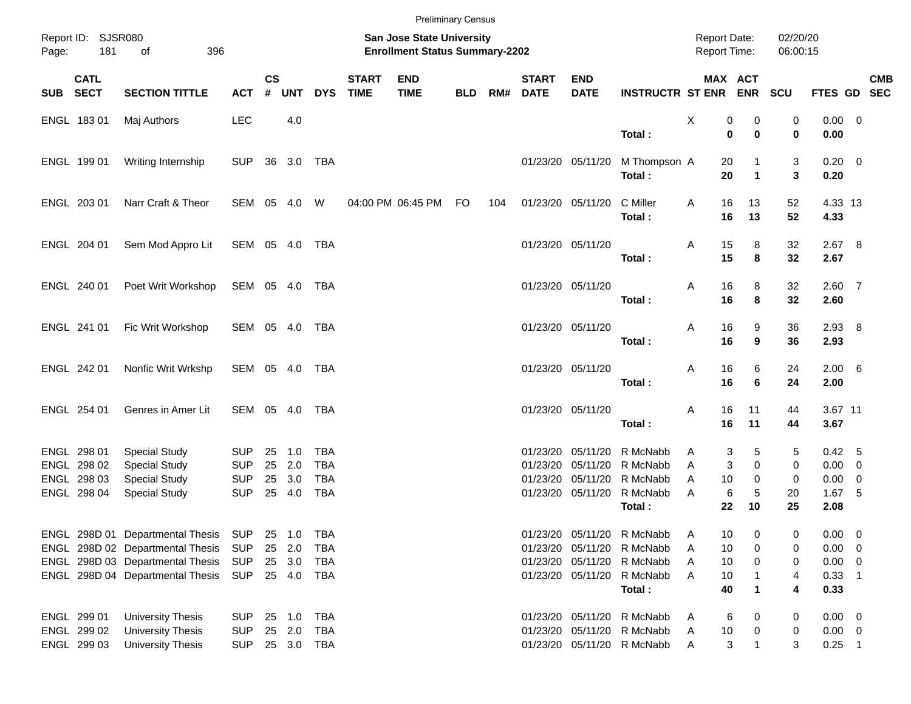| <b>Preliminary Census</b>          |             |                                  |                                                                    |                    |            |            |                             |                           |            |     |                                     |                           |                             |               |                      |               |                       |                         |            |
|------------------------------------|-------------|----------------------------------|--------------------------------------------------------------------|--------------------|------------|------------|-----------------------------|---------------------------|------------|-----|-------------------------------------|---------------------------|-----------------------------|---------------|----------------------|---------------|-----------------------|-------------------------|------------|
| Report ID: SJSR080<br>181<br>Page: |             | 396<br>of                        | San Jose State University<br><b>Enrollment Status Summary-2202</b> |                    |            |            |                             |                           |            |     | <b>Report Date:</b><br>Report Time: |                           | 02/20/20<br>06:00:15        |               |                      |               |                       |                         |            |
| SUB SECT                           | <b>CATL</b> | <b>SECTION TITTLE</b>            | <b>ACT</b>                                                         | $\mathsf{cs}$<br># | <b>UNT</b> | <b>DYS</b> | <b>START</b><br><b>TIME</b> | <b>END</b><br><b>TIME</b> | <b>BLD</b> | RM# | <b>START</b><br><b>DATE</b>         | <b>END</b><br><b>DATE</b> | <b>INSTRUCTR ST ENR ENR</b> | MAX ACT       |                      | <b>SCU</b>    | FTES GD SEC           |                         | <b>CMB</b> |
|                                    | ENGL 18301  | Maj Authors                      | <b>LEC</b>                                                         |                    | 4.0        |            |                             |                           |            |     |                                     |                           | Total:                      | X<br>0<br>0   | 0<br>$\bf{0}$        | 0<br>$\bf{0}$ | $0.00 \t 0$<br>0.00   |                         |            |
|                                    | ENGL 199 01 | Writing Internship               | <b>SUP</b>                                                         |                    | 36 3.0 TBA |            |                             |                           |            |     |                                     | 01/23/20 05/11/20         | M Thompson A                | 20            |                      | 3             | $0.20 \ 0$            |                         |            |
|                                    |             |                                  |                                                                    |                    |            |            |                             |                           |            |     |                                     |                           | Total:                      | 20            | $\blacktriangleleft$ | 3             | 0.20                  |                         |            |
|                                    | ENGL 203 01 | Narr Craft & Theor               | SEM 05 4.0                                                         |                    |            | W          |                             | 04:00 PM 06:45 PM         | <b>FO</b>  | 104 |                                     | 01/23/20 05/11/20         | C Miller<br>Total:          | 16<br>A<br>16 | 13<br>13             | 52<br>52      | 4.33 13<br>4.33       |                         |            |
|                                    | ENGL 204 01 | Sem Mod Appro Lit                | SEM 05 4.0                                                         |                    |            | TBA        |                             |                           |            |     |                                     | 01/23/20 05/11/20         |                             | 15<br>Α       | 8                    | 32            | 2.67 8                |                         |            |
|                                    |             |                                  |                                                                    |                    |            |            |                             |                           |            |     |                                     |                           | Total:                      | 15            | 8                    | 32            | 2.67                  |                         |            |
|                                    | ENGL 240 01 | Poet Writ Workshop               | SEM 05 4.0                                                         |                    |            | TBA        |                             |                           |            |     |                                     | 01/23/20 05/11/20         | Total:                      | Α<br>16<br>16 | 8<br>8               | 32<br>32      | $2.60$ 7<br>2.60      |                         |            |
|                                    | ENGL 241 01 | Fic Writ Workshop                | SEM 05 4.0                                                         |                    |            | TBA        |                             |                           |            |     |                                     | 01/23/20 05/11/20         |                             | Α<br>16       | 9                    | 36            | $2.93$ 8              |                         |            |
|                                    |             |                                  |                                                                    |                    |            |            |                             |                           |            |     |                                     |                           | Total:                      | 16            | 9                    | 36            | 2.93                  |                         |            |
|                                    | ENGL 242 01 | Nonfic Writ Wrkshp               | SEM 05 4.0                                                         |                    |            | TBA        |                             |                           |            |     |                                     | 01/23/20 05/11/20         | Total:                      | Α<br>16<br>16 | 6<br>6               | 24<br>24      | $2.00\quad 6$<br>2.00 |                         |            |
|                                    | ENGL 254 01 | Genres in Amer Lit               | SEM 05 4.0                                                         |                    |            | TBA        |                             |                           |            |     |                                     | 01/23/20 05/11/20         |                             | 16<br>Α       | 11                   | 44            | 3.67 11               |                         |            |
|                                    |             |                                  |                                                                    |                    |            |            |                             |                           |            |     |                                     |                           | Total:                      | 16            | 11                   | 44            | 3.67                  |                         |            |
|                                    | ENGL 298 01 | <b>Special Study</b>             | <b>SUP</b>                                                         | 25                 | 1.0        | TBA        |                             |                           |            |     |                                     | 01/23/20 05/11/20         | R McNabb                    | 3<br>A        | 5                    | 5             | $0.42\quad 5$         |                         |            |
|                                    | ENGL 298 02 | <b>Special Study</b>             | <b>SUP</b>                                                         | 25                 | 2.0        | <b>TBA</b> |                             |                           |            |     |                                     | 01/23/20 05/11/20         | R McNabb                    | 3<br>A        | $\Omega$             | 0             | $0.00 \t 0$           |                         |            |
|                                    | ENGL 298 03 | <b>Special Study</b>             | <b>SUP</b>                                                         | 25                 | 3.0        | <b>TBA</b> |                             |                           |            |     |                                     | 01/23/20 05/11/20         | R McNabb                    | A<br>10       | $\Omega$             | 0             | 0.00                  | 0                       |            |
|                                    | ENGL 298 04 | <b>Special Study</b>             | <b>SUP</b>                                                         |                    | 25 4.0     | <b>TBA</b> |                             |                           |            |     |                                     | 01/23/20 05/11/20         | R McNabb                    | 6<br>A        | 5                    | 20            | $1.67$ 5              |                         |            |
|                                    |             |                                  |                                                                    |                    |            |            |                             |                           |            |     |                                     |                           | Total:                      | 22            | 10                   | 25            | 2.08                  |                         |            |
|                                    |             | ENGL 298D 01 Departmental Thesis | SUP                                                                |                    | 25 1.0     | TBA        |                             |                           |            |     |                                     |                           | 01/23/20 05/11/20 R McNabb  | 10<br>A       | 0                    | 0             | 0.00                  | $\overline{\mathbf{0}}$ |            |
|                                    |             | ENGL 298D 02 Departmental Thesis | SUP                                                                |                    | 25 2.0     | TBA        |                             |                           |            |     |                                     |                           | 01/23/20 05/11/20 R McNabb  | 10<br>Α       |                      | 0             | 0.00                  | - 0                     |            |
|                                    |             | ENGL 298D 03 Departmental Thesis | SUP                                                                |                    | 25 3.0     | TBA        |                             |                           |            |     |                                     |                           | 01/23/20 05/11/20 R McNabb  | 10<br>Α       | 0                    | 0             | 0.00                  | $\overline{\mathbf{0}}$ |            |
|                                    |             | ENGL 298D 04 Departmental Thesis | SUP                                                                |                    | 25 4.0     | TBA        |                             |                           |            |     |                                     | 01/23/20 05/11/20         | R McNabb                    | A<br>10       |                      | 4             | $0.33$ 1              |                         |            |
|                                    |             |                                  |                                                                    |                    |            |            |                             |                           |            |     |                                     |                           | Total:                      | 40            | 1                    | 4             | 0.33                  |                         |            |
|                                    | ENGL 299 01 | <b>University Thesis</b>         | <b>SUP</b>                                                         |                    | 25 1.0     | TBA        |                             |                           |            |     |                                     |                           | 01/23/20 05/11/20 R McNabb  | 6<br>A        | 0                    | 0             | $0.00 \t 0$           |                         |            |
|                                    | ENGL 299 02 | <b>University Thesis</b>         | <b>SUP</b>                                                         |                    | 25 2.0     | TBA        |                             |                           |            |     |                                     |                           | 01/23/20 05/11/20 R McNabb  | 10<br>A       | 0                    | 0             | $0.00 \t 0$           |                         |            |
|                                    | ENGL 299 03 | <b>University Thesis</b>         | <b>SUP</b>                                                         |                    | 25 3.0 TBA |            |                             |                           |            |     |                                     |                           | 01/23/20 05/11/20 R McNabb  | 3<br>A        | 1                    | 3             | $0.25$ 1              |                         |            |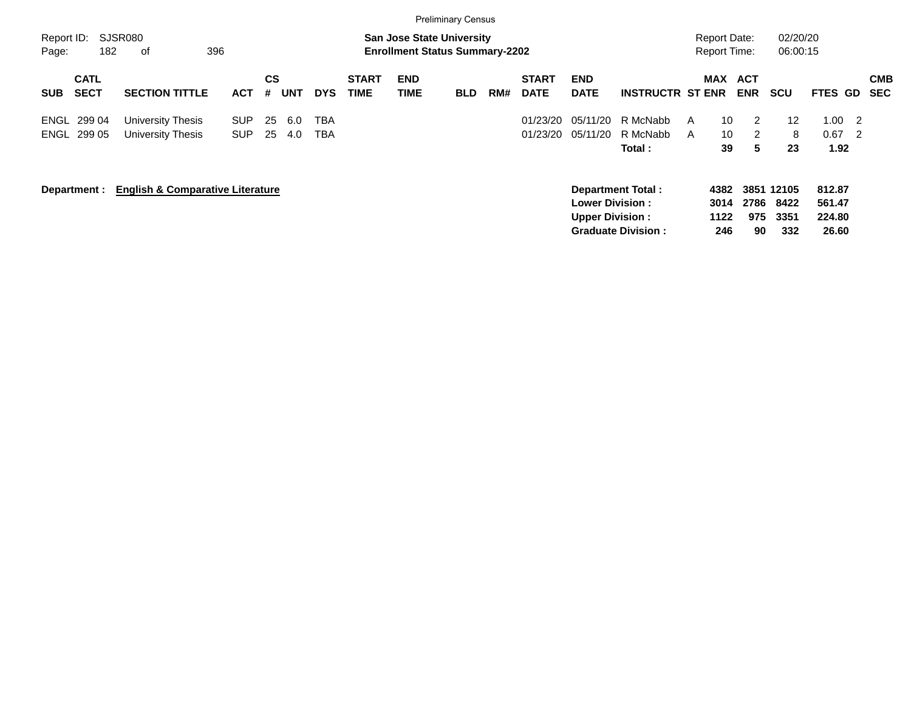|                     |                            |                                             |                          |                |            |            |                             |                                                                           | <b>Preliminary Census</b> |     |                             |                                                  |                                                       |                                     |                   |                                   |                                                                      |                          |
|---------------------|----------------------------|---------------------------------------------|--------------------------|----------------|------------|------------|-----------------------------|---------------------------------------------------------------------------|---------------------------|-----|-----------------------------|--------------------------------------------------|-------------------------------------------------------|-------------------------------------|-------------------|-----------------------------------|----------------------------------------------------------------------|--------------------------|
| Report ID:<br>Page: | 182                        | SJSR080<br>396<br>оf                        |                          |                |            |            |                             | <b>San Jose State University</b><br><b>Enrollment Status Summary-2202</b> |                           |     |                             |                                                  |                                                       | Report Date:<br><b>Report Time:</b> |                   | 02/20/20<br>06:00:15              |                                                                      |                          |
| <b>SUB</b>          | <b>CATL</b><br><b>SECT</b> | <b>SECTION TITTLE</b>                       | <b>ACT</b>               | <b>CS</b><br># | <b>UNT</b> | <b>DYS</b> | <b>START</b><br><b>TIME</b> | <b>END</b><br><b>TIME</b>                                                 | <b>BLD</b>                | RM# | <b>START</b><br><b>DATE</b> | <b>END</b><br><b>DATE</b>                        | <b>INSTRUCTR ST ENR</b>                               | <b>MAX</b>                          | ACT<br><b>ENR</b> | <b>SCU</b>                        | FTES GD                                                              | <b>CMB</b><br><b>SEC</b> |
| <b>ENGL</b>         | 299 04<br>ENGL 299 05      | University Thesis<br>University Thesis      | <b>SUP</b><br><b>SUP</b> | 25<br>25       | 6.0<br>4.0 | TBA<br>TBA |                             |                                                                           |                           |     | 01/23/20<br>01/23/20        | 05/11/20<br>05/11/20                             | R McNabb<br>R McNabb<br>Total:                        | 10<br>A<br>10<br>A<br>39            | 2<br>2<br>5       | $12 \overline{ }$<br>8<br>23      | 1.00<br>$\overline{2}$<br>0.67<br>$\overline{\phantom{0}}^2$<br>1.92 |                          |
|                     | Department :               | <b>English &amp; Comparative Literature</b> |                          |                |            |            |                             |                                                                           |                           |     |                             | <b>Lower Division:</b><br><b>Upper Division:</b> | <b>Department Total:</b><br><b>Graduate Division:</b> | 4382<br>3014<br>1122<br>246         | 2786<br>975<br>90 | 3851 12105<br>8422<br>3351<br>332 | 812.87<br>561.47<br>224.80<br>26.60                                  |                          |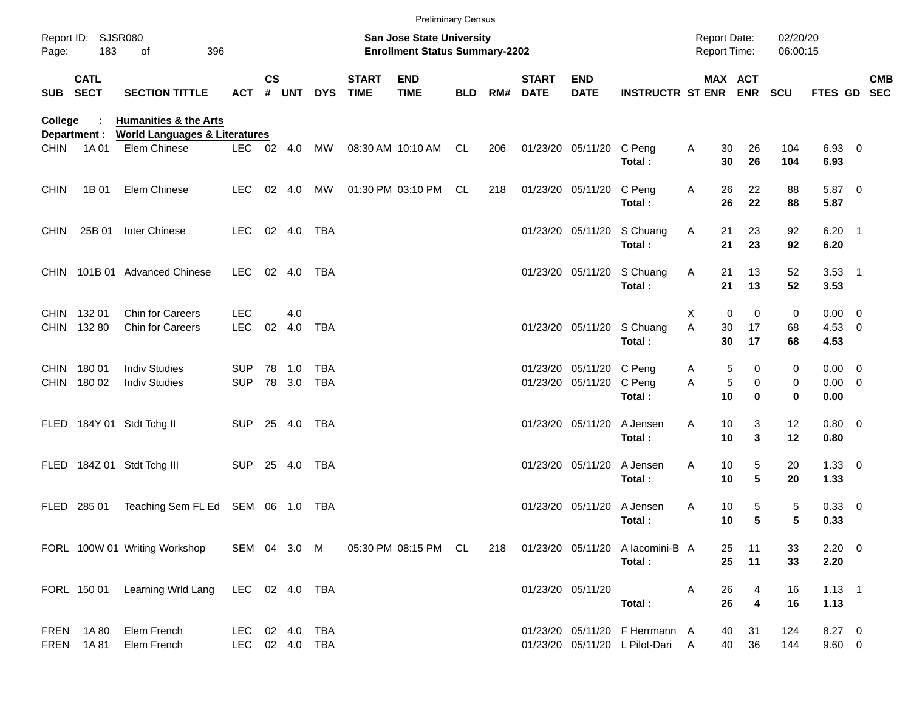|             |                            |                                                                              |                                  |               |                  |              |                             | <b>Preliminary Census</b>                                          |            |     |                             |                                               |                                                                     |                                            |                                 |                      |                                    |            |
|-------------|----------------------------|------------------------------------------------------------------------------|----------------------------------|---------------|------------------|--------------|-----------------------------|--------------------------------------------------------------------|------------|-----|-----------------------------|-----------------------------------------------|---------------------------------------------------------------------|--------------------------------------------|---------------------------------|----------------------|------------------------------------|------------|
| Page:       | Report ID: SJSR080<br>183  | of<br>396                                                                    |                                  |               |                  |              |                             | San Jose State University<br><b>Enrollment Status Summary-2202</b> |            |     |                             |                                               |                                                                     | <b>Report Date:</b><br><b>Report Time:</b> |                                 | 02/20/20<br>06:00:15 |                                    |            |
| <b>SUB</b>  | <b>CATL</b><br><b>SECT</b> | <b>SECTION TITTLE</b>                                                        | <b>ACT</b>                       | $\mathsf{cs}$ | # UNT            | <b>DYS</b>   | <b>START</b><br><b>TIME</b> | <b>END</b><br><b>TIME</b>                                          | <b>BLD</b> | RM# | <b>START</b><br><b>DATE</b> | <b>END</b><br><b>DATE</b>                     | <b>INSTRUCTR ST ENR ENR</b>                                         |                                            | <b>MAX ACT</b>                  | <b>SCU</b>           | FTES GD SEC                        | <b>CMB</b> |
| College     | Department :               | <b>Humanities &amp; the Arts</b><br><b>World Languages &amp; Literatures</b> |                                  |               |                  |              |                             |                                                                    |            |     |                             |                                               |                                                                     |                                            |                                 |                      |                                    |            |
| <b>CHIN</b> | 1A 01                      | Elem Chinese                                                                 |                                  |               | LEC 02 4.0       | MW           |                             | 08:30 AM 10:10 AM CL                                               |            | 206 |                             | 01/23/20 05/11/20 C Peng                      | Total:                                                              | Α<br>30<br>30                              | 26<br>26                        | 104<br>104           | 6.93 0<br>6.93                     |            |
| <b>CHIN</b> | 1B 01                      | Elem Chinese                                                                 | LEC                              |               | 02 4.0           | MW           |                             | 01:30 PM 03:10 PM CL                                               |            | 218 |                             | 01/23/20 05/11/20                             | C Peng<br>Total:                                                    | Α<br>26<br>26                              | 22<br>22                        | 88<br>88             | 5.87 0<br>5.87                     |            |
| <b>CHIN</b> | 25B 01                     | Inter Chinese                                                                | LEC 02 4.0                       |               |                  | TBA          |                             |                                                                    |            |     |                             | 01/23/20 05/11/20                             | S Chuang<br>Total:                                                  | Α<br>21<br>21                              | 23<br>23                        | 92<br>92             | $6.20$ 1<br>6.20                   |            |
|             |                            | CHIN 101B 01 Advanced Chinese                                                | LEC                              |               | 02 4.0           | TBA          |                             |                                                                    |            |     |                             | 01/23/20 05/11/20                             | S Chuang<br>Total:                                                  | Α<br>21<br>21                              | 13<br>13                        | 52<br>52             | $3.53$ 1<br>3.53                   |            |
|             | CHIN 132 01<br>CHIN 132 80 | <b>Chin for Careers</b><br>Chin for Careers                                  | <b>LEC</b><br><b>LEC</b>         |               | 4.0<br>02 4.0    | <b>TBA</b>   |                             |                                                                    |            |     |                             |                                               | 01/23/20 05/11/20 S Chuang<br>Total:                                | Х<br>Α<br>30<br>30                         | 0<br>$\mathbf 0$<br>17<br>17    | 0<br>68<br>68        | $0.00 \t 0$<br>$4.53$ 0<br>4.53    |            |
|             | CHIN 180 01<br>CHIN 180 02 | <b>Indiv Studies</b><br><b>Indiv Studies</b>                                 | SUP.<br><b>SUP</b>               |               | 78 1.0<br>78 3.0 | TBA<br>TBA   |                             |                                                                    |            |     |                             | 01/23/20 05/11/20 C Peng<br>01/23/20 05/11/20 | C Peng<br>Total:                                                    | A<br>Α<br>10                               | 5<br>0<br>5<br>$\mathbf 0$<br>0 | 0<br>0<br>0          | $0.00 \t 0$<br>$0.00 \t 0$<br>0.00 |            |
|             |                            | FLED 184Y 01 Stdt Tchg II                                                    | <b>SUP</b>                       |               | 25 4.0           | TBA          |                             |                                                                    |            |     |                             | 01/23/20 05/11/20                             | A Jensen<br>Total:                                                  | Α<br>10<br>10                              | 3<br>3                          | 12<br>12             | $0.80 \ 0$<br>0.80                 |            |
|             |                            | FLED 184Z 01 Stdt Tchg III                                                   | SUP 25 4.0                       |               |                  | TBA          |                             |                                                                    |            |     |                             | 01/23/20 05/11/20                             | A Jensen<br>Total:                                                  | A<br>10<br>10                              | 5<br>5                          | 20<br>20             | $1.33 \ 0$<br>1.33                 |            |
| FLED        | 285 01                     | Teaching Sem FL Ed SEM 06 1.0 TBA                                            |                                  |               |                  |              |                             |                                                                    |            |     |                             | 01/23/20 05/11/20                             | A Jensen<br>Total:                                                  | Α<br>10<br>10                              | 5<br>5                          | 5<br>5               | 0.33 0<br>0.33                     |            |
|             |                            | FORL 100W 01 Writing Workshop                                                |                                  |               |                  | SEM 04 3.0 M |                             |                                                                    |            |     |                             |                                               | 05:30 PM 08:15 PM CL 218 01/23/20 05/11/20 A lacomini-B A<br>Total: | 25<br>25                                   | 11<br>11                        | 33<br>33             | $2.20 \t 0$<br>2.20                |            |
|             |                            | FORL 150 01 Learning Wrld Lang LEC 02 4.0 TBA                                |                                  |               |                  |              |                             |                                                                    |            |     |                             | 01/23/20 05/11/20                             | Total:                                                              | 26<br>A<br>26                              | 4<br>$\overline{4}$             | 16<br>16             | $1.13 \quad 1$<br>1.13             |            |
|             | FREN 1A80<br>FREN 1A81     | Elem French<br>Elem French                                                   | LEC 02 4.0 TBA<br>LEC 02 4.0 TBA |               |                  |              |                             |                                                                    |            |     |                             |                                               | 01/23/20 05/11/20 F Herrmann A<br>01/23/20 05/11/20 L Pilot-Dari A  | 40<br>40                                   | 31<br>36                        | 124<br>144           | 8.27 0<br>9.60 0                   |            |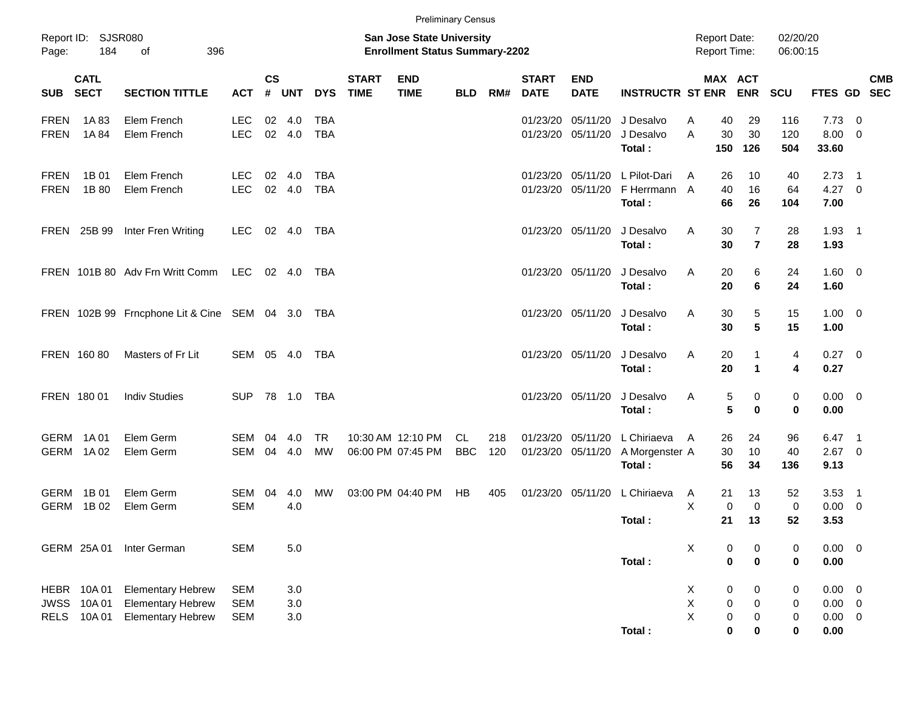|                                                                  |                                                                                  |                                        |                       |                       |                          |                             | <b>Preliminary Census</b>                                                 |                         |            |                             |                               |                                         |                                            |                                                                                                     |                                 |                                            |                                                      |            |
|------------------------------------------------------------------|----------------------------------------------------------------------------------|----------------------------------------|-----------------------|-----------------------|--------------------------|-----------------------------|---------------------------------------------------------------------------|-------------------------|------------|-----------------------------|-------------------------------|-----------------------------------------|--------------------------------------------|-----------------------------------------------------------------------------------------------------|---------------------------------|--------------------------------------------|------------------------------------------------------|------------|
| Report ID: SJSR080<br>184<br>Page:                               | 396<br>0f                                                                        |                                        |                       |                       |                          |                             | <b>San Jose State University</b><br><b>Enrollment Status Summary-2202</b> |                         |            |                             |                               |                                         | <b>Report Date:</b><br><b>Report Time:</b> |                                                                                                     | 02/20/20<br>06:00:15            |                                            |                                                      |            |
| <b>CATL</b><br><b>SECT</b><br><b>SUB</b>                         | <b>SECTION TITTLE</b>                                                            | <b>ACT</b>                             | <b>CS</b><br>#        | <b>UNT</b>            | <b>DYS</b>               | <b>START</b><br><b>TIME</b> | <b>END</b><br><b>TIME</b>                                                 | <b>BLD</b>              | RM#        | <b>START</b><br><b>DATE</b> | <b>END</b><br><b>DATE</b>     | <b>INSTRUCTR ST ENR</b>                 |                                            | MAX ACT<br><b>ENR</b>                                                                               | <b>SCU</b>                      | FTES GD SEC                                |                                                      | <b>CMB</b> |
| <b>FREN</b><br>1A83<br><b>FREN</b><br>1A 84                      | Elem French<br>Elem French                                                       | <b>LEC</b><br><b>LEC</b>               | 02<br>02              | 4.0<br>4.0            | <b>TBA</b><br><b>TBA</b> |                             |                                                                           |                         |            | 01/23/20                    | 05/11/20<br>01/23/20 05/11/20 | J Desalvo<br>J Desalvo<br>Total:        | 40<br>A<br>A<br>150                        | 29<br>30<br>30<br>126                                                                               | 116<br>120<br>504               | 7.73<br>8.00<br>33.60                      | - 0<br>$\overline{0}$                                |            |
| <b>FREN</b><br>1B 01<br><b>FREN</b><br>1B 80                     | Elem French<br>Elem French                                                       | LEC<br><b>LEC</b>                      | 02<br>02 <sub>o</sub> | 4.0<br>4.0            | <b>TBA</b><br><b>TBA</b> |                             |                                                                           |                         |            | 01/23/20                    | 01/23/20 05/11/20<br>05/11/20 | L Pilot-Dari<br>F Herrmann A<br>Total:  | 26<br>A<br>40<br>66                        | 10<br>16<br>26                                                                                      | 40<br>64<br>104                 | $2.73$ 1<br>$4.27 \t 0$<br>7.00            |                                                      |            |
| FREN 25B 99                                                      | Inter Fren Writing                                                               | LEC                                    | 02                    | 4.0                   | TBA                      |                             |                                                                           |                         |            |                             | 01/23/20 05/11/20             | J Desalvo<br>Total:                     | A                                          | 30<br>$\overline{7}$<br>30<br>$\overline{7}$                                                        | 28<br>28                        | $1.93$ 1<br>1.93                           |                                                      |            |
|                                                                  | FREN 101B 80 Adv Frn Writt Comm                                                  | LEC                                    |                       | $02 \quad 4.0$        | TBA                      |                             |                                                                           |                         |            |                             | 01/23/20 05/11/20             | J Desalvo<br>Total:                     | A                                          | 6<br>20<br>20<br>6                                                                                  | 24<br>24                        | $1.60 \t 0$<br>1.60                        |                                                      |            |
|                                                                  | FREN 102B 99 Frncphone Lit & Cine SEM 04 3.0 TBA                                 |                                        |                       |                       |                          |                             |                                                                           |                         |            |                             | 01/23/20 05/11/20             | J Desalvo<br>Total:                     | A                                          | 5<br>30<br>30<br>5                                                                                  | 15<br>15                        | $1.00 \t 0$<br>1.00                        |                                                      |            |
| FREN 160 80                                                      | Masters of Fr Lit                                                                | SEM 05                                 |                       | 4.0                   | TBA                      |                             |                                                                           |                         |            |                             | 01/23/20 05/11/20             | J Desalvo<br>Total:                     | A                                          | 20<br>1<br>20<br>$\mathbf{1}$                                                                       | 4<br>4                          | $0.27$ 0<br>0.27                           |                                                      |            |
| FREN 180 01                                                      | <b>Indiv Studies</b>                                                             | <b>SUP</b>                             |                       | 78 1.0                | <b>TBA</b>               |                             |                                                                           |                         |            |                             | 01/23/20 05/11/20             | J Desalvo<br>Total:                     | A                                          | 5<br>0<br>5<br>0                                                                                    | 0<br>$\mathbf 0$                | $0.00 \t 0$<br>0.00                        |                                                      |            |
| GERM<br>1A 01<br>GERM<br>1A 02                                   | Elem Germ<br>Elem Germ                                                           | <b>SEM</b><br>SEM                      | 04<br>04              | 4.0<br>4.0            | <b>TR</b><br><b>MW</b>   |                             | 10:30 AM 12:10 PM<br>06:00 PM 07:45 PM                                    | <b>CL</b><br><b>BBC</b> | 218<br>120 | 01/23/20<br>01/23/20        | 05/11/20<br>05/11/20          | L Chiriaeva<br>A Morgenster A<br>Total: | 26<br>A<br>30<br>56                        | 24<br>10<br>34                                                                                      | 96<br>40<br>136                 | 6.47<br>2.67<br>9.13                       | $\overline{\phantom{1}}$<br>$\overline{\phantom{0}}$ |            |
| <b>GERM</b><br>1B 01<br>1B 02<br><b>GERM</b>                     | Elem Germ<br>Elem Germ                                                           | SEM 04<br><b>SEM</b>                   |                       | 4.0<br>4.0            | MW                       |                             | 03:00 PM 04:40 PM                                                         | HB                      | 405        |                             | 01/23/20 05/11/20             | L Chiriaeva<br>Total :                  | 21<br>A<br>X<br>21                         | 13<br>$\overline{0}$<br>$\mathbf 0$<br>13                                                           | 52<br>$\mathbf 0$<br>52         | 3.53<br>0.00<br>3.53                       | $\overline{\phantom{1}}$<br>$\overline{\mathbf{0}}$  |            |
| GERM 25A 01                                                      | Inter German                                                                     | <b>SEM</b>                             |                       | 5.0                   |                          |                             |                                                                           |                         |            |                             |                               | Total:                                  | X                                          | 0<br>0<br>$\mathbf 0$<br>$\pmb{0}$                                                                  | 0<br>$\bf{0}$                   | 0.00<br>0.00                               | $\overline{\phantom{0}}$                             |            |
| 10A 01<br>HEBR<br>10A 01<br><b>JWSS</b><br><b>RELS</b><br>10A 01 | <b>Elementary Hebrew</b><br><b>Elementary Hebrew</b><br><b>Elementary Hebrew</b> | <b>SEM</b><br><b>SEM</b><br><b>SEM</b> |                       | 3.0<br>3.0<br>$3.0\,$ |                          |                             |                                                                           |                         |            |                             |                               | Total:                                  | X<br>X<br>X                                | $\pmb{0}$<br>$\pmb{0}$<br>$\pmb{0}$<br>$\pmb{0}$<br>$\pmb{0}$<br>$\pmb{0}$<br>$\bf{0}$<br>$\pmb{0}$ | 0<br>0<br>$\pmb{0}$<br>$\bf{0}$ | 0.00<br>$0.00 \t 0$<br>$0.00 \t 0$<br>0.00 | $\overline{\mathbf{0}}$                              |            |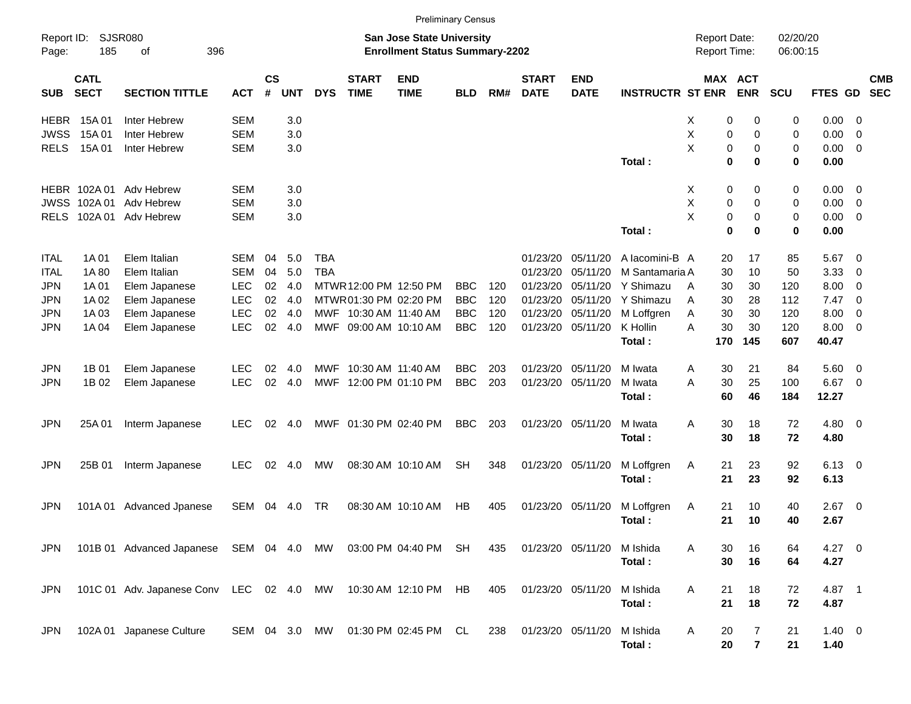|             |                            |                                       |            |                         |            |            |                             |                                                                           | <b>Preliminary Census</b> |     |                             |                           |                         |                                     |                       |                      |                |                          |                          |
|-------------|----------------------------|---------------------------------------|------------|-------------------------|------------|------------|-----------------------------|---------------------------------------------------------------------------|---------------------------|-----|-----------------------------|---------------------------|-------------------------|-------------------------------------|-----------------------|----------------------|----------------|--------------------------|--------------------------|
| Page:       | Report ID: SJSR080<br>185  | 396<br>οf                             |            |                         |            |            |                             | <b>San Jose State University</b><br><b>Enrollment Status Summary-2202</b> |                           |     |                             |                           |                         | <b>Report Date:</b><br>Report Time: |                       | 02/20/20<br>06:00:15 |                |                          |                          |
| <b>SUB</b>  | <b>CATL</b><br><b>SECT</b> | <b>SECTION TITTLE</b>                 | <b>ACT</b> | <b>CS</b><br>$\pmb{\#}$ | <b>UNT</b> | <b>DYS</b> | <b>START</b><br><b>TIME</b> | <b>END</b><br><b>TIME</b>                                                 | <b>BLD</b>                | RM# | <b>START</b><br><b>DATE</b> | <b>END</b><br><b>DATE</b> | <b>INSTRUCTR ST ENR</b> |                                     | MAX ACT<br><b>ENR</b> | SCU                  | FTES GD        |                          | <b>CMB</b><br><b>SEC</b> |
| <b>HEBR</b> | 15A 01                     | Inter Hebrew                          | <b>SEM</b> |                         | 3.0        |            |                             |                                                                           |                           |     |                             |                           |                         | Х                                   | 0<br>0                | 0                    | 0.00           | - 0                      |                          |
| <b>JWSS</b> | 15A 01                     | Inter Hebrew                          | <b>SEM</b> |                         | 3.0        |            |                             |                                                                           |                           |     |                             |                           |                         | X                                   | 0<br>0                | 0                    | 0.00           | $\overline{0}$           |                          |
| <b>RELS</b> | 15A 01                     | Inter Hebrew                          | <b>SEM</b> |                         | 3.0        |            |                             |                                                                           |                           |     |                             |                           |                         | X                                   | 0<br>0                | 0                    | 0.00           | $\overline{0}$           |                          |
|             |                            |                                       |            |                         |            |            |                             |                                                                           |                           |     |                             |                           | Total:                  |                                     | $\mathbf 0$<br>0      | 0                    | 0.00           |                          |                          |
|             |                            | HEBR 102A 01 Adv Hebrew               | <b>SEM</b> |                         | 3.0        |            |                             |                                                                           |                           |     |                             |                           |                         | X                                   | 0<br>0                | 0                    | $0.00 \t 0$    |                          |                          |
| <b>JWSS</b> | 102A 01                    | Adv Hebrew                            | <b>SEM</b> |                         | 3.0        |            |                             |                                                                           |                           |     |                             |                           |                         | X                                   | 0<br>0                | 0                    | 0.00           | $\overline{0}$           |                          |
| <b>RELS</b> |                            | 102A 01 Adv Hebrew                    | <b>SEM</b> |                         | 3.0        |            |                             |                                                                           |                           |     |                             |                           |                         | X                                   | 0<br>0                | 0                    | 0.00           | $\overline{0}$           |                          |
|             |                            |                                       |            |                         |            |            |                             |                                                                           |                           |     |                             |                           | Total:                  |                                     | $\mathbf 0$<br>0      | 0                    | 0.00           |                          |                          |
| ITAL        | 1A 01                      | Elem Italian                          | <b>SEM</b> | 04                      | 5.0        | <b>TBA</b> |                             |                                                                           |                           |     | 01/23/20                    | 05/11/20                  | A lacomini-B A          | 20                                  | 17                    | 85                   | 5.67           | $\overline{\phantom{0}}$ |                          |
| ITAL        | 1A80                       | Elem Italian                          | <b>SEM</b> | 04                      | 5.0        | <b>TBA</b> |                             |                                                                           |                           |     | 01/23/20                    | 05/11/20                  | M Santamaria A          | 30                                  | 10                    | 50                   | 3.33           | 0                        |                          |
| <b>JPN</b>  | 1A 01                      | Elem Japanese                         | <b>LEC</b> | 02                      | 4.0        |            | MTWR 12:00 PM 12:50 PM      |                                                                           | <b>BBC</b>                | 120 | 01/23/20                    | 05/11/20                  | Y Shimazu               | 30<br>A                             | 30                    | 120                  | 8.00           | $\overline{0}$           |                          |
| <b>JPN</b>  | 1A 02                      | Elem Japanese                         | <b>LEC</b> | 02                      | 4.0        |            | MTWR01:30 PM 02:20 PM       |                                                                           | <b>BBC</b>                | 120 | 01/23/20                    | 05/11/20                  | Y Shimazu               | A<br>30                             | 28                    | 112                  | 7.47           | $\overline{\phantom{0}}$ |                          |
| <b>JPN</b>  | 1A03                       | Elem Japanese                         | <b>LEC</b> | 02                      | 4.0        |            | MWF 10:30 AM 11:40 AM       |                                                                           | <b>BBC</b>                | 120 | 01/23/20                    | 05/11/20                  | M Loffgren              | 30<br>Α                             | 30                    | 120                  | 8.00           | $\overline{0}$           |                          |
| <b>JPN</b>  | 1A 04                      | Elem Japanese                         | <b>LEC</b> | 02                      | 4.0        |            | MWF 09:00 AM 10:10 AM       |                                                                           | <b>BBC</b>                | 120 | 01/23/20                    | 05/11/20                  | K Hollin                | 30<br>A                             | 30                    | 120                  | 8.00           | $\overline{0}$           |                          |
|             |                            |                                       |            |                         |            |            |                             |                                                                           |                           |     |                             |                           | Total:                  | 170                                 | 145                   | 607                  | 40.47          |                          |                          |
| <b>JPN</b>  | 1B 01                      | Elem Japanese                         | <b>LEC</b> | 02                      | 4.0        | MWF        | 10:30 AM 11:40 AM           |                                                                           | <b>BBC</b>                | 203 | 01/23/20                    | 05/11/20                  | M Iwata                 | 30<br>A                             | 21                    | 84                   | 5.60           | $\overline{\mathbf{0}}$  |                          |
| <b>JPN</b>  | 1B 02                      | Elem Japanese                         | <b>LEC</b> | 02                      | 4.0        | MWF        |                             | 12:00 PM 01:10 PM                                                         | <b>BBC</b>                | 203 | 01/23/20                    | 05/11/20                  | M Iwata                 | 30<br>A                             | 25                    | 100                  | 6.67           | $\overline{\phantom{0}}$ |                          |
|             |                            |                                       |            |                         |            |            |                             |                                                                           |                           |     |                             |                           | Total:                  | 60                                  | 46                    | 184                  | 12.27          |                          |                          |
| <b>JPN</b>  | 25A01                      | Interm Japanese                       | <b>LEC</b> | 02                      | 4.0        |            | MWF 01:30 PM 02:40 PM       |                                                                           | <b>BBC</b>                | 203 | 01/23/20 05/11/20           |                           | M Iwata                 | A<br>30                             | 18                    | 72                   | $4.80\ 0$      |                          |                          |
|             |                            |                                       |            |                         |            |            |                             |                                                                           |                           |     |                             |                           | Total:                  | 30                                  | 18                    | 72                   | 4.80           |                          |                          |
| <b>JPN</b>  | 25B 01                     | Interm Japanese                       | <b>LEC</b> | 02                      | 4.0        | <b>MW</b>  |                             | 08:30 AM 10:10 AM                                                         | <b>SH</b>                 | 348 |                             | 01/23/20 05/11/20         | M Loffgren              | 21<br>Α                             | 23                    | 92                   | $6.13 \quad 0$ |                          |                          |
|             |                            |                                       |            |                         |            |            |                             |                                                                           |                           |     |                             |                           | Total:                  | 21                                  | 23                    | 92                   | 6.13           |                          |                          |
| JPN         | 101A 01                    | Advanced Jpanese                      | SEM        | 04                      | 4.0        | TR         |                             | 08:30 AM 10:10 AM                                                         | <b>HB</b>                 | 405 | 01/23/20                    | 05/11/20                  | M Loffgren              | 21<br>Α                             | 10                    | 40                   | 2.67           | $\overline{\phantom{0}}$ |                          |
|             |                            |                                       |            |                         |            |            |                             |                                                                           |                           |     |                             |                           | Total:                  | 21                                  | 10                    | 40                   | 2.67           |                          |                          |
|             |                            |                                       |            |                         |            |            |                             |                                                                           |                           |     |                             |                           |                         |                                     |                       |                      |                |                          |                          |
| <b>JPN</b>  |                            | 101B 01 Advanced Japanese SEM 04 4.0  |            |                         |            | MW         |                             | 03:00 PM 04:40 PM                                                         | SH                        | 435 | 01/23/20 05/11/20           |                           | M Ishida                | 30<br>А                             | 16                    | 64                   | $4.27 \ 0$     |                          |                          |
|             |                            |                                       |            |                         |            |            |                             |                                                                           |                           |     |                             |                           | Total:                  | 30                                  | 16                    | 64                   | 4.27           |                          |                          |
| <b>JPN</b>  |                            | 101C 01 Adv. Japanese Conv LEC 02 4.0 |            |                         |            | MW         |                             | 10:30 AM 12:10 PM                                                         | HB                        | 405 | 01/23/20 05/11/20           |                           | M Ishida                | A<br>21                             | 18                    | 72                   | 4.87 1         |                          |                          |
|             |                            |                                       |            |                         |            |            |                             |                                                                           |                           |     |                             |                           | Total:                  | 21                                  | 18                    | 72                   | 4.87           |                          |                          |
| <b>JPN</b>  |                            | 102A 01 Japanese Culture              | SEM 04 3.0 |                         |            | МW         |                             | 01:30 PM 02:45 PM CL                                                      |                           | 238 | 01/23/20 05/11/20           |                           | M Ishida                | Α<br>20                             | 7                     | 21                   | $1.40 \ 0$     |                          |                          |
|             |                            |                                       |            |                         |            |            |                             |                                                                           |                           |     |                             |                           | Total:                  | 20                                  | $\overline{7}$        | 21                   | 1.40           |                          |                          |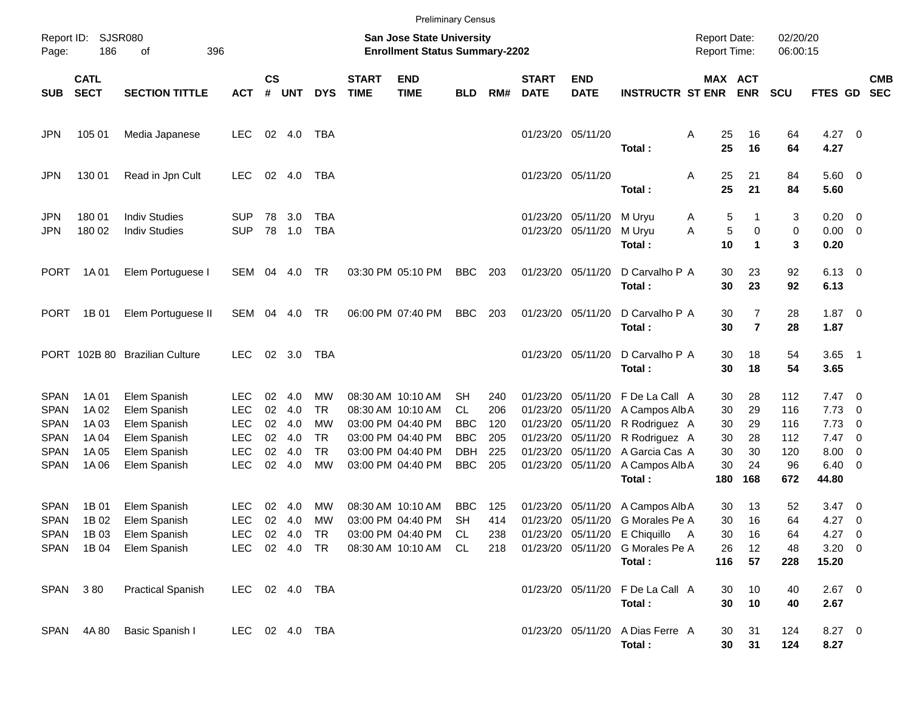|                                           |                             |                                              |                                        |                    |                      |                                     |                             |                                                                           | <b>Preliminary Census</b>              |                   |                             |                                                             |                                                                                     |                                     |                                |                      |                                    |                                                                                  |                          |
|-------------------------------------------|-----------------------------|----------------------------------------------|----------------------------------------|--------------------|----------------------|-------------------------------------|-----------------------------|---------------------------------------------------------------------------|----------------------------------------|-------------------|-----------------------------|-------------------------------------------------------------|-------------------------------------------------------------------------------------|-------------------------------------|--------------------------------|----------------------|------------------------------------|----------------------------------------------------------------------------------|--------------------------|
| Page:                                     | Report ID: SJSR080<br>186   | 396<br>of                                    |                                        |                    |                      |                                     |                             | <b>San Jose State University</b><br><b>Enrollment Status Summary-2202</b> |                                        |                   |                             |                                                             |                                                                                     | <b>Report Date:</b><br>Report Time: |                                | 02/20/20<br>06:00:15 |                                    |                                                                                  |                          |
| <b>SUB</b>                                | <b>CATL</b><br><b>SECT</b>  | <b>SECTION TITTLE</b>                        | <b>ACT</b>                             | $\mathsf{cs}$<br># | <b>UNT</b>           | <b>DYS</b>                          | <b>START</b><br><b>TIME</b> | <b>END</b><br><b>TIME</b>                                                 | <b>BLD</b>                             | RM#               | <b>START</b><br><b>DATE</b> | <b>END</b><br><b>DATE</b>                                   | <b>INSTRUCTR ST ENR</b>                                                             | MAX ACT                             | <b>ENR</b>                     | <b>SCU</b>           | FTES GD                            |                                                                                  | <b>CMB</b><br><b>SEC</b> |
| <b>JPN</b>                                | 105 01                      | Media Japanese                               | LEC.                                   |                    | 02 4.0               | TBA                                 |                             |                                                                           |                                        |                   |                             | 01/23/20 05/11/20                                           | Total:                                                                              | Α<br>25<br>25                       | 16<br>16                       | 64<br>64             | $4.27 \t 0$<br>4.27                |                                                                                  |                          |
| <b>JPN</b>                                | 130 01                      | Read in Jpn Cult                             | <b>LEC</b>                             |                    | 02 4.0               | TBA                                 |                             |                                                                           |                                        |                   |                             | 01/23/20 05/11/20                                           | Total:                                                                              | 25<br>Α<br>25                       | 21<br>21                       | 84<br>84             | $5.60$ 0<br>5.60                   |                                                                                  |                          |
| <b>JPN</b><br><b>JPN</b>                  | 180 01<br>180 02            | <b>Indiv Studies</b><br><b>Indiv Studies</b> | <b>SUP</b><br><b>SUP</b>               | 78                 | 3.0<br>78 1.0        | TBA<br><b>TBA</b>                   |                             |                                                                           |                                        |                   |                             | 01/23/20 05/11/20<br>01/23/20 05/11/20                      | M Uryu<br>M Uryu<br>Total:                                                          | 5<br>Α<br>$\sqrt{5}$<br>A<br>10     | 1<br>0<br>$\blacktriangleleft$ | 3<br>0<br>3          | $0.20 \ 0$<br>$0.00 \t 0$<br>0.20  |                                                                                  |                          |
| <b>PORT</b>                               | 1A 01                       | Elem Portuguese I                            | SEM                                    | 04                 | 4.0                  | TR                                  |                             | 03:30 PM 05:10 PM                                                         | BBC                                    | 203               |                             | 01/23/20 05/11/20                                           | D Carvalho P A<br>Total:                                                            | 30<br>30                            | 23<br>23                       | 92<br>92             | $6.13 \quad 0$<br>6.13             |                                                                                  |                          |
| <b>PORT</b>                               | 1B 01                       | Elem Portuguese II                           | SEM                                    | 04                 | 4.0                  | TR                                  |                             | 06:00 PM 07:40 PM                                                         | <b>BBC</b>                             | 203               |                             | 01/23/20 05/11/20                                           | D Carvalho P A<br>Total:                                                            | 30<br>30                            | 7<br>$\overline{7}$            | 28<br>28             | $1.87 \ 0$<br>1.87                 |                                                                                  |                          |
|                                           |                             | PORT 102B 80 Brazilian Culture               | <b>LEC</b>                             |                    | 02 3.0               | TBA                                 |                             |                                                                           |                                        |                   |                             | 01/23/20 05/11/20                                           | D Carvalho P A<br>Total:                                                            | 30<br>30                            | 18<br>18                       | 54<br>54             | $3.65$ 1<br>3.65                   |                                                                                  |                          |
| <b>SPAN</b><br><b>SPAN</b>                | 1A 01<br>1A 02              | Elem Spanish<br>Elem Spanish                 | LEC<br><b>LEC</b>                      | 02<br>02           | 4.0<br>4.0           | МW<br><b>TR</b>                     |                             | 08:30 AM 10:10 AM<br>08:30 AM 10:10 AM                                    | SH<br><b>CL</b>                        | 240<br>206        |                             | 01/23/20 05/11/20<br>01/23/20 05/11/20                      | F De La Call A<br>A Campos Alb A                                                    | 30<br>30                            | 28<br>29                       | 112<br>116           | $7.47\ 0$<br>7.73                  | $\overline{\phantom{0}}$                                                         |                          |
| <b>SPAN</b><br><b>SPAN</b><br><b>SPAN</b> | 1A 03<br>1A 04<br>1A 05     | Elem Spanish<br>Elem Spanish<br>Elem Spanish | <b>LEC</b><br><b>LEC</b><br><b>LEC</b> | 02<br>02<br>02     | 4.0<br>4.0<br>4.0    | <b>MW</b><br><b>TR</b><br><b>TR</b> |                             | 03:00 PM 04:40 PM<br>03:00 PM 04:40 PM<br>03:00 PM 04:40 PM               | <b>BBC</b><br><b>BBC</b><br><b>DBH</b> | 120<br>205<br>225 |                             | 01/23/20 05/11/20<br>01/23/20 05/11/20<br>01/23/20 05/11/20 | R Rodriguez A<br>R Rodriguez A<br>A Garcia Cas A                                    | 30<br>30<br>30                      | 29<br>28<br>30                 | 116<br>112<br>120    | 7.73<br>7.47<br>8.00               | $\overline{\phantom{0}}$<br>$\overline{\phantom{0}}$<br>$\overline{\phantom{0}}$ |                          |
| <b>SPAN</b>                               | 1A 06                       | Elem Spanish                                 | <b>LEC</b>                             | 02                 | 4.0                  | <b>MW</b>                           |                             | 03:00 PM 04:40 PM                                                         | <b>BBC</b>                             | 205               |                             | 01/23/20 05/11/20                                           | A Campos Alb A<br>Total:                                                            | 30<br>180                           | 24<br>168                      | 96<br>672            | $6.40 \quad 0$<br>44.80            |                                                                                  |                          |
| <b>SPAN</b><br><b>SPAN</b>                | 1B 01<br>1B 02<br>SPAN 1B03 | Elem Spanish<br>Elem Spanish<br>Elem Spanish | LEC<br><b>LEC</b><br>LEC.              | 02<br>02           | 4.0<br>4.0<br>02 4.0 | MW<br>MW<br>TR                      |                             | 08:30 AM 10:10 AM<br>03:00 PM 04:40 PM<br>03:00 PM 04:40 PM               | <b>BBC</b><br><b>SH</b><br>CL          | 125<br>414<br>238 |                             | 01/23/20 05/11/20                                           | A Campos Alb A<br>01/23/20 05/11/20 G Morales Pe A<br>01/23/20 05/11/20 E Chiquillo | 30<br>30<br>30                      | 13<br>16<br>16                 | 52<br>64<br>64       | $3.47 \quad 0$<br>4.27<br>$4.27$ 0 | $\overline{\phantom{0}}$                                                         |                          |
|                                           | SPAN 1B04                   | Elem Spanish                                 | LEC                                    |                    | 02 4.0 TR            |                                     |                             | 08:30 AM 10:10 AM                                                         | CL                                     | 218               |                             |                                                             | 01/23/20 05/11/20 G Morales Pe A<br>Total:                                          | 26<br>116                           | 12<br>57                       | 48<br>228            | $3.20 \ 0$<br>15.20                |                                                                                  |                          |
|                                           | SPAN 380                    | <b>Practical Spanish</b>                     | LEC 02 4.0 TBA                         |                    |                      |                                     |                             |                                                                           |                                        |                   |                             |                                                             | 01/23/20 05/11/20 F De La Call A<br>Total:                                          | 30<br>30                            | 10<br>10                       | 40<br>40             | $2.67$ 0<br>2.67                   |                                                                                  |                          |
|                                           | SPAN 4A80                   | Basic Spanish I                              | LEC 02 4.0 TBA                         |                    |                      |                                     |                             |                                                                           |                                        |                   |                             |                                                             | 01/23/20 05/11/20 A Dias Ferre A<br>Total:                                          | 30<br>30                            | 31<br>31                       | 124<br>124           | 8.27 0<br>8.27                     |                                                                                  |                          |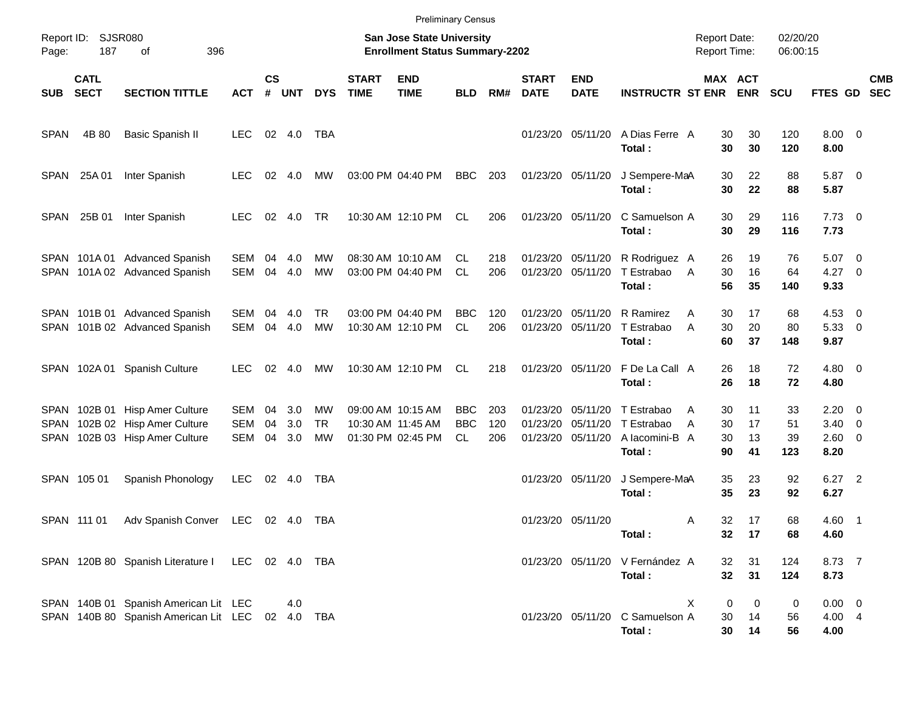|                            |                            |                                                                                           |                                        |                    |                   |                       |                             | <b>Preliminary Census</b>                                          |                          |                   |                             |                                                    |                                                      |                                            |                       |                       |                                                  |                          |
|----------------------------|----------------------------|-------------------------------------------------------------------------------------------|----------------------------------------|--------------------|-------------------|-----------------------|-----------------------------|--------------------------------------------------------------------|--------------------------|-------------------|-----------------------------|----------------------------------------------------|------------------------------------------------------|--------------------------------------------|-----------------------|-----------------------|--------------------------------------------------|--------------------------|
| Page:                      | Report ID: SJSR080<br>187  | 396<br>of                                                                                 |                                        |                    |                   |                       |                             | San Jose State University<br><b>Enrollment Status Summary-2202</b> |                          |                   |                             |                                                    |                                                      | <b>Report Date:</b><br><b>Report Time:</b> |                       | 02/20/20<br>06:00:15  |                                                  |                          |
| <b>SUB</b>                 | <b>CATL</b><br><b>SECT</b> | <b>SECTION TITTLE</b>                                                                     | <b>ACT</b>                             | $\mathsf{cs}$<br># | <b>UNT</b>        | <b>DYS</b>            | <b>START</b><br><b>TIME</b> | <b>END</b><br><b>TIME</b>                                          | <b>BLD</b>               | RM#               | <b>START</b><br><b>DATE</b> | <b>END</b><br><b>DATE</b>                          | <b>INSTRUCTR ST ENR</b>                              |                                            | MAX ACT<br><b>ENR</b> | <b>SCU</b>            | <b>FTES GD</b>                                   | <b>CMB</b><br><b>SEC</b> |
| <b>SPAN</b>                | 4B 80                      | Basic Spanish II                                                                          | <b>LEC</b>                             |                    | 02 4.0            | TBA                   |                             |                                                                    |                          |                   |                             | 01/23/20 05/11/20                                  | A Dias Ferre A<br>Total:                             | 30<br>30                                   | 30<br>30              | 120<br>120            | $8.00 \t 0$<br>8.00                              |                          |
| SPAN                       | 25A 01                     | Inter Spanish                                                                             | <b>LEC</b>                             |                    | 02 4.0            | МW                    |                             | 03:00 PM 04:40 PM                                                  | <b>BBC</b>               | 203               |                             | 01/23/20 05/11/20                                  | J Sempere-MaA<br>Total:                              | 30<br>30                                   | 22<br>22              | 88<br>88              | 5.87 0<br>5.87                                   |                          |
| SPAN                       | 25B 01                     | Inter Spanish                                                                             | <b>LEC</b>                             |                    | 02 4.0            | TR                    |                             | 10:30 AM 12:10 PM                                                  | CL                       | 206               |                             | 01/23/20 05/11/20                                  | C Samuelson A<br>Total:                              | 30<br>30                                   | 29<br>29              | 116<br>116            | $7.73 \t 0$<br>7.73                              |                          |
|                            |                            | SPAN 101A 01 Advanced Spanish<br>SPAN 101A 02 Advanced Spanish                            | <b>SEM</b><br><b>SEM</b>               | 04<br>04           | 4.0<br>4.0        | МW<br><b>MW</b>       |                             | 08:30 AM 10:10 AM<br>03:00 PM 04:40 PM                             | CL.<br><b>CL</b>         | 218<br>206        |                             | 01/23/20 05/11/20<br>01/23/20 05/11/20             | R Rodriguez A<br>T Estrabao<br>Total:                | 26<br>30<br>A<br>56                        | 19<br>16<br>35        | 76<br>64<br>140       | $5.07$ 0<br>$4.27$ 0<br>9.33                     |                          |
|                            |                            | SPAN 101B 01 Advanced Spanish<br>SPAN 101B 02 Advanced Spanish                            | SEM<br><b>SEM</b>                      | 04                 | 4.0<br>04 4.0     | TR.<br>MW             |                             | 03:00 PM 04:40 PM<br>10:30 AM 12:10 PM                             | <b>BBC</b><br>CL.        | 120<br>206        | 01/23/20                    | 05/11/20<br>01/23/20 05/11/20                      | R Ramirez<br>T Estrabao<br>Total:                    | 30<br>Α<br>30<br>A<br>60                   | 17<br>20<br>37        | 68<br>80<br>148       | $4.53$ 0<br>5.33 0<br>9.87                       |                          |
|                            |                            | SPAN 102A 01 Spanish Culture                                                              | LEC.                                   | 02                 | 4.0               | MW                    |                             | 10:30 AM 12:10 PM                                                  | CL.                      | 218               |                             | 01/23/20 05/11/20                                  | F De La Call A<br>Total:                             | 26<br>26                                   | 18<br>18              | 72<br>72              | $4.80$ 0<br>4.80                                 |                          |
| <b>SPAN</b><br><b>SPAN</b> |                            | SPAN 102B 01 Hisp Amer Culture<br>102B 02 Hisp Amer Culture<br>102B 03 Hisp Amer Culture  | <b>SEM</b><br><b>SEM</b><br><b>SEM</b> | 04<br>04<br>04     | 3.0<br>3.0<br>3.0 | МW<br><b>TR</b><br>MW |                             | 09:00 AM 10:15 AM<br>10:30 AM 11:45 AM<br>01:30 PM 02:45 PM        | BBC<br><b>BBC</b><br>CL. | 203<br>120<br>206 | 01/23/20                    | 01/23/20 05/11/20<br>05/11/20<br>01/23/20 05/11/20 | T Estrabao<br>T Estrabao<br>A lacomini-B A<br>Total: | 30<br>A<br>30<br>A<br>30<br>90             | 11<br>17<br>13<br>41  | 33<br>51<br>39<br>123 | $2.20 \t 0$<br>$3.40 \ 0$<br>$2.60 \t 0$<br>8.20 |                          |
|                            | SPAN 105 01                | Spanish Phonology                                                                         | <b>LEC</b>                             |                    | 02 4.0            | TBA                   |                             |                                                                    |                          |                   |                             | 01/23/20 05/11/20                                  | J Sempere-MaA<br>Total:                              | 35<br>35                                   | 23<br>23              | 92<br>92              | $6.27$ 2<br>6.27                                 |                          |
|                            | SPAN 111 01                | Adv Spanish Conver LEC                                                                    |                                        |                    | 02 4.0            | TBA                   |                             |                                                                    |                          |                   | 01/23/20 05/11/20           |                                                    | Total:                                               | 32<br>Α<br>32 <sub>2</sub>                 | 17<br>17              | 68<br>68              | 4.60 1<br>4.60                                   |                          |
|                            |                            | SPAN 120B 80 Spanish Literature I LEC 02 4.0 TBA                                          |                                        |                    |                   |                       |                             |                                                                    |                          |                   |                             |                                                    | 01/23/20 05/11/20 V Fernández A<br>Total:            | 32<br>32                                   | 31<br>31              | 124<br>124            | 8.73 7<br>8.73                                   |                          |
|                            |                            | SPAN 140B 01 Spanish American Lit LEC<br>SPAN 140B 80 Spanish American Lit LEC 02 4.0 TBA |                                        |                    | 4.0               |                       |                             |                                                                    |                          |                   |                             |                                                    | 01/23/20 05/11/20 C Samuelson A<br>Total:            | Χ<br>30<br>30                              | 0<br>0<br>14<br>14    | 0<br>56<br>56         | $0.00 \t 0$<br>4.00 4<br>4.00                    |                          |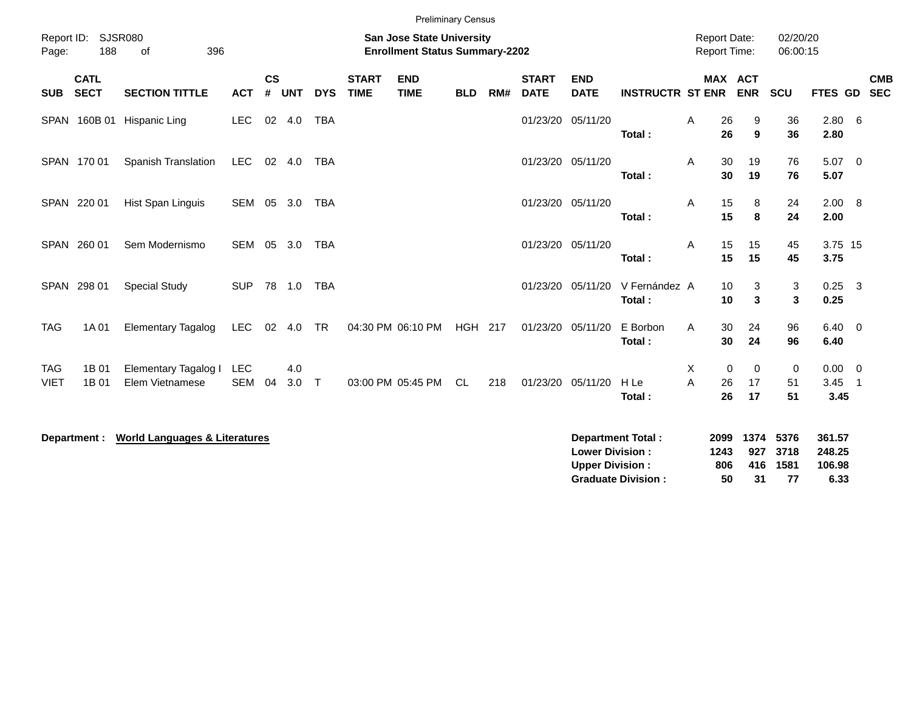|                           |                            |                                          |                          |                    |            |            |                             | <b>Preliminary Census</b>                                          |                |     |                             |                           |                          |                                            |                         |               |                      |                        |                                                      |  |
|---------------------------|----------------------------|------------------------------------------|--------------------------|--------------------|------------|------------|-----------------------------|--------------------------------------------------------------------|----------------|-----|-----------------------------|---------------------------|--------------------------|--------------------------------------------|-------------------------|---------------|----------------------|------------------------|------------------------------------------------------|--|
| Page:                     | Report ID: SJSR080<br>188  | 396<br>of                                |                          |                    |            |            |                             | San Jose State University<br><b>Enrollment Status Summary-2202</b> |                |     |                             |                           |                          | <b>Report Date:</b><br><b>Report Time:</b> |                         |               | 02/20/20<br>06:00:15 |                        |                                                      |  |
| <b>SUB</b>                | <b>CATL</b><br><b>SECT</b> | <b>SECTION TITTLE</b>                    | <b>ACT</b>               | $\mathsf{cs}$<br># | <b>UNT</b> | <b>DYS</b> | <b>START</b><br><b>TIME</b> | <b>END</b><br><b>TIME</b>                                          | <b>BLD</b>     | RM# | <b>START</b><br><b>DATE</b> | <b>END</b><br><b>DATE</b> | <b>INSTRUCTR ST ENR</b>  |                                            | MAX ACT                 | <b>ENR</b>    | <b>SCU</b>           | FTES GD                | <b>CMB</b><br><b>SEC</b>                             |  |
|                           | SPAN 160B 01               | Hispanic Ling                            | <b>LEC</b>               |                    | 02 4.0     | <b>TBA</b> |                             |                                                                    |                |     | 01/23/20                    | 05/11/20                  | Total:                   | Α                                          | 26<br>26                | 9<br>9        | 36<br>36             | $2.80\quad 6$<br>2.80  |                                                      |  |
|                           | SPAN 170 01                | Spanish Translation                      | <b>LEC</b>               | 02                 | 4.0        | <b>TBA</b> |                             |                                                                    |                |     | 01/23/20 05/11/20           |                           | Total:                   | A                                          | 30<br>30                | 19<br>19      | 76<br>76             | 5.07 0<br>5.07         |                                                      |  |
|                           | SPAN 220 01                | Hist Span Linguis                        | SEM 05                   |                    | 3.0        | TBA        |                             |                                                                    |                |     | 01/23/20 05/11/20           |                           | Total:                   | Α                                          | 15<br>15                | 8<br>8        | 24<br>24             | 2.00 8<br>2.00         |                                                      |  |
|                           | SPAN 260 01                | Sem Modernismo                           | SEM 05                   |                    | 3.0        | TBA        |                             |                                                                    |                |     | 01/23/20 05/11/20           |                           | Total:                   | A                                          | 15<br>15                | 15<br>15      | 45<br>45             | 3.75 15<br>3.75        |                                                      |  |
| SPAN                      | 298 01                     | <b>Special Study</b>                     | <b>SUP</b>               |                    | 78 1.0     | <b>TBA</b> |                             |                                                                    |                |     | 01/23/20                    | 05/11/20                  | V Fernández A<br>Total:  |                                            | 10<br>10                | 3<br>3        | 3<br>$\mathbf{3}$    | 0.25<br>0.25           | - 3                                                  |  |
| <b>TAG</b>                | 1A 01                      | <b>Elementary Tagalog</b>                | <b>LEC</b>               | 02                 | 4.0        | <b>TR</b>  |                             | 04:30 PM 06:10 PM                                                  | <b>HGH 217</b> |     | 01/23/20                    | 05/11/20                  | E Borbon<br>Total:       | A                                          | 30<br>30                | 24<br>24      | 96<br>96             | $6.40 \quad 0$<br>6.40 |                                                      |  |
| <b>TAG</b><br><b>VIET</b> | 1B 01<br>1B 01             | Elementary Tagalog I<br>Elem Vietnamese  | <b>LEC</b><br><b>SEM</b> | 04                 | 4.0<br>3.0 | $\top$     |                             | 03:00 PM 05:45 PM                                                  | <b>CL</b>      | 218 | 01/23/20                    | 05/11/20                  | H Le<br>Total:           | Χ<br>A                                     | $\mathbf 0$<br>26<br>26 | 0<br>17<br>17 | 0<br>51<br>51        | 0.00<br>3.45<br>3.45   | $\overline{\phantom{0}}$<br>$\overline{\phantom{1}}$ |  |
|                           | Department :               | <b>World Languages &amp; Literatures</b> |                          |                    |            |            |                             |                                                                    |                |     |                             | <b>Lower Division:</b>    | <b>Department Total:</b> |                                            | 2099<br>1243            | 1374<br>927   | 5376<br>3718         | 361.57<br>248.25       |                                                      |  |

**Upper Division : 806 416 1581 106.98<br>
Graduate Division : 50 31 77 6.33 Graduate Division : 50 31 77 6.33**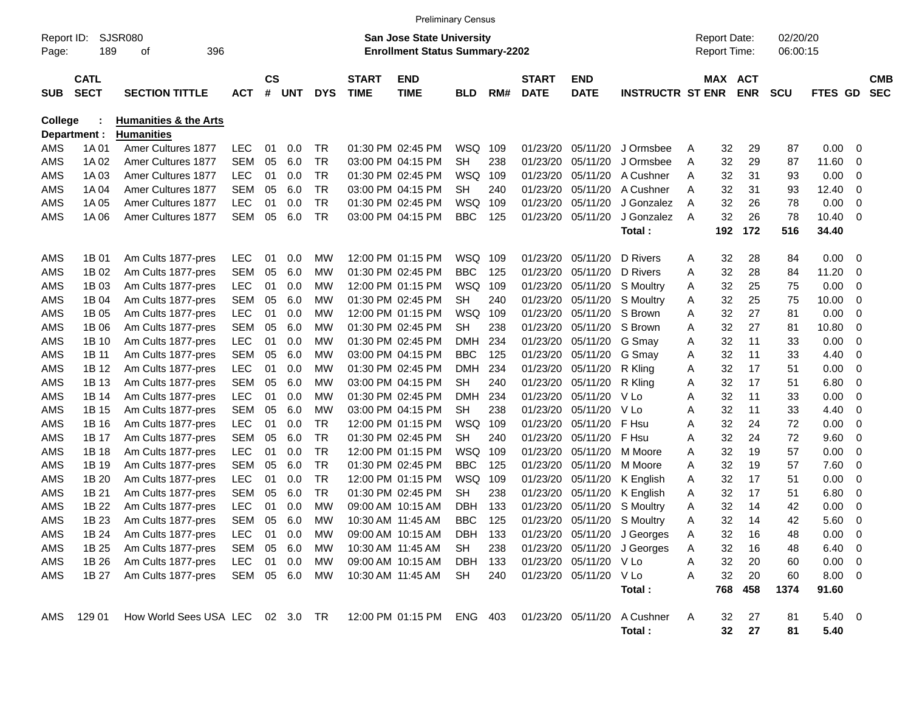|                     |                            |                                  |            |                |            |            |                             |                                                                           | <b>Preliminary Census</b> |     |                             |                           |                             |   |                                            |            |                      |           |                          |                          |
|---------------------|----------------------------|----------------------------------|------------|----------------|------------|------------|-----------------------------|---------------------------------------------------------------------------|---------------------------|-----|-----------------------------|---------------------------|-----------------------------|---|--------------------------------------------|------------|----------------------|-----------|--------------------------|--------------------------|
| Report ID:<br>Page: | 189                        | <b>SJSR080</b><br>396<br>οf      |            |                |            |            |                             | <b>San Jose State University</b><br><b>Enrollment Status Summary-2202</b> |                           |     |                             |                           |                             |   | <b>Report Date:</b><br><b>Report Time:</b> |            | 02/20/20<br>06:00:15 |           |                          |                          |
| <b>SUB</b>          | <b>CATL</b><br><b>SECT</b> | <b>SECTION TITTLE</b>            | <b>ACT</b> | <b>CS</b><br># | <b>UNT</b> | <b>DYS</b> | <b>START</b><br><b>TIME</b> | <b>END</b><br><b>TIME</b>                                                 | <b>BLD</b>                | RM# | <b>START</b><br><b>DATE</b> | <b>END</b><br><b>DATE</b> | <b>INSTRUCTR ST ENR</b>     |   | MAX ACT                                    | <b>ENR</b> | <b>SCU</b>           | FTES GD   |                          | <b>CMB</b><br><b>SEC</b> |
| College             |                            | <b>Humanities &amp; the Arts</b> |            |                |            |            |                             |                                                                           |                           |     |                             |                           |                             |   |                                            |            |                      |           |                          |                          |
|                     | Department :               | <b>Humanities</b>                |            |                |            |            |                             |                                                                           |                           |     |                             |                           |                             |   |                                            |            |                      |           |                          |                          |
| AMS                 | 1A 01                      | Amer Cultures 1877               | <b>LEC</b> | 01             | 0.0        | TR         |                             | 01:30 PM 02:45 PM                                                         | WSQ                       | 109 | 01/23/20                    | 05/11/20                  | J Ormsbee                   | Α | 32                                         | 29         | 87                   | 0.00      | 0                        |                          |
| AMS                 | 1A 02                      | Amer Cultures 1877               | <b>SEM</b> | 05             | 6.0        | TR         |                             | 03:00 PM 04:15 PM                                                         | <b>SH</b>                 | 238 | 01/23/20                    | 05/11/20                  | J Ormsbee                   | Α | 32                                         | 29         | 87                   | 11.60     | 0                        |                          |
| AMS                 | 1A03                       | Amer Cultures 1877               | <b>LEC</b> | 01             | 0.0        | TR         |                             | 01:30 PM 02:45 PM                                                         | <b>WSQ</b>                | 109 | 01/23/20                    | 05/11/20                  | A Cushner                   | Α | 32                                         | 31         | 93                   | 0.00      | 0                        |                          |
| AMS                 | 1A 04                      | Amer Cultures 1877               | SEM        | 05             | 6.0        | TR         |                             | 03:00 PM 04:15 PM                                                         | <b>SH</b>                 | 240 | 01/23/20                    | 05/11/20                  | A Cushner                   | Α | 32                                         | 31         | 93                   | 12.40     | 0                        |                          |
| AMS                 | 1A 05                      | Amer Cultures 1877               | <b>LEC</b> | 01             | 0.0        | TR         |                             | 01:30 PM 02:45 PM                                                         | <b>WSQ</b>                | 109 | 01/23/20                    | 05/11/20                  | J Gonzalez                  | A | 32                                         | 26         | 78                   | 0.00      | 0                        |                          |
| AMS                 | 1A 06                      | Amer Cultures 1877               | <b>SEM</b> | 05             | 6.0        | TR         |                             | 03:00 PM 04:15 PM                                                         | <b>BBC</b>                | 125 | 01/23/20                    | 05/11/20                  | J Gonzalez                  | A | 32                                         | 26         | 78                   | 10.40     | 0                        |                          |
|                     |                            |                                  |            |                |            |            |                             |                                                                           |                           |     |                             |                           | Total:                      |   | 192                                        | 172        | 516                  | 34.40     |                          |                          |
| AMS                 | 1B 01                      | Am Cults 1877-pres               | <b>LEC</b> | 01             | 0.0        | МW         |                             | 12:00 PM 01:15 PM                                                         | WSQ                       | 109 | 01/23/20                    | 05/11/20                  | D Rivers                    | Α | 32                                         | 28         | 84                   | 0.00      | - 0                      |                          |
| AMS                 | 1B 02                      | Am Cults 1877-pres               | <b>SEM</b> | 05             | 6.0        | MW         |                             | 01:30 PM 02:45 PM                                                         | <b>BBC</b>                | 125 | 01/23/20                    | 05/11/20                  | D Rivers                    | Α | 32                                         | 28         | 84                   | 11.20     | 0                        |                          |
| AMS                 | 1B 03                      | Am Cults 1877-pres               | <b>LEC</b> | 01             | 0.0        | MW         |                             | 12:00 PM 01:15 PM                                                         | WSQ                       | 109 | 01/23/20                    | 05/11/20                  | S Moultry                   | Α | 32                                         | 25         | 75                   | 0.00      | 0                        |                          |
| AMS                 | 1B 04                      | Am Cults 1877-pres               | SEM        | 05             | 6.0        | MW         |                             | 01:30 PM 02:45 PM                                                         | <b>SH</b>                 | 240 | 01/23/20                    | 05/11/20                  | S Moultry                   | Α | 32                                         | 25         | 75                   | 10.00     | 0                        |                          |
| AMS                 | 1B 05                      | Am Cults 1877-pres               | LEC        | 01             | 0.0        | MW         |                             | 12:00 PM 01:15 PM                                                         | <b>WSQ</b>                | 109 | 01/23/20                    | 05/11/20                  | S Brown                     | Α | 32                                         | 27         | 81                   | 0.00      | 0                        |                          |
| AMS                 | 1B 06                      | Am Cults 1877-pres               | <b>SEM</b> | 05             | 6.0        | MW         |                             | 01:30 PM 02:45 PM                                                         | <b>SH</b>                 | 238 | 01/23/20                    | 05/11/20                  | S Brown                     | Α | 32                                         | 27         | 81                   | 10.80     | 0                        |                          |
| AMS                 | 1B 10                      | Am Cults 1877-pres               | LEC        | 01             | 0.0        | MW         |                             | 01:30 PM 02:45 PM                                                         | <b>DMH</b>                | 234 | 01/23/20                    | 05/11/20                  | G Smay                      | Α | 32                                         | 11         | 33                   | 0.00      | 0                        |                          |
| AMS                 | 1B 11                      | Am Cults 1877-pres               | <b>SEM</b> | 05             | 6.0        | МW         |                             | 03:00 PM 04:15 PM                                                         | <b>BBC</b>                | 125 | 01/23/20                    | 05/11/20                  | G Smay                      | Α | 32                                         | 11         | 33                   | 4.40      | 0                        |                          |
| AMS                 | 1B 12                      | Am Cults 1877-pres               | <b>LEC</b> | 01             | 0.0        | МW         |                             | 01:30 PM 02:45 PM                                                         | <b>DMH</b>                | 234 | 01/23/20                    | 05/11/20                  | R Kling                     | Α | 32                                         | 17         | 51                   | 0.00      | 0                        |                          |
| AMS                 | 1B 13                      | Am Cults 1877-pres               | <b>SEM</b> | 05             | 6.0        | MW         |                             | 03:00 PM 04:15 PM                                                         | <b>SH</b>                 | 240 | 01/23/20                    | 05/11/20                  | R Kling                     | Α | 32                                         | 17         | 51                   | 6.80      | 0                        |                          |
| AMS                 | 1B 14                      | Am Cults 1877-pres               | LEC        | 01             | 0.0        | МW         |                             | 01:30 PM 02:45 PM                                                         | <b>DMH</b>                | 234 | 01/23/20                    | 05/11/20                  | V Lo                        | Α | 32                                         | 11         | 33                   | 0.00      | 0                        |                          |
| AMS                 | 1B 15                      | Am Cults 1877-pres               | <b>SEM</b> | 05             | 6.0        | MW         |                             | 03:00 PM 04:15 PM                                                         | <b>SH</b>                 | 238 | 01/23/20                    | 05/11/20                  | V Lo                        | Α | 32                                         | 11         | 33                   | 4.40      | 0                        |                          |
| AMS                 | 1B 16                      | Am Cults 1877-pres               | <b>LEC</b> | 01             | 0.0        | TR         |                             | 12:00 PM 01:15 PM                                                         | <b>WSQ</b>                | 109 | 01/23/20                    | 05/11/20                  | F Hsu                       | Α | 32                                         | 24         | 72                   | 0.00      | 0                        |                          |
| AMS                 | 1B 17                      | Am Cults 1877-pres               | <b>SEM</b> | 05             | 6.0        | TR         |                             | 01:30 PM 02:45 PM                                                         | <b>SH</b>                 | 240 | 01/23/20                    | 05/11/20                  | F Hsu                       | Α | 32                                         | 24         | 72                   | 9.60      | 0                        |                          |
| AMS                 | 1B 18                      | Am Cults 1877-pres               | LEC        | 01             | 0.0        | TR         |                             | 12:00 PM 01:15 PM                                                         | <b>WSQ</b>                | 109 | 01/23/20                    | 05/11/20                  | M Moore                     | Α | 32                                         | 19         | 57                   | 0.00      | 0                        |                          |
| AMS                 | 1B 19                      | Am Cults 1877-pres               | <b>SEM</b> | 05             | 6.0        | TR         |                             | 01:30 PM 02:45 PM                                                         | <b>BBC</b>                | 125 | 01/23/20                    | 05/11/20                  | M Moore                     | Α | 32                                         | 19         | 57                   | 7.60      | 0                        |                          |
| AMS                 | 1B 20                      | Am Cults 1877-pres               | LEC        | 01             | 0.0        | TR         |                             | 12:00 PM 01:15 PM                                                         | <b>WSQ</b>                | 109 | 01/23/20                    | 05/11/20                  | K English                   | Α | 32                                         | 17         | 51                   | 0.00      | 0                        |                          |
| AMS                 | 1B 21                      | Am Cults 1877-pres               | <b>SEM</b> | 05             | 6.0        | TR         |                             | 01:30 PM 02:45 PM                                                         | <b>SH</b>                 | 238 | 01/23/20                    | 05/11/20                  | K English                   | Α | 32                                         | 17         | 51                   | 6.80      | 0                        |                          |
| AMS                 | 1B 22                      | Am Cults 1877-pres               | <b>LEC</b> | 01             | 0.0        | МW         |                             | 09:00 AM 10:15 AM                                                         | <b>DBH</b>                | 133 | 01/23/20                    | 05/11/20                  | S Moultry                   | Α | 32                                         | 14         | 42                   | 0.00      | 0                        |                          |
| AMS                 | 1B 23                      | Am Cults 1877-pres               | SEM        | 05             | 6.0        | МW         |                             | 10:30 AM 11:45 AM                                                         | <b>BBC</b>                | 125 | 01/23/20                    | 05/11/20                  | S Moultry                   | Α | 32                                         | 14         | 42                   | 5.60      | 0                        |                          |
| AMS                 | 1B 24                      | Am Cults 1877-pres               | LEC        |                | 01  0.0    | MW         |                             | 09:00 AM 10:15 AM                                                         | DBH                       | 133 |                             |                           | 01/23/20 05/11/20 J Georges | A | 32                                         | 16         | 48                   | 0.00      | - 0                      |                          |
| AMS                 | 1B 25                      | Am Cults 1877-pres               | SEM 05 6.0 |                |            | MW         |                             | 10:30 AM 11:45 AM                                                         | SH                        | 238 |                             |                           | 01/23/20 05/11/20 J Georges | Α | 32                                         | 16         | 48                   | 6.40      | - 0                      |                          |
| AMS                 | 1B 26                      | Am Cults 1877-pres               | LEC        |                | 01 0.0     | МW         |                             | 09:00 AM 10:15 AM                                                         | DBH                       | 133 |                             | 01/23/20 05/11/20 V Lo    |                             | Α | 32                                         | 20         | 60                   | 0.00      | - 0                      |                          |
| AMS                 | 1B 27                      | Am Cults 1877-pres               | SEM 05 6.0 |                |            | МW         |                             | 10:30 AM 11:45 AM                                                         | SH                        | 240 |                             | 01/23/20 05/11/20 V Lo    |                             | Α | 32                                         | 20         | 60                   | 8.00      | $\overline{\phantom{0}}$ |                          |
|                     |                            |                                  |            |                |            |            |                             |                                                                           |                           |     |                             |                           | Total:                      |   | 768                                        | 458        | 1374                 | 91.60     |                          |                          |
| AMS                 | 129 01                     | How World Sees USA LEC 02 3.0 TR |            |                |            |            |                             | 12:00 PM 01:15 PM ENG 403                                                 |                           |     | 01/23/20 05/11/20           |                           | A Cushner                   | A | 32                                         | 27         | 81                   | $5.40\ 0$ |                          |                          |
|                     |                            |                                  |            |                |            |            |                             |                                                                           |                           |     |                             |                           | Total:                      |   | 32                                         | 27         | 81                   | 5.40      |                          |                          |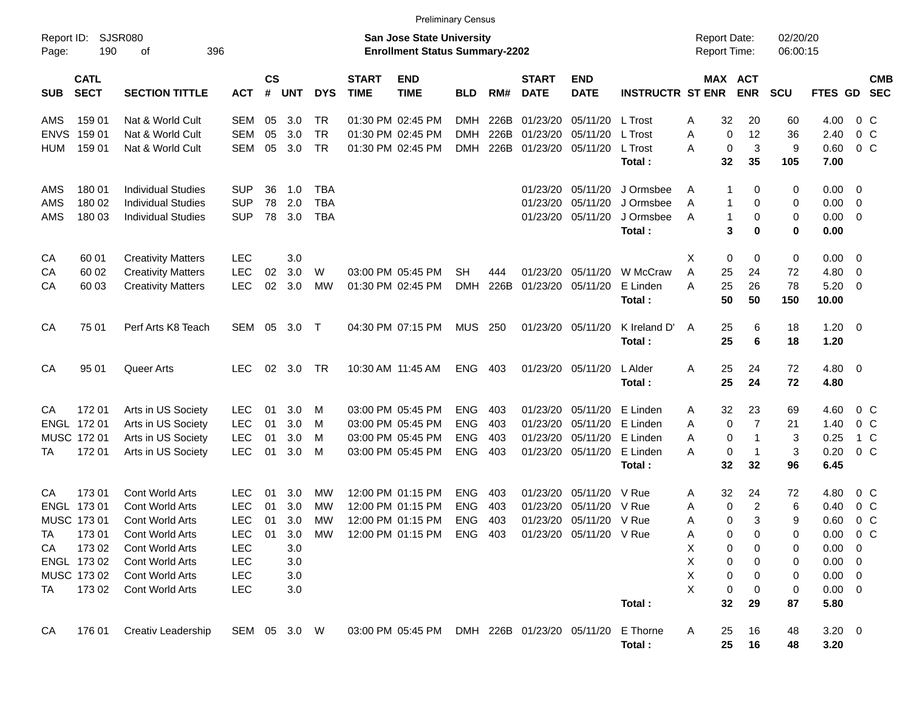|                     |                            |                           |              |                    |            |            |                             | <b>Preliminary Census</b>                                                 |            |       |                             |                            |                         |                                     |            |                      |                |                          |                          |
|---------------------|----------------------------|---------------------------|--------------|--------------------|------------|------------|-----------------------------|---------------------------------------------------------------------------|------------|-------|-----------------------------|----------------------------|-------------------------|-------------------------------------|------------|----------------------|----------------|--------------------------|--------------------------|
| Report ID:<br>Page: | <b>SJSR080</b><br>190      | 396<br>оf                 |              |                    |            |            |                             | <b>San Jose State University</b><br><b>Enrollment Status Summary-2202</b> |            |       |                             |                            |                         | <b>Report Date:</b><br>Report Time: |            | 02/20/20<br>06:00:15 |                |                          |                          |
| <b>SUB</b>          | <b>CATL</b><br><b>SECT</b> | <b>SECTION TITTLE</b>     | <b>ACT</b>   | $\mathsf{cs}$<br># | <b>UNT</b> | <b>DYS</b> | <b>START</b><br><b>TIME</b> | <b>END</b><br><b>TIME</b>                                                 | <b>BLD</b> | RM#   | <b>START</b><br><b>DATE</b> | <b>END</b><br><b>DATE</b>  | <b>INSTRUCTR ST ENR</b> | MAX ACT                             | <b>ENR</b> | <b>SCU</b>           | <b>FTES GD</b> |                          | <b>CMB</b><br><b>SEC</b> |
| AMS                 | 159 01                     | Nat & World Cult          | SEM          | 05                 | 3.0        | TR         |                             | 01:30 PM 02:45 PM                                                         | <b>DMH</b> | 226B  | 01/23/20                    | 05/11/20                   | L Trost                 | 32<br>Α                             | 20         | 60                   | 4.00           | 0 C                      |                          |
| <b>ENVS</b>         | 159 01                     | Nat & World Cult          | <b>SEM</b>   | 05                 | 3.0        | <b>TR</b>  |                             | 01:30 PM 02:45 PM                                                         | DMH        | 226B  | 01/23/20                    | 05/11/20                   | L Trost                 | A<br>$\mathbf 0$                    | 12         | 36                   | 2.40           | $0\,$ C                  |                          |
| HUM                 | 159 01                     | Nat & World Cult          | <b>SEM</b>   | 05                 | 3.0        | <b>TR</b>  |                             | 01:30 PM 02:45 PM                                                         | DMH        | 226B  | 01/23/20 05/11/20           |                            | L Trost                 | $\mathbf 0$<br>А                    | 3          | 9                    | 0.60           | 0 <sup>o</sup>           |                          |
|                     |                            |                           |              |                    |            |            |                             |                                                                           |            |       |                             |                            | Total:                  | 32                                  | 35         | 105                  | 7.00           |                          |                          |
| AMS                 | 180 01                     | <b>Individual Studies</b> | <b>SUP</b>   | 36                 | 1.0        | TBA        |                             |                                                                           |            |       | 01/23/20                    | 05/11/20                   | J Ormsbee               | 1<br>Α                              | 0          | 0                    | $0.00 \t 0$    |                          |                          |
| AMS                 | 180 02                     | <b>Individual Studies</b> | <b>SUP</b>   | 78                 | 2.0        | <b>TBA</b> |                             |                                                                           |            |       | 01/23/20                    | 05/11/20                   | J Ormsbee               | Α<br>1                              | 0          | 0                    | 0.00           | $\overline{\phantom{0}}$ |                          |
| AMS                 | 180 03                     | <b>Individual Studies</b> | <b>SUP</b>   | 78                 | 3.0        | <b>TBA</b> |                             |                                                                           |            |       |                             | 01/23/20 05/11/20          | J Ormsbee<br>Total:     | $\mathbf{1}$<br>Α<br>3              | 0<br>0     | 0<br>0               | 0.00<br>0.00   | $\overline{\phantom{0}}$ |                          |
| CA                  | 60 01                      | <b>Creativity Matters</b> | <b>LEC</b>   |                    | 3.0        |            |                             |                                                                           |            |       |                             |                            |                         | X<br>0                              | 0          | 0                    | $0.00 \t 0$    |                          |                          |
| CA                  | 60 02                      | <b>Creativity Matters</b> | <b>LEC</b>   | 02                 | 3.0        | W          |                             | 03:00 PM 05:45 PM                                                         | SН         | 444   | 01/23/20                    | 05/11/20                   | W McCraw                | Α<br>25                             | 24         | 72                   | 4.80           | $\overline{\mathbf{0}}$  |                          |
| CA                  | 60 03                      | <b>Creativity Matters</b> | <b>LEC</b>   | 02                 | 3.0        | <b>MW</b>  |                             | 01:30 PM 02:45 PM                                                         | <b>DMH</b> | 226B  | 01/23/20 05/11/20           |                            | E Linden                | 25<br>Α                             | 26         | 78                   | 5.20           | $\overline{\phantom{0}}$ |                          |
|                     |                            |                           |              |                    |            |            |                             |                                                                           |            |       |                             |                            | Total:                  | 50                                  | 50         | 150                  | 10.00          |                          |                          |
| CA                  | 75 01                      | Perf Arts K8 Teach        | SEM          | 05                 | 3.0        | $\top$     |                             | 04:30 PM 07:15 PM                                                         | <b>MUS</b> | - 250 | 01/23/20 05/11/20           |                            | K Ireland D'            | 25<br>A                             | 6          | 18                   | $1.20 \t 0$    |                          |                          |
|                     |                            |                           |              |                    |            |            |                             |                                                                           |            |       |                             |                            | Total:                  | 25                                  | 6          | 18                   | 1.20           |                          |                          |
| CA                  | 95 01                      | Queer Arts                | <b>LEC</b>   | 02                 | 3.0        | <b>TR</b>  |                             | 10:30 AM 11:45 AM                                                         | <b>ENG</b> | 403   |                             | 01/23/20 05/11/20          | L Alder                 | 25<br>Α                             | 24         | 72                   | $4.80$ 0       |                          |                          |
|                     |                            |                           |              |                    |            |            |                             |                                                                           |            |       |                             |                            | Total:                  | 25                                  | 24         | 72                   | 4.80           |                          |                          |
| CА                  | 172 01                     | Arts in US Society        | <b>LEC</b>   | 01                 | 3.0        | M          |                             | 03:00 PM 05:45 PM                                                         | <b>ENG</b> | 403   |                             | 01/23/20 05/11/20          | E Linden                | 32<br>Α                             | 23         | 69                   | 4.60           | $0\,C$                   |                          |
|                     | ENGL 172 01                | Arts in US Society        | <b>LEC</b>   | 01                 | 3.0        | M          |                             | 03:00 PM 05:45 PM                                                         | <b>ENG</b> | 403   |                             | 01/23/20 05/11/20          | E Linden                | $\mathbf 0$<br>Α                    | 7          | 21                   | 1.40           | 0 <sup>o</sup>           |                          |
|                     | MUSC 172 01                | Arts in US Society        | <b>LEC</b>   | 01                 | 3.0        | M          |                             | 03:00 PM 05:45 PM                                                         | <b>ENG</b> | 403   |                             | 01/23/20 05/11/20          | E Linden                | 0<br>Α                              | 1          | 3                    | 0.25           | 1 C                      |                          |
| ТA                  | 17201                      | Arts in US Society        | <b>LEC</b>   | 01                 | 3.0        | M          |                             | 03:00 PM 05:45 PM                                                         | <b>ENG</b> | 403   |                             | 01/23/20 05/11/20          | E Linden                | 0<br>Α                              | 1          | 3                    | 0.20           | 0 <sup>o</sup>           |                          |
|                     |                            |                           |              |                    |            |            |                             |                                                                           |            |       |                             |                            | Total:                  | 32                                  | 32         | 96                   | 6.45           |                          |                          |
| CА                  | 17301                      | Cont World Arts           | LEC          | 01                 | 3.0        | MW         |                             | 12:00 PM 01:15 PM                                                         | <b>ENG</b> | 403   | 01/23/20                    | 05/11/20                   | V Rue                   | 32<br>Α                             | 24         | 72                   | 4.80           | $0\,$ C                  |                          |
|                     | ENGL 173 01                | Cont World Arts           | <b>LEC</b>   | 01                 | 3.0        | МW         |                             | 12:00 PM 01:15 PM                                                         | <b>ENG</b> | 403   | 01/23/20                    | 05/11/20                   | V Rue                   | 0<br>Α                              | 2          | 6                    | 0.40           | 0 <sup>o</sup>           |                          |
|                     | MUSC 173 01                | Cont World Arts           | <b>LEC</b>   | 01                 | 3.0        | MW         |                             | 12:00 PM 01:15 PM                                                         | <b>ENG</b> | 403   |                             | 01/23/20 05/11/20 V Rue    |                         | 0<br>Α                              | 3          | 9                    | 0.60           | 0 <sup>o</sup>           |                          |
| <b>TA</b>           | 17301                      | Cont World Arts           | LEC          | 01                 | 3.0        | МW         |                             | 12:00 PM 01:15 PM ENG 403                                                 |            |       |                             | 01/23/20 05/11/20 V Rue    |                         | 0<br>A                              | 0          | 0                    | $0.00 \t 0 C$  |                          |                          |
| CA                  | 173 02                     | Cont World Arts           | LEC          |                    | 3.0        |            |                             |                                                                           |            |       |                             |                            |                         | х<br>0                              | 0          | 0                    | $0.00 \t 0$    |                          |                          |
|                     | ENGL 173 02                | Cont World Arts           | <b>LEC</b>   |                    | 3.0        |            |                             |                                                                           |            |       |                             |                            |                         | х<br>0                              | 0          | 0                    | $0.00 \t 0$    |                          |                          |
|                     | MUSC 173 02                | Cont World Arts           | <b>LEC</b>   |                    | 3.0        |            |                             |                                                                           |            |       |                             |                            |                         | х<br>0                              | 0          | 0                    | $0.00 \t 0$    |                          |                          |
| TA                  | 173 02                     | Cont World Arts           | <b>LEC</b>   |                    | 3.0        |            |                             |                                                                           |            |       |                             |                            |                         | X<br>0                              | 0          | 0                    | $0.00 \t 0$    |                          |                          |
|                     |                            |                           |              |                    |            |            |                             |                                                                           |            |       |                             |                            | Total:                  | 32                                  | 29         | 87                   | 5.80           |                          |                          |
| CA                  | 176 01                     | Creativ Leadership        | SEM 05 3.0 W |                    |            |            |                             | 03:00 PM 05:45 PM                                                         |            |       |                             | DMH 226B 01/23/20 05/11/20 | E Thorne                | 25<br>A<br>25                       | 16         | 48<br>48             | $3.20 \ 0$     |                          |                          |
|                     |                            |                           |              |                    |            |            |                             |                                                                           |            |       |                             |                            | Total:                  |                                     | 16         |                      | 3.20           |                          |                          |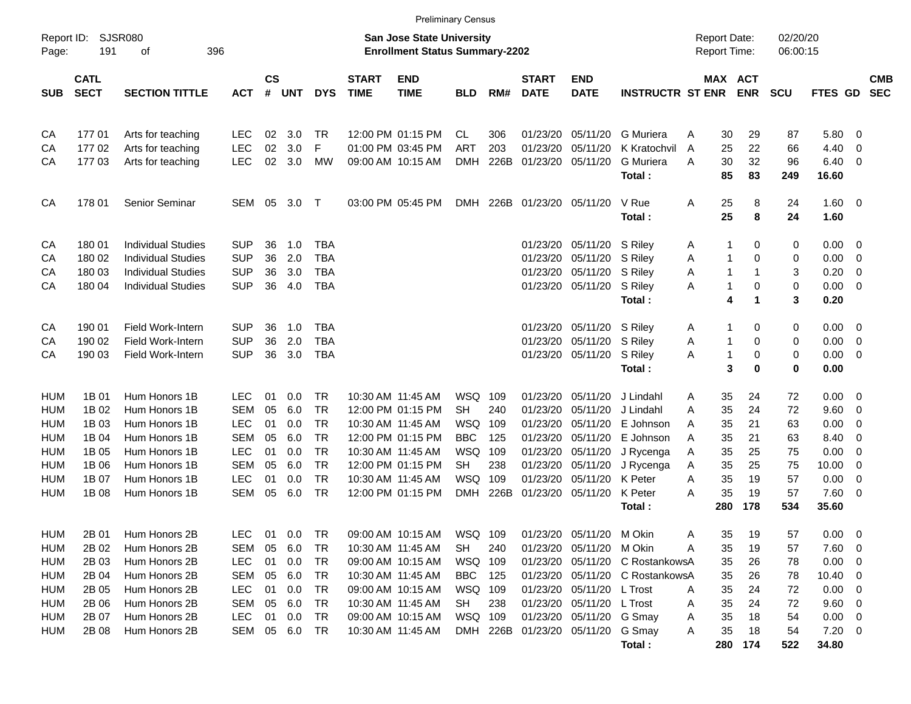|            |                            |                           |            |               |        |            |                             |                                                                           | <b>Preliminary Census</b> |      |                             |                           |                             |                                            |                    |                      |                        |                          |                          |
|------------|----------------------------|---------------------------|------------|---------------|--------|------------|-----------------------------|---------------------------------------------------------------------------|---------------------------|------|-----------------------------|---------------------------|-----------------------------|--------------------------------------------|--------------------|----------------------|------------------------|--------------------------|--------------------------|
| Page:      | Report ID: SJSR080<br>191  | 396<br>of                 |            |               |        |            |                             | <b>San Jose State University</b><br><b>Enrollment Status Summary-2202</b> |                           |      |                             |                           |                             | <b>Report Date:</b><br><b>Report Time:</b> |                    | 02/20/20<br>06:00:15 |                        |                          |                          |
| <b>SUB</b> | <b>CATL</b><br><b>SECT</b> | <b>SECTION TITTLE</b>     | ACT        | $\mathsf{cs}$ | # UNT  | <b>DYS</b> | <b>START</b><br><b>TIME</b> | <b>END</b><br><b>TIME</b>                                                 | <b>BLD</b>                | RM#  | <b>START</b><br><b>DATE</b> | <b>END</b><br><b>DATE</b> | <b>INSTRUCTR ST ENR ENR</b> |                                            | MAX ACT            | <b>SCU</b>           | <b>FTES GD</b>         |                          | <b>CMB</b><br><b>SEC</b> |
| CA         | 17701                      | Arts for teaching         | LEC        | 02            | 3.0    | TR         |                             | 12:00 PM 01:15 PM                                                         | CL.                       | 306  | 01/23/20                    | 05/11/20                  | <b>G</b> Muriera            | Α                                          | 29<br>30           | 87                   | 5.80                   | $\overline{0}$           |                          |
| СA         | 17702                      | Arts for teaching         | LEC        | 02            | 3.0    | F          |                             | 01:00 PM 03:45 PM                                                         | <b>ART</b>                | 203  | 01/23/20                    | 05/11/20                  | K Kratochvil                | $\overline{A}$                             | 22<br>25           | 66                   | 4.40                   | $\overline{\phantom{0}}$ |                          |
| CA         | 177 03                     | Arts for teaching         | <b>LEC</b> |               | 02 3.0 | <b>MW</b>  |                             | 09:00 AM 10:15 AM                                                         | <b>DMH</b>                | 226B | 01/23/20                    | 05/11/20                  | <b>G</b> Muriera            | A                                          | 32<br>30           | 96                   | 6.40                   | $\overline{0}$           |                          |
|            |                            |                           |            |               |        |            |                             |                                                                           |                           |      |                             |                           | Total:                      |                                            | 85<br>83           | 249                  | 16.60                  |                          |                          |
| CA         | 17801                      | <b>Senior Seminar</b>     | SEM        | 05            | 3.0    | $\top$     |                             | 03:00 PM 05:45 PM                                                         |                           |      | DMH 226B 01/23/20 05/11/20  |                           | V Rue<br>Total:             | Α                                          | 25<br>8<br>25<br>8 | 24<br>24             | $1.60 \quad 0$<br>1.60 |                          |                          |
| CA         | 180 01                     | <b>Individual Studies</b> | <b>SUP</b> | 36            | 1.0    | <b>TBA</b> |                             |                                                                           |                           |      | 01/23/20                    | 05/11/20                  | S Riley                     | A                                          | 0<br>-1            | 0                    | 0.00                   | $\overline{\mathbf{0}}$  |                          |
| CA         | 180 02                     | <b>Individual Studies</b> | <b>SUP</b> | 36            | 2.0    | <b>TBA</b> |                             |                                                                           |                           |      | 01/23/20                    | 05/11/20                  | S Riley                     | A                                          | 1<br>0             | 0                    | 0.00                   | $\mathbf 0$              |                          |
| СA         | 180 03                     | <b>Individual Studies</b> | SUP        | 36            | 3.0    | <b>TBA</b> |                             |                                                                           |                           |      |                             | 01/23/20 05/11/20         | S Riley                     | Α                                          | $\mathbf{1}$<br>1  | 3                    | 0.20                   | $\mathbf 0$              |                          |
| СA         | 180 04                     | <b>Individual Studies</b> | <b>SUP</b> | 36            | 4.0    | <b>TBA</b> |                             |                                                                           |                           |      |                             | 01/23/20 05/11/20         | S Riley                     | Α                                          | 1<br>0             | 0                    | 0.00                   | $\overline{0}$           |                          |
|            |                            |                           |            |               |        |            |                             |                                                                           |                           |      |                             |                           | Total:                      |                                            | 4<br>1             | 3                    | 0.20                   |                          |                          |
| CA         | 190 01                     | Field Work-Intern         | <b>SUP</b> | 36            | 1.0    | <b>TBA</b> |                             |                                                                           |                           |      |                             | 01/23/20 05/11/20         | S Riley                     | A                                          | 0<br>-1            | 0                    | 0.00                   | $\overline{\mathbf{0}}$  |                          |
| СA         | 190 02                     | Field Work-Intern         | <b>SUP</b> | 36            | 2.0    | <b>TBA</b> |                             |                                                                           |                           |      | 01/23/20                    | 05/11/20                  | S Riley                     | Α                                          | 0<br>1             | 0                    | 0.00                   | $\overline{0}$           |                          |
| CA         | 190 03                     | Field Work-Intern         | <b>SUP</b> | 36            | 3.0    | TBA        |                             |                                                                           |                           |      |                             | 01/23/20 05/11/20         | S Riley                     | Α                                          | 0<br>1             | 0                    | 0.00                   | $\overline{\phantom{0}}$ |                          |
|            |                            |                           |            |               |        |            |                             |                                                                           |                           |      |                             |                           | Total:                      |                                            | 3<br>$\bf{0}$      | $\mathbf 0$          | 0.00                   |                          |                          |
| HUM        | 1B 01                      | Hum Honors 1B             | <b>LEC</b> | 01            | 0.0    | <b>TR</b>  |                             | 10:30 AM 11:45 AM                                                         | WSQ                       | 109  | 01/23/20                    | 05/11/20                  | J Lindahl                   | Α                                          | 35<br>24           | 72                   | 0.00                   | - 0                      |                          |
| HUM        | 1B 02                      | Hum Honors 1B             | <b>SEM</b> | 05            | 6.0    | TR         |                             | 12:00 PM 01:15 PM                                                         | SH.                       | 240  | 01/23/20                    | 05/11/20                  | J Lindahl                   | Α                                          | 35<br>24           | 72                   | 9.60                   | $\overline{\phantom{0}}$ |                          |
| HUM        | 1B 03                      | Hum Honors 1B             | <b>LEC</b> | 01            | 0.0    | <b>TR</b>  |                             | 10:30 AM 11:45 AM                                                         | WSQ                       | 109  | 01/23/20                    | 05/11/20                  | E Johnson                   | Α                                          | 35<br>21           | 63                   | 0.00                   | $\mathbf 0$              |                          |
| HUM        | 1B 04                      | Hum Honors 1B             | SEM        | 05            | 6.0    | TR         |                             | 12:00 PM 01:15 PM                                                         | <b>BBC</b>                | 125  |                             | 01/23/20 05/11/20         | E Johnson                   | Α                                          | 35<br>21           | 63                   | 8.40                   | $\mathbf 0$              |                          |
| HUM        | 1B 05                      | Hum Honors 1B             | LEC        | 01            | 0.0    | <b>TR</b>  |                             | 10:30 AM 11:45 AM                                                         | WSQ 109                   |      |                             | 01/23/20 05/11/20         | J Rycenga                   | Α                                          | 25<br>35           | 75                   | 0.00                   | $\mathbf 0$              |                          |
| HUM        | 1B 06                      | Hum Honors 1B             | <b>SEM</b> | 05            | 6.0    | <b>TR</b>  |                             | 12:00 PM 01:15 PM                                                         | <b>SH</b>                 | 238  | 01/23/20                    | 05/11/20                  | J Rycenga                   | A                                          | 35<br>25           | 75                   | 10.00                  | $\mathbf 0$              |                          |
| HUM        | 1B 07                      | Hum Honors 1B             | <b>LEC</b> | 01            | 0.0    | <b>TR</b>  |                             | 10:30 AM 11:45 AM                                                         | WSQ                       | 109  | 01/23/20                    | 05/11/20                  | K Peter                     | Α                                          | 35<br>19           | 57                   | 0.00                   | $\mathbf 0$              |                          |
| HUM        | 1B 08                      | Hum Honors 1B             | <b>SEM</b> | 05            | 6.0    | <b>TR</b>  |                             | 12:00 PM 01:15 PM                                                         | <b>DMH</b>                | 226B |                             | 01/23/20 05/11/20         | K Peter                     | A                                          | 35<br>19           | 57                   | 7.60                   | $\overline{0}$           |                          |
|            |                            |                           |            |               |        |            |                             |                                                                           |                           |      |                             |                           | Total:                      | 280                                        | 178                | 534                  | 35.60                  |                          |                          |
| HUM        | 2B 01                      | Hum Honors 2B             | <b>LEC</b> | 01            | 0.0    | <b>TR</b>  |                             | 09:00 AM 10:15 AM                                                         | WSQ 109                   |      |                             | 01/23/20 05/11/20         | M Okin                      | Α                                          | 35<br>19           | 57                   | 0.00                   | $\overline{\phantom{0}}$ |                          |
| HUM        | 2B 02                      | Hum Honors 2B             | <b>SEM</b> | 05            | 6.0    | <b>TR</b>  |                             | 10:30 AM 11:45 AM                                                         | <b>SH</b>                 | 240  | 01/23/20                    | 05/11/20                  | M Okin                      | A                                          | 19<br>35           | 57                   | 7.60                   | $\overline{0}$           |                          |
| HUM        | 2B 03                      | Hum Honors 2B             | <b>LEC</b> | 01            | 0.0    | <b>TR</b>  |                             | 09:00 AM 10:15 AM                                                         | WSQ 109                   |      | 01/23/20                    | 05/11/20                  | C RostankowsA               |                                            | 35<br>26           | 78                   | 0.00                   | $\overline{0}$           |                          |
| HUM        | 2B 04                      | Hum Honors 2B             | SEM        | 05            | 6.0    | <b>TR</b>  |                             | 10:30 AM 11:45 AM                                                         | <b>BBC</b>                | 125  | 01/23/20                    | 05/11/20                  | C RostankowsA               |                                            | 35<br>26           | 78                   | 10.40                  | $\mathbf 0$              |                          |
| HUM        | 2B 05                      | Hum Honors 2B             | LEC        | 01            | 0.0    | <b>TR</b>  |                             | 09:00 AM 10:15 AM                                                         | WSQ                       | 109  |                             | 01/23/20 05/11/20         | L Trost                     | Α                                          | 35<br>24           | 72                   | 0.00                   | 0                        |                          |
| HUM        | 2B 06                      | Hum Honors 2B             | <b>SEM</b> | 05            | 6.0    | TR         |                             | 10:30 AM 11:45 AM                                                         | <b>SH</b>                 | 238  |                             | 01/23/20 05/11/20         | L Trost                     | Α                                          | 35<br>24           | 72                   | 9.60                   | $\overline{0}$           |                          |

HUM 2B 07 Hum Honors 2B LEC 01 0.0 TR 09:00 AM 10:15 AM WSQ 109 01/23/20 05/11/20 G Smay A 35 18 54 0.00 0 HUM 2B 08 Hum Honors 2B SEM 05 6.0 TR 10:30 AM 11:45 AM DMH 226B 01/23/20 05/11/20 G Smay A 35 18 54 7.20 0

**Total : 280 174 522 34.80**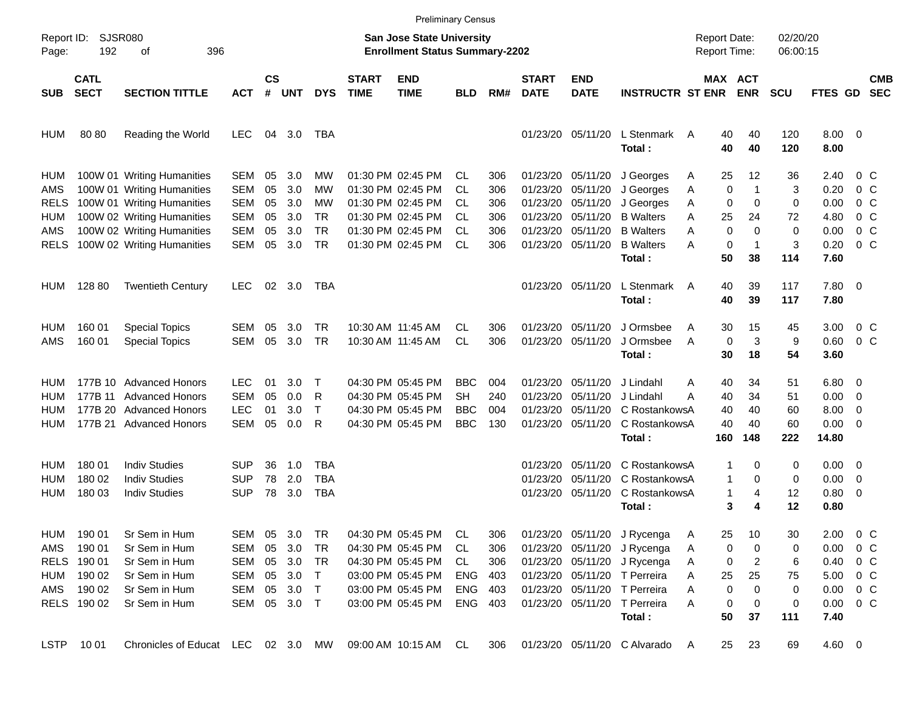|             |                            |                                    |            |                |            |            |                             | <b>Preliminary Census</b>                                          |            |     |                             |                           |                              |                                     |                       |                      |                        |                          |                          |
|-------------|----------------------------|------------------------------------|------------|----------------|------------|------------|-----------------------------|--------------------------------------------------------------------|------------|-----|-----------------------------|---------------------------|------------------------------|-------------------------------------|-----------------------|----------------------|------------------------|--------------------------|--------------------------|
| Page:       | Report ID: SJSR080<br>192  | 396<br>οf                          |            |                |            |            |                             | San Jose State University<br><b>Enrollment Status Summary-2202</b> |            |     |                             |                           |                              | <b>Report Date:</b><br>Report Time: |                       | 02/20/20<br>06:00:15 |                        |                          |                          |
| <b>SUB</b>  | <b>CATL</b><br><b>SECT</b> | <b>SECTION TITTLE</b>              | <b>ACT</b> | <b>CS</b><br># | <b>UNT</b> | <b>DYS</b> | <b>START</b><br><b>TIME</b> | <b>END</b><br><b>TIME</b>                                          | <b>BLD</b> | RM# | <b>START</b><br><b>DATE</b> | <b>END</b><br><b>DATE</b> | <b>INSTRUCTR ST ENR</b>      |                                     | MAX ACT<br><b>ENR</b> | <b>SCU</b>           | FTES GD                |                          | <b>CMB</b><br><b>SEC</b> |
| <b>HUM</b>  | 80 80                      | Reading the World                  | <b>LEC</b> | 04             | 3.0        | TBA        |                             |                                                                    |            |     |                             | 01/23/20 05/11/20         | L Stenmark A<br>Total:       | 40<br>40                            | 40<br>40              | 120<br>120           | $8.00 \t 0$<br>8.00    |                          |                          |
| HUM         |                            | 100W 01 Writing Humanities         | SEM        | 05             | 3.0        | MW         |                             | 01:30 PM 02:45 PM                                                  | CL         | 306 |                             | 01/23/20 05/11/20         | J Georges                    | 25<br>Α                             | 12                    | 36                   | 2.40                   | 0 C                      |                          |
| AMS         |                            | 100W 01 Writing Humanities         | <b>SEM</b> | 05             | 3.0        | MW         |                             | 01:30 PM 02:45 PM                                                  | CL         | 306 | 01/23/20                    | 05/11/20                  | J Georges                    | 0<br>Α                              | $\mathbf 1$           | 3                    | 0.20                   | $0\,$ C                  |                          |
| <b>RELS</b> |                            | 100W 01 Writing Humanities         | <b>SEM</b> | 05             | 3.0        | MW         |                             | 01:30 PM 02:45 PM                                                  | CL         | 306 |                             | 01/23/20 05/11/20         | J Georges                    | 0<br>Α                              | $\mathbf 0$           | 0                    | 0.00                   | 0 C                      |                          |
| <b>HUM</b>  |                            | 100W 02 Writing Humanities         | <b>SEM</b> | 05             | 3.0        | TR.        |                             | 01:30 PM 02:45 PM                                                  | CL         | 306 | 01/23/20                    | 05/11/20                  | <b>B</b> Walters             | A<br>25                             | 24                    | 72                   | 4.80                   | $0\,$ C                  |                          |
| AMS         |                            | 100W 02 Writing Humanities         | <b>SEM</b> | 05             | 3.0        | <b>TR</b>  |                             | 01:30 PM 02:45 PM                                                  | CL         | 306 | 01/23/20                    | 05/11/20                  | <b>B</b> Walters             | 0<br>Α                              | $\Omega$              | 0                    | 0.00                   | 0 <sup>o</sup>           |                          |
| <b>RELS</b> |                            | 100W 02 Writing Humanities         | <b>SEM</b> | 05             | 3.0        | <b>TR</b>  |                             | 01:30 PM 02:45 PM                                                  | CL         | 306 |                             | 01/23/20 05/11/20         | <b>B</b> Walters<br>Total:   | 0<br>Α<br>50                        | $\mathbf{1}$<br>38    | 3<br>114             | 0.20<br>7.60           | $0\,C$                   |                          |
| HUM         | 128 80                     | <b>Twentieth Century</b>           | <b>LEC</b> | 02             | 3.0        | TBA        |                             |                                                                    |            |     |                             | 01/23/20 05/11/20         | L Stenmark<br>Total:         | 40<br>A<br>40                       | 39<br>39              | 117<br>117           | 7.80 0<br>7.80         |                          |                          |
| HUM         | 160 01                     | <b>Special Topics</b>              | SEM        | 05             | 3.0        | TR.        |                             | 10:30 AM 11:45 AM                                                  | СL         | 306 |                             | 01/23/20 05/11/20         | J Ormsbee                    | 30<br>Α                             | 15                    | 45                   | 3.00                   | $0\,C$                   |                          |
| AMS         | 160 01                     | <b>Special Topics</b>              | <b>SEM</b> | 05             | 3.0        | <b>TR</b>  |                             | 10:30 AM 11:45 AM                                                  | <b>CL</b>  | 306 |                             | 01/23/20 05/11/20         | J Ormsbee                    | 0<br>A                              | 3                     | 9                    | 0.60                   | 0 <sup>o</sup>           |                          |
|             |                            |                                    |            |                |            |            |                             |                                                                    |            |     |                             |                           | Total:                       | 30                                  | 18                    | 54                   | 3.60                   |                          |                          |
| HUM         |                            | 177B 10 Advanced Honors            | <b>LEC</b> | 01             | 3.0        | Т          |                             | 04:30 PM 05:45 PM                                                  | BBC        | 004 | 01/23/20                    | 05/11/20                  | J Lindahl                    | 40<br>Α                             | 34                    | 51                   | $6.80\quad 0$          |                          |                          |
| HUM         | 177B 11                    | <b>Advanced Honors</b>             | <b>SEM</b> | 05             | 0.0        | R          |                             | 04:30 PM 05:45 PM                                                  | SН         | 240 | 01/23/20                    | 05/11/20                  | J Lindahl                    | А<br>40                             | 34                    | 51                   | 0.00                   | $\overline{\phantom{0}}$ |                          |
| HUM         |                            | 177B 20 Advanced Honors            | <b>LEC</b> | 01             | 3.0        | $\top$     |                             | 04:30 PM 05:45 PM                                                  | BBC        | 004 | 01/23/20                    | 05/11/20                  | C RostankowsA                | 40                                  | 40                    | 60                   | 8.00                   | $\overline{\mathbf{0}}$  |                          |
| HUM         |                            | 177B 21 Advanced Honors            | <b>SEM</b> | 05             | 0.0        | R          |                             | 04:30 PM 05:45 PM                                                  | <b>BBC</b> | 130 |                             | 01/23/20 05/11/20         | C RostankowsA                | 40                                  | 40                    | 60                   | 0.00                   | $\overline{\phantom{0}}$ |                          |
|             |                            |                                    |            |                |            |            |                             |                                                                    |            |     |                             |                           | Total:                       | 160                                 | 148                   | 222                  | 14.80                  |                          |                          |
| HUM         | 180 01                     | <b>Indiv Studies</b>               | <b>SUP</b> | 36             | 1.0        | TBA        |                             |                                                                    |            |     | 01/23/20                    | 05/11/20                  | C RostankowsA                | 1                                   | 0                     | 0                    | $0.00 \quad 0$         |                          |                          |
| HUM         | 180 02                     | <b>Indiv Studies</b>               | <b>SUP</b> | 78             | 2.0        | <b>TBA</b> |                             |                                                                    |            |     | 01/23/20                    | 05/11/20                  | C RostankowsA                | 1                                   | 0                     | 0                    | 0.00                   | $\overline{\mathbf{0}}$  |                          |
| <b>HUM</b>  | 180 03                     | <b>Indiv Studies</b>               | <b>SUP</b> | 78             | 3.0        | TBA        |                             |                                                                    |            |     |                             | 01/23/20 05/11/20         | C RostankowsA                | 1                                   | 4                     | 12                   | 0.80                   | $\overline{\phantom{0}}$ |                          |
|             |                            |                                    |            |                |            |            |                             |                                                                    |            |     |                             |                           | Total:                       |                                     | 3<br>4                | 12                   | 0.80                   |                          |                          |
| HUM         | 190 01                     | Sr Sem in Hum                      | SEM        | 05             | 3.0        | <b>TR</b>  |                             | 04:30 PM 05:45 PM                                                  | CL         | 306 |                             |                           | 01/23/20 05/11/20 J Rycenga  | 25<br>A                             | 10                    | 30                   | $2.00 \t 0 \t C$       |                          |                          |
| AMS         | 190 01                     | Sr Sem in Hum                      | SEM        | 05             | 3.0        | TR         |                             | 04:30 PM 05:45 PM                                                  | CL.        | 306 |                             |                           | 01/23/20 05/11/20 J Rycenga  | 0<br>Α                              | 0                     | 0                    | $0.00 \t 0 C$          |                          |                          |
|             | RELS 190 01                | Sr Sem in Hum                      | SEM        |                | 05 3.0     | TR         |                             | 04:30 PM 05:45 PM                                                  | CL         | 306 |                             |                           | 01/23/20 05/11/20 J Rycenga  | 0<br>A                              | 2                     | 6                    | $0.40 \quad 0 \quad C$ |                          |                          |
| HUM         | 190 02                     | Sr Sem in Hum                      | SEM        |                | 05 3.0     | $\top$     |                             | 03:00 PM 05:45 PM                                                  | <b>ENG</b> | 403 |                             |                           | 01/23/20 05/11/20 T Perreira | 25<br>Α                             | 25                    | 75                   | 5.00 0 C               |                          |                          |
| AMS         | 190 02                     | Sr Sem in Hum                      | <b>SEM</b> | 05             | 3.0        | $\top$     |                             | 03:00 PM 05:45 PM                                                  | ENG        | 403 |                             |                           | 01/23/20 05/11/20 T Perreira | 0<br>Α                              | 0                     | 0                    | $0.00 \t 0 C$          |                          |                          |
|             | RELS 190 02                | Sr Sem in Hum                      | SEM        |                | 05 3.0 T   |            |                             | 03:00 PM 05:45 PM                                                  | ENG 403    |     |                             |                           | 01/23/20 05/11/20 T Perreira | Α<br>0                              | 0                     | 0                    | $0.00 \t 0 C$          |                          |                          |
|             |                            |                                    |            |                |            |            |                             |                                                                    |            |     |                             |                           | Total:                       | 50                                  | 37                    | 111                  | 7.40                   |                          |                          |
| <b>LSTP</b> | 10 01                      | Chronicles of Educat LEC 02 3.0 MW |            |                |            |            |                             | 09:00 AM 10:15 AM                                                  | CL         | 306 |                             |                           | 01/23/20 05/11/20 C Alvarado | 25<br>A                             | 23                    | 69                   | 4.60 0                 |                          |                          |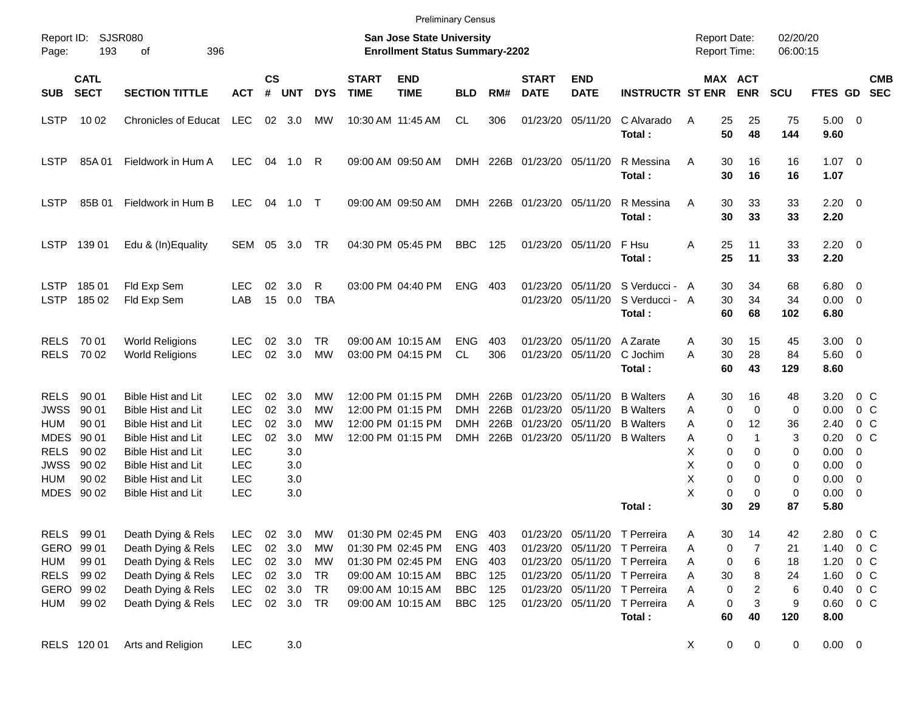| <b>Preliminary Census</b> |  |
|---------------------------|--|
|---------------------------|--|

| Report ID:<br>Page:                                                                          | 193                                                                       | SJSR080<br>396<br>οf                                                                                                                                                                                                                 |                                                                                                              |                      |                                                      |                                  |                             | <b>San Jose State University</b><br><b>Enrollment Status Summary-2202</b>                                                  |                                                                           |                                        |                                                   |                                              |                                                                                                                                                                    | <b>Report Date:</b><br><b>Report Time:</b> |                                                   |                                              | 02/20/20<br>06:00:15                         |                                                                        |                                                                                                                                                      |                          |
|----------------------------------------------------------------------------------------------|---------------------------------------------------------------------------|--------------------------------------------------------------------------------------------------------------------------------------------------------------------------------------------------------------------------------------|--------------------------------------------------------------------------------------------------------------|----------------------|------------------------------------------------------|----------------------------------|-----------------------------|----------------------------------------------------------------------------------------------------------------------------|---------------------------------------------------------------------------|----------------------------------------|---------------------------------------------------|----------------------------------------------|--------------------------------------------------------------------------------------------------------------------------------------------------------------------|--------------------------------------------|---------------------------------------------------|----------------------------------------------|----------------------------------------------|------------------------------------------------------------------------|------------------------------------------------------------------------------------------------------------------------------------------------------|--------------------------|
| <b>SUB</b>                                                                                   | <b>CATL</b><br><b>SECT</b>                                                | <b>SECTION TITTLE</b>                                                                                                                                                                                                                | <b>ACT</b>                                                                                                   | $\mathsf{cs}$<br>#   | <b>UNT</b>                                           | <b>DYS</b>                       | <b>START</b><br><b>TIME</b> | <b>END</b><br><b>TIME</b>                                                                                                  | <b>BLD</b>                                                                | RM#                                    | <b>START</b><br><b>DATE</b>                       | <b>END</b><br><b>DATE</b>                    | <b>INSTRUCTR ST ENR</b>                                                                                                                                            |                                            |                                                   | MAX ACT<br><b>ENR</b>                        | <b>SCU</b>                                   | FTES GD                                                                |                                                                                                                                                      | <b>CMB</b><br><b>SEC</b> |
| <b>LSTP</b>                                                                                  | 10 02                                                                     | <b>Chronicles of Educat</b>                                                                                                                                                                                                          | <b>LEC</b>                                                                                                   |                      | 02 3.0                                               | МW                               |                             | 10:30 AM 11:45 AM                                                                                                          | CL                                                                        | 306                                    | 01/23/20                                          | 05/11/20                                     | C Alvarado<br>Total:                                                                                                                                               | A                                          | 25<br>50                                          | 25<br>48                                     | 75<br>144                                    | $5.00 \t 0$<br>9.60                                                    |                                                                                                                                                      |                          |
| <b>LSTP</b>                                                                                  | 85A01                                                                     | Fieldwork in Hum A                                                                                                                                                                                                                   | LEC.                                                                                                         |                      | 04 1.0                                               | - R                              |                             | 09:00 AM 09:50 AM                                                                                                          |                                                                           |                                        | DMH 226B 01/23/20 05/11/20                        |                                              | R Messina<br>Total:                                                                                                                                                | A                                          | 30<br>30                                          | 16<br>16                                     | 16<br>16                                     | $1.07 \t 0$<br>1.07                                                    |                                                                                                                                                      |                          |
| <b>LSTP</b>                                                                                  | 85B 01                                                                    | Fieldwork in Hum B                                                                                                                                                                                                                   | <b>LEC</b>                                                                                                   |                      | 04 1.0 T                                             |                                  |                             | 09:00 AM 09:50 AM                                                                                                          |                                                                           |                                        | DMH 226B 01/23/20 05/11/20                        |                                              | R Messina<br>Total:                                                                                                                                                | A                                          | 30<br>30                                          | 33<br>33                                     | 33<br>33                                     | $2.20 \t 0$<br>2.20                                                    |                                                                                                                                                      |                          |
| <b>LSTP</b>                                                                                  | 139 01                                                                    | Edu & (In)Equality                                                                                                                                                                                                                   | <b>SEM</b>                                                                                                   | 05                   | 3.0                                                  | TR                               |                             | 04:30 PM 05:45 PM                                                                                                          | BBC                                                                       | 125                                    | 01/23/20 05/11/20                                 |                                              | F Hsu<br>Total:                                                                                                                                                    | Α                                          | 25<br>25                                          | 11<br>11                                     | 33<br>33                                     | $2.20 \t 0$<br>2.20                                                    |                                                                                                                                                      |                          |
| <b>LSTP</b><br><b>LSTP</b>                                                                   | 18501<br>185 02                                                           | Fld Exp Sem<br>Fld Exp Sem                                                                                                                                                                                                           | <b>LEC</b><br>LAB                                                                                            | 02<br>15             | 3.0<br>0.0                                           | R<br>TBA                         |                             | 03:00 PM 04:40 PM                                                                                                          | <b>ENG</b>                                                                | -403                                   | 01/23/20<br>01/23/20                              | 05/11/20<br>05/11/20                         | S Verducci - A<br>S Verducci - A<br>Total:                                                                                                                         |                                            | 30<br>30<br>60                                    | 34<br>34<br>68                               | 68<br>34<br>102                              | $6.80\quad 0$<br>$0.00 \t 0$<br>6.80                                   |                                                                                                                                                      |                          |
| <b>RELS</b><br><b>RELS</b>                                                                   | 70 01<br>70 02                                                            | <b>World Religions</b><br><b>World Religions</b>                                                                                                                                                                                     | <b>LEC</b><br><b>LEC</b>                                                                                     | 02<br>02             | 3.0<br>3.0                                           | TR<br>MW                         |                             | 09:00 AM 10:15 AM<br>03:00 PM 04:15 PM                                                                                     | <b>ENG</b><br>CL                                                          | 403<br>306                             | 01/23/20<br>01/23/20                              | 05/11/20<br>05/11/20                         | A Zarate<br>C Jochim<br>Total:                                                                                                                                     | Α<br>A                                     | 30<br>30<br>60                                    | 15<br>28<br>43                               | 45<br>84<br>129                              | $3.00 \ 0$<br>5.60 0<br>8.60                                           |                                                                                                                                                      |                          |
| <b>RELS</b><br><b>JWSS</b><br><b>HUM</b><br>MDES<br><b>RELS</b><br><b>JWSS</b><br><b>HUM</b> | 90 01<br>90 01<br>90 01<br>90 01<br>90 02<br>90 02<br>90 02<br>MDES 90 02 | <b>Bible Hist and Lit</b><br><b>Bible Hist and Lit</b><br><b>Bible Hist and Lit</b><br><b>Bible Hist and Lit</b><br><b>Bible Hist and Lit</b><br><b>Bible Hist and Lit</b><br><b>Bible Hist and Lit</b><br><b>Bible Hist and Lit</b> | <b>LEC</b><br><b>LEC</b><br><b>LEC</b><br><b>LEC</b><br><b>LEC</b><br><b>LEC</b><br><b>LEC</b><br><b>LEC</b> | 02<br>02<br>02<br>02 | 3.0<br>3.0<br>3.0<br>3.0<br>3.0<br>3.0<br>3.0<br>3.0 | МW<br>MW<br>MW<br>MW             |                             | 12:00 PM 01:15 PM<br>12:00 PM 01:15 PM<br>12:00 PM 01:15 PM<br>12:00 PM 01:15 PM                                           | <b>DMH</b><br>DMH<br><b>DMH</b><br><b>DMH</b>                             | 226B<br>226B<br>226B                   | 01/23/20<br>01/23/20<br>226B 01/23/20<br>01/23/20 | 05/11/20<br>05/11/20<br>05/11/20<br>05/11/20 | <b>B</b> Walters<br><b>B</b> Walters<br><b>B</b> Walters<br><b>B</b> Walters<br>Total:                                                                             | Α<br>Α<br>Α<br>A<br>X<br>X<br>Χ<br>X       | 30<br>0<br>0<br>0<br>0<br>0<br>0<br>0<br>30       | 16<br>0<br>12<br>1<br>0<br>0<br>0<br>0<br>29 | 48<br>0<br>36<br>3<br>0<br>0<br>0<br>0<br>87 | 3.20<br>0.00<br>2.40<br>0.20<br>0.00<br>0.00<br>0.00<br>0.00<br>5.80   | $0\,$ C<br>0 <sup>o</sup><br>0 <sup>o</sup><br>0 <sup>o</sup><br>0<br>$\overline{\mathbf{0}}$<br>$\overline{\phantom{0}}$<br>$\overline{\mathbf{0}}$ |                          |
| <b>RELS</b><br>HUM<br><b>RELS</b><br>HUM                                                     | 99 01<br>GERO 99 01<br>99 01<br>99 02<br>GERO 99 02<br>99 02              | Death Dying & Rels<br>Death Dying & Rels<br>Death Dying & Rels<br>Death Dying & Rels<br>Death Dying & Rels<br>Death Dying & Rels                                                                                                     | <b>LEC</b><br><b>LEC</b><br><b>LEC</b><br><b>LEC</b><br><b>LEC</b><br><b>LEC</b>                             | 02<br>02             | 3.0<br>3.0<br>02 3.0<br>02 3.0<br>02 3.0<br>02 3.0   | МW<br>МW<br>МW<br>TR<br>TR<br>TR |                             | 01:30 PM 02:45 PM<br>01:30 PM 02:45 PM<br>01:30 PM 02:45 PM<br>09:00 AM 10:15 AM<br>09:00 AM 10:15 AM<br>09:00 AM 10:15 AM | <b>ENG</b><br>ENG<br><b>ENG</b><br><b>BBC</b><br><b>BBC</b><br><b>BBC</b> | 403<br>403<br>403<br>125<br>125<br>125 |                                                   | 01/23/20 05/11/20<br>01/23/20 05/11/20       | T Perreira<br>01/23/20 05/11/20 T Perreira<br>T Perreira<br>01/23/20 05/11/20 T Perreira<br>01/23/20 05/11/20 T Perreira<br>01/23/20 05/11/20 T Perreira<br>Total: | Α<br>Α<br>Α<br>Α<br>Α<br>A                 | 30<br>0<br>0<br>30<br>$\boldsymbol{0}$<br>0<br>60 | 14<br>7<br>6<br>8<br>2<br>3<br>40            | 42<br>21<br>18<br>24<br>6<br>9<br>120        | 2.80<br>1.40<br>1.20<br>1.60<br>$0.40 \quad 0 \quad C$<br>0.60<br>8.00 | $0\,$ C<br>$0\,C$<br>$0\,$ C<br>$0\,$ C<br>$0\,$ C                                                                                                   |                          |
|                                                                                              | RELS 120 01                                                               | Arts and Religion                                                                                                                                                                                                                    | <b>LEC</b>                                                                                                   |                      | 3.0                                                  |                                  |                             |                                                                                                                            |                                                                           |                                        |                                                   |                                              |                                                                                                                                                                    | X                                          | 0                                                 | 0                                            | $\mathbf 0$                                  | $0.00 \t 0$                                                            |                                                                                                                                                      |                          |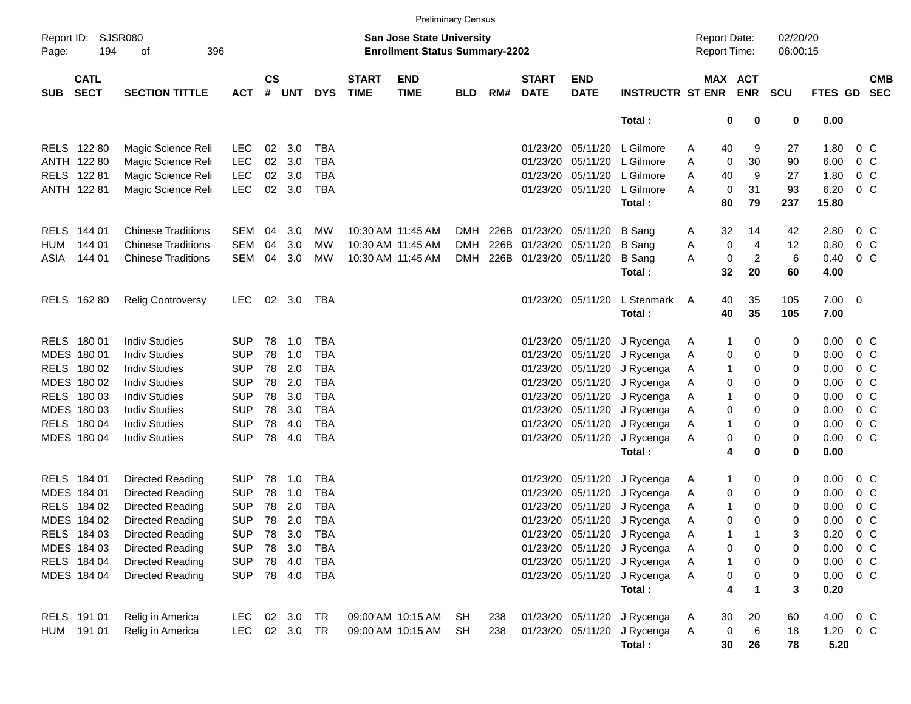|            |                                        |                           |            |                    |            |            |                             |                                                                    | <b>Preliminary Census</b> |      |                             |                           |                             |                                     |         |                |                      |                |                |                          |
|------------|----------------------------------------|---------------------------|------------|--------------------|------------|------------|-----------------------------|--------------------------------------------------------------------|---------------------------|------|-----------------------------|---------------------------|-----------------------------|-------------------------------------|---------|----------------|----------------------|----------------|----------------|--------------------------|
| Page:      | Report ID: SJSR080<br>396<br>194<br>оf |                           |            |                    |            |            |                             | San Jose State University<br><b>Enrollment Status Summary-2202</b> |                           |      |                             |                           |                             | <b>Report Date:</b><br>Report Time: |         |                | 02/20/20<br>06:00:15 |                |                |                          |
| <b>SUB</b> | <b>CATL</b><br><b>SECT</b>             | <b>SECTION TITTLE</b>     | <b>ACT</b> | $\mathsf{cs}$<br># | <b>UNT</b> | <b>DYS</b> | <b>START</b><br><b>TIME</b> | <b>END</b><br><b>TIME</b>                                          | <b>BLD</b>                | RM#  | <b>START</b><br><b>DATE</b> | <b>END</b><br><b>DATE</b> | <b>INSTRUCTR ST ENR ENR</b> |                                     | MAX ACT |                | <b>SCU</b>           | <b>FTES GD</b> |                | <b>CMB</b><br><b>SEC</b> |
|            |                                        |                           |            |                    |            |            |                             |                                                                    |                           |      |                             |                           | Total:                      |                                     | 0       | 0              | $\mathbf 0$          | 0.00           |                |                          |
|            | RELS 122 80                            | Magic Science Reli        | <b>LEC</b> | 02                 | 3.0        | <b>TBA</b> |                             |                                                                    |                           |      |                             |                           | 01/23/20 05/11/20 L Gilmore | A                                   | 40      | 9              | 27                   | 1.80           | 0 <sup>o</sup> |                          |
|            | ANTH 122 80                            | Magic Science Reli        | <b>LEC</b> | 02                 | 3.0        | <b>TBA</b> |                             |                                                                    |                           |      |                             | 01/23/20 05/11/20         | L Gilmore                   | A                                   | 0       | 30             | 90                   | 6.00           | 0 <sup>C</sup> |                          |
|            | RELS 122 81                            | Magic Science Reli        | <b>LEC</b> | 02                 | 3.0        | TBA        |                             |                                                                    |                           |      |                             |                           | 01/23/20 05/11/20 L Gilmore | Α                                   | 40      | 9              | 27                   | 1.80           | $0\,C$         |                          |
|            | ANTH 122 81                            | Magic Science Reli        | <b>LEC</b> | $02\,$             | 3.0        | TBA        |                             |                                                                    |                           |      |                             | 01/23/20 05/11/20         | L Gilmore                   | A                                   | 0       | 31             | 93                   | 6.20           | 0 <sup>o</sup> |                          |
|            |                                        |                           |            |                    |            |            |                             |                                                                    |                           |      |                             |                           | Total:                      |                                     | 80      | 79             | 237                  | 15.80          |                |                          |
|            | RELS 144 01                            | <b>Chinese Traditions</b> | SEM        | 04                 | 3.0        | MW         |                             | 10:30 AM 11:45 AM                                                  | DMH                       | 226B | 01/23/20 05/11/20           |                           | <b>B</b> Sang               | A                                   | 32      | 14             | 42                   | 2.80           | 0 <sup>o</sup> |                          |
| HUM        | 144 01                                 | <b>Chinese Traditions</b> | <b>SEM</b> | 04                 | 3.0        | MW         |                             | 10:30 AM 11:45 AM                                                  | <b>DMH</b>                | 226B |                             | 01/23/20 05/11/20         | <b>B</b> Sang               | Α                                   | 0       | 4              | 12                   | 0.80           | 0 <sup>C</sup> |                          |
| ASIA       | 144 01                                 | <b>Chinese Traditions</b> | <b>SEM</b> | 04                 | 3.0        | MW         |                             | 10:30 AM 11:45 AM                                                  | <b>DMH</b>                |      | 226B 01/23/20 05/11/20      |                           | <b>B</b> Sang               | Α                                   | 0       | $\overline{c}$ | 6                    | 0.40           | 0 <sup>C</sup> |                          |
|            |                                        |                           |            |                    |            |            |                             |                                                                    |                           |      |                             |                           | Total:                      |                                     | 32      | 20             | 60                   | 4.00           |                |                          |
|            | RELS 162 80                            | <b>Relig Controversy</b>  | <b>LEC</b> | 02                 | 3.0        | TBA        |                             |                                                                    |                           |      |                             | 01/23/20 05/11/20         | L Stenmark                  | A                                   | 40      | 35             | 105                  | $7.00 \t 0$    |                |                          |
|            |                                        |                           |            |                    |            |            |                             |                                                                    |                           |      |                             |                           | Total:                      |                                     | 40      | 35             | 105                  | 7.00           |                |                          |
|            | RELS 180 01                            | <b>Indiv Studies</b>      | <b>SUP</b> | 78                 | 1.0        | <b>TBA</b> |                             |                                                                    |                           |      |                             | 01/23/20 05/11/20         | J Rycenga                   | A                                   | -1      | 0              | 0                    | 0.00           | 0 <sup>C</sup> |                          |
|            | MDES 180 01                            | <b>Indiv Studies</b>      | <b>SUP</b> | 78                 | 1.0        | <b>TBA</b> |                             |                                                                    |                           |      |                             | 01/23/20 05/11/20         | J Rycenga                   | A                                   | 0       | $\mathbf 0$    | 0                    | 0.00           | 0 <sup>o</sup> |                          |
|            | RELS 180 02                            | <b>Indiv Studies</b>      | <b>SUP</b> | 78                 | 2.0        | TBA        |                             |                                                                    |                           |      |                             | 01/23/20 05/11/20         | J Rycenga                   | A                                   | -1      | 0              | 0                    | 0.00           | 0 <sup>o</sup> |                          |
|            | MDES 180 02                            | <b>Indiv Studies</b>      | <b>SUP</b> | 78                 | 2.0        | TBA        |                             |                                                                    |                           |      |                             | 01/23/20 05/11/20         | J Rycenga                   | A                                   | 0       | 0              | 0                    | 0.00           | 0 <sub>C</sub> |                          |
|            | RELS 180 03                            | <b>Indiv Studies</b>      | <b>SUP</b> | 78                 | 3.0        | TBA        |                             |                                                                    |                           |      |                             | 01/23/20 05/11/20         | J Rycenga                   | A                                   | 1       | 0              | 0                    | 0.00           | 0 <sub>C</sub> |                          |
|            | MDES 180 03                            | <b>Indiv Studies</b>      | <b>SUP</b> | 78                 | 3.0        | TBA        |                             |                                                                    |                           |      |                             | 01/23/20 05/11/20         | J Rycenga                   | Α                                   | 0       | 0              | 0                    | 0.00           | 0 <sub>C</sub> |                          |
|            | RELS 180 04                            | <b>Indiv Studies</b>      | <b>SUP</b> | 78                 | 4.0        | <b>TBA</b> |                             |                                                                    |                           |      |                             | 01/23/20 05/11/20         | J Rycenga                   | A                                   | 1       | 0              | 0                    | 0.00           | 0 <sub>C</sub> |                          |
|            | MDES 180 04                            | <b>Indiv Studies</b>      | <b>SUP</b> | 78                 | 4.0        | <b>TBA</b> |                             |                                                                    |                           |      |                             | 01/23/20 05/11/20         | J Rycenga                   | Α                                   | 0       | 0              | 0                    | 0.00           | 0 <sup>o</sup> |                          |
|            |                                        |                           |            |                    |            |            |                             |                                                                    |                           |      |                             |                           | Total:                      |                                     | 4       | 0              | 0                    | 0.00           |                |                          |
|            | RELS 184 01                            | Directed Reading          | <b>SUP</b> | 78                 | 1.0        | <b>TBA</b> |                             |                                                                    |                           |      |                             | 01/23/20 05/11/20         | J Rycenga                   | A                                   | 1       | 0              | 0                    | 0.00           | $0\,$ C        |                          |
|            | MDES 184 01                            | Directed Reading          | <b>SUP</b> | 78                 | 1.0        | <b>TBA</b> |                             |                                                                    |                           |      |                             | 01/23/20 05/11/20         | J Rycenga                   | A                                   | 0       | $\mathbf 0$    | 0                    | 0.00           | 0 <sup>C</sup> |                          |
|            | RELS 184 02                            | Directed Reading          | <b>SUP</b> | 78                 | 2.0        | <b>TBA</b> |                             |                                                                    |                           |      |                             | 01/23/20 05/11/20         | J Rycenga                   | A                                   | 1       | 0              | 0                    | 0.00           | $0\,C$         |                          |
|            | MDES 184 02                            | Directed Reading          | <b>SUP</b> | 78                 | 2.0        | <b>TBA</b> |                             |                                                                    |                           |      |                             |                           | 01/23/20 05/11/20 J Rycenga | Α                                   | 0       | $\Omega$       | 0                    | 0.00           | 0 <sup>o</sup> |                          |
|            | RELS 184 03                            | Directed Reading          | <b>SUP</b> |                    | 78 3.0     | <b>TBA</b> |                             |                                                                    |                           |      |                             |                           | 01/23/20 05/11/20 J Rycenga | A                                   | 1       |                | 3                    | 0.20           | 0 <sup>o</sup> |                          |
|            | MDES 184 03                            | Directed Reading          | <b>SUP</b> | 78                 | 3.0        | TBA        |                             |                                                                    |                           |      |                             |                           | 01/23/20 05/11/20 J Rycenga | A                                   | 0       | 0              | 0                    | 0.00           | 0 <sup>o</sup> |                          |
|            | RELS 184 04                            | Directed Reading          | <b>SUP</b> |                    | 78 4.0     | TBA        |                             |                                                                    |                           |      |                             | 01/23/20 05/11/20         | J Rycenga                   | Α                                   | 1       | 0              | 0                    | 0.00           | $0\,C$         |                          |
|            | MDES 184 04                            | Directed Reading          | <b>SUP</b> |                    | 78 4.0     | TBA        |                             |                                                                    |                           |      |                             | 01/23/20 05/11/20         | J Rycenga                   | Α                                   | 0       | 0              | 0                    | 0.00           | $0\,C$         |                          |
|            |                                        |                           |            |                    |            |            |                             |                                                                    |                           |      |                             |                           | Total:                      |                                     | 4       | 1              | 3                    | 0.20           |                |                          |
|            | RELS 191 01                            | Relig in America          | <b>LEC</b> |                    | 02 3.0     | TR         |                             | 09:00 AM 10:15 AM                                                  | SH                        | 238  |                             | 01/23/20 05/11/20         | J Rycenga                   | A                                   | 30      | 20             | 60                   | 4.00 0 C       |                |                          |
| HUM        | 191 01                                 | Relig in America          | <b>LEC</b> |                    | 02 3.0 TR  |            |                             | 09:00 AM 10:15 AM                                                  | SH.                       | 238  |                             | 01/23/20 05/11/20         | J Rycenga                   | A                                   | 0       | 6              | 18                   | $1.20 \t 0 C$  |                |                          |
|            |                                        |                           |            |                    |            |            |                             |                                                                    |                           |      |                             |                           | Total:                      |                                     | 30      | 26             | 78                   | 5.20           |                |                          |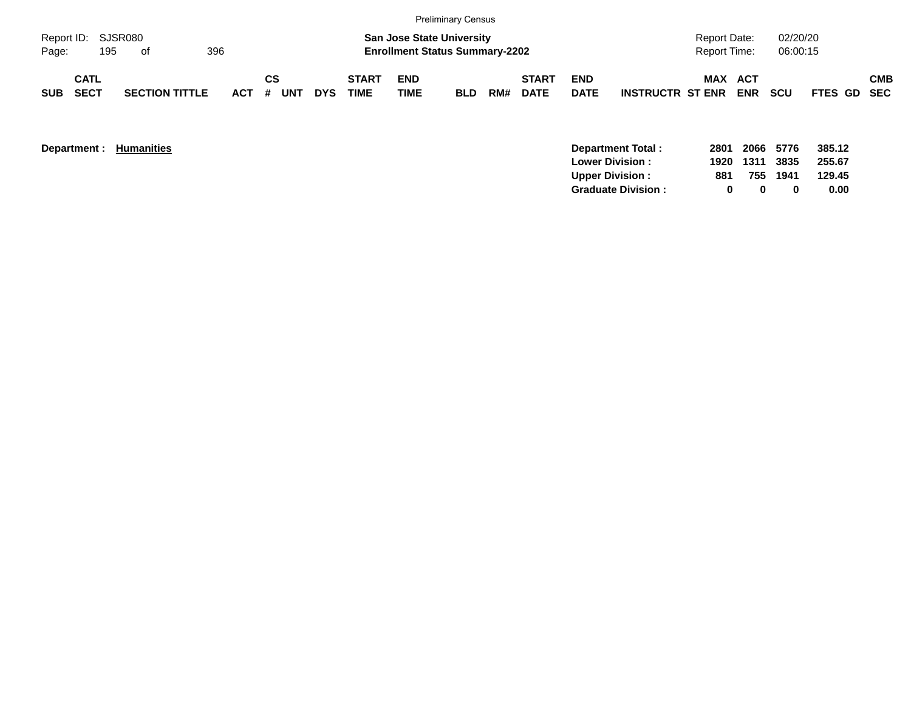|                             |                            |     |                       |     |    |           |            |                             |                           | <b>Preliminary Census</b>                                                 |     |                             |                           |                         |                                            |            |                      |             |            |
|-----------------------------|----------------------------|-----|-----------------------|-----|----|-----------|------------|-----------------------------|---------------------------|---------------------------------------------------------------------------|-----|-----------------------------|---------------------------|-------------------------|--------------------------------------------|------------|----------------------|-------------|------------|
| Report ID: SJSR080<br>Page: |                            | 195 | of                    | 396 |    |           |            |                             |                           | <b>San Jose State University</b><br><b>Enrollment Status Summary-2202</b> |     |                             |                           |                         | <b>Report Date:</b><br><b>Report Time:</b> |            | 02/20/20<br>06:00:15 |             |            |
| <b>SUB</b>                  | <b>CATL</b><br><b>SECT</b> |     | <b>SECTION TITTLE</b> |     | СS | ACT # UNT | <b>DYS</b> | <b>START</b><br><b>TIME</b> | <b>END</b><br><b>TIME</b> | <b>BLD</b>                                                                | RM# | <b>START</b><br><b>DATE</b> | <b>END</b><br><b>DATE</b> | <b>INSTRUCTR ST ENR</b> | MAX ACT                                    | <b>ENR</b> | <b>SCU</b>           | FTES GD SEC | <b>CMB</b> |

**Department : Humanities** 

|     |   |   | - 385.12                                     |
|-----|---|---|----------------------------------------------|
|     |   |   | 255.67                                       |
| 881 |   |   | 129.45                                       |
| n   | n | o | 0.00                                         |
|     |   |   | 2801 2066 5776<br>1920 1311 3835<br>755 1941 |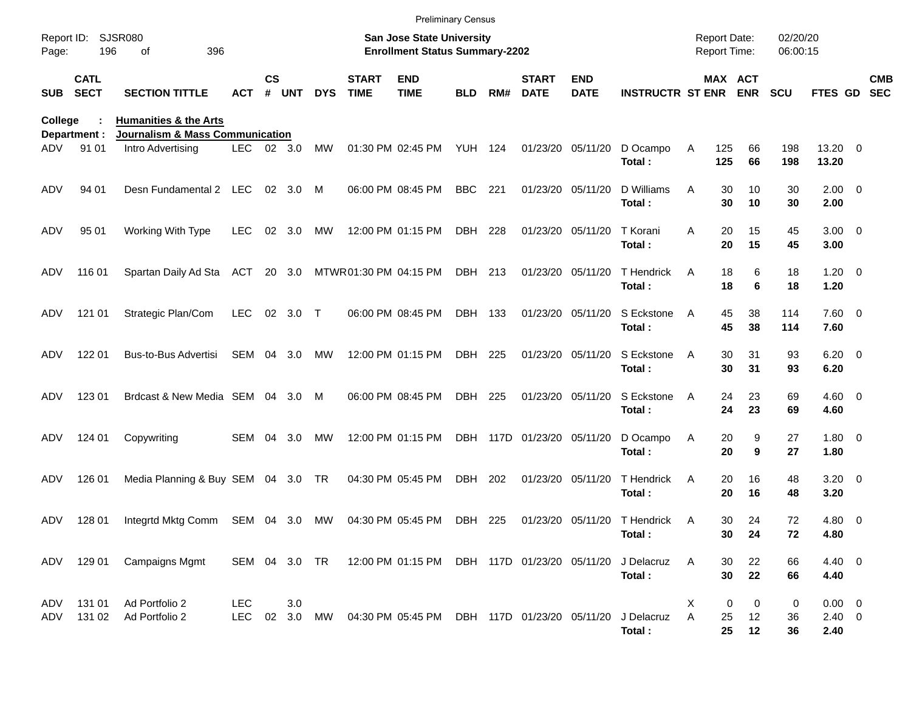| Report ID: |                            | <b>SJSR080</b>                                                                 |                          |               |               |               |                             | <b>Preliminary Census</b><br><b>San Jose State University</b> |            |     |                             |                           |                                        |        | <b>Report Date:</b> |               | 02/20/20      |                                   |                          |
|------------|----------------------------|--------------------------------------------------------------------------------|--------------------------|---------------|---------------|---------------|-----------------------------|---------------------------------------------------------------|------------|-----|-----------------------------|---------------------------|----------------------------------------|--------|---------------------|---------------|---------------|-----------------------------------|--------------------------|
| Page:      | 196                        | 396<br>οf                                                                      |                          |               |               |               |                             | <b>Enrollment Status Summary-2202</b>                         |            |     |                             |                           |                                        |        | Report Time:        |               | 06:00:15      |                                   |                          |
| <b>SUB</b> | <b>CATL</b><br><b>SECT</b> | <b>SECTION TITTLE</b>                                                          | ACT                      | $\mathsf{cs}$ | # UNT         | <b>DYS</b>    | <b>START</b><br><b>TIME</b> | <b>END</b><br><b>TIME</b>                                     | BLD        | RM# | <b>START</b><br><b>DATE</b> | <b>END</b><br><b>DATE</b> | <b>INSTRUCTR ST ENR ENR</b>            |        | MAX ACT             |               | <b>SCU</b>    | FTES GD                           | <b>CMB</b><br><b>SEC</b> |
| College    | Department :               | <b>Humanities &amp; the Arts</b><br><b>Journalism &amp; Mass Communication</b> |                          |               |               |               |                             |                                                               |            |     |                             |                           |                                        |        |                     |               |               |                                   |                          |
| ADV        | 91 01                      | Intro Advertising                                                              | LEC.                     |               | 02 3.0        | MW            |                             | 01:30 PM 02:45 PM                                             | YUH 124    |     |                             | 01/23/20 05/11/20         | D Ocampo<br>Total:                     | Α      | 125<br>125          | 66<br>66      | 198<br>198    | 13.20 0<br>13.20                  |                          |
| ADV        | 94 01                      | Desn Fundamental 2 LEC                                                         |                          |               | 02 3.0        | M             |                             | 06:00 PM 08:45 PM                                             | <b>BBC</b> | 221 |                             | 01/23/20 05/11/20         | D Williams<br>Total:                   | Α      | 30<br>30            | 10<br>10      | 30<br>30      | $2.00 \t 0$<br>2.00               |                          |
| ADV        | 95 01                      | Working With Type                                                              | <b>LEC</b>               | 02            | 3.0           | MW            |                             | 12:00 PM 01:15 PM                                             | DBH 228    |     |                             | 01/23/20 05/11/20         | T Korani<br>Total:                     | A      | 20<br>20            | 15<br>15      | 45<br>45      | $3.00 \ 0$<br>3.00                |                          |
| ADV        | 116 01                     | Spartan Daily Ad Sta                                                           | ACT                      |               | 20 3.0        |               | MTWR01:30 PM 04:15 PM       |                                                               | DBH 213    |     |                             | 01/23/20 05/11/20         | T Hendrick<br>Total:                   | A      | 18<br>18            | 6<br>6        | 18<br>18      | $1.20 \t 0$<br>1.20               |                          |
| ADV        | 121 01                     | Strategic Plan/Com                                                             | <b>LEC</b>               |               | 02 3.0        | $\top$        |                             | 06:00 PM 08:45 PM                                             | DBH 133    |     |                             | 01/23/20 05/11/20         | S Eckstone<br>Total:                   | A      | 45<br>45            | 38<br>38      | 114<br>114    | 7.60 0<br>7.60                    |                          |
| ADV        | 122 01                     | Bus-to-Bus Advertisi                                                           | SEM                      | 04            | 3.0           | MW            |                             | 12:00 PM 01:15 PM                                             | DBH 225    |     |                             | 01/23/20 05/11/20         | S Eckstone<br>Total:                   | A      | 30<br>30            | 31<br>31      | 93<br>93      | $6.20 \quad 0$<br>6.20            |                          |
| ADV        | 123 01                     | Brdcast & New Media SEM 04                                                     |                          |               | 3.0           | M             |                             | 06:00 PM 08:45 PM                                             | DBH 225    |     |                             | 01/23/20 05/11/20         | S Eckstone<br>Total:                   | A      | 24<br>24            | 23<br>23      | 69<br>69      | $4.60$ 0<br>4.60                  |                          |
| ADV        | 124 01                     | Copywriting                                                                    | SEM                      | 04            | 3.0           | МW            |                             | 12:00 PM 01:15 PM                                             |            |     | DBH 117D 01/23/20 05/11/20  |                           | D Ocampo<br>Total:                     | A      | 20<br>20            | 9<br>9        | 27<br>27      | $1.80 \ 0$<br>1.80                |                          |
| ADV        | 126 01                     | Media Planning & Buy SEM 04 3.0 TR                                             |                          |               |               |               |                             | 04:30 PM 05:45 PM                                             | DBH        | 202 |                             | 01/23/20 05/11/20         | T Hendrick<br>Total:                   | A      | 20<br>20            | 16<br>16      | 48<br>48      | $3.20 \ 0$<br>3.20                |                          |
| ADV        | 128 01                     | Integrtd Mktg Comm                                                             | SEM 04 3.0               |               |               | МW            |                             | 04:30 PM 05:45 PM                                             | DBH 225    |     |                             |                           | 01/23/20 05/11/20 T Hendrick<br>Total: | A      | 30<br>30            | 24<br>24      | 72<br>72      | 4.80 0<br>4.80                    |                          |
|            |                            | ADV 129 01 Campaigns Mgmt                                                      |                          |               |               | SEM 04 3.0 TR |                             | 12:00 PM 01:15 PM DBH 117D 01/23/20 05/11/20                  |            |     |                             |                           | J Delacruz<br>Total:                   | A      | 30<br>30            | 22<br>22      | 66<br>66      | 4.40 0<br>4.40                    |                          |
| ADV<br>ADV | 131 01<br>131 02           | Ad Portfolio 2<br>Ad Portfolio 2                                               | <b>LEC</b><br><b>LEC</b> |               | 3.0<br>02 3.0 | MW            |                             | 04:30 PM 05:45 PM DBH 117D 01/23/20 05/11/20                  |            |     |                             |                           | J Delacruz<br>Total:                   | Χ<br>A | 0<br>25<br>25       | 0<br>12<br>12 | 0<br>36<br>36 | $0.00 \t 0$<br>$2.40 \ 0$<br>2.40 |                          |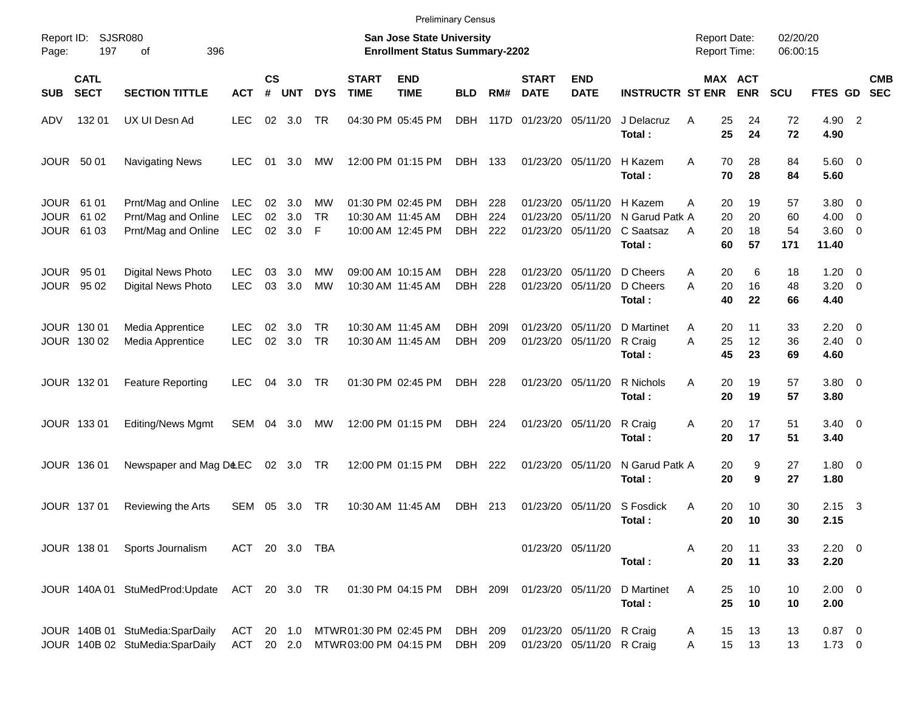|                                          |                            |                                                                                           |                                 |                |                      |                        |                             | <b>Preliminary Census</b>                                                 |                                  |                    |                                  |                                                        |                                                  |                                            |                              |                       |                                             |                          |
|------------------------------------------|----------------------------|-------------------------------------------------------------------------------------------|---------------------------------|----------------|----------------------|------------------------|-----------------------------|---------------------------------------------------------------------------|----------------------------------|--------------------|----------------------------------|--------------------------------------------------------|--------------------------------------------------|--------------------------------------------|------------------------------|-----------------------|---------------------------------------------|--------------------------|
| Report ID:<br>Page:                      | 197                        | SJSR080<br>396<br>οf                                                                      |                                 |                |                      |                        |                             | <b>San Jose State University</b><br><b>Enrollment Status Summary-2202</b> |                                  |                    |                                  |                                                        |                                                  | <b>Report Date:</b><br><b>Report Time:</b> |                              | 02/20/20<br>06:00:15  |                                             |                          |
| <b>SUB</b>                               | <b>CATL</b><br><b>SECT</b> | <b>SECTION TITTLE</b>                                                                     | <b>ACT</b>                      | <b>CS</b><br># | <b>UNT</b>           | <b>DYS</b>             | <b>START</b><br><b>TIME</b> | <b>END</b><br><b>TIME</b>                                                 | <b>BLD</b>                       | RM#                | <b>START</b><br><b>DATE</b>      | <b>END</b><br><b>DATE</b>                              | <b>INSTRUCTR ST ENR</b>                          |                                            | <b>MAX ACT</b><br><b>ENR</b> | <b>SCU</b>            | <b>FTES GD</b>                              | <b>CMB</b><br><b>SEC</b> |
| ADV                                      | 132 01                     | UX UI Desn Ad                                                                             | <b>LEC</b>                      |                | 02 3.0               | <b>TR</b>              |                             | 04:30 PM 05:45 PM                                                         | <b>DBH</b>                       | 117D               | 01/23/20                         | 05/11/20                                               | J Delacruz<br>Total:                             | 25<br>A<br>25                              | 24<br>24                     | 72<br>72              | 4.90 2<br>4.90                              |                          |
| JOUR 50 01                               |                            | <b>Navigating News</b>                                                                    | <b>LEC</b>                      | 01             | 3.0                  | МW                     |                             | 12:00 PM 01:15 PM                                                         | DBH                              | 133                |                                  | 01/23/20 05/11/20                                      | H Kazem<br>Total:                                | 70<br>A<br>70                              | 28<br>28                     | 84<br>84              | $5.60$ 0<br>5.60                            |                          |
| JOUR 61 01<br><b>JOUR</b><br><b>JOUR</b> | 61 02<br>61 03             | Prnt/Mag and Online<br>Prnt/Mag and Online<br>Prnt/Mag and Online                         | <b>LEC</b><br><b>LEC</b><br>LEC | 02<br>02       | 3.0<br>3.0<br>02 3.0 | МW<br><b>TR</b><br>-F  |                             | 01:30 PM 02:45 PM<br>10:30 AM 11:45 AM<br>10:00 AM 12:45 PM               | DBH.<br><b>DBH</b><br><b>DBH</b> | 228<br>224<br>222  | 01/23/20<br>01/23/20<br>01/23/20 | 05/11/20<br>05/11/20<br>05/11/20                       | H Kazem<br>N Garud Patk A<br>C Saatsaz<br>Total: | 20<br>A<br>20<br>20<br>A<br>60             | 19<br>20<br>18<br>57         | 57<br>60<br>54<br>171 | 3.80 0<br>$4.00 \ 0$<br>$3.60 \ 0$<br>11.40 |                          |
| <b>JOUR 9501</b>                         | JOUR 95 02                 | <b>Digital News Photo</b><br>Digital News Photo                                           | <b>LEC</b><br><b>LEC</b>        | 03<br>03       | 3.0<br>3.0           | МW<br><b>MW</b>        |                             | 09:00 AM 10:15 AM<br>10:30 AM 11:45 AM                                    | DBH.<br><b>DBH</b>               | 228<br>228         | 01/23/20<br>01/23/20             | 05/11/20<br>05/11/20                                   | D Cheers<br>D Cheers<br>Total:                   | 20<br>A<br>A<br>20<br>40                   | 6<br>16<br>22                | 18<br>48<br>66        | $1.20 \t 0$<br>$3.20 \ 0$<br>4.40           |                          |
|                                          | JOUR 130 01<br>JOUR 130 02 | Media Apprentice<br>Media Apprentice                                                      | <b>LEC</b><br><b>LEC</b>        | 02<br>02       | 3.0<br>3.0           | <b>TR</b><br><b>TR</b> |                             | 10:30 AM 11:45 AM<br>10:30 AM 11:45 AM                                    | DBH.<br><b>DBH</b>               | <b>2091</b><br>209 | 01/23/20<br>01/23/20             | 05/11/20<br>05/11/20                                   | D Martinet<br>R Craig<br>Total:                  | 20<br>A<br>25<br>A<br>45                   | 11<br>12<br>23               | 33<br>36<br>69        | $2.20 \t 0$<br>$2.40 \ 0$<br>4.60           |                          |
|                                          | JOUR 132 01                | <b>Feature Reporting</b>                                                                  | <b>LEC</b>                      | 04             | 3.0                  | TR                     |                             | 01:30 PM 02:45 PM                                                         | DBH                              | 228                |                                  | 01/23/20 05/11/20                                      | R Nichols<br>Total:                              | 20<br>A<br>20                              | 19<br>19                     | 57<br>57              | 3.80 0<br>3.80                              |                          |
|                                          | JOUR 133 01                | <b>Editing/News Mgmt</b>                                                                  | SEM                             |                | 04 3.0               | МW                     |                             | 12:00 PM 01:15 PM                                                         | DBH                              | 224                |                                  | 01/23/20 05/11/20                                      | R Craig<br>Total:                                | 20<br>Α<br>20                              | 17<br>17                     | 51<br>51              | $3.40 \ 0$<br>3.40                          |                          |
|                                          | JOUR 136 01                | Newspaper and Mag D&EC                                                                    |                                 |                | 02 3.0 TR            |                        |                             | 12:00 PM 01:15 PM                                                         | DBH                              | 222                |                                  | 01/23/20 05/11/20                                      | N Garud Patk A<br>Total:                         | 20<br>20                                   | 9<br>9                       | 27<br>27              | $1.80 \ 0$<br>1.80                          |                          |
|                                          | JOUR 137 01                | Reviewing the Arts                                                                        | SEM                             | 05             | 3.0                  | TR                     |                             | 10:30 AM 11:45 AM                                                         | DBH                              | 213                | 01/23/20                         | 05/11/20                                               | S Fosdick<br>Total:                              | Α<br>20<br>20                              | 10<br>10                     | 30<br>30              | $2.15 \quad 3$<br>2.15                      |                          |
|                                          |                            | JOUR 138 01 Sports Journalism                                                             | ACT 20 3.0 TBA                  |                |                      |                        |                             |                                                                           |                                  |                    |                                  | 01/23/20 05/11/20                                      | Total:                                           | 20<br>Α<br>20                              | 11<br>11                     | 33<br>33              | $2.20 \t 0$<br>2.20                         |                          |
|                                          |                            | JOUR 140A 01 StuMedProd:Update ACT 20 3.0 TR 01:30 PM 04:15 PM DBH 209I 01/23/20 05/11/20 |                                 |                |                      |                        |                             |                                                                           |                                  |                    |                                  |                                                        | D Martinet<br>Total:                             | 25<br>A<br>25                              | 10<br>10                     | 10<br>10              | $2.00 \t 0$<br>2.00                         |                          |
|                                          |                            | JOUR 140B 01 StuMedia:SparDaily<br>JOUR 140B 02 StuMedia:SparDaily                        |                                 |                |                      |                        |                             | ACT 20 1.0 MTWR01:30 PM 02:45 PM<br>ACT 20 2.0 MTWR03:00 PM 04:15 PM      | DBH 209<br>DBH                   | 209                |                                  | 01/23/20 05/11/20 R Craig<br>01/23/20 05/11/20 R Craig |                                                  | 15<br>A<br>15<br>A                         | 13<br>13                     | 13<br>13              | $0.87$ 0<br>$1.73 \t 0$                     |                          |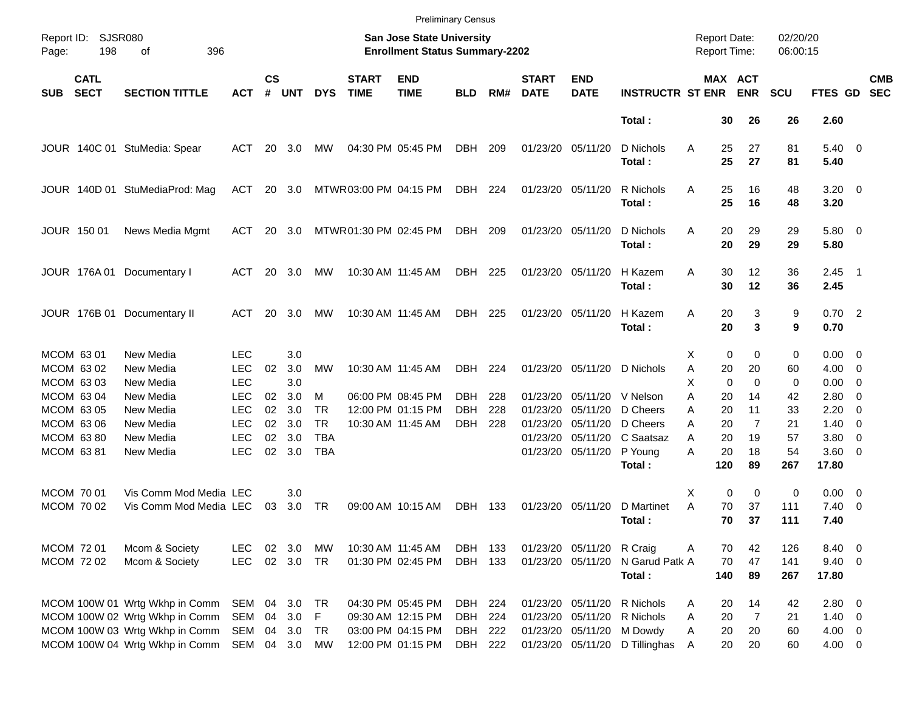|                     |                            |                                |               |                    |            |            |                             |                                                                    | <b>Preliminary Census</b> |     |                             |                           |                         |                                     |                               |                      |                     |                          |                          |
|---------------------|----------------------------|--------------------------------|---------------|--------------------|------------|------------|-----------------------------|--------------------------------------------------------------------|---------------------------|-----|-----------------------------|---------------------------|-------------------------|-------------------------------------|-------------------------------|----------------------|---------------------|--------------------------|--------------------------|
| Report ID:<br>Page: | <b>SJSR080</b><br>198      | 396<br>οf                      |               |                    |            |            |                             | San Jose State University<br><b>Enrollment Status Summary-2202</b> |                           |     |                             |                           |                         | <b>Report Date:</b><br>Report Time: |                               | 02/20/20<br>06:00:15 |                     |                          |                          |
| <b>SUB</b>          | <b>CATL</b><br><b>SECT</b> | <b>SECTION TITTLE</b>          | <b>ACT</b>    | $\mathsf{cs}$<br># | <b>UNT</b> | <b>DYS</b> | <b>START</b><br><b>TIME</b> | <b>END</b><br><b>TIME</b>                                          | <b>BLD</b>                | RM# | <b>START</b><br><b>DATE</b> | <b>END</b><br><b>DATE</b> | <b>INSTRUCTR ST ENR</b> |                                     | MAX ACT<br><b>ENR</b>         | <b>SCU</b>           | FTES GD             |                          | <b>CMB</b><br><b>SEC</b> |
|                     |                            |                                |               |                    |            |            |                             |                                                                    |                           |     |                             |                           | Total:                  |                                     | 26<br>30                      | 26                   | 2.60                |                          |                          |
|                     |                            | JOUR 140C 01 StuMedia: Spear   | ACT           | 20                 | 3.0        | MW         |                             | 04:30 PM 05:45 PM                                                  | DBH                       | 209 | 01/23/20 05/11/20           |                           | D Nichols<br>Total:     | Α                                   | 27<br>25<br>25<br>27          | 81<br>81             | $5.40 \ 0$<br>5.40  |                          |                          |
|                     |                            | JOUR 140D 01 StuMediaProd: Mag | ACT           |                    | 20 3.0     |            | MTWR03:00 PM 04:15 PM       |                                                                    | DBH                       | 224 |                             | 01/23/20 05/11/20         | R Nichols<br>Total:     | Α                                   | 25<br>16<br>25<br>16          | 48<br>48             | $3.20 \ 0$<br>3.20  |                          |                          |
|                     | JOUR 150 01                | News Media Mgmt                | ACT           | 20                 | - 3.0      |            | MTWR01:30 PM 02:45 PM       |                                                                    | DBH                       | 209 |                             | 01/23/20 05/11/20         | D Nichols<br>Total:     | Α                                   | 20<br>29<br>20<br>29          | 29<br>29             | 5.80 0<br>5.80      |                          |                          |
|                     |                            | JOUR 176A 01 Documentary I     | ACT           | 20                 | 3.0        | МW         |                             | 10:30 AM 11:45 AM                                                  | DBH                       | 225 |                             | 01/23/20 05/11/20         | H Kazem<br>Total:       | Α                                   | 12<br>30<br>30<br>12          | 36<br>36             | $2.45$ 1<br>2.45    |                          |                          |
|                     |                            | JOUR 176B 01 Documentary II    | ACT           | 20                 | 3.0        | МW         |                             | 10:30 AM 11:45 AM                                                  | DBH                       | 225 |                             | 01/23/20 05/11/20         | H Kazem<br>Total:       | Α                                   | 3<br>20<br>$\mathbf{3}$<br>20 | 9<br>9               | $0.70$ 2<br>0.70    |                          |                          |
|                     | MCOM 6301                  | New Media                      | <b>LEC</b>    |                    | 3.0        |            |                             |                                                                    |                           |     |                             |                           |                         | X.                                  | 0<br>0                        | 0                    | $0.00 \quad 0$      |                          |                          |
|                     | MCOM 63 02                 | New Media                      | <b>LEC</b>    | 02                 | 3.0        | <b>MW</b>  |                             | 10:30 AM 11:45 AM                                                  | DBH                       | 224 |                             | 01/23/20 05/11/20         | D Nichols               | Α                                   | 20<br>20                      | 60                   | 4.00                | $\overline{\phantom{0}}$ |                          |
|                     | MCOM 63 03                 | New Media                      | <b>LEC</b>    |                    | 3.0        |            |                             |                                                                    |                           |     |                             |                           |                         | Х                                   | $\mathbf 0$<br>0              | 0                    | 0.00                | - 0                      |                          |
|                     | MCOM 63 04                 | New Media                      | <b>LEC</b>    | 02                 | 3.0        | м          |                             | 06:00 PM 08:45 PM                                                  | DBH                       | 228 | 01/23/20                    | 05/11/20                  | V Nelson                | A                                   | 20<br>14                      | 42                   | 2.80                | $\overline{0}$           |                          |
|                     | MCOM 63 05                 | New Media                      | <b>LEC</b>    | 02                 | 3.0        | <b>TR</b>  |                             | 12:00 PM 01:15 PM                                                  | <b>DBH</b>                | 228 | 01/23/20                    | 05/11/20                  | D Cheers                | Α                                   | 20<br>11                      | 33                   | 2.20                | 0                        |                          |
|                     | MCOM 63 06                 | New Media                      | <b>LEC</b>    | 02                 | 3.0        | <b>TR</b>  |                             | 10:30 AM 11:45 AM                                                  | DBH                       | 228 | 01/23/20                    | 05/11/20                  | D Cheers                | A                                   | $\overline{7}$<br>20          | 21                   | 1.40                | $\overline{\phantom{0}}$ |                          |
|                     | MCOM 6380                  | New Media                      | <b>LEC</b>    | 02                 | 3.0        | <b>TBA</b> |                             |                                                                    |                           |     | 01/23/20                    | 05/11/20                  | C Saatsaz               | A                                   | 20<br>19                      | 57                   | 3.80                | 0                        |                          |
|                     | MCOM 63 81                 | New Media                      | <b>LEC</b>    | 02                 | 3.0        | <b>TBA</b> |                             |                                                                    |                           |     |                             | 01/23/20 05/11/20         | P Young<br>Total:       | А<br>120                            | 20<br>18<br>89                | 54<br>267            | $3.60 \ 0$<br>17.80 |                          |                          |
|                     | MCOM 70 01                 | Vis Comm Mod Media LEC         |               |                    | 3.0        |            |                             |                                                                    |                           |     |                             |                           |                         | X                                   | 0<br>$\mathbf 0$              | 0                    | $0.00 \t 0$         |                          |                          |
|                     | MCOM 70 02                 | Vis Comm Mod Media LEC         |               | 03                 | 3.0        | <b>TR</b>  |                             | 09:00 AM 10:15 AM                                                  | DBH                       | 133 |                             | 01/23/20 05/11/20         | D Martinet              | A                                   | 70<br>37                      | 111                  | 7.40                | $\overline{\phantom{0}}$ |                          |
|                     |                            |                                |               |                    |            |            |                             |                                                                    |                           |     |                             |                           | Total:                  |                                     | 70<br>37                      | 111                  | 7.40                |                          |                          |
|                     | <b>MCOM 7201</b>           | Mcom & Society                 | <b>LEC</b>    |                    | 02 3.0     | МW         |                             | 10:30 AM 11:45 AM                                                  | DBH 133                   |     |                             | 01/23/20 05/11/20         | R Craig                 | Α                                   | 70<br>42                      | 126                  | 8.40 0              |                          |                          |
|                     | MCOM 72 02                 | Mcom & Society                 | <b>LEC</b>    |                    | 02 3.0     | TR         |                             | 01:30 PM 02:45 PM                                                  | DBH 133                   |     |                             | 01/23/20 05/11/20         | N Garud Patk A          |                                     | 47<br>70                      | 141                  | $9.40 \quad 0$      |                          |                          |
|                     |                            |                                |               |                    |            |            |                             |                                                                    |                           |     |                             |                           | Total:                  | 140                                 | 89                            | 267                  | 17.80               |                          |                          |
|                     |                            | MCOM 100W 01 Wrtg Wkhp in Comm | SEM           |                    | 04 3.0     | TR         |                             | 04:30 PM 05:45 PM                                                  | DBH 224                   |     |                             | 01/23/20 05/11/20         | R Nichols               | A                                   | 20<br>14                      | 42                   | 2.80 0              |                          |                          |
|                     |                            | MCOM 100W 02 Wrtg Wkhp in Comm | SEM           | 04                 | 3.0        | F          |                             | 09:30 AM 12:15 PM                                                  | DBH                       | 224 |                             | 01/23/20 05/11/20         | R Nichols               | Α                                   | $\overline{7}$<br>20          | 21                   | $1.40 \ 0$          |                          |                          |
|                     |                            | MCOM 100W 03 Wrtg Wkhp in Comm | SEM           |                    | 04 3.0     | TR         |                             | 03:00 PM 04:15 PM                                                  | DBH 222                   |     |                             | 01/23/20 05/11/20         | M Dowdy                 | Α                                   | 20<br>20                      | 60                   | $4.00 \ 0$          |                          |                          |
|                     |                            | MCOM 100W 04 Wrtg Wkhp in Comm | SEM 04 3.0 MW |                    |            |            |                             | 12:00 PM 01:15 PM                                                  | DBH 222                   |     |                             | 01/23/20 05/11/20         | D Tillinghas            | A                                   | 20<br>20                      | 60                   | $4.00 \ 0$          |                          |                          |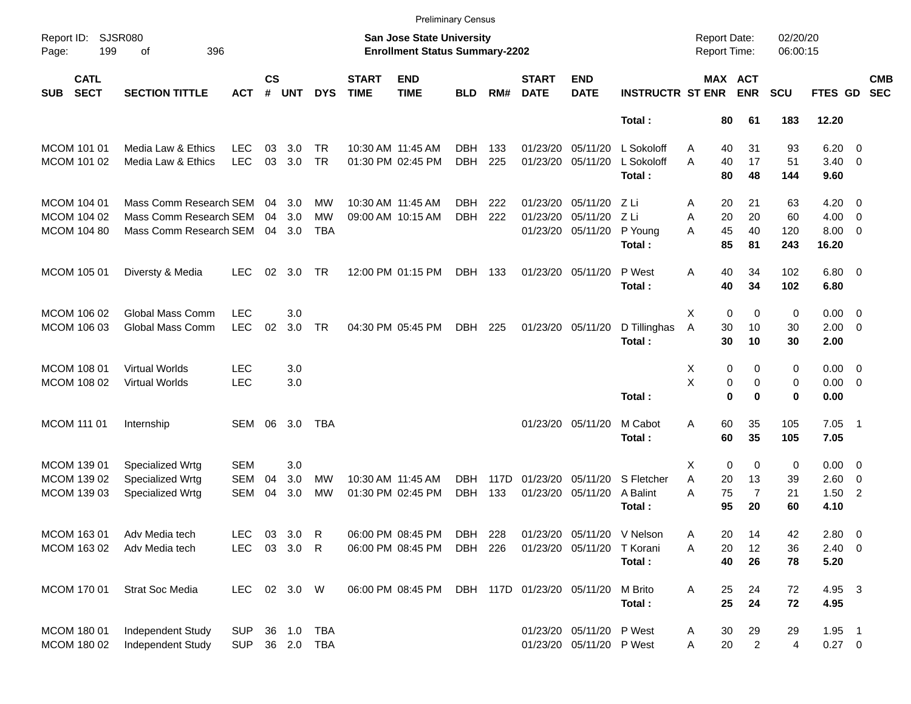|             |                                                  |                         |              |                    |            |            |                             | <b>Preliminary Census</b>                                          |            |      |                             |                           |                         |                                     |                       |                      |                      |                         |                          |
|-------------|--------------------------------------------------|-------------------------|--------------|--------------------|------------|------------|-----------------------------|--------------------------------------------------------------------|------------|------|-----------------------------|---------------------------|-------------------------|-------------------------------------|-----------------------|----------------------|----------------------|-------------------------|--------------------------|
| Page:       | <b>SJSR080</b><br>Report ID:<br>199<br>396<br>of |                         |              |                    |            |            |                             | San Jose State University<br><b>Enrollment Status Summary-2202</b> |            |      |                             |                           |                         | <b>Report Date:</b><br>Report Time: |                       | 02/20/20<br>06:00:15 |                      |                         |                          |
| <b>SUB</b>  | <b>CATL</b><br><b>SECT</b>                       | <b>SECTION TITTLE</b>   | ACT          | $\mathsf{cs}$<br># | <b>UNT</b> | <b>DYS</b> | <b>START</b><br><b>TIME</b> | <b>END</b><br><b>TIME</b>                                          | <b>BLD</b> | RM#  | <b>START</b><br><b>DATE</b> | <b>END</b><br><b>DATE</b> | <b>INSTRUCTR ST ENR</b> |                                     | MAX ACT<br><b>ENR</b> | <b>SCU</b>           | FTES GD              |                         | <b>CMB</b><br><b>SEC</b> |
|             |                                                  |                         |              |                    |            |            |                             |                                                                    |            |      |                             |                           | Total:                  | 80                                  | 61                    | 183                  | 12.20                |                         |                          |
|             | MCOM 101 01                                      | Media Law & Ethics      | <b>LEC</b>   | 03                 | 3.0        | TR.        |                             | 10:30 AM 11:45 AM                                                  | DBH        | 133  | 01/23/20                    | 05/11/20                  | L Sokoloff              | 40<br>A                             | 31                    | 93                   | 6.20                 | $\overline{\mathbf{0}}$ |                          |
|             | MCOM 101 02                                      | Media Law & Ethics      | <b>LEC</b>   | 03                 | 3.0        | <b>TR</b>  |                             | 01:30 PM 02:45 PM                                                  | <b>DBH</b> | 225  |                             | 01/23/20 05/11/20         | L Sokoloff<br>Total:    | A<br>40<br>80                       | 17<br>48              | 51<br>144            | $3.40 \ 0$<br>9.60   |                         |                          |
|             | MCOM 104 01                                      | Mass Comm Research SEM  |              | 04                 | 3.0        | MW         |                             | 10:30 AM 11:45 AM                                                  | DBH        | 222  | 01/23/20                    | 05/11/20                  | ZLi                     | 20<br>Α                             | 21                    | 63                   | $4.20 \ 0$           |                         |                          |
|             | MCOM 104 02                                      | Mass Comm Research SEM  |              | 04                 | 3.0        | <b>MW</b>  |                             | 09:00 AM 10:15 AM                                                  | <b>DBH</b> | 222  | 01/23/20                    | 05/11/20                  | Z Li                    | A<br>20                             | 20                    | 60                   | $4.00 \ 0$           |                         |                          |
|             | MCOM 104 80                                      | Mass Comm Research SEM  |              |                    | 04 3.0     | <b>TBA</b> |                             |                                                                    |            |      |                             | 01/23/20 05/11/20         | P Young<br>Total:       | 45<br>A<br>85                       | 40<br>81              | 120<br>243           | $8.00 \t 0$<br>16.20 |                         |                          |
|             | MCOM 105 01                                      | Diversty & Media        | LEC.         | 02                 | 3.0        | TR.        |                             | 12:00 PM 01:15 PM                                                  | DBH 133    |      |                             | 01/23/20 05/11/20         | P West<br>Total:        | 40<br>Α<br>40                       | 34<br>34              | 102<br>102           | $6.80$ 0<br>6.80     |                         |                          |
|             | MCOM 106 02                                      | <b>Global Mass Comm</b> | <b>LEC</b>   |                    | 3.0        |            |                             |                                                                    |            |      |                             |                           |                         | $\mathbf 0$<br>X                    | $\mathbf 0$           | 0                    | $0.00 \t 0$          |                         |                          |
|             | MCOM 106 03                                      | Global Mass Comm        | <b>LEC</b>   | 02                 | 3.0        | <b>TR</b>  |                             | 04:30 PM 05:45 PM                                                  | DBH        | 225  |                             | 01/23/20 05/11/20         | D Tillinghas            | A<br>30                             | 10                    | 30                   | $2.00 \t 0$          |                         |                          |
|             |                                                  |                         |              |                    |            |            |                             |                                                                    |            |      |                             |                           | Total:                  | 30                                  | 10                    | 30                   | 2.00                 |                         |                          |
|             | MCOM 108 01                                      | <b>Virtual Worlds</b>   | <b>LEC</b>   |                    | 3.0        |            |                             |                                                                    |            |      |                             |                           |                         | X                                   | 0<br>0                | 0                    | $0.00 \t 0$          |                         |                          |
|             | MCOM 108 02                                      | <b>Virtual Worlds</b>   | <b>LEC</b>   |                    | 3.0        |            |                             |                                                                    |            |      |                             |                           |                         | X                                   | 0<br>0                | 0                    | $0.00 \t 0$          |                         |                          |
|             |                                                  |                         |              |                    |            |            |                             |                                                                    |            |      |                             |                           | Total:                  | $\mathbf 0$                         | $\bf{0}$              | 0                    | 0.00                 |                         |                          |
| MCOM 111 01 |                                                  | Internship              | <b>SEM</b>   | 06                 | 3.0        | TBA        |                             |                                                                    |            |      |                             | 01/23/20 05/11/20         | M Cabot                 | 60<br>A                             | 35                    | 105                  | $7.05$ 1             |                         |                          |
|             |                                                  |                         |              |                    |            |            |                             |                                                                    |            |      |                             |                           | Total:                  | 60                                  | 35                    | 105                  | 7.05                 |                         |                          |
|             | MCOM 139 01                                      | Specialized Wrtg        | <b>SEM</b>   |                    | 3.0        |            |                             |                                                                    |            |      |                             |                           |                         | $\mathbf 0$<br>X                    | 0                     | 0                    | $0.00 \t 0$          |                         |                          |
|             | MCOM 139 02                                      | Specialized Wrtg        | <b>SEM</b>   | 04                 | 3.0        | MW         |                             | 10:30 AM 11:45 AM                                                  | DBH.       | 117D | 01/23/20                    | 05/11/20                  | S Fletcher              | A<br>20                             | 13                    | 39                   | $2.60 \t 0$          |                         |                          |
|             | MCOM 139 03                                      | Specialized Wrtg        | <b>SEM</b>   | 04                 | 3.0        | <b>MW</b>  |                             | 01:30 PM 02:45 PM                                                  | <b>DBH</b> | 133  |                             | 01/23/20 05/11/20         | A Balint                | 75<br>A                             | $\overline{7}$        | 21                   | $1.50$ 2             |                         |                          |
|             |                                                  |                         |              |                    |            |            |                             |                                                                    |            |      |                             |                           | Total:                  | 95                                  | 20                    | 60                   | 4.10                 |                         |                          |
|             | MCOM 163 01                                      | Adv Media tech          | <b>LEC</b>   |                    | 03 3.0     | R          |                             | 06:00 PM 08:45 PM                                                  | DBH 228    |      |                             | 01/23/20 05/11/20         | V Nelson                | 20<br>Α                             | 14                    | 42                   | 2.80 0               |                         |                          |
|             | MCOM 163 02                                      | Adv Media tech          | <b>LEC</b>   |                    | 03 3.0 R   |            |                             | 06:00 PM 08:45 PM                                                  | DBH 226    |      |                             | 01/23/20 05/11/20         | T Korani                | Α<br>20                             | 12                    | 36                   | $2.40 \quad 0$       |                         |                          |
|             |                                                  |                         |              |                    |            |            |                             |                                                                    |            |      |                             |                           | Total:                  | 40                                  | 26                    | 78                   | 5.20                 |                         |                          |
|             | MCOM 170 01                                      | Strat Soc Media         | LEC 02 3.0 W |                    |            |            |                             | 06:00 PM 08:45 PM                                                  |            |      | DBH 117D 01/23/20 05/11/20  |                           | M Brito                 | Α<br>25                             | 24                    | 72                   | 4.95 3               |                         |                          |
|             |                                                  |                         |              |                    |            |            |                             |                                                                    |            |      |                             |                           | Total:                  | 25                                  | 24                    | 72                   | 4.95                 |                         |                          |
|             | MCOM 180 01                                      | Independent Study       | <b>SUP</b>   |                    |            | 36 1.0 TBA |                             |                                                                    |            |      |                             | 01/23/20 05/11/20 P West  |                         | 30<br>A                             | 29                    | 29                   | $1.95$ 1             |                         |                          |
|             | MCOM 180 02                                      | Independent Study       | SUP          |                    |            | 36 2.0 TBA |                             |                                                                    |            |      |                             | 01/23/20 05/11/20 P West  |                         | 20<br>Α                             | $\overline{a}$        | 4                    | $0.27 \t 0$          |                         |                          |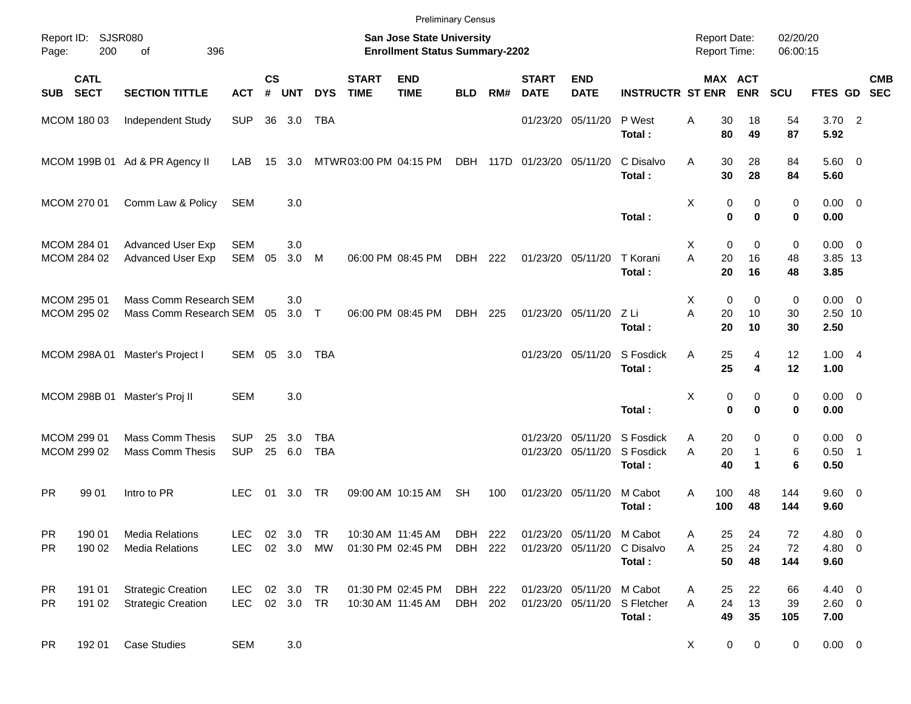|                            |                            |                                                        |                          |                    |                        |                   |                             | <b>Preliminary Census</b>                                          |                    |                 |                             |                                        |                                  |                                            |                                           |                      |                                 |                          |            |
|----------------------------|----------------------------|--------------------------------------------------------|--------------------------|--------------------|------------------------|-------------------|-----------------------------|--------------------------------------------------------------------|--------------------|-----------------|-----------------------------|----------------------------------------|----------------------------------|--------------------------------------------|-------------------------------------------|----------------------|---------------------------------|--------------------------|------------|
| Page:                      | Report ID: SJSR080<br>200  | 396<br>of                                              |                          |                    |                        |                   |                             | San Jose State University<br><b>Enrollment Status Summary-2202</b> |                    |                 |                             |                                        |                                  | <b>Report Date:</b><br><b>Report Time:</b> |                                           | 02/20/20<br>06:00:15 |                                 |                          |            |
| <b>SUB</b>                 | <b>CATL</b><br><b>SECT</b> | <b>SECTION TITTLE</b>                                  | <b>ACT</b>               | $\mathsf{cs}$<br># | <b>UNT</b>             | <b>DYS</b>        | <b>START</b><br><b>TIME</b> | <b>END</b><br><b>TIME</b>                                          | <b>BLD</b>         | RM#             | <b>START</b><br><b>DATE</b> | <b>END</b><br><b>DATE</b>              | <b>INSTRUCTR ST ENR</b>          | <b>MAX ACT</b>                             | <b>ENR</b>                                | <b>SCU</b>           | FTES GD SEC                     |                          | <b>CMB</b> |
| MCOM 180 03                |                            | Independent Study                                      | <b>SUP</b>               |                    | 36 3.0                 | TBA               |                             |                                                                    |                    |                 |                             | 01/23/20 05/11/20                      | P West<br>Total:                 | 30<br>A<br>80                              | 18<br>49                                  | 54<br>87             | $3.70$ 2<br>5.92                |                          |            |
|                            |                            | MCOM 199B 01 Ad & PR Agency II                         | LAB                      | 15                 | 3.0                    |                   | MTWR03:00 PM 04:15 PM       |                                                                    |                    | <b>DBH 117D</b> | 01/23/20 05/11/20           |                                        | C Disalvo<br>Total:              | A<br>30<br>30                              | 28<br>28                                  | 84<br>84             | $5.60$ 0<br>5.60                |                          |            |
| MCOM 270 01                |                            | Comm Law & Policy                                      | <b>SEM</b>               |                    | 3.0                    |                   |                             |                                                                    |                    |                 |                             |                                        | Total:                           | Χ<br>0<br>$\bf{0}$                         | 0<br>$\bf{0}$                             | 0<br>0               | $0.00 \t 0$<br>0.00             |                          |            |
| MCOM 284 01<br>MCOM 284 02 |                            | <b>Advanced User Exp</b><br><b>Advanced User Exp</b>   | SEM<br>SEM               | 05                 | 3.0<br>3.0             | M                 |                             | 06:00 PM 08:45 PM                                                  | DBH                | 222             | 01/23/20 05/11/20           |                                        | T Korani<br>Total:               | $\mathbf 0$<br>X<br>A<br>20<br>20          | 0<br>16<br>16                             | 0<br>48<br>48        | $0.00 \t 0$<br>3.85 13<br>3.85  |                          |            |
| MCOM 295 01<br>MCOM 295 02 |                            | Mass Comm Research SEM<br>Mass Comm Research SEM       |                          | 05                 | 3.0<br>$3.0$ T         |                   |                             | 06:00 PM 08:45 PM                                                  | DBH                | 225             |                             | 01/23/20 05/11/20                      | Z Li<br>Total:                   | Χ<br>$\mathbf 0$<br>A<br>20<br>20          | $\mathbf 0$<br>10<br>10                   | 0<br>30<br>30        | $0.00 \t 0$<br>2.50 10<br>2.50  |                          |            |
|                            |                            | MCOM 298A 01 Master's Project I                        | SEM                      | 05                 | 3.0                    | TBA               |                             |                                                                    |                    |                 | 01/23/20 05/11/20           |                                        | S Fosdick<br>Total:              | Α<br>25<br>25                              | 4<br>4                                    | 12<br>12             | 1.004<br>1.00                   |                          |            |
|                            |                            | MCOM 298B 01 Master's Proj II                          | <b>SEM</b>               |                    | 3.0                    |                   |                             |                                                                    |                    |                 |                             |                                        | Total:                           | Χ<br>0<br>$\mathbf 0$                      | 0<br>$\bf{0}$                             | 0<br>0               | $0.00 \t 0$<br>0.00             |                          |            |
| MCOM 299 01<br>MCOM 299 02 |                            | <b>Mass Comm Thesis</b><br><b>Mass Comm Thesis</b>     | <b>SUP</b><br><b>SUP</b> | 25                 | 3.0<br>25 6.0          | TBA<br><b>TBA</b> |                             |                                                                    |                    |                 | 01/23/20                    | 05/11/20<br>01/23/20 05/11/20          | S Fosdick<br>S Fosdick<br>Total: | 20<br>Α<br>20<br>A<br>40                   | 0<br>$\mathbf{1}$<br>$\blacktriangleleft$ | 0<br>6<br>6          | $0.00 \t 0$<br>$0.50$ 1<br>0.50 |                          |            |
| <b>PR</b>                  | 99 01                      | Intro to PR                                            | <b>LEC</b>               | 01                 | 3.0                    | TR                |                             | 09:00 AM 10:15 AM                                                  | <b>SH</b>          | 100             | 01/23/20 05/11/20           |                                        | M Cabot<br>Total:                | A<br>100<br>100                            | 48<br>48                                  | 144<br>144           | 9.60 0<br>9.60                  |                          |            |
| <b>PR</b><br><b>PR</b>     | 190 01<br>190 02           | <b>Media Relations</b><br><b>Media Relations</b>       | <b>LEC</b><br>LEC.       |                    | 02 3.0<br>02 3.0 MW    | <b>TR</b>         |                             | 10:30 AM 11:45 AM<br>01:30 PM 02:45 PM                             | DBH 222<br>DBH 222 |                 |                             | 01/23/20 05/11/20<br>01/23/20 05/11/20 | M Cabot<br>C Disalvo<br>Total:   | 25<br>Α<br>25<br>Α<br>50                   | 24<br>24<br>48                            | 72<br>72<br>144      | 4.80<br>4.80 0<br>9.60          | $\overline{\phantom{0}}$ |            |
| <b>PR</b><br><b>PR</b>     | 191 01<br>191 02           | <b>Strategic Creation</b><br><b>Strategic Creation</b> | <b>LEC</b><br>LEC        |                    | 02 3.0 TR<br>02 3.0 TR |                   |                             | 01:30 PM 02:45 PM<br>10:30 AM 11:45 AM                             | DBH 222<br>DBH 202 |                 |                             | 01/23/20 05/11/20<br>01/23/20 05/11/20 | M Cabot<br>S Fletcher<br>Total:  | 25<br>A<br>24<br>A<br>49                   | 22<br>13<br>35                            | 66<br>39<br>105      | $4.40 \ 0$<br>2.60 0<br>7.00    |                          |            |
| <b>PR</b>                  | 192 01                     | <b>Case Studies</b>                                    | <b>SEM</b>               |                    | 3.0                    |                   |                             |                                                                    |                    |                 |                             |                                        |                                  | 0<br>X                                     | 0                                         | 0                    | $0.00 \t 0$                     |                          |            |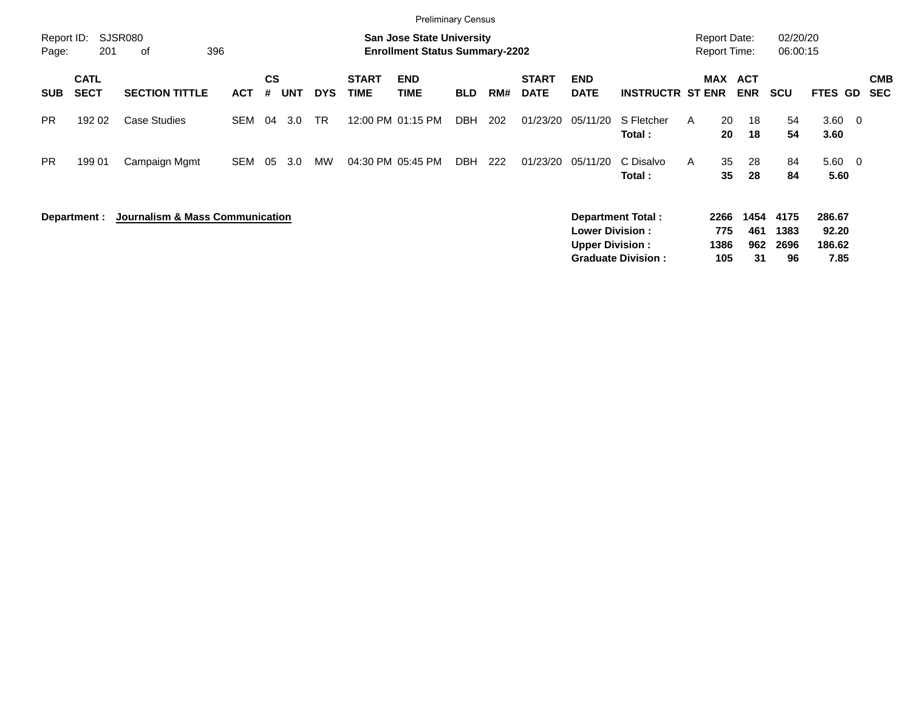|                     |                            |                                            |            |                |            |            |                             | <b>Preliminary Census</b>                                                 |            |     |                             |                                                  |                                                       |   |                                            |                          |                            |                                   |                          |                          |
|---------------------|----------------------------|--------------------------------------------|------------|----------------|------------|------------|-----------------------------|---------------------------------------------------------------------------|------------|-----|-----------------------------|--------------------------------------------------|-------------------------------------------------------|---|--------------------------------------------|--------------------------|----------------------------|-----------------------------------|--------------------------|--------------------------|
| Report ID:<br>Page: | 201                        | SJSR080<br>396<br>of                       |            |                |            |            |                             | <b>San Jose State University</b><br><b>Enrollment Status Summary-2202</b> |            |     |                             |                                                  |                                                       |   | <b>Report Date:</b><br><b>Report Time:</b> |                          | 02/20/20<br>06:00:15       |                                   |                          |                          |
| <b>SUB</b>          | <b>CATL</b><br><b>SECT</b> | <b>SECTION TITTLE</b>                      | <b>ACT</b> | <b>CS</b><br># | <b>UNT</b> | <b>DYS</b> | <b>START</b><br><b>TIME</b> | <b>END</b><br><b>TIME</b>                                                 | <b>BLD</b> | RM# | <b>START</b><br><b>DATE</b> | <b>END</b><br><b>DATE</b>                        | <b>INSTRUCTR ST ENR</b>                               |   | <b>MAX ACT</b>                             | <b>ENR</b>               | <b>SCU</b>                 | FTES GD                           |                          | <b>CMB</b><br><b>SEC</b> |
| <b>PR</b>           | 192 02                     | <b>Case Studies</b>                        | <b>SEM</b> | 04             | 3.0        | <b>TR</b>  |                             | 12:00 PM 01:15 PM                                                         | DBH        | 202 | 01/23/20                    | 05/11/20                                         | S Fletcher<br>Total:                                  | A | 20<br>20                                   | 18<br>18                 | 54<br>54                   | $3.60 \quad 0$<br>3.60            |                          |                          |
| <b>PR</b>           | 199 01                     | Campaign Mgmt                              | <b>SEM</b> | 05             | 3.0        | MW         |                             | 04:30 PM 05:45 PM                                                         | <b>DBH</b> | 222 | 01/23/20                    | 05/11/20                                         | C Disalvo<br>Total :                                  | A | 35<br>35                                   | 28<br>28                 | 84<br>84                   | 5.60<br>5.60                      | $\overline{\phantom{0}}$ |                          |
|                     | Department :               | <b>Journalism &amp; Mass Communication</b> |            |                |            |            |                             |                                                                           |            |     |                             | <b>Lower Division:</b><br><b>Upper Division:</b> | <b>Department Total:</b><br><b>Graduate Division:</b> |   | 2266<br>775<br>1386<br>105                 | 1454<br>461<br>962<br>31 | 4175<br>1383<br>2696<br>96 | 286.67<br>92.20<br>186.62<br>7.85 |                          |                          |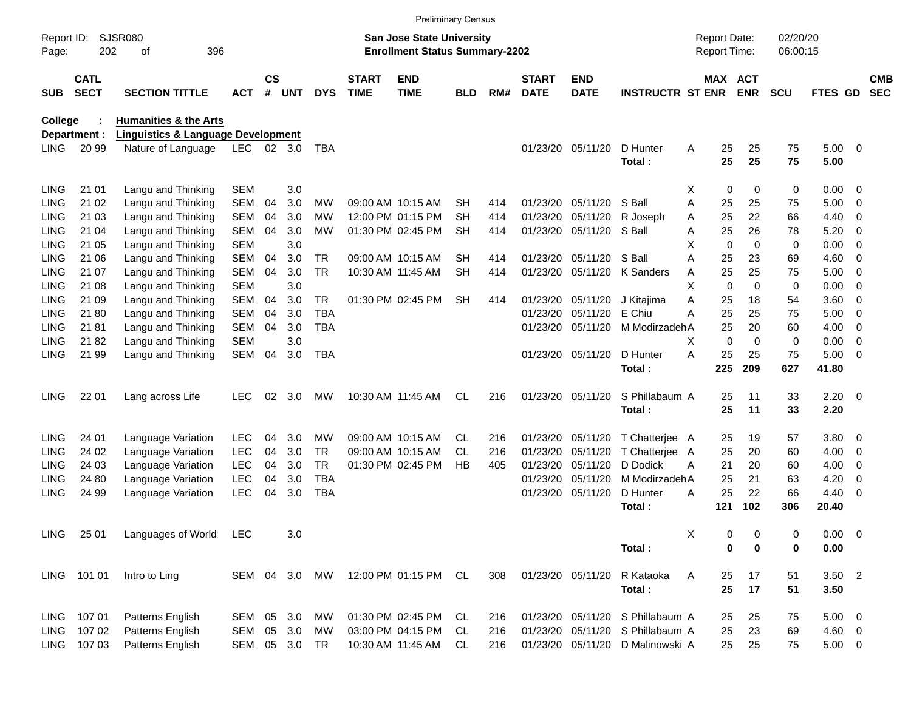|                     |                            |                                               |            |                    |            |               |                             |                                                                    | <b>Preliminary Census</b> |     |                             |                           |                                  |                                     |             |                      |                |                          |                          |
|---------------------|----------------------------|-----------------------------------------------|------------|--------------------|------------|---------------|-----------------------------|--------------------------------------------------------------------|---------------------------|-----|-----------------------------|---------------------------|----------------------------------|-------------------------------------|-------------|----------------------|----------------|--------------------------|--------------------------|
| Report ID:<br>Page: | 202                        | <b>SJSR080</b><br>396<br>οf                   |            |                    |            |               |                             | San Jose State University<br><b>Enrollment Status Summary-2202</b> |                           |     |                             |                           |                                  | <b>Report Date:</b><br>Report Time: |             | 02/20/20<br>06:00:15 |                |                          |                          |
| <b>SUB</b>          | <b>CATL</b><br><b>SECT</b> | <b>SECTION TITTLE</b>                         | <b>ACT</b> | $\mathsf{cs}$<br># | <b>UNT</b> | <b>DYS</b>    | <b>START</b><br><b>TIME</b> | <b>END</b><br><b>TIME</b>                                          | BLD                       | RM# | <b>START</b><br><b>DATE</b> | <b>END</b><br><b>DATE</b> | <b>INSTRUCTR ST ENR</b>          | MAX ACT                             | <b>ENR</b>  | <b>SCU</b>           | <b>FTES GD</b> |                          | <b>CMB</b><br><b>SEC</b> |
| <b>College</b>      |                            | <b>Humanities &amp; the Arts</b>              |            |                    |            |               |                             |                                                                    |                           |     |                             |                           |                                  |                                     |             |                      |                |                          |                          |
|                     | Department :               | <b>Linguistics &amp; Language Development</b> |            |                    |            |               |                             |                                                                    |                           |     |                             |                           |                                  |                                     |             |                      |                |                          |                          |
| <b>LING</b>         | 20 99                      | Nature of Language                            | LEC.       |                    | 02 3.0     | TBA           |                             |                                                                    |                           |     |                             | 01/23/20 05/11/20         | D Hunter                         | 25<br>Α                             | 25          | 75                   | $5.00 \t 0$    |                          |                          |
|                     |                            |                                               |            |                    |            |               |                             |                                                                    |                           |     |                             |                           | Total:                           | 25                                  | 25          | 75                   | 5.00           |                          |                          |
| <b>LING</b>         | 21 01                      | Langu and Thinking                            | <b>SEM</b> |                    | 3.0        |               |                             |                                                                    |                           |     |                             |                           |                                  | 0<br>х                              | $\mathbf 0$ | 0                    | 0.00           | - 0                      |                          |
| <b>LING</b>         | 21 02                      | Langu and Thinking                            | <b>SEM</b> | 04                 | 3.0        | МW            |                             | 09:00 AM 10:15 AM                                                  | SН                        | 414 | 01/23/20                    | 05/11/20                  | S Ball                           | A<br>25                             | 25          | 75                   | 5.00           | $\overline{0}$           |                          |
| LING                | 21 03                      | Langu and Thinking                            | <b>SEM</b> | 04                 | 3.0        | МW            |                             | 12:00 PM 01:15 PM                                                  | <b>SH</b>                 | 414 | 01/23/20                    | 05/11/20                  | R Joseph                         | 25<br>Α                             | 22          | 66                   | 4.40           | 0                        |                          |
| LING                | 21 04                      | Langu and Thinking                            | <b>SEM</b> | 04                 | 3.0        | МW            |                             | 01:30 PM 02:45 PM                                                  | <b>SH</b>                 | 414 |                             | 01/23/20 05/11/20 S Ball  |                                  | 25<br>Α                             | 26          | 78                   | 5.20           | 0                        |                          |
| LING                | 21 05                      | Langu and Thinking                            | <b>SEM</b> |                    | 3.0        |               |                             |                                                                    |                           |     |                             |                           |                                  | X<br>$\mathbf 0$                    | $\Omega$    | 0                    | 0.00           | 0                        |                          |
| LING                | 21 06                      | Langu and Thinking                            | <b>SEM</b> | 04                 | 3.0        | TR.           |                             | 09:00 AM 10:15 AM                                                  | <b>SH</b>                 | 414 |                             | 01/23/20 05/11/20         | S Ball                           | Α<br>25                             | 23          | 69                   | 4.60           | $\overline{0}$           |                          |
| LING                | 21 07                      | Langu and Thinking                            | <b>SEM</b> | 04                 | 3.0        | <b>TR</b>     |                             | 10:30 AM 11:45 AM                                                  | <b>SH</b>                 | 414 |                             |                           | 01/23/20 05/11/20 K Sanders      | 25<br>Α                             | 25          | 75                   | 5.00           | $\overline{0}$           |                          |
| LING                | 21 08                      | Langu and Thinking                            | <b>SEM</b> |                    | 3.0        |               |                             |                                                                    |                           |     |                             |                           |                                  | X<br>$\mathbf 0$                    | $\Omega$    | 0                    | 0.00           | 0                        |                          |
| LING                | 21 09                      | Langu and Thinking                            | <b>SEM</b> | 04                 | 3.0        | TR            |                             | 01:30 PM 02:45 PM                                                  | <b>SH</b>                 | 414 |                             | 01/23/20 05/11/20         | J Kitaiima                       | 25<br>Α                             | 18          | 54                   | 3.60           | $\overline{0}$           |                          |
| LING                | 21 80                      | Langu and Thinking                            | <b>SEM</b> | 04                 | 3.0        | <b>TBA</b>    |                             |                                                                    |                           |     | 01/23/20                    | 05/11/20                  | E Chiu                           | Α<br>25                             | 25          | 75                   | 5.00           | $\overline{0}$           |                          |
| LING                | 21 81                      | Langu and Thinking                            | <b>SEM</b> | 04                 | 3.0        | TBA           |                             |                                                                    |                           |     |                             | 01/23/20 05/11/20         | M ModirzadehA                    | 25                                  | 20          | 60                   | 4.00           | 0                        |                          |
| LING                | 2182                       | Langu and Thinking                            | <b>SEM</b> |                    | 3.0        |               |                             |                                                                    |                           |     |                             |                           |                                  | $\mathbf 0$<br>X                    | $\Omega$    | 0                    | 0.00           | $\overline{0}$           |                          |
| <b>LING</b>         | 21 99                      | Langu and Thinking                            | <b>SEM</b> | 04                 | 3.0        | <b>TBA</b>    |                             |                                                                    |                           |     |                             | 01/23/20 05/11/20         | D Hunter                         | A<br>25                             | 25          | 75                   | 5.00           | $\overline{\phantom{0}}$ |                          |
|                     |                            |                                               |            |                    |            |               |                             |                                                                    |                           |     |                             |                           | Total:                           | 225                                 | 209         | 627                  | 41.80          |                          |                          |
| <b>LING</b>         | 22 01                      | Lang across Life                              | <b>LEC</b> | 02                 | 3.0        | MW            |                             | 10:30 AM 11:45 AM                                                  | CL                        | 216 |                             | 01/23/20 05/11/20         | S Phillabaum A                   | 25                                  | 11          | 33                   | $2.20 \t 0$    |                          |                          |
|                     |                            |                                               |            |                    |            |               |                             |                                                                    |                           |     |                             |                           | Total:                           | 25                                  | 11          | 33                   | 2.20           |                          |                          |
| <b>LING</b>         | 24 01                      | Language Variation                            | <b>LEC</b> | 04                 | 3.0        | МW            |                             | 09:00 AM 10:15 AM                                                  | CL.                       | 216 | 01/23/20                    | 05/11/20                  | T Chatterjee A                   | 25                                  | 19          | 57                   | 3.80           | $\overline{\mathbf{0}}$  |                          |
| <b>LING</b>         | 24 02                      | Language Variation                            | <b>LEC</b> | 04                 | 3.0        | TR.           |                             | 09:00 AM 10:15 AM                                                  | CL.                       | 216 | 01/23/20                    | 05/11/20                  | T Chatteriee                     | 25<br>A                             | 20          | 60                   | 4.00           | 0                        |                          |
| LING                | 24 03                      | Language Variation                            | <b>LEC</b> | 04                 | 3.0        | <b>TR</b>     |                             | 01:30 PM 02:45 PM                                                  | HB                        | 405 | 01/23/20                    | 05/11/20                  | D Dodick                         | 21<br>Α                             | 20          | 60                   | 4.00           | 0                        |                          |
| <b>LING</b>         | 24 80                      | Language Variation                            | LEC        | 04                 | 3.0        | <b>TBA</b>    |                             |                                                                    |                           |     | 01/23/20                    | 05/11/20                  | M ModirzadehA                    | 25                                  | 21          | 63                   | 4.20           | 0                        |                          |
| <b>LING</b>         | 24 99                      | Language Variation                            | LEC        | 04                 | 3.0        | <b>TBA</b>    |                             |                                                                    |                           |     |                             | 01/23/20 05/11/20         | D Hunter                         | 25<br>A                             | 22          | 66                   | 4.40           | - 0                      |                          |
|                     |                            |                                               |            |                    |            |               |                             |                                                                    |                           |     |                             |                           | Total:                           | 121                                 | 102         | 306                  | 20.40          |                          |                          |
|                     | LING 25 01                 | Languages of World LEC                        |            |                    | 3.0        |               |                             |                                                                    |                           |     |                             |                           |                                  | Х<br>0                              | 0           | 0                    | $0.00 \t 0$    |                          |                          |
|                     |                            |                                               |            |                    |            |               |                             |                                                                    |                           |     |                             |                           | Total:                           | 0                                   | 0           | 0                    | 0.00           |                          |                          |
|                     | LING 101 01                | Intro to Ling                                 |            |                    |            | SEM 04 3.0 MW |                             | 12:00 PM 01:15 PM CL                                               |                           | 308 |                             | 01/23/20 05/11/20         | R Kataoka                        | Α<br>25                             | 17          | 51                   | $3.50$ 2       |                          |                          |
|                     |                            |                                               |            |                    |            |               |                             |                                                                    |                           |     |                             |                           | Total:                           | 25                                  | 17          | 51                   | 3.50           |                          |                          |
|                     | LING 107 01                | Patterns English                              | SEM 05 3.0 |                    |            | МW            |                             | 01:30 PM 02:45 PM                                                  | CL                        | 216 |                             |                           | 01/23/20 05/11/20 S Phillabaum A | 25                                  | 25          | 75                   | $5.00 \t 0$    |                          |                          |
| LING                | 107 02                     | Patterns English                              | SEM 05 3.0 |                    |            | МW            |                             | 03:00 PM 04:15 PM                                                  | CL                        | 216 |                             |                           | 01/23/20 05/11/20 S Phillabaum A | 25                                  | 23          | 69                   | $4.60$ 0       |                          |                          |
|                     | LING 107 03                | Patterns English                              | SEM 05 3.0 |                    |            | TR            |                             | 10:30 AM 11:45 AM                                                  | CL                        | 216 |                             |                           | 01/23/20 05/11/20 D Malinowski A | 25                                  | 25          | 75                   | $5.00 \t 0$    |                          |                          |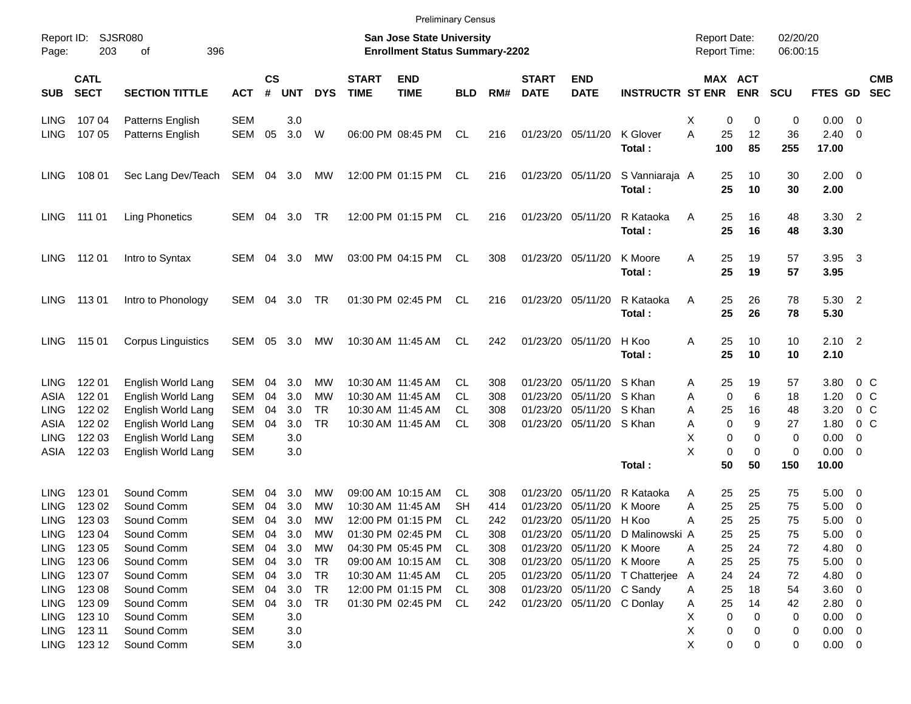|                     |                            |                             |            |                    |            |            |                             | <b>Preliminary Census</b>                                                 |            |     |                             |                           |                                  |                                     |                       |                      |                     |                          |
|---------------------|----------------------------|-----------------------------|------------|--------------------|------------|------------|-----------------------------|---------------------------------------------------------------------------|------------|-----|-----------------------------|---------------------------|----------------------------------|-------------------------------------|-----------------------|----------------------|---------------------|--------------------------|
| Report ID:<br>Page: | 203                        | <b>SJSR080</b><br>396<br>οf |            |                    |            |            |                             | <b>San Jose State University</b><br><b>Enrollment Status Summary-2202</b> |            |     |                             |                           |                                  | <b>Report Date:</b><br>Report Time: |                       | 02/20/20<br>06:00:15 |                     |                          |
| <b>SUB</b>          | <b>CATL</b><br><b>SECT</b> | <b>SECTION TITTLE</b>       | <b>ACT</b> | $\mathsf{cs}$<br># | <b>UNT</b> | <b>DYS</b> | <b>START</b><br><b>TIME</b> | <b>END</b><br><b>TIME</b>                                                 | <b>BLD</b> | RM# | <b>START</b><br><b>DATE</b> | <b>END</b><br><b>DATE</b> | <b>INSTRUCTR ST ENR</b>          |                                     | MAX ACT<br><b>ENR</b> | <b>SCU</b>           | FTES GD             | <b>CMB</b><br><b>SEC</b> |
| <b>LING</b>         | 107 04                     | Patterns English            | <b>SEM</b> |                    | 3.0        |            |                             |                                                                           |            |     |                             |                           |                                  | х                                   | 0<br>0                | 0                    | 0.00                | $\overline{0}$           |
| <b>LING</b>         | 107 05                     | Patterns English            | SEM        | 05                 | 3.0        | W          |                             | 06:00 PM 08:45 PM                                                         | CL.        | 216 | 01/23/20 05/11/20           |                           | K Glover<br>Total:               | A<br>25<br>100                      | 12<br>85              | 36<br>255            | 2.40<br>17.00       | 0                        |
| <b>LING</b>         | 108 01                     | Sec Lang Dev/Teach          | SEM        | 04                 | 3.0        | MW         |                             | 12:00 PM 01:15 PM                                                         | CL         | 216 | 01/23/20 05/11/20           |                           | S Vanniaraja A<br>Total:         | 25<br>25                            | 10<br>10              | 30<br>30             | $2.00 \t 0$<br>2.00 |                          |
| LING                | 111 01                     | <b>Ling Phonetics</b>       | SEM        | 04                 | 3.0        | TR         |                             | 12:00 PM 01:15 PM                                                         | CL.        | 216 | 01/23/20 05/11/20           |                           | R Kataoka<br>Total:              | Α<br>25<br>25                       | 16<br>16              | 48<br>48             | $3.30$ 2<br>3.30    |                          |
| <b>LING</b>         | 112 01                     | Intro to Syntax             | SEM        | 04                 | 3.0        | МW         |                             | 03:00 PM 04:15 PM                                                         | <b>CL</b>  | 308 | 01/23/20 05/11/20           |                           | K Moore<br>Total:                | Α<br>25<br>25                       | 19<br>19              | 57<br>57             | 3.95<br>3.95        | $\overline{\mathbf{3}}$  |
| <b>LING</b>         | 11301                      | Intro to Phonology          | SEM        | 04                 | 3.0        | TR         |                             | 01:30 PM 02:45 PM                                                         | CL.        | 216 | 01/23/20 05/11/20           |                           | R Kataoka<br>Total:              | 25<br>Α<br>25                       | 26<br>26              | 78<br>78             | 5.30 2<br>5.30      |                          |
| <b>LING</b>         | 115 01                     | <b>Corpus Linguistics</b>   | SEM        | 05                 | 3.0        | МW         |                             | 10:30 AM 11:45 AM                                                         | CL.        | 242 | 01/23/20 05/11/20           |                           | H Koo<br>Total:                  | 25<br>Α<br>25                       | 10<br>10              | 10<br>10             | $2.10$ 2<br>2.10    |                          |
| <b>LING</b>         | 122 01                     | English World Lang          | SEM        | 04                 | 3.0        | МW         |                             | 10:30 AM 11:45 AM                                                         | CL.        | 308 | 01/23/20                    | 05/11/20                  | S Khan                           | 25<br>Α                             | 19                    | 57                   | 3.80                | $0\,$ C                  |
| ASIA                | 122 01                     | English World Lang          | SEM        | 04                 | 3.0        | МW         |                             | 10:30 AM 11:45 AM                                                         | CL.        | 308 | 01/23/20                    | 05/11/20                  | S Khan                           | Α                                   | 0<br>6                | 18                   | 1.20                | 0 <sup>o</sup>           |
| <b>LING</b>         | 122 02                     | English World Lang          | SEM        | 04                 | 3.0        | <b>TR</b>  |                             | 10:30 AM 11:45 AM                                                         | CL.        | 308 | 01/23/20                    | 05/11/20                  | S Khan                           | Α<br>25                             | 16                    | 48                   | 3.20                | 0 <sup>o</sup>           |
| ASIA                | 122 02                     | English World Lang          | SEM        | 04                 | 3.0        | <b>TR</b>  |                             | 10:30 AM 11:45 AM                                                         | <b>CL</b>  | 308 |                             | 01/23/20 05/11/20         | S Khan                           | Α                                   | 0<br>9                | 27                   | 1.80                | 0 <sup>o</sup>           |
| <b>LING</b>         | 122 03                     | English World Lang          | <b>SEM</b> |                    | 3.0        |            |                             |                                                                           |            |     |                             |                           |                                  | х                                   | 0<br>0                | 0                    | 0.00                | 0                        |
| ASIA                | 122 03                     | English World Lang          | <b>SEM</b> |                    | 3.0        |            |                             |                                                                           |            |     |                             |                           |                                  | X                                   | 0<br>0                | $\mathbf 0$          | 0.00                | 0                        |
|                     |                            |                             |            |                    |            |            |                             |                                                                           |            |     |                             |                           | Total:                           | 50                                  | 50                    | 150                  | 10.00               |                          |
| <b>LING</b>         | 123 01                     | Sound Comm                  | SEM        | 04                 | 3.0        | МW         |                             | 09:00 AM 10:15 AM                                                         | CL.        | 308 | 01/23/20                    | 05/11/20                  | R Kataoka                        | 25<br>Α                             | 25                    | 75                   | 5.00                | $\overline{\mathbf{0}}$  |
| LING                | 123 02                     | Sound Comm                  | SEM        | 04                 | 3.0        | МW         |                             | 10:30 AM 11:45 AM                                                         | SН         | 414 | 01/23/20                    | 05/11/20                  | K Moore                          | Α<br>25                             | 25                    | 75                   | 5.00                | 0                        |
| <b>LING</b>         | 123 03                     | Sound Comm                  | SEM        | 04                 | 3.0        | МW         |                             | 12:00 PM 01:15 PM                                                         | CL.        | 242 |                             | 01/23/20 05/11/20         | H Koo                            | 25<br>Α                             | 25                    | 75                   | 5.00                | 0                        |
| <b>LING</b>         | 123 04                     | Sound Comm                  | SEM        | 04                 | 3.0        | <b>MW</b>  |                             | 01:30 PM 02:45 PM                                                         | CL         | 308 |                             |                           | 01/23/20 05/11/20 D Malinowski A | 25                                  | 25                    | 75                   | 5.00                | $\overline{\mathbf{0}}$  |
| LING                | 123 05                     | Sound Comm                  | <b>SEM</b> | 04                 | 3.0        | МW         |                             | 04:30 PM 05:45 PM                                                         | CL.        | 308 |                             | 01/23/20 05/11/20         | K Moore                          | 25<br>Α                             | 24                    | 72                   | 4.80                | 0                        |
| LING                | 123 06                     | Sound Comm                  | <b>SEM</b> | 04                 | 3.0        | TR         |                             | 09:00 AM 10:15 AM                                                         | CL         | 308 |                             | 01/23/20 05/11/20 K Moore |                                  | 25<br>A                             | 25                    | 75                   | 5.00                | $\overline{\mathbf{0}}$  |
| LING                | 123 07                     | Sound Comm                  | <b>SEM</b> | 04                 | 3.0        | TR         |                             | 10:30 AM 11:45 AM                                                         | CL         | 205 |                             |                           | 01/23/20 05/11/20 T Chatterjee   | 24<br>A                             | 24                    | 72                   | 4.80                | 0                        |
| LING                | 123 08                     | Sound Comm                  | <b>SEM</b> | 04                 | 3.0        | TR         |                             | 12:00 PM 01:15 PM                                                         | CL         | 308 |                             | 01/23/20 05/11/20 C Sandy |                                  | 25<br>Α                             | 18                    | 54                   | 3.60                | $\mathbf 0$              |
| LING                | 123 09                     | Sound Comm                  | <b>SEM</b> | 04                 | 3.0        | TR         |                             | 01:30 PM 02:45 PM                                                         | CL         | 242 |                             |                           | 01/23/20 05/11/20 C Donlay       | 25<br>Α                             | 14                    | 42                   | 2.80                | 0                        |
| LING                | 123 10                     | Sound Comm                  | SEM        |                    | 3.0        |            |                             |                                                                           |            |     |                             |                           |                                  | х                                   | 0<br>0                | 0                    | 0.00                | $\mathbf 0$              |
| LING                | 123 11                     | Sound Comm                  | SEM        |                    | 3.0        |            |                             |                                                                           |            |     |                             |                           |                                  | х                                   | 0<br>0                | 0                    | 0.00                | $\overline{\mathbf{0}}$  |
| <b>LING</b>         | 123 12                     | Sound Comm                  | <b>SEM</b> |                    | 3.0        |            |                             |                                                                           |            |     |                             |                           |                                  | X                                   | 0<br>0                | 0                    | $0.00 \t 0$         |                          |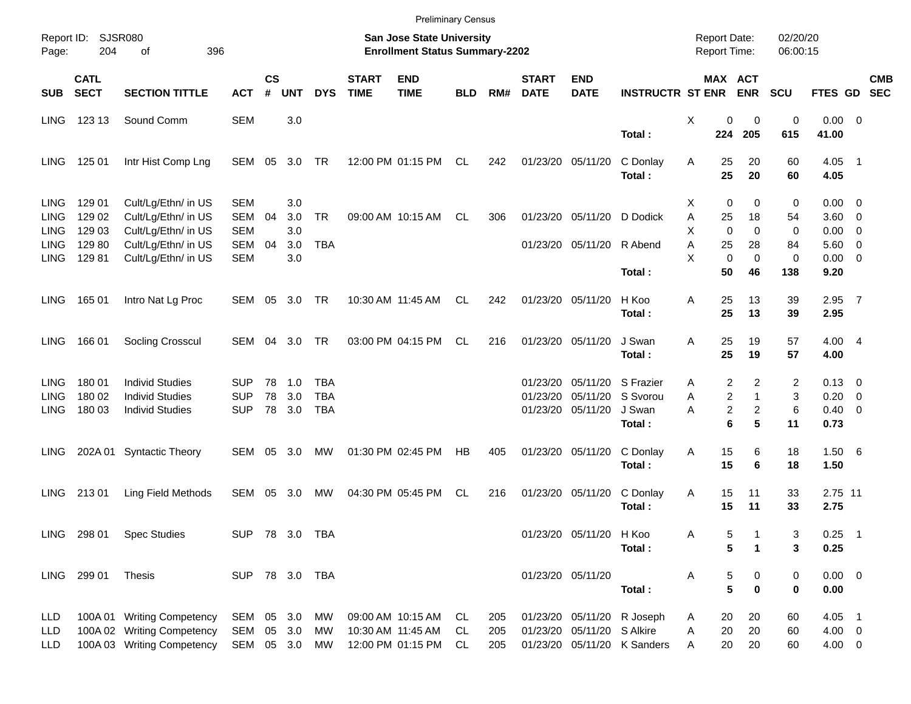|             |                            |                            |                |                    |            |            |                             | <b>Preliminary Census</b>                                          |            |     |                             |                            |                             |                                     |                                           |                      |                |                          |            |
|-------------|----------------------------|----------------------------|----------------|--------------------|------------|------------|-----------------------------|--------------------------------------------------------------------|------------|-----|-----------------------------|----------------------------|-----------------------------|-------------------------------------|-------------------------------------------|----------------------|----------------|--------------------------|------------|
| Page:       | Report ID: SJSR080<br>204  | 396<br>of                  |                |                    |            |            |                             | San Jose State University<br><b>Enrollment Status Summary-2202</b> |            |     |                             |                            |                             | <b>Report Date:</b><br>Report Time: |                                           | 02/20/20<br>06:00:15 |                |                          |            |
| <b>SUB</b>  | <b>CATL</b><br><b>SECT</b> | <b>SECTION TITTLE</b>      | <b>ACT</b>     | $\mathsf{cs}$<br># | <b>UNT</b> | <b>DYS</b> | <b>START</b><br><b>TIME</b> | <b>END</b><br><b>TIME</b>                                          | <b>BLD</b> | RM# | <b>START</b><br><b>DATE</b> | <b>END</b><br><b>DATE</b>  | <b>INSTRUCTR ST ENR</b>     |                                     | <b>MAX ACT</b><br><b>ENR</b>              | <b>SCU</b>           | FTES GD SEC    |                          | <b>CMB</b> |
| <b>LING</b> | 123 13                     | Sound Comm                 | <b>SEM</b>     |                    | 3.0        |            |                             |                                                                    |            |     |                             |                            |                             | X                                   | 0<br>$\mathbf 0$                          | $\pmb{0}$            | $0.00 \t 0$    |                          |            |
|             |                            |                            |                |                    |            |            |                             |                                                                    |            |     |                             |                            | Total:                      | 224                                 | 205                                       | 615                  | 41.00          |                          |            |
| <b>LING</b> | 125 01                     | Intr Hist Comp Lng         | SEM            | 05                 | 3.0        | TR         |                             | 12:00 PM 01:15 PM                                                  | CL         | 242 | 01/23/20 05/11/20           |                            | C Donlay                    | Α                                   | 25<br>20                                  | 60                   | $4.05$ 1       |                          |            |
|             |                            |                            |                |                    |            |            |                             |                                                                    |            |     |                             |                            | Total:                      | 25                                  | 20                                        | 60                   | 4.05           |                          |            |
| <b>LING</b> | 129 01                     | Cult/Lg/Ethn/ in US        | <b>SEM</b>     |                    | 3.0        |            |                             |                                                                    |            |     |                             |                            |                             | х                                   | $\mathbf 0$<br>0                          | 0                    | $0.00 \t 0$    |                          |            |
| <b>LING</b> | 129 02                     | Cult/Lg/Ethn/ in US        | <b>SEM</b>     | 04                 | 3.0        | <b>TR</b>  |                             | 09:00 AM 10:15 AM                                                  | CL.        | 306 |                             | 01/23/20 05/11/20          | D Dodick                    | Α<br>25                             | 18                                        | 54                   | $3.60 \ 0$     |                          |            |
| <b>LING</b> | 129 03                     | Cult/Lg/Ethn/ in US        | <b>SEM</b>     |                    | 3.0        |            |                             |                                                                    |            |     |                             |                            |                             | X                                   | $\Omega$<br>$\Omega$                      | 0                    | 0.00           | $\overline{\phantom{0}}$ |            |
| <b>LING</b> | 129 80                     | Cult/Lg/Ethn/ in US        | <b>SEM</b>     | 04                 | 3.0        | <b>TBA</b> |                             |                                                                    |            |     |                             | 01/23/20 05/11/20          | R Abend                     | Α<br>25                             | 28                                        | 84                   | $5.60 \quad 0$ |                          |            |
| <b>LING</b> | 12981                      | Cult/Lg/Ethn/ in US        | <b>SEM</b>     |                    | 3.0        |            |                             |                                                                    |            |     |                             |                            |                             | X                                   | $\mathbf 0$<br>$\mathbf 0$                | 0                    | $0.00 \t 0$    |                          |            |
|             |                            |                            |                |                    |            |            |                             |                                                                    |            |     |                             |                            | Total:                      | 50                                  | 46                                        | 138                  | 9.20           |                          |            |
| <b>LING</b> | 165 01                     | Intro Nat Lg Proc          | SEM            | 05                 | 3.0        | TR         |                             | 10:30 AM 11:45 AM                                                  | CL.        | 242 | 01/23/20 05/11/20           |                            | H Koo                       | 25<br>Α                             | 13                                        | 39                   | $2.95$ 7       |                          |            |
|             |                            |                            |                |                    |            |            |                             |                                                                    |            |     |                             |                            | Total:                      | 25                                  | 13                                        | 39                   | 2.95           |                          |            |
| <b>LING</b> | 166 01                     | Socling Crosscul           | SEM            | 04                 | 3.0        | TR         |                             | 03:00 PM 04:15 PM                                                  | CL.        | 216 | 01/23/20 05/11/20           |                            | J Swan                      | 25<br>Α                             | 19                                        | 57                   | 4.004          |                          |            |
|             |                            |                            |                |                    |            |            |                             |                                                                    |            |     |                             |                            | Total:                      | 25                                  | 19                                        | 57                   | 4.00           |                          |            |
| <b>LING</b> | 180 01                     | <b>Individ Studies</b>     | <b>SUP</b>     | 78                 | 1.0        | TBA        |                             |                                                                    |            |     | 01/23/20                    | 05/11/20                   | S Frazier                   | Α                                   | 2<br>2                                    | 2                    | $0.13 \quad 0$ |                          |            |
| <b>LING</b> | 180 02                     | <b>Individ Studies</b>     | <b>SUP</b>     | 78                 | 3.0        | <b>TBA</b> |                             |                                                                    |            |     | 01/23/20                    | 05/11/20                   | S Svorou                    | A                                   | $\overline{\mathbf{c}}$<br>$\mathbf{1}$   | 3                    | 0.20           | $\overline{\phantom{0}}$ |            |
| <b>LING</b> | 180 03                     | <b>Individ Studies</b>     | <b>SUP</b>     | 78                 | 3.0        | <b>TBA</b> |                             |                                                                    |            |     |                             | 01/23/20 05/11/20          | J Swan                      | A                                   | $\overline{\mathbf{c}}$<br>$\overline{c}$ | 6                    | $0.40 \quad 0$ |                          |            |
|             |                            |                            |                |                    |            |            |                             |                                                                    |            |     |                             |                            | Total:                      |                                     | 6<br>5                                    | 11                   | 0.73           |                          |            |
| LING.       |                            | 202A 01 Syntactic Theory   | SEM            | 05                 | 3.0        | МW         |                             | 01:30 PM 02:45 PM                                                  | HB         | 405 | 01/23/20 05/11/20           |                            | C Donlay                    | 15<br>Α                             | 6                                         | 18                   | 1.506          |                          |            |
|             |                            |                            |                |                    |            |            |                             |                                                                    |            |     |                             |                            | Total:                      | 15                                  | 6                                         | 18                   | 1.50           |                          |            |
| LING.       | 21301                      | Ling Field Methods         | SEM            | 05                 | 3.0        | МW         |                             | 04:30 PM 05:45 PM                                                  | CL         | 216 |                             | 01/23/20 05/11/20          | C Donlay                    | 15<br>Α                             | 11                                        | 33                   | 2.75 11        |                          |            |
|             |                            |                            |                |                    |            |            |                             |                                                                    |            |     |                             |                            | Total:                      | 15                                  | 11                                        | 33                   | 2.75           |                          |            |
|             | LING 298 01                | <b>Spec Studies</b>        | SUP 78 3.0 TBA |                    |            |            |                             |                                                                    |            |     |                             | 01/23/20 05/11/20          | H Koo                       | Α                                   | 5                                         | 3                    | $0.25$ 1       |                          |            |
|             |                            |                            |                |                    |            |            |                             |                                                                    |            |     |                             |                            | Total:                      |                                     | 5<br>$\mathbf 1$                          | 3                    | 0.25           |                          |            |
|             | LING 299 01                | Thesis                     | SUP 78 3.0 TBA |                    |            |            |                             |                                                                    |            |     | 01/23/20 05/11/20           |                            |                             | Α                                   | 5<br>0                                    | 0                    | $0.00 \t 0$    |                          |            |
|             |                            |                            |                |                    |            |            |                             |                                                                    |            |     |                             |                            | Total:                      |                                     | 5<br>$\mathbf 0$                          | 0                    | 0.00           |                          |            |
| <b>LLD</b>  |                            | 100A 01 Writing Competency | SEM            |                    | 05 3.0     | MW         |                             | 09:00 AM 10:15 AM                                                  | CL.        | 205 |                             |                            | 01/23/20 05/11/20 R Joseph  | 20<br>A                             | 20                                        | 60                   | $4.05$ 1       |                          |            |
| <b>LLD</b>  |                            | 100A 02 Writing Competency | SEM            |                    | 05 3.0     | MW         |                             | 10:30 AM 11:45 AM                                                  | CL         | 205 |                             | 01/23/20 05/11/20 S Alkire |                             | 20<br>Α                             | 20                                        | 60                   | $4.00 \ 0$     |                          |            |
| <b>LLD</b>  |                            | 100A 03 Writing Competency | SEM 05 3.0     |                    |            | MW         |                             | 12:00 PM 01:15 PM                                                  | CL         | 205 |                             |                            | 01/23/20 05/11/20 K Sanders | Α                                   | 20<br>20                                  | 60                   | $4.00 \t 0$    |                          |            |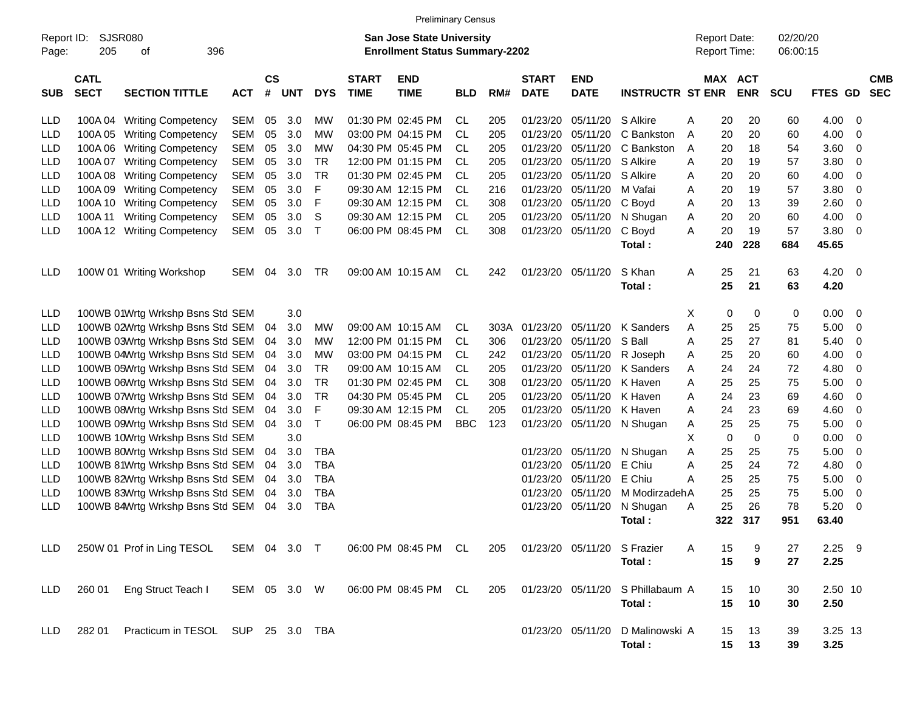|                     |                            |                                         |              |                |            |            |                             | <b>Preliminary Census</b>                                          |            |      |                             |                             |                         |                                            |         |             |                      |                |     |                          |
|---------------------|----------------------------|-----------------------------------------|--------------|----------------|------------|------------|-----------------------------|--------------------------------------------------------------------|------------|------|-----------------------------|-----------------------------|-------------------------|--------------------------------------------|---------|-------------|----------------------|----------------|-----|--------------------------|
| Report ID:<br>Page: | 205                        | <b>SJSR080</b><br>396<br>оf             |              |                |            |            |                             | San Jose State University<br><b>Enrollment Status Summary-2202</b> |            |      |                             |                             |                         | <b>Report Date:</b><br><b>Report Time:</b> |         |             | 02/20/20<br>06:00:15 |                |     |                          |
| <b>SUB</b>          | <b>CATL</b><br><b>SECT</b> | <b>SECTION TITTLE</b>                   | <b>ACT</b>   | <b>CS</b><br># | <b>UNT</b> | <b>DYS</b> | <b>START</b><br><b>TIME</b> | <b>END</b><br><b>TIME</b>                                          | <b>BLD</b> | RM#  | <b>START</b><br><b>DATE</b> | <b>END</b><br><b>DATE</b>   | <b>INSTRUCTR ST ENR</b> |                                            | MAX ACT | <b>ENR</b>  | <b>SCU</b>           | <b>FTES GD</b> |     | <b>CMB</b><br><b>SEC</b> |
| LLD                 | 100A 04                    | <b>Writing Competency</b>               | <b>SEM</b>   | 05             | 3.0        | MW         |                             | 01:30 PM 02:45 PM                                                  | CL         | 205  | 01/23/20                    | 05/11/20                    | S Alkire                | Α                                          | 20      | 20          | 60                   | 4.00           | -0  |                          |
| <b>LLD</b>          | 100A 05                    | <b>Writing Competency</b>               | <b>SEM</b>   | 05             | 3.0        | <b>MW</b>  |                             | 03:00 PM 04:15 PM                                                  | CL         | 205  | 01/23/20                    | 05/11/20                    | C Bankston              | Α                                          | 20      | 20          | 60                   | 4.00           | 0   |                          |
| LLD                 | 100A06                     | <b>Writing Competency</b>               | <b>SEM</b>   | 05             | 3.0        | <b>MW</b>  |                             | 04:30 PM 05:45 PM                                                  | CL         | 205  | 01/23/20                    | 05/11/20                    | C Bankston              | A                                          | 20      | 18          | 54                   | 3.60           | 0   |                          |
| LLD                 | 100A 07                    | <b>Writing Competency</b>               | <b>SEM</b>   | 05             | 3.0        | <b>TR</b>  |                             | 12:00 PM 01:15 PM                                                  | CL         | 205  | 01/23/20                    | 05/11/20                    | S Alkire                | A                                          | 20      | 19          | 57                   | 3.80           | 0   |                          |
| LLD                 | 100A08                     | <b>Writing Competency</b>               | <b>SEM</b>   | 05             | 3.0        | <b>TR</b>  |                             | 01:30 PM 02:45 PM                                                  | CL         | 205  | 01/23/20                    | 05/11/20                    | S Alkire                | A                                          | 20      | 20          | 60                   | 4.00           | 0   |                          |
| LLD                 | 100A09                     | <b>Writing Competency</b>               | <b>SEM</b>   | 05             | 3.0        | F          |                             | 09:30 AM 12:15 PM                                                  | CL         | 216  | 01/23/20                    | 05/11/20                    | M Vafai                 | A                                          | 20      | 19          | 57                   | 3.80           | 0   |                          |
| LLD                 | 100A 10                    | <b>Writing Competency</b>               | <b>SEM</b>   | 05             | 3.0        | F          |                             | 09:30 AM 12:15 PM                                                  | CL         | 308  | 01/23/20                    | 05/11/20                    | C Boyd                  | A                                          | 20      | 13          | 39                   | 2.60           | 0   |                          |
| LLD                 | 100A 11                    | <b>Writing Competency</b>               | <b>SEM</b>   | 05             | 3.0        | S          |                             | 09:30 AM 12:15 PM                                                  | CL         | 205  | 01/23/20                    | 05/11/20                    | N Shugan                | A                                          | 20      | 20          | 60                   | 4.00           | 0   |                          |
| LLD                 | 100A 12                    | <b>Writing Competency</b>               | <b>SEM</b>   | 05             | 3.0        | т          |                             | 06:00 PM 08:45 PM                                                  | <b>CL</b>  | 308  | 01/23/20                    | 05/11/20                    | C Boyd                  | A                                          | 20      | 19          | 57                   | 3.80           | 0   |                          |
|                     |                            |                                         |              |                |            |            |                             |                                                                    |            |      |                             |                             | Total:                  |                                            | 240     | 228         | 684                  | 45.65          |     |                          |
| LLD                 |                            | 100W 01 Writing Workshop                | <b>SEM</b>   | 04             | 3.0        | TR         |                             | 09:00 AM 10:15 AM                                                  | CL         | 242  | 01/23/20                    | 05/11/20                    | S Khan                  | Α                                          | 25      | 21          | 63                   | 4.20           | - 0 |                          |
|                     |                            |                                         |              |                |            |            |                             |                                                                    |            |      |                             |                             | Total:                  |                                            | 25      | 21          | 63                   | 4.20           |     |                          |
| LLD                 |                            | 100WB 01Wrtg Wrkshp Bsns Std SEM        |              |                | 3.0        |            |                             |                                                                    |            |      |                             |                             |                         | Х                                          | 0       | 0           | 0                    | 0.00           | 0   |                          |
| <b>LLD</b>          |                            | 100WB 02Wrtg Wrkshp Bsns Std SEM        |              | 04             | 3.0        | MW         |                             | 09:00 AM 10:15 AM                                                  | CL         | 303A | 01/23/20                    | 05/11/20                    | K Sanders               | Α                                          | 25      | 25          | 75                   | 5.00           | 0   |                          |
| <b>LLD</b>          |                            | 100WB 03Wrtg Wrkshp Bsns Std SEM        |              | 04             | 3.0        | <b>MW</b>  |                             | 12:00 PM 01:15 PM                                                  | CL         | 306  | 01/23/20                    | 05/11/20                    | S Ball                  | Α                                          | 25      | 27          | 81                   | 5.40           | 0   |                          |
| <b>LLD</b>          |                            | 100WB 04Wrtg Wrkshp Bsns Std SEM        |              | 04             | 3.0        | MW         |                             | 03:00 PM 04:15 PM                                                  | CL         | 242  | 01/23/20                    | 05/11/20                    | R Joseph                | A                                          | 25      | 20          | 60                   | 4.00           | 0   |                          |
| <b>LLD</b>          |                            | 100WB 05Wrtg Wrkshp Bsns Std SEM        |              | 04             | 3.0        | <b>TR</b>  |                             | 09:00 AM 10:15 AM                                                  | CL         | 205  | 01/23/20                    | 05/11/20                    | K Sanders               | A                                          | 24      | 24          | 72                   | 4.80           | 0   |                          |
| LLD                 |                            | 100WB 06Wrtg Wrkshp Bsns Std SEM        |              | 04             | 3.0        | <b>TR</b>  |                             | 01:30 PM 02:45 PM                                                  | CL         | 308  | 01/23/20                    | 05/11/20                    | K Haven                 | Α                                          | 25      | 25          | 75                   | 5.00           | 0   |                          |
| <b>LLD</b>          |                            | 100WB 07Wrtg Wrkshp Bsns Std SEM        |              | 04             | 3.0        | <b>TR</b>  |                             | 04:30 PM 05:45 PM                                                  | CL         | 205  | 01/23/20                    | 05/11/20                    | K Haven                 | A                                          | 24      | 23          | 69                   | 4.60           | 0   |                          |
| <b>LLD</b>          |                            | 100WB 08Wrtg Wrkshp Bsns Std SEM        |              | 04             | 3.0        | F          |                             | 09:30 AM 12:15 PM                                                  | CL         | 205  | 01/23/20                    | 05/11/20                    | K Haven                 | A                                          | 24      | 23          | 69                   | 4.60           | 0   |                          |
| <b>LLD</b>          |                            | 100WB 09Wrtg Wrkshp Bsns Std SEM        |              | 04             | 3.0        | T          |                             | 06:00 PM 08:45 PM                                                  | <b>BBC</b> | 123  | 01/23/20                    | 05/11/20                    | N Shugan                | A                                          | 25      | 25          | 75                   | 5.00           | 0   |                          |
| <b>LLD</b>          |                            | 100WB 10Wrtg Wrkshp Bsns Std SEM        |              |                | 3.0        |            |                             |                                                                    |            |      |                             |                             |                         | X                                          | 0       | $\mathbf 0$ | 0                    | 0.00           | 0   |                          |
| <b>LLD</b>          |                            | 100WB 80Wrtg Wrkshp Bsns Std SEM        |              | 04             | 3.0        | <b>TBA</b> |                             |                                                                    |            |      | 01/23/20                    | 05/11/20                    | N Shugan                | Α                                          | 25      | 25          | 75                   | 5.00           | 0   |                          |
| <b>LLD</b>          |                            | 100WB 81Wrtg Wrkshp Bsns Std SEM        |              | 04             | 3.0        | <b>TBA</b> |                             |                                                                    |            |      | 01/23/20                    | 05/11/20                    | E Chiu                  | Α                                          | 25      | 24          | 72                   | 4.80           | 0   |                          |
| LLD                 |                            | 100WB 82Wrtg Wrkshp Bsns Std SEM        |              | 04             | 3.0        | <b>TBA</b> |                             |                                                                    |            |      | 01/23/20                    | 05/11/20                    | E Chiu                  | Α                                          | 25      | 25          | 75                   | 5.00           | 0   |                          |
| LLD                 |                            | 100WB 83Wrtg Wrkshp Bsns Std SEM        |              | 04             | 3.0        | <b>TBA</b> |                             |                                                                    |            |      | 01/23/20                    | 05/11/20                    | M ModirzadehA           |                                            | 25      | 25          | 75                   | 5.00           | 0   |                          |
| LLD                 |                            | 100WB 84Wrtg Wrkshp Bsns Std SEM        |              | 04             | 3.0        | <b>TBA</b> |                             |                                                                    |            |      | 01/23/20                    | 05/11/20                    | N Shugan                | A                                          | 25      | 26          | 78                   | 5.20           | 0   |                          |
|                     |                            |                                         |              |                |            |            |                             |                                                                    |            |      |                             |                             | Total:                  |                                            | 322     | 317         | 951                  | 63.40          |     |                          |
| LLD.                |                            | 250W 01 Prof in Ling TESOL SEM 04 3.0 T |              |                |            |            |                             | 06:00 PM 08:45 PM CL                                               |            | 205  |                             | 01/23/20 05/11/20 S Frazier |                         | A                                          | 15      | 9           | 27                   | $2.25$ 9       |     |                          |
|                     |                            |                                         |              |                |            |            |                             |                                                                    |            |      |                             |                             | Total:                  |                                            | 15      | 9           | 27                   | 2.25           |     |                          |
| <b>LLD</b>          | 260 01                     | Eng Struct Teach I                      | SEM 05 3.0 W |                |            |            |                             | 06:00 PM 08:45 PM CL                                               |            | 205  |                             | 01/23/20 05/11/20           | S Phillabaum A          |                                            | 15      | 10          | 30                   | 2.50 10        |     |                          |
|                     |                            |                                         |              |                |            |            |                             |                                                                    |            |      |                             |                             | Total:                  |                                            | 15      | 10          | 30                   | 2.50           |     |                          |
| <b>LLD</b>          | 282 01                     | Practicum in TESOL SUP 25 3.0 TBA       |              |                |            |            |                             |                                                                    |            |      |                             | 01/23/20 05/11/20           | D Malinowski A          |                                            | 15      | 13          | 39                   | 3.25 13        |     |                          |
|                     |                            |                                         |              |                |            |            |                             |                                                                    |            |      |                             |                             | Total:                  |                                            | 15      | 13          | 39                   | 3.25           |     |                          |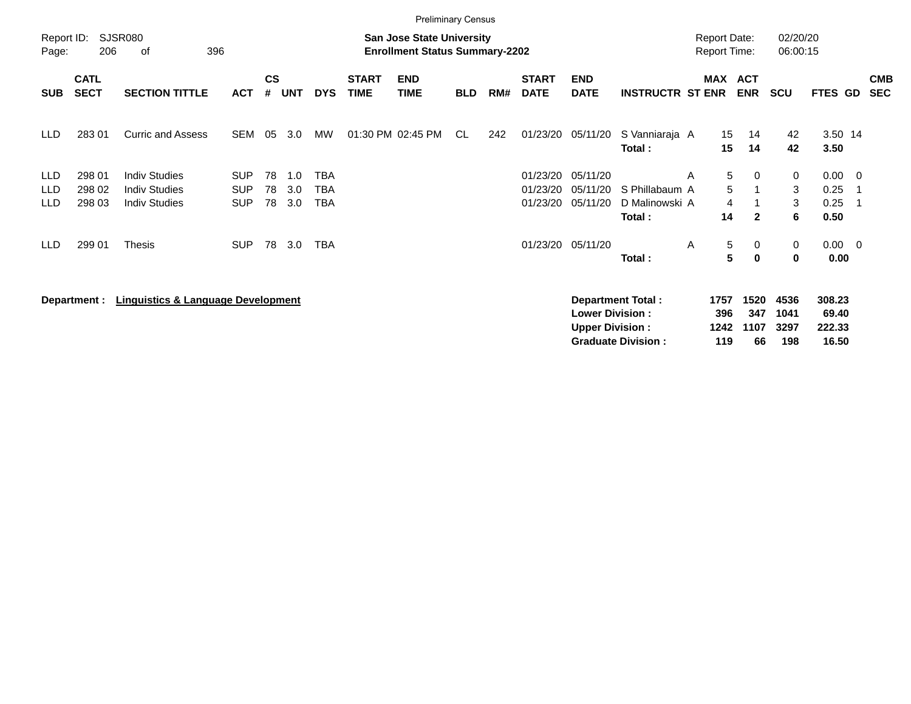|                                        |                            |                                                                      |                                        |                    |                   |                   |                             | <b>Preliminary Census</b>                                                 |            |     |                                  |                                                  |                                                       |                                            |                           |                                 |                                    |                                      |                          |
|----------------------------------------|----------------------------|----------------------------------------------------------------------|----------------------------------------|--------------------|-------------------|-------------------|-----------------------------|---------------------------------------------------------------------------|------------|-----|----------------------------------|--------------------------------------------------|-------------------------------------------------------|--------------------------------------------|---------------------------|---------------------------------|------------------------------------|--------------------------------------|--------------------------|
| Report ID:<br>Page:                    | 206                        | <b>SJSR080</b><br>396<br>оf                                          |                                        |                    |                   |                   |                             | <b>San Jose State University</b><br><b>Enrollment Status Summary-2202</b> |            |     |                                  |                                                  |                                                       | <b>Report Date:</b><br><b>Report Time:</b> |                           | 02/20/20<br>06:00:15            |                                    |                                      |                          |
| <b>SUB</b>                             | <b>CATL</b><br><b>SECT</b> | <b>SECTION TITTLE</b>                                                | <b>ACT</b>                             | $\mathsf{cs}$<br># | <b>UNT</b>        | <b>DYS</b>        | <b>START</b><br><b>TIME</b> | <b>END</b><br><b>TIME</b>                                                 | <b>BLD</b> | RM# | <b>START</b><br><b>DATE</b>      | <b>END</b><br><b>DATE</b>                        | <b>INSTRUCTR ST ENR</b>                               | MAX ACT                                    | <b>ENR</b>                | <b>SCU</b>                      | FTES GD                            |                                      | <b>CMB</b><br><b>SEC</b> |
| <b>LLD</b>                             | 283 01                     | <b>Curric and Assess</b>                                             | <b>SEM</b>                             | 05                 | 3.0               | MW                |                             | 01:30 PM 02:45 PM                                                         | CL         | 242 | 01/23/20                         | 05/11/20                                         | S Vanniaraja A<br>Total :                             | 15<br>15                                   | 14<br>14                  | 42<br>42                        | 3.50 14<br>3.50                    |                                      |                          |
| <b>LLD</b><br><b>LLD</b><br><b>LLD</b> | 298 01<br>298 02<br>298 03 | <b>Indiv Studies</b><br><b>Indiv Studies</b><br><b>Indiv Studies</b> | <b>SUP</b><br><b>SUP</b><br><b>SUP</b> | 78<br>78<br>78     | 1.0<br>3.0<br>3.0 | TBA<br>TBA<br>TBA |                             |                                                                           |            |     | 01/23/20<br>01/23/20<br>01/23/20 | 05/11/20<br>05/11/20<br>05/11/20                 | S Phillabaum A<br>D Malinowski A                      | 5<br>A<br>5<br>4                           | 0                         | $\mathbf 0$<br>3<br>3           | 0.00<br>0.25<br>0.25               | $\overline{\phantom{0}}$<br>-1<br>-1 |                          |
| LLD                                    | 299 01                     | <b>Thesis</b>                                                        | <b>SUP</b>                             | 78                 | 3.0               | <b>TBA</b>        |                             |                                                                           |            |     |                                  | 01/23/20 05/11/20                                | Total :<br>Total:                                     | 14<br>5<br>A<br>5                          | $\mathbf{2}$<br>0<br>0    | 6<br>$\mathbf 0$<br>$\mathbf 0$ | 0.50<br>$0.00 \t 0$<br>0.00        |                                      |                          |
|                                        | Department :               | <b>Linguistics &amp; Language Development</b>                        |                                        |                    |                   |                   |                             |                                                                           |            |     |                                  | <b>Lower Division:</b><br><b>Upper Division:</b> | <b>Department Total:</b><br><b>Graduate Division:</b> | 1757<br>396<br>1242<br>119                 | 1520<br>347<br>1107<br>66 | 4536<br>1041<br>3297<br>198     | 308.23<br>69.40<br>222.33<br>16.50 |                                      |                          |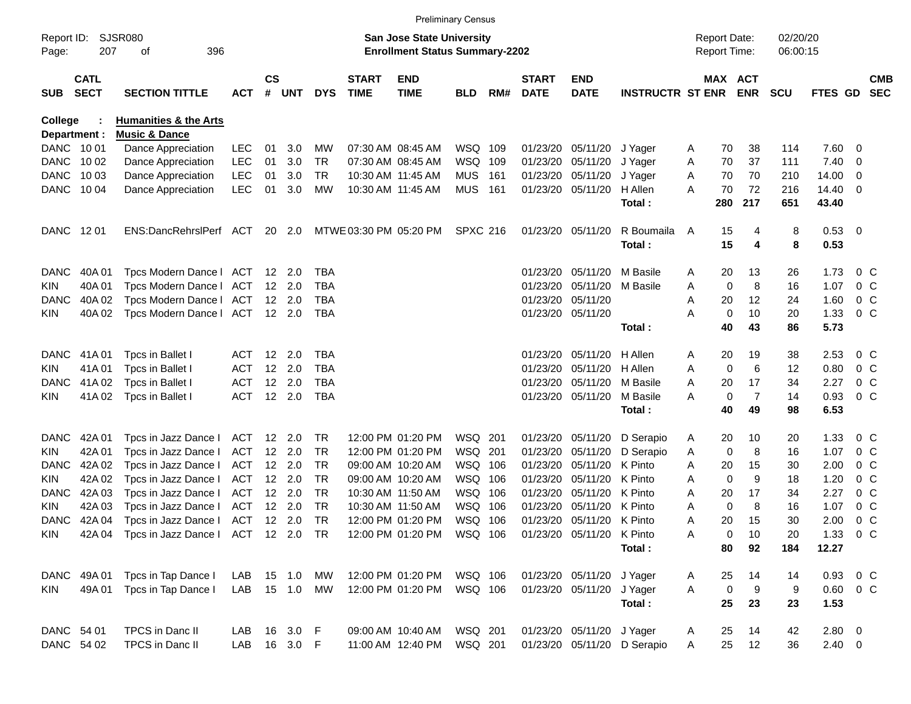|                     |                            |                                                                     |               |               |                |            |                             |                                                                           | <b>Preliminary Census</b> |       |                             |                           |                             |   |                                     |                |                      |               |                |                          |
|---------------------|----------------------------|---------------------------------------------------------------------|---------------|---------------|----------------|------------|-----------------------------|---------------------------------------------------------------------------|---------------------------|-------|-----------------------------|---------------------------|-----------------------------|---|-------------------------------------|----------------|----------------------|---------------|----------------|--------------------------|
| Report ID:<br>Page: | 207                        | <b>SJSR080</b><br>396<br>οf                                         |               |               |                |            |                             | <b>San Jose State University</b><br><b>Enrollment Status Summary-2202</b> |                           |       |                             |                           |                             |   | <b>Report Date:</b><br>Report Time: |                | 02/20/20<br>06:00:15 |               |                |                          |
|                     |                            |                                                                     |               |               |                |            |                             |                                                                           |                           |       |                             |                           |                             |   |                                     |                |                      |               |                |                          |
| <b>SUB</b>          | <b>CATL</b><br><b>SECT</b> | <b>SECTION TITTLE</b>                                               | <b>ACT</b>    | $\mathsf{cs}$ | # UNT          | <b>DYS</b> | <b>START</b><br><b>TIME</b> | <b>END</b><br><b>TIME</b>                                                 | <b>BLD</b>                | RM#   | <b>START</b><br><b>DATE</b> | <b>END</b><br><b>DATE</b> | <b>INSTRUCTR ST ENR</b>     |   | MAX ACT                             | <b>ENR</b>     | <b>SCU</b>           | FTES GD       |                | <b>CMB</b><br><b>SEC</b> |
| College             |                            | <b>Humanities &amp; the Arts</b>                                    |               |               |                |            |                             |                                                                           |                           |       |                             |                           |                             |   |                                     |                |                      |               |                |                          |
| Department :        |                            | <b>Music &amp; Dance</b>                                            |               |               |                |            |                             |                                                                           |                           |       |                             |                           |                             |   |                                     |                |                      |               |                |                          |
| DANC 1001           |                            | Dance Appreciation                                                  | <b>LEC</b>    | 01            | 3.0            | MW         |                             | 07:30 AM 08:45 AM                                                         | WSQ 109                   |       | 01/23/20                    | 05/11/20                  | J Yager                     | A | 70                                  | 38             | 114                  | 7.60          | - 0            |                          |
| <b>DANC</b>         | 10 02                      | Dance Appreciation                                                  | <b>LEC</b>    | 01            | 3.0            | TR         |                             | 07:30 AM 08:45 AM                                                         | WSQ 109                   |       | 01/23/20                    | 05/11/20                  | J Yager                     | A | 70                                  | 37             | 111                  | 7.40          | 0              |                          |
| <b>DANC</b>         | 10 03                      | Dance Appreciation                                                  | <b>LEC</b>    | 01            | 3.0            | TR         |                             | 10:30 AM 11:45 AM                                                         | MUS                       | - 161 | 01/23/20                    | 05/11/20                  | J Yager                     | A | 70                                  | 70             | 210                  | 14.00         | $\overline{0}$ |                          |
| DANC                | 10 04                      | Dance Appreciation                                                  | <b>LEC</b>    | 01            | 3.0            | MW         |                             | 10:30 AM 11:45 AM                                                         | <b>MUS 161</b>            |       |                             | 01/23/20 05/11/20         | H Allen                     | A | 70                                  | 72             | 216                  | 14.40         | - 0            |                          |
|                     |                            |                                                                     |               |               |                |            |                             |                                                                           |                           |       |                             |                           | Total:                      |   | 280                                 | 217            | 651                  | 43.40         |                |                          |
| DANC                | 12 01                      | ENS:DancRehrslPerf ACT                                              |               |               | 20 2.0         |            |                             | MTWE 03:30 PM 05:20 PM                                                    | <b>SPXC 216</b>           |       | 01/23/20 05/11/20           |                           | R Boumaila                  | A | 15                                  | 4              | 8                    | 0.53 0        |                |                          |
|                     |                            |                                                                     |               |               |                |            |                             |                                                                           |                           |       |                             |                           | Total:                      |   | 15                                  | 4              | 8                    | 0.53          |                |                          |
| <b>DANC</b>         | 40A 01                     | Tpcs Modern Dance I                                                 | ACT 12 2.0    |               |                | <b>TBA</b> |                             |                                                                           |                           |       | 01/23/20                    | 05/11/20                  | M Basile                    | A | 20                                  | 13             | 26                   | 1.73          | $0\,$ C        |                          |
| KIN                 | 40A 01                     | Tpcs Modern Dance I                                                 | ACT           |               | 12 2.0         | <b>TBA</b> |                             |                                                                           |                           |       | 01/23/20                    | 05/11/20                  | M Basile                    | A | $\mathbf 0$                         | 8              | 16                   | 1.07          | $0\,$ C        |                          |
| <b>DANC</b>         | 40A 02                     | Tpcs Modern Dance I                                                 | ACT           |               | $12 \quad 2.0$ | TBA        |                             |                                                                           |                           |       | 01/23/20                    | 05/11/20                  |                             | A | 20                                  | 12             | 24                   | 1.60          | $0\,$ C        |                          |
| KIN                 | 40A 02                     | Tpcs Modern Dance I                                                 | ACT 12 2.0    |               |                | TBA        |                             |                                                                           |                           |       |                             | 01/23/20 05/11/20         |                             | A | $\mathbf 0$                         | 10             | 20                   | 1.33          | $0\,$ C        |                          |
|                     |                            |                                                                     |               |               |                |            |                             |                                                                           |                           |       |                             |                           | Total:                      |   | 40                                  | 43             | 86                   | 5.73          |                |                          |
| <b>DANC</b>         | 41A 01                     | Tpcs in Ballet I                                                    | ACT           |               | 12 2.0         | TBA        |                             |                                                                           |                           |       | 01/23/20                    | 05/11/20                  | H Allen                     | A | 20                                  | 19             | 38                   | 2.53          | $0\,$ C        |                          |
| KIN                 | 41A01                      | Tpcs in Ballet I                                                    | <b>ACT</b>    |               | 12 2.0         | <b>TBA</b> |                             |                                                                           |                           |       | 01/23/20                    | 05/11/20                  | H Allen                     | A | 0                                   | 6              | 12                   | 0.80          | $0\,$ C        |                          |
| <b>DANC</b>         | 41A 02                     | Tpcs in Ballet I                                                    | ACT           |               | 12 2.0         | TBA        |                             |                                                                           |                           |       | 01/23/20                    | 05/11/20                  | M Basile                    | A | 20                                  | 17             | 34                   | 2.27          | $0\,$ C        |                          |
| KIN                 | 41A 02                     | Tpcs in Ballet I                                                    | <b>ACT</b>    |               | 12 2.0         | <b>TBA</b> |                             |                                                                           |                           |       |                             | 01/23/20 05/11/20         | M Basile                    | A | 0                                   | $\overline{7}$ | 14                   | 0.93          | 0 <sup>o</sup> |                          |
|                     |                            |                                                                     |               |               |                |            |                             |                                                                           |                           |       |                             |                           | Total:                      |   | 40                                  | 49             | 98                   | 6.53          |                |                          |
| <b>DANC</b>         | 42A 01                     | Tpcs in Jazz Dance I                                                | ACT           |               | 12 2.0         | TR         |                             | 12:00 PM 01:20 PM                                                         | WSQ 201                   |       | 01/23/20                    | 05/11/20                  | D Serapio                   | A | 20                                  | 10             | 20                   | 1.33          | $0\,$ C        |                          |
| KIN                 | 42A 01                     | Tpcs in Jazz Dance I                                                | ACT           |               | 12 2.0         | TR         |                             | 12:00 PM 01:20 PM                                                         | WSQ 201                   |       | 01/23/20                    | 05/11/20                  | D Serapio                   | A | 0                                   | 8              | 16                   | 1.07          | $0\,$ C        |                          |
| <b>DANC</b>         | 42A 02                     | Tpcs in Jazz Dance I                                                | <b>ACT</b>    |               | 12 2.0         | TR         |                             | 09:00 AM 10:20 AM                                                         | WSQ 106                   |       | 01/23/20                    | 05/11/20                  | K Pinto                     | A | 20                                  | 15             | 30                   | 2.00          | $0\,$ C        |                          |
| KIN                 | 42A 02                     | Tpcs in Jazz Dance I                                                | ACT           |               | 12 2.0         | <b>TR</b>  |                             | 09:00 AM 10:20 AM                                                         | WSQ 106                   |       | 01/23/20                    | 05/11/20                  | K Pinto                     | A | $\mathbf 0$                         | 9              | 18                   | 1.20          | $0\,$ C        |                          |
| <b>DANC</b>         | 42A 03                     | Tpcs in Jazz Dance I                                                | ACT           |               | 12 2.0         | <b>TR</b>  |                             | 10:30 AM 11:50 AM                                                         | WSQ 106                   |       | 01/23/20                    | 05/11/20                  | K Pinto                     | A | 20                                  | 17             | 34                   | 2.27          | $0\,$ C        |                          |
| KIN                 | 42A 03                     | Tpcs in Jazz Dance I                                                | <b>ACT</b>    |               | 12 2.0         | <b>TR</b>  |                             | 10:30 AM 11:50 AM                                                         | WSQ 106                   |       | 01/23/20                    | 05/11/20                  | K Pinto                     | A | $\mathbf 0$                         | 8              | 16                   | 1.07          | $0\,$ C        |                          |
| <b>DANC</b>         | 42A 04                     | Tpcs in Jazz Dance I                                                | ACT 12 2.0    |               |                | TR         |                             | 12:00 PM 01:20 PM                                                         | WSQ 106                   |       |                             | 01/23/20 05/11/20 K Pinto |                             | A | 20                                  | 15             | 30                   | 2.00          | $0\,C$         |                          |
| KIN                 |                            | 42A 04 Tpcs in Jazz Dance I ACT 12 2.0 TR 12:00 PM 01:20 PM WSQ 106 |               |               |                |            |                             |                                                                           |                           |       |                             | 01/23/20 05/11/20         | K Pinto                     | Α | 0                                   | 10             | 20                   | 1.33 0 C      |                |                          |
|                     |                            |                                                                     |               |               |                |            |                             |                                                                           |                           |       |                             |                           | Total:                      |   | 80                                  | 92             | 184                  | 12.27         |                |                          |
|                     | DANC 49A 01                | Tpcs in Tap Dance I                                                 | LAB           |               | 15  1.0  MW    |            |                             | 12:00 PM 01:20 PM   WSQ   106                                             |                           |       |                             | 01/23/20 05/11/20 J Yager |                             | A | 25                                  | 14             | 14                   | 0.93 0 C      |                |                          |
| <b>KIN</b>          | 49A 01                     | Tpcs in Tap Dance I                                                 | LAB 15 1.0 MW |               |                |            |                             | 12:00 PM 01:20 PM                                                         | WSQ 106                   |       |                             | 01/23/20 05/11/20         | J Yager                     | A | $\mathbf 0$                         | 9              | 9                    | $0.60 \t 0 C$ |                |                          |
|                     |                            |                                                                     |               |               |                |            |                             |                                                                           |                           |       |                             |                           | Total:                      |   | 25                                  | 23             | 23                   | 1.53          |                |                          |
| DANC 54 01          |                            | TPCS in Danc II                                                     | LAB 16 3.0 F  |               |                |            |                             | 09:00 AM 10:40 AM                                                         | WSQ 201                   |       |                             | 01/23/20 05/11/20 J Yager |                             | A | 25                                  | 14             | 42                   | $2.80\ 0$     |                |                          |
| DANC 54 02          |                            | TPCS in Danc II                                                     | LAB           |               | 16 3.0 F       |            |                             | 11:00 AM 12:40 PM                                                         | WSQ 201                   |       |                             |                           | 01/23/20 05/11/20 D Serapio | A | 25                                  | 12             | 36                   | $2.40 \t 0$   |                |                          |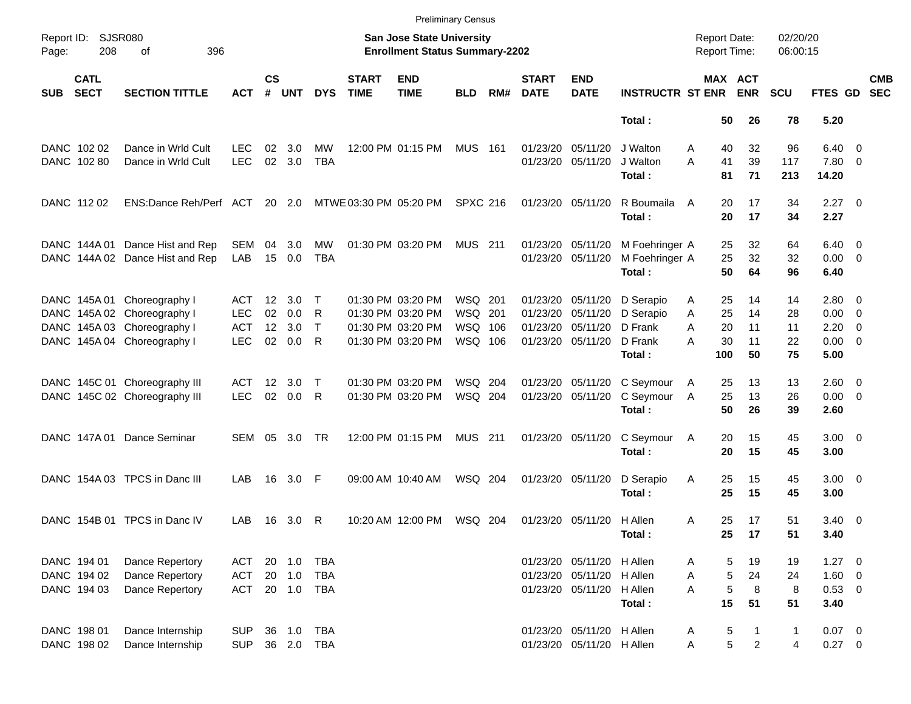|                     |                            |                                 |            |                    |                |              |                             |                                                                    | <b>Preliminary Census</b> |     |                             |                           |                          |                                            |                |                |                      |                     |                          |
|---------------------|----------------------------|---------------------------------|------------|--------------------|----------------|--------------|-----------------------------|--------------------------------------------------------------------|---------------------------|-----|-----------------------------|---------------------------|--------------------------|--------------------------------------------|----------------|----------------|----------------------|---------------------|--------------------------|
| Report ID:<br>Page: | 208                        | <b>SJSR080</b><br>396<br>οf     |            |                    |                |              |                             | San Jose State University<br><b>Enrollment Status Summary-2202</b> |                           |     |                             |                           |                          | <b>Report Date:</b><br><b>Report Time:</b> |                |                | 02/20/20<br>06:00:15 |                     |                          |
| <b>SUB</b>          | <b>CATL</b><br><b>SECT</b> | <b>SECTION TITTLE</b>           | <b>ACT</b> | $\mathsf{cs}$<br># | <b>UNT</b>     | <b>DYS</b>   | <b>START</b><br><b>TIME</b> | <b>END</b><br><b>TIME</b>                                          | <b>BLD</b>                | RM# | <b>START</b><br><b>DATE</b> | <b>END</b><br><b>DATE</b> | <b>INSTRUCTR ST ENR</b>  |                                            | <b>MAX ACT</b> | <b>ENR</b>     | <b>SCU</b>           | <b>FTES GD</b>      | <b>CMB</b><br><b>SEC</b> |
|                     |                            |                                 |            |                    |                |              |                             |                                                                    |                           |     |                             |                           | Total:                   |                                            | 50             | 26             | 78                   | 5.20                |                          |
|                     | DANC 102 02                | Dance in Wrld Cult              | LEC        | 02                 | 3.0            | МW           |                             | 12:00 PM 01:15 PM                                                  | <b>MUS 161</b>            |     |                             | 01/23/20 05/11/20         | J Walton                 | A                                          | 40             | 32             | 96                   | $6.40 \quad 0$      |                          |
|                     | DANC 102 80                | Dance in Wrld Cult              | <b>LEC</b> | 02                 | 3.0            | <b>TBA</b>   |                             |                                                                    |                           |     |                             | 01/23/20 05/11/20         | J Walton<br>Total:       | A                                          | 41<br>81       | 39<br>71       | 117<br>213           | 7.80 0<br>14.20     |                          |
|                     | DANC 11202                 | ENS:Dance Reh/Perf ACT 20 2.0   |            |                    |                |              | MTWE 03:30 PM 05:20 PM      |                                                                    | <b>SPXC 216</b>           |     | 01/23/20 05/11/20           |                           | R Boumaila               | A                                          | 20             | 17             | 34                   | $2.27 \t 0$         |                          |
|                     |                            |                                 |            |                    |                |              |                             |                                                                    |                           |     |                             |                           | Total:                   |                                            | 20             | 17             | 34                   | 2.27                |                          |
|                     | DANC 144A 01               | Dance Hist and Rep              | SEM        | 04                 | 3.0            | MW           |                             | 01:30 PM 03:20 PM                                                  | <b>MUS</b> 211            |     |                             | 01/23/20 05/11/20         | M Foehringer A           |                                            | 25             | 32             | 64                   | $6.40 \quad 0$      |                          |
|                     |                            | DANC 144A 02 Dance Hist and Rep | LAB        |                    | 15 0.0         | <b>TBA</b>   |                             |                                                                    |                           |     |                             | 01/23/20 05/11/20         | M Foehringer A<br>Total: |                                            | 25<br>50       | 32<br>64       | 32<br>96             | $0.00 \t 0$<br>6.40 |                          |
|                     |                            | DANC 145A 01 Choreography I     | ACT        |                    | $12 \quad 3.0$ | $\top$       |                             | 01:30 PM 03:20 PM                                                  | WSQ 201                   |     | 01/23/20 05/11/20           |                           | D Serapio                | Α                                          | 25             | 14             | 14                   | $2.80 \ 0$          |                          |
|                     |                            | DANC 145A 02 Choreography I     | <b>LEC</b> | 02                 | 0.0            | R            |                             | 01:30 PM 03:20 PM                                                  | WSQ 201                   |     | 01/23/20 05/11/20           |                           | D Serapio                | Α                                          | 25             | 14             | 28                   | $0.00 \t 0$         |                          |
|                     |                            | DANC 145A 03 Choreography I     | <b>ACT</b> | 12                 | 3.0            | $\mathsf{T}$ |                             | 01:30 PM 03:20 PM                                                  | WSQ 106                   |     |                             | 01/23/20 05/11/20         | D Frank                  | A                                          | 20             | 11             | 11                   | $2.20 \t 0$         |                          |
|                     |                            | DANC 145A 04 Choreography I     | <b>LEC</b> | 02                 | 0.0            | R            |                             | 01:30 PM 03:20 PM                                                  | WSQ 106                   |     |                             | 01/23/20 05/11/20         | D Frank<br>Total:        | А                                          | 30<br>100      | 11<br>50       | 22<br>75             | $0.00 \t 0$<br>5.00 |                          |
|                     |                            | DANC 145C 01 Choreography III   | ACT        | $12 \overline{ }$  | 3.0            | $\top$       |                             | 01:30 PM 03:20 PM                                                  | WSQ 204                   |     |                             | 01/23/20 05/11/20         | C Seymour                | A                                          | 25             | 13             | 13                   | $2.60 \t 0$         |                          |
|                     |                            | DANC 145C 02 Choreography III   | <b>LEC</b> | 02                 | 0.0            | R            |                             | 01:30 PM 03:20 PM                                                  | WSQ 204                   |     |                             | 01/23/20 05/11/20         | C Seymour<br>Total:      | A                                          | 25<br>50       | 13<br>26       | 26<br>39             | $0.00 \t 0$<br>2.60 |                          |
|                     |                            | DANC 147A 01 Dance Seminar      | SEM        | 05                 | 3.0            | TR.          |                             | 12:00 PM 01:15 PM                                                  | <b>MUS 211</b>            |     | 01/23/20 05/11/20           |                           | C Seymour                | A                                          | 20             | 15             | 45                   | $3.00 \ 0$          |                          |
|                     |                            |                                 |            |                    |                |              |                             |                                                                    |                           |     |                             |                           | Total:                   |                                            | 20             | 15             | 45                   | 3.00                |                          |
|                     |                            | DANC 154A 03 TPCS in Danc III   | LAB        | 16                 | 3.0 F          |              |                             | 09:00 AM 10:40 AM                                                  | WSQ 204                   |     | 01/23/20 05/11/20           |                           | D Serapio<br>Total:      | Α                                          | 25<br>25       | 15<br>15       | 45<br>45             | $3.00 \ 0$<br>3.00  |                          |
|                     |                            | DANC 154B 01 TPCS in Danc IV    | LAB        |                    | 16 3.0 R       |              |                             | 10:20 AM 12:00 PM                                                  | WSQ 204                   |     |                             | 01/23/20 05/11/20         | H Allen                  | Α                                          | 25             | 17             | 51                   | $3.40 \ 0$          |                          |
|                     |                            |                                 |            |                    |                |              |                             |                                                                    |                           |     |                             |                           | Total:                   |                                            | 25             | 17             | 51                   | 3.40                |                          |
|                     | DANC 194 01                | Dance Repertory                 | ACT        |                    | 20 1.0         | TBA          |                             |                                                                    |                           |     |                             | 01/23/20 05/11/20         | H Allen                  | Α                                          | 5              | 19             | 19                   | $1.27 \t 0$         |                          |
|                     | DANC 194 02                | Dance Repertory                 | ACT        | 20                 | 1.0            | TBA          |                             |                                                                    |                           |     |                             | 01/23/20 05/11/20         | H Allen                  | Α                                          | 5              | 24             | 24                   | 1.60 0              |                          |
|                     | DANC 194 03                | Dance Repertory                 | <b>ACT</b> |                    |                | 20 1.0 TBA   |                             |                                                                    |                           |     |                             | 01/23/20 05/11/20         | H Allen<br>Total:        | A                                          | 5<br>15        | 8<br>51        | 8<br>51              | $0.53$ 0<br>3.40    |                          |
|                     | DANC 198 01                | Dance Internship                | <b>SUP</b> | 36                 | 1.0            | <b>TBA</b>   |                             |                                                                    |                           |     |                             | 01/23/20 05/11/20         | H Allen                  | A                                          | 5              | 1              | $\mathbf{1}$         | $0.07$ 0            |                          |
|                     | DANC 198 02                | Dance Internship                | <b>SUP</b> |                    |                | 36 2.0 TBA   |                             |                                                                    |                           |     |                             | 01/23/20 05/11/20 H Allen |                          | Α                                          | 5              | $\overline{a}$ | 4                    | $0.27 \t 0$         |                          |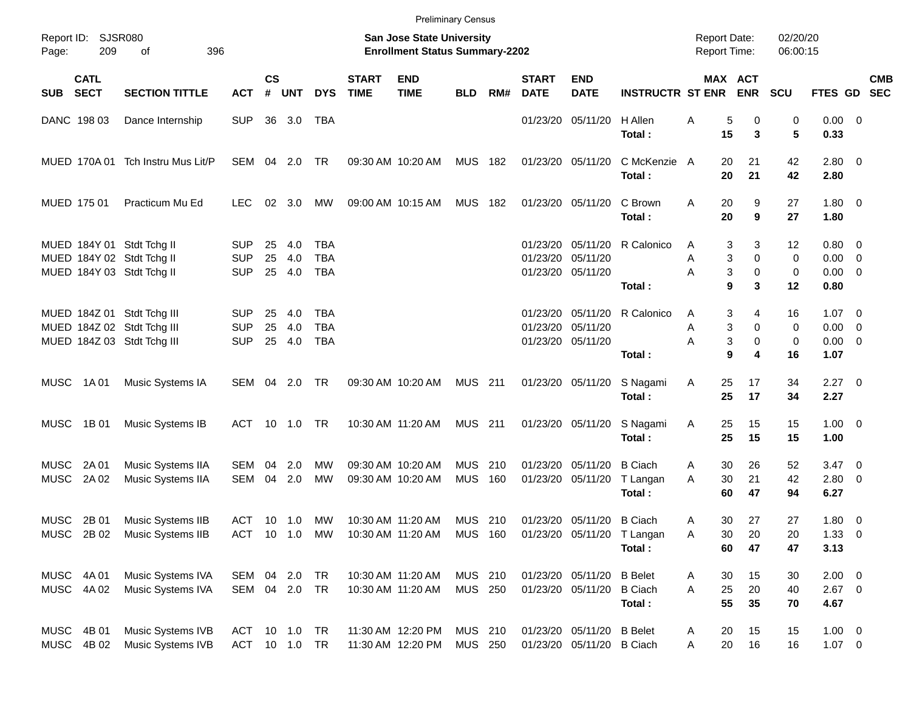|                            |                            |                                                                                        |                                        |                    |                      |                                 |                             |                                                                    | <b>Preliminary Census</b> |             |                             |                                                             |                                            |                                            |                                                      |                      |                                                   |            |
|----------------------------|----------------------------|----------------------------------------------------------------------------------------|----------------------------------------|--------------------|----------------------|---------------------------------|-----------------------------|--------------------------------------------------------------------|---------------------------|-------------|-----------------------------|-------------------------------------------------------------|--------------------------------------------|--------------------------------------------|------------------------------------------------------|----------------------|---------------------------------------------------|------------|
| Page:                      | Report ID: SJSR080<br>209  | 396<br>of                                                                              |                                        |                    |                      |                                 |                             | San Jose State University<br><b>Enrollment Status Summary-2202</b> |                           |             |                             |                                                             |                                            | <b>Report Date:</b><br><b>Report Time:</b> |                                                      | 02/20/20<br>06:00:15 |                                                   |            |
| <b>SUB</b>                 | <b>CATL</b><br><b>SECT</b> | <b>SECTION TITTLE</b>                                                                  | <b>ACT</b>                             | $\mathsf{cs}$<br># | <b>UNT</b>           | <b>DYS</b>                      | <b>START</b><br><b>TIME</b> | <b>END</b><br><b>TIME</b>                                          | <b>BLD</b>                | RM#         | <b>START</b><br><b>DATE</b> | <b>END</b><br><b>DATE</b>                                   | <b>INSTRUCTR ST ENR</b>                    |                                            | MAX ACT<br><b>ENR</b>                                | <b>SCU</b>           | FTES GD SEC                                       | <b>CMB</b> |
|                            | DANC 198 03                | Dance Internship                                                                       | <b>SUP</b>                             |                    | 36 3.0               | TBA                             |                             |                                                                    |                           |             |                             | 01/23/20 05/11/20                                           | H Allen<br>Total:                          | 5<br>Α<br>15                               | 0<br>3                                               | 0<br>5               | $0.00 \t 0$<br>0.33                               |            |
|                            |                            | MUED 170A 01 Tch Instru Mus Lit/P                                                      | SEM                                    |                    | 04 2.0               | TR                              |                             | 09:30 AM 10:20 AM                                                  | MUS 182                   |             |                             | 01/23/20 05/11/20                                           | C McKenzie A<br>Total:                     | 20<br>20                                   | 21<br>21                                             | 42<br>42             | $2.80 \t 0$<br>2.80                               |            |
| MUED 175 01                |                            | Practicum Mu Ed                                                                        | LEC.                                   | 02                 | 3.0                  | МW                              |                             | 09:00 AM 10:15 AM                                                  | <b>MUS 182</b>            |             |                             | 01/23/20 05/11/20                                           | C Brown<br>Total:                          | Α<br>20<br>20                              | 9<br>9                                               | 27<br>27             | $1.80 \ 0$<br>1.80                                |            |
|                            |                            | MUED 184Y 01 Stdt Tchg II<br>MUED 184Y 02 Stdt Tchg II<br>MUED 184Y 03 Stdt Tchg II    | <b>SUP</b><br><b>SUP</b><br><b>SUP</b> | 25<br>25<br>25     | 4.0<br>4.0<br>4.0    | TBA<br><b>TBA</b><br><b>TBA</b> |                             |                                                                    |                           |             | 01/23/20                    | 05/11/20<br>01/23/20 05/11/20<br>01/23/20 05/11/20          | R Calonico<br>Total:                       | 3<br>A<br>3<br>Α<br>Α<br>9                 | 3<br>$\mathbf 0$<br>3<br>$\mathbf 0$<br>$\mathbf{3}$ | 12<br>0<br>0<br>12   | $0.80 \ 0$<br>$0.00 \t 0$<br>$0.00 \t 0$<br>0.80  |            |
|                            |                            | MUED 184Z 01 Stdt Tchg III<br>MUED 184Z 02 Stdt Tchg III<br>MUED 184Z 03 Stdt Tchg III | <b>SUP</b><br><b>SUP</b><br><b>SUP</b> | 25<br>25           | 4.0<br>4.0<br>25 4.0 | TBA<br><b>TBA</b><br><b>TBA</b> |                             |                                                                    |                           |             |                             | 01/23/20 05/11/20<br>01/23/20 05/11/20<br>01/23/20 05/11/20 | R Calonico<br>Total:                       | 3<br>Α<br>3<br>Α<br>Α<br>9                 | 4<br>0<br>3<br>0<br>4                                | 16<br>0<br>0<br>16   | $1.07 \t 0$<br>$0.00 \t 0$<br>$0.00 \t 0$<br>1.07 |            |
| MUSC                       | 1A 01                      | Music Systems IA                                                                       | SEM 04 2.0                             |                    |                      | TR                              |                             | 09:30 AM 10:20 AM                                                  | <b>MUS 211</b>            |             |                             | 01/23/20 05/11/20                                           | S Nagami<br>Total:                         | Α<br>25<br>25                              | 17<br>17                                             | 34<br>34             | $2.27 \t 0$<br>2.27                               |            |
| MUSC                       | 1B 01                      | Music Systems IB                                                                       | ACT                                    |                    |                      |                                 |                             | 10:30 AM 11:20 AM                                                  | <b>MUS 211</b>            |             |                             | 01/23/20 05/11/20                                           | S Nagami<br>Total:                         | Α<br>25<br>25                              | 15<br>15                                             | 15<br>15             | $1.00 \t 0$<br>1.00                               |            |
| <b>MUSC</b><br><b>MUSC</b> | 2A 01<br>2A 02             | Music Systems IIA<br>Music Systems IIA                                                 | SEM<br><b>SEM</b>                      | 04<br>04           | 2.0<br>2.0           | МW<br>MW                        |                             | 09:30 AM 10:20 AM<br>09:30 AM 10:20 AM                             | <b>MUS</b><br><b>MUS</b>  | -210<br>160 | 01/23/20                    | 05/11/20<br>01/23/20 05/11/20                               | <b>B</b> Ciach<br>T Langan<br>Total:       | 30<br>Α<br>30<br>A<br>60                   | 26<br>21<br>47                                       | 52<br>42<br>94       | $3.47 \quad 0$<br>2.80 0<br>6.27                  |            |
| MUSC                       | 2B 01                      | Music Systems IIB<br>MUSC 2B 02 Music Systems IIB                                      | ACT 10 1.0 MW                          |                    |                      |                                 |                             | 10:30 AM 11:20 AM<br>ACT 10 1.0 MW 10:30 AM 11:20 AM MUS 160       | MUS 210                   |             | 01/23/20 05/11/20           | 01/23/20 05/11/20                                           | <b>B</b> Ciach<br>T Langan<br>Total:       | 30<br>Α<br>Α<br>30<br>60                   | 27<br>20<br>47                                       | 27<br>20<br>47       | 1.80 0<br>$1.33 \ 0$<br>3.13                      |            |
|                            | MUSC 4A01<br>MUSC 4A 02    | Music Systems IVA<br>Music Systems IVA                                                 | SEM 04 2.0 TR<br>SEM 04 2.0 TR         |                    |                      |                                 |                             | 10:30 AM 11:20 AM<br>10:30 AM 11:20 AM                             | MUS 210<br><b>MUS 250</b> |             |                             | 01/23/20 05/11/20<br>01/23/20 05/11/20                      | <b>B</b> Belet<br><b>B</b> Ciach<br>Total: | 30<br>Α<br>25<br>A<br>55                   | 15<br>20<br>35                                       | 30<br>40<br>70       | $2.00 \t 0$<br>$2.67$ 0<br>4.67                   |            |
|                            | MUSC 4B 01<br>MUSC 4B 02   | Music Systems IVB<br>Music Systems IVB                                                 | ACT 10 1.0 TR<br>ACT 10 1.0 TR         |                    |                      |                                 |                             | 11:30 AM 12:20 PM<br>11:30 AM 12:20 PM                             | MUS 210<br>MUS 250        |             |                             | 01/23/20 05/11/20<br>01/23/20 05/11/20 B Ciach              | <b>B</b> Belet                             | 20<br>A<br>20<br>Α                         | 15<br>16                                             | 15<br>16             | $1.00 \t 0$<br>$1.07 \t 0$                        |            |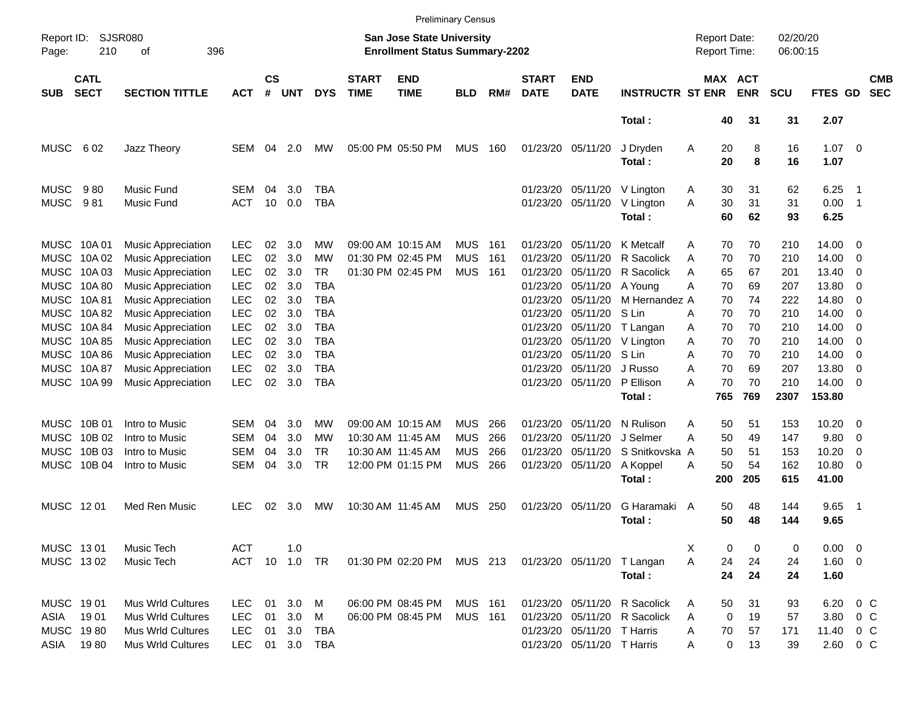|                                             |                                                     |                                                                                                                                               |                                                                    |                             |                                 |                                 |                             |                                                                                  | <b>Preliminary Census</b>                            |                          |                                                          |                                                                                                    |                                                                   |                                                     |                             |                                 |                                               |                              |                          |
|---------------------------------------------|-----------------------------------------------------|-----------------------------------------------------------------------------------------------------------------------------------------------|--------------------------------------------------------------------|-----------------------------|---------------------------------|---------------------------------|-----------------------------|----------------------------------------------------------------------------------|------------------------------------------------------|--------------------------|----------------------------------------------------------|----------------------------------------------------------------------------------------------------|-------------------------------------------------------------------|-----------------------------------------------------|-----------------------------|---------------------------------|-----------------------------------------------|------------------------------|--------------------------|
| Report ID:<br>Page:                         | 210                                                 | SJSR080<br>396<br>οf                                                                                                                          |                                                                    |                             |                                 |                                 |                             | San Jose State University<br><b>Enrollment Status Summary-2202</b>               |                                                      |                          |                                                          |                                                                                                    |                                                                   | <b>Report Date:</b><br><b>Report Time:</b>          |                             | 02/20/20<br>06:00:15            |                                               |                              |                          |
| <b>SUB</b>                                  | <b>CATL</b><br><b>SECT</b>                          | <b>SECTION TITTLE</b>                                                                                                                         | <b>ACT</b>                                                         | $\mathbf{c}\mathbf{s}$<br># | UNT                             | <b>DYS</b>                      | <b>START</b><br><b>TIME</b> | <b>END</b><br><b>TIME</b>                                                        | <b>BLD</b>                                           | RM#                      | <b>START</b><br><b>DATE</b>                              | <b>END</b><br><b>DATE</b>                                                                          | <b>INSTRUCTR ST ENR</b>                                           | <b>MAX ACT</b>                                      | <b>ENR</b>                  | <b>SCU</b>                      | FTES GD                                       |                              | <b>CMB</b><br><b>SEC</b> |
|                                             |                                                     |                                                                                                                                               |                                                                    |                             |                                 |                                 |                             |                                                                                  |                                                      |                          |                                                          |                                                                                                    | Total:                                                            | 40                                                  | 31                          | 31                              | 2.07                                          |                              |                          |
| <b>MUSC</b>                                 | 602                                                 | Jazz Theory                                                                                                                                   | <b>SEM</b>                                                         | 04                          | 2.0                             | MW.                             |                             | 05:00 PM 05:50 PM                                                                | MUS                                                  | 160                      |                                                          | 01/23/20 05/11/20                                                                                  | J Dryden<br>Total:                                                | 20<br>Α<br>20                                       | 8<br>8                      | 16<br>16                        | $1.07 \t 0$<br>1.07                           |                              |                          |
| <b>MUSC</b><br><b>MUSC</b>                  | 980<br>981                                          | <b>Music Fund</b><br>Music Fund                                                                                                               | SEM<br>ACT                                                         | 04<br>10                    | 3.0<br>0.0                      | TBA<br>TBA                      |                             |                                                                                  |                                                      |                          | 01/23/20                                                 | 05/11/20<br>01/23/20 05/11/20                                                                      | V Lington<br>V Lington<br>Total:                                  | 30<br>Α<br>30<br>A<br>60                            | 31<br>31<br>62              | 62<br>31<br>93                  | 6.25<br>0.00<br>6.25                          | - 1<br>- 1                   |                          |
| <b>MUSC</b><br>MUSC<br>MUSC<br>MUSC         | MUSC 10A 01<br>10A 02<br>10A 03<br>10A 80<br>10A 81 | <b>Music Appreciation</b><br><b>Music Appreciation</b><br><b>Music Appreciation</b><br><b>Music Appreciation</b><br><b>Music Appreciation</b> | LEC<br>LEC<br><b>LEC</b><br><b>LEC</b><br><b>LEC</b>               | 02<br>02<br>02<br>02<br>02  | 3.0<br>3.0<br>3.0<br>3.0<br>3.0 | MW<br>MW<br>TR.<br>TBA<br>TBA   |                             | 09:00 AM 10:15 AM<br>01:30 PM 02:45 PM<br>01:30 PM 02:45 PM                      | <b>MUS</b><br><b>MUS</b><br><b>MUS</b>               | 161<br>161<br>161        | 01/23/20<br>01/23/20<br>01/23/20<br>01/23/20<br>01/23/20 | 05/11/20<br>05/11/20<br>05/11/20<br>05/11/20<br>05/11/20                                           | K Metcalf<br>R Sacolick<br>R Sacolick<br>A Young<br>M Hernandez A | 70<br>Α<br>70<br>Α<br>65<br>Α<br>70<br>Α<br>70      | 70<br>70<br>67<br>69<br>74  | 210<br>210<br>201<br>207<br>222 | 14.00<br>14.00<br>13.40<br>13.80<br>14.80     | - 0<br>- 0<br>-0<br>-0<br>-0 |                          |
| MUSC<br>MUSC<br>MUSC<br>MUSC<br>MUSC        | 10A 82<br>10A 84<br>10A 85<br>10A 86<br>10A 87      | <b>Music Appreciation</b><br><b>Music Appreciation</b><br><b>Music Appreciation</b><br><b>Music Appreciation</b><br><b>Music Appreciation</b> | <b>LEC</b><br><b>LEC</b><br><b>LEC</b><br><b>LEC</b><br><b>LEC</b> | 02<br>02<br>02<br>02<br>02  | 3.0<br>3.0<br>3.0<br>3.0<br>3.0 | TBA<br>TBA<br>TBA<br>TBA<br>TBA |                             |                                                                                  |                                                      |                          | 01/23/20<br>01/23/20<br>01/23/20<br>01/23/20<br>01/23/20 | 05/11/20<br>05/11/20<br>05/11/20<br>05/11/20<br>05/11/20                                           | S Lin<br>T Langan<br>V Lington<br>S Lin<br>J Russo                | 70<br>Α<br>70<br>Α<br>70<br>Α<br>70<br>Α<br>70<br>Α | 70<br>70<br>70<br>70<br>69  | 210<br>210<br>210<br>210<br>207 | 14.00<br>14.00<br>14.00<br>14.00<br>13.80     | -0<br>-0<br>- 0<br>-0<br>-0  |                          |
|                                             | MUSC 10A 99                                         | <b>Music Appreciation</b>                                                                                                                     | <b>LEC</b>                                                         | 02                          | 3.0                             | <b>TBA</b>                      |                             |                                                                                  |                                                      |                          |                                                          | 01/23/20 05/11/20                                                                                  | P Ellison<br>Total:                                               | 70<br>А<br>765                                      | 70<br>769                   | 210<br>2307                     | 14.00<br>153.80                               | - 0                          |                          |
| MUSC<br>MUSC<br>MUSC<br><b>MUSC</b>         | 10B 01<br>10B 02<br>10B 03<br>10B 04                | Intro to Music<br>Intro to Music<br>Intro to Music<br>Intro to Music                                                                          | SEM<br>SEM<br><b>SEM</b><br><b>SEM</b>                             | 04<br>04<br>04<br>04        | 3.0<br>3.0<br>3.0<br>3.0        | MW<br>MW<br>TR.<br><b>TR</b>    |                             | 09:00 AM 10:15 AM<br>10:30 AM 11:45 AM<br>10:30 AM 11:45 AM<br>12:00 PM 01:15 PM | <b>MUS</b><br><b>MUS</b><br><b>MUS</b><br><b>MUS</b> | 266<br>266<br>266<br>266 | 01/23/20<br>01/23/20<br>01/23/20                         | 05/11/20<br>05/11/20<br>05/11/20<br>01/23/20 05/11/20                                              | N Rulison<br>J Selmer<br>S Snitkovska A<br>A Koppel<br>Total:     | Α<br>50<br>50<br>Α<br>50<br>50<br>Α<br>200          | 51<br>49<br>51<br>54<br>205 | 153<br>147<br>153<br>162<br>615 | 10.20<br>9.80<br>10.20<br>10.80<br>41.00      | - 0<br>- 0<br>0<br>- 0       |                          |
| MUSC 1201                                   |                                                     | Med Ren Music                                                                                                                                 | LEC                                                                | 02                          | 3.0                             | <b>MW</b>                       |                             | 10:30 AM 11:45 AM                                                                | <b>MUS</b>                                           | 250                      | 01/23/20                                                 | 05/11/20                                                                                           | G Haramaki A<br>Total:                                            | 50<br>50                                            | 48<br>48                    | 144<br>144                      | 9.65<br>9.65                                  | - 1                          |                          |
| MUSC 1301<br>MUSC 1302                      |                                                     | Music Tech<br>Music Tech                                                                                                                      | ACT<br>ACT 10 1.0 TR                                               |                             | 1.0                             |                                 |                             | 01:30 PM 02:20 PM MUS 213                                                        |                                                      |                          |                                                          |                                                                                                    | 01/23/20 05/11/20 T Langan<br>Total:                              | X<br>0<br>Α<br>24<br>24                             | 0<br>24<br>24               | 0<br>24<br>24                   | $0.00 \t 0$<br>1.60 0<br>1.60                 |                              |                          |
| MUSC 1901<br>ASIA<br>MUSC 1980<br>ASIA 1980 | 1901                                                | <b>Mus Wrld Cultures</b><br>Mus Wrld Cultures<br>Mus Wrld Cultures<br>Mus Wrld Cultures                                                       | <b>LEC</b><br><b>LEC</b><br><b>LEC</b><br>LEC                      | 01<br>01<br>01              | 3.0<br>3.0<br>3.0               | M<br>M<br>TBA<br>01 3.0 TBA     |                             | 06:00 PM 08:45 PM<br>06:00 PM 08:45 PM                                           | <b>MUS 161</b><br>MUS 161                            |                          |                                                          | 01/23/20 05/11/20<br>01/23/20 05/11/20<br>01/23/20 05/11/20 T Harris<br>01/23/20 05/11/20 T Harris | R Sacolick<br>R Sacolick                                          | 50<br>Α<br>$\mathbf 0$<br>A<br>70<br>Α<br>0<br>Α    | 31<br>19<br>57<br>13        | 93<br>57<br>171<br>39           | 6.20 0 C<br>3.80 0 C<br>11.40 0 C<br>2.60 0 C |                              |                          |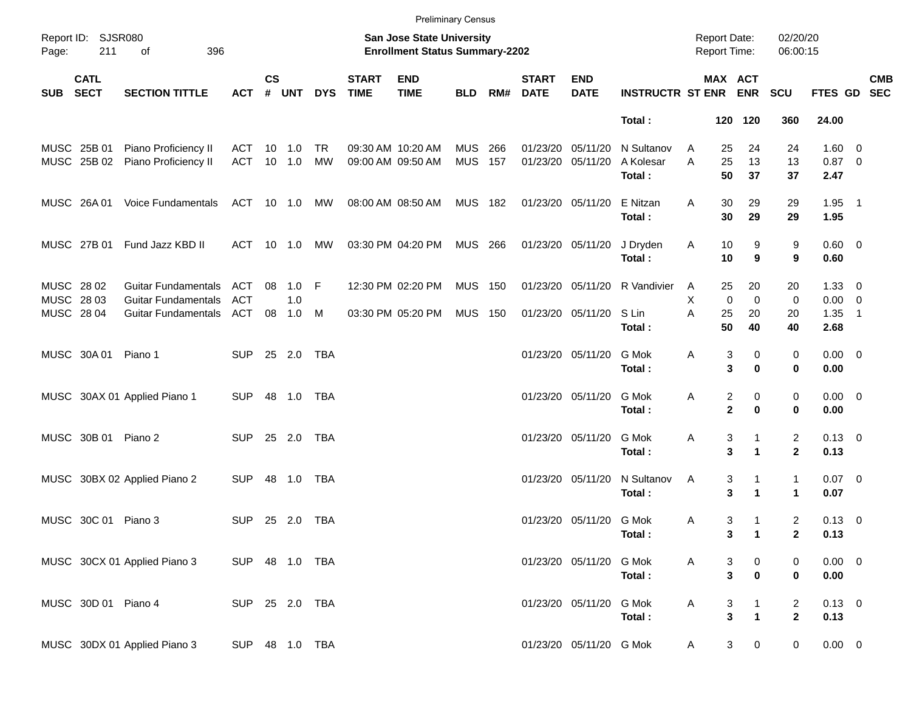|                                        |                            |                                                                                 |                          |                    |                          |                 |                             |                                                                    | <b>Preliminary Census</b> |            |                             |                                        |                                   |                                            |                                                                |                                           |                                           |                          |            |
|----------------------------------------|----------------------------|---------------------------------------------------------------------------------|--------------------------|--------------------|--------------------------|-----------------|-----------------------------|--------------------------------------------------------------------|---------------------------|------------|-----------------------------|----------------------------------------|-----------------------------------|--------------------------------------------|----------------------------------------------------------------|-------------------------------------------|-------------------------------------------|--------------------------|------------|
| Page:                                  | Report ID: SJSR080<br>211  | 396<br>οf                                                                       |                          |                    |                          |                 |                             | San Jose State University<br><b>Enrollment Status Summary-2202</b> |                           |            |                             |                                        |                                   | <b>Report Date:</b><br><b>Report Time:</b> |                                                                | 02/20/20<br>06:00:15                      |                                           |                          |            |
| <b>SUB</b>                             | <b>CATL</b><br><b>SECT</b> | <b>SECTION TITTLE</b>                                                           | <b>ACT</b>               | $\mathsf{cs}$<br># | <b>UNT</b>               | <b>DYS</b>      | <b>START</b><br><b>TIME</b> | <b>END</b><br><b>TIME</b>                                          | <b>BLD</b>                | RM#        | <b>START</b><br><b>DATE</b> | <b>END</b><br><b>DATE</b>              | <b>INSTRUCTR ST ENR</b>           |                                            | MAX ACT<br><b>ENR</b>                                          | <b>SCU</b>                                | FTES GD SEC                               |                          | <b>CMB</b> |
|                                        |                            |                                                                                 |                          |                    |                          |                 |                             |                                                                    |                           |            |                             |                                        | Total:                            |                                            | 120 120                                                        | 360                                       | 24.00                                     |                          |            |
|                                        | MUSC 25B 01<br>MUSC 25B 02 | Piano Proficiency II<br>Piano Proficiency II                                    | ACT<br>ACT               |                    | $10 \quad 1.0$<br>10 1.0 | TR<br><b>MW</b> |                             | 09:30 AM 10:20 AM<br>09:00 AM 09:50 AM                             | <b>MUS</b><br><b>MUS</b>  | 266<br>157 | 01/23/20 05/11/20           | 01/23/20 05/11/20                      | N Sultanov<br>A Kolesar<br>Total: | A<br>A                                     | 25<br>24<br>25<br>13<br>50<br>37                               | 24<br>13<br>37                            | 1.60 0<br>$0.87$ 0<br>2.47                |                          |            |
|                                        | MUSC 26A01                 | Voice Fundamentals                                                              | ACT 10 1.0 MW            |                    |                          |                 |                             | 08:00 AM 08:50 AM                                                  | <b>MUS 182</b>            |            |                             | 01/23/20 05/11/20                      | E Nitzan<br>Total:                | Α                                          | 30<br>29<br>30<br>29                                           | 29<br>29                                  | $1.95$ 1<br>1.95                          |                          |            |
|                                        | MUSC 27B 01                | Fund Jazz KBD II                                                                | ACT 10 1.0               |                    |                          | МW              |                             | 03:30 PM 04:20 PM                                                  | MUS 266                   |            |                             | 01/23/20 05/11/20                      | J Dryden<br>Total:                | Α                                          | 10<br>9<br>10<br>9                                             | 9<br>9                                    | $0.60 \quad 0$<br>0.60                    |                          |            |
| MUSC 28 02<br>MUSC 28 03<br>MUSC 28 04 |                            | <b>Guitar Fundamentals</b><br><b>Guitar Fundamentals</b><br>Guitar Fundamentals | ACT<br><b>ACT</b><br>ACT | 08<br>08           | $1.0$ F<br>1.0<br>1.0    | M               |                             | 12:30 PM 02:20 PM<br>03:30 PM 05:20 PM                             | <b>MUS</b><br><b>MUS</b>  | 150<br>150 |                             | 01/23/20 05/11/20<br>01/23/20 05/11/20 | R Vandivier<br>S Lin<br>Total:    | A<br>X<br>A                                | 25<br>20<br>$\mathbf 0$<br>$\mathbf 0$<br>25<br>20<br>50<br>40 | 20<br>0<br>20<br>40                       | $1.33 \ 0$<br>$0.00 \t 0$<br>1.35<br>2.68 | $\overline{\phantom{1}}$ |            |
|                                        | MUSC 30A 01 Piano 1        |                                                                                 | <b>SUP</b>               |                    | 25 2.0                   | TBA             |                             |                                                                    |                           |            |                             | 01/23/20 05/11/20                      | G Mok<br>Total:                   | Α                                          | 3<br>0<br>3<br>$\bf{0}$                                        | 0<br>0                                    | $0.00 \t 0$<br>0.00                       |                          |            |
|                                        |                            | MUSC 30AX 01 Applied Piano 1                                                    | <b>SUP</b>               |                    |                          | TBA             |                             |                                                                    |                           |            |                             | 01/23/20 05/11/20                      | G Mok<br>Total:                   | Α                                          | 2<br>0<br>$\mathbf{2}$<br>$\bf{0}$                             | 0<br>0                                    | $0.00 \t 0$<br>0.00                       |                          |            |
|                                        | MUSC 30B 01 Piano 2        |                                                                                 | <b>SUP</b>               |                    | 25 2.0                   | TBA             |                             |                                                                    |                           |            |                             | 01/23/20 05/11/20                      | G Mok<br>Total:                   | Α                                          | 3<br>1<br>3<br>$\mathbf{1}$                                    | $\overline{\mathbf{c}}$<br>$\mathbf{2}$   | $0.13 \ 0$<br>0.13                        |                          |            |
|                                        |                            | MUSC 30BX 02 Applied Piano 2                                                    | <b>SUP</b>               | 48                 | 1.0                      | TBA             |                             |                                                                    |                           |            |                             | 01/23/20 05/11/20                      | N Sultanov<br>Total:              | Α                                          | 3<br>1<br>3<br>$\mathbf{1}$                                    | $\mathbf{1}$<br>1                         | $0.07$ 0<br>0.07                          |                          |            |
|                                        | MUSC 30C 01 Piano 3        |                                                                                 | <b>SUP</b>               |                    | 25 2.0                   | TBA             |                             |                                                                    |                           |            |                             | 01/23/20 05/11/20 G Mok                | Total:                            | A                                          | 3<br>$\mathbf{1}$<br>3<br>$\blacksquare$                       | $\overline{c}$<br>$\overline{\mathbf{2}}$ | $0.13 \ 0$<br>0.13                        |                          |            |
|                                        |                            | MUSC 30CX 01 Applied Piano 3                                                    | SUP 48 1.0 TBA           |                    |                          |                 |                             |                                                                    |                           |            |                             | 01/23/20 05/11/20                      | G Mok<br>Total:                   | A                                          | 3<br>$\boldsymbol{0}$<br>$\overline{\mathbf{3}}$<br>$\pmb{0}$  | 0<br>0                                    | $0.00 \t 0$<br>0.00                       |                          |            |
|                                        | MUSC 30D 01 Piano 4        |                                                                                 | SUP 25 2.0 TBA           |                    |                          |                 |                             |                                                                    |                           |            |                             | 01/23/20 05/11/20                      | G Mok<br>Total:                   | Α                                          | 3<br>1<br>$\overline{\mathbf{3}}$<br>$\mathbf{1}$              | 2<br>$\overline{2}$                       | $0.13 \ 0$<br>0.13                        |                          |            |
|                                        |                            | MUSC 30DX 01 Applied Piano 3                                                    | SUP 48 1.0 TBA           |                    |                          |                 |                             |                                                                    |                           |            |                             | 01/23/20 05/11/20 G Mok                |                                   | A                                          | 3<br>$\mathbf 0$                                               | 0                                         | $0.00 \t 0$                               |                          |            |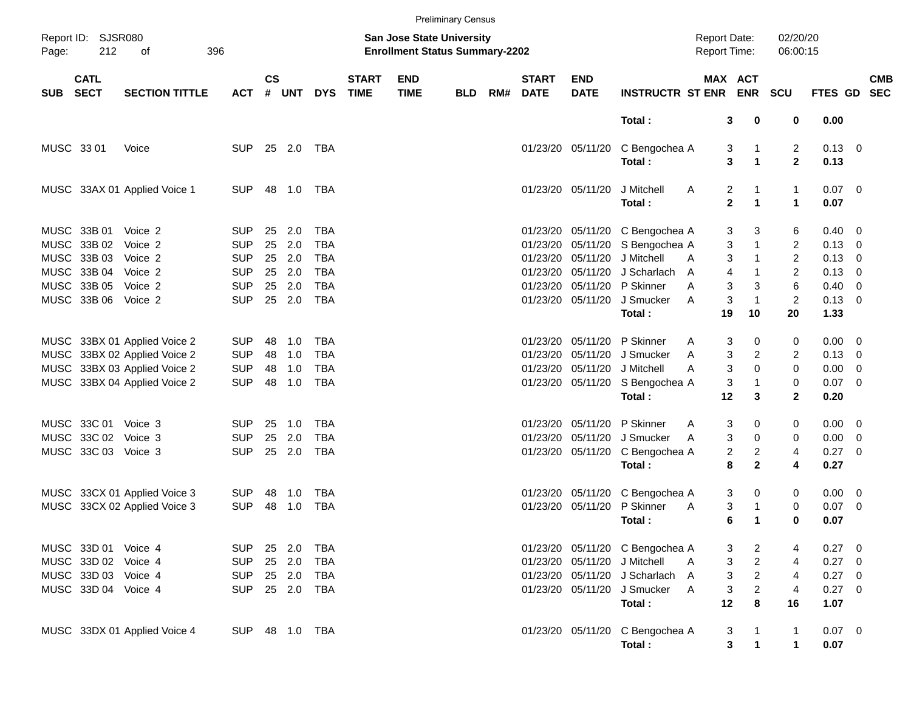|            |                            |                              |                |               |        |            |                             |                                                                           | <b>Preliminary Census</b> |     |                             |                           |                                 |                                     |                           |                      |                        |            |
|------------|----------------------------|------------------------------|----------------|---------------|--------|------------|-----------------------------|---------------------------------------------------------------------------|---------------------------|-----|-----------------------------|---------------------------|---------------------------------|-------------------------------------|---------------------------|----------------------|------------------------|------------|
| Page:      | Report ID: SJSR080<br>212  | οf                           | 396            |               |        |            |                             | <b>San Jose State University</b><br><b>Enrollment Status Summary-2202</b> |                           |     |                             |                           |                                 | <b>Report Date:</b><br>Report Time: |                           | 02/20/20<br>06:00:15 |                        |            |
| <b>SUB</b> | <b>CATL</b><br><b>SECT</b> | <b>SECTION TITTLE</b>        | <b>ACT</b>     | $\mathsf{cs}$ | # UNT  | <b>DYS</b> | <b>START</b><br><b>TIME</b> | <b>END</b><br><b>TIME</b>                                                 | <b>BLD</b>                | RM# | <b>START</b><br><b>DATE</b> | <b>END</b><br><b>DATE</b> | <b>INSTRUCTR ST ENR ENR</b>     |                                     | MAX ACT                   | <b>SCU</b>           | FTES GD SEC            | <b>CMB</b> |
|            |                            |                              |                |               |        |            |                             |                                                                           |                           |     |                             |                           | Total:                          | 3                                   | 0                         | 0                    | 0.00                   |            |
| MUSC 33 01 |                            | Voice                        | <b>SUP</b>     |               | 25 2.0 | TBA        |                             |                                                                           |                           |     |                             | 01/23/20 05/11/20         | C Bengochea A<br>Total:         | 3<br>3                              | 1<br>$\blacktriangleleft$ | 2<br>$\mathbf{2}$    | $0.13 \quad 0$<br>0.13 |            |
|            |                            | MUSC 33AX 01 Applied Voice 1 | <b>SUP</b>     |               | 48 1.0 | TBA        |                             |                                                                           |                           |     |                             | 01/23/20 05/11/20         | J Mitchell                      | 2<br>A                              |                           | 1                    | $0.07$ 0               |            |
|            |                            |                              |                |               |        |            |                             |                                                                           |                           |     |                             |                           | Total:                          | $\mathbf 2$                         | $\blacktriangleleft$      | $\mathbf{1}$         | 0.07                   |            |
|            | MUSC 33B 01                | Voice 2                      | <b>SUP</b>     | 25            | 2.0    | TBA        |                             |                                                                           |                           |     |                             |                           | 01/23/20 05/11/20 C Bengochea A | 3                                   | 3                         | 6                    | $0.40 \quad 0$         |            |
|            | MUSC 33B 02                | Voice 2                      | <b>SUP</b>     | 25            | 2.0    | <b>TBA</b> |                             |                                                                           |                           |     |                             |                           | 01/23/20 05/11/20 S Bengochea A | 3                                   | $\mathbf{1}$              | 2                    | $0.13 \ 0$             |            |
|            | MUSC 33B 03                | Voice 2                      | <b>SUP</b>     |               | 25 2.0 | <b>TBA</b> |                             |                                                                           |                           |     |                             |                           | 01/23/20 05/11/20 J Mitchell    | 3<br>A                              | 1                         | 2                    | $0.13 \quad 0$         |            |
|            | MUSC 33B 04                | Voice 2                      | <b>SUP</b>     | 25            | 2.0    | <b>TBA</b> |                             |                                                                           |                           |     |                             | 01/23/20 05/11/20         | J Scharlach                     | 4<br>A                              | 1                         | 2                    | $0.13 \quad 0$         |            |
|            | MUSC 33B 05                | Voice 2                      | <b>SUP</b>     | 25            | 2.0    | <b>TBA</b> |                             |                                                                           |                           |     |                             |                           | 01/23/20 05/11/20 P Skinner     | 3<br>A                              | 3                         | 6                    | $0.40 \quad 0$         |            |
|            | MUSC 33B 06                | Voice 2                      | <b>SUP</b>     |               | 25 2.0 | <b>TBA</b> |                             |                                                                           |                           |     |                             | 01/23/20 05/11/20         | J Smucker                       | 3<br>A                              | 1                         | $\overline{2}$       | $0.13 \quad 0$         |            |
|            |                            |                              |                |               |        |            |                             |                                                                           |                           |     |                             |                           | Total:                          | 19                                  | 10                        | 20                   | 1.33                   |            |
|            |                            | MUSC 33BX 01 Applied Voice 2 | <b>SUP</b>     | 48            | 1.0    | TBA        |                             |                                                                           |                           |     |                             |                           | 01/23/20 05/11/20 P Skinner     | 3<br>Α                              | 0                         | 0                    | $0.00 \t 0$            |            |
|            |                            | MUSC 33BX 02 Applied Voice 2 | <b>SUP</b>     | 48            | 1.0    | <b>TBA</b> |                             |                                                                           |                           |     |                             | 01/23/20 05/11/20         | J Smucker                       | 3<br>A                              | 2                         | 2                    | $0.13 \ 0$             |            |
|            |                            | MUSC 33BX 03 Applied Voice 2 | <b>SUP</b>     | 48            | 1.0    | <b>TBA</b> |                             |                                                                           |                           |     |                             |                           | 01/23/20 05/11/20 J Mitchell    | 3<br>A                              | 0                         | 0                    | $0.00 \t 0$            |            |
|            |                            | MUSC 33BX 04 Applied Voice 2 | <b>SUP</b>     | 48            | 1.0    | <b>TBA</b> |                             |                                                                           |                           |     |                             |                           | 01/23/20 05/11/20 S Bengochea A | 3                                   | 1                         | 0                    | $0.07$ 0               |            |
|            |                            |                              |                |               |        |            |                             |                                                                           |                           |     |                             |                           | Total:                          | 12                                  | 3                         | 2                    | 0.20                   |            |
|            | MUSC 33C 01                | Voice 3                      | <b>SUP</b>     | 25            | 1.0    | TBA        |                             |                                                                           |                           |     |                             |                           | 01/23/20 05/11/20 P Skinner     | 3<br>Α                              | 0                         | 0                    | $0.00 \t 0$            |            |
|            | MUSC 33C 02                | Voice 3                      | <b>SUP</b>     | 25            | 2.0    | <b>TBA</b> |                             |                                                                           |                           |     |                             | 01/23/20 05/11/20         | J Smucker                       | 3<br>A                              | 0                         | 0                    | $0.00 \t 0$            |            |
|            | MUSC 33C 03 Voice 3        |                              | <b>SUP</b>     |               | 25 2.0 | TBA        |                             |                                                                           |                           |     |                             |                           | 01/23/20 05/11/20 C Bengochea A |                                     | $\overline{c}$<br>2       | 4                    | $0.27$ 0               |            |
|            |                            |                              |                |               |        |            |                             |                                                                           |                           |     |                             |                           | Total:                          | 8                                   | $\mathbf{2}$              | 4                    | 0.27                   |            |
|            |                            | MUSC 33CX 01 Applied Voice 3 | <b>SUP</b>     | 48            | 1.0    | TBA        |                             |                                                                           |                           |     |                             |                           | 01/23/20 05/11/20 C Bengochea A | 3                                   | 0                         | 0                    | $0.00 \t 0$            |            |
|            |                            | MUSC 33CX 02 Applied Voice 3 | <b>SUP</b>     | 48            | 1.0    | <b>TBA</b> |                             |                                                                           |                           |     |                             | 01/23/20 05/11/20         | P Skinner                       | 3<br>A                              | 1                         | 0                    | $0.07$ 0               |            |
|            |                            |                              |                |               |        |            |                             |                                                                           |                           |     |                             |                           | Total:                          | 6                                   | 1                         | 0                    | 0.07                   |            |
|            | MUSC 33D 01 Voice 4        |                              | <b>SUP</b>     |               | 25 2.0 | TBA        |                             |                                                                           |                           |     |                             |                           | 01/23/20 05/11/20 C Bengochea A | 3                                   | 2                         | 4                    | $0.27 \quad 0$         |            |
|            | MUSC 33D 02 Voice 4        |                              | <b>SUP</b>     |               | 25 2.0 | TBA        |                             |                                                                           |                           |     |                             |                           | 01/23/20 05/11/20 J Mitchell    | 3<br>Α                              | $\overline{a}$            | 4                    | $0.27$ 0               |            |
|            | MUSC 33D 03 Voice 4        |                              | <b>SUP</b>     |               | 25 2.0 | TBA        |                             |                                                                           |                           |     |                             |                           | 01/23/20 05/11/20 J Scharlach   | 3<br>A                              | $\overline{a}$            | 4                    | $0.27$ 0               |            |
|            | MUSC 33D 04 Voice 4        |                              | <b>SUP</b>     |               | 25 2.0 | TBA        |                             |                                                                           |                           |     |                             |                           | 01/23/20 05/11/20 J Smucker     | 3<br>A                              | $\overline{a}$            | $\overline{4}$       | $0.27$ 0               |            |
|            |                            |                              |                |               |        |            |                             |                                                                           |                           |     |                             |                           | Total:                          | 12                                  | 8                         | 16                   | 1.07                   |            |
|            |                            | MUSC 33DX 01 Applied Voice 4 | SUP 48 1.0 TBA |               |        |            |                             |                                                                           |                           |     |                             |                           | 01/23/20 05/11/20 C Bengochea A | 3                                   |                           | $\mathbf{1}$         | $0.07$ 0               |            |
|            |                            |                              |                |               |        |            |                             |                                                                           |                           |     |                             |                           | Total:                          | 3                                   | 1                         | $\mathbf 1$          | 0.07                   |            |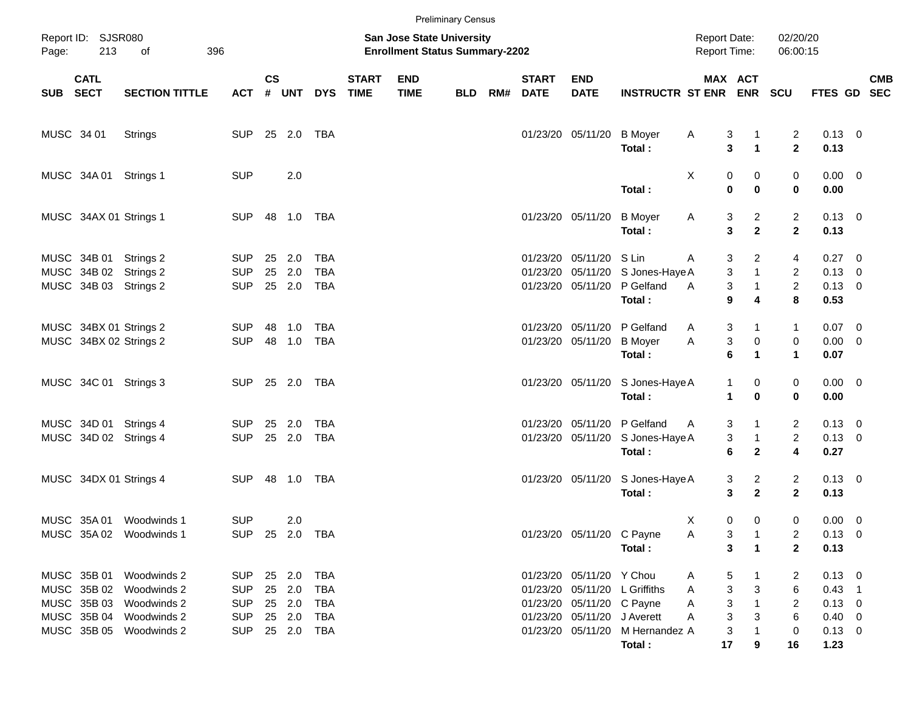|            |                            |                                                       |                                        |                |                                  |                                 |                             |                                                                    | <b>Preliminary Census</b> |     |                             |                                                       |                                                                           |                                            |                                   |                                  |                                              |            |
|------------|----------------------------|-------------------------------------------------------|----------------------------------------|----------------|----------------------------------|---------------------------------|-----------------------------|--------------------------------------------------------------------|---------------------------|-----|-----------------------------|-------------------------------------------------------|---------------------------------------------------------------------------|--------------------------------------------|-----------------------------------|----------------------------------|----------------------------------------------|------------|
| Page:      | Report ID: SJSR080<br>213  | 396<br>of                                             |                                        |                |                                  |                                 |                             | San Jose State University<br><b>Enrollment Status Summary-2202</b> |                           |     |                             |                                                       |                                                                           | <b>Report Date:</b><br><b>Report Time:</b> |                                   | 02/20/20<br>06:00:15             |                                              |            |
| SUB SECT   | <b>CATL</b>                | <b>SECTION TITTLE</b>                                 | <b>ACT</b>                             | <b>CS</b><br># | UNT                              | <b>DYS</b>                      | <b>START</b><br><b>TIME</b> | <b>END</b><br><b>TIME</b>                                          | <b>BLD</b>                | RM# | <b>START</b><br><b>DATE</b> | <b>END</b><br><b>DATE</b>                             | <b>INSTRUCTR ST ENR ENR</b>                                               |                                            | MAX ACT                           | <b>SCU</b>                       | FTES GD SEC                                  | <b>CMB</b> |
| MUSC 34 01 |                            | <b>Strings</b>                                        | <b>SUP</b>                             |                | 25 2.0                           | TBA                             |                             |                                                                    |                           |     |                             | 01/23/20 05/11/20                                     | <b>B</b> Moyer<br>Total:                                                  | Α<br>3<br>3                                | $\blacktriangleleft$              | $\overline{2}$<br>$\overline{2}$ | $0.13 \ 0$<br>0.13                           |            |
|            | MUSC 34A 01 Strings 1      |                                                       | <b>SUP</b>                             |                | 2.0                              |                                 |                             |                                                                    |                           |     |                             |                                                       | Total:                                                                    | Χ<br>0<br>$\bf{0}$                         | 0<br>0                            | 0<br>$\mathbf 0$                 | $0.00 \ 0$<br>0.00                           |            |
|            | MUSC 34AX 01 Strings 1     |                                                       | SUP                                    |                |                                  |                                 |                             |                                                                    |                           |     |                             | 01/23/20 05/11/20                                     | <b>B</b> Moyer<br>Total:                                                  | 3<br>A<br>3                                | $\overline{c}$<br>$\mathbf{2}$    | $\overline{a}$<br>$\mathbf{2}$   | $0.13 \quad 0$<br>0.13                       |            |
|            | MUSC 34B 01<br>MUSC 34B 02 | Strings 2<br>Strings 2<br>MUSC 34B 03 Strings 2       | <b>SUP</b><br><b>SUP</b><br><b>SUP</b> | 25<br>25       | 2.0<br>2.0<br>25 2.0             | TBA<br><b>TBA</b><br><b>TBA</b> |                             |                                                                    |                           |     |                             | 01/23/20 05/11/20 S Lin                               | 01/23/20 05/11/20 S Jones-Haye A<br>01/23/20 05/11/20 P Gelfand<br>Total: | 3<br>A<br>3<br>3<br>A<br>9                 | 2<br>$\mathbf{1}$<br>4            | 4<br>2<br>$\overline{c}$<br>8    | $0.27$ 0<br>$0.13 \ 0$<br>$0.13 \ 0$<br>0.53 |            |
|            |                            | MUSC 34BX 01 Strings 2<br>MUSC 34BX 02 Strings 2      | <b>SUP</b><br><b>SUP</b>               | 48             | 1.0<br>48 1.0                    | <b>TBA</b><br><b>TBA</b>        |                             |                                                                    |                           |     |                             | 01/23/20 05/11/20                                     | 01/23/20 05/11/20 P Gelfand<br><b>B</b> Moyer<br>Total:                   | 3<br>A<br>3<br>Α<br>6                      | 1<br>$\pmb{0}$<br>1               | $\mathbf{1}$<br>0<br>1           | $0.07 \ 0$<br>$0.00 \t 0$<br>0.07            |            |
|            |                            | MUSC 34C 01 Strings 3                                 | SUP 25 2.0 TBA                         |                |                                  |                                 |                             |                                                                    |                           |     |                             | 01/23/20 05/11/20                                     | S Jones-Haye A<br>Total:                                                  | 1<br>1                                     | 0<br>$\bf{0}$                     | 0<br>$\mathbf 0$                 | $0.00 \t 0$<br>0.00                          |            |
|            |                            | MUSC 34D 01 Strings 4<br>MUSC 34D 02 Strings 4        | <b>SUP</b><br><b>SUP</b>               |                | 25 2.0<br>25 2.0                 | TBA<br><b>TBA</b>               |                             |                                                                    |                           |     |                             | 01/23/20 05/11/20                                     | 01/23/20 05/11/20 P Gelfand<br>S Jones-Haye A<br>Total:                   | 3<br>A<br>3<br>6                           | 1<br>$\mathbf{1}$<br>$\mathbf{2}$ | 2<br>$\overline{c}$<br>4         | $0.13 \quad 0$<br>$0.13 \ 0$<br>0.27         |            |
|            |                            | MUSC 34DX 01 Strings 4                                | <b>SUP</b>                             |                |                                  | TBA                             |                             |                                                                    |                           |     |                             | 01/23/20 05/11/20                                     | S Jones-Haye A<br>Total:                                                  | 3<br>3                                     | $\mathbf{2}$<br>$\mathbf{2}$      | 2<br>$\mathbf{2}$                | $0.13 \ 0$<br>0.13                           |            |
|            | MUSC 35A 01                | Woodwinds 1<br>MUSC 35A 02 Woodwinds 1                | <b>SUP</b><br>SUP 25 2.0 TBA           |                | 2.0                              |                                 |                             |                                                                    |                           |     |                             | 01/23/20 05/11/20 C Payne                             | Total:                                                                    | 0<br>X<br>3<br>Α<br>3                      | 0<br>$\mathbf 1$                  | 0<br>2<br>$\mathbf{2}$           | $0.00 \t 0$<br>$0.13 \ 0$<br>0.13            |            |
|            | MUSC 35B 02<br>MUSC 35B 03 | MUSC 35B 01 Woodwinds 2<br>Woodwinds 2<br>Woodwinds 2 | <b>SUP</b><br><b>SUP</b><br><b>SUP</b> |                | 25  2.0  TBA<br>25 2.0<br>25 2.0 | TBA<br>TBA                      |                             |                                                                    |                           |     |                             | 01/23/20 05/11/20 Y Chou<br>01/23/20 05/11/20 C Payne | 01/23/20 05/11/20 L Griffiths                                             | 5<br>A<br>3<br>A<br>3<br>A                 | 3                                 | 2<br>6<br>2                      | $0.13 \ 0$<br>$0.43$ 1<br>$0.13 \ 0$         |            |
|            |                            | MUSC 35B 04 Woodwinds 2<br>MUSC 35B 05 Woodwinds 2    | <b>SUP</b><br><b>SUP</b>               |                | 25 2.0<br>25  2.0  TBA           | TBA                             |                             |                                                                    |                           |     |                             | 01/23/20 05/11/20 J Averett                           | 01/23/20 05/11/20 M Hernandez A<br>Total:                                 | 3<br>A<br>3<br>17                          | 3<br>9                            | 6<br>0<br>16                     | $0.40 \quad 0$<br>$0.13 \ 0$<br>1.23         |            |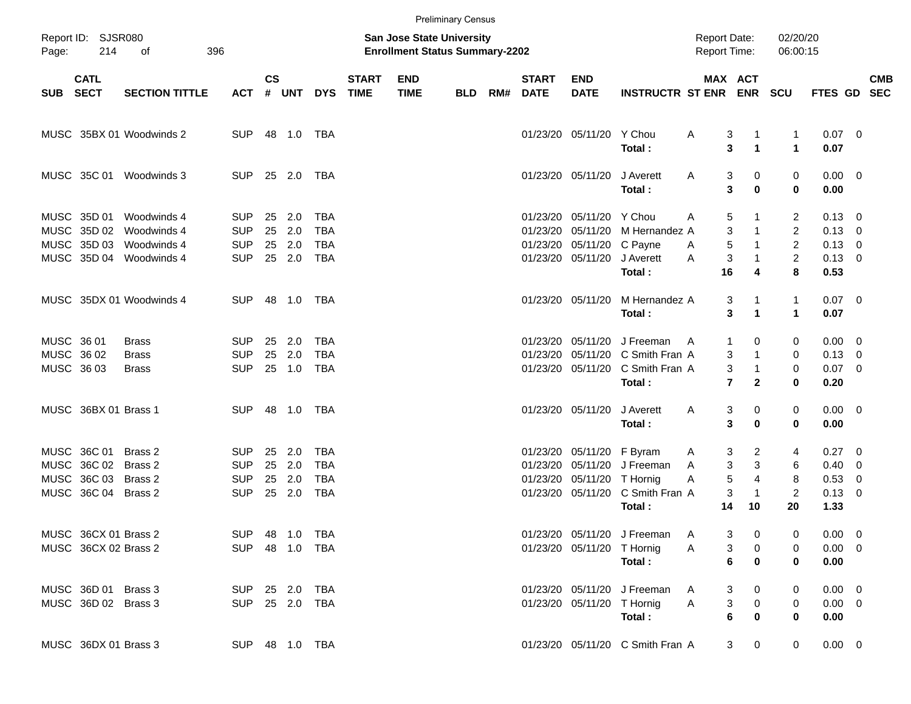|       |                                             |                                                                      |                                                      |                |                             |                                               |                             |                                                                           | <b>Preliminary Census</b> |     |                             |                                                                              |                                                                                             |                                            |                                                                          |                                                         |                                                              |                          |            |
|-------|---------------------------------------------|----------------------------------------------------------------------|------------------------------------------------------|----------------|-----------------------------|-----------------------------------------------|-----------------------------|---------------------------------------------------------------------------|---------------------------|-----|-----------------------------|------------------------------------------------------------------------------|---------------------------------------------------------------------------------------------|--------------------------------------------|--------------------------------------------------------------------------|---------------------------------------------------------|--------------------------------------------------------------|--------------------------|------------|
| Page: | Report ID: SJSR080<br>214                   | оf                                                                   | 396                                                  |                |                             |                                               |                             | <b>San Jose State University</b><br><b>Enrollment Status Summary-2202</b> |                           |     |                             |                                                                              |                                                                                             | <b>Report Date:</b><br><b>Report Time:</b> |                                                                          | 02/20/20<br>06:00:15                                    |                                                              |                          |            |
|       | <b>CATL</b><br>SUB SECT                     | <b>SECTION TITTLE</b>                                                | <b>ACT</b>                                           | <b>CS</b>      | # UNT                       | <b>DYS</b>                                    | <b>START</b><br><b>TIME</b> | <b>END</b><br><b>TIME</b>                                                 | BLD                       | RM# | <b>START</b><br><b>DATE</b> | <b>END</b><br><b>DATE</b>                                                    | <b>INSTRUCTR ST ENR ENR</b>                                                                 |                                            | <b>MAX ACT</b>                                                           | <b>SCU</b>                                              | FTES GD SEC                                                  |                          | <b>CMB</b> |
|       |                                             | MUSC 35BX 01 Woodwinds 2                                             | <b>SUP</b>                                           |                | 48  1.0  TBA                |                                               |                             |                                                                           |                           |     |                             | 01/23/20 05/11/20 Y Chou                                                     | Total:                                                                                      | A                                          | 3<br>1<br>3<br>$\blacktriangleleft$                                      | 1<br>$\blacktriangleleft$                               | $0.07$ 0<br>0.07                                             |                          |            |
|       |                                             | MUSC 35C 01 Woodwinds 3                                              | <b>SUP</b>                                           |                | 25 2.0                      | TBA                                           |                             |                                                                           |                           |     |                             | 01/23/20 05/11/20                                                            | J Averett<br>Total:                                                                         | A                                          | 3<br>0<br>3<br>$\bf{0}$                                                  | 0<br>0                                                  | $0.00 \t 0$<br>0.00                                          |                          |            |
|       | MUSC 35D 01<br>MUSC 35D 02<br>MUSC 35D 03   | Woodwinds 4<br>Woodwinds 4<br>Woodwinds 4<br>MUSC 35D 04 Woodwinds 4 | <b>SUP</b><br><b>SUP</b><br><b>SUP</b><br><b>SUP</b> | 25<br>25<br>25 | 2.0<br>2.0<br>2.0<br>25 2.0 | TBA<br><b>TBA</b><br><b>TBA</b><br><b>TBA</b> |                             |                                                                           |                           |     |                             | 01/23/20 05/11/20 Y Chou<br>01/23/20 05/11/20 C Payne<br>01/23/20 05/11/20   | 01/23/20 05/11/20 M Hernandez A<br>J Averett                                                | 5<br>A<br>$\sqrt{5}$<br>A<br>A             | 3<br>$\mathbf{1}$<br>$\mathbf{1}$<br>3                                   | 2<br>$\overline{2}$<br>$\overline{2}$<br>$\overline{c}$ | $0.13 \quad 0$<br>$0.13 \quad 0$<br>$0.13 \ 0$<br>$0.13 \ 0$ |                          |            |
|       |                                             | MUSC 35DX 01 Woodwinds 4                                             | <b>SUP</b>                                           |                | 48  1.0  TBA                |                                               |                             |                                                                           |                           |     |                             | 01/23/20 05/11/20                                                            | Total:<br>M Hernandez A                                                                     | 16                                         | 4<br>3                                                                   | 8<br>$\mathbf{1}$                                       | 0.53<br>$0.07$ 0                                             |                          |            |
|       | MUSC 36 01<br>MUSC 36 02<br>MUSC 36 03      | Brass<br><b>Brass</b><br><b>Brass</b>                                | <b>SUP</b><br><b>SUP</b><br><b>SUP</b>               | 25<br>25       | 2.0<br>2.0<br>25 1.0        | TBA<br><b>TBA</b><br>TBA                      |                             |                                                                           |                           |     |                             | 01/23/20 05/11/20                                                            | Total:<br>J Freeman<br>01/23/20 05/11/20 C Smith Fran A<br>01/23/20 05/11/20 C Smith Fran A | $\mathbf{1}$<br>A                          | 3<br>$\blacktriangleleft$<br>0<br>3<br>$\mathbf{1}$<br>3<br>$\mathbf{1}$ | $\mathbf{1}$<br>0<br>0<br>0                             | 0.07<br>$0.00 \quad 0$<br>$0.13 \ 0$<br>$0.07$ 0             |                          |            |
|       | MUSC 36BX 01 Brass 1                        |                                                                      | <b>SUP</b>                                           |                | 48  1.0  TBA                |                                               |                             |                                                                           |                           |     |                             | 01/23/20 05/11/20                                                            | Total:<br>J Averett<br>Total:                                                               | A                                          | $\overline{7}$<br>$\mathbf{2}$<br>3<br>0<br>3<br>$\bf{0}$                | 0<br>0<br>0                                             | 0.20<br>$0.00 \t 0$<br>0.00                                  |                          |            |
|       | MUSC 36C 01<br>MUSC 36C 02<br>MUSC 36C 03   | Brass 2<br>Brass 2<br>Brass 2                                        | <b>SUP</b><br><b>SUP</b><br><b>SUP</b>               | 25<br>25       | 2.0<br>25 2.0<br>2.0        | TBA<br><b>TBA</b><br><b>TBA</b>               |                             |                                                                           |                           |     |                             | 01/23/20 05/11/20 F Byram<br>01/23/20 05/11/20<br>01/23/20 05/11/20 T Hornig | J Freeman                                                                                   | A<br>A<br>$\sqrt{5}$<br>Α                  | 3<br>2<br>3<br>3<br>$\overline{4}$                                       | 4<br>6<br>8                                             | $0.27 \t 0$<br>$0.40 \quad 0$<br>0.53                        | $\overline{\phantom{0}}$ |            |
|       | MUSC 36C 04 Brass 2<br>MUSC 36CX 01 Brass 2 |                                                                      | <b>SUP</b>                                           |                | 25 2.0                      | <b>TBA</b><br>SUP 48 1.0 TBA                  |                             |                                                                           |                           |     |                             |                                                                              | 01/23/20 05/11/20 C Smith Fran A<br>Total:<br>01/23/20 05/11/20 J Freeman                   | 14<br>A                                    | 3<br>$\mathbf{1}$<br>10<br>3<br>0                                        | $\overline{2}$<br>20<br>0                               | $0.13 \ 0$<br>1.33<br>$0.00 \t 0$                            |                          |            |
|       | MUSC 36CX 02 Brass 2                        |                                                                      |                                                      |                |                             | SUP 48 1.0 TBA                                |                             |                                                                           |                           |     |                             | 01/23/20 05/11/20 T Hornig                                                   | Total:                                                                                      | A                                          | 3<br>$\boldsymbol{0}$<br>6<br>0                                          | 0<br>0                                                  | $0.00 \t 0$<br>0.00                                          |                          |            |
|       | MUSC 36D 01 Brass 3<br>MUSC 36D 02 Brass 3  |                                                                      | SUP 25 2.0 TBA<br>SUP 25 2.0 TBA                     |                |                             |                                               |                             |                                                                           |                           |     |                             | 01/23/20 05/11/20 T Hornig                                                   | 01/23/20 05/11/20 J Freeman<br>Total:                                                       | A<br>3<br>A<br>$\bf 6$                     | 0<br>3<br>$\pmb{0}$<br>$\bf{0}$                                          | 0<br>0<br>0                                             | $0.00 \t 0$<br>$0.00 \t 0$<br>0.00                           |                          |            |
|       | MUSC 36DX 01 Brass 3                        |                                                                      | SUP 48 1.0 TBA                                       |                |                             |                                               |                             |                                                                           |                           |     |                             |                                                                              | 01/23/20 05/11/20 C Smith Fran A                                                            |                                            | 3 <sup>7</sup><br>$\mathbf 0$                                            | $\mathbf 0$                                             | $0.00 \t 0$                                                  |                          |            |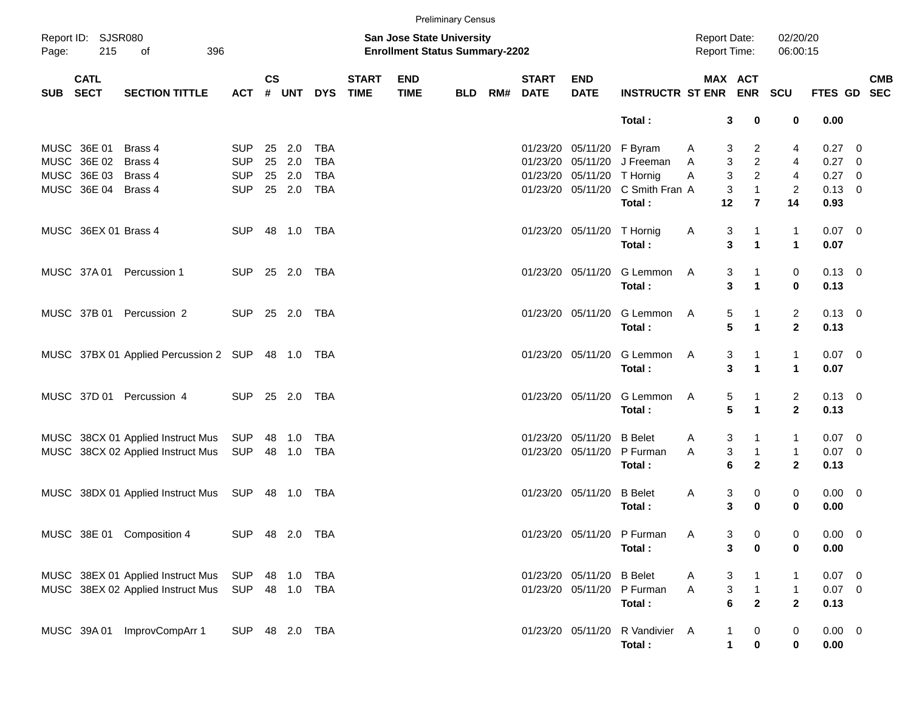|          |                           |                                                  |                |               |              |            |                             |                                                                    | <b>Preliminary Census</b> |                          |                            |                                  |                                     |                      |                      |                |            |
|----------|---------------------------|--------------------------------------------------|----------------|---------------|--------------|------------|-----------------------------|--------------------------------------------------------------------|---------------------------|--------------------------|----------------------------|----------------------------------|-------------------------------------|----------------------|----------------------|----------------|------------|
| Page:    | Report ID: SJSR080<br>215 | 396<br>оf                                        |                |               |              |            |                             | San Jose State University<br><b>Enrollment Status Summary-2202</b> |                           |                          |                            |                                  | <b>Report Date:</b><br>Report Time: |                      | 02/20/20<br>06:00:15 |                |            |
| SUB SECT | <b>CATL</b>               | <b>SECTION TITTLE</b>                            | <b>ACT</b>     | $\mathsf{cs}$ | # UNT        | <b>DYS</b> | <b>START</b><br><b>TIME</b> | <b>END</b><br><b>TIME</b>                                          | <b>BLD</b>                | <b>START</b><br>RM# DATE | <b>END</b><br><b>DATE</b>  | <b>INSTRUCTR ST ENR ENR</b>      | MAX ACT                             |                      | <b>SCU</b>           | FTES GD SEC    | <b>CMB</b> |
|          |                           |                                                  |                |               |              |            |                             |                                                                    |                           |                          |                            | Total:                           | 3                                   | 0                    | 0                    | 0.00           |            |
|          | MUSC 36E 01               | Brass 4                                          | <b>SUP</b>     |               | 25 2.0       | TBA        |                             |                                                                    |                           |                          | 01/23/20 05/11/20 F Byram  |                                  | 3<br>A                              | $\overline{2}$       | 4                    | $0.27 \quad 0$ |            |
|          | MUSC 36E 02               | Brass 4                                          | <b>SUP</b>     | 25            | 2.0          | <b>TBA</b> |                             |                                                                    |                           |                          |                            | 01/23/20 05/11/20 J Freeman      | 3<br>A                              | $\overline{a}$       | 4                    | 0.27 0         |            |
|          | MUSC 36E 03               | Brass 4                                          | <b>SUP</b>     |               | 25 2.0       | <b>TBA</b> |                             |                                                                    |                           |                          | 01/23/20 05/11/20 T Hornig |                                  | 3<br>Α                              | $\overline{a}$       | $\overline{4}$       | 0.27 0         |            |
|          | MUSC 36E 04 Brass 4       |                                                  | <b>SUP</b>     |               | 25 2.0       | TBA        |                             |                                                                    |                           |                          |                            | 01/23/20 05/11/20 C Smith Fran A | $\mathbf{3}$                        | $\mathbf{1}$         | $\overline{2}$       | $0.13 \ 0$     |            |
|          |                           |                                                  |                |               |              |            |                             |                                                                    |                           |                          |                            | Total:                           | 12                                  | $\overline{7}$       | 14                   | 0.93           |            |
|          | MUSC 36EX 01 Brass 4      |                                                  | <b>SUP</b>     |               | 48  1.0  TBA |            |                             |                                                                    |                           |                          | 01/23/20 05/11/20 T Hornig |                                  | 3<br>A                              |                      | $\mathbf{1}$         | $0.07$ 0       |            |
|          |                           |                                                  |                |               |              |            |                             |                                                                    |                           |                          |                            | Total:                           | 3                                   | $\blacktriangleleft$ | $\blacktriangleleft$ | 0.07           |            |
|          |                           | MUSC 37A 01 Percussion 1                         | SUP 25 2.0 TBA |               |              |            |                             |                                                                    |                           |                          |                            | 01/23/20 05/11/20 G Lemmon       | 3<br>A                              |                      | 0                    | $0.13 \quad 0$ |            |
|          |                           |                                                  |                |               |              |            |                             |                                                                    |                           |                          |                            | Total:                           | 3                                   | 1                    | $\bf{0}$             | 0.13           |            |
|          |                           | MUSC 37B 01 Percussion 2                         | SUP 25 2.0 TBA |               |              |            |                             |                                                                    |                           |                          |                            | 01/23/20 05/11/20 G Lemmon       | 5<br>A                              |                      | $\overline{2}$       | $0.13 \quad 0$ |            |
|          |                           |                                                  |                |               |              |            |                             |                                                                    |                           |                          |                            | Total:                           | 5                                   | 1                    | $\overline{2}$       | 0.13           |            |
|          |                           | MUSC 37BX 01 Applied Percussion 2 SUP 48 1.0 TBA |                |               |              |            |                             |                                                                    |                           |                          |                            | 01/23/20 05/11/20 G Lemmon       | 3<br>A                              |                      | $\mathbf{1}$         | $0.07$ 0       |            |
|          |                           |                                                  |                |               |              |            |                             |                                                                    |                           |                          |                            | Total:                           | 3                                   | $\blacktriangleleft$ | $\blacktriangleleft$ | 0.07           |            |
|          |                           | MUSC 37D 01 Percussion 4                         | SUP 25 2.0 TBA |               |              |            |                             |                                                                    |                           |                          | 01/23/20 05/11/20          | G Lemmon                         | 5<br>A                              |                      | $\overline{2}$       | $0.13 \ 0$     |            |
|          |                           |                                                  |                |               |              |            |                             |                                                                    |                           |                          |                            | Total:                           | 5                                   | $\blacktriangleleft$ | $\overline{2}$       | 0.13           |            |
|          |                           | MUSC 38CX 01 Applied Instruct Mus SUP            |                |               | 48 1.0       | TBA        |                             |                                                                    |                           |                          | 01/23/20 05/11/20          | <b>B</b> Belet                   | 3<br>A                              |                      | $\mathbf{1}$         | $0.07$ 0       |            |
|          |                           | MUSC 38CX 02 Applied Instruct Mus                | SUP            |               | 48 1.0       | TBA        |                             |                                                                    |                           |                          | 01/23/20 05/11/20          | P Furman                         | 3<br>A                              | $\mathbf{1}$         | $\mathbf{1}$         | $0.07$ 0       |            |
|          |                           |                                                  |                |               |              |            |                             |                                                                    |                           |                          |                            | Total:                           | 6                                   | $\overline{2}$       | $\overline{2}$       | 0.13           |            |
|          |                           | MUSC 38DX 01 Applied Instruct Mus SUP 48 1.0 TBA |                |               |              |            |                             |                                                                    |                           |                          | 01/23/20 05/11/20          | <b>B</b> Belet                   | 3<br>A                              | 0                    | 0                    | $0.00 \t 0$    |            |
|          |                           |                                                  |                |               |              |            |                             |                                                                    |                           |                          |                            | Total:                           | 3                                   | 0                    | 0                    | 0.00           |            |
|          |                           | MUSC 38E 01 Composition 4                        | SUP 48 2.0 TBA |               |              |            |                             |                                                                    |                           |                          |                            | 01/23/20 05/11/20 P Furman       | Α<br>3                              | 0                    | 0                    | $0.00 \t 0$    |            |
|          |                           |                                                  |                |               |              |            |                             |                                                                    |                           |                          |                            | Total:                           | 3                                   | 0                    | 0                    | 0.00           |            |
|          |                           | MUSC 38EX 01 Applied Instruct Mus                | <b>SUP</b>     |               | 48  1.0  TBA |            |                             |                                                                    |                           |                          | 01/23/20 05/11/20          | <b>B</b> Belet                   | 3<br>A                              |                      | -1                   | $0.07$ 0       |            |
|          |                           | MUSC 38EX 02 Applied Instruct Mus                | SUP 48 1.0 TBA |               |              |            |                             |                                                                    |                           |                          | 01/23/20 05/11/20          | P Furman                         | 3<br>Α                              | $\mathbf{1}$         | $\mathbf{1}$         | $0.07$ 0       |            |
|          |                           |                                                  |                |               |              |            |                             |                                                                    |                           |                          |                            | Total:                           | 6                                   | $\mathbf{2}$         | $\mathbf{2}$         | 0.13           |            |
|          |                           | MUSC 39A 01 ImprovCompArr 1                      | SUP 48 2.0 TBA |               |              |            |                             |                                                                    |                           |                          | 01/23/20 05/11/20          | R Vandivier A                    | 1                                   | $\boldsymbol{0}$     | 0                    | $0.00 \t 0$    |            |
|          |                           |                                                  |                |               |              |            |                             |                                                                    |                           |                          |                            | Total:                           | $\mathbf{1}$                        | $\pmb{0}$            | $\mathbf 0$          | 0.00           |            |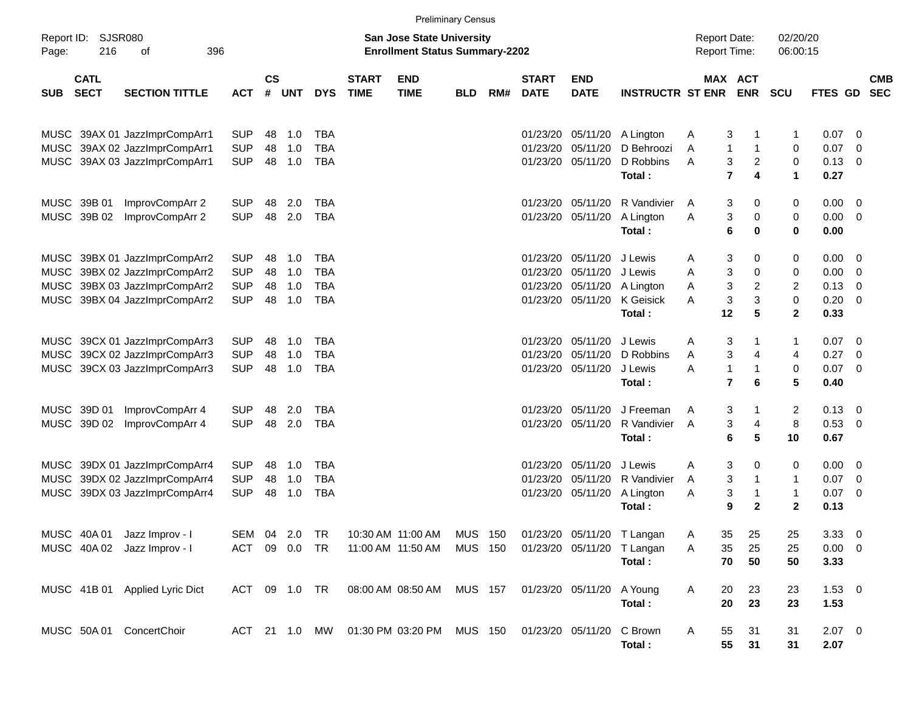|                                                            | <b>Preliminary Census</b>                                      |                          |                                                                           |               |                          |                             |                                        |                                  |     |                                   |                           |                                                          |                                               |                          |                        |                            |                                                      |
|------------------------------------------------------------|----------------------------------------------------------------|--------------------------|---------------------------------------------------------------------------|---------------|--------------------------|-----------------------------|----------------------------------------|----------------------------------|-----|-----------------------------------|---------------------------|----------------------------------------------------------|-----------------------------------------------|--------------------------|------------------------|----------------------------|------------------------------------------------------|
| Report ID:<br>SJSR080<br>216<br>396<br>Page:<br>оf         |                                                                |                          | <b>San Jose State University</b><br><b>Enrollment Status Summary-2202</b> |               |                          |                             |                                        |                                  |     |                                   |                           | <b>Report Date:</b><br><b>Report Time:</b>               |                                               | 02/20/20<br>06:00:15     |                        |                            |                                                      |
| <b>CATL</b><br><b>SECT</b><br><b>SUB</b>                   | <b>SECTION TITTLE</b>                                          | <b>ACT</b>               | <b>CS</b><br>#                                                            | <b>UNT</b>    | <b>DYS</b>               | <b>START</b><br><b>TIME</b> | <b>END</b><br><b>TIME</b>              | <b>BLD</b>                       | RM# | <b>START</b><br><b>DATE</b>       | <b>END</b><br><b>DATE</b> | <b>INSTRUCTR ST ENR</b>                                  |                                               | MAX ACT<br><b>ENR</b>    | <b>SCU</b>             | FTES GD                    | <b>CMB</b><br><b>SEC</b>                             |
|                                                            | MUSC 39AX 01 JazzImprCompArr1                                  | <b>SUP</b>               | 48                                                                        | 1.0           | <b>TBA</b>               |                             |                                        |                                  |     | 01/23/20                          | 05/11/20                  | A Lington                                                | 3<br>A                                        |                          | 1                      | $0.07$ 0                   |                                                      |
|                                                            | MUSC 39AX 02 JazzImprCompArr1<br>MUSC 39AX 03 JazzImprCompArr1 | <b>SUP</b><br><b>SUP</b> | 48<br>48                                                                  | 1.0<br>1.0    | <b>TBA</b><br><b>TBA</b> |                             |                                        |                                  |     | 01/23/20<br>01/23/20              | 05/11/20<br>05/11/20      | D Behroozi<br>D Robbins<br>Total:                        | $\mathbf{1}$<br>Α<br>3<br>Α<br>$\overline{7}$ | 1<br>2<br>4              | 0<br>$\mathbf 0$<br>1  | 0.07<br>0.13<br>0.27       | $\overline{\phantom{0}}$<br>$\overline{\phantom{0}}$ |
| MUSC 39B 01<br>MUSC 39B 02                                 | ImprovCompArr 2<br>ImprovCompArr 2                             | <b>SUP</b><br><b>SUP</b> | 48<br>48                                                                  | 2.0<br>2.0    | TBA<br><b>TBA</b>        |                             |                                        |                                  |     | 01/23/20<br>01/23/20              | 05/11/20<br>05/11/20      | R Vandivier<br>A Lington                                 | 3<br>A<br>Α                                   | 0<br>3<br>0              | 0<br>0                 | $0.00 \t 0$<br>$0.00 \t 0$ |                                                      |
|                                                            |                                                                |                          |                                                                           |               |                          |                             |                                        |                                  |     |                                   |                           | Total:                                                   | 6                                             | 0                        | 0                      | 0.00                       |                                                      |
|                                                            | MUSC 39BX 01 JazzImprCompArr2<br>MUSC 39BX 02 JazzImprCompArr2 | <b>SUP</b><br><b>SUP</b> | 48<br>48                                                                  | 1.0<br>1.0    | TBA<br><b>TBA</b>        |                             |                                        |                                  |     | 01/23/20<br>01/23/20              | 05/11/20<br>05/11/20      | J Lewis<br>J Lewis                                       | 3<br>Α<br>3<br>Α                              | 0<br>0                   | 0<br>0                 | $0.00 \ 0$<br>$0.00 \t 0$  |                                                      |
|                                                            | MUSC 39BX 03 JazzImprCompArr2<br>MUSC 39BX 04 JazzImprCompArr2 | <b>SUP</b><br><b>SUP</b> | 48<br>48                                                                  | 1.0<br>1.0    | <b>TBA</b><br><b>TBA</b> |                             |                                        |                                  |     | 01/23/20<br>01/23/20              | 05/11/20<br>05/11/20      | A Lington<br>K Geisick                                   | 3<br>Α<br>3<br>Α<br>12                        | $\overline{c}$<br>3<br>5 | 2<br>0<br>$\mathbf{2}$ | 0.13<br>$0.20 \ 0$         | $\overline{\mathbf{0}}$                              |
|                                                            | MUSC 39CX 01 JazzImprCompArr3                                  | <b>SUP</b>               | 48                                                                        | 1.0           | TBA                      |                             |                                        |                                  |     | 01/23/20                          | 05/11/20                  | Total:<br>J Lewis                                        | 3<br>A                                        |                          | 1                      | 0.33<br>$0.07$ 0           |                                                      |
|                                                            | MUSC 39CX 02 JazzImprCompArr3                                  | <b>SUP</b>               | 48                                                                        | 1.0           | <b>TBA</b>               |                             |                                        |                                  |     | 01/23/20                          | 05/11/20                  | D Robbins                                                | Α<br>$\mathbf{1}$                             | 3<br>4                   | 4                      | 0.27                       | $\overline{\mathbf{0}}$                              |
|                                                            | MUSC 39CX 03 JazzImprCompArr3                                  | <b>SUP</b>               | 48                                                                        | 1.0           | <b>TBA</b>               |                             |                                        |                                  |     | 01/23/20                          | 05/11/20                  | J Lewis<br>Total:                                        | Α<br>$\overline{7}$                           | 1<br>6                   | 0<br>5                 | 0.07<br>0.40               | $\overline{\phantom{0}}$                             |
| MUSC 39D 01<br>MUSC 39D 02                                 | ImprovCompArr 4<br>ImprovCompArr 4                             | <b>SUP</b><br><b>SUP</b> | 48<br>48                                                                  | 2.0<br>2.0    | TBA<br><b>TBA</b>        |                             |                                        |                                  |     | 01/23/20<br>01/23/20              | 05/11/20<br>05/11/20      | J Freeman<br>R Vandivier                                 | 3<br>Α<br>A                                   | 3<br>4                   | 2<br>8                 | $0.13 \quad 0$<br>0.53 0   |                                                      |
|                                                            |                                                                |                          |                                                                           |               |                          |                             |                                        |                                  |     |                                   |                           | Total:                                                   | 6                                             | 5                        | 10                     | 0.67                       |                                                      |
|                                                            | MUSC 39DX 01 JazzImprCompArr4<br>MUSC 39DX 02 JazzImprCompArr4 | <b>SUP</b><br><b>SUP</b> | 48<br>48                                                                  | 1.0<br>1.0    | TBA<br><b>TBA</b>        |                             |                                        |                                  |     | 01/23/20<br>01/23/20              | 05/11/20<br>05/11/20      | J Lewis<br>R Vandivier                                   | 3<br>Α<br>3<br>A                              | 0                        | 0<br>1                 | $0.00 \quad 0$<br>0.07     | $\overline{\mathbf{0}}$                              |
|                                                            | MUSC 39DX 03 JazzImprCompArr4                                  | <b>SUP</b>               | 48                                                                        | 1.0           | <b>TBA</b>               |                             |                                        |                                  |     | 01/23/20                          | 05/11/20                  | A Lington<br>Total:                                      | 3<br>A<br>9                                   | 1<br>$\mathbf{2}$        | 1<br>$\mathbf{2}$      | $0.07$ 0<br>0.13           |                                                      |
| MUSC 40A 01 Jazz Improv - I<br>MUSC 40A 02 Jazz Improv - I |                                                                | SEM 04 2.0               |                                                                           | ACT 09 0.0 TR | TR                       |                             | 10:30 AM 11:00 AM<br>11:00 AM 11:50 AM | <b>MUS 150</b><br><b>MUS 150</b> |     |                                   |                           | 01/23/20 05/11/20 T Langan<br>01/23/20 05/11/20 T Langan | Α<br>35<br>35<br>Α                            | 25<br>25                 | 25<br>25               | 3.3300<br>$0.00 \t 0$      |                                                      |
|                                                            |                                                                |                          |                                                                           |               |                          |                             |                                        |                                  |     |                                   |                           | Total:                                                   | 70                                            | 50                       | 50                     | 3.33                       |                                                      |
|                                                            | MUSC 41B 01 Applied Lyric Dict                                 | ACT 09 1.0 TR            |                                                                           |               |                          |                             | 08:00 AM 08:50 AM                      |                                  |     | MUS 157 01/23/20 05/11/20         |                           | A Young<br>Total:                                        | 20<br>A<br>20                                 | 23<br>23                 | 23<br>23               | $1.53 \t 0$<br>1.53        |                                                      |
| MUSC 50A 01 ConcertChoir                                   |                                                                |                          |                                                                           |               |                          |                             | ACT 21 1.0 MW 01:30 PM 03:20 PM        |                                  |     | MUS 150 01/23/20 05/11/20 C Brown |                           | Total:                                                   | 55<br>A                                       | 31<br>55<br>31           | 31<br>31               | $2.07$ 0<br>2.07           |                                                      |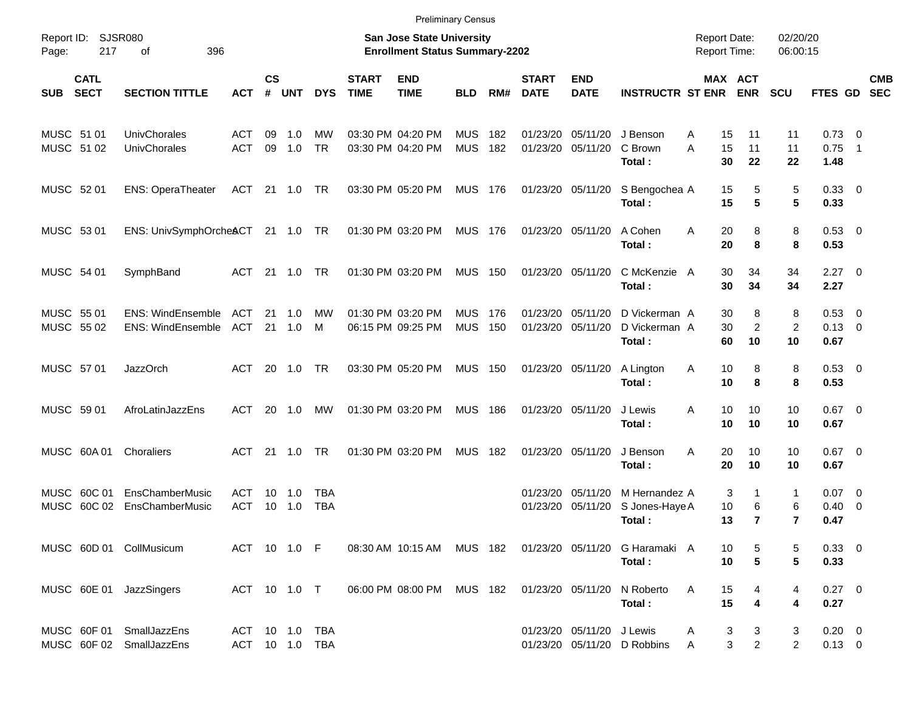|                                                           | <b>Preliminary Census</b>                      |                   |                                                                           |                          |                                  |                             |                                        |                          |              |                             |                           |                                                                    |        |                                      |                          |                                  |                          |            |
|-----------------------------------------------------------|------------------------------------------------|-------------------|---------------------------------------------------------------------------|--------------------------|----------------------------------|-----------------------------|----------------------------------------|--------------------------|--------------|-----------------------------|---------------------------|--------------------------------------------------------------------|--------|--------------------------------------|--------------------------|----------------------------------|--------------------------|------------|
| <b>SJSR080</b><br>Report ID:<br>217<br>396<br>Page:<br>оf |                                                |                   | <b>San Jose State University</b><br><b>Enrollment Status Summary-2202</b> |                          |                                  |                             |                                        |                          |              |                             |                           | <b>Report Date:</b><br><b>Report Time:</b>                         |        | 02/20/20<br>06:00:15                 |                          |                                  |                          |            |
| <b>CATL</b><br><b>SECT</b><br><b>SUB</b>                  | <b>SECTION TITTLE</b>                          | <b>ACT</b>        | $\mathsf{cs}$<br>#                                                        | <b>UNT</b>               | <b>DYS</b>                       | <b>START</b><br><b>TIME</b> | <b>END</b><br><b>TIME</b>              | <b>BLD</b>               | RM#          | <b>START</b><br><b>DATE</b> | <b>END</b><br><b>DATE</b> | <b>INSTRUCTR ST ENR</b>                                            |        | <b>MAX ACT</b><br><b>ENR</b>         | <b>SCU</b>               | FTES GD SEC                      |                          | <b>CMB</b> |
| MUSC 51 01<br>MUSC 51 02                                  | UnivChorales<br>UnivChorales                   | ACT<br><b>ACT</b> | 09<br>09                                                                  | 1.0<br>1.0               | MW<br><b>TR</b>                  |                             | 03:30 PM 04:20 PM<br>03:30 PM 04:20 PM | MUS<br><b>MUS</b>        | 182<br>182   | 01/23/20<br>01/23/20        | 05/11/20                  | 05/11/20 J Benson<br>C Brown<br>Total:                             | A<br>A | 15<br>11<br>15<br>11<br>30<br>22     | 11<br>11<br>22           | $0.73 \quad 0$<br>0.75<br>1.48   | $\overline{\phantom{1}}$ |            |
| MUSC 52 01                                                | <b>ENS: OperaTheater</b>                       | ACT               |                                                                           | 21 1.0                   | TR                               |                             | 03:30 PM 05:20 PM                      | <b>MUS 176</b>           |              |                             | 01/23/20 05/11/20         | S Bengochea A<br>Total:                                            |        | 5<br>15<br>15<br>5                   | 5<br>5                   | 0.33 0<br>0.33                   |                          |            |
| MUSC 53 01                                                | ENS: UnivSymphOrche&CT 21 1.0 TR               |                   |                                                                           |                          |                                  |                             | 01:30 PM 03:20 PM                      | <b>MUS 176</b>           |              |                             | 01/23/20 05/11/20         | A Cohen<br>Total:                                                  | Α      | 8<br>20<br>20<br>8                   | 8<br>8                   | $0.53$ 0<br>0.53                 |                          |            |
| MUSC 54 01                                                | SymphBand                                      | ACT               |                                                                           | 21 1.0                   | TR                               |                             | 01:30 PM 03:20 PM                      | <b>MUS 150</b>           |              |                             | 01/23/20 05/11/20         | C McKenzie A<br>Total:                                             |        | 34<br>30<br>30<br>34                 | 34<br>34                 | $2.27 \t 0$<br>2.27              |                          |            |
| MUSC 55 01<br>MUSC 55 02                                  | ENS: WindEnsemble ACT<br>ENS: WindEnsemble ACT |                   |                                                                           | $21 \quad 1.0$<br>21 1.0 | МW<br>M                          |                             | 01:30 PM 03:20 PM<br>06:15 PM 09:25 PM | <b>MUS</b><br><b>MUS</b> | - 176<br>150 | 01/23/20<br>01/23/20        | 05/11/20<br>05/11/20      | D Vickerman A<br>D Vickerman A<br>Total:                           |        | 8<br>30<br>30<br>2<br>60<br>10       | 8<br>2<br>10             | 0.53 0<br>$0.13 \quad 0$<br>0.67 |                          |            |
| MUSC 57 01                                                | <b>JazzOrch</b>                                | ACT               |                                                                           | 20 1.0                   | TR                               |                             | 03:30 PM 05:20 PM                      | <b>MUS 150</b>           |              |                             | 01/23/20 05/11/20         | A Lington<br>Total:                                                | Α      | 8<br>10<br>10<br>8                   | 8<br>8                   | $0.53$ 0<br>0.53                 |                          |            |
| MUSC 59 01                                                | AfroLatinJazzEns                               | ACT               |                                                                           | 20 1.0                   | MW                               |                             | 01:30 PM 03:20 PM                      | <b>MUS 186</b>           |              |                             | 01/23/20 05/11/20         | J Lewis<br>Total:                                                  | Α      | 10<br>10<br>10<br>10                 | 10<br>10                 | $0.67$ 0<br>0.67                 |                          |            |
| MUSC 60A 01                                               | Choraliers                                     | ACT               |                                                                           | $21 \t 1.0$              | TR                               |                             | 01:30 PM 03:20 PM                      | MUS                      | 182          |                             | 01/23/20 05/11/20         | J Benson<br>Total:                                                 | A      | 10<br>20<br>20<br>10                 | 10<br>10                 | $0.67$ 0<br>0.67                 |                          |            |
| MUSC 60C 01<br>MUSC                                       | EnsChamberMusic<br>60C 02<br>EnsChamberMusic   | ACT<br><b>ACT</b> | 10 <sup>1</sup>                                                           | 10 1.0<br>1.0            | TBA<br><b>TBA</b>                |                             |                                        |                          |              | 01/23/20<br>01/23/20        | 05/11/20<br>05/11/20      | M Hernandez A<br>S Jones-Haye A<br>Total:                          |        | 3<br>6<br>10<br>$\overline{7}$<br>13 | 1<br>6<br>$\overline{7}$ | $0.07 \quad 0$<br>0.40<br>0.47   | $\overline{\phantom{0}}$ |            |
|                                                           | MUSC 60D 01 CollMusicum                        |                   |                                                                           | ACT 10 1.0 F             |                                  |                             |                                        |                          |              |                             |                           | 08:30 AM 10:15 AM MUS 182 01/23/20 05/11/20 G Haramaki A<br>Total: |        | 5<br>10<br>$5\phantom{.0}$<br>10     | 5<br>5                   | $0.33 \ 0$<br>0.33               |                          |            |
|                                                           | MUSC 60E 01 JazzSingers                        |                   |                                                                           | ACT 10 1.0 T             |                                  |                             | 06:00 PM 08:00 PM                      | MUS 182                  |              |                             |                           | 01/23/20 05/11/20 N Roberto<br>Total:                              | A      | 15<br>4<br>15<br>4                   | 4<br>4                   | $0.27$ 0<br>0.27                 |                          |            |
| MUSC 60F 01                                               | SmallJazzEns<br>MUSC 60F 02 SmallJazzEns       |                   |                                                                           |                          | ACT 10 1.0 TBA<br>ACT 10 1.0 TBA |                             |                                        |                          |              |                             | 01/23/20 05/11/20 J Lewis | 01/23/20 05/11/20 D Robbins                                        | A<br>A | 3<br>3<br>3<br>$\overline{2}$        | 3<br>$\overline{2}$      | $0.20 \ 0$<br>$0.13 \ 0$         |                          |            |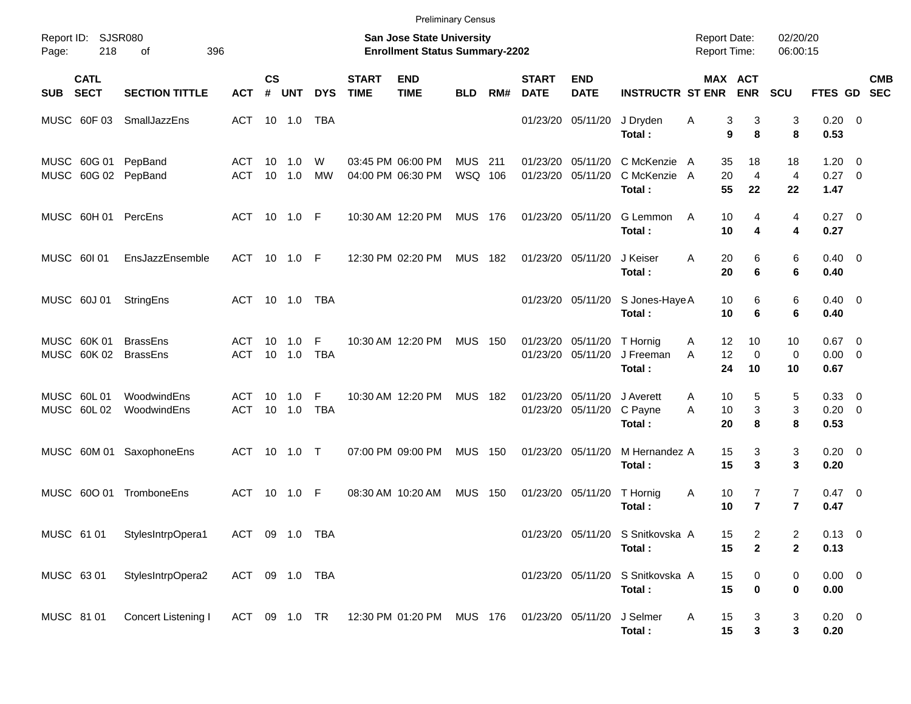|            |                            |                                            |                   |                    |               |                 |                             | <b>Preliminary Census</b>                                          |                           |     |                             |                                        |                                            |        |                                             |                                  |                                    |            |
|------------|----------------------------|--------------------------------------------|-------------------|--------------------|---------------|-----------------|-----------------------------|--------------------------------------------------------------------|---------------------------|-----|-----------------------------|----------------------------------------|--------------------------------------------|--------|---------------------------------------------|----------------------------------|------------------------------------|------------|
| Page:      | Report ID: SJSR080<br>218  | 396<br>οf                                  |                   |                    |               |                 |                             | San Jose State University<br><b>Enrollment Status Summary-2202</b> |                           |     |                             |                                        |                                            |        | <b>Report Date:</b><br><b>Report Time:</b>  | 02/20/20<br>06:00:15             |                                    |            |
| <b>SUB</b> | <b>CATL</b><br><b>SECT</b> | <b>SECTION TITTLE</b>                      | <b>ACT</b>        | $\mathsf{cs}$<br># | <b>UNT</b>    | <b>DYS</b>      | <b>START</b><br><b>TIME</b> | <b>END</b><br><b>TIME</b>                                          | <b>BLD</b>                | RM# | <b>START</b><br><b>DATE</b> | <b>END</b><br><b>DATE</b>              | <b>INSTRUCTR ST ENR</b>                    |        | <b>MAX ACT</b><br><b>ENR</b>                | <b>SCU</b>                       | FTES GD SEC                        | <b>CMB</b> |
|            | MUSC 60F 03                | SmallJazzEns                               | ACT 10 1.0        |                    |               | TBA             |                             |                                                                    |                           |     |                             | 01/23/20 05/11/20                      | J Dryden<br>Total:                         | Α      | 3<br>3<br>9<br>8                            | 3<br>8                           | $0.20 \ 0$<br>0.53                 |            |
|            |                            | MUSC 60G 01 PepBand<br>MUSC 60G 02 PepBand | ACT<br><b>ACT</b> | 10                 | 1.0<br>10 1.0 | W<br><b>MW</b>  |                             | 03:45 PM 06:00 PM<br>04:00 PM 06:30 PM                             | <b>MUS</b> 211<br>WSQ 106 |     |                             | 01/23/20 05/11/20<br>01/23/20 05/11/20 | C McKenzie A<br>C McKenzie A<br>Total:     |        | 35<br>18<br>20<br>4<br>55<br>22             | 18<br>$\overline{4}$<br>22       | $1.20 \t 0$<br>$0.27 \t 0$<br>1.47 |            |
|            |                            | MUSC 60H 01 PercEns                        | ACT 10 1.0 F      |                    |               |                 |                             | 10:30 AM 12:20 PM                                                  | <b>MUS 176</b>            |     |                             | 01/23/20 05/11/20                      | G Lemmon<br>Total:                         | A      | 10<br>4<br>10<br>4                          | 4<br>4                           | $0.27 \ 0$<br>0.27                 |            |
|            | MUSC 601 01                | EnsJazzEnsemble                            | ACT 10 1.0 F      |                    |               |                 |                             | 12:30 PM 02:20 PM                                                  | <b>MUS 182</b>            |     |                             | 01/23/20 05/11/20                      | J Keiser<br>Total:                         | A      | 6<br>20<br>20<br>6                          | 6<br>6                           | $0.40 \quad 0$<br>0.40             |            |
|            | MUSC 60J 01                | StringEns                                  | ACT 10 1.0        |                    |               | <b>TBA</b>      |                             |                                                                    |                           |     |                             | 01/23/20 05/11/20                      | S Jones-Haye A<br>Total:                   |        | 10<br>6<br>10<br>6                          | 6<br>6                           | $0.40 \quad 0$<br>0.40             |            |
|            | MUSC 60K 01<br>MUSC 60K 02 | <b>BrassEns</b><br><b>BrassEns</b>         | ACT<br><b>ACT</b> | 10                 | 1.0<br>10 1.0 | F<br><b>TBA</b> |                             | 10:30 AM 12:20 PM                                                  | <b>MUS 150</b>            |     |                             | 01/23/20 05/11/20<br>01/23/20 05/11/20 | T Hornig<br>J Freeman<br>Total:            | A<br>A | 12<br>10<br>12<br>$\mathbf 0$<br>24<br>10   | 10<br>0<br>10                    | $0.67$ 0<br>$0.00 \t 0$<br>0.67    |            |
|            | MUSC 60L01<br>MUSC 60L02   | WoodwindEns<br>WoodwindEns                 | ACT<br><b>ACT</b> | 10                 | 1.0<br>10 1.0 | F<br><b>TBA</b> |                             | 10:30 AM 12:20 PM                                                  | <b>MUS</b>                | 182 |                             | 01/23/20 05/11/20<br>01/23/20 05/11/20 | J Averett<br>C Payne<br>Total:             | A<br>A | 10<br>5<br>3<br>10<br>8<br>20               | 5<br>3<br>8                      | 0.33 0<br>$0.20 \ 0$<br>0.53       |            |
|            |                            | MUSC 60M 01 SaxophoneEns                   | ACT 10 1.0 T      |                    |               |                 |                             | 07:00 PM 09:00 PM                                                  | <b>MUS 150</b>            |     |                             | 01/23/20 05/11/20                      | M Hernandez A<br>Total:                    |        | 15<br>3<br>15<br>3                          | 3<br>3                           | $0.20 \ 0$<br>0.20                 |            |
|            | MUSC 600 01                | TromboneEns                                | ACT 10 1.0 F      |                    |               |                 |                             | 08:30 AM 10:20 AM                                                  | <b>MUS 150</b>            |     |                             | 01/23/20 05/11/20                      | T Hornig<br>Total:                         | A      | 7<br>10<br>$\overline{7}$<br>10             | $\overline{7}$<br>$\overline{7}$ | $0.47 \quad 0$<br>0.47             |            |
| MUSC 61 01 |                            | StylesIntrpOpera1                          | ACT 09 1.0 TBA    |                    |               |                 |                             |                                                                    |                           |     |                             |                                        | 01/23/20 05/11/20 S Snitkovska A<br>Total: |        | $\overline{c}$<br>15<br>15<br>$\mathbf 2$   | 2<br>$\mathbf{2}$                | $0.13 \ 0$<br>0.13                 |            |
| MUSC 63 01 |                            | StylesIntrpOpera2                          | ACT 09 1.0 TBA    |                    |               |                 |                             |                                                                    |                           |     |                             |                                        | 01/23/20 05/11/20 S Snitkovska A<br>Total: |        | 15<br>$\boldsymbol{0}$<br>15<br>$\mathbf 0$ | 0<br>0                           | $0.00 \t 0$<br>0.00                |            |
| MUSC 81 01 |                            | Concert Listening I                        |                   |                    |               |                 |                             | ACT 09 1.0 TR 12:30 PM 01:20 PM MUS 176 01/23/20 05/11/20          |                           |     |                             |                                        | J Selmer<br>Total:                         | A      | 15<br>3<br>${\bf 3}$<br>15                  | 3<br>3                           | $0.20 \ 0$<br>0.20                 |            |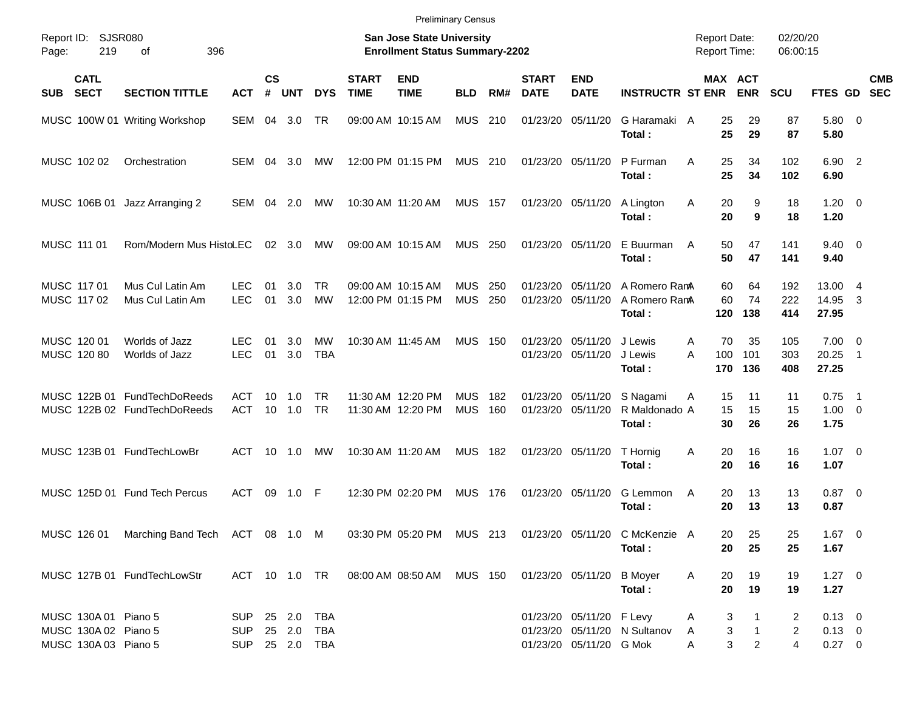|  | <b>Preliminary Census</b> |  |
|--|---------------------------|--|
|  |                           |  |

| Report ID:<br>Page: | 219                                                                  | SJSR080<br>396<br>οf                                         |                                            |                   |                  |                   |                             | <b>San Jose State University</b><br><b>Enrollment Status Summary-2202</b> |                          |            |                                        |                                                     |                                          | <b>Report Date:</b><br><b>Report Time:</b> |                                                    | 02/20/20<br>06:00:15     |                                         |                          |                          |
|---------------------|----------------------------------------------------------------------|--------------------------------------------------------------|--------------------------------------------|-------------------|------------------|-------------------|-----------------------------|---------------------------------------------------------------------------|--------------------------|------------|----------------------------------------|-----------------------------------------------------|------------------------------------------|--------------------------------------------|----------------------------------------------------|--------------------------|-----------------------------------------|--------------------------|--------------------------|
| <b>SUB</b>          | <b>CATL</b><br><b>SECT</b>                                           | <b>SECTION TITTLE</b>                                        | <b>ACT</b>                                 | <b>CS</b><br>$\#$ | <b>UNT</b>       | <b>DYS</b>        | <b>START</b><br><b>TIME</b> | <b>END</b><br><b>TIME</b>                                                 | <b>BLD</b>               | RM#        | <b>START</b><br><b>DATE</b>            | <b>END</b><br><b>DATE</b>                           | <b>INSTRUCTR ST ENR</b>                  |                                            | MAX ACT<br><b>ENR</b>                              | <b>SCU</b>               | <b>FTES GD</b>                          |                          | <b>CMB</b><br><b>SEC</b> |
|                     |                                                                      | MUSC 100W 01 Writing Workshop                                | SEM 04                                     |                   | 3.0              | TR                |                             | 09:00 AM 10:15 AM                                                         | <b>MUS</b>               | 210        | 01/23/20 05/11/20                      |                                                     | G Haramaki A<br>Total:                   |                                            | 25<br>29<br>25<br>29                               | 87<br>87                 | 5.80 0<br>5.80                          |                          |                          |
|                     | MUSC 102 02                                                          | Orchestration                                                | SEM 04 3.0                                 |                   |                  | MW                |                             | 12:00 PM 01:15 PM                                                         | <b>MUS 210</b>           |            | 01/23/20 05/11/20                      |                                                     | P Furman<br>Total:                       | A                                          | 25<br>34<br>25<br>34                               | 102<br>102               | 6.90 2<br>6.90                          |                          |                          |
|                     | MUSC 106B 01                                                         | Jazz Arranging 2                                             | SEM 04                                     |                   | 2.0              | MW                |                             | 10:30 AM 11:20 AM                                                         | <b>MUS 157</b>           |            |                                        | 01/23/20 05/11/20                                   | A Lington<br>Total:                      | 20<br>A                                    | 9<br>20<br>9                                       | 18<br>18                 | $1.20 \t 0$<br>1.20                     |                          |                          |
|                     | MUSC 111 01                                                          | Rom/Modern Mus HistoLEC                                      |                                            |                   | $02 \quad 3.0$   | MW                |                             | 09:00 AM 10:15 AM                                                         | <b>MUS 250</b>           |            |                                        | 01/23/20 05/11/20                                   | E Buurman<br>Total:                      | A                                          | 47<br>50<br>50<br>47                               | 141<br>141               | $9.40 \quad 0$<br>9.40                  |                          |                          |
|                     | MUSC 117 01<br>MUSC 117 02                                           | Mus Cul Latin Am<br>Mus Cul Latin Am                         | <b>LEC</b><br><b>LEC</b>                   | 01<br>01          | 3.0<br>3.0       | TR<br><b>MW</b>   |                             | 09:00 AM 10:15 AM<br>12:00 PM 01:15 PM                                    | <b>MUS</b><br><b>MUS</b> | 250<br>250 | 01/23/20 05/11/20                      | 01/23/20 05/11/20                                   | A Romero Rana<br>A Romero RanA<br>Total: | 60<br>120                                  | 60<br>64<br>74<br>138                              | 192<br>222<br>414        | 13.00 4<br>14.95<br>27.95               | -3                       |                          |
|                     | MUSC 120 01<br>MUSC 120 80                                           | Worlds of Jazz<br>Worlds of Jazz                             | <b>LEC</b><br><b>LEC</b>                   | 01<br>01          | 3.0<br>3.0       | MW<br><b>TBA</b>  |                             | 10:30 AM 11:45 AM                                                         | <b>MUS</b>               | 150        |                                        | 01/23/20 05/11/20<br>01/23/20 05/11/20              | J Lewis<br>J Lewis<br>Total:             | A<br>A<br>100<br>170                       | 70<br>35<br>101<br>136                             | 105<br>303<br>408        | $7.00 \t 0$<br>20.25<br>27.25           | $\overline{\phantom{1}}$ |                          |
|                     |                                                                      | MUSC 122B 01 FundTechDoReeds<br>MUSC 122B 02 FundTechDoReeds | ACT<br><b>ACT</b>                          | 10<br>10          | 1.0<br>1.0       | TR<br>TR          |                             | 11:30 AM 12:20 PM<br>11:30 AM 12:20 PM                                    | <b>MUS</b><br><b>MUS</b> | 182<br>160 | 01/23/20 05/11/20<br>01/23/20 05/11/20 |                                                     | S Nagami<br>R Maldonado A<br>Total:      | A<br>15<br>30                              | 11<br>15<br>15<br>26                               | 11<br>15<br>26           | 0.75<br>$1.00 \t 0$<br>1.75             | $\overline{\phantom{1}}$ |                          |
|                     |                                                                      | MUSC 123B 01 FundTechLowBr                                   | ACT                                        | 10                | 1.0              | MW                |                             | 10:30 AM 11:20 AM                                                         | <b>MUS</b>               | 182        | 01/23/20 05/11/20                      |                                                     | T Hornig<br>Total:                       | Α<br>20                                    | 20<br>16<br>16                                     | 16<br>16                 | $1.07 \t 0$<br>1.07                     |                          |                          |
|                     |                                                                      | MUSC 125D 01 Fund Tech Percus                                | <b>ACT</b>                                 | 09                | 1.0              | -F                |                             | 12:30 PM 02:20 PM                                                         | <b>MUS</b>               | 176        | 01/23/20 05/11/20                      |                                                     | G Lemmon<br>Total:                       | A                                          | 20<br>13<br>20<br>13                               | 13<br>13                 | $0.87$ 0<br>0.87                        |                          |                          |
|                     | MUSC 126 01                                                          | Marching Band Tech ACT 08 1.0                                |                                            |                   |                  | M                 |                             | 03:30 PM 05:20 PM                                                         | MUS 213                  |            |                                        |                                                     | 01/23/20 05/11/20 C McKenzie A<br>Total: |                                            | 20<br>25<br>20<br>25                               | 25<br>25                 | $1.67$ 0<br>1.67                        |                          |                          |
|                     |                                                                      | MUSC 127B 01 FundTechLowStr                                  |                                            |                   |                  |                   |                             | ACT 10 1.0 TR  08:00 AM  08:50 AM  MUS  150                               |                          |            | 01/23/20 05/11/20 B Moyer              |                                                     | Total:                                   | A<br>20                                    | 19<br>20<br>19                                     | 19<br>19                 | $1.27 \t 0$<br>1.27                     |                          |                          |
|                     | MUSC 130A 01 Piano 5<br>MUSC 130A 02 Piano 5<br>MUSC 130A 03 Piano 5 |                                                              | <b>SUP</b><br><b>SUP</b><br>SUP 25 2.0 TBA |                   | 25 2.0<br>25 2.0 | <b>TBA</b><br>TBA |                             |                                                                           |                          |            |                                        | 01/23/20 05/11/20 F Levy<br>01/23/20 05/11/20 G Mok | 01/23/20 05/11/20 N Sultanov             | A<br>A<br>Α                                | 3<br>1<br>3<br>$\mathbf{1}$<br>3<br>$\overline{2}$ | 2<br>$\overline{2}$<br>4 | $0.13 \ 0$<br>$0.13 \ 0$<br>$0.27 \t 0$ |                          |                          |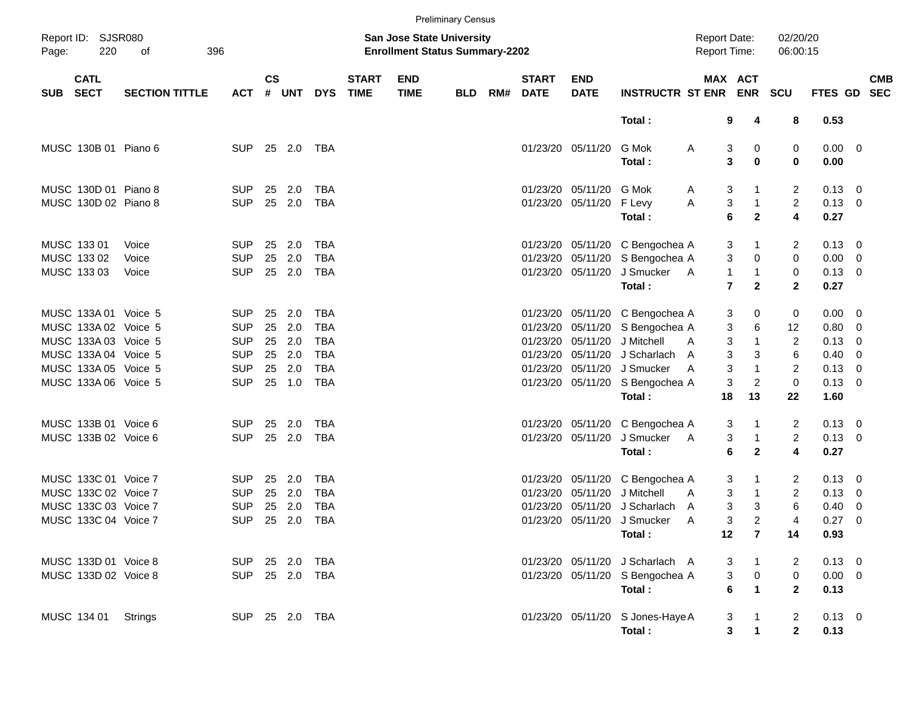|            |                            |                       |                          |           |                |                   |                             |                                                                           | <b>Preliminary Census</b> |     |                             |                           |                                                                    |                                       |                              |                      |                               |                          |            |
|------------|----------------------------|-----------------------|--------------------------|-----------|----------------|-------------------|-----------------------------|---------------------------------------------------------------------------|---------------------------|-----|-----------------------------|---------------------------|--------------------------------------------------------------------|---------------------------------------|------------------------------|----------------------|-------------------------------|--------------------------|------------|
| Page:      | Report ID: SJSR080<br>220  | 396<br>оf             |                          |           |                |                   |                             | <b>San Jose State University</b><br><b>Enrollment Status Summary-2202</b> |                           |     |                             |                           |                                                                    | <b>Report Date:</b><br>Report Time:   |                              | 02/20/20<br>06:00:15 |                               |                          |            |
| <b>SUB</b> | <b>CATL</b><br><b>SECT</b> | <b>SECTION TITTLE</b> | <b>ACT</b>               | <b>CS</b> | # UNT          | <b>DYS</b>        | <b>START</b><br><b>TIME</b> | <b>END</b><br><b>TIME</b>                                                 | <b>BLD</b>                | RM# | <b>START</b><br><b>DATE</b> | <b>END</b><br><b>DATE</b> | <b>INSTRUCTR ST ENR</b>                                            | <b>MAX ACT</b>                        | <b>ENR</b>                   | <b>SCU</b>           | FTES GD SEC                   |                          | <b>CMB</b> |
|            |                            |                       |                          |           |                |                   |                             |                                                                           |                           |     |                             |                           | Total:                                                             | 9                                     | 4                            | 8                    | 0.53                          |                          |            |
|            | MUSC 130B 01 Piano 6       |                       | <b>SUP</b>               |           | 25 2.0         | TBA               |                             |                                                                           |                           |     |                             | 01/23/20 05/11/20         | G Mok<br>Total:                                                    | 3<br>A<br>3                           | 0<br>$\bf{0}$                | 0<br>0               | $0.00 \t 0$<br>0.00           |                          |            |
|            | MUSC 130D 01 Piano 8       |                       | <b>SUP</b>               | 25        | 2.0            | TBA               |                             |                                                                           |                           |     |                             | 01/23/20 05/11/20 G Mok   |                                                                    | 3<br>A                                | 1                            | 2                    | $0.13 \quad 0$                |                          |            |
|            | MUSC 130D 02 Piano 8       |                       | <b>SUP</b>               |           | 25 2.0         | <b>TBA</b>        |                             |                                                                           |                           |     |                             | 01/23/20 05/11/20         | F Levy<br>Total:                                                   | 3<br>Α<br>6                           | $\mathbf{1}$<br>$\mathbf{2}$ | $\overline{c}$<br>4  | $0.13 \ 0$<br>0.27            |                          |            |
|            | MUSC 133 01<br>MUSC 133 02 | Voice<br>Voice        | <b>SUP</b><br><b>SUP</b> | 25<br>25  | 2.0<br>2.0     | TBA<br><b>TBA</b> |                             |                                                                           |                           |     |                             |                           | 01/23/20 05/11/20 C Bengochea A<br>01/23/20 05/11/20 S Bengochea A | 3<br>3                                | 0                            | 2<br>0               | $0.13 \quad 0$<br>$0.00 \t 0$ |                          |            |
|            | MUSC 133 03                | Voice                 | <b>SUP</b>               |           | 25 2.0         | <b>TBA</b>        |                             |                                                                           |                           |     |                             | 01/23/20 05/11/20         | J Smucker<br>Total:                                                | $\mathbf{1}$<br>- A<br>$\overline{7}$ | $\mathbf{1}$<br>$\mathbf{2}$ | 0<br>$\mathbf{2}$    | $0.13 \ 0$<br>0.27            |                          |            |
|            | MUSC 133A 01 Voice 5       |                       | <b>SUP</b>               | 25        | 2.0            | TBA               |                             |                                                                           |                           |     |                             |                           | 01/23/20 05/11/20 C Bengochea A                                    | 3                                     | 0                            | 0                    | $0.00 \t 0$                   |                          |            |
|            | MUSC 133A 02 Voice 5       |                       | <b>SUP</b>               | 25        | 2.0            | <b>TBA</b>        |                             |                                                                           |                           |     |                             |                           | 01/23/20 05/11/20 S Bengochea A                                    | 3                                     | 6                            | 12                   | $0.80 \ 0$                    |                          |            |
|            | MUSC 133A 03 Voice 5       |                       | <b>SUP</b>               | 25        | 2.0            | <b>TBA</b>        |                             |                                                                           |                           |     |                             | 01/23/20 05/11/20         | J Mitchell                                                         | 3<br>A                                | $\mathbf{1}$                 | $\overline{2}$       | 0.13                          | $\overline{\mathbf{0}}$  |            |
|            | MUSC 133A 04 Voice 5       |                       | <b>SUP</b>               | 25        | 2.0            | <b>TBA</b>        |                             |                                                                           |                           |     |                             |                           | 01/23/20 05/11/20 J Scharlach                                      | 3<br>A                                | 3                            | 6                    | 0.40                          | $\overline{\phantom{0}}$ |            |
|            | MUSC 133A 05 Voice 5       |                       | <b>SUP</b>               | 25        | 2.0            | <b>TBA</b>        |                             |                                                                           |                           |     |                             |                           | 01/23/20 05/11/20 J Smucker                                        | 3<br>A                                | $\mathbf{1}$                 | $\overline{2}$       | $0.13 \ 0$                    |                          |            |
|            | MUSC 133A 06 Voice 5       |                       | <b>SUP</b>               |           | 25 1.0         | <b>TBA</b>        |                             |                                                                           |                           |     |                             |                           | 01/23/20 05/11/20 S Bengochea A                                    | 3                                     | $\overline{c}$               | 0                    | $0.13 \ 0$                    |                          |            |
|            |                            |                       |                          |           |                |                   |                             |                                                                           |                           |     |                             |                           | Total:                                                             | 18                                    | 13                           | 22                   | 1.60                          |                          |            |
|            | MUSC 133B 01 Voice 6       |                       | <b>SUP</b>               | 25        | 2.0            | TBA               |                             |                                                                           |                           |     |                             |                           | 01/23/20 05/11/20 C Bengochea A                                    | 3                                     | 1                            | 2                    | $0.13 \quad 0$                |                          |            |
|            | MUSC 133B 02 Voice 6       |                       | <b>SUP</b>               |           | 25 2.0         | <b>TBA</b>        |                             |                                                                           |                           |     |                             | 01/23/20 05/11/20         | J Smucker                                                          | 3<br>A                                | $\mathbf{1}$                 | $\overline{c}$       | $0.13 \ 0$                    |                          |            |
|            |                            |                       |                          |           |                |                   |                             |                                                                           |                           |     |                             |                           | Total:                                                             | 6                                     | $\mathbf{2}$                 | 4                    | 0.27                          |                          |            |
|            | MUSC 133C 01 Voice 7       |                       | <b>SUP</b>               | 25        | 2.0            | <b>TBA</b>        |                             |                                                                           |                           |     |                             |                           | 01/23/20 05/11/20 C Bengochea A                                    | 3                                     |                              | 2                    | $0.13 \quad 0$                |                          |            |
|            | MUSC 133C 02 Voice 7       |                       | <b>SUP</b>               | 25        | 2.0            | <b>TBA</b>        |                             |                                                                           |                           |     |                             |                           | 01/23/20 05/11/20 J Mitchell                                       | 3<br>A                                | $\mathbf{1}$                 | $\overline{2}$       | 0.13                          | $\overline{\mathbf{0}}$  |            |
|            | MUSC 133C 03 Voice 7       |                       | <b>SUP</b>               | 25        | 2.0            | <b>TBA</b>        |                             |                                                                           |                           |     |                             | 01/23/20 05/11/20         | J Scharlach                                                        | 3<br>A                                | 3                            | 6                    | 0.40                          | 0                        |            |
|            | MUSC 133C 04 Voice 7       |                       | <b>SUP</b>               |           | 25 2.0         | <b>TBA</b>        |                             |                                                                           |                           |     |                             |                           | 01/23/20 05/11/20 J Smucker                                        | 3<br>Α                                | $\overline{2}$               | 4                    | 0.27                          | $\overline{\mathbf{0}}$  |            |
|            |                            |                       |                          |           |                |                   |                             |                                                                           |                           |     |                             |                           | Total:                                                             | 12                                    | $\overline{7}$               | 14                   | 0.93                          |                          |            |
|            | MUSC 133D 01 Voice 8       |                       | <b>SUP</b>               |           | 25 2.0         | TBA               |                             |                                                                           |                           |     |                             |                           | 01/23/20 05/11/20 J Scharlach A                                    | 3                                     |                              | 2                    | $0.13 \ 0$                    |                          |            |
|            | MUSC 133D 02 Voice 8       |                       | <b>SUP</b>               |           | 25  2.0  TBA   |                   |                             |                                                                           |                           |     |                             |                           | 01/23/20 05/11/20 S Bengochea A                                    | 3                                     | $\mathbf 0$                  | 0                    | $0.00 \t 0$                   |                          |            |
|            |                            |                       |                          |           |                |                   |                             |                                                                           |                           |     |                             |                           | Total:                                                             | 6                                     | $\mathbf{1}$                 | $\overline{2}$       | 0.13                          |                          |            |
|            | MUSC 134 01                | <b>Strings</b>        |                          |           | SUP 25 2.0 TBA |                   |                             |                                                                           |                           |     |                             |                           | 01/23/20 05/11/20 S Jones-Haye A                                   |                                       | 3                            | $\overline{2}$       | $0.13 \ 0$                    |                          |            |
|            |                            |                       |                          |           |                |                   |                             |                                                                           |                           |     |                             |                           | Total:                                                             |                                       | $\mathbf{3}$                 | $\mathbf{2}$         | 0.13                          |                          |            |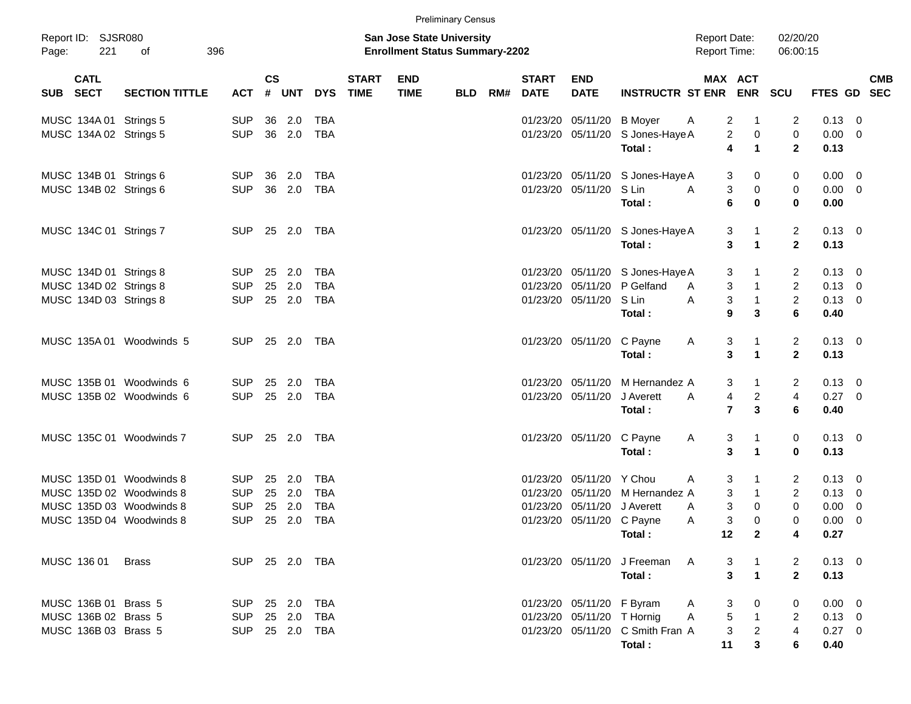|          |                           |                          |            |           |                |            |                             |                                                                           | <b>Preliminary Census</b> |     |                             |                            |                                            |                                            |                                                     |                                  |                        |                          |
|----------|---------------------------|--------------------------|------------|-----------|----------------|------------|-----------------------------|---------------------------------------------------------------------------|---------------------------|-----|-----------------------------|----------------------------|--------------------------------------------|--------------------------------------------|-----------------------------------------------------|----------------------------------|------------------------|--------------------------|
| Page:    | Report ID: SJSR080<br>221 | 396<br>of                |            |           |                |            |                             | <b>San Jose State University</b><br><b>Enrollment Status Summary-2202</b> |                           |     |                             |                            |                                            | <b>Report Date:</b><br><b>Report Time:</b> |                                                     | 02/20/20<br>06:00:15             |                        |                          |
| SUB SECT | <b>CATL</b>               | <b>SECTION TITTLE</b>    | <b>ACT</b> | <b>CS</b> | # UNT          | <b>DYS</b> | <b>START</b><br><b>TIME</b> | <b>END</b><br><b>TIME</b>                                                 | <b>BLD</b>                | RM# | <b>START</b><br><b>DATE</b> | <b>END</b><br><b>DATE</b>  | <b>INSTRUCTR ST ENR</b>                    |                                            | MAX ACT<br><b>ENR</b>                               | SCU                              | FTES GD                | <b>CMB</b><br><b>SEC</b> |
|          | MUSC 134A 01 Strings 5    |                          | <b>SUP</b> | 36        | 2.0            | <b>TBA</b> |                             |                                                                           |                           |     | 01/23/20                    | 05/11/20                   | <b>B</b> Moyer                             | A                                          | 2<br>$\mathbf 1$                                    | 2                                | $0.13 \ 0$             |                          |
|          | MUSC 134A 02 Strings 5    |                          | <b>SUP</b> | 36        | 2.0            | <b>TBA</b> |                             |                                                                           |                           |     |                             | 01/23/20 05/11/20          | S Jones-Haye A<br>Total:                   | 4                                          | $\overline{c}$<br>$\pmb{0}$<br>$\blacktriangleleft$ | 0<br>$\mathbf{2}$                | $0.00 \t 0$<br>0.13    |                          |
|          | MUSC 134B 01 Strings 6    |                          | SUP.       | 36        | 2.0            | <b>TBA</b> |                             |                                                                           |                           |     | 01/23/20                    | 05/11/20                   | S Jones-Haye A                             | 3                                          | 0                                                   | 0                                | $0.00 \t 0$            |                          |
|          | MUSC 134B 02 Strings 6    |                          | <b>SUP</b> | 36        | 2.0            | <b>TBA</b> |                             |                                                                           |                           |     | 01/23/20                    | 05/11/20                   | S Lin<br>Total:                            | 3<br>A<br>6                                | $\pmb{0}$<br>$\bf{0}$                               | 0<br>$\mathbf 0$                 | $0.00 \t 0$<br>0.00    |                          |
|          | MUSC 134C 01 Strings 7    |                          | <b>SUP</b> |           | 25 2.0         | TBA        |                             |                                                                           |                           |     |                             |                            | 01/23/20 05/11/20 S Jones-Haye A<br>Total: |                                            | 3<br>$\mathbf 1$<br>3<br>$\blacktriangleleft$       | 2<br>$\mathbf{2}$                | $0.13 \quad 0$<br>0.13 |                          |
|          | MUSC 134D 01 Strings 8    |                          | <b>SUP</b> | 25        | 2.0            | <b>TBA</b> |                             |                                                                           |                           |     | 01/23/20                    | 05/11/20                   | S Jones-Haye A                             | 3                                          | 1                                                   | 2                                | $0.13 \quad 0$         |                          |
|          | MUSC 134D 02 Strings 8    |                          | <b>SUP</b> | 25        | 2.0            | <b>TBA</b> |                             |                                                                           |                           |     | 01/23/20                    | 05/11/20                   | P Gelfand                                  | 3<br>A                                     | $\mathbf{1}$                                        | $\overline{c}$                   | $0.13 \ 0$             |                          |
|          | MUSC 134D 03 Strings 8    |                          | <b>SUP</b> |           | 25 2.0         | <b>TBA</b> |                             |                                                                           |                           |     |                             | 01/23/20 05/11/20          | S Lin                                      | A<br>3                                     | $\mathbf{1}$                                        | $\overline{c}$                   | $0.13 \ 0$             |                          |
|          |                           |                          |            |           |                |            |                             |                                                                           |                           |     |                             |                            | Total :                                    | 9                                          | 3                                                   | 6                                | 0.40                   |                          |
|          |                           | MUSC 135A 01 Woodwinds 5 | <b>SUP</b> | 25        | 2.0            | TBA        |                             |                                                                           |                           |     |                             | 01/23/20 05/11/20          | C Payne<br>Total:                          | 3<br>A                                     | $\mathbf 1$<br>3<br>$\mathbf{1}$                    | $\overline{c}$<br>$\overline{2}$ | $0.13 \ 0$<br>0.13     |                          |
|          |                           |                          |            |           |                |            |                             |                                                                           |                           |     |                             |                            |                                            |                                            |                                                     |                                  |                        |                          |
|          |                           | MUSC 135B 01 Woodwinds 6 | <b>SUP</b> | 25        | 2.0            | <b>TBA</b> |                             |                                                                           |                           |     | 01/23/20                    | 05/11/20                   | M Hernandez A                              | 3                                          | $\mathbf{1}$                                        | 2                                | $0.13 \ 0$             |                          |
|          |                           | MUSC 135B 02 Woodwinds 6 | <b>SUP</b> | 25        | 2.0            | <b>TBA</b> |                             |                                                                           |                           |     | 01/23/20                    | 05/11/20                   | J Averett                                  | 4<br>A                                     | $\overline{\mathbf{c}}$                             | 4                                | $0.27$ 0               |                          |
|          |                           |                          |            |           |                |            |                             |                                                                           |                           |     |                             |                            | Total:                                     |                                            | $\overline{7}$<br>$\mathbf{3}$                      | 6                                | 0.40                   |                          |
|          |                           | MUSC 135C 01 Woodwinds 7 | <b>SUP</b> | 25        | 2.0            | TBA        |                             |                                                                           |                           |     |                             | 01/23/20 05/11/20          | C Payne                                    | 3<br>A                                     | 1                                                   | 0                                | $0.13 \ 0$             |                          |
|          |                           |                          |            |           |                |            |                             |                                                                           |                           |     |                             |                            | Total:                                     |                                            | 3<br>$\blacktriangleleft$                           | $\bf{0}$                         | 0.13                   |                          |
|          |                           | MUSC 135D 01 Woodwinds 8 | <b>SUP</b> | 25        | 2.0            | <b>TBA</b> |                             |                                                                           |                           |     | 01/23/20                    | 05/11/20                   | Y Chou                                     | 3<br>A                                     | $\mathbf 1$                                         | 2                                | $0.13 \ 0$             |                          |
|          |                           | MUSC 135D 02 Woodwinds 8 | <b>SUP</b> | 25        | 2.0            | <b>TBA</b> |                             |                                                                           |                           |     | 01/23/20                    | 05/11/20                   | M Hernandez A                              | 3                                          | $\mathbf{1}$                                        | $\overline{c}$                   | 0.13                   | $\overline{\phantom{0}}$ |
|          |                           | MUSC 135D 03 Woodwinds 8 | <b>SUP</b> | 25        | 2.0            | <b>TBA</b> |                             |                                                                           |                           |     | 01/23/20                    | 05/11/20                   | J Averett                                  | 3<br>A                                     | $\pmb{0}$                                           | 0                                | 0.00                   | $\overline{\phantom{0}}$ |
|          |                           | MUSC 135D 04 Woodwinds 8 | <b>SUP</b> |           | 25 2.0         | <b>TBA</b> |                             |                                                                           |                           |     |                             | 01/23/20 05/11/20 C Payne  |                                            | 3<br>A                                     | $\mathbf 0$                                         | $\Omega$                         | 0.00                   | $\overline{0}$           |
|          |                           |                          |            |           |                |            |                             |                                                                           |                           |     |                             |                            | Total:                                     | 12                                         | $\mathbf{2}$                                        | 4                                | 0.27                   |                          |
|          | MUSC 136 01               | <b>Brass</b>             |            |           | SUP 25 2.0 TBA |            |                             |                                                                           |                           |     |                             |                            | 01/23/20 05/11/20 J Freeman                | - A                                        | 3<br>$\overline{\phantom{1}}$                       | 2                                | $0.13 \ 0$             |                          |
|          |                           |                          |            |           |                |            |                             |                                                                           |                           |     |                             |                            | Total:                                     |                                            | 3<br>$\mathbf{1}$                                   | $\overline{2}$                   | 0.13                   |                          |
|          | MUSC 136B 01 Brass 5      |                          | SUP        |           | 25 2.0         | <b>TBA</b> |                             |                                                                           |                           |     |                             | 01/23/20 05/11/20 F Byram  |                                            | A                                          | $\boldsymbol{0}$<br>3                               | 0                                | $0.00 \t 0$            |                          |
|          | MUSC 136B 02 Brass 5      |                          | SUP        |           | 25 2.0         | <b>TBA</b> |                             |                                                                           |                           |     |                             | 01/23/20 05/11/20 T Hornig |                                            | A<br>5                                     | $\overline{\phantom{1}}$                            | 2                                | $0.13 \ 0$             |                          |
|          | MUSC 136B 03 Brass 5      |                          | SUP 25 2.0 |           |                | TBA        |                             |                                                                           |                           |     |                             |                            | 01/23/20 05/11/20 C Smith Fran A<br>Total: | 11                                         | $\overline{2}$<br>3<br>3                            | 4<br>6                           | $0.27$ 0<br>0.40       |                          |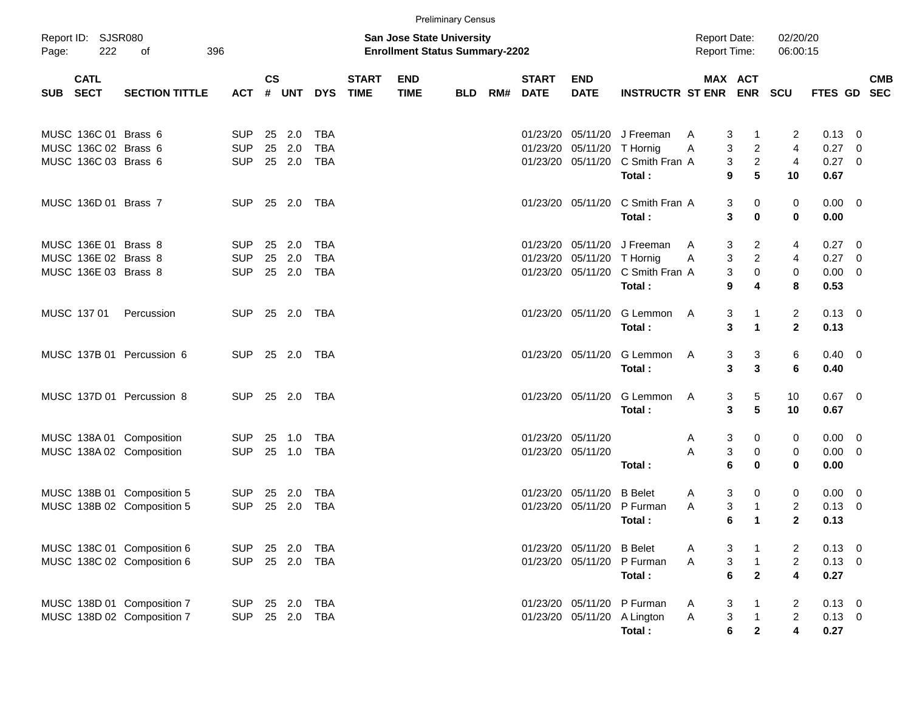|          |                                                                      |                                                          |                                        |                    |                         |                                        |                             |                                                                           | <b>Preliminary Census</b> |     |                                        |                                           |                                                   |        |                                     |                                                 |                                     |                                  |                                                           |                          |
|----------|----------------------------------------------------------------------|----------------------------------------------------------|----------------------------------------|--------------------|-------------------------|----------------------------------------|-----------------------------|---------------------------------------------------------------------------|---------------------------|-----|----------------------------------------|-------------------------------------------|---------------------------------------------------|--------|-------------------------------------|-------------------------------------------------|-------------------------------------|----------------------------------|-----------------------------------------------------------|--------------------------|
| Page:    | Report ID: SJSR080<br>222                                            | 396<br>οf                                                |                                        |                    |                         |                                        |                             | <b>San Jose State University</b><br><b>Enrollment Status Summary-2202</b> |                           |     |                                        |                                           |                                                   |        |                                     | <b>Report Date:</b><br><b>Report Time:</b>      | 02/20/20<br>06:00:15                |                                  |                                                           |                          |
| SUB SECT | <b>CATL</b>                                                          | <b>SECTION TITTLE</b>                                    | <b>ACT</b>                             | $\mathsf{cs}$<br># | <b>UNT</b>              | <b>DYS</b>                             | <b>START</b><br><b>TIME</b> | <b>END</b><br><b>TIME</b>                                                 | <b>BLD</b>                | RM# | <b>START</b><br><b>DATE</b>            | <b>END</b><br><b>DATE</b>                 | <b>INSTRUCTR ST ENR</b>                           |        |                                     | MAX ACT<br><b>ENR</b>                           | <b>SCU</b>                          | FTES GD                          |                                                           | <b>CMB</b><br><b>SEC</b> |
|          | MUSC 136C 01 Brass 6<br>MUSC 136C 02 Brass 6<br>MUSC 136C 03 Brass 6 |                                                          | <b>SUP</b><br><b>SUP</b><br><b>SUP</b> | 25                 | 25 2.0<br>2.0<br>25 2.0 | <b>TBA</b><br><b>TBA</b><br><b>TBA</b> |                             |                                                                           |                           |     | 01/23/20<br>01/23/20                   | 05/11/20<br>05/11/20<br>01/23/20 05/11/20 | J Freeman<br>T Hornig<br>C Smith Fran A           | A<br>Α | 3<br>3<br>3                         | $\mathbf 1$<br>$\overline{c}$<br>$\overline{2}$ | 2<br>4<br>4                         | 0.13<br>0.27<br>0.27             | - 0<br>$\overline{\mathbf{0}}$<br>$\overline{\mathbf{0}}$ |                          |
|          | MUSC 136D 01 Brass 7                                                 |                                                          | <b>SUP</b>                             |                    | 25 2.0                  | TBA                                    |                             |                                                                           |                           |     |                                        | 01/23/20 05/11/20                         | Total:<br>C Smith Fran A<br>Total:                |        | 9<br>3<br>3                         | 5<br>0<br>0                                     | 10<br>0<br>$\bf{0}$                 | 0.67<br>$0.00 \t 0$<br>0.00      |                                                           |                          |
|          | MUSC 136E 01 Brass 8<br>MUSC 136E 02 Brass 8<br>MUSC 136E 03 Brass 8 |                                                          | <b>SUP</b><br><b>SUP</b><br><b>SUP</b> | 25<br>25           | 2.0<br>2.0<br>25 2.0    | <b>TBA</b><br><b>TBA</b><br><b>TBA</b> |                             |                                                                           |                           |     | 01/23/20<br>01/23/20                   | 05/11/20<br>05/11/20<br>01/23/20 05/11/20 | J Freeman<br>T Hornig<br>C Smith Fran A<br>Total: | A<br>Α | 3<br>3<br>3<br>9                    | 2<br>$\overline{c}$<br>0<br>4                   | 4<br>4<br>0<br>8                    | 0.27<br>0.27<br>0.00<br>0.53     | $\overline{\mathbf{0}}$<br>0<br>$\overline{\mathbf{0}}$   |                          |
|          | MUSC 137 01                                                          | Percussion                                               | <b>SUP</b>                             |                    | 25 2.0                  | TBA                                    |                             |                                                                           |                           |     |                                        | 01/23/20 05/11/20                         | G Lemmon<br>Total:                                | A      | 3<br>3                              | 1<br>$\mathbf 1$                                | 2<br>$\mathbf{2}$                   | $0.13 \ 0$<br>0.13               |                                                           |                          |
|          |                                                                      | MUSC 137B 01 Percussion 6                                | <b>SUP</b>                             |                    | 25 2.0                  | TBA                                    |                             |                                                                           |                           |     |                                        | 01/23/20 05/11/20                         | G Lemmon<br>Total:                                | A      | 3<br>3                              | 3<br>3                                          | 6<br>6                              | $0.40 \quad 0$<br>0.40           |                                                           |                          |
|          |                                                                      | MUSC 137D 01 Percussion 8                                | <b>SUP</b>                             |                    | 25 2.0                  | TBA                                    |                             |                                                                           |                           |     |                                        | 01/23/20 05/11/20                         | G Lemmon<br>Total:                                | A      | 3<br>3                              | 5<br>5                                          | 10<br>10                            | 0.67<br>0.67                     | $\overline{\mathbf{0}}$                                   |                          |
|          |                                                                      | MUSC 138A 01 Composition<br>MUSC 138A 02 Composition     | <b>SUP</b><br><b>SUP</b>               | 25                 | 1.0<br>25 1.0           | <b>TBA</b><br><b>TBA</b>               |                             |                                                                           |                           |     | 01/23/20 05/11/20<br>01/23/20 05/11/20 |                                           | Total:                                            | A<br>A | 3<br>3<br>6                         | 0<br>0<br>0                                     | 0<br>0<br>0                         | 0.00<br>0.00<br>0.00             | $\overline{\mathbf{0}}$<br>$\overline{\mathbf{0}}$        |                          |
|          |                                                                      | MUSC 138B 01 Composition 5<br>MUSC 138B 02 Composition 5 | <b>SUP</b><br><b>SUP</b>               | 25<br>25           | 2.0<br>2.0              | TBA<br><b>TBA</b>                      |                             |                                                                           |                           |     | 01/23/20                               | 01/23/20 05/11/20<br>05/11/20             | <b>B</b> Belet<br>P Furman<br>Total:              | A<br>Α | 3<br>3<br>6                         | 0<br>$\mathbf{1}$<br>1                          | 0<br>$\overline{c}$<br>$\mathbf{2}$ | 0.00<br>0.13<br>0.13             | $\overline{0}$<br>$\overline{\mathbf{0}}$                 |                          |
|          |                                                                      | MUSC 138C 01 Composition 6<br>MUSC 138C 02 Composition 6 | <b>SUP</b><br><b>SUP</b>               |                    | 25 2.0<br>25 2.0        | <b>TBA</b><br>TBA                      |                             |                                                                           |                           |     |                                        | 01/23/20 05/11/20<br>01/23/20 05/11/20    | <b>B</b> Belet<br>P Furman<br>Total:              | A<br>A | 3<br>3<br>6                         | $\overline{\mathbf{1}}$<br>$\mathbf{2}$         | 2<br>$\overline{2}$<br>4            | 0.13<br>$0.13 \ 0$<br>0.27       | $\overline{\phantom{0}}$                                  |                          |
|          |                                                                      | MUSC 138D 01 Composition 7<br>MUSC 138D 02 Composition 7 | <b>SUP</b><br><b>SUP</b>               |                    | 25 2.0<br>25 2.0        | <b>TBA</b><br><b>TBA</b>               |                             |                                                                           |                           |     |                                        | 01/23/20 05/11/20<br>01/23/20 05/11/20    | P Furman<br>A Lington<br>Total:                   | A<br>A | 3<br>$\ensuremath{\mathsf{3}}$<br>6 | 1<br>$\overline{\mathbf{1}}$<br>$\mathbf{2}$    | 2<br>$\overline{2}$<br>4            | $0.13 \ 0$<br>$0.13 \ 0$<br>0.27 |                                                           |                          |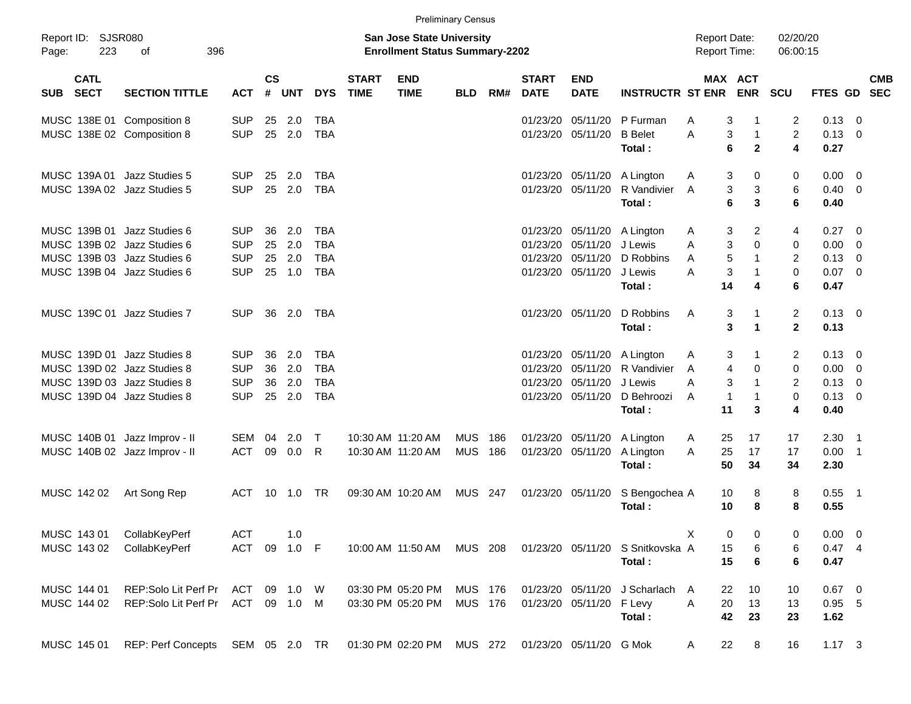|             |                            |                                   |            |                |            |              |                             |                                                                           | <b>Preliminary Census</b> |     |                             |                           |                                  |                                     |                                               |                                  |                        |                            |                          |
|-------------|----------------------------|-----------------------------------|------------|----------------|------------|--------------|-----------------------------|---------------------------------------------------------------------------|---------------------------|-----|-----------------------------|---------------------------|----------------------------------|-------------------------------------|-----------------------------------------------|----------------------------------|------------------------|----------------------------|--------------------------|
| Page:       | Report ID: SJSR080<br>223  | 396<br>of                         |            |                |            |              |                             | <b>San Jose State University</b><br><b>Enrollment Status Summary-2202</b> |                           |     |                             |                           |                                  | <b>Report Date:</b><br>Report Time: |                                               | 02/20/20<br>06:00:15             |                        |                            |                          |
| <b>SUB</b>  | <b>CATL</b><br><b>SECT</b> | <b>SECTION TITTLE</b>             | <b>ACT</b> | <b>CS</b><br># | <b>UNT</b> | <b>DYS</b>   | <b>START</b><br><b>TIME</b> | <b>END</b><br><b>TIME</b>                                                 | <b>BLD</b>                | RM# | <b>START</b><br><b>DATE</b> | <b>END</b><br><b>DATE</b> | <b>INSTRUCTR ST ENR</b>          |                                     | <b>MAX ACT</b><br><b>ENR</b>                  | SCU                              | FTES GD                |                            | <b>CMB</b><br><b>SEC</b> |
|             |                            | MUSC 138E 01 Composition 8        | <b>SUP</b> | 25             | 2.0        | <b>TBA</b>   |                             |                                                                           |                           |     | 01/23/20                    | 05/11/20                  | P Furman                         | A                                   | 3<br>-1                                       | $\overline{2}$                   | 0.13                   | - 0                        |                          |
|             |                            | MUSC 138E 02 Composition 8        | <b>SUP</b> | 25             | 2.0        | <b>TBA</b>   |                             |                                                                           |                           |     |                             | 01/23/20 05/11/20         | <b>B</b> Belet<br>Total:         | A                                   | 3<br>$\mathbf{1}$<br>6<br>$\mathbf{2}$        | $\overline{2}$<br>4              | 0.13<br>0.27           | $\overline{0}$             |                          |
|             |                            | MUSC 139A 01 Jazz Studies 5       | <b>SUP</b> | 25             | 2.0        | TBA          |                             |                                                                           |                           |     |                             | 01/23/20 05/11/20         | A Lington                        | Α                                   | 3<br>0                                        | 0                                | 0.00                   | - 0                        |                          |
|             |                            | MUSC 139A 02 Jazz Studies 5       | <b>SUP</b> | 25             | 2.0        | <b>TBA</b>   |                             |                                                                           |                           |     |                             | 01/23/20 05/11/20         | R Vandivier<br>Total:            | A                                   | 3<br>3<br>6<br>3                              | 6<br>6                           | 0.40<br>0.40           | $\overline{\phantom{0}}$   |                          |
|             |                            | MUSC 139B 01 Jazz Studies 6       | <b>SUP</b> | 36             | 2.0        | <b>TBA</b>   |                             |                                                                           |                           |     |                             | 01/23/20 05/11/20         | A Lington                        | A                                   | 3<br>2                                        | 4                                | 0.27                   | - 0                        |                          |
|             |                            | MUSC 139B 02 Jazz Studies 6       | <b>SUP</b> | 25             | 2.0        | <b>TBA</b>   |                             |                                                                           |                           |     | 01/23/20                    | 05/11/20                  | J Lewis                          | A                                   | 3<br>$\Omega$                                 | 0                                | 0.00                   | $\overline{0}$             |                          |
|             |                            | MUSC 139B 03 Jazz Studies 6       | <b>SUP</b> | 25             | 2.0        | <b>TBA</b>   |                             |                                                                           |                           |     | 01/23/20                    | 05/11/20                  | D Robbins                        | A                                   | 5<br>$\mathbf{1}$                             | $\overline{2}$                   | 0.13                   | $\overline{0}$             |                          |
|             |                            | MUSC 139B 04 Jazz Studies 6       | <b>SUP</b> |                | 25 1.0     | <b>TBA</b>   |                             |                                                                           |                           |     |                             | 01/23/20 05/11/20         | J Lewis<br>Total:                | A<br>14                             | 3<br>$\mathbf{1}$<br>4                        | $\mathbf 0$<br>6                 | 0.07<br>0.47           | $\overline{\phantom{0}}$   |                          |
|             |                            | MUSC 139C 01 Jazz Studies 7       | <b>SUP</b> | 36             | 2.0        | TBA          |                             |                                                                           |                           |     |                             | 01/23/20 05/11/20         | D Robbins<br>Total:              | A                                   | 3<br>$\mathbf 1$<br>3<br>$\blacktriangleleft$ | $\overline{2}$<br>$\overline{2}$ | $0.13 \quad 0$<br>0.13 |                            |                          |
|             |                            | MUSC 139D 01 Jazz Studies 8       | <b>SUP</b> | 36             | 2.0        | <b>TBA</b>   |                             |                                                                           |                           |     |                             | 01/23/20 05/11/20         | A Lington                        | A                                   | 3<br>1                                        | 2                                | 0.13                   | - 0                        |                          |
|             |                            | MUSC 139D 02 Jazz Studies 8       | <b>SUP</b> | 36             | 2.0        | <b>TBA</b>   |                             |                                                                           |                           |     | 01/23/20                    | 05/11/20                  | R Vandivier                      | A                                   | $\overline{4}$<br>$\mathbf 0$                 | $\mathbf 0$                      | 0.00                   | $\overline{0}$             |                          |
|             |                            | MUSC 139D 03 Jazz Studies 8       | <b>SUP</b> | 36             | 2.0        | <b>TBA</b>   |                             |                                                                           |                           |     | 01/23/20                    | 05/11/20                  | J Lewis                          | A                                   | 3<br>$\mathbf{1}$                             | $\overline{2}$                   | 0.13                   | $\overline{0}$             |                          |
|             |                            | MUSC 139D 04 Jazz Studies 8       | <b>SUP</b> | 25             | 2.0        | <b>TBA</b>   |                             |                                                                           |                           |     |                             | 01/23/20 05/11/20         | D Behroozi                       | A                                   | $\mathbf 1$<br>$\mathbf 1$                    | 0                                | 0.13                   | $\overline{0}$             |                          |
|             |                            |                                   |            |                |            |              |                             |                                                                           |                           |     |                             |                           | Total:                           | 11                                  | 3                                             | 4                                | 0.40                   |                            |                          |
|             |                            | MUSC 140B 01 Jazz Improv - II     | SEM        | 04             | 2.0        | $\mathsf{T}$ |                             | 10:30 AM 11:20 AM                                                         | <b>MUS</b>                | 186 |                             | 01/23/20 05/11/20         | A Lington                        | 25<br>A                             | 17                                            | 17                               | 2.30                   | - 1                        |                          |
|             |                            | MUSC 140B 02 Jazz Improv - II     | <b>ACT</b> | 09             | 0.0        | R            |                             | 10:30 AM 11:20 AM                                                         | <b>MUS</b>                | 186 | 01/23/20                    | 05/11/20                  | A Lington                        | 25<br>A                             | 17                                            | 17                               | 0.00                   | $\overline{\phantom{0}}$ 1 |                          |
|             |                            |                                   |            |                |            |              |                             |                                                                           |                           |     |                             |                           | Total:                           | 50                                  | 34                                            | 34                               | 2.30                   |                            |                          |
| MUSC 142 02 |                            | Art Song Rep                      | <b>ACT</b> | -10            | 1.0        | <b>TR</b>    |                             | 09:30 AM 10:20 AM                                                         | MUS                       | 247 |                             | 01/23/20 05/11/20         | S Bengochea A<br>Total:          | 10<br>10                            | 8<br>8                                        | 8<br>8                           | 0.55<br>0.55           | - 1                        |                          |
| MUSC 143 01 |                            | CollabKeyPerf                     | <b>ACT</b> |                | 1.0        |              |                             |                                                                           |                           |     |                             |                           |                                  | Χ                                   | 0<br>0                                        | 0                                | $0.00 \t 0$            |                            |                          |
| MUSC 143 02 |                            | CollabKeyPerf                     | <b>ACT</b> | 09             | $1.0$ F    |              |                             | 10:00 AM 11:50 AM                                                         | MUS 208                   |     |                             |                           | 01/23/20 05/11/20 S Snitkovska A | 15                                  | 6                                             | 6                                | $0.47$ 4               |                            |                          |
|             |                            |                                   |            |                |            |              |                             |                                                                           |                           |     |                             |                           | Total:                           | 15                                  | 6                                             | 6                                | 0.47                   |                            |                          |
| MUSC 144 01 |                            | REP:Solo Lit Perf Pr              | ACT        |                | 09 1.0 W   |              |                             | 03:30 PM 05:20 PM                                                         | MUS 176                   |     |                             | 01/23/20 05/11/20         | J Scharlach A                    | 22                                  | 10                                            | 10                               | $0.67$ 0               |                            |                          |
| MUSC 144 02 |                            | REP:Solo Lit Perf Pr ACT 09 1.0 M |            |                |            |              |                             | 03:30 PM 05:20 PM                                                         | MUS 176                   |     |                             | 01/23/20 05/11/20 F Levy  |                                  | 20<br>A                             | 13                                            | 13                               | $0.95$ 5               |                            |                          |
|             |                            |                                   |            |                |            |              |                             |                                                                           |                           |     |                             |                           | Total:                           | 42                                  | 23                                            | 23                               | 1.62                   |                            |                          |
| MUSC 145 01 |                            | REP: Perf Concepts SEM 05 2.0 TR  |            |                |            |              |                             | 01:30 PM 02:20 PM MUS 272 01/23/20 05/11/20 G Mok                         |                           |     |                             |                           |                                  | 22<br>A                             | 8                                             | 16                               | $1.17 \t3$             |                            |                          |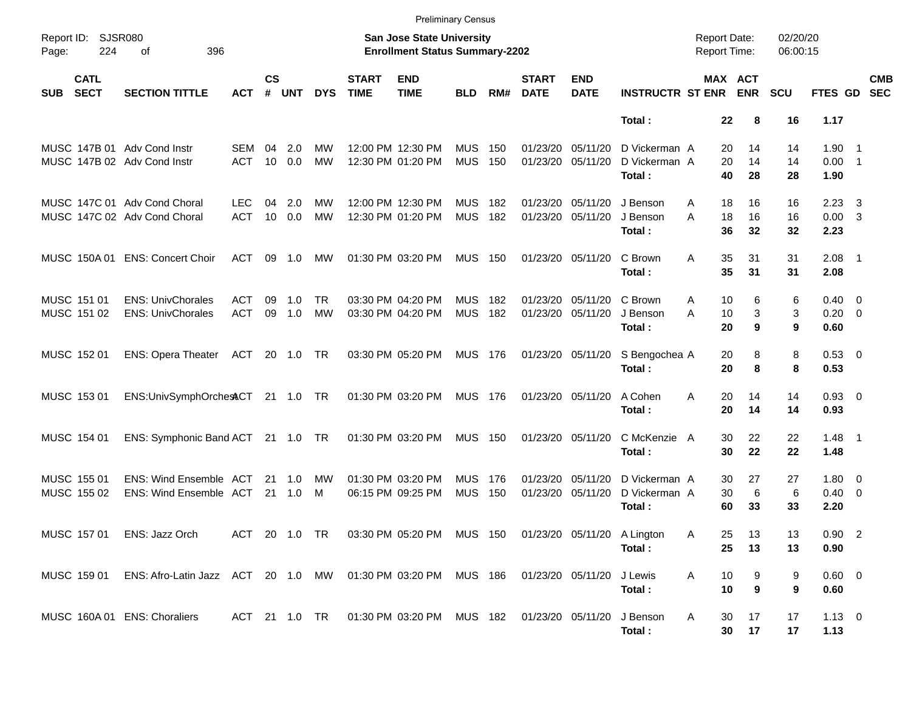|                            |                            |                                                                                            |                          |                    |                  |                        |                             |                                                                            | <b>Preliminary Census</b> |            |                               |                           |                                          |                                            |                                   |                      |                                       |                         |                          |
|----------------------------|----------------------------|--------------------------------------------------------------------------------------------|--------------------------|--------------------|------------------|------------------------|-----------------------------|----------------------------------------------------------------------------|---------------------------|------------|-------------------------------|---------------------------|------------------------------------------|--------------------------------------------|-----------------------------------|----------------------|---------------------------------------|-------------------------|--------------------------|
| Page:                      | Report ID: SJSR080<br>224  | 396<br>οf                                                                                  |                          |                    |                  |                        |                             | San Jose State University<br><b>Enrollment Status Summary-2202</b>         |                           |            |                               |                           |                                          | <b>Report Date:</b><br><b>Report Time:</b> |                                   | 02/20/20<br>06:00:15 |                                       |                         |                          |
| <b>SUB</b>                 | <b>CATL</b><br><b>SECT</b> | <b>SECTION TITTLE</b>                                                                      | <b>ACT</b>               | $\mathsf{cs}$<br># | <b>UNT</b>       | <b>DYS</b>             | <b>START</b><br><b>TIME</b> | <b>END</b><br><b>TIME</b>                                                  | <b>BLD</b>                | RM#        | <b>START</b><br><b>DATE</b>   | <b>END</b><br><b>DATE</b> | <b>INSTRUCTR ST ENR</b>                  |                                            | <b>MAX ACT</b><br><b>ENR</b>      | <b>SCU</b>           | FTES GD                               |                         | <b>CMB</b><br><b>SEC</b> |
|                            |                            |                                                                                            |                          |                    |                  |                        |                             |                                                                            |                           |            |                               |                           | Total:                                   |                                            | 22<br>8                           | 16                   | 1.17                                  |                         |                          |
|                            |                            | MUSC 147B 01 Adv Cond Instr<br>MUSC 147B 02 Adv Cond Instr                                 | SEM<br><b>ACT</b>        | 04<br>10           | 2.0<br>0.0       | МW<br><b>MW</b>        |                             | 12:00 PM 12:30 PM<br>12:30 PM 01:20 PM                                     | <b>MUS</b><br><b>MUS</b>  | 150<br>150 | 01/23/20<br>01/23/20 05/11/20 | 05/11/20                  | D Vickerman A<br>D Vickerman A<br>Total: |                                            | 20<br>14<br>20<br>14<br>40<br>28  | 14<br>14<br>28       | $1.90$ 1<br>$0.00$ 1<br>1.90          |                         |                          |
|                            |                            | MUSC 147C 01 Adv Cond Choral<br>MUSC 147C 02 Adv Cond Choral                               | LEC.<br><b>ACT</b>       | 04<br>10           | 2.0<br>0.0       | MW<br><b>MW</b>        |                             | 12:00 PM 12:30 PM<br>12:30 PM 01:20 PM                                     | <b>MUS</b><br><b>MUS</b>  | 182<br>182 | 01/23/20<br>01/23/20 05/11/20 | 05/11/20                  | J Benson<br>J Benson<br>Total:           | A<br>A                                     | 18<br>16<br>18<br>16<br>36<br>32  | 16<br>16<br>32       | 2.23<br>$0.00 \quad 3$<br>2.23        | $\overline{\mathbf{3}}$ |                          |
|                            |                            | MUSC 150A 01 ENS: Concert Choir                                                            | <b>ACT</b>               |                    | 09 1.0           | МW                     |                             | 01:30 PM 03:20 PM                                                          | <b>MUS</b>                | 150        | 01/23/20 05/11/20             |                           | C Brown<br>Total:                        | A                                          | 35<br>31<br>35<br>31              | 31<br>31             | $2.08$ 1<br>2.08                      |                         |                          |
| MUSC 151 01<br>MUSC 151 02 |                            | <b>ENS: UnivChorales</b><br><b>ENS: UnivChorales</b>                                       | <b>ACT</b><br><b>ACT</b> | 09<br>09           | 1.0<br>1.0       | <b>TR</b><br><b>MW</b> |                             | 03:30 PM 04:20 PM<br>03:30 PM 04:20 PM                                     | <b>MUS</b><br><b>MUS</b>  | 182<br>182 | 01/23/20<br>01/23/20 05/11/20 | 05/11/20                  | C Brown<br>J Benson<br>Total:            | A<br>A                                     | 10<br>6<br>3<br>10<br>9<br>20     | 6<br>3<br>9          | $0.40 \quad 0$<br>$0.20 \ 0$<br>0.60  |                         |                          |
| MUSC 152 01                |                            | <b>ENS: Opera Theater</b>                                                                  | ACT 20 1.0 TR            |                    |                  |                        |                             | 03:30 PM 05:20 PM                                                          | <b>MUS 176</b>            |            | 01/23/20 05/11/20             |                           | S Bengochea A<br>Total:                  |                                            | 8<br>20<br>8<br>20                | 8<br>8               | $0.53$ 0<br>0.53                      |                         |                          |
| MUSC 153 01                |                            | ENS:UnivSymphOrchestCT 21 1.0 TR                                                           |                          |                    |                  |                        |                             | 01:30 PM 03:20 PM                                                          | <b>MUS 176</b>            |            | 01/23/20 05/11/20             |                           | A Cohen<br>Total:                        | A                                          | 20<br>14<br>20<br>14              | 14<br>14             | $0.93$ 0<br>0.93                      |                         |                          |
| MUSC 154 01                |                            | ENS: Symphonic Band ACT 21 1.0 TR                                                          |                          |                    |                  |                        |                             | 01:30 PM 03:20 PM                                                          | <b>MUS</b>                | 150        | 01/23/20 05/11/20             |                           | C McKenzie A<br>Total:                   |                                            | 22<br>30<br>22<br>30              | 22<br>22             | $1.48$ 1<br>1.48                      |                         |                          |
| MUSC 155 01<br>MUSC 155 02 |                            | ENS: Wind Ensemble ACT<br>ENS: Wind Ensemble ACT                                           |                          |                    | 21 1.0<br>21 1.0 | МW<br>M                |                             | 01:30 PM 03:20 PM<br>06:15 PM 09:25 PM                                     | <b>MUS</b><br><b>MUS</b>  | 176<br>150 | 01/23/20<br>01/23/20 05/11/20 | 05/11/20                  | D Vickerman A<br>D Vickerman A<br>Total: |                                            | 30<br>27<br>30<br>6<br>60<br>33   | 27<br>6<br>33        | $1.80 \t 0$<br>$0.40 \quad 0$<br>2.20 |                         |                          |
|                            |                            | MUSC 157 01 ENS: Jazz Orch                                                                 |                          |                    |                  |                        |                             | ACT 20 1.0 TR  03:30 PM  05:20 PM  MUS  150  01/23/20  05/11/20  A Lington |                           |            |                               |                           | Total:                                   | Α                                          | 25<br>13<br>25<br>13              | 13<br>13             | $0.90$ 2<br>0.90                      |                         |                          |
|                            |                            | MUSC 159 01 ENS: Afro-Latin Jazz ACT 20 1.0 MW 01:30 PM 03:20 PM MUS 186 01/23/20 05/11/20 |                          |                    |                  |                        |                             |                                                                            |                           |            |                               |                           | J Lewis<br>Total:                        | A                                          | 10<br>9<br>9<br>10                | 9<br>9               | 0.60 0<br>0.60                        |                         |                          |
|                            |                            | MUSC 160A 01 ENS: Choraliers                                                               |                          |                    |                  |                        |                             | ACT 21 1.0 TR  01:30 PM  03:20 PM  MUS  182  01/23/20  05/11/20            |                           |            |                               |                           | J Benson<br>Total:                       | A                                          | 17<br>30<br>30 <sub>o</sub><br>17 | 17<br>17             | $1.13 \ 0$<br>1.13                    |                         |                          |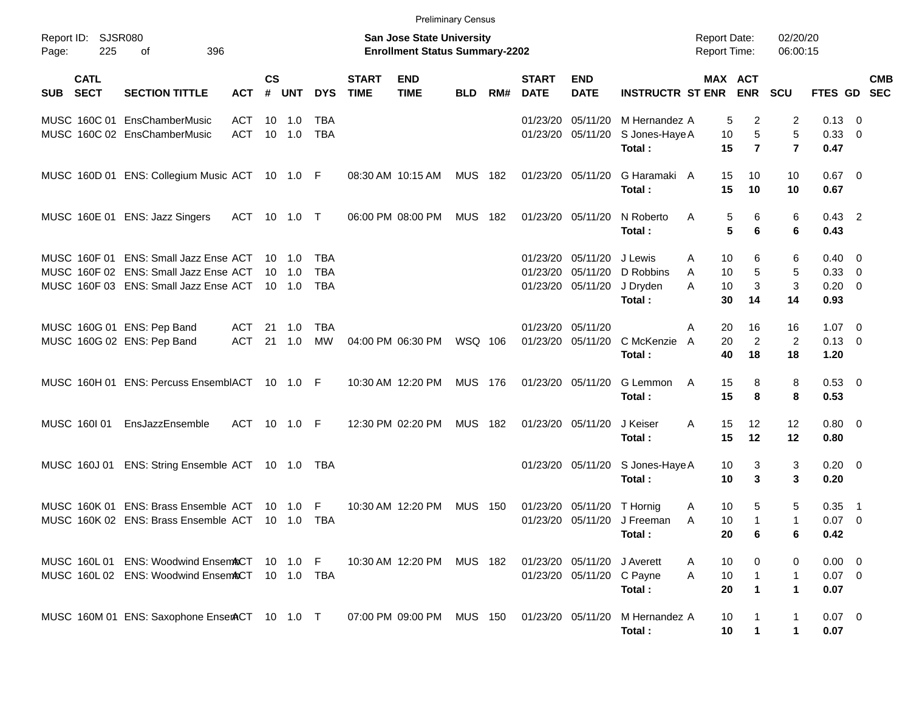|                                                          |                                                                                                                         |                   |                |                                            |                                        |                             | <b>Preliminary Census</b>                                                 |                |     |                               |                                           |                                            |                                            |                                   |                                  |                                                    |                                                      |                          |
|----------------------------------------------------------|-------------------------------------------------------------------------------------------------------------------------|-------------------|----------------|--------------------------------------------|----------------------------------------|-----------------------------|---------------------------------------------------------------------------|----------------|-----|-------------------------------|-------------------------------------------|--------------------------------------------|--------------------------------------------|-----------------------------------|----------------------------------|----------------------------------------------------|------------------------------------------------------|--------------------------|
| Report ID:<br>225<br>Page:                               | SJSR080<br>396<br>οf                                                                                                    |                   |                |                                            |                                        |                             | <b>San Jose State University</b><br><b>Enrollment Status Summary-2202</b> |                |     |                               |                                           |                                            | <b>Report Date:</b><br><b>Report Time:</b> |                                   | 02/20/20<br>06:00:15             |                                                    |                                                      |                          |
| <b>CATL</b><br><b>SECT</b><br><b>SUB</b>                 | <b>SECTION TITTLE</b>                                                                                                   | <b>ACT</b>        | <b>CS</b><br># | <b>UNT</b>                                 | <b>DYS</b>                             | <b>START</b><br><b>TIME</b> | <b>END</b><br><b>TIME</b>                                                 | <b>BLD</b>     | RM# | <b>START</b><br><b>DATE</b>   | <b>END</b><br><b>DATE</b>                 | <b>INSTRUCTR ST ENR</b>                    | MAX ACT                                    | <b>ENR</b>                        | <b>SCU</b>                       | FTES GD                                            |                                                      | <b>CMB</b><br><b>SEC</b> |
|                                                          | MUSC 160C 01 EnsChamberMusic<br>MUSC 160C 02 EnsChamberMusic                                                            | ACT<br><b>ACT</b> | 10<br>10       | 1.0<br>1.0                                 | <b>TBA</b><br><b>TBA</b>               |                             |                                                                           |                |     | 01/23/20<br>01/23/20          | 05/11/20<br>05/11/20                      | M Hernandez A<br>S Jones-Haye A<br>Total:  | 5<br>10<br>15                              | 2<br>5<br>$\overline{7}$          | 2<br>5<br>$\overline{7}$         | $0.13 \quad 0$<br>0.33<br>0.47                     | $\overline{\phantom{0}}$                             |                          |
|                                                          | MUSC 160D 01 ENS: Collegium Music ACT 10 1.0 F                                                                          |                   |                |                                            |                                        |                             | 08:30 AM 10:15 AM                                                         | <b>MUS</b>     | 182 | 01/23/20 05/11/20             |                                           | G Haramaki A<br>Total:                     | 15<br>15                                   | 10<br>10                          | 10<br>10                         | $0.67$ 0<br>0.67                                   |                                                      |                          |
|                                                          | MUSC 160E 01 ENS: Jazz Singers                                                                                          | ACT               |                | 10 1.0 T                                   |                                        |                             | 06:00 PM 08:00 PM                                                         | <b>MUS</b>     | 182 | 01/23/20 05/11/20             |                                           | N Roberto<br>Total:                        | Α<br>5<br>5                                | 6<br>6                            | 6<br>6                           | $0.43$ 2<br>0.43                                   |                                                      |                          |
|                                                          | MUSC 160F 01 ENS: Small Jazz Ense ACT<br>MUSC 160F 02 ENS: Small Jazz Ense ACT<br>MUSC 160F 03 ENS: Small Jazz Ense ACT |                   | 10             | $10 \quad 1.0$<br>$-1.0$<br>$10 \quad 1.0$ | <b>TBA</b><br><b>TBA</b><br><b>TBA</b> |                             |                                                                           |                |     | 01/23/20<br>01/23/20          | 05/11/20<br>05/11/20<br>01/23/20 05/11/20 | J Lewis<br>D Robbins<br>J Dryden<br>Total: | Α<br>10<br>10<br>A<br>10<br>A<br>30        | 6<br>5<br>3<br>14                 | 6<br>5<br>3<br>14                | $0.40 \quad 0$<br>$0.33 \ 0$<br>$0.20 \ 0$<br>0.93 |                                                      |                          |
| MUSC 160G 01 ENS: Pep Band<br>MUSC 160G 02 ENS: Pep Band |                                                                                                                         | ACT<br><b>ACT</b> | 21<br>21       | - 1.0<br>1.0                               | <b>TBA</b><br><b>MW</b>                |                             | 04:00 PM 06:30 PM                                                         | WSQ 106        |     | 01/23/20 05/11/20<br>01/23/20 | 05/11/20                                  | C McKenzie<br>Total:                       | Α<br>20<br>20<br>A<br>40                   | 16<br>$\overline{2}$<br>18        | 16<br>$\overline{2}$<br>18       | $1.07 \t 0$<br>$0.13 \ 0$<br>1.20                  |                                                      |                          |
|                                                          | MUSC 160H 01 ENS: Percuss EnsemblACT 10 1.0 F                                                                           |                   |                |                                            |                                        |                             | 10:30 AM 12:20 PM                                                         | MUS 176        |     |                               | 01/23/20 05/11/20                         | G Lemmon<br>Total:                         | A<br>15<br>15                              | 8<br>8                            | 8<br>8                           | 0.53 0<br>0.53                                     |                                                      |                          |
| MUSC 160101                                              | EnsJazzEnsemble                                                                                                         | ACT               |                | 10 1.0 F                                   |                                        |                             | 12:30 PM 02:20 PM                                                         | <b>MUS</b>     | 182 |                               | 01/23/20 05/11/20                         | J Keiser<br>Total:                         | 15<br>A<br>15                              | 12<br>12                          | 12<br>12                         | $0.80 \ 0$<br>0.80                                 |                                                      |                          |
|                                                          | MUSC 160J 01 ENS: String Ensemble ACT 10 1.0                                                                            |                   |                |                                            | TBA                                    |                             |                                                                           |                |     |                               | 01/23/20 05/11/20                         | S Jones-Haye A<br>Total:                   | 10<br>10                                   | 3<br>3                            | 3<br>3                           | $0.20 \ 0$<br>0.20                                 |                                                      |                          |
|                                                          | MUSC 160K 01 ENS: Brass Ensemble ACT<br>MUSC 160K 02 ENS: Brass Ensemble ACT                                            |                   | 10             | 1.0<br>$10 \quad 1.0$                      | F<br><b>TBA</b>                        |                             | 10:30 AM 12:20 PM                                                         | <b>MUS</b>     | 150 | 01/23/20                      | 05/11/20<br>01/23/20 05/11/20             | T Hornig<br>J Freeman<br>Total:            | 10<br>Α<br>10<br>A<br>20                   | 5<br>$\mathbf 1$<br>6             | 5<br>1<br>6                      | 0.35<br>0.07<br>0.42                               | $\overline{\phantom{1}}$<br>$\overline{\phantom{0}}$ |                          |
|                                                          | MUSC 160L 01 ENS: Woodwind EnsemACT<br>MUSC 160L 02 ENS: Woodwind EnsemACT                                              |                   |                | 10 1.0 F<br>$10 \quad 1.0$                 | TBA                                    |                             | 10:30 AM 12:20 PM                                                         | MUS 182        |     |                               | 01/23/20 05/11/20<br>01/23/20 05/11/20    | J Averett<br>C Payne<br>Total:             | 10<br>A<br>$10$<br>Α<br>20                 | 0<br>$\mathbf{1}$<br>$\mathbf{1}$ | 0<br>$\mathbf{1}$<br>$\mathbf 1$ | $0.00 \t 0$<br>$0.07$ 0<br>0.07                    |                                                      |                          |
|                                                          | MUSC 160M 01 ENS: Saxophone EnserACT 10 1.0 T                                                                           |                   |                |                                            |                                        |                             | 07:00 PM 09:00 PM                                                         | <b>MUS 150</b> |     |                               | 01/23/20 05/11/20                         | M Hernandez A<br>Total:                    | 10<br>10                                   | $\mathbf 1$                       | $\mathbf{1}$<br>$\mathbf 1$      | $0.07$ 0<br>0.07                                   |                                                      |                          |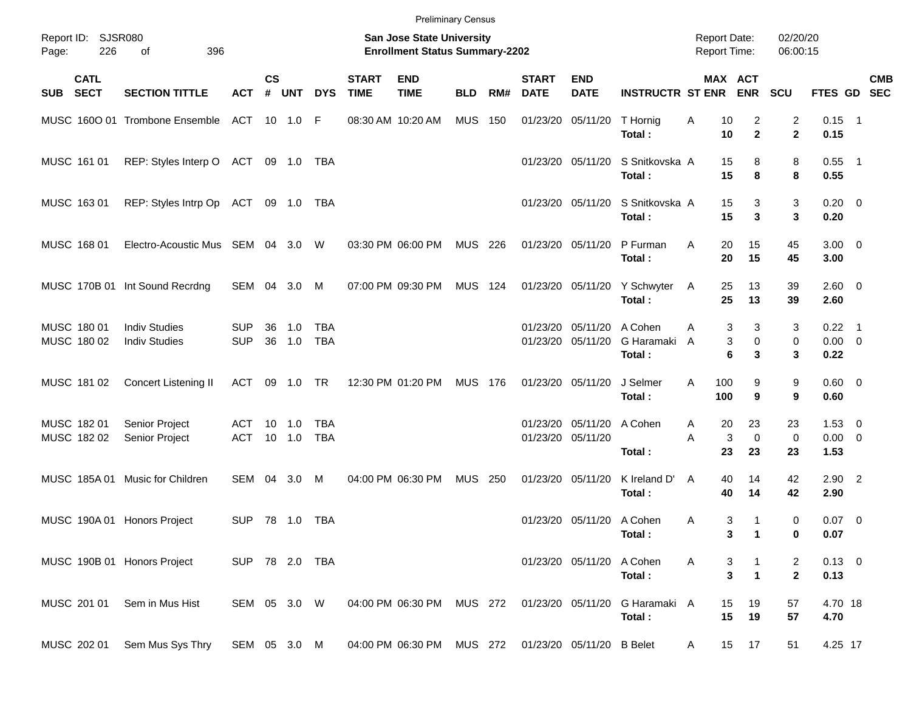|       |                            |                                              |                          |                    |                          |                          |                             | <b>Preliminary Census</b>                                          |                |     |                             |                                        |                                 |                                            |                                              |                      |                                    |            |
|-------|----------------------------|----------------------------------------------|--------------------------|--------------------|--------------------------|--------------------------|-----------------------------|--------------------------------------------------------------------|----------------|-----|-----------------------------|----------------------------------------|---------------------------------|--------------------------------------------|----------------------------------------------|----------------------|------------------------------------|------------|
| Page: | Report ID: SJSR080<br>226  | 396<br>of                                    |                          |                    |                          |                          |                             | San Jose State University<br><b>Enrollment Status Summary-2202</b> |                |     |                             |                                        |                                 | <b>Report Date:</b><br><b>Report Time:</b> |                                              | 02/20/20<br>06:00:15 |                                    |            |
| SUB   | <b>CATL</b><br><b>SECT</b> | <b>SECTION TITTLE</b>                        | <b>ACT</b>               | $\mathsf{cs}$<br># | <b>UNT</b>               | <b>DYS</b>               | <b>START</b><br><b>TIME</b> | <b>END</b><br><b>TIME</b>                                          | <b>BLD</b>     | RM# | <b>START</b><br><b>DATE</b> | <b>END</b><br><b>DATE</b>              | <b>INSTRUCTR ST ENR</b>         |                                            | MAX ACT<br><b>ENR</b>                        | <b>SCU</b>           | FTES GD SEC                        | <b>CMB</b> |
|       |                            | MUSC 1600 01 Trombone Ensemble               | ACT 10 1.0 F             |                    |                          |                          |                             | 08:30 AM 10:20 AM                                                  | <b>MUS</b>     | 150 |                             | 01/23/20 05/11/20                      | T Hornig<br>Total:              | Α<br>10<br>10                              | 2<br>$\overline{2}$                          | 2<br>$\mathbf{2}$    | $0.15$ 1<br>0.15                   |            |
|       | MUSC 161 01                | REP: Styles Interp O ACT 09 1.0 TBA          |                          |                    |                          |                          |                             |                                                                    |                |     |                             | 01/23/20 05/11/20                      | S Snitkovska A<br>Total:        | 15<br>15                                   | 8<br>8                                       | 8<br>8               | $0.55$ 1<br>0.55                   |            |
|       | MUSC 163 01                | REP: Styles Intrp Op ACT 09 1.0 TBA          |                          |                    |                          |                          |                             |                                                                    |                |     |                             | 01/23/20 05/11/20                      | S Snitkovska A<br>Total:        | 15<br>15                                   | 3<br>3                                       | 3<br>3               | $0.20 \ 0$<br>0.20                 |            |
|       | MUSC 168 01                | Electro-Acoustic Mus SEM 04 3.0 W            |                          |                    |                          |                          |                             | 03:30 PM 06:00 PM                                                  | MUS 226        |     |                             | 01/23/20 05/11/20                      | P Furman<br>Total:              | 20<br>Α<br>20                              | 15<br>15                                     | 45<br>45             | $3.00 \ 0$<br>3.00                 |            |
|       |                            | MUSC 170B 01 Int Sound Recrdng               | SEM 04 3.0               |                    |                          | M                        |                             | 07:00 PM 09:30 PM                                                  | <b>MUS 124</b> |     |                             | 01/23/20 05/11/20                      | Y Schwyter<br>Total:            | 25<br>A<br>25                              | 13<br>13                                     | 39<br>39             | $2.60 \t 0$<br>2.60                |            |
|       | MUSC 180 01<br>MUSC 180 02 | <b>Indiv Studies</b><br><b>Indiv Studies</b> | <b>SUP</b><br><b>SUP</b> | 36<br>36           | 1.0<br>1.0               | <b>TBA</b><br><b>TBA</b> |                             |                                                                    |                |     |                             | 01/23/20 05/11/20<br>01/23/20 05/11/20 | A Cohen<br>G Haramaki<br>Total: | A<br>A                                     | 3<br>3<br>$\mathbf 0$<br>3<br>6<br>3         | 3<br>0<br>3          | $0.22$ 1<br>$0.00 \t 0$<br>0.22    |            |
|       | MUSC 181 02                | Concert Listening II                         | ACT                      |                    | 09 1.0 TR                |                          |                             | 12:30 PM 01:20 PM                                                  | <b>MUS 176</b> |     |                             | 01/23/20 05/11/20                      | J Selmer<br>Total:              | A<br>100<br>100                            | 9<br>9                                       | 9<br>9               | $0.60 \quad 0$<br>0.60             |            |
|       | MUSC 182 01<br>MUSC 182 02 | Senior Project<br>Senior Project             | ACT<br><b>ACT</b>        |                    | $10 \quad 1.0$<br>10 1.0 | TBA<br><b>TBA</b>        |                             |                                                                    |                |     |                             | 01/23/20 05/11/20<br>01/23/20 05/11/20 | A Cohen<br>Total:               | 20<br>A<br>A<br>23                         | 23<br>3<br>0<br>23                           | 23<br>0<br>23        | $1.53 \t 0$<br>$0.00 \t 0$<br>1.53 |            |
|       | MUSC 185A 01               | Music for Children                           | SEM 04                   |                    | 3.0                      | M                        |                             | 04:00 PM 06:30 PM                                                  | <b>MUS</b>     | 250 |                             | 01/23/20 05/11/20                      | K Ireland D'<br>Total:          | A<br>40<br>40                              | 14<br>14                                     | 42<br>42             | $2.90$ 2<br>2.90                   |            |
|       |                            | MUSC 190A 01 Honors Project                  | <b>SUP</b>               |                    |                          |                          |                             |                                                                    |                |     |                             | 01/23/20 05/11/20 A Cohen              | Total:                          | Α                                          | 3<br>$\mathbf 1$<br>3<br>$\mathbf 1$         | 0<br>0               | $0.07$ 0<br>0.07                   |            |
|       |                            | MUSC 190B 01 Honors Project                  | SUP 78 2.0 TBA           |                    |                          |                          |                             |                                                                    |                |     |                             | 01/23/20 05/11/20                      | A Cohen<br>Total:               | A                                          | 3<br>$\overline{\mathbf{3}}$<br>$\mathbf{1}$ | 2<br>$\mathbf{2}$    | $0.13 \ 0$<br>0.13                 |            |
|       | MUSC 201 01                | Sem in Mus Hist                              | SEM 05 3.0 W             |                    |                          |                          |                             | 04:00 PM 06:30 PM                                                  | MUS 272        |     |                             | 01/23/20 05/11/20                      | G Haramaki A<br>Total:          | 15<br>15                                   | 19<br>19                                     | 57<br>57             | 4.70 18<br>4.70                    |            |
|       | MUSC 202 01                | Sem Mus Sys Thry                             | SEM 05 3.0 M             |                    |                          |                          |                             | 04:00 PM 06:30 PM                                                  | MUS 272        |     |                             | 01/23/20 05/11/20 B Belet              |                                 | A                                          | 15<br>17                                     | 51                   | 4.25 17                            |            |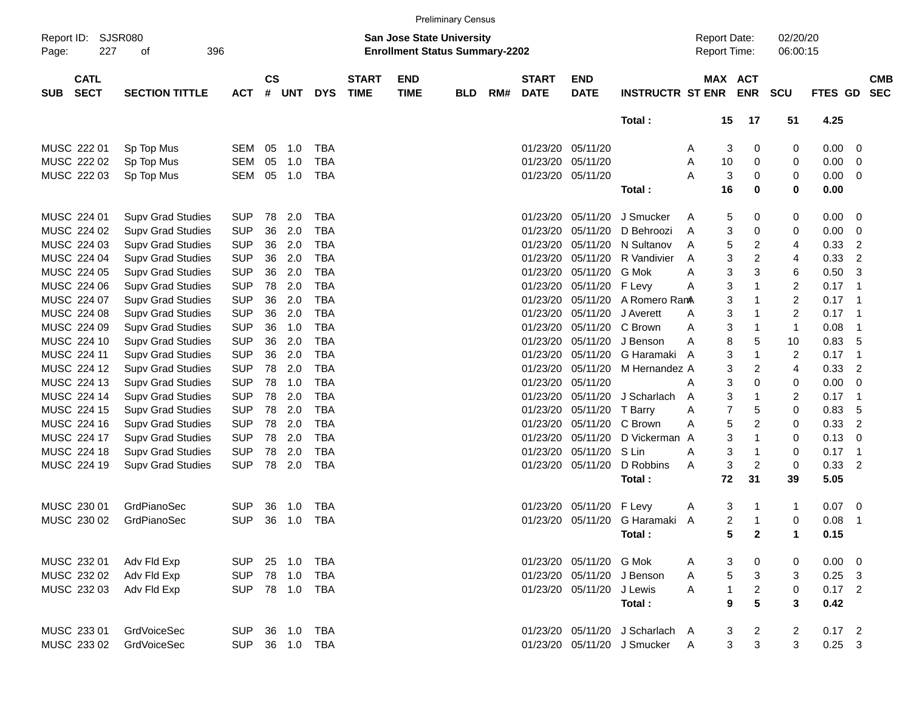|                     |                            |                             |            |                    |            |                |                             |                                                                           | <b>Preliminary Census</b> |     |                             |                           |                                 |          |                                     |                |                         |          |                         |                          |
|---------------------|----------------------------|-----------------------------|------------|--------------------|------------|----------------|-----------------------------|---------------------------------------------------------------------------|---------------------------|-----|-----------------------------|---------------------------|---------------------------------|----------|-------------------------------------|----------------|-------------------------|----------|-------------------------|--------------------------|
| Report ID:<br>Page: | 227                        | <b>SJSR080</b><br>396<br>οf |            |                    |            |                |                             | <b>San Jose State University</b><br><b>Enrollment Status Summary-2202</b> |                           |     |                             |                           |                                 |          | <b>Report Date:</b><br>Report Time: |                | 02/20/20<br>06:00:15    |          |                         |                          |
| <b>SUB</b>          | <b>CATL</b><br><b>SECT</b> | <b>SECTION TITTLE</b>       | <b>ACT</b> | $\mathsf{cs}$<br># | <b>UNT</b> | <b>DYS</b>     | <b>START</b><br><b>TIME</b> | <b>END</b><br><b>TIME</b>                                                 | <b>BLD</b>                | RM# | <b>START</b><br><b>DATE</b> | <b>END</b><br><b>DATE</b> | <b>INSTRUCTR ST ENR</b>         |          | MAX ACT                             | <b>ENR</b>     | <b>SCU</b>              | FTES GD  |                         | <b>CMB</b><br><b>SEC</b> |
|                     |                            |                             |            |                    |            |                |                             |                                                                           |                           |     |                             |                           | Total:                          |          | 15                                  | 17             | 51                      | 4.25     |                         |                          |
|                     | MUSC 222 01                | Sp Top Mus                  | SEM        | 05                 | 1.0        | <b>TBA</b>     |                             |                                                                           |                           |     | 01/23/20                    | 05/11/20                  |                                 | A        | 3                                   | 0              | 0                       | 0.00     | 0                       |                          |
|                     | MUSC 222 02                | Sp Top Mus                  | <b>SEM</b> | 05                 | 1.0        | <b>TBA</b>     |                             |                                                                           |                           |     | 01/23/20                    | 05/11/20                  |                                 | A        | 10                                  | 0              | 0                       | 0.00     | $\mathbf 0$             |                          |
|                     | MUSC 222 03                | Sp Top Mus                  | SEM        | 05                 | 1.0        | <b>TBA</b>     |                             |                                                                           |                           |     | 01/23/20                    | 05/11/20                  |                                 | А        | 3                                   | 0              | 0                       | 0.00     | 0                       |                          |
|                     |                            |                             |            |                    |            |                |                             |                                                                           |                           |     |                             |                           | Total:                          |          | 16                                  | 0              | 0                       | 0.00     |                         |                          |
|                     | MUSC 224 01                | <b>Supv Grad Studies</b>    | <b>SUP</b> | 78                 | 2.0        | <b>TBA</b>     |                             |                                                                           |                           |     | 01/23/20                    | 05/11/20                  | J Smucker                       | A        | 5                                   | 0              | 0                       | 0.00     | 0                       |                          |
|                     | MUSC 224 02                | <b>Supv Grad Studies</b>    | <b>SUP</b> | 36                 | 2.0        | <b>TBA</b>     |                             |                                                                           |                           |     | 01/23/20                    | 05/11/20                  | D Behroozi                      | A        | 3                                   | 0              | 0                       | 0.00     | $\mathbf 0$             |                          |
|                     | MUSC 224 03                | <b>Supv Grad Studies</b>    | <b>SUP</b> | 36                 | 2.0        | <b>TBA</b>     |                             |                                                                           |                           |     | 01/23/20                    | 05/11/20                  | N Sultanov                      | A        | 5                                   | $\overline{c}$ | 4                       | 0.33     | $\overline{c}$          |                          |
|                     | MUSC 224 04                | <b>Supv Grad Studies</b>    | <b>SUP</b> | 36                 | 2.0        | <b>TBA</b>     |                             |                                                                           |                           |     | 01/23/20                    | 05/11/20                  | R Vandivier                     | A        | 3                                   | $\overline{c}$ | 4                       | 0.33     | $\overline{2}$          |                          |
|                     | MUSC 224 05                | <b>Supv Grad Studies</b>    | <b>SUP</b> | 36                 | 2.0        | <b>TBA</b>     |                             |                                                                           |                           |     | 01/23/20                    | 05/11/20                  | G Mok                           | A        | 3                                   | 3              | 6                       | 0.50     | 3                       |                          |
|                     | MUSC 224 06                | <b>Supv Grad Studies</b>    | <b>SUP</b> | 78                 | 2.0        | <b>TBA</b>     |                             |                                                                           |                           |     | 01/23/20                    | 05/11/20                  | F Levy                          | A        | 3                                   | 1              | $\overline{\mathbf{c}}$ | 0.17     | -1                      |                          |
|                     | MUSC 224 07                | <b>Supv Grad Studies</b>    | <b>SUP</b> | 36                 | 2.0        | <b>TBA</b>     |                             |                                                                           |                           |     | 01/23/20                    | 05/11/20                  | A Romero RamA                   |          | 3                                   | 1              | $\overline{\mathbf{c}}$ | 0.17     | -1                      |                          |
|                     | MUSC 224 08                | <b>Supv Grad Studies</b>    | <b>SUP</b> | 36                 | 2.0        | <b>TBA</b>     |                             |                                                                           |                           |     | 01/23/20                    | 05/11/20                  | J Averett                       | A        | 3                                   | 1              | $\overline{\mathbf{c}}$ | 0.17     | $\overline{1}$          |                          |
|                     | MUSC 224 09                | <b>Supv Grad Studies</b>    | <b>SUP</b> | 36                 | 1.0        | <b>TBA</b>     |                             |                                                                           |                           |     | 01/23/20                    | 05/11/20                  | C Brown                         | A        | 3                                   | 1              | $\mathbf{1}$            | 0.08     | $\overline{1}$          |                          |
|                     | MUSC 224 10                | <b>Supv Grad Studies</b>    | <b>SUP</b> | 36                 | 2.0        | <b>TBA</b>     |                             |                                                                           |                           |     | 01/23/20                    | 05/11/20                  | J Benson                        | A        | 8                                   | 5              | 10                      | 0.83     | 5                       |                          |
|                     | MUSC 224 11                | <b>Supv Grad Studies</b>    | <b>SUP</b> | 36                 | 2.0        | <b>TBA</b>     |                             |                                                                           |                           |     | 01/23/20                    | 05/11/20                  | G Haramaki                      | A        | 3                                   | 1              | $\overline{\mathbf{c}}$ | 0.17     | -1                      |                          |
|                     | MUSC 224 12                | <b>Supv Grad Studies</b>    | <b>SUP</b> | 78                 | 2.0        | <b>TBA</b>     |                             |                                                                           |                           |     | 01/23/20                    | 05/11/20                  | M Hernandez A                   |          | 3                                   | $\overline{c}$ | 4                       | 0.33     | $\overline{2}$          |                          |
|                     | MUSC 224 13                | <b>Supv Grad Studies</b>    | <b>SUP</b> | 78                 | 1.0        | <b>TBA</b>     |                             |                                                                           |                           |     | 01/23/20                    | 05/11/20                  |                                 | Α        | 3                                   | 0              | 0                       | 0.00     | 0                       |                          |
|                     | MUSC 224 14                | <b>Supv Grad Studies</b>    | <b>SUP</b> | 78                 | 2.0        | <b>TBA</b>     |                             |                                                                           |                           |     | 01/23/20                    | 05/11/20                  | J Scharlach                     | A        | 3                                   | 1              | $\overline{\mathbf{c}}$ | 0.17     | $\overline{1}$          |                          |
|                     | MUSC 224 15                | <b>Supv Grad Studies</b>    | <b>SUP</b> | 78                 | 2.0        | <b>TBA</b>     |                             |                                                                           |                           |     | 01/23/20                    | 05/11/20                  | T Barry                         | A        | $\overline{7}$                      | 5              | 0                       | 0.83     | 5                       |                          |
|                     | MUSC 224 16                | <b>Supv Grad Studies</b>    | <b>SUP</b> | 78                 | 2.0        | <b>TBA</b>     |                             |                                                                           |                           |     | 01/23/20                    | 05/11/20                  | C Brown                         | A        | 5                                   | $\overline{c}$ | 0                       | 0.33     | $\overline{2}$          |                          |
|                     | MUSC 224 17                | <b>Supv Grad Studies</b>    | <b>SUP</b> | 78                 | 2.0        | <b>TBA</b>     |                             |                                                                           |                           |     | 01/23/20                    | 05/11/20                  | D Vickerman A                   |          | 3                                   | 1              | 0                       | 0.13     | $\mathbf 0$             |                          |
|                     | MUSC 224 18                | <b>Supv Grad Studies</b>    | <b>SUP</b> | 78                 | 2.0        | <b>TBA</b>     |                             |                                                                           |                           |     | 01/23/20                    | 05/11/20                  | S Lin                           | A        | 3                                   | 1              | 0                       | 0.17     | $\overline{1}$          |                          |
|                     | MUSC 224 19                | <b>Supv Grad Studies</b>    | <b>SUP</b> | 78                 | 2.0        | <b>TBA</b>     |                             |                                                                           |                           |     | 01/23/20                    | 05/11/20                  | D Robbins                       | A        | 3                                   | $\overline{c}$ | 0                       | 0.33     | $\overline{2}$          |                          |
|                     |                            |                             |            |                    |            |                |                             |                                                                           |                           |     |                             |                           | Total:                          |          | 72                                  | 31             | 39                      | 5.05     |                         |                          |
|                     | MUSC 230 01                | GrdPianoSec                 | <b>SUP</b> | 36                 | 1.0        | <b>TBA</b>     |                             |                                                                           |                           |     | 01/23/20                    | 05/11/20                  | F Levy                          | A        | 3                                   | 1              | 1                       | 0.07     | 0                       |                          |
|                     | MUSC 230 02                | GrdPianoSec                 | <b>SUP</b> | 36                 | 1.0        | <b>TBA</b>     |                             |                                                                           |                           |     | 01/23/20                    | 05/11/20                  | G Haramaki A                    |          | $\overline{2}$                      | 1              | 0                       | 0.08     | $\overline{1}$          |                          |
|                     |                            |                             |            |                    |            |                |                             |                                                                           |                           |     |                             |                           | Total:                          |          | 5                                   | $\mathbf{2}$   | 1                       | 0.15     |                         |                          |
|                     | MUSC 232 01                | Adv Fld Exp                 | SUP        |                    | 25 1.0     | <b>TBA</b>     |                             |                                                                           |                           |     |                             | 01/23/20 05/11/20         | G Mok                           | A        | 3                                   | 0              | 0                       | 0.00     | $\overline{\mathbf{0}}$ |                          |
|                     | MUSC 232 02                | Adv Fld Exp                 | <b>SUP</b> |                    | 78 1.0     | <b>TBA</b>     |                             |                                                                           |                           |     | 01/23/20                    | 05/11/20                  | J Benson                        | A        | 5                                   | $\mathbf{3}$   | 3                       | $0.25$ 3 |                         |                          |
|                     | MUSC 232 03                | Adv Fld Exp                 | <b>SUP</b> |                    | 78 1.0     | TBA            |                             |                                                                           |                           |     |                             | 01/23/20 05/11/20 J Lewis |                                 | A        | $\mathbf{1}$                        | $\overline{a}$ | 0                       | $0.17$ 2 |                         |                          |
|                     |                            |                             |            |                    |            |                |                             |                                                                           |                           |     |                             |                           | Total:                          |          | 9                                   | 5              | 3                       | 0.42     |                         |                          |
|                     | MUSC 233 01                | GrdVoiceSec                 | <b>SUP</b> |                    | 36 1.0     | <b>TBA</b>     |                             |                                                                           |                           |     |                             |                           | 01/23/20 05/11/20 J Scharlach A |          | 3                                   | $\overline{a}$ | $\overline{a}$          | $0.17$ 2 |                         |                          |
|                     | MUSC 233 02                | GrdVoiceSec                 |            |                    |            | SUP 36 1.0 TBA |                             |                                                                           |                           |     |                             |                           | 01/23/20 05/11/20 J Smucker     | <b>A</b> | 3                                   | $\sqrt{3}$     | 3                       | $0.25$ 3 |                         |                          |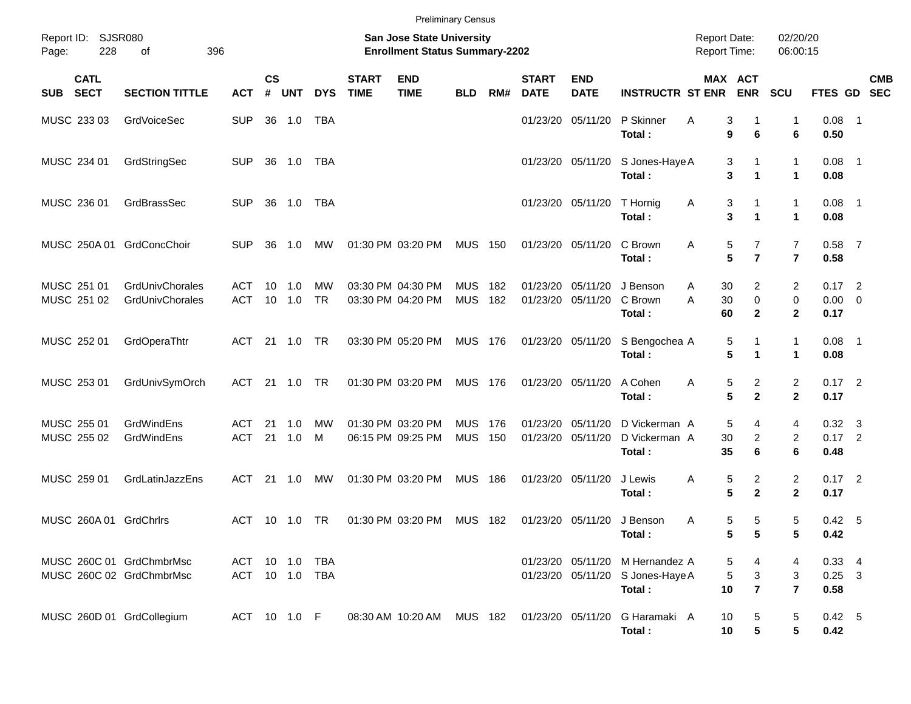|                                                      |                                           |                              |                    |               |                 |                             | <b>Preliminary Census</b>                                          |                          |             |                               |                                        |                                           |                                            |                                                  |                                           |                                    |            |
|------------------------------------------------------|-------------------------------------------|------------------------------|--------------------|---------------|-----------------|-----------------------------|--------------------------------------------------------------------|--------------------------|-------------|-------------------------------|----------------------------------------|-------------------------------------------|--------------------------------------------|--------------------------------------------------|-------------------------------------------|------------------------------------|------------|
| Report ID: SJSR080<br>228<br>Page:                   | 396<br>of                                 |                              |                    |               |                 |                             | San Jose State University<br><b>Enrollment Status Summary-2202</b> |                          |             |                               |                                        |                                           | <b>Report Date:</b><br><b>Report Time:</b> |                                                  | 02/20/20<br>06:00:15                      |                                    |            |
| <b>CATL</b><br><b>SECT</b><br>SUB                    | <b>SECTION TITTLE</b>                     | <b>ACT</b>                   | $\mathsf{cs}$<br># | <b>UNT</b>    | <b>DYS</b>      | <b>START</b><br><b>TIME</b> | <b>END</b><br><b>TIME</b>                                          | <b>BLD</b>               | RM#         | <b>START</b><br><b>DATE</b>   | <b>END</b><br><b>DATE</b>              | <b>INSTRUCTR ST ENR</b>                   | MAX ACT                                    | <b>ENR</b>                                       | <b>SCU</b>                                | FTES GD SEC                        | <b>CMB</b> |
| MUSC 233 03                                          | GrdVoiceSec                               | <b>SUP</b>                   |                    | 36 1.0        | TBA             |                             |                                                                    |                          |             |                               | 01/23/20 05/11/20                      | P Skinner<br>Total:                       | Α<br>3<br>9                                | 6                                                | 1<br>6                                    | $0.08$ 1<br>0.50                   |            |
| MUSC 234 01                                          | GrdStringSec                              | <b>SUP</b>                   |                    | 36 1.0        | TBA             |                             |                                                                    |                          |             |                               | 01/23/20 05/11/20                      | S Jones-Haye A<br>Total:                  | 3<br>3                                     | 1<br>$\blacktriangleleft$                        | $\mathbf{1}$<br>$\mathbf{1}$              | $0.08$ 1<br>0.08                   |            |
| MUSC 236 01                                          | GrdBrassSec                               | <b>SUP</b>                   | 36                 | 1.0           | TBA             |                             |                                                                    |                          |             |                               | 01/23/20 05/11/20                      | T Hornig<br>Total:                        | 3<br>A<br>3                                | 1<br>$\blacktriangleleft$                        | $\mathbf{1}$<br>$\mathbf{1}$              | $0.08$ 1<br>0.08                   |            |
| MUSC 250A 01 GrdConcChoir                            |                                           | <b>SUP</b>                   | 36                 | 1.0           | МW              |                             | 01:30 PM 03:20 PM                                                  | <b>MUS 150</b>           |             |                               | 01/23/20 05/11/20                      | C Brown<br>Total:                         | Α<br>5<br>5                                | 7<br>$\overline{7}$                              | $\overline{7}$<br>$\overline{\mathbf{r}}$ | $0.58$ 7<br>0.58                   |            |
| MUSC 251 01<br>MUSC 251 02                           | <b>GrdUnivChorales</b><br>GrdUnivChorales | ACT<br><b>ACT</b>            | 10                 | 1.0<br>10 1.0 | МW<br><b>TR</b> |                             | 03:30 PM 04:30 PM<br>03:30 PM 04:20 PM                             | <b>MUS</b><br><b>MUS</b> | 182<br>182  | 01/23/20                      | 05/11/20<br>01/23/20 05/11/20          | J Benson<br>C Brown<br>Total:             | 30<br>Α<br>A<br>30<br>60                   | $\overline{2}$<br>$\mathbf 0$<br>$\mathbf{2}$    | 2<br>0<br>$\mathbf{2}$                    | $0.17$ 2<br>$0.00 \t 0$<br>0.17    |            |
| MUSC 252 01                                          | GrdOperaThtr                              | ACT                          |                    |               |                 |                             | 03:30 PM 05:20 PM                                                  | <b>MUS 176</b>           |             | 01/23/20 05/11/20             |                                        | S Bengochea A<br>Total:                   | 5<br>5                                     | 1<br>1                                           | $\mathbf{1}$<br>1                         | $0.08$ 1<br>0.08                   |            |
| MUSC 253 01                                          | GrdUnivSymOrch                            | ACT                          | - 21               | 1.0           | <b>TR</b>       |                             | 01:30 PM 03:20 PM                                                  | <b>MUS 176</b>           |             |                               | 01/23/20 05/11/20                      | A Cohen<br>Total:                         | Α<br>5<br>5                                | $\overline{2}$<br>$\overline{2}$                 | $\overline{2}$<br>$\mathbf{2}$            | $0.17$ 2<br>0.17                   |            |
| MUSC 255 01<br>MUSC 255 02                           | GrdWindEns<br>GrdWindEns                  | ACT<br>ACT                   | 21<br>21           | 1.0<br>1.0    | MW<br>м         |                             | 01:30 PM 03:20 PM<br>06:15 PM 09:25 PM                             | <b>MUS</b><br><b>MUS</b> | -176<br>150 | 01/23/20<br>01/23/20 05/11/20 | 05/11/20                               | D Vickerman A<br>D Vickerman A<br>Total:  | 5<br>30<br>35                              | 4<br>$\overline{2}$<br>6                         | 4<br>2<br>6                               | $0.32 \quad 3$<br>$0.17$ 2<br>0.48 |            |
| MUSC 259 01                                          | GrdLatinJazzEns                           | ACT                          | 21                 | 1.0           | MW              |                             | 01:30 PM 03:20 PM                                                  | <b>MUS</b>               | 186         | 01/23/20 05/11/20             |                                        | J Lewis<br>Total:                         | Α<br>5<br>5                                | $\overline{c}$<br>$\mathbf{2}$                   | 2<br>$\mathbf{2}$                         | $0.17$ 2<br>0.17                   |            |
| MUSC 260A 01 GrdChrlrs                               |                                           | ACT                          |                    | 10 1.0 TR     |                 |                             | 01:30 PM 03:20 PM                                                  | MUS 182                  |             |                               | 01/23/20 05/11/20                      | J Benson<br>Total:                        | 5<br>Α<br>5                                | 5<br>5                                           | 5<br>5                                    | 0.42 5<br>0.42                     |            |
| MUSC 260C 01 GrdChmbrMsc<br>MUSC 260C 02 GrdChmbrMsc |                                           | ACT 10 1.0<br>ACT 10 1.0 TBA |                    |               | TBA             |                             |                                                                    |                          |             |                               | 01/23/20 05/11/20<br>01/23/20 05/11/20 | M Hernandez A<br>S Jones-Haye A<br>Total: | 5<br>5<br>10                               | 4<br>$\ensuremath{\mathsf{3}}$<br>$\overline{7}$ | 4<br>3<br>$\overline{7}$                  | 0.334<br>$0.25$ 3<br>0.58          |            |
| MUSC 260D 01 GrdCollegium                            |                                           | ACT 10 1.0 F                 |                    |               |                 |                             | 08:30 AM 10:20 AM MUS 182                                          |                          |             |                               | 01/23/20 05/11/20                      | G Haramaki A<br>Total:                    | 10<br>10                                   | 5<br>$5\phantom{.0}$                             | 5<br>5                                    | $0.42\quad 5$<br>0.42              |            |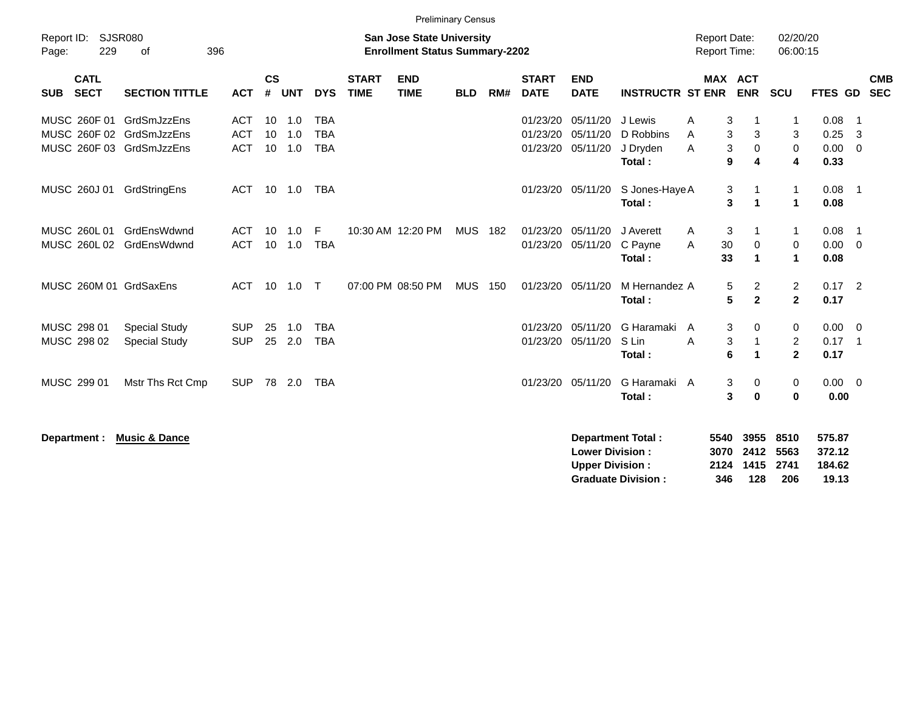|                                                          |                                              |                                        |                 |                   |                                        |                             |                                                                           | <b>Preliminary Census</b> |     |                                  |                                  |                                            |                                            |                                                        |                                            |                              |                              |
|----------------------------------------------------------|----------------------------------------------|----------------------------------------|-----------------|-------------------|----------------------------------------|-----------------------------|---------------------------------------------------------------------------|---------------------------|-----|----------------------------------|----------------------------------|--------------------------------------------|--------------------------------------------|--------------------------------------------------------|--------------------------------------------|------------------------------|------------------------------|
| Report ID:<br>229<br>Page:                               | SJSR080<br>396<br>of                         |                                        |                 |                   |                                        |                             | <b>San Jose State University</b><br><b>Enrollment Status Summary-2202</b> |                           |     |                                  |                                  |                                            | <b>Report Date:</b><br><b>Report Time:</b> |                                                        | 02/20/20<br>06:00:15                       |                              |                              |
| <b>CATL</b><br><b>SECT</b><br><b>SUB</b>                 | <b>SECTION TITTLE</b>                        | <b>ACT</b>                             | <b>CS</b><br>#  | <b>UNT</b>        | <b>DYS</b>                             | <b>START</b><br><b>TIME</b> | <b>END</b><br><b>TIME</b>                                                 | <b>BLD</b>                | RM# | <b>START</b><br><b>DATE</b>      | <b>END</b><br><b>DATE</b>        | <b>INSTRUCTR ST ENR</b>                    |                                            | MAX ACT<br><b>ENR</b>                                  | <b>SCU</b>                                 | <b>FTES GD</b>               | <b>CMB</b><br><b>SEC</b>     |
| MUSC 260F 01<br>MUSC 260F 02<br>MUSC 260F 03 GrdSmJzzEns | GrdSmJzzEns<br>GrdSmJzzEns                   | <b>ACT</b><br><b>ACT</b><br><b>ACT</b> | 10<br>10<br>10  | 1.0<br>1.0<br>1.0 | <b>TBA</b><br><b>TBA</b><br><b>TBA</b> |                             |                                                                           |                           |     | 01/23/20<br>01/23/20<br>01/23/20 | 05/11/20<br>05/11/20<br>05/11/20 | J Lewis<br>D Robbins<br>J Dryden<br>Total: | A<br>A<br>A                                | 3<br>3<br>3<br>3<br>$\mathbf 0$<br>9<br>4              | -1<br>3<br>$\mathbf 0$<br>4                | 0.08<br>0.25<br>0.00<br>0.33 | - 1<br>- 3<br>$\overline{0}$ |
| MUSC 260J 01                                             | GrdStringEns                                 | ACT                                    | 10 <sup>1</sup> | 1.0               | <b>TBA</b>                             |                             |                                                                           |                           |     |                                  | 01/23/20 05/11/20                | S Jones-Haye A<br>Total:                   |                                            | 3<br>3<br>$\blacktriangleleft$                         | $\mathbf{1}$<br>$\blacktriangleleft$       | $0.08$ 1<br>0.08             |                              |
| MUSC 260L 01<br>MUSC 260L 02                             | GrdEnsWdwnd<br>GrdEnsWdwnd                   | <b>ACT</b><br><b>ACT</b>               | 10<br>10        | 1.0<br>1.0        | F<br><b>TBA</b>                        |                             | 10:30 AM 12:20 PM                                                         | MUS 182                   |     | 01/23/20<br>01/23/20             | 05/11/20<br>05/11/20             | J Averett<br>C Payne<br>Total:             | A<br>30<br>A<br>33                         | 3<br>$\mathbf 0$<br>1                                  | $\mathbf{1}$<br>$\mathbf 0$<br>$\mathbf 1$ | 0.08<br>0.00<br>0.08         | - 1<br>$\overline{0}$        |
| MUSC 260M 01 GrdSaxEns                                   |                                              | <b>ACT</b>                             | 10              | 1.0               | $\top$                                 |                             | 07:00 PM 08:50 PM                                                         | <b>MUS</b>                | 150 |                                  | 01/23/20 05/11/20                | M Hernandez A<br>Total:                    |                                            | $\overline{c}$<br>5<br>$5\phantom{.0}$<br>$\mathbf{2}$ | $\overline{2}$<br>$\overline{2}$           | $0.17$ 2<br>0.17             |                              |
| MUSC 298 01<br>MUSC 298 02                               | <b>Special Study</b><br><b>Special Study</b> | <b>SUP</b><br><b>SUP</b>               | 25<br>25        | 1.0<br>2.0        | <b>TBA</b><br><b>TBA</b>               |                             |                                                                           |                           |     | 01/23/20<br>01/23/20             | 05/11/20<br>05/11/20             | G Haramaki<br>S Lin<br>Total:              | A<br>A                                     | 3<br>0<br>$\ensuremath{\mathsf{3}}$<br>6<br>-1         | 0<br>$\overline{2}$<br>$\overline{2}$      | 0.00<br>$0.17$ 1<br>0.17     | $\overline{0}$               |
| MUSC 299 01                                              | Mstr Ths Rct Cmp                             | <b>SUP</b>                             | 78              | 2.0               | <b>TBA</b>                             |                             |                                                                           |                           |     |                                  | 01/23/20 05/11/20                | G Haramaki A<br>Total:                     |                                            | 3<br>0<br>3<br>$\bf{0}$                                | 0<br>$\bf{0}$                              | $0.00 \quad 0$<br>0.00       |                              |

| Department : Music & Dance | Department Total:         |                |     | 5540 3955 8510 | 575.87 |
|----------------------------|---------------------------|----------------|-----|----------------|--------|
|                            | <b>Lower Division:</b>    | 3070 2412      |     | 5563           | 372.12 |
|                            | <b>Upper Division:</b>    | 2124 1415 2741 |     |                | 184.62 |
|                            | <b>Graduate Division:</b> | 346            | 128 | 206            | 19.13  |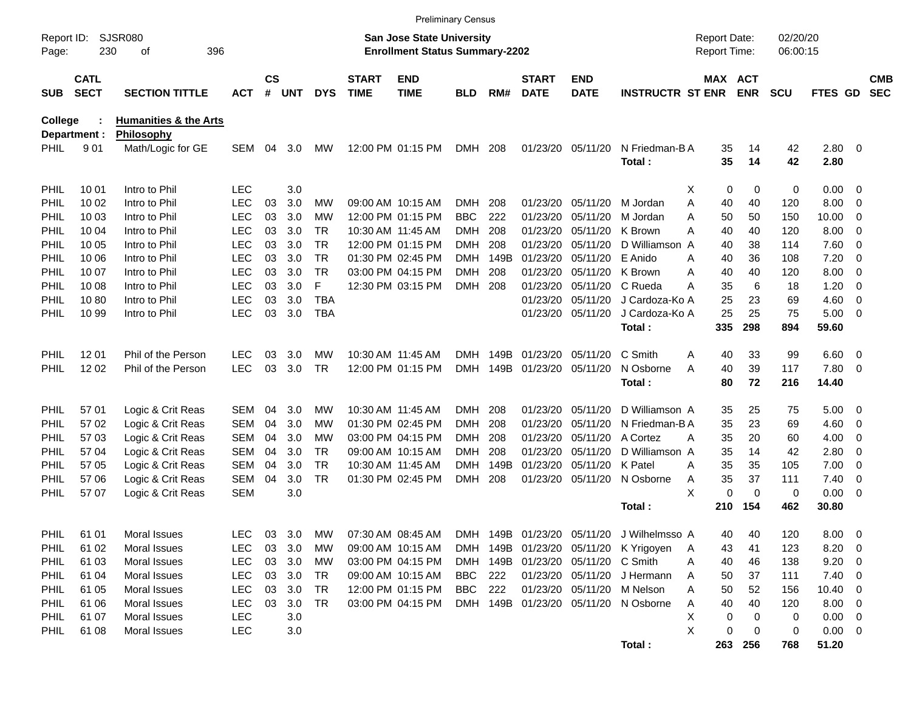|                     |                            |                                  |            |                    |            |            |                             | <b>Preliminary Census</b>                                          |            |      |                             |                                    |                                           |                                     |             |                      |                |                          |                          |
|---------------------|----------------------------|----------------------------------|------------|--------------------|------------|------------|-----------------------------|--------------------------------------------------------------------|------------|------|-----------------------------|------------------------------------|-------------------------------------------|-------------------------------------|-------------|----------------------|----------------|--------------------------|--------------------------|
| Report ID:<br>Page: | 230                        | <b>SJSR080</b><br>396<br>οf      |            |                    |            |            |                             | San Jose State University<br><b>Enrollment Status Summary-2202</b> |            |      |                             |                                    |                                           | <b>Report Date:</b><br>Report Time: |             | 02/20/20<br>06:00:15 |                |                          |                          |
| <b>SUB</b>          | <b>CATL</b><br><b>SECT</b> | <b>SECTION TITTLE</b>            | <b>ACT</b> | $\mathsf{cs}$<br># | <b>UNT</b> | <b>DYS</b> | <b>START</b><br><b>TIME</b> | <b>END</b><br><b>TIME</b>                                          | <b>BLD</b> | RM#  | <b>START</b><br><b>DATE</b> | <b>END</b><br><b>DATE</b>          | <b>INSTRUCTR ST ENR</b>                   | MAX ACT                             | <b>ENR</b>  | <b>SCU</b>           | FTES GD        |                          | <b>CMB</b><br><b>SEC</b> |
| <b>College</b>      |                            | <b>Humanities &amp; the Arts</b> |            |                    |            |            |                             |                                                                    |            |      |                             |                                    |                                           |                                     |             |                      |                |                          |                          |
|                     | Department :               | Philosophy                       |            |                    |            |            |                             |                                                                    |            |      |                             |                                    |                                           |                                     |             |                      |                |                          |                          |
| <b>PHIL</b>         | 901                        | Math/Logic for GE                | <b>SEM</b> | 04                 | 3.0        | <b>MW</b>  |                             | 12:00 PM 01:15 PM                                                  | <b>DMH</b> | 208  |                             | 01/23/20 05/11/20                  | N Friedman-B A<br>Total:                  | 35<br>35                            | 14<br>14    | 42<br>42             | 2.80 0<br>2.80 |                          |                          |
| <b>PHIL</b>         | 10 01                      | Intro to Phil                    | <b>LEC</b> |                    | 3.0        |            |                             |                                                                    |            |      |                             |                                    |                                           | 0<br>х                              | 0           | 0                    | 0.00           | $\overline{\phantom{0}}$ |                          |
| PHIL                | 10 02                      | Intro to Phil                    | <b>LEC</b> | 03                 | 3.0        | МW         |                             | 09:00 AM 10:15 AM                                                  | DMH.       | 208  | 01/23/20                    | 05/11/20                           | M Jordan                                  | Α<br>40                             | 40          | 120                  | 8.00           | - 0                      |                          |
| PHIL                | 10 03                      | Intro to Phil                    | <b>LEC</b> | 03                 | 3.0        | МW         |                             | 12:00 PM 01:15 PM                                                  | <b>BBC</b> | 222  | 01/23/20                    | 05/11/20                           | M Jordan                                  | Α<br>50                             | 50          | 150                  | 10.00          | 0                        |                          |
| PHIL                | 10 04                      | Intro to Phil                    | <b>LEC</b> | 03                 | 3.0        | TR.        |                             | 10:30 AM 11:45 AM                                                  | DMH        | 208  | 01/23/20                    | 05/11/20                           | K Brown                                   | Α<br>40                             | 40          | 120                  | 8.00           | 0                        |                          |
| PHIL                | 10 05                      | Intro to Phil                    | <b>LEC</b> | 03                 | 3.0        | <b>TR</b>  |                             | 12:00 PM 01:15 PM                                                  | DMH        | 208  | 01/23/20                    | 05/11/20                           | D Williamson A                            | 40                                  | 38          | 114                  | 7.60           | - 0                      |                          |
| PHIL                | 10 06                      | Intro to Phil                    | <b>LEC</b> | 03                 | 3.0        | <b>TR</b>  |                             | 01:30 PM 02:45 PM                                                  | DMH        | 149B | 01/23/20                    | 05/11/20                           | E Anido                                   | 40<br>A                             | 36          | 108                  | 7.20           | $\overline{0}$           |                          |
| PHIL                | 10 07                      | Intro to Phil                    | <b>LEC</b> | 03                 | 3.0        | <b>TR</b>  |                             | 03:00 PM 04:15 PM                                                  | DMH        | 208  | 01/23/20                    | 05/11/20                           | K Brown                                   | 40<br>A                             | 40          | 120                  | 8.00           | $\overline{0}$           |                          |
| PHIL                | 10 08                      | Intro to Phil                    | <b>LEC</b> | 03                 | 3.0        | F          |                             | 12:30 PM 03:15 PM                                                  | <b>DMH</b> | 208  | 01/23/20                    | 05/11/20                           | C Rueda                                   | А<br>35                             | 6           | 18                   | 1.20           | $\overline{0}$           |                          |
| PHIL                | 1080                       | Intro to Phil                    | <b>LEC</b> | 03                 | 3.0        | <b>TBA</b> |                             |                                                                    |            |      | 01/23/20                    | 05/11/20                           | J Cardoza-Ko A                            | 25                                  | 23          | 69                   | 4.60           | 0                        |                          |
| PHIL                | 10 99                      | Intro to Phil                    | <b>LEC</b> | 03                 | 3.0        | <b>TBA</b> |                             |                                                                    |            |      |                             | 01/23/20 05/11/20                  | J Cardoza-Ko A                            | 25                                  | 25          | 75                   | 5.00           | $\overline{\phantom{0}}$ |                          |
|                     |                            |                                  |            |                    |            |            |                             |                                                                    |            |      |                             |                                    | Total:                                    | 335                                 | 298         | 894                  | 59.60          |                          |                          |
| <b>PHIL</b>         | 12 01                      | Phil of the Person               | <b>LEC</b> | 03                 | 3.0        | МW         |                             | 10:30 AM 11:45 AM                                                  | DMH.       | 149B | 01/23/20                    | 05/11/20                           | C Smith                                   | 40<br>A                             | 33          | 99                   | $6.60$ 0       |                          |                          |
| <b>PHIL</b>         | 12 02                      | Phil of the Person               | <b>LEC</b> | 03                 | 3.0        | <b>TR</b>  |                             | 12:00 PM 01:15 PM                                                  | DMH.       | 149B | 01/23/20 05/11/20           |                                    | N Osborne                                 | 40<br>Α                             | 39          | 117                  | 7.80           | $\overline{\phantom{0}}$ |                          |
|                     |                            |                                  |            |                    |            |            |                             |                                                                    |            |      |                             |                                    | Total:                                    | 80                                  | 72          | 216                  | 14.40          |                          |                          |
| <b>PHIL</b>         | 57 01                      | Logic & Crit Reas                | <b>SEM</b> | 04                 | 3.0        | МW         |                             | 10:30 AM 11:45 AM                                                  | DMH.       | 208  | 01/23/20                    | 05/11/20                           | D Williamson A                            | 35                                  | 25          | 75                   | 5.00           | $\overline{\phantom{0}}$ |                          |
| PHIL                | 57 02                      | Logic & Crit Reas                | <b>SEM</b> | 04                 | 3.0        | МW         |                             | 01:30 PM 02:45 PM                                                  | DMH        | 208  | 01/23/20                    | 05/11/20                           | N Friedman-B A                            | 35                                  | 23          | 69                   | 4.60           | $\overline{\mathbf{0}}$  |                          |
| PHIL                | 57 03                      | Logic & Crit Reas                | <b>SEM</b> | 04                 | 3.0        | МW         |                             | 03:00 PM 04:15 PM                                                  | DMH        | 208  | 01/23/20                    | 05/11/20                           | A Cortez                                  | 35<br>A                             | 20          | 60                   | 4.00           | 0                        |                          |
| PHIL                | 57 04                      | Logic & Crit Reas                | <b>SEM</b> | 04                 | 3.0        | TR.        |                             | 09:00 AM 10:15 AM                                                  | DMH        | 208  | 01/23/20                    | 05/11/20                           | D Williamson A                            | 35                                  | 14          | 42                   | 2.80           | 0                        |                          |
| PHIL                | 57 05                      | Logic & Crit Reas                | <b>SEM</b> | 04                 | 3.0        | <b>TR</b>  |                             | 10:30 AM 11:45 AM                                                  | DMH        | 149B | 01/23/20                    | 05/11/20 K Patel                   |                                           | 35<br>Α                             | 35          | 105                  | 7.00           | 0                        |                          |
| <b>PHIL</b>         | 57 06                      | Logic & Crit Reas                | <b>SEM</b> | 04                 | 3.0        | <b>TR</b>  |                             | 01:30 PM 02:45 PM                                                  | <b>DMH</b> | 208  |                             | 01/23/20 05/11/20                  | N Osborne                                 | 35<br>A                             | 37          | 111                  | 7.40           | 0                        |                          |
| <b>PHIL</b>         | 57 07                      | Logic & Crit Reas                | <b>SEM</b> |                    | 3.0        |            |                             |                                                                    |            |      |                             |                                    |                                           | X<br>0                              | $\mathbf 0$ | 0                    | 0.00           | $\overline{\phantom{0}}$ |                          |
|                     |                            |                                  |            |                    |            |            |                             |                                                                    |            |      |                             |                                    | Total:                                    | 210                                 | 154         | 462                  | 30.80          |                          |                          |
| PHIL                | 61 01                      | Moral Issues                     | LEC        | 03                 | 3.0        | <b>MW</b>  |                             | 07:30 AM 08:45 AM                                                  |            |      |                             |                                    | DMH 149B 01/23/20 05/11/20 J Wilhelmsso A | 40                                  | 40          | 120                  | 8.00           | $\overline{\mathbf{0}}$  |                          |
| <b>PHIL</b>         | 61 02                      | Moral Issues                     | LEC        | 03                 | 3.0        | МW         |                             | 09:00 AM 10:15 AM                                                  | DMH.       |      |                             |                                    | 149B 01/23/20 05/11/20 K Yrigoyen         | 43<br>A                             | 41          | 123                  | 8.20           | $\overline{\phantom{0}}$ |                          |
| <b>PHIL</b>         | 61 03                      | Moral Issues                     | <b>LEC</b> |                    | 03 3.0     | МW         |                             | 03:00 PM 04:15 PM                                                  |            |      |                             | DMH 149B 01/23/20 05/11/20 C Smith |                                           | 40<br>Α                             | 46          | 138                  | 9.20           | $\overline{\phantom{0}}$ |                          |
| <b>PHIL</b>         | 61 04                      | Moral Issues                     | LEC        |                    | 03 3.0     | TR         |                             | 09:00 AM 10:15 AM                                                  | BBC        | 222  |                             |                                    | 01/23/20 05/11/20 J Hermann               | 50<br>A                             | 37          | 111                  | 7.40           | $\overline{\phantom{0}}$ |                          |
| <b>PHIL</b>         | 61 05                      | Moral Issues                     | LEC        | 03                 | 3.0        | <b>TR</b>  |                             | 12:00 PM 01:15 PM                                                  | BBC        | 222  |                             |                                    | 01/23/20 05/11/20 M Nelson                | 50<br>Α                             | 52          | 156                  | 10.40          | $\overline{\phantom{0}}$ |                          |
| <b>PHIL</b>         | 61 06                      | Moral Issues                     | LEC        | 03                 | 3.0        | <b>TR</b>  |                             | 03:00 PM 04:15 PM                                                  |            |      |                             |                                    | DMH 149B 01/23/20 05/11/20 N Osborne      | 40<br>Α                             | 40          | 120                  | $8.00 \t 0$    |                          |                          |
| <b>PHIL</b>         | 61 07                      | Moral Issues                     | <b>LEC</b> |                    | 3.0        |            |                             |                                                                    |            |      |                             |                                    |                                           | х<br>0                              | 0           | 0                    | $0.00 \t 0$    |                          |                          |
| <b>PHIL</b>         | 61 08                      | Moral Issues                     | <b>LEC</b> |                    | 3.0        |            |                             |                                                                    |            |      |                             |                                    |                                           | X<br>0                              | 0           | 0                    | $0.00 \t 0$    |                          |                          |
|                     |                            |                                  |            |                    |            |            |                             |                                                                    |            |      |                             |                                    | Total:                                    |                                     | 263 256     | 768                  | 51.20          |                          |                          |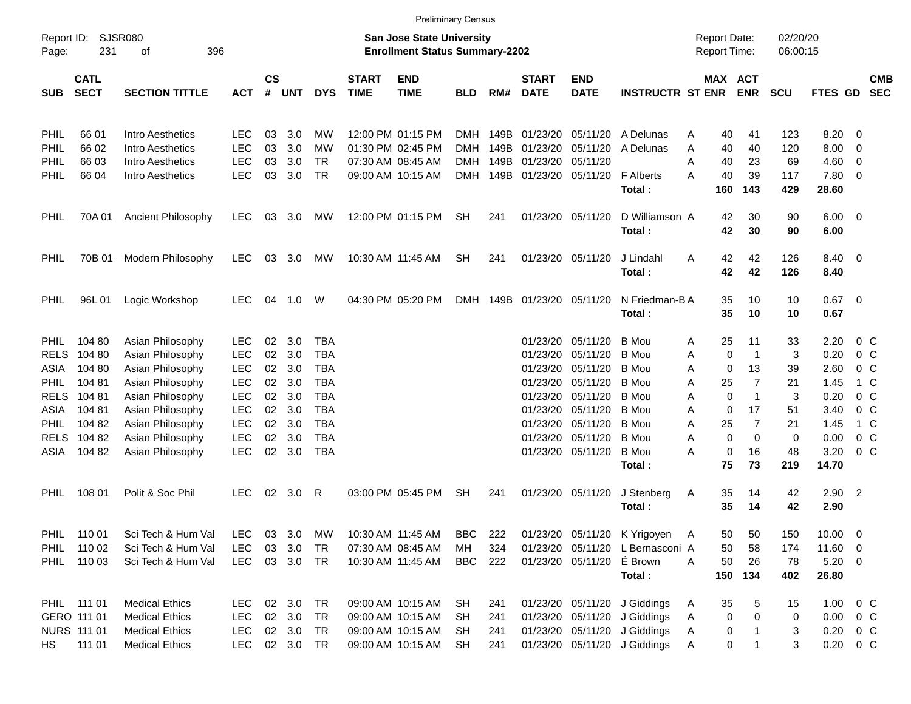| Report ID:<br>Page: | 231                        | SJSR080<br>396<br>οf  |            |                |           |            |                             | <b>San Jose State University</b><br><b>Enrollment Status Summary-2202</b> |            |      |                             |                           |                                  | <b>Report Date:</b><br><b>Report Time:</b> |                         | 02/20/20<br>06:00:15 |                        |                          |                          |
|---------------------|----------------------------|-----------------------|------------|----------------|-----------|------------|-----------------------------|---------------------------------------------------------------------------|------------|------|-----------------------------|---------------------------|----------------------------------|--------------------------------------------|-------------------------|----------------------|------------------------|--------------------------|--------------------------|
| <b>SUB</b>          | <b>CATL</b><br><b>SECT</b> | <b>SECTION TITTLE</b> | <b>ACT</b> | <b>CS</b><br># | UNT       | <b>DYS</b> | <b>START</b><br><b>TIME</b> | <b>END</b><br><b>TIME</b>                                                 | <b>BLD</b> | RM#  | <b>START</b><br><b>DATE</b> | <b>END</b><br><b>DATE</b> | <b>INSTRUCTR ST ENR</b>          |                                            | MAX ACT<br><b>ENR</b>   | <b>SCU</b>           | <b>FTES GD</b>         |                          | <b>CMB</b><br><b>SEC</b> |
| PHIL                | 66 01                      | Intro Aesthetics      | LEC        | 03             | 3.0       | МW         |                             | 12:00 PM 01:15 PM                                                         | DMH        | 149B | 01/23/20                    | 05/11/20                  | A Delunas                        | 40<br>A                                    | 41                      | 123                  | 8.20                   | $\overline{\phantom{0}}$ |                          |
| <b>PHIL</b>         | 66 02                      | Intro Aesthetics      | LEC        | 03             | 3.0       | МW         |                             | 01:30 PM 02:45 PM                                                         | <b>DMH</b> | 149B | 01/23/20                    | 05/11/20                  | A Delunas                        | Α<br>40                                    | 40                      | 120                  | 8.00                   | $\overline{\phantom{0}}$ |                          |
| PHIL                | 66 03                      | Intro Aesthetics      | <b>LEC</b> | 03             | 3.0       | <b>TR</b>  |                             | 07:30 AM 08:45 AM                                                         | <b>DMH</b> | 149B | 01/23/20                    | 05/11/20                  |                                  | Α<br>40                                    | 23                      | 69                   | 4.60                   | $\overline{\phantom{0}}$ |                          |
| PHIL                | 66 04                      | Intro Aesthetics      | LEC        | 03             | 3.0       | <b>TR</b>  |                             | 09:00 AM 10:15 AM                                                         |            |      | DMH 149B 01/23/20           | 05/11/20                  | <b>F</b> Alberts<br>Total:       | 40<br>Α<br>160                             | 39<br>143               | 117<br>429           | $7.80\quad 0$<br>28.60 |                          |                          |
| PHIL                | 70A 01                     | Ancient Philosophy    | <b>LEC</b> |                | 03 3.0    | МW         |                             | 12:00 PM 01:15 PM                                                         | <b>SH</b>  | 241  |                             | 01/23/20 05/11/20         | D Williamson A<br>Total:         | 42<br>42                                   | 30<br>30                | 90<br>90             | $6.00 \quad 0$<br>6.00 |                          |                          |
| PHIL                | 70B 01                     | Modern Philosophy     | <b>LEC</b> |                | 03 3.0    | МW         |                             | 10:30 AM 11:45 AM                                                         | <b>SH</b>  | 241  |                             | 01/23/20 05/11/20         | J Lindahl<br>Total:              | 42<br>A<br>42                              | 42<br>42                | 126<br>126           | 8.40 0<br>8.40         |                          |                          |
| PHIL                | 96L 01                     | Logic Workshop        | <b>LEC</b> | 04             | 1.0       | W          |                             | 04:30 PM 05:20 PM                                                         |            |      | DMH 149B 01/23/20 05/11/20  |                           | N Friedman-BA<br>Total:          | 35<br>35                                   | 10<br>10                | 10<br>10             | $0.67$ 0<br>0.67       |                          |                          |
| <b>PHIL</b>         | 104 80                     | Asian Philosophy      | LEC        | 02             | 3.0       | TBA        |                             |                                                                           |            |      | 01/23/20                    | 05/11/20                  | B Mou                            | 25<br>Α                                    | 11                      | 33                   | 2.20                   | 0 C                      |                          |
| <b>RELS</b>         | 104 80                     | Asian Philosophy      | <b>LEC</b> | 02             | 3.0       | <b>TBA</b> |                             |                                                                           |            |      | 01/23/20                    | 05/11/20                  | B Mou                            | Α                                          | 0<br>$\mathbf 1$        | 3                    | 0.20                   | 0 <sup>o</sup>           |                          |
| ASIA                | 104 80                     | Asian Philosophy      | <b>LEC</b> | 02             | 3.0       | <b>TBA</b> |                             |                                                                           |            |      | 01/23/20                    | 05/11/20                  | B Mou                            | Α                                          | 13<br>0                 | 39                   | 2.60                   | o c                      |                          |
| <b>PHIL</b>         | 104 81                     | Asian Philosophy      | <b>LEC</b> | 02             | 3.0       | TBA        |                             |                                                                           |            |      | 01/23/20                    | 05/11/20                  | B Mou                            | 25<br>Α                                    | $\overline{7}$          | 21                   | 1.45                   | 1 C                      |                          |
| <b>RELS</b>         | 104 81                     | Asian Philosophy      | <b>LEC</b> | 02             | 3.0       | <b>TBA</b> |                             |                                                                           |            |      | 01/23/20                    | 05/11/20                  | B Mou                            | Α                                          | 0<br>$\mathbf{1}$       | 3                    | 0.20                   | 0 <sup>o</sup>           |                          |
| ASIA                | 104 81                     | Asian Philosophy      | <b>LEC</b> | 02             | 3.0       | <b>TBA</b> |                             |                                                                           |            |      | 01/23/20                    | 05/11/20                  | B Mou                            | Α                                          | 17<br>0                 | 51                   | 3.40                   | 0 <sup>o</sup>           |                          |
| PHIL                | 104 82                     | Asian Philosophy      | <b>LEC</b> | 02             | 3.0       | <b>TBA</b> |                             |                                                                           |            |      | 01/23/20                    | 05/11/20                  | B Mou                            | Α<br>25                                    | $\overline{7}$          | 21                   | 1.45                   | 1 C                      |                          |
| <b>RELS</b>         | 104 82                     | Asian Philosophy      | LEC        | 02             | 3.0       | <b>TBA</b> |                             |                                                                           |            |      | 01/23/20                    | 05/11/20                  | B Mou                            | Α                                          | 0<br>0                  | 0                    | 0.00                   | 0 <sup>o</sup>           |                          |
| ASIA                | 104 82                     | Asian Philosophy      | LEC        | 02             | 3.0       | <b>TBA</b> |                             |                                                                           |            |      | 01/23/20                    | 05/11/20                  | B Mou<br>Total:                  | Α<br>75                                    | $\mathbf 0$<br>16<br>73 | 48<br>219            | 3.20<br>14.70          | 0 <sup>o</sup>           |                          |
| PHIL                | 108 01                     | Polit & Soc Phil      | <b>LEC</b> |                | 02 3.0    | R          |                             | 03:00 PM 05:45 PM                                                         | <b>SH</b>  | 241  |                             | 01/23/20 05/11/20         | J Stenberg<br>Total:             | 35<br>A<br>35                              | 14<br>14                | 42<br>42             | $2.90$ 2<br>2.90       |                          |                          |
| PHIL                | 110 01                     | Sci Tech & Hum Val    | LEC        |                | 03 3.0    | МW         |                             | 10:30 AM 11:45 AM                                                         | BBC        | 222  |                             |                           | 01/23/20 05/11/20 K Yrigoyen     | 50<br>A                                    | 50                      | 150                  | $10.00 \t 0$           |                          |                          |
| <b>PHIL</b>         | 110 02                     | Sci Tech & Hum Val    | <b>LEC</b> |                | 03 3.0    | TR         |                             | 07:30 AM 08:45 AM                                                         | MН         | 324  |                             |                           | 01/23/20 05/11/20 L Bernasconi A | 50                                         | 58                      | 174                  | $11.60 \t 0$           |                          |                          |
|                     | PHIL 110 03                | Sci Tech & Hum Val    | <b>LEC</b> |                | 03 3.0 TR |            |                             | 10:30 AM 11:45 AM                                                         | <b>BBC</b> | 222  |                             | 01/23/20 05/11/20 É Brown |                                  | 50<br>A                                    | 26                      | 78                   | $5.20 \ 0$             |                          |                          |
|                     |                            |                       |            |                |           |            |                             |                                                                           |            |      |                             |                           | Total:                           |                                            | 150 134                 | 402                  | 26.80                  |                          |                          |
|                     | PHIL 111 01                | <b>Medical Ethics</b> | <b>LEC</b> |                | 02 3.0 TR |            |                             | 09:00 AM 10:15 AM                                                         | <b>SH</b>  | 241  |                             |                           | 01/23/20 05/11/20 J Giddings     | 35<br>A                                    | 5                       | 15                   | $1.00 \t 0 C$          |                          |                          |
|                     | GERO 111 01                | <b>Medical Ethics</b> | <b>LEC</b> |                | 02 3.0    | <b>TR</b>  |                             | 09:00 AM 10:15 AM                                                         | <b>SH</b>  | 241  |                             |                           | 01/23/20 05/11/20 J Giddings     | Α                                          | 0<br>0                  | 0                    | $0.00 \t 0 C$          |                          |                          |
|                     | NURS 111 01                | <b>Medical Ethics</b> | <b>LEC</b> |                | 02 3.0    | <b>TR</b>  |                             | 09:00 AM 10:15 AM                                                         | <b>SH</b>  | 241  |                             |                           | 01/23/20 05/11/20 J Giddings     | Α                                          | 0                       | 3                    | $0.20 \t 0 C$          |                          |                          |
| HS                  | 111 01                     | <b>Medical Ethics</b> | <b>LEC</b> |                | 02 3.0 TR |            |                             | 09:00 AM 10:15 AM                                                         | <b>SH</b>  | 241  |                             |                           | 01/23/20 05/11/20 J Giddings     | A                                          | 0                       | 3                    | $0.20 \t 0 C$          |                          |                          |

Preliminary Census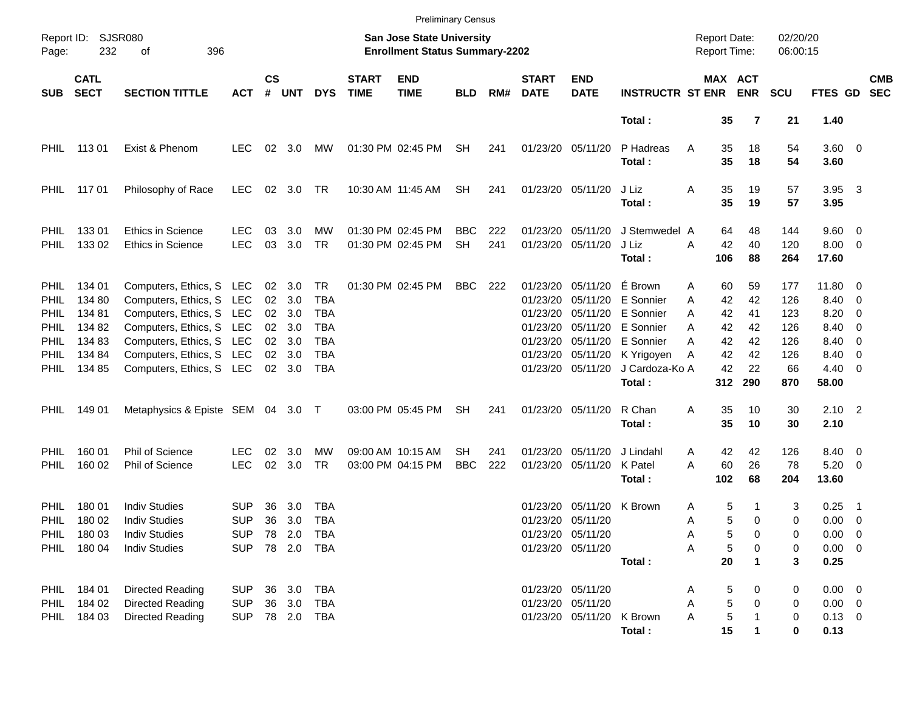|                                                                                                |                                                                   |                                                                                                                                                                                                  |                                        |                                   |                                                        |                                                            |                             | <b>Preliminary Census</b>                                          |                         |            |                                                                      |                                                                                           |                                                                                                       |                                            |                                                                                                |                                                     |                                                                                |                                                                                  |                          |
|------------------------------------------------------------------------------------------------|-------------------------------------------------------------------|--------------------------------------------------------------------------------------------------------------------------------------------------------------------------------------------------|----------------------------------------|-----------------------------------|--------------------------------------------------------|------------------------------------------------------------|-----------------------------|--------------------------------------------------------------------|-------------------------|------------|----------------------------------------------------------------------|-------------------------------------------------------------------------------------------|-------------------------------------------------------------------------------------------------------|--------------------------------------------|------------------------------------------------------------------------------------------------|-----------------------------------------------------|--------------------------------------------------------------------------------|----------------------------------------------------------------------------------|--------------------------|
| Page:                                                                                          | Report ID: SJSR080<br>232                                         | 396<br>οf                                                                                                                                                                                        |                                        |                                   |                                                        |                                                            |                             | San Jose State University<br><b>Enrollment Status Summary-2202</b> |                         |            |                                                                      |                                                                                           |                                                                                                       | <b>Report Date:</b><br><b>Report Time:</b> |                                                                                                | 02/20/20<br>06:00:15                                |                                                                                |                                                                                  |                          |
| SUB                                                                                            | <b>CATL</b><br><b>SECT</b>                                        | <b>SECTION TITTLE</b>                                                                                                                                                                            | <b>ACT</b>                             | $\mathsf{cs}$<br>#                | <b>UNT</b>                                             | <b>DYS</b>                                                 | <b>START</b><br><b>TIME</b> | <b>END</b><br><b>TIME</b>                                          | <b>BLD</b>              | RM#        | <b>START</b><br><b>DATE</b>                                          | <b>END</b><br><b>DATE</b>                                                                 | <b>INSTRUCTR ST ENR</b>                                                                               |                                            | MAX ACT<br><b>ENR</b>                                                                          | <b>SCU</b>                                          | FTES GD                                                                        |                                                                                  | <b>CMB</b><br><b>SEC</b> |
|                                                                                                |                                                                   |                                                                                                                                                                                                  |                                        |                                   |                                                        |                                                            |                             |                                                                    |                         |            |                                                                      |                                                                                           | Total:                                                                                                |                                            | 35<br>7                                                                                        | 21                                                  | 1.40                                                                           |                                                                                  |                          |
| PHIL                                                                                           | 11301                                                             | Exist & Phenom                                                                                                                                                                                   | <b>LEC</b>                             | 02                                | 3.0                                                    | MW                                                         |                             | 01:30 PM 02:45 PM                                                  | SH                      | 241        | 01/23/20 05/11/20                                                    |                                                                                           | P Hadreas<br>Total:                                                                                   | A                                          | 35<br>18<br>35<br>18                                                                           | 54<br>54                                            | 3.60 0<br>3.60                                                                 |                                                                                  |                          |
| PHIL                                                                                           | 117 01                                                            | Philosophy of Race                                                                                                                                                                               | <b>LEC</b>                             |                                   | 02 3.0 TR                                              |                                                            |                             | 10:30 AM 11:45 AM                                                  | SH                      | 241        | 01/23/20 05/11/20                                                    |                                                                                           | J Liz<br>Total:                                                                                       | Α                                          | 35<br>19<br>35<br>19                                                                           | 57<br>57                                            | $3.95 \quad 3$<br>3.95                                                         |                                                                                  |                          |
| <b>PHIL</b><br><b>PHIL</b>                                                                     | 13301<br>133 02                                                   | <b>Ethics in Science</b><br><b>Ethics in Science</b>                                                                                                                                             | <b>LEC</b><br><b>LEC</b>               | 03<br>03                          | 3.0<br>3.0                                             | MW<br><b>TR</b>                                            |                             | 01:30 PM 02:45 PM<br>01:30 PM 02:45 PM                             | <b>BBC</b><br><b>SH</b> | 222<br>241 | 01/23/20                                                             | 05/11/20<br>01/23/20 05/11/20                                                             | J Stemwedel A<br>J Liz<br>Total:                                                                      | A<br>106                                   | 64<br>48<br>40<br>42<br>88                                                                     | 144<br>120<br>264                                   | $9.60 \quad 0$<br>$8.00 \t 0$<br>17.60                                         |                                                                                  |                          |
| <b>PHIL</b><br>PHIL<br><b>PHIL</b><br><b>PHIL</b><br><b>PHIL</b><br><b>PHIL</b><br><b>PHIL</b> | 134 01<br>134 80<br>13481<br>134 82<br>134 83<br>134 84<br>134 85 | Computers, Ethics, S LEC<br>Computers, Ethics, S LEC<br>Computers, Ethics, S LEC<br>Computers, Ethics, S LEC<br>Computers, Ethics, S LEC<br>Computers, Ethics, S LEC<br>Computers, Ethics, S LEC |                                        | 02<br>02<br>02<br>02 <sub>o</sub> | 02 3.0<br>3.0<br>3.0<br>3.0<br>3.0<br>02 3.0<br>02 3.0 | TR<br><b>TBA</b><br>TBA<br><b>TBA</b><br>TBA<br>TBA<br>TBA |                             | 01:30 PM 02:45 PM                                                  | BBC                     | 222        | 01/23/20<br>01/23/20<br>01/23/20<br>01/23/20<br>01/23/20<br>01/23/20 | 05/11/20<br>05/11/20<br>05/11/20<br>05/11/20<br>05/11/20<br>05/11/20<br>01/23/20 05/11/20 | É Brown<br>E Sonnier<br>E Sonnier<br>E Sonnier<br>E Sonnier<br>K Yrigoyen<br>J Cardoza-Ko A<br>Total: | Α<br>Α<br>A<br>А<br>А<br>A                 | 60<br>59<br>42<br>42<br>42<br>41<br>42<br>42<br>42<br>42<br>42<br>42<br>42<br>22<br>312<br>290 | 177<br>126<br>123<br>126<br>126<br>126<br>66<br>870 | 11.80 0<br>8.40 0<br>8.20<br>8.40<br>8.40 0<br>8.40<br>$4.40 \quad 0$<br>58.00 | $\overline{\phantom{0}}$<br>$\overline{\phantom{0}}$<br>$\overline{\phantom{0}}$ |                          |
| <b>PHIL</b>                                                                                    | 149 01                                                            | Metaphysics & Episte SEM 04 3.0 T                                                                                                                                                                |                                        |                                   |                                                        |                                                            |                             | 03:00 PM 05:45 PM                                                  | <b>SH</b>               | 241        | 01/23/20 05/11/20                                                    |                                                                                           | R Chan<br>Total:                                                                                      | Α                                          | 35<br>10<br>35<br>10                                                                           | 30<br>30                                            | $2.10$ 2<br>2.10                                                               |                                                                                  |                          |
| <b>PHIL</b><br><b>PHIL</b>                                                                     | 160 01<br>160 02                                                  | <b>Phil of Science</b><br>Phil of Science                                                                                                                                                        | <b>LEC</b><br><b>LEC</b>               | 02<br>02                          | 3.0<br>3.0                                             | MW<br><b>TR</b>                                            |                             | 09:00 AM 10:15 AM<br>03:00 PM 04:15 PM                             | SН<br><b>BBC</b>        | 241<br>222 | 01/23/20                                                             | 05/11/20<br>01/23/20 05/11/20                                                             | J Lindahl<br>K Patel<br>Total:                                                                        | A<br>A<br>102                              | 42<br>42<br>60<br>26<br>68                                                                     | 126<br>78<br>204                                    | 8.40 0<br>$5.20 \ 0$<br>13.60                                                  |                                                                                  |                          |
| PHIL<br>PHIL                                                                                   | 180 01<br>180 02<br>PHIL 180 03<br>PHIL 180 04                    | <b>Indiv Studies</b><br><b>Indiv Studies</b><br><b>Indiv Studies</b><br><b>Indiv Studies</b>                                                                                                     | <b>SUP</b><br><b>SUP</b>               | 36<br>36                          | 3.0<br>3.0<br>SUP 78 2.0 TBA                           | <b>TBA</b><br>TBA<br>SUP 78 2.0 TBA                        |                             |                                                                    |                         |            | 01/23/20<br>01/23/20 05/11/20                                        | 05/11/20<br>01/23/20 05/11/20<br>01/23/20 05/11/20                                        | K Brown<br>Total:                                                                                     | A<br>Α<br>A<br>Α                           | 5<br>1<br>5<br>0<br>0<br>5<br>5<br>0<br>20<br>$\blacktriangleleft$                             | 3<br>0<br>0<br>0<br>3                               | 0.25<br>$0.00 \t 0$<br>$0.00 \t 0$<br>$0.00 \t 0$<br>0.25                      | $\overline{\phantom{1}}$                                                         |                          |
|                                                                                                | PHIL 184 01<br>PHIL 184 02<br>PHIL 184 03                         | Directed Reading<br>Directed Reading<br>Directed Reading                                                                                                                                         | <b>SUP</b><br><b>SUP</b><br><b>SUP</b> |                                   | 36 3.0<br>36 3.0                                       | TBA<br>TBA<br>78  2.0  TBA                                 |                             |                                                                    |                         |            |                                                                      | 01/23/20 05/11/20<br>01/23/20 05/11/20<br>01/23/20 05/11/20 K Brown                       | Total:                                                                                                | Α<br>Α<br>Α                                | 5<br>0<br>5<br>0<br>$\,$ 5 $\,$<br>15                                                          | 0<br>0<br>0<br>0                                    | $0.00 \t 0$<br>$0.00 \t 0$<br>$0.13 \ 0$<br>0.13                               |                                                                                  |                          |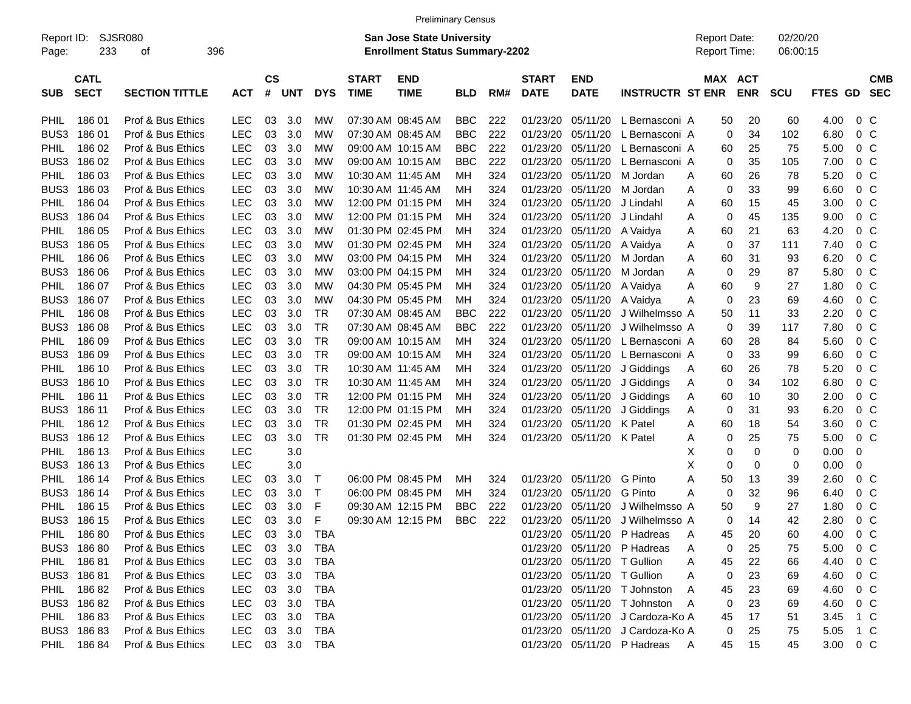| <b>Preliminary Census</b> |  |
|---------------------------|--|
|---------------------------|--|

| Page:       | Report ID: SJSR080<br>233  | οf                    | 396        |            |                    |        |                |                             | <b>San Jose State University</b><br><b>Enrollment Status Summary-2202</b> |            |     |                             |                             |                                  | <b>Report Date:</b><br>Report Time: |             |                       | 02/20/20<br>06:00:15 |                  |                |                          |
|-------------|----------------------------|-----------------------|------------|------------|--------------------|--------|----------------|-----------------------------|---------------------------------------------------------------------------|------------|-----|-----------------------------|-----------------------------|----------------------------------|-------------------------------------|-------------|-----------------------|----------------------|------------------|----------------|--------------------------|
| <b>SUB</b>  | <b>CATL</b><br><b>SECT</b> | <b>SECTION TITTLE</b> | <b>ACT</b> |            | $\mathsf{cs}$<br># | UNT    | <b>DYS</b>     | <b>START</b><br><b>TIME</b> | <b>END</b><br><b>TIME</b>                                                 | <b>BLD</b> | RM# | <b>START</b><br><b>DATE</b> | <b>END</b><br><b>DATE</b>   | <b>INSTRUCTR ST ENR</b>          |                                     |             | MAX ACT<br><b>ENR</b> | <b>SCU</b>           | FTES GD          |                | <b>CMB</b><br><b>SEC</b> |
|             |                            |                       |            |            |                    |        |                |                             |                                                                           |            |     |                             |                             |                                  |                                     |             |                       |                      |                  |                |                          |
| <b>PHIL</b> | 18601                      | Prof & Bus Ethics     | <b>LEC</b> |            | 03                 | 3.0    | МW             | 07:30 AM 08:45 AM           |                                                                           | <b>BBC</b> | 222 | 01/23/20                    | 05/11/20                    | L Bernasconi A                   |                                     | 50          | 20                    | 60                   | 4.00             | $0\,$ C        |                          |
| BUS3        | 18601                      | Prof & Bus Ethics     | <b>LEC</b> |            | 03                 | 3.0    | MW             | 07:30 AM 08:45 AM           |                                                                           | <b>BBC</b> | 222 | 01/23/20                    | 05/11/20                    | L Bernasconi A                   |                                     | 0           | 34                    | 102                  | 6.80             | 0 <sup>o</sup> |                          |
| <b>PHIL</b> | 186 02                     | Prof & Bus Ethics     | <b>LEC</b> |            | 03                 | 3.0    | MW             | 09:00 AM 10:15 AM           |                                                                           | <b>BBC</b> | 222 | 01/23/20                    | 05/11/20                    | L Bernasconi A                   |                                     | 60          | 25                    | 75                   | 5.00             | 0 <sup>o</sup> |                          |
| BUS3        | 186 02                     | Prof & Bus Ethics     | <b>LEC</b> |            | 03                 | 3.0    | MW             | 09:00 AM 10:15 AM           |                                                                           | <b>BBC</b> | 222 | 01/23/20                    | 05/11/20                    | L Bernasconi A                   |                                     | 0           | 35                    | 105                  | 7.00             | 0 <sup>o</sup> |                          |
| <b>PHIL</b> | 186 03                     | Prof & Bus Ethics     | <b>LEC</b> |            | 03                 | 3.0    | MW             |                             | 10:30 AM 11:45 AM                                                         | МH         | 324 | 01/23/20                    | 05/11/20                    | M Jordan                         | A                                   | 60          | 26                    | 78                   | 5.20             | 0 <sup>o</sup> |                          |
| BUS3        | 186 03                     | Prof & Bus Ethics     | <b>LEC</b> |            | 03                 | 3.0    | MW             |                             | 10:30 AM 11:45 AM                                                         | МH         | 324 | 01/23/20                    | 05/11/20                    | M Jordan                         | A                                   | $\mathbf 0$ | 33                    | 99                   | 6.60             | 0 <sup>o</sup> |                          |
| <b>PHIL</b> | 186 04                     | Prof & Bus Ethics     | <b>LEC</b> |            | 03                 | 3.0    | MW             |                             | 12:00 PM 01:15 PM                                                         | МH         | 324 | 01/23/20                    | 05/11/20                    | J Lindahl                        | A                                   | 60          | 15                    | 45                   | 3.00             | 0 <sup>o</sup> |                          |
| BUS3        | 186 04                     | Prof & Bus Ethics     | <b>LEC</b> |            | 03                 | 3.0    | MW             |                             | 12:00 PM 01:15 PM                                                         | MН         | 324 | 01/23/20                    | 05/11/20                    | J Lindahl                        | Α                                   | 0           | 45                    | 135                  | 9.00             | 0 <sup>o</sup> |                          |
| <b>PHIL</b> | 186 05                     | Prof & Bus Ethics     | <b>LEC</b> |            | 03                 | 3.0    | MW             |                             | 01:30 PM 02:45 PM                                                         | МH         | 324 | 01/23/20                    | 05/11/20                    | A Vaidya                         | Α                                   | 60          | 21                    | 63                   | 4.20             | 0 <sup>o</sup> |                          |
| BUS3        | 186 05                     | Prof & Bus Ethics     | <b>LEC</b> |            | 03                 | 3.0    | MW             |                             | 01:30 PM 02:45 PM                                                         | МH         | 324 | 01/23/20                    | 05/11/20                    | A Vaidya                         | Α                                   | 0           | 37                    | 111                  | 7.40             | 0 <sup>o</sup> |                          |
| <b>PHIL</b> | 186 06                     | Prof & Bus Ethics     | <b>LEC</b> |            | 03                 | 3.0    | MW             |                             | 03:00 PM 04:15 PM                                                         | МH         | 324 | 01/23/20                    | 05/11/20                    | M Jordan                         | A                                   | 60          | 31                    | 93                   | 6.20             | 0 <sup>o</sup> |                          |
| BUS3        | 186 06                     | Prof & Bus Ethics     | <b>LEC</b> |            | 03                 | 3.0    | MW             |                             | 03:00 PM 04:15 PM                                                         | МH         | 324 | 01/23/20                    | 05/11/20                    | M Jordan                         | A                                   | 0           | 29                    | 87                   | 5.80             | 0 <sup>o</sup> |                          |
| <b>PHIL</b> | 186 07                     | Prof & Bus Ethics     | <b>LEC</b> |            | 03                 | 3.0    | MW             |                             | 04:30 PM 05:45 PM                                                         | МH         | 324 | 01/23/20                    | 05/11/20                    | A Vaidya                         | Α                                   | 60          | 9                     | 27                   | 1.80             | 0 <sup>o</sup> |                          |
| BUS3        | 186 07                     | Prof & Bus Ethics     | <b>LEC</b> |            | 03                 | 3.0    | MW             |                             | 04:30 PM 05:45 PM                                                         | МH         | 324 | 01/23/20                    | 05/11/20                    | A Vaidya                         | Α                                   | $\mathbf 0$ | 23                    | 69                   | 4.60             | 0 <sup>o</sup> |                          |
| <b>PHIL</b> | 186 08                     | Prof & Bus Ethics     | <b>LEC</b> |            | 03                 | 3.0    | TR             | 07:30 AM 08:45 AM           |                                                                           | <b>BBC</b> | 222 | 01/23/20                    | 05/11/20                    | J Wilhelmsso A                   |                                     | 50          | 11                    | 33                   | 2.20             | 0 <sup>o</sup> |                          |
| BUS3        | 18608                      | Prof & Bus Ethics     | <b>LEC</b> |            | 03                 | 3.0    | TR             | 07:30 AM 08:45 AM           |                                                                           | <b>BBC</b> | 222 | 01/23/20                    | 05/11/20                    | J Wilhelmsso A                   |                                     | 0           | 39                    | 117                  | 7.80             | 0 <sup>o</sup> |                          |
| <b>PHIL</b> | 186 09                     | Prof & Bus Ethics     | <b>LEC</b> |            | 03                 | 3.0    | TR             | 09:00 AM 10:15 AM           |                                                                           | МH         | 324 | 01/23/20                    | 05/11/20                    | L Bernasconi A                   |                                     | 60          | 28                    | 84                   | 5.60             | 0 <sup>o</sup> |                          |
| BUS3        | 186 09                     | Prof & Bus Ethics     | <b>LEC</b> |            | 03                 | 3.0    | TR             | 09:00 AM 10:15 AM           |                                                                           | МH         | 324 | 01/23/20                    | 05/11/20                    | L Bernasconi A                   |                                     | 0           | 33                    | 99                   | 6.60             | 0 <sup>o</sup> |                          |
| <b>PHIL</b> | 186 10                     | Prof & Bus Ethics     | <b>LEC</b> |            | 03                 | 3.0    | TR             | 10:30 AM 11:45 AM           |                                                                           | МH         | 324 | 01/23/20                    | 05/11/20                    | J Giddings                       | A                                   | 60          | 26                    | 78                   | 5.20             | 0 <sup>o</sup> |                          |
| BUS3        | 186 10                     | Prof & Bus Ethics     | <b>LEC</b> |            | 03                 | 3.0    | TR             | 10:30 AM 11:45 AM           |                                                                           | MН         | 324 | 01/23/20                    | 05/11/20                    | J Giddings                       | A                                   | 0           | 34                    | 102                  | 6.80             | 0 <sup>o</sup> |                          |
| <b>PHIL</b> | 186 11                     | Prof & Bus Ethics     | <b>LEC</b> |            | 03                 | 3.0    | TR             |                             | 12:00 PM 01:15 PM                                                         | MН         | 324 | 01/23/20                    | 05/11/20                    | J Giddings                       | Α                                   | 60          | 10                    | 30                   | 2.00             | 0 <sup>o</sup> |                          |
| BUS3        | 186 11                     | Prof & Bus Ethics     | <b>LEC</b> |            | 03                 | 3.0    | TR             |                             | 12:00 PM 01:15 PM                                                         | MН         | 324 | 01/23/20                    | 05/11/20                    | J Giddings                       | Α                                   | 0           | 31                    | 93                   | 6.20             | 0 <sup>o</sup> |                          |
| <b>PHIL</b> | 186 12                     | Prof & Bus Ethics     | <b>LEC</b> |            | 03                 | 3.0    | TR             |                             | 01:30 PM 02:45 PM                                                         | MН         | 324 | 01/23/20                    | 05/11/20                    | K Patel                          | A                                   | 60          | 18                    | 54                   | 3.60             | 0 <sup>o</sup> |                          |
| BUS3        | 186 12                     | Prof & Bus Ethics     | <b>LEC</b> |            | 03                 | 3.0    | TR             |                             | 01:30 PM 02:45 PM                                                         | МH         | 324 | 01/23/20                    | 05/11/20                    | K Patel                          | Α                                   | 0           | 25                    | 75                   | 5.00             | 0 <sup>o</sup> |                          |
| <b>PHIL</b> | 186 13                     | Prof & Bus Ethics     | <b>LEC</b> |            |                    | 3.0    |                |                             |                                                                           |            |     |                             |                             |                                  | х                                   | 0           | 0                     | 0                    | 0.00             | 0              |                          |
| BUS3        | 186 13                     | Prof & Bus Ethics     | <b>LEC</b> |            |                    | 3.0    |                |                             |                                                                           |            |     |                             |                             |                                  | X                                   | 0           | 0                     | 0                    | 0.00             | 0              |                          |
| <b>PHIL</b> | 186 14                     | Prof & Bus Ethics     | <b>LEC</b> |            | 03                 | 3.0    | T              |                             | 06:00 PM 08:45 PM                                                         | MН         | 324 | 01/23/20                    | 05/11/20                    | G Pinto                          | Α                                   | 50          | 13                    | 39                   | 2.60             | 0 <sup>o</sup> |                          |
| BUS3        | 186 14                     | Prof & Bus Ethics     | <b>LEC</b> |            | 03                 | 3.0    | T              |                             | 06:00 PM 08:45 PM                                                         | MН         | 324 | 01/23/20                    | 05/11/20                    | G Pinto                          | Α                                   | 0           | 32                    | 96                   | 6.40             | 0 <sup>o</sup> |                          |
| <b>PHIL</b> | 186 15                     | Prof & Bus Ethics     | <b>LEC</b> |            | 03                 | 3.0    | F              |                             | 09:30 AM 12:15 PM                                                         | <b>BBC</b> | 222 | 01/23/20                    | 05/11/20                    | J Wilhelmsso A                   |                                     | 50          | 9                     | 27                   | 1.80             | 0 <sup>o</sup> |                          |
| BUS3        | 186 15                     | Prof & Bus Ethics     | <b>LEC</b> |            | 03                 | 3.0    | F              |                             | 09:30 AM 12:15 PM                                                         | <b>BBC</b> | 222 | 01/23/20                    | 05/11/20                    | J Wilhelmsso A                   |                                     | 0           | 14                    | 42                   | 2.80             |                | 0 <sup>o</sup>           |
| <b>PHIL</b> | 18680                      | Prof & Bus Ethics     | <b>LEC</b> |            | 03                 | 3.0    | TBA            |                             |                                                                           |            |     | 01/23/20                    | 05/11/20                    | P Hadreas                        | A                                   | 45          | 20                    | 60                   | 4.00             | 0 <sup>o</sup> |                          |
|             | BUS3 186 80                | Prof & Bus Ethics     |            | LEC 03 3.0 |                    |        | TBA            |                             |                                                                           |            |     |                             |                             | 01/23/20 05/11/20 P Hadreas      |                                     | 0           |                       |                      | $5.00 \t 0 \t C$ |                |                          |
|             | PHIL 186 81                |                       |            |            |                    | 03 3.0 |                |                             |                                                                           |            |     |                             | 01/23/20 05/11/20 T Gullion |                                  | Α                                   |             | 25                    | 75                   | 4.40             |                |                          |
|             |                            | Prof & Bus Ethics     | LEC        |            |                    |        | TBA            |                             |                                                                           |            |     |                             |                             |                                  | A                                   | 45          | 22                    | 66                   |                  | $0\,$ C        |                          |
|             | BUS3 186 81                | Prof & Bus Ethics     |            | LEC 03 3.0 |                    |        | TBA            |                             |                                                                           |            |     |                             | 01/23/20 05/11/20 T Gullion |                                  | Α                                   | 0           | 23                    | 69                   | 4.60 0 C         |                |                          |
|             | PHIL 186 82                | Prof & Bus Ethics     |            | LEC 03 3.0 |                    |        | TBA            |                             |                                                                           |            |     |                             |                             | 01/23/20 05/11/20 T Johnston     | A                                   | 45          | 23                    | 69                   | 4.60             | $0\,$ C        |                          |
|             | BUS3 186 82                | Prof & Bus Ethics     |            | LEC 03 3.0 |                    |        | TBA            |                             |                                                                           |            |     |                             |                             | 01/23/20 05/11/20 T Johnston     | A                                   | 0           | 23                    | 69                   | 4.60             | $0\,$ C        |                          |
|             | PHIL 186 83                | Prof & Bus Ethics     |            | LEC 03 3.0 |                    |        | TBA            |                             |                                                                           |            |     |                             |                             | 01/23/20 05/11/20 J Cardoza-Ko A |                                     | 45          | 17                    | 51                   | 3.45 1 C         |                |                          |
|             | BUS3 186 83                | Prof & Bus Ethics     |            | LEC 03 3.0 |                    |        | TBA            |                             |                                                                           |            |     |                             |                             | 01/23/20 05/11/20 J Cardoza-Ko A |                                     | 0           | 25                    | 75                   | 5.05 1 C         |                |                          |
|             | PHIL 186 84                | Prof & Bus Ethics     |            |            |                    |        | LEC 03 3.0 TBA |                             |                                                                           |            |     |                             |                             | 01/23/20 05/11/20 P Hadreas      | <b>A</b>                            | 45          | 15                    | 45                   | 3.00 0 C         |                |                          |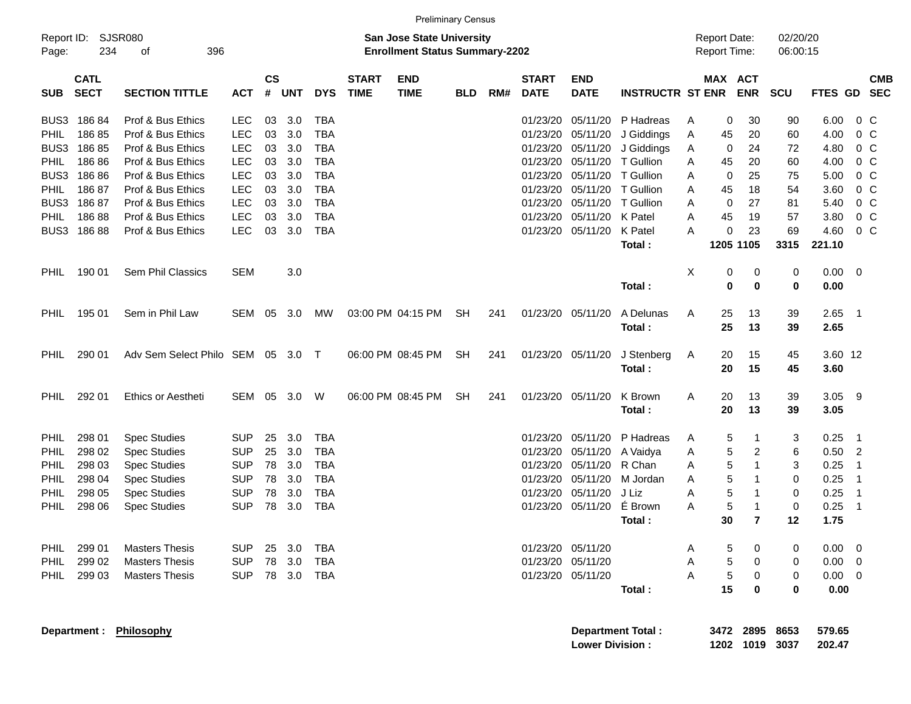|                     |                            |                          |            |                    |            |            |                             |                                                                           | <b>Preliminary Census</b> |     |                             |                           |                          |   |                                     |                         |                      |                |                |                          |
|---------------------|----------------------------|--------------------------|------------|--------------------|------------|------------|-----------------------------|---------------------------------------------------------------------------|---------------------------|-----|-----------------------------|---------------------------|--------------------------|---|-------------------------------------|-------------------------|----------------------|----------------|----------------|--------------------------|
| Report ID:<br>Page: | 234                        | SJSR080<br>396<br>οf     |            |                    |            |            |                             | <b>San Jose State University</b><br><b>Enrollment Status Summary-2202</b> |                           |     |                             |                           |                          |   | <b>Report Date:</b><br>Report Time: |                         | 02/20/20<br>06:00:15 |                |                |                          |
| <b>SUB</b>          | <b>CATL</b><br><b>SECT</b> | <b>SECTION TITTLE</b>    | <b>ACT</b> | $\mathsf{cs}$<br># | <b>UNT</b> | <b>DYS</b> | <b>START</b><br><b>TIME</b> | <b>END</b><br><b>TIME</b>                                                 | <b>BLD</b>                | RM# | <b>START</b><br><b>DATE</b> | <b>END</b><br><b>DATE</b> | <b>INSTRUCTR ST ENR</b>  |   | <b>MAX ACT</b>                      | <b>ENR</b>              | <b>SCU</b>           | <b>FTES GD</b> |                | <b>CMB</b><br><b>SEC</b> |
| BUS3                | 18684                      | Prof & Bus Ethics        | <b>LEC</b> | 03                 | 3.0        | <b>TBA</b> |                             |                                                                           |                           |     | 01/23/20                    | 05/11/20                  | P Hadreas                | A | 0                                   | 30                      | 90                   | 6.00           | $0\,$ C        |                          |
| PHIL                | 18685                      | Prof & Bus Ethics        | <b>LEC</b> | 03                 | 3.0        | <b>TBA</b> |                             |                                                                           |                           |     | 01/23/20                    | 05/11/20                  | J Giddings               | A | 45                                  | 20                      | 60                   | 4.00           | 0 <sup>o</sup> |                          |
| BUS3                | 18685                      | Prof & Bus Ethics        | <b>LEC</b> | 03                 | 3.0        | <b>TBA</b> |                             |                                                                           |                           |     | 01/23/20                    | 05/11/20                  | J Giddings               | A | 0                                   | 24                      | 72                   | 4.80           | 0 <sup>C</sup> |                          |
| PHIL                | 18686                      | Prof & Bus Ethics        | <b>LEC</b> | 03                 | 3.0        | <b>TBA</b> |                             |                                                                           |                           |     | 01/23/20                    | 05/11/20                  | T Gullion                | Α | 45                                  | 20                      | 60                   | 4.00           | 0 <sup>o</sup> |                          |
| BUS3                | 18686                      | Prof & Bus Ethics        | <b>LEC</b> | 03                 | 3.0        | <b>TBA</b> |                             |                                                                           |                           |     | 01/23/20                    | 05/11/20                  | T Gullion                | A | 0                                   | 25                      | 75                   | 5.00           | 0 <sup>C</sup> |                          |
| PHIL                | 18687                      | Prof & Bus Ethics        | <b>LEC</b> | 03                 | 3.0        | <b>TBA</b> |                             |                                                                           |                           |     | 01/23/20                    | 05/11/20                  | T Gullion                | A | 45                                  | 18                      | 54                   | 3.60           | 0 <sup>C</sup> |                          |
| BUS3                | 18687                      | Prof & Bus Ethics        | <b>LEC</b> | 03                 | 3.0        | <b>TBA</b> |                             |                                                                           |                           |     | 01/23/20                    | 05/11/20                  | T Gullion                | A | 0                                   | 27                      | 81                   | 5.40           | 0 <sup>o</sup> |                          |
| <b>PHIL</b>         | 18688                      | Prof & Bus Ethics        | <b>LEC</b> | 03                 | 3.0        | <b>TBA</b> |                             |                                                                           |                           |     | 01/23/20                    | 05/11/20                  | K Patel                  | A | 45                                  | 19                      | 57                   | 3.80           | 0 <sup>C</sup> |                          |
| BUS3                | 18688                      | Prof & Bus Ethics        | <b>LEC</b> | 03                 | 3.0        | <b>TBA</b> |                             |                                                                           |                           |     | 01/23/20                    | 05/11/20                  | K Patel                  | A | 0                                   | 23                      | 69                   | 4.60           | 0 <sup>o</sup> |                          |
|                     |                            |                          |            |                    |            |            |                             |                                                                           |                           |     |                             |                           | Total:                   |   | 1205 1105                           |                         | 3315                 | 221.10         |                |                          |
|                     |                            |                          |            |                    |            |            |                             |                                                                           |                           |     |                             |                           |                          |   |                                     |                         |                      |                |                |                          |
| PHIL                | 190 01                     | Sem Phil Classics        | <b>SEM</b> |                    | 3.0        |            |                             |                                                                           |                           |     |                             |                           |                          | Χ | 0                                   | 0                       | 0                    | 0.00           | 0              |                          |
|                     |                            |                          |            |                    |            |            |                             |                                                                           |                           |     |                             |                           | Total:                   |   | 0                                   | 0                       | 0                    | 0.00           |                |                          |
|                     |                            |                          |            |                    |            |            |                             |                                                                           |                           |     |                             |                           | A Delunas                |   |                                     |                         |                      |                |                |                          |
| <b>PHIL</b>         | 195 01                     | Sem in Phil Law          | <b>SEM</b> | 05                 | 3.0        | <b>MW</b>  |                             | 03:00 PM 04:15 PM                                                         | SH                        | 241 | 01/23/20                    | 05/11/20                  | Total:                   | A | 25<br>25                            | 13<br>13                | 39<br>39             | 2.65<br>2.65   | $\overline{1}$ |                          |
|                     |                            |                          |            |                    |            |            |                             |                                                                           |                           |     |                             |                           |                          |   |                                     |                         |                      |                |                |                          |
| PHIL                | 290 01                     | Adv Sem Select Philo SEM |            |                    | 05 3.0 T   |            |                             | 06:00 PM 08:45 PM                                                         | SH                        | 241 | 01/23/20                    | 05/11/20                  | J Stenberg               | A | 20                                  | 15                      | 45                   | 3.60 12        |                |                          |
|                     |                            |                          |            |                    |            |            |                             |                                                                           |                           |     |                             |                           | Total:                   |   | 20                                  | 15                      | 45                   | 3.60           |                |                          |
|                     |                            |                          |            |                    |            |            |                             |                                                                           |                           |     |                             |                           |                          |   |                                     |                         |                      |                |                |                          |
| <b>PHIL</b>         | 292 01                     | Ethics or Aestheti       | <b>SEM</b> | 05                 | 3.0        | W          |                             | 06:00 PM 08:45 PM                                                         | SH                        | 241 | 01/23/20                    | 05/11/20                  | K Brown                  | A | 20                                  | 13                      | 39                   | 3.05           | -9             |                          |
|                     |                            |                          |            |                    |            |            |                             |                                                                           |                           |     |                             |                           | Total:                   |   | 20                                  | 13                      | 39                   | 3.05           |                |                          |
|                     |                            |                          |            |                    |            |            |                             |                                                                           |                           |     |                             |                           |                          |   |                                     |                         |                      |                |                |                          |
| PHIL                | 298 01                     | <b>Spec Studies</b>      | <b>SUP</b> | 25                 | 3.0        | <b>TBA</b> |                             |                                                                           |                           |     | 01/23/20                    | 05/11/20                  | P Hadreas                | A | 5                                   | -1                      | 3                    | 0.25           | $\overline{1}$ |                          |
| PHIL                | 298 02                     | <b>Spec Studies</b>      | <b>SUP</b> | 25                 | 3.0        | <b>TBA</b> |                             |                                                                           |                           |     | 01/23/20                    | 05/11/20                  | A Vaidya                 | A | 5                                   | $\overline{\mathbf{c}}$ | 6                    | 0.50           | $\overline{2}$ |                          |
| PHIL                | 298 03                     | <b>Spec Studies</b>      | <b>SUP</b> | 78                 | 3.0        | <b>TBA</b> |                             |                                                                           |                           |     | 01/23/20                    | 05/11/20                  | R Chan                   | A | 5                                   | $\mathbf{1}$            | 3                    | 0.25           | $\overline{1}$ |                          |
| PHIL                | 298 04                     | <b>Spec Studies</b>      | <b>SUP</b> | 78                 | 3.0        | <b>TBA</b> |                             |                                                                           |                           |     | 01/23/20                    | 05/11/20                  | M Jordan                 | A | 5                                   | $\mathbf 1$             | 0                    | 0.25           | $\overline{1}$ |                          |
| PHIL                | 298 05                     | <b>Spec Studies</b>      | <b>SUP</b> | 78                 | 3.0        | <b>TBA</b> |                             |                                                                           |                           |     | 01/23/20                    | 05/11/20                  | J Liz                    | Α | 5                                   | $\mathbf 1$             | 0                    | 0.25           | $\overline{1}$ |                          |
| PHIL                | 298 06                     | <b>Spec Studies</b>      | <b>SUP</b> | 78                 | 3.0        | <b>TBA</b> |                             |                                                                           |                           |     | 01/23/20                    | 05/11/20                  | É Brown                  | Α | 5                                   | $\mathbf 1$             | 0                    | 0.25           | $\overline{1}$ |                          |
|                     |                            |                          |            |                    |            |            |                             |                                                                           |                           |     |                             |                           | Total:                   |   | 30                                  | $\overline{7}$          | 12                   | 1.75           |                |                          |
|                     |                            |                          |            |                    |            |            |                             |                                                                           |                           |     |                             |                           |                          |   |                                     |                         |                      |                |                |                          |
| PHIL                | 299 01                     | <b>Masters Thesis</b>    | <b>SUP</b> |                    | 25 3.0     | TBA        |                             |                                                                           |                           |     |                             | 01/23/20 05/11/20         |                          | A | 5                                   | 0                       | 0                    | 0.00           | - 0            |                          |
| PHIL                | 299 02                     | <b>Masters Thesis</b>    | <b>SUP</b> |                    | 78 3.0     | TBA        |                             |                                                                           |                           |     |                             | 01/23/20 05/11/20         |                          | Α | 5                                   | 0                       | 0                    | 0.00           | $\overline{0}$ |                          |
| PHIL                | 299 03                     | <b>Masters Thesis</b>    | <b>SUP</b> |                    |            | 78 3.0 TBA |                             |                                                                           |                           |     |                             | 01/23/20 05/11/20         |                          | A | 5                                   | $\boldsymbol{0}$        | 0                    | $0.00 \t 0$    |                |                          |
|                     |                            |                          |            |                    |            |            |                             |                                                                           |                           |     |                             |                           | Total:                   |   | 15                                  | $\bf{0}$                | 0                    | 0.00           |                |                          |
|                     |                            |                          |            |                    |            |            |                             |                                                                           |                           |     |                             |                           |                          |   |                                     |                         |                      |                |                |                          |
|                     |                            | Department: Philosophy   |            |                    |            |            |                             |                                                                           |                           |     |                             |                           | <b>Department Total:</b> |   |                                     | 3472 2895 8653          |                      | 579.65         |                |                          |

**Lower Division : 1202 1019 3037 202.47**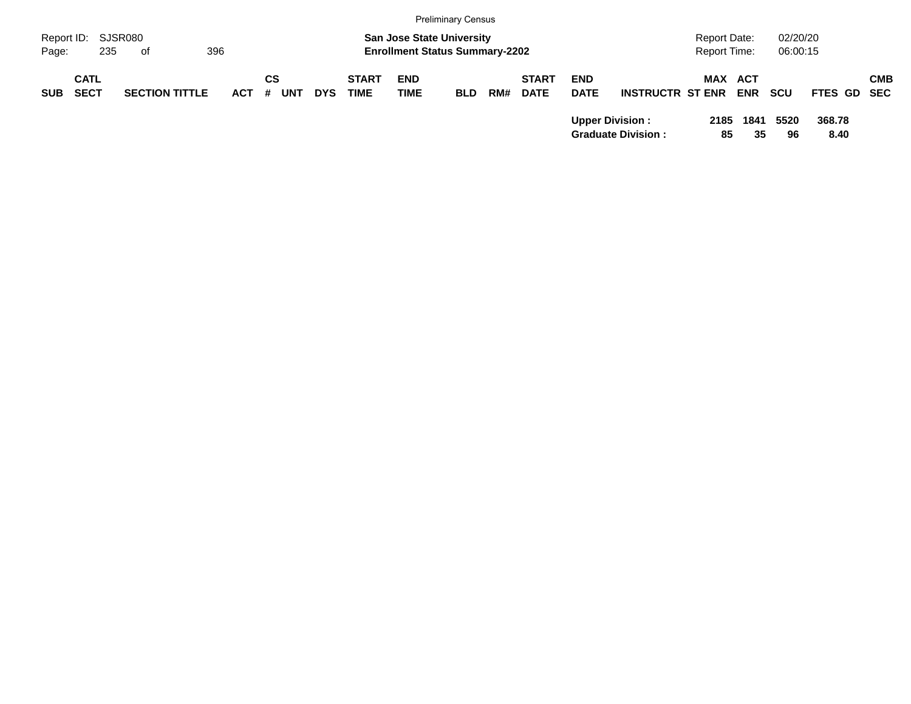|                     |             |                       |            |                 |            |              |                                                                           | <b>Preliminary Census</b> |     |              |             |                           |                                     |            |                      |             |            |
|---------------------|-------------|-----------------------|------------|-----------------|------------|--------------|---------------------------------------------------------------------------|---------------------------|-----|--------------|-------------|---------------------------|-------------------------------------|------------|----------------------|-------------|------------|
| Report ID:<br>Page: | 235         | SJSR080<br>0f         | 396        |                 |            |              | <b>San Jose State University</b><br><b>Enrollment Status Summary-2202</b> |                           |     |              |             |                           | <b>Report Date:</b><br>Report Time: |            | 02/20/20<br>06:00:15 |             |            |
|                     |             |                       |            |                 |            |              |                                                                           |                           |     |              |             |                           |                                     |            |                      |             |            |
|                     | <b>CATL</b> |                       |            | CS              |            | <b>START</b> | <b>END</b>                                                                |                           |     | <b>START</b> | <b>END</b>  |                           |                                     | MAX ACT    |                      |             | <b>CMB</b> |
| <b>SUB</b>          | <b>SECT</b> | <b>SECTION TITTLE</b> | <b>ACT</b> | <b>UNT</b><br># | <b>DYS</b> | <b>TIME</b>  | <b>TIME</b>                                                               | <b>BLD</b>                | RM# | <b>DATE</b>  | <b>DATE</b> | <b>INSTRUCTR ST ENR</b>   |                                     | <b>ENR</b> | <b>SCU</b>           | FTES GD SEC |            |
|                     |             |                       |            |                 |            |              |                                                                           |                           |     |              |             | <b>Upper Division:</b>    | 2185                                | 1841       | 5520                 | 368.78      |            |
|                     |             |                       |            |                 |            |              |                                                                           |                           |     |              |             | <b>Graduate Division:</b> |                                     | 85<br>35   | 96                   | 8.40        |            |